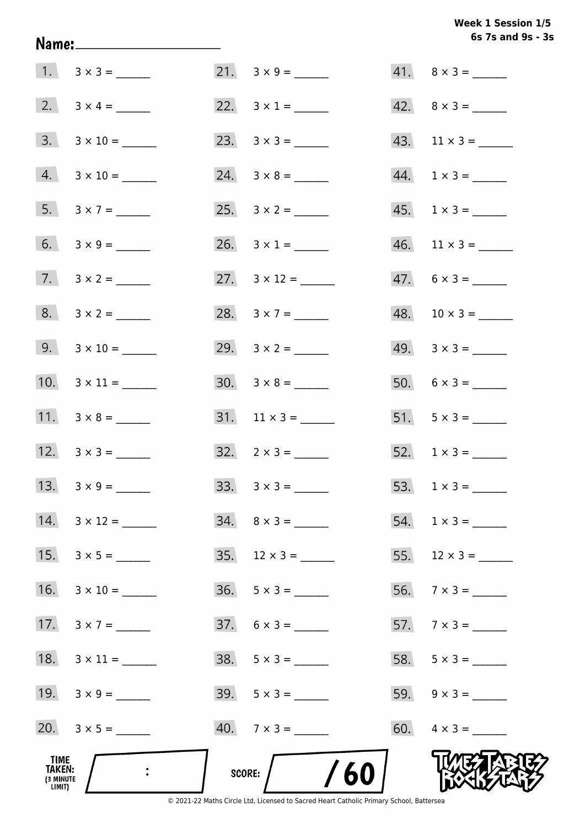# Week 1 Session 1/5 6s 7s and 9s - 3s

| TIME<br>TAKEN:<br>(3 MINUTE<br>LIMIT) | $\ddot{\cdot}$      | <b>SCORE:</b> | /60                      |     |                             |
|---------------------------------------|---------------------|---------------|--------------------------|-----|-----------------------------|
|                                       | 20. $3 \times 5 =$  |               | $40. 7 \times 3 =$       |     | 60. $4 \times 3 =$          |
|                                       | 19. $3 \times 9 =$  |               | $39. 5 \times 3 =$       |     | 59. $9 \times 3 =$          |
| 18.                                   |                     |               | $38. 5 \times 3 =$       | 58. |                             |
| 17.                                   |                     |               | $37. 6 \times 3 =$       |     |                             |
| 16.                                   |                     | 36.           |                          | 56. |                             |
| 15.                                   |                     | 35.           | $12 \times 3 =$          |     | 55. $12 \times 3 =$         |
| 14.                                   |                     |               | $34. \quad 8 \times 3 =$ |     | 54. $1 \times 3 =$          |
|                                       |                     |               |                          |     |                             |
|                                       |                     |               | $32. \quad 2 \times 3 =$ |     |                             |
|                                       | 11. $3 \times 8 =$  |               |                          |     | $51. 5 \times 3 =$          |
|                                       | 10. $3 \times 11 =$ |               |                          |     | 50. $6 \times 3 =$          |
|                                       | $9. 3 \times 10 =$  |               |                          |     | $49. \quad 3 \times 3 =$    |
|                                       | $8. 3 \times 2 =$   |               | 28. $3 \times 7 =$       |     | $48. 10 \times 3 =$         |
|                                       | 7. $3 \times 2 =$   |               | 27. $3 \times 12 =$      |     | $47.6 \times 3 =$           |
|                                       |                     |               | 26. $3 \times 1 =$       |     | $46.$ 11 × 3 = _______      |
|                                       | 5. $3 \times 7 =$   |               |                          |     | $45. \quad 1 \times 3 = \_$ |
|                                       | $4. 3 \times 10 =$  |               |                          |     | $44. \quad 1 \times 3 = \_$ |
|                                       | $3. 3 \times 10 =$  |               |                          |     | 43. $11 \times 3 =$         |
|                                       |                     |               |                          |     | $42. \quad 8 \times 3 =$    |
|                                       | $1. 3 \times 3 =$   |               | $21. \quad 3 \times 9 =$ |     | $41. \quad 8 \times 3 =$    |

Name: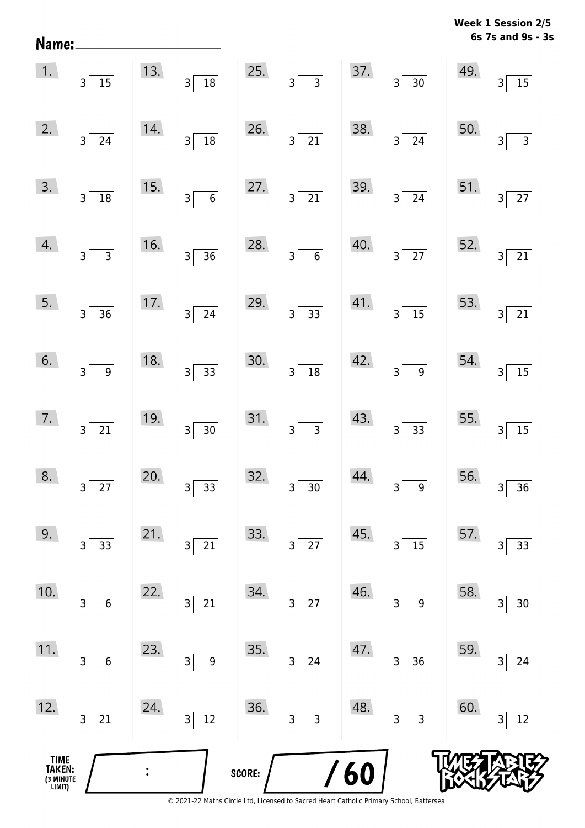| Name:                                 |                                             |     |                       |        |                                   |     |                           | <b>MACCV</b> | ೆ<br>6331VII 4/J<br>6s 7s and 9s - 3s |
|---------------------------------------|---------------------------------------------|-----|-----------------------|--------|-----------------------------------|-----|---------------------------|--------------|---------------------------------------|
| 1.                                    | $3\sqrt{15}$                                | 13. | $3\overline{)18}$     | 25.    | $3\overline{3}$                   | 37. | $3\overline{)30}$         | 49.          | 3 <sup>1</sup><br>$15$                |
| 2.                                    | $3\overline{24}$                            | 14. | $3\sqrt{18}$          | 26.    | $\overline{21}$<br>3              | 38. | $3\overline{24}$          | 50.          | $\overline{3}$<br>$\overline{3}$      |
| 3.                                    | $3\sqrt{18}$                                | 15. | $3\overline{6}$       | 27.    | $3\vert$<br>$\overline{21}$       | 39. | $3\sqrt{24}$              | 51.          | 27<br>3 <sup>1</sup>                  |
| 4.                                    | $3\overline{3}$                             | 16. | $3\overline{)36}$     | 28.    | $\overline{6}$<br>3 <sup>5</sup>  | 40. | $3\overline{27}$          | 52.          | $3\vert$<br>21                        |
| 5.                                    | $3\sqrt{36}$                                | 17. | $3\overline{24}$      | 29.    | $\overline{33}$<br>3 <sup>2</sup> | 41. | $3\overline{\smash{)}15}$ | 53.          | $\overline{3}$<br>21                  |
| 6.                                    | $3\overline{9}$                             | 18. | $3\overline{)33}$     | 30.    | $\overline{18}$<br>$\overline{3}$ | 42. | $3\sqrt{9}$               | 54.          | 15<br>$\mathsf{3}$                    |
| 7.                                    | $3\sqrt{21}$                                | 19. | $3\overline{)30}$     | 31.    | $\overline{3}$<br>3               | 43. | $\boxed{33}$<br>$3\vert$  | 55.          | $\overline{15}$<br>$\overline{3}$     |
| 8.                                    | $\overline{27}$<br>3                        | 20. | 33<br>3               | 32.    | $30\,$<br>3                       | 44. | 9<br>3                    | 56.          | 36<br>3                               |
| 9.                                    | 33<br>3                                     | 21. | $21\,$<br>3           | 33.    | 27<br>3                           | 45. | 15<br>3                   | 57.          | 33<br>3                               |
| 10.                                   | $\boldsymbol{6}$<br>$\overline{\mathsf{3}}$ | 22. | $21\,$<br>3           | 34.    | $27\,$<br>3                       | 46. | $\boldsymbol{9}$<br>3     | 58.          | $30\,$<br>3                           |
| 11.                                   | $\overline{6}$<br>$\overline{\mathbf{3}}$   | 23. | $\boldsymbol{9}$<br>3 | 35.    | 24<br>3                           | 47. | 36<br>3                   | 59.          | 24<br>3                               |
| 12.                                   | 21<br>$3\vert$                              | 24. | $\overline{12}$<br>3  | 36.    | $\overline{3}$<br>3               | 48. | $\overline{3}$<br>3       | 60.          | $12\,$<br>3                           |
| TIME<br>TAKEN:<br>(3 MINUTE<br>LIMIT) |                                             |     |                       | SCORE: |                                   | 60  |                           |              |                                       |

**Week 1 Session 2/5**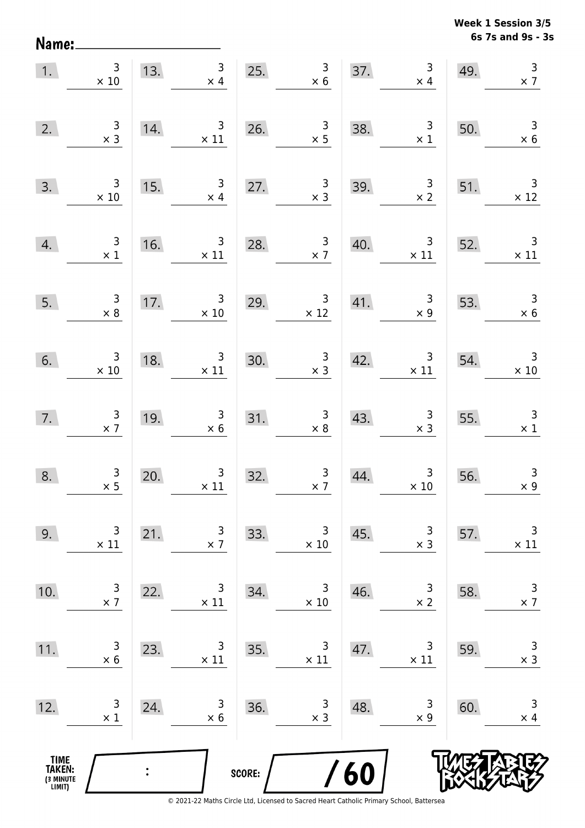**6s 7s and 9s - 3s Week 1 Session 3/5** 

|                                               | 1. $\begin{array}{c} 3 \\ \times 10 \end{array}$ |                | 13. $\begin{array}{@{}c@{\hspace{1em}}c@{\hspace{1em}}c@{\hspace{1em}}c@{\hspace{1em}}c@{\hspace{1em}}c@{\hspace{1em}}c@{\hspace{1em}}c@{\hspace{1em}}c@{\hspace{1em}}c@{\hspace{1em}}c@{\hspace{1em}}c@{\hspace{1em}}c@{\hspace{1em}}c@{\hspace{1em}}c@{\hspace{1em}}c@{\hspace{1em}}c@{\hspace{1em}}c@{\hspace{1em}}c@{\hspace{1em}}c@{\hspace{1em}}c@{\hspace{1em}}c@{\hspace{1em}}c@{\hspace{1em}}c@$ |        | $\begin{array}{c} 3 \\ \times 6 \end{array}$     |     | $\begin{array}{c} 3 \\ \times 4 \end{array}$<br>37. $\times$                              | 49. | $\begin{array}{c} 3 \\ \times 7 \end{array}$  |
|-----------------------------------------------|--------------------------------------------------|----------------|-----------------------------------------------------------------------------------------------------------------------------------------------------------------------------------------------------------------------------------------------------------------------------------------------------------------------------------------------------------------------------------------------------------|--------|--------------------------------------------------|-----|-------------------------------------------------------------------------------------------|-----|-----------------------------------------------|
| 2.                                            | $\begin{array}{c} 3 \\ \times 3 \end{array}$     | 14.            | $\frac{3}{11}$                                                                                                                                                                                                                                                                                                                                                                                            |        | 26. $\begin{array}{r} 3 \\ \times 5 \end{array}$ | 38. | $\begin{array}{r} 3 \\ \times 1 \end{array}$                                              | 50. | $\begin{array}{r} 3 \\ \times 6 \end{array}$  |
| 3.                                            | $\begin{array}{r} 3 \\ \times 10 \end{array}$    | 15.            | $\mathbf{3}$<br>$\times$ 4                                                                                                                                                                                                                                                                                                                                                                                | 27.    | $\begin{array}{c} 3 \\ \times 3 \end{array}$     | 39. | $\frac{3}{x^2}$ 51.                                                                       |     | $\overline{\phantom{a}}$<br>$\times$ 12       |
| 4.                                            | $\begin{array}{r} 3 \\ \times 1 \end{array}$     |                | 16. $3 \times 11$                                                                                                                                                                                                                                                                                                                                                                                         |        | 28. $\frac{3}{x}$                                | 40. | $\begin{array}{ c c c }\n \hline\n & 3 & 52. & 3 \\  \hline\n & x 11 & x 11\n\end{array}$ |     |                                               |
| 5.                                            | $\begin{array}{c} 3 \\ \times 8 \end{array}$     |                | 17. $\begin{array}{r} 3 \\ \times 10 \end{array}$                                                                                                                                                                                                                                                                                                                                                         |        | 29. $3 \times 12$                                |     | 41. $\begin{array}{c c} 3 & 53. & 3 \ \times 9 & \times 6 \end{array}$                    |     |                                               |
|                                               | 6. $3 \times 10$                                 | 18.            | 8. $3 \times 11$ 30.                                                                                                                                                                                                                                                                                                                                                                                      |        | $\begin{array}{r} 3 \\ \times 3 \end{array}$     |     | 42. $3 \times 11$ 54.                                                                     |     | $\begin{array}{r} 3 \\ \times 10 \end{array}$ |
| 7.                                            | $\begin{array}{c} 3 \\ \times 7 \end{array}$     | 19.            | $\begin{array}{r} 3 \\ \times 6 \end{array}$                                                                                                                                                                                                                                                                                                                                                              |        | 31. $\begin{array}{r} 3 \\ \times 8 \end{array}$ |     | 43. $3 \times 3$ 55.                                                                      |     | $\begin{array}{c} 3 \\ \times 1 \end{array}$  |
| 8.                                            | $\frac{3}{2}$                                    | 20.            | $\begin{array}{c} 3 \\ \times 11 \end{array}$                                                                                                                                                                                                                                                                                                                                                             | 32.    | $\begin{array}{c} 3 \\ \times 7 \end{array}$     | 44. | $\begin{array}{c} 3 \\ \times 10 \end{array}$                                             | 56. | $\mathbf{3}$<br>$\times 9$                    |
| 9.                                            | 3<br>$\times$ 11                                 | 21.            | 3<br>$\times$ 7                                                                                                                                                                                                                                                                                                                                                                                           | 33.    | 3<br>$\times$ 10                                 | 45. | 3<br>$\times$ 3                                                                           | 57. | 3<br>$\times$ 11                              |
| 10.                                           | 3<br>$\times$ 7                                  | 22.            | 3<br>$\times$ 11                                                                                                                                                                                                                                                                                                                                                                                          | 34.    | 3<br>$\times$ 10                                 | 46. | 3<br>$\times$ 2                                                                           | 58. | $\mathsf 3$<br>$\times$ 7                     |
| 11.                                           | 3<br>$\times 6$                                  | 23.            | 3<br>$\times$ 11                                                                                                                                                                                                                                                                                                                                                                                          | 35.    | 3<br>$\times$ 11                                 | 47. | 3<br>$\times$ 11                                                                          | 59. | $\mathsf 3$<br>$\times$ 3                     |
| 12.                                           | 3<br>$\times$ 1                                  | 24.            | 3<br>$\times$ 6                                                                                                                                                                                                                                                                                                                                                                                           | 36.    | 3<br>$\times$ 3                                  | 48. | 3<br>$\times$ 9                                                                           | 60. | 3<br>$\times$ 4                               |
| <b>TIME<br/>TAKEN:</b><br>(3 MINUTE<br>LIMIT) |                                                  | $\ddot{\cdot}$ |                                                                                                                                                                                                                                                                                                                                                                                                           | SCORE: |                                                  | /60 |                                                                                           |     |                                               |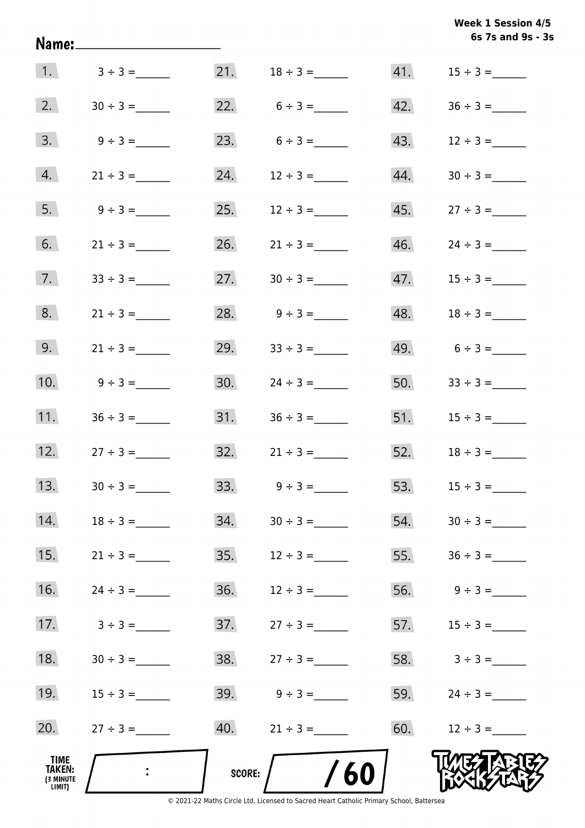|                                       | <u> Name:____________________</u> |        |                                  |     | 6s 7s and 9s - 3s                |
|---------------------------------------|-----------------------------------|--------|----------------------------------|-----|----------------------------------|
|                                       | 1. $3 \div 3 =$                   |        |                                  |     |                                  |
|                                       | 2. $30 \div 3 =$                  |        | 22. $6 \div 3 =$                 |     | $42. \hspace{1.5cm} 36 \div 3 =$ |
|                                       | $3. \qquad 9 \div 3 =$            |        | 23. $6 \div 3 =$                 |     |                                  |
| 4.                                    | $21 \div 3 =$                     |        | 24. $12 \div 3 =$                |     |                                  |
| 5.                                    | $9 \div 3 =$                      |        | 25. $12 \div 3 =$                |     |                                  |
| 6.                                    | $21 \div 3 =$                     |        | 26. $21 \div 3 =$                |     | $46.$ $24 \div 3 =$              |
| 7.                                    |                                   |        | 27. $30 \div 3 =$                |     |                                  |
| 8.                                    | $21 \div 3 =$                     |        | 28. $9 \div 3 =$                 |     |                                  |
| 9.                                    | $21 \div 3 =$                     |        | 29. $33 \div 3 =$                |     | 49. $6 \div 3 =$                 |
| 10.                                   | $9 \div 3 =$                      |        | 30. $24 \div 3 =$                |     | 50. $33 \div 3 =$                |
| 11.                                   | $36 \div 3 =$                     |        |                                  |     |                                  |
| 12.                                   | $27 \div 3 =$                     |        | $32. \hspace{1.5cm} 21 \div 3 =$ |     | 52. $18 \div 3 =$                |
| 13.                                   |                                   | 33.    | $9 \div 3 =$                     | 53. |                                  |
| 14.                                   |                                   | 34.    |                                  | 54. |                                  |
| 15.                                   | $21 \div 3 =$                     | 35.    | $12 \div 3 =$                    | 55. | $36 \div 3 =$                    |
| 16.                                   |                                   | 36.    | $12 \div 3 =$                    | 56. | $9 \div 3 =$                     |
| 17.                                   | $3 \div 3 =$                      | 37.    | $27 \div 3 =$                    | 57. |                                  |
| 18.                                   |                                   | 38.    | $27 \div 3 =$                    |     | $58.$ $3 \div 3 =$               |
| 19.                                   |                                   |        |                                  | 59. |                                  |
| 20.                                   | $27 \div 3 =$                     |        | $40.$ $21 \div 3 =$              | 60. | $12 \div 3 =$                    |
| TIME<br>TAKEN:<br>(3 MINUTE<br>LIMIT) |                                   | SCORE: | /60                              |     |                                  |

© 2021-22 Maths Circle Ltd, Licensed to Sacred Heart Catholic Primary School, Battersea

**6s 7s and 9s - 3s Week 1 Session 4/5**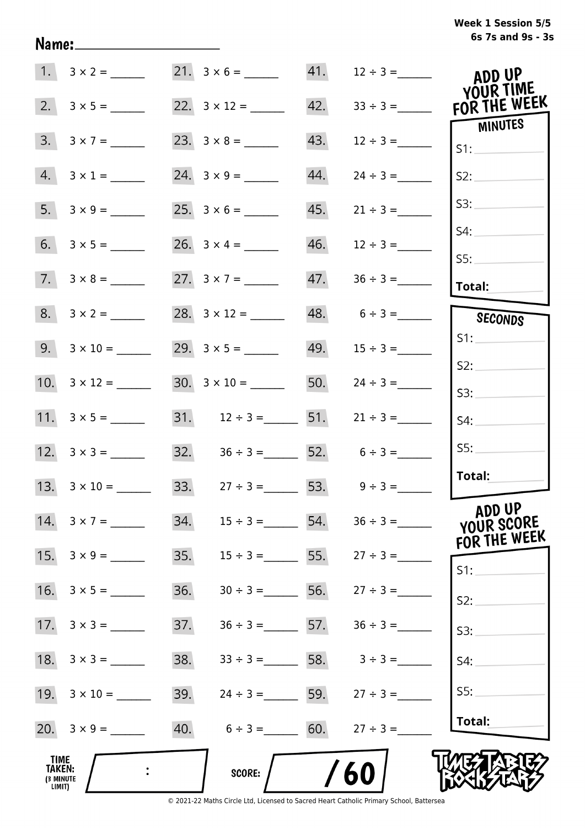| Week 1 Session 5/5 |                   |  |  |
|--------------------|-------------------|--|--|
|                    | 6s 7s and 9s - 3s |  |  |

|                                       |                          |     |                                    |     |                                     | ADD UP<br>YOUR TIME                  |
|---------------------------------------|--------------------------|-----|------------------------------------|-----|-------------------------------------|--------------------------------------|
|                                       |                          |     |                                    | 42. | $33 \div 3 =$                       | FOR THE WEEK                         |
| 3.                                    | $3 \times 7 =$           |     |                                    | 43. | $12 \div 3 =$                       | MINUTES<br>S1:                       |
|                                       | $4. 3 \times 1 =$        |     | $24. 3 \times 9 =$                 | 44. | $24 \div 3 =$                       | S2:                                  |
|                                       |                          |     |                                    | 45. | $21 \div 3 =$                       | S3:                                  |
|                                       |                          |     |                                    | 46. | $12 \div 3 =$                       | S4:                                  |
|                                       | $7. 3 \times 8 =$        |     |                                    | 47. |                                     | SS:<br><b>Total:</b>                 |
|                                       | $8. 3 \times 2 =$        |     |                                    |     | $48. 6 \div 3 =$                    |                                      |
|                                       |                          |     |                                    |     |                                     | SECONDS<br>S1:                       |
|                                       | $9. 3 \times 10 =$       |     |                                    |     | 49. $15 \div 3 =$                   | S2:                                  |
|                                       | 10. $3 \times 12 =$      |     |                                    |     | 50. $24 \div 3 =$                   | S3:                                  |
|                                       |                          |     |                                    |     | 31. $12 \div 3 =$ 51. $21 \div 3 =$ | S4:                                  |
|                                       |                          |     | 32. $36 \div 3 =$ 52. $6 \div 3 =$ |     |                                     | S5:                                  |
|                                       | 13. $3 \times 10 =$      |     | 33. $27 \div 3 = 53. 9 \div 3 =$   |     |                                     | Total:                               |
|                                       | 14. $3 \times 7 =$       | 34. | $15 \div 3 =$ 54.                  |     |                                     | ADD UP<br>YOUR SCORE<br>FOR THE WEEK |
|                                       | $15. \quad 3 \times 9 =$ | 35. |                                    |     | $15 \div 3 =$ 55. $27 \div 3 =$     | S1:                                  |
|                                       | 16. $3 \times 5 =$       | 36. | $30 \div 3 =$ 56. $27 \div 3 =$    |     |                                     | S2:                                  |
|                                       | 17. $3 \times 3 =$       | 37. | $36 \div 3 =$ 57.                  |     | $36 \div 3 =$                       | S3:                                  |
|                                       |                          | 38. | $33 \div 3 =$ 58. $3 \div 3 =$     |     |                                     | S4:                                  |
|                                       |                          | 39. | $24 \div 3 =$ 59.                  |     | $27 \div 3 =$                       | S5:                                  |
|                                       |                          | 40. | $6 \div 3 = 60.$                   |     | $27 \div 3 =$                       | Total:                               |
| TIME<br>TAKEN:<br>(3 MINUTE<br>LIMIT) |                          |     | <b>SCORE:</b>                      |     | 60                                  |                                      |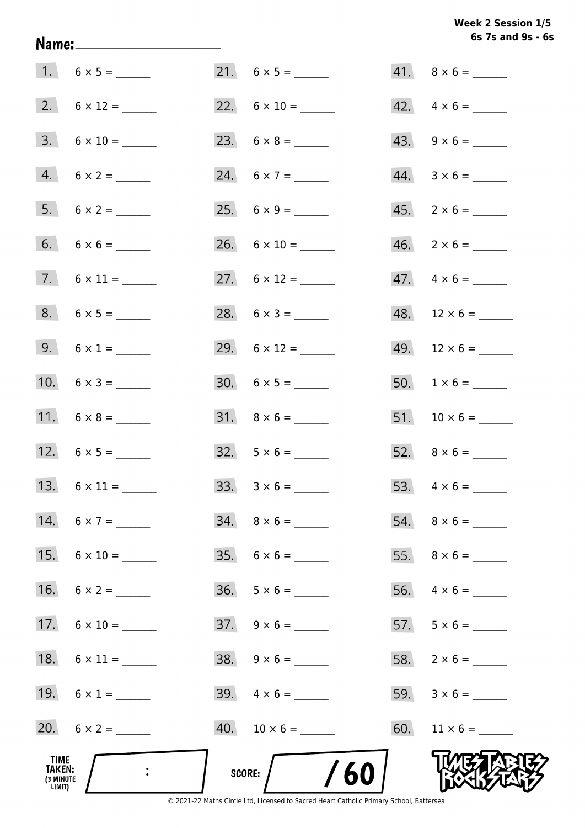# Week 2 Session 1/5 6s 7s and 9s - 6s

|                                       |                     |                          | $41. \quad 8 \times 6 =$ |
|---------------------------------------|---------------------|--------------------------|--------------------------|
|                                       |                     |                          | $42. \quad 4 \times 6 =$ |
|                                       | $3. 6 \times 10 =$  |                          | $43. 9 \times 6 =$       |
|                                       | $4. 6 \times 2 =$   | 24. $6 \times 7 =$       | $44. 3 \times 6 =$       |
|                                       |                     |                          | $45. \quad 2 \times 6 =$ |
|                                       |                     | $26. 6 \times 10 =$      | $46. 2 \times 6 =$       |
|                                       |                     |                          | $47. \quad 4 \times 6 =$ |
|                                       |                     | 28. $6 \times 3 =$       | $48.$ 12 × 6 = ______    |
|                                       | 9. $6 \times 1 =$   | 29. $6 \times 12 =$      |                          |
|                                       | 10. $6 \times 3 =$  |                          |                          |
|                                       | 11. $6 \times 8 =$  | $31. \quad 8 \times 6 =$ |                          |
|                                       | 12. $6 \times 5 =$  | $32. 5 \times 6 =$       |                          |
|                                       |                     |                          |                          |
|                                       | 14. $6 \times 7 =$  | $34. \quad 8 \times 6 =$ |                          |
|                                       | $15. 6 \times 10 =$ | $35. 6 \times 6 =$       |                          |
|                                       | 16. $6 \times 2 =$  | $36. 5 \times 6 =$       |                          |
|                                       | 17. $6 \times 10 =$ | $37. \quad 9 \times 6 =$ |                          |
|                                       |                     | $38. 9 \times 6 =$       |                          |
|                                       | 19. $6 \times 1 =$  | 39. $4 \times 6 =$       |                          |
|                                       | 20. $6 \times 2 =$  |                          |                          |
| TIME<br>TAKEN:<br>(3 MINUTE<br>LIMIT) |                     | SCORE: $/$ /60           |                          |

Name: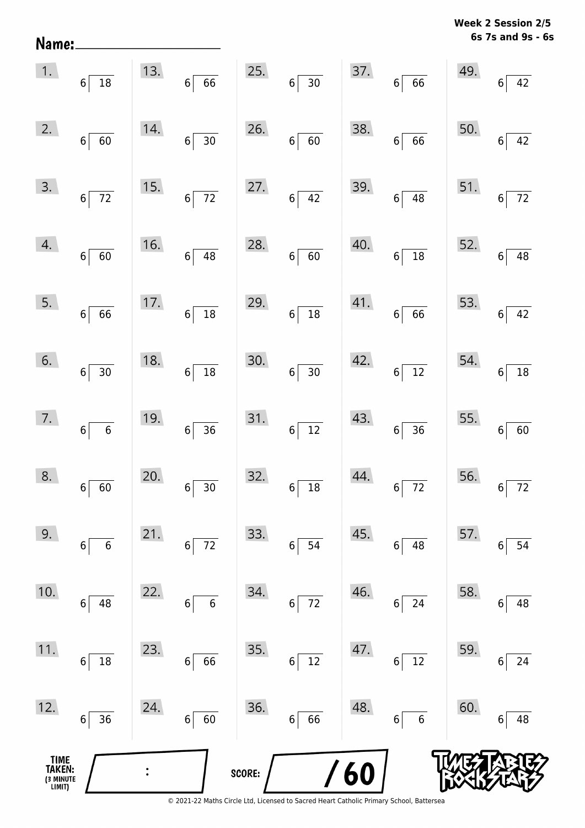**6s 7s and 9s - 6s Week 2 Session 2/5** 

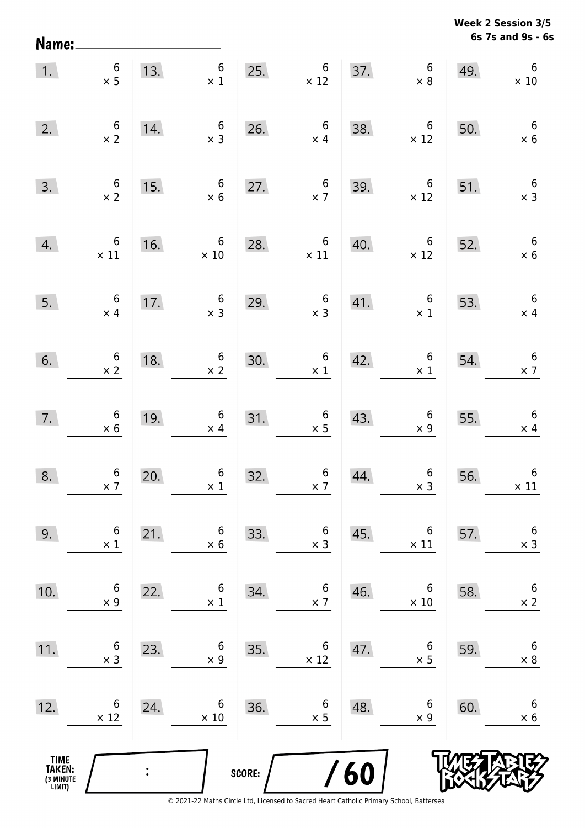**6s 7s and 9s - 6s Week 2 Session 3/5** 

| 1.                                            | $\begin{array}{c} 6 \\ \times 5 \end{array}$  |     | 13.6<br>$\times$ 1                                    | 25.    | $6\phantom{a}$<br>$\times$ 12                |     | 37. $6 \times 8$                                    | 49. | 6<br>$\times$ 10                             |
|-----------------------------------------------|-----------------------------------------------|-----|-------------------------------------------------------|--------|----------------------------------------------|-----|-----------------------------------------------------|-----|----------------------------------------------|
| 2.                                            | $\begin{array}{c} 6 \\ \times 2 \end{array}$  | 14. | $\begin{array}{c} 6 \\ \times 3 \end{array}$          | 26.    | $\begin{array}{c} 6 \\ \times 4 \end{array}$ | 38. | $6\overline{6}$<br>$\times$ 12                      | 50. | $6\overline{6}$<br>$\times$ 6                |
| 3.                                            | $\begin{array}{c} 6 \\ \times 2 \end{array}$  | 15. | $6\overline{6}$<br>$\times$ 6                         | 27.    | $\begin{array}{c} 6 \\ \times 7 \end{array}$ | 39. | $\begin{array}{c c} & 6 \\ \times 12 & \end{array}$ | 51. | $\begin{array}{c} 6 \\ \times 3 \end{array}$ |
| 4.                                            | $\begin{array}{c} 6 \\ \times 11 \end{array}$ | 16. | $\begin{array}{r} 6 \\ \times 10 \end{array}$         |        | 28. $6 \times 11$                            | 40. | $rac{6}{\times 12}$                                 | 52. | $\begin{array}{r} 6 \\ \times 6 \end{array}$ |
| 5.                                            | $\begin{array}{c} 6 \\ \times 4 \end{array}$  | 17. | $\begin{array}{c c}\n & 6 \\ \times 3 \\ \end{array}$ | 29.    | $\begin{array}{c} 6 \\ \times 3 \end{array}$ |     | 41. $\begin{array}{c} 6 \\ \times 1 \end{array}$    | 53. | $6\overline{6}$<br>$\times$ 4                |
| 6.                                            | $\begin{array}{c} 6 \\ \times 2 \end{array}$  | 18. | $6 \times 2$                                          | 30.    | $\begin{array}{c} 6 \\ \times 1 \end{array}$ | 42. | $\begin{array}{c} 6 \\ \times 1 \end{array}$        | 54. | $\begin{array}{c} 6 \\ \times 7 \end{array}$ |
| 7.                                            | $\begin{array}{c} 6 \\ \times 6 \end{array}$  | 19. | $\begin{array}{c} 6 \\ \times 4 \end{array}$          | 31.    | $\begin{array}{c} 6 \\ \times 5 \end{array}$ | 43. | $\begin{array}{c} 6 \\ \times 9 \end{array}$        | 55. | $\overline{\phantom{0}}$ 6<br>$\times$ 4     |
| 8.                                            | $\begin{array}{c} 6 \\ \times 7 \end{array}$  | 20. | $\begin{array}{c} 6 \\ \times 1 \end{array}$          | 32.    | $\begin{array}{c} 6 \\ \times 7 \end{array}$ | 44. | $\begin{array}{c} 6 \\ \times 3 \end{array}$        | 56. | $6\,$<br>$\times$ 11                         |
| 9.                                            | $\boldsymbol{6}$<br>$\times$ 1                | 21. | 6<br>$\times$ 6                                       | 33.    | 6<br>$\times$ 3                              | 45. | 6<br>$\times$ 11                                    | 57. | $\boldsymbol{6}$<br>$\times$ 3               |
| 10.                                           | 6<br>$\times$ 9                               | 22. | 6<br>$\times$ 1                                       | 34.    | 6<br>$\times$ 7                              | 46. | 6<br>$\times$ 10                                    | 58. | 6<br>$\times$ 2                              |
| 11.                                           | 6<br>$\times$ 3                               | 23. | 6<br>$\times$ 9                                       | 35.    | 6<br>$\times$ 12                             | 47. | 6<br>$\times$ 5                                     | 59. | $\boldsymbol{6}$<br>$\times 8$               |
| 12.                                           | 6<br>$\times$ 12                              | 24. | 6<br>$\times$ 10                                      | 36.    | 6<br>$\times$ 5                              | 48. | 6<br>$\times$ 9                                     | 60. | $\boldsymbol{6}$<br>$\times$ 6               |
| <b>TIME<br/>TAKEN:</b><br>(3 MINUTE<br>LIMIT) |                                               |     |                                                       | SCORE: |                                              | 60  |                                                     |     |                                              |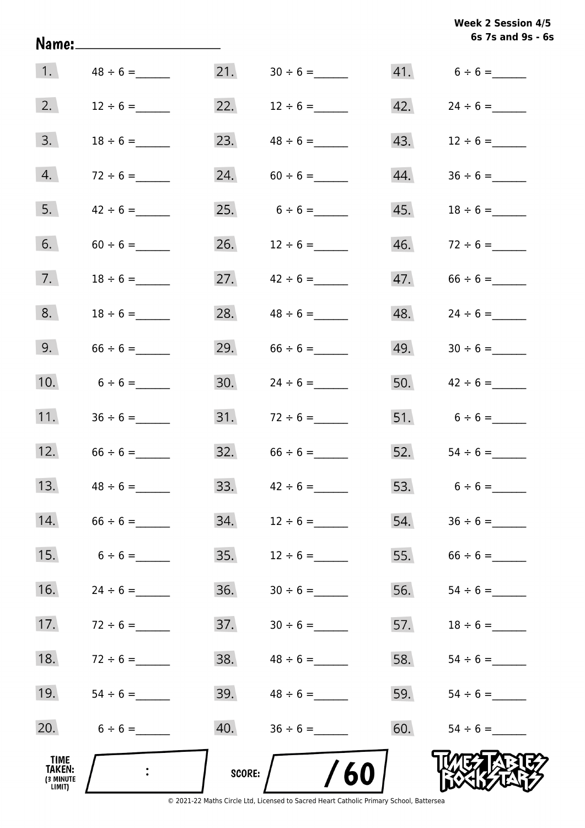|                                              | Name:______________________ |        |                                                                                               |     | 6s 7s and 9s - 6s |
|----------------------------------------------|-----------------------------|--------|-----------------------------------------------------------------------------------------------|-----|-------------------|
| 1.                                           |                             |        |                                                                                               |     | $41. 6 \div 6 =$  |
| 2.                                           | $12 \div 6 =$               |        | 22. $12 \div 6 =$                                                                             | 42. |                   |
| 3.                                           | $18 \div 6 =$               | 23.    | $48 \div 6 =$                                                                                 | 43. | $12 \div 6 =$     |
| 4.                                           | $72 \div 6 =$               | 24.    |                                                                                               | 44. |                   |
| 5.                                           | $42 \div 6 =$               |        | 25. $6 \div 6 =$                                                                              |     |                   |
| 6.                                           |                             | 26.    | $12 \div 6 =$                                                                                 |     |                   |
| 7.                                           | $18 \div 6 =$               | 27.    | $42 \div 6 =$                                                                                 | 47. |                   |
| 8.                                           | $18 \div 6 =$               | 28.    | $48 \div 6 =$                                                                                 | 48. |                   |
| 9.                                           | $66 \div 6 =$               | 29.    | $66 \div 6 =$                                                                                 | 49. |                   |
| 10.                                          | $6 \div 6 =$                | 30.    | $24 \div 6 =$                                                                                 |     | 50. $42 \div 6 =$ |
| 11.                                          |                             |        |                                                                                               |     |                   |
| 12.                                          |                             |        | $32. 66 \div 6 =$                                                                             |     | 52. $54 \div 6 =$ |
| 13.                                          |                             | 33.    |                                                                                               | 53. | $6 \div 6 =$      |
| 14.                                          | $66 \div 6 =$               | 34.    | $12 \div 6 =$                                                                                 | 54. |                   |
| 15.                                          | $6 \div 6 =$                | 35.    | $12 \div 6 =$                                                                                 | 55. |                   |
| 16.                                          | $24 \div 6 =$               | 36.    |                                                                                               | 56. |                   |
| 17.                                          | $72 \div 6 =$               | 37.    |                                                                                               | 57. |                   |
| 18.                                          | $72 \div 6 =$               | 38.    | $48 \div 6 =$                                                                                 | 58. |                   |
| 19.                                          |                             |        |                                                                                               | 59. |                   |
| 20.                                          | $6 \div 6 =$                | 40.    | $36 \div 6 =$                                                                                 | 60. |                   |
| TIME<br><b>TAKEN:</b><br>(3 MINUTE<br>LIMIT) | $\mathbf{L}$                | SCORE: | 60<br>© 2021-22 Maths Circle Ltd. Licensed to Sacred Heart Catholic Primary School. Battersea |     |                   |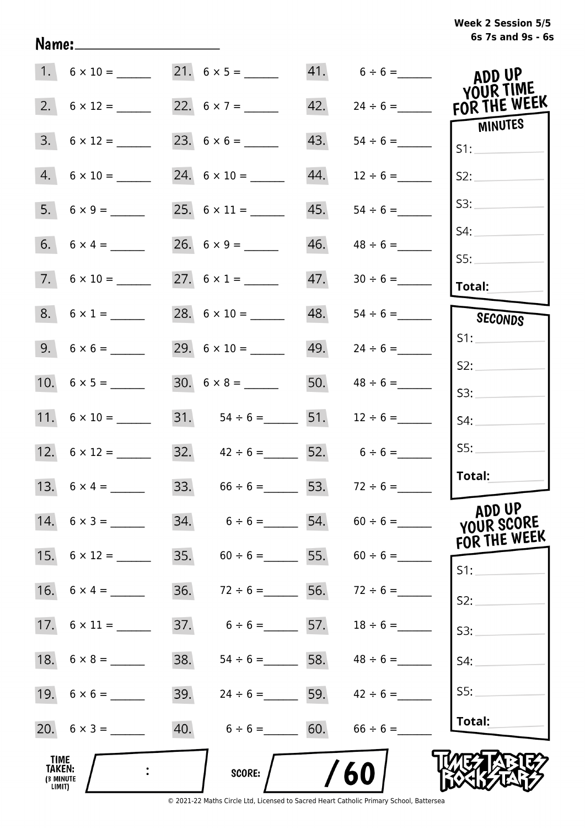# **6s 7s and 9s - 6s Week 2 Session 5/5**

|                                                     |                     |     | $21. 6 \times 5 =$                  |     | $41. 6 \div 6 =$                    | ADD UP<br>YOUR TIME                  |
|-----------------------------------------------------|---------------------|-----|-------------------------------------|-----|-------------------------------------|--------------------------------------|
|                                                     |                     |     |                                     | 42. | $24 \div 6 =$                       | FOR THE WEEK                         |
| 3.                                                  |                     |     |                                     | 43. |                                     | MINUTES<br>S1:                       |
|                                                     | $4. 6 \times 10 =$  |     |                                     | 44. | $12 \div 6 =$                       | S2:                                  |
|                                                     |                     |     |                                     | 45. | $54 \div 6 =$                       | S3:                                  |
|                                                     |                     |     |                                     | 46. | $48 \div 6 =$                       | S4:                                  |
|                                                     | $7.6 \times 10 =$   |     | 27. $6 \times 1 =$                  | 47. |                                     | SS:<br>Total:                        |
|                                                     | $8. 6 \times 1 =$   |     | 28. $6 \times 10 =$                 | 48. |                                     | SECONDS                              |
|                                                     |                     |     |                                     | 49. | $24 \div 6 =$                       | S1:                                  |
|                                                     |                     |     |                                     | 50. | $48 \div 6 =$                       | S2:                                  |
|                                                     |                     |     | 31. $54 \div 6 =$ 51.               |     | $12 \div 6 =$                       | S3:                                  |
|                                                     |                     |     |                                     |     |                                     | S4:<br>SS:                           |
|                                                     | 12. $6 \times 12 =$ |     | 32. $42 \div 6 =$ 52. $6 \div 6 =$  |     |                                     | Total:                               |
|                                                     | 13. $6 \times 4 =$  |     | 33. $66 \div 6 =$ 53. $72 \div 6 =$ |     |                                     |                                      |
|                                                     | $14. 6 \times 3 =$  |     | $34. 6 \div 6 =$ 54.                |     | $60 \div 6 =$                       | ADD UP<br>YOUR SCORE<br>FOR THE WEEK |
|                                                     |                     |     |                                     |     | 35. $60 \div 6 =$ 55. $60 \div 6 =$ | S1:                                  |
|                                                     |                     | 36. | $72 \div 6 =$                       |     | 56. $72 \div 6 =$                   | S2:                                  |
|                                                     |                     | 37. | $6 \div 6 =$ 57.                    |     | $18 \div 6 =$                       | S3:                                  |
|                                                     |                     | 38. |                                     |     | $54 \div 6 =$ 58. $48 \div 6 =$     | S4:                                  |
|                                                     |                     |     |                                     |     | 39. $24 \div 6 =$ 59. $42 \div 6 =$ | SS:                                  |
|                                                     | 20. $6 \times 3 =$  |     | 40. $6 \div 6 =$ 60.                |     | $66 \div 6 =$                       | Total:                               |
| <b>TIME</b><br><b>TAKEN:</b><br>(3 MINUTE<br>LIMIT) |                     |     | SCORE:                              |     | 60                                  |                                      |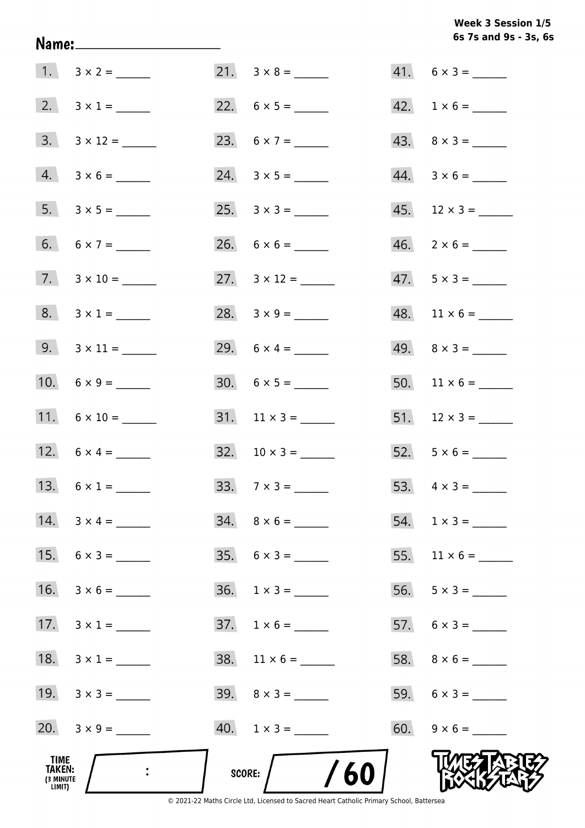# Week 3 Session 1/5 6s 7s and 9s - 3s, 6s

| TIME<br>TAKEN:<br>(3 MINUTE<br>LIMIT) |                          | SCORE: $/$ /60                |                              |
|---------------------------------------|--------------------------|-------------------------------|------------------------------|
|                                       |                          | $40. 1 \times 3 =$            | $60. 9 \times 6 =$           |
|                                       | 19. $3 \times 3 =$       | $39. \quad 8 \times 3 =$      |                              |
|                                       | 18. $3 \times 1 =$       | $38.$ 11 $\times$ 6 = _______ |                              |
|                                       | 17. $3 \times 1 =$       | $37. 1 \times 6 =$            |                              |
|                                       | 16. $3 \times 6 =$       |                               |                              |
|                                       | 15. $6 \times 3 =$       | $35. \quad 6 \times 3 =$      |                              |
|                                       | 14. $3 \times 4 =$       | $34. \quad 8 \times 6 =$      |                              |
|                                       | 13. $6 \times 1 =$       |                               |                              |
|                                       |                          | $32. 10 \times 3 =$           | $52. 5 \times 6 =$           |
|                                       | 11. $6 \times 10 =$      |                               |                              |
|                                       |                          | $30. 6 \times 5 =$            |                              |
|                                       | 9. $3 \times 11 =$       | 29. $6 \times 4 =$            |                              |
|                                       | $8. 3 \times 1 =$        |                               | $48.$ 11 × 6 = ______        |
|                                       | $7. 3 \times 10 =$       |                               | $47.5 \times 3 =$            |
|                                       |                          |                               | $46. \quad 2 \times 6 =$     |
|                                       |                          |                               | $45.$ 12 $\times$ 3 = ______ |
|                                       | $4. 3 \times 6 =$        |                               | $44. \quad 3 \times 6 =$     |
|                                       | $3. \quad 3 \times 12 =$ | 23. $6 \times 7 =$            | $43. \quad 8 \times 3 =$     |
|                                       | 2. $3 \times 1 =$        |                               | $42. 1 \times 6 =$           |
|                                       | $1. 3 \times 2 =$        |                               | $41. 6 \times 3 =$           |

Name: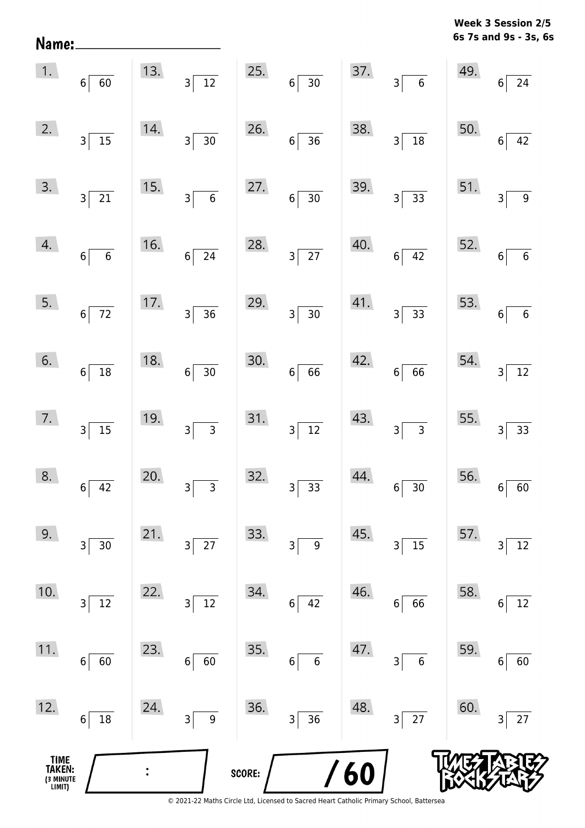**6s 7s and 9s - 3s, 6s Week 3 Session 2/5** 

|                                               | $\begin{array}{ c c } \hline 1. & 6 & 60 \ \hline \end{array}$ |     | 13. $3\overline{)12}$                                           |        | 25. $6 \overline{)30}$                      |     | 37. $3\overline{6}$                                                     |     | 49. $6 \overline{)24}$   |
|-----------------------------------------------|----------------------------------------------------------------|-----|-----------------------------------------------------------------|--------|---------------------------------------------|-----|-------------------------------------------------------------------------|-----|--------------------------|
| 2.                                            | $3\overline{)15}$                                              | 14. | $3\overline{)30}$                                               | 26.    | $6\overline{)36}$                           | 38. | $3\overline{)18}$                                                       | 50. | $6\overline{)42}$        |
| 3.                                            | $3\overline{)21}$                                              | 15. | $3\overline{6}$                                                 | 27.    | $6\overline{)30}$                           |     | $\begin{array}{c c} 39. & 3 & 33 \end{array}$                           |     | 51. $3\overline{)9}$     |
| 4.                                            | $6\overline{6}$                                                | 16. | $6\overline{24}$                                                |        | 28. $3\overline{)27}$                       | 40. | $6\overline{)42}$                                                       |     | 52. $6\overline{6}$      |
| 5.                                            | $6\overline{72}$                                               |     | $\begin{array}{ c c } \hline 17. & 3 & 36 \ \hline \end{array}$ |        | 29. $3\overline{)30}$                       |     | $\begin{array}{ c c } \hline 41. & & \\ & 3 & 33 \\ \hline \end{array}$ |     | 53. $6\overline{6}$      |
| 6.                                            | $6\overline{)18}$                                              | 18. | $6\overline{)30}$                                               | 30.    | $6 \overline{66}$                           |     | 42.66                                                                   |     | 54. $3\overline{)12}$    |
|                                               | $\begin{array}{ c c }\n\hline\n7. & 3 & 15\n\end{array}$       | 19. | $3\overline{)3}$                                                |        | 31. $3\overline{)12}$                       | 43. | $3\overline{)}$ 3                                                       |     | 55. $3\overline{)33}$    |
| 8.                                            | $6\overline{)42}$                                              | 20. | $3\overline{)}$ 3                                               | 32.    | $3\overline{)33}$                           | 44. | $6\overline{)30}$                                                       |     | $56.$ $6 \overline{)60}$ |
| 9.                                            | $\overline{\mathsf{3}}$<br>30                                  | 21. | $3\vert$<br>27                                                  | 33.    | $\overline{\mathbf{3}}$<br>$\boldsymbol{9}$ | 45. | $\overline{15}$<br>3                                                    | 57. | 12<br>3                  |
| 10.                                           | 12<br>$\overline{\mathbf{3}}$                                  | 22. | $\overline{12}$<br>$\vert$ 3                                    | 34.    | 42<br>$6 \mid$                              | 46. | 66<br>$6\vert$                                                          | 58. | 12<br>6                  |
| 11.                                           | $6\vert$<br>60                                                 | 23. | 60<br>6 <sup>1</sup>                                            | 35.    | $6\phantom{1}6$<br>$6\vert$                 | 47. | 3 <br>$6\phantom{a}$                                                    | 59. | 60<br>6                  |
| 12.                                           | 18<br>$6 \mid$                                                 | 24. | $3\vert$<br>$\overline{9}$                                      | 36.    | $3 \overline{)36}$                          | 48. | $3\overline{27}$                                                        | 60. | 27<br>3                  |
| <b>TIME<br/>TAKEN:</b><br>(3 MINUTE<br>LIMIT) |                                                                |     |                                                                 | SCORE: |                                             | 60  |                                                                         |     |                          |

Name: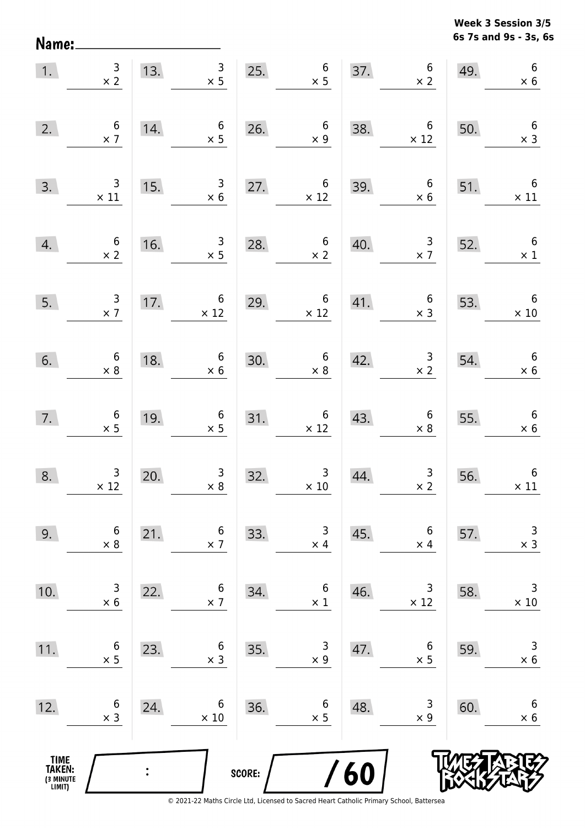**6s 7s and 9s - 3s, 6s Week 3 Session 3/5** 

| 1.                                    | $\frac{3}{x}$                                            |     | $\begin{array}{r} 3 \\ \times 5 \end{array}$<br>13.                                  |        | 25. $6 \times 5$                              |     | 37. $6 \times 2$                                                               | 49.                                                                                         | $\sqrt{6}$<br>$\times$ 6                      |
|---------------------------------------|----------------------------------------------------------|-----|--------------------------------------------------------------------------------------|--------|-----------------------------------------------|-----|--------------------------------------------------------------------------------|---------------------------------------------------------------------------------------------|-----------------------------------------------|
| 2.                                    | $\begin{array}{c} 6 \\ \times 7 \end{array}$             | 14. | $\begin{array}{c} 6 \\ \times 5 \end{array}$                                         | 26.    | $\begin{array}{c} 6 \\ \times 9 \end{array}$  | 38. | $\begin{array}{c c} & 6 \\ \times 12 & \end{array}$                            | 50.                                                                                         | $\begin{array}{c} 6 \\ \times 3 \end{array}$  |
|                                       | $\begin{array}{c c}\n3. & & 3 \\ \times 11\n\end{array}$ | 15. | $\begin{array}{c c}\n3 & \rightarrow \\ \times 6 & \rightarrow \n\end{array}$        |        | 27. $6 \times 12$                             |     | $\begin{array}{c c} & 6 \\ \times 6 \end{array}$<br>$\frac{39.}{\frac{1}{25}}$ | 51.                                                                                         | $\begin{array}{c} 6 \\ \times 11 \end{array}$ |
| 4.                                    | $\begin{array}{c} 6 \\ \times 2 \end{array}$             |     | $\begin{array}{c}\n16.\n\end{array}$<br>$\begin{array}{c} 3 \\ \times 5 \end{array}$ | 28.    | $\begin{array}{c} 6 \\ \times 2 \end{array}$  | 40. |                                                                                | $\begin{array}{@{}c@{\hspace{1em}}c@{\hspace{1em}}}\n & 3 & 52. \\  \times 7 & \end{array}$ | $\begin{array}{c} 6 \\ \times 1 \end{array}$  |
| 5.                                    | $\begin{array}{c} 3 \\ \times 7 \end{array}$             |     | 17. $6 \times 12$                                                                    | 29.    | 29. $6 \times 12$                             |     | 41. $\begin{array}{c} 6 \\ \times 3 \end{array}$ 53.                           |                                                                                             | $\begin{array}{c} 6 \\ \times 10 \end{array}$ |
| 6.                                    | $\begin{array}{c} 6 \\ \times 8 \end{array}$             | 18. | $6 \times 6$                                                                         |        | 30. $6 \times 8$                              | 42. |                                                                                | $\begin{array}{c} 3 \\ \times 2 \end{array}$ 54.                                            | $\begin{array}{c} 6 \\ \times 6 \end{array}$  |
| 7.                                    | $\begin{array}{c} 6 \\ \times 5 \end{array}$             | 19. | $\begin{array}{c c}\n & 6 \\ \times 5 \\ \hline\n\end{array}$                        |        | 31. $6 \times 12$                             | 43. | $\begin{array}{c} 6 \\ \times 8 \end{array}$                                   |                                                                                             | 55. $6 \times 6$                              |
| 8.                                    | $\begin{array}{c} 3 \\ \times 12 \end{array}$            | 20. | $\frac{3}{x 8}$                                                                      | 32.    | $\begin{array}{c} 3 \\ \times 10 \end{array}$ | 44. | $\begin{array}{c c}\n & 3 \\  \times 2\n \end{array}$                          | 56.                                                                                         | $\begin{array}{c} 6 \\ \times 11 \end{array}$ |
| 9.                                    | 6<br>$\times$ 8                                          | 21. | 6<br>$\times$ 7                                                                      | 33.    | 3<br>$\times$ 4                               | 45. | 6<br>$\times$ 4                                                                | 57.                                                                                         | $\mathsf{3}$<br>$\times$ 3                    |
| 10.                                   | 3<br>$\times$ 6                                          | 22. | 6<br>$\times$ 7                                                                      | 34.    | 6<br>$\times$ 1                               | 46. | 3<br>$\times$ 12                                                               | 58.                                                                                         | 3<br>$\times$ 10                              |
| 11.                                   | $\boldsymbol{6}$<br>$\times$ 5                           | 23. | 6<br>$\times$ 3                                                                      | 35.    | 3<br>$\times$ 9                               | 47. | 6<br>$\times$ 5                                                                | 59.                                                                                         | 3<br>$\times$ 6                               |
| 12.                                   | 6<br>$\times$ 3                                          | 24. | 6<br>$\times$ 10                                                                     | 36.    | 6<br>$\times$ 5                               | 48. | 3<br>$\times$ 9                                                                | 60.                                                                                         | 6<br>$\times$ 6                               |
| TIME<br>TAKEN:<br>(3 MINUTE<br>LIMIT) |                                                          |     |                                                                                      | SCORE: |                                               | /60 |                                                                                |                                                                                             |                                               |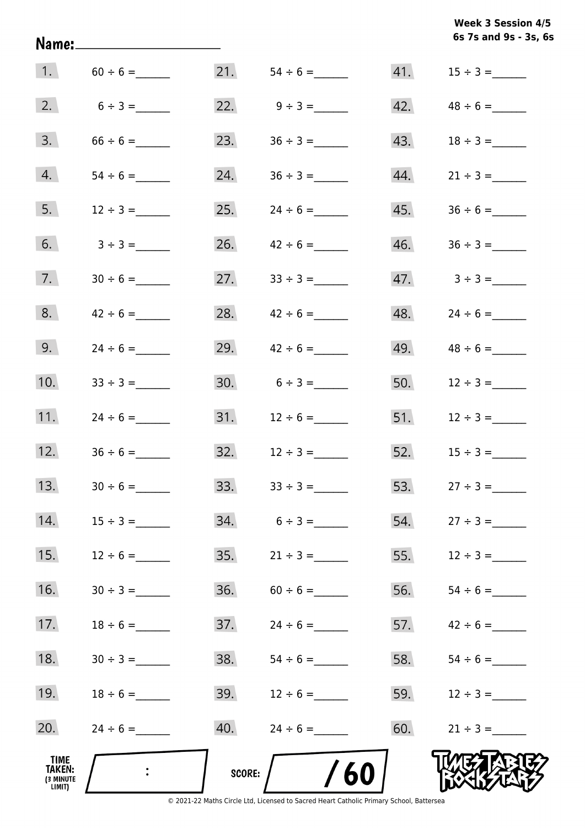**6s 7s and 9s - 3s, 6s Week 3 Session 4/5** 

|                                       | 1. $60 \div 6 =$ |        |                   |     |                                 |
|---------------------------------------|------------------|--------|-------------------|-----|---------------------------------|
| 2.                                    | $6 \div 3 =$     |        | 22. $9 \div 3 =$  |     | 42. $48 \div 6 =$               |
| 3.                                    | $66 \div 6 =$    | 23.    | $36 \div 3 =$     | 43. |                                 |
| 4.                                    |                  | 24.    |                   | 44. | $21 \div 3 =$                   |
| 5.                                    | $12 \div 3 =$    | 25.    | $24 \div 6 =$     | 45. |                                 |
| 6.                                    | $3 \div 3 =$     | 26.    | $42 \div 6 =$     | 46. |                                 |
| 7.                                    |                  | 27.    |                   |     | $47. \hspace{1.5cm} 3 \div 3 =$ |
| 8.                                    | $42 \div 6 =$    | 28.    | $42 \div 6 =$     | 48. |                                 |
| 9.                                    | $24 \div 6 =$    | 29.    | $42 \div 6 =$     | 49. |                                 |
| 10.                                   | $33 \div 3 =$    |        | 30. $6 \div 3 =$  | 50. | $12 \div 3 =$                   |
| 11.                                   | $24 \div 6 =$    |        |                   | 51. | $12 \div 3 =$                   |
| 12.                                   |                  |        |                   | 52. | $15 \div 3 =$                   |
| 13.                                   |                  |        | 33. $33 \div 3 =$ |     | 53. $27 \div 3 =$               |
| 14.                                   |                  | 34.    | $6 \div 3 =$      | 54. | $27 \div 3 =$                   |
| 15.                                   | $12 \div 6 =$    | 35.    | $21 \div 3 =$     | 55. | $12 \div 3 =$                   |
| 16.                                   |                  | 36.    | $60 \div 6 =$     | 56. |                                 |
| 17.                                   | $18 \div 6 =$    | 37.    | $24 \div 6 =$     | 57. | $42 \div 6 =$                   |
| 18.                                   |                  | 38.    |                   | 58. |                                 |
| 19.                                   | $18 \div 6 =$    | 39.    | $12 \div 6 =$     | 59. | $12 \div 3 =$                   |
| 20.                                   |                  | 40.    | $24 \div 6 =$     | 60. | $21 \div 3 =$                   |
| TIME<br>TAKEN:<br>(3 MINUTE<br>LIMIT) | $\ddot{\cdot}$   | SCORE: | 60                |     |                                 |

Name: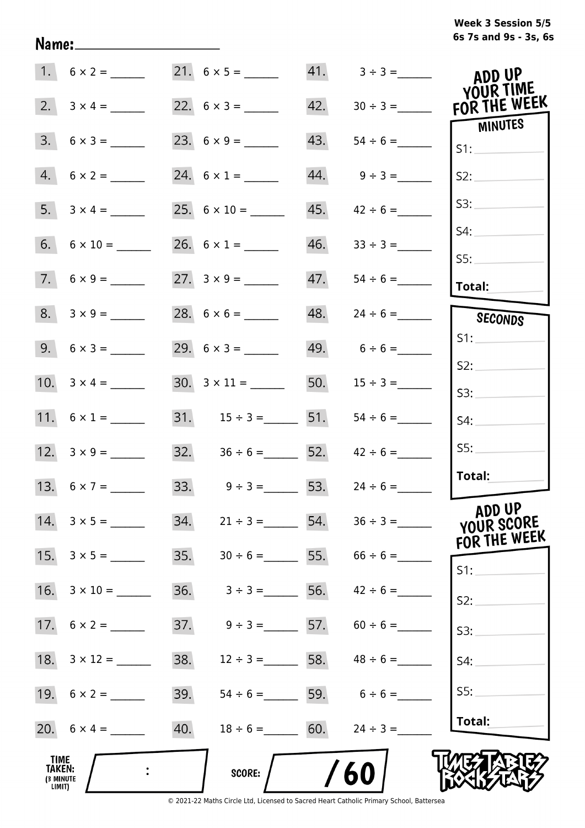# **6s 7s and 9s - 3s, 6s Week 3 Session 5/5**

|                                              | $1. 6 \times 2 =$  |     |                                     |     | $41. 3 \div 3 =$                | ADD UP<br>YOUR TIME                  |
|----------------------------------------------|--------------------|-----|-------------------------------------|-----|---------------------------------|--------------------------------------|
|                                              | 2. $3 \times 4 =$  |     | 22. $6 \times 3 =$                  | 42. | $30 \div 3 =$                   | FOR THE WEEK                         |
|                                              | $3. 6 \times 3 =$  |     |                                     | 43. |                                 | MINUTES<br>S1:                       |
|                                              | $4. 6 \times 2 =$  |     | 24. $6 \times 1 =$                  |     | $44. 9 \div 3 =$                | S2:                                  |
|                                              |                    |     |                                     | 45. | $42 \div 6 =$                   | S3:                                  |
|                                              |                    |     | 26. $6 \times 1 =$                  |     | $46.$ $33 \div 3 =$             | S4:                                  |
|                                              | $7.6 \times 9 =$   |     |                                     | 47. |                                 | SS:                                  |
|                                              |                    |     |                                     |     |                                 | Total:                               |
|                                              | $8. 3 \times 9 =$  |     |                                     |     | $48. 24 \div 6 =$               | SECONDS                              |
|                                              | $9. 6 \times 3 =$  |     |                                     |     | $49.6 \div 6 =$                 | S1:                                  |
|                                              |                    |     |                                     |     |                                 | S2:                                  |
|                                              |                    |     |                                     | 50. | $15 \div 3 =$                   | S3:                                  |
|                                              | 11. $6 \times 1 =$ |     | 31. $15 \div 3 =$ 51.               |     | $54 \div 6 =$                   | S4:                                  |
|                                              | 12. $3 \times 9 =$ |     | 32. $36 \div 6 =$ 52. $42 \div 6 =$ |     |                                 | SS:                                  |
|                                              | 13. $6 \times 7 =$ |     | 33. $9 \div 3 =$ 53.                |     | $24 \div 6 =$                   | Total:                               |
|                                              | 14. $3 \times 5 =$ | 34. | $21 \div 3 =$                       |     |                                 | ADD UP<br>YOUR SCORE<br>FOR THE WEEK |
|                                              |                    | 35. |                                     |     | $30 \div 6 =$ 55. $66 \div 6 =$ | S1:                                  |
|                                              |                    | 36. | $3 \div 3 =$ 56. $42 \div 6 =$      |     |                                 | S2:                                  |
|                                              |                    | 37. | $9 \div 3 =$ 57. 60 ÷ 6 =           |     |                                 | S3:                                  |
|                                              |                    | 38. | $12 \div 3 =$ 58. $48 \div 6 =$     |     |                                 | S4:                                  |
|                                              | 19. $6 \times 2 =$ | 39. | $54 \div 6 =$ 59. $6 \div 6 =$      |     |                                 | SS:                                  |
|                                              |                    | 40. | $18 \div 6 = 60.$                   |     | $24 \div 3 =$                   | Total:                               |
| TIME<br><b>TAKEN:</b><br>(3 MINUTE<br>LIMIT) |                    |     | <b>SCORE:</b>                       |     | 60                              |                                      |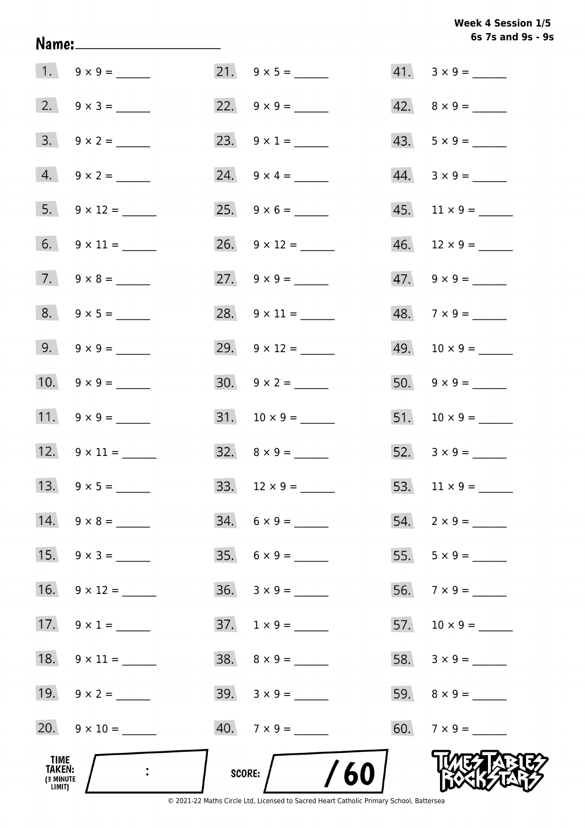| TIME<br>TAKEN:<br>(3 MINUTE<br>LIMIT) |                     | /60<br>SCORE:               |                             |
|---------------------------------------|---------------------|-----------------------------|-----------------------------|
|                                       | $20. 9 \times 10 =$ | $40.7 \times 9 =$           | 60. $7 \times 9 =$          |
|                                       | 19. $9 \times 2 =$  | $39. \quad 3 \times 9 = \_$ |                             |
|                                       | 18. $9 \times 11 =$ | $38. \quad 8 \times 9 = \_$ | 58. $3 \times 9 =$          |
|                                       | 17. $9 \times 1 =$  |                             | 57. $10 \times 9 =$         |
| 16.                                   |                     |                             | 56. $7 \times 9 =$          |
|                                       | 15. $9 \times 3 =$  | $35. 6 \times 9 =$          |                             |
|                                       | 14. $9 \times 8 =$  | $34. 6 \times 9 =$          |                             |
|                                       |                     |                             |                             |
|                                       | 12. $9 \times 11 =$ | $32. \quad 8 \times 9 =$    | 52. $3 \times 9 =$          |
|                                       | 11. $9 \times 9 =$  | $31. 10 \times 9 =$         |                             |
|                                       | 10. $9 \times 9 =$  | $30. 9 \times 2 =$          |                             |
|                                       | 9. $9 \times 9 =$   | 29. $9 \times 12 =$         |                             |
|                                       | $8. 9 \times 5 =$   |                             | $48. 7 \times 9 =$          |
|                                       |                     |                             | $47. \quad 9 \times 9 =$    |
|                                       |                     |                             | $46.$ 12 × 9 = _______      |
|                                       |                     |                             |                             |
|                                       | $4. 9 \times 2 =$   | 24. $9 \times 4 =$          | $44. \quad 3 \times 9 = \_$ |
|                                       | $3. 9 \times 2 =$   | 23. $9 \times 1 =$          | $43. 5 \times 9 =$          |
|                                       |                     |                             | $42. \quad 8 \times 9 =$    |
|                                       |                     |                             | $41. 3 \times 9 =$          |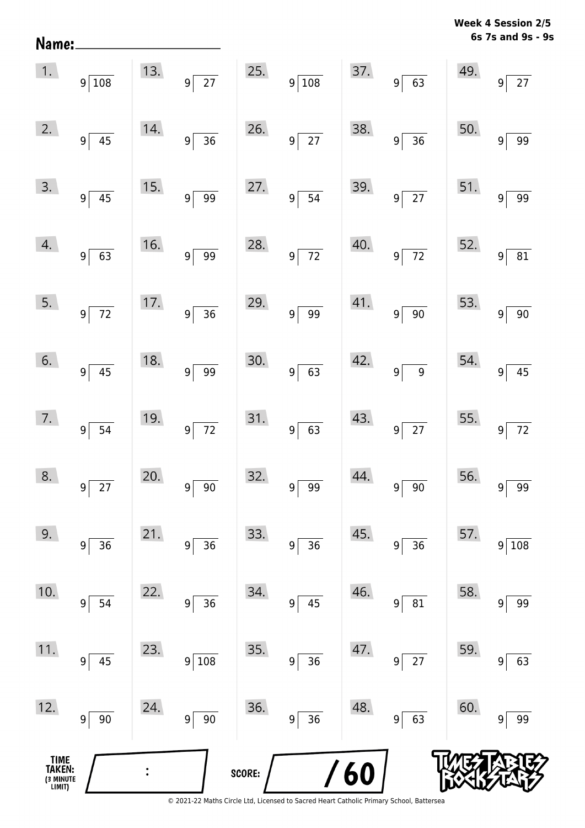| Name:                                |                                |     |                                     |        |                                   |     |                                   |     | 6s 7s and 9s - 9s        |
|--------------------------------------|--------------------------------|-----|-------------------------------------|--------|-----------------------------------|-----|-----------------------------------|-----|--------------------------|
| 1.                                   | $9\sqrt{108}$                  | 13. | $\overline{27}$<br> 9               | 25.    | $9\sqrt{108}$                     | 37. | $9 \ 63$                          | 49. | $27\,$<br>9 <sup>1</sup> |
| 2.                                   | $9\sqrt{ }$<br>45              | 14. | $\overline{36}$<br>$\overline{9}$   | 26.    | $\overline{27}$<br>9 <sup>1</sup> | 38. | $\overline{36}$<br>9 <sup>2</sup> | 50. | 99<br>9                  |
| 3.                                   | $9 \overline{)45}$             | 15. | $\overline{99}$<br>$\boldsymbol{9}$ | 27.    | 54<br>$9\,$                       | 39. | $9\overline{27}$                  | 51. | 99<br>9                  |
| 4.                                   | 9 <sup>5</sup><br>63           | 16. | 99<br>$\boldsymbol{9}$              | 28.    | $\overline{72}$<br>$9\,$          | 40. | $\overline{72}$<br>9 <sup>1</sup> | 52. | 81<br>9                  |
| 5.                                   | $9\sqrt{ }$<br>$\overline{72}$ | 17. | $\overline{36}$<br>$\overline{9}$   | 29.    | 99<br>$9\,$                       | 41. | $\overline{90}$<br>9              | 53. | $90\,$<br>$9\,$          |
| 6.                                   | $9 \overline{)45}$             | 18. | $\overline{99}$<br> 9               | 30.    | 63<br>9 <sup>1</sup>              | 42. | $\overline{9}$<br> 9              | 54. | 45<br>9                  |
| 7.                                   | 9 <sup>2</sup><br>54           | 19. | $\overline{72}$<br> 9               | 31.    | 63<br>9 <sup>1</sup>              | 43. | $9\sqrt{27}$                      | 55. | 72<br>9                  |
| 8.                                   | $\overline{27}$<br>9           | 20. | $90\,$<br>9                         | 32.    | 99<br>9                           | 44. | $90\,$<br>9                       | 56. | 99<br>9                  |
| 9.                                   | 36<br>9                        | 21. | 36<br>9                             | 33.    | 36<br>9                           | 45. | 36<br>9                           | 57. | 108<br>$\boldsymbol{9}$  |
| 10.                                  | $\boldsymbol{9}$<br>54         | 22. | 36<br>9                             | 34.    | 45<br>9                           | 46. | 81<br>9                           | 58. | 99<br>9                  |
| 11.                                  | 45<br>9                        | 23. | 108<br>9                            | 35.    | 36<br>9                           | 47. | $27\,$<br>9                       | 59. | 63<br>9                  |
| 12.                                  | $90\,$<br>$9\vert$             | 24. | $90\,$<br>9                         | 36.    | 36<br>9                           | 48. | 63<br>$\boldsymbol{9}$            | 60. | 99<br>9                  |
| TIME<br>TAKEN:<br>3 MINUTE<br>LIMIT) |                                |     |                                     | SCORE: |                                   | 60  |                                   |     |                          |

**Week 4 Session 2/5** 

<sup>© 2021-22</sup> Maths Circle Ltd, Licensed to Sacred Heart Catholic Primary School, Battersea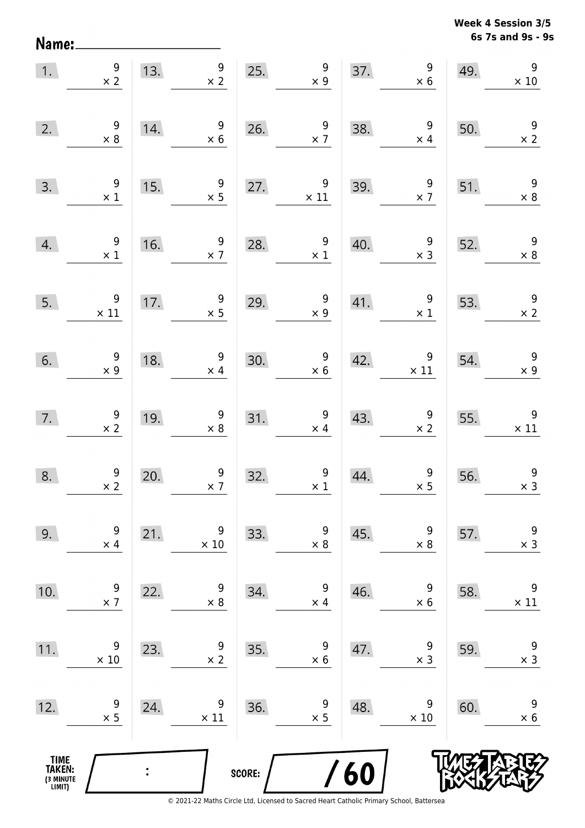**6s 7s and 9s - 9s Week 4 Session 3/5** 

| 1.                                            | $\begin{array}{c} 9 \\ \times 2 \end{array}$ | 13. | 9<br>$\times$ 2                              | 25.    | 9<br>$\times$ 9                              | 37. | 9<br>$\times$ 6                              | 49. | $9\,$<br>$\times$ 10                         |
|-----------------------------------------------|----------------------------------------------|-----|----------------------------------------------|--------|----------------------------------------------|-----|----------------------------------------------|-----|----------------------------------------------|
| 2.                                            | $\begin{array}{c} 9 \\ \times 8 \end{array}$ | 14. | $9\,$<br>$\times$ 6                          | 26.    | 9<br>$\times$ 7                              | 38. | $\boldsymbol{9}$<br>$\times$ 4               | 50. | $\begin{array}{c} 9 \\ \times 2 \end{array}$ |
| 3.                                            | $\begin{array}{c} 9 \\ \times 1 \end{array}$ | 15. | 9<br>$\times$ 5                              | 27.    | 9<br>$\times$ 11                             | 39. | $9\phantom{.0}$<br>$\times$ 7                | 51. | $9\,$<br>$\times 8$                          |
| 4.                                            | $\begin{array}{c} 9 \\ \times 1 \end{array}$ | 16. | $\boldsymbol{9}$<br>$\times$ 7               | 28.    | 9<br>$\times$ 1                              | 40. | $9\,$<br>$\times$ 3                          | 52. | $\overline{9}$<br>$\times$ 8                 |
| 5.                                            | $\boldsymbol{9}$<br>$\times$ 11              | 17. | $\boldsymbol{9}$<br>$\times$ 5               | 29.    | $\mathsf 9$<br>$\times$ 9                    | 41. | $\boldsymbol{9}$<br>$\times$ 1               | 53. | $\overline{9}$<br>$\times$ 2                 |
| 6.                                            | $\begin{array}{c} 9 \\ x 9 \end{array}$      | 18. | 9<br>$\times$ 4                              | 30.    | $\begin{array}{c} 9 \\ \times 6 \end{array}$ | 42. | 9<br>$\times$ 11                             | 54. | $\overline{9}$<br>$\times$ 9                 |
| 7.                                            | $\begin{array}{c} 9 \\ \times 2 \end{array}$ | 19. | $\begin{array}{c} 9 \\ \times 8 \end{array}$ | 31.    | $\begin{array}{c} 9 \\ \times 4 \end{array}$ | 43. | $\begin{array}{c} 9 \\ \times 2 \end{array}$ | 55. | $\overline{9}$<br>$\times$ 11                |
| 8.                                            | $\begin{array}{c} 9 \\ \times 2 \end{array}$ | 20. | 9<br>$\times$ 7                              | 32.    | $\begin{array}{c} 9 \\ \times 1 \end{array}$ | 44. | $\begin{array}{c} 9 \\ \times 5 \end{array}$ | 56. | $\boldsymbol{9}$<br>$\times$ 3               |
| 9.                                            | 9<br>$\times$ 4                              | 21. | 9<br>$\times$ 10                             | 33.    | 9<br>$\times$ 8                              | 45. | 9<br>$\times$ 8                              | 57. | $\boldsymbol{9}$<br>$\times$ 3               |
| 10.                                           | 9<br>$\times$ 7                              | 22. | 9<br>$\times 8$                              | 34.    | 9<br>$\times$ 4                              | 46. | 9<br>$\times$ 6                              | 58. | 9<br>$\times$ 11                             |
| 11.                                           | 9<br>$\times$ 10                             | 23. | 9<br>$\times$ 2                              | 35.    | 9<br>$\times$ 6                              | 47. | 9<br>$\times$ 3                              | 59. | 9<br>$\times$ 3                              |
| 12.                                           | 9<br>$\times$ 5                              | 24. | 9<br>$\times$ 11                             | 36.    | 9<br>$\times$ 5                              | 48. | 9<br>$\times$ 10                             | 60. | 9<br>$\times$ 6                              |
| <b>TIME<br/>TAKEN:</b><br>(3 MINUTE<br>LIMIT) |                                              |     |                                              | SCORE: |                                              | 60  |                                              |     |                                              |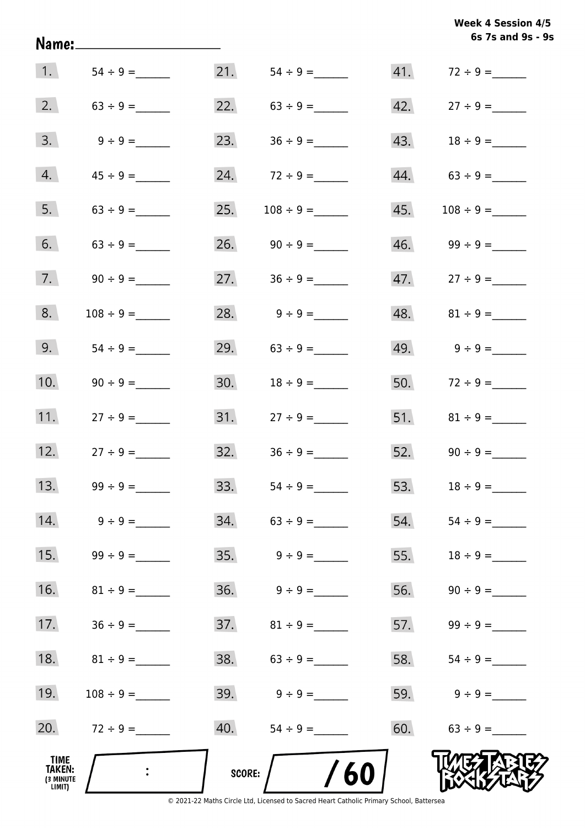|                                              | Name:______________________ |        |                                  |     | 6s 7s and 9s - 9s               |
|----------------------------------------------|-----------------------------|--------|----------------------------------|-----|---------------------------------|
|                                              | 1. $54 \div 9 =$            |        |                                  |     |                                 |
| 2.                                           |                             |        | 22. $63 \div 9 =$                |     | $42. \hspace{20pt} 27 \div 9 =$ |
| 3.                                           |                             |        | 23. $36 \div 9 =$                |     |                                 |
| 4.                                           |                             |        | 24. $72 \div 9 =$                |     | $44. 63 \div 9 =$               |
| 5.                                           |                             | 25.    |                                  |     |                                 |
| 6.                                           | $63 \div 9 =$               |        | 26. $90 \div 9 =$                |     | $46.$ $99 \div 9 =$             |
| 7.                                           |                             |        | 27. $36 \div 9 =$                |     | $47.$ $27 \div 9 =$             |
| 8.                                           | $108 \div 9 =$              |        | 28. $9 \div 9 =$                 |     |                                 |
| 9.                                           |                             |        | 29. $63 \div 9 =$                |     |                                 |
| 10.                                          | $90 \div 9 =$               |        |                                  |     | 50. $72 \div 9 =$               |
| 11.                                          | $27 \div 9 =$               |        |                                  |     |                                 |
| 12.                                          | $27 \div 9 =$               |        | $32. \hspace{1.5cm} 36 \div 9 =$ |     | 52. $90 \div 9 =$               |
| 13.                                          | $99 \div 9 =$               | 33.    |                                  | 53. | $18 \div 9 =$                   |
| 14.                                          | $9 \div 9 =$                | 34.    | $63 \div 9 =$                    | 54. |                                 |
| 15.                                          | $99 \div 9 =$               | 35.    | $9 \div 9 =$                     | 55. | $18 \div 9 =$                   |
| 16.                                          |                             | 36.    | $9 \div 9 =$                     | 56. |                                 |
| 17.                                          |                             |        |                                  | 57. | $99 \div 9 =$                   |
| 18.                                          | $81 \div 9 =$               |        | $38. 63 \div 9 =$                | 58. |                                 |
| 19.                                          |                             | 39.    | $9 \div 9 =$                     | 59. | $9 \div 9 =$                    |
| 20.                                          | $72 \div 9 =$               |        |                                  | 60. | $63 \div 9 =$                   |
| TIME<br><b>TAKEN:</b><br>(3 MINUTE<br>LIMIT) |                             | SCORE: | 60                               |     |                                 |

**6s 7s and 9s - 9s**

**Week 4 Session 4/5**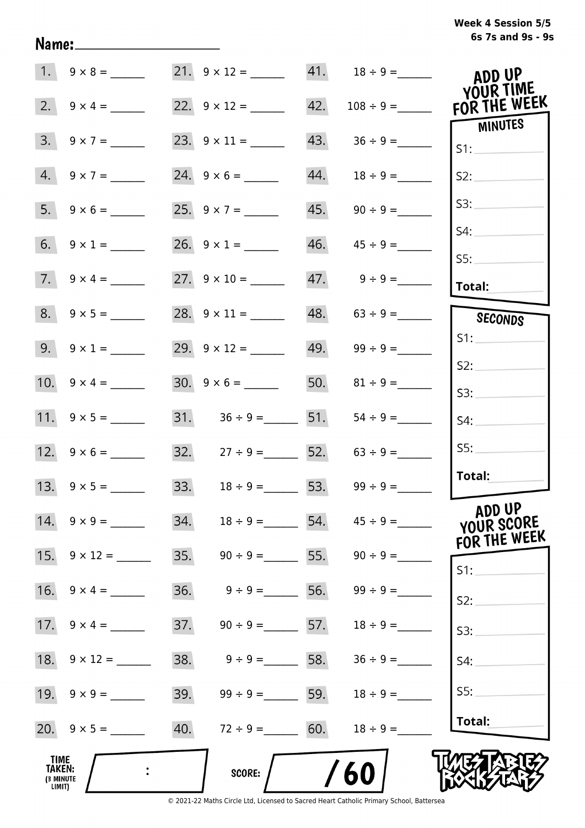| Week 4 Session 5/5 |                   |  |  |
|--------------------|-------------------|--|--|
|                    | 6s 7s and 9s - 9s |  |  |

|                                              |                     | 21. $9 \times 12 =$ 41. $18 \div 9 =$ |                    |                                 | ADD UP<br>YOUR TIME                  |
|----------------------------------------------|---------------------|---------------------------------------|--------------------|---------------------------------|--------------------------------------|
|                                              | 2. $9 \times 4 =$   | 22. $9 \times 12 =$                   |                    |                                 | FOR THE WEEK                         |
| 3.                                           |                     |                                       | 43.                |                                 | MINUTES<br>S1:                       |
|                                              | $4. 9 \times 7 =$   | $24. 9 \times 6 =$                    | 44.                | $18 \div 9 =$                   | S2:                                  |
|                                              |                     | 25. $9 \times 7 =$                    | 45.                | $90 \div 9 =$                   | S3:                                  |
|                                              |                     |                                       | 46.                | $45 \div 9 =$                   | S4:<br>SS:                           |
|                                              | 7. $9 \times 4 =$   |                                       | 47.                | $9 \div 9 =$                    | Total:                               |
|                                              | $8. 9 \times 5 =$   | 28. $9 \times 11 =$                   |                    | $48. 63 \div 9 =$               | SECONDS                              |
|                                              | 9. $9 \times 1 =$   | 29. $9 \times 12 =$                   |                    |                                 | S1:                                  |
|                                              |                     | $30. 9 \times 6 =$                    |                    | 50. $81 \div 9 =$               | S2:<br>S3:                           |
|                                              |                     | 31. $36 \div 9 =$ 51.                 |                    | $54 \div 9 =$                   | S4:                                  |
|                                              |                     | 32. $27 \div 9 =$ 52. $63 \div 9 =$   |                    |                                 | S5:                                  |
|                                              |                     | 33. $18 \div 9 = 53. 99 \div 9 =$     |                    |                                 | Total:                               |
|                                              | $14. 9 \times 9 =$  | 34.                                   |                    | $18 \div 9 = 54.$ $45 \div 9 =$ | ADD UP<br>YOUR SCORE<br>FOR THE WEEK |
|                                              | 15. $9 \times 12 =$ | 35.                                   | $90 \div 9 = 55$ . | $90 \div 9 =$                   | S1:                                  |
| 16.                                          | $9 \times 4 =$      | 36.<br>$9 \div 9 =$                   | 56.                | $99 \div 9 =$                   | S2:                                  |
| 17.                                          | $9 \times 4 =$      | 37.                                   | $90 \div 9 =$ 57.  | $18 \div 9 =$                   | S3:                                  |
| 18.                                          | $9 \times 12 =$     | 38.<br>$9 \div 9 =$                   | 58.                | $36 \div 9 =$                   | S4:                                  |
|                                              |                     | 39.                                   | $99 \div 9 = 59$ . | $18 \div 9 =$                   | S5:                                  |
|                                              |                     | 40.                                   | $72 \div 9 = 60.$  | $18 \div 9 =$                   | Total:                               |
| <b>TIME</b><br>TAKEN:<br>(3 MINUTE<br>LIMIT) |                     | SCORE:                                |                    | 60                              |                                      |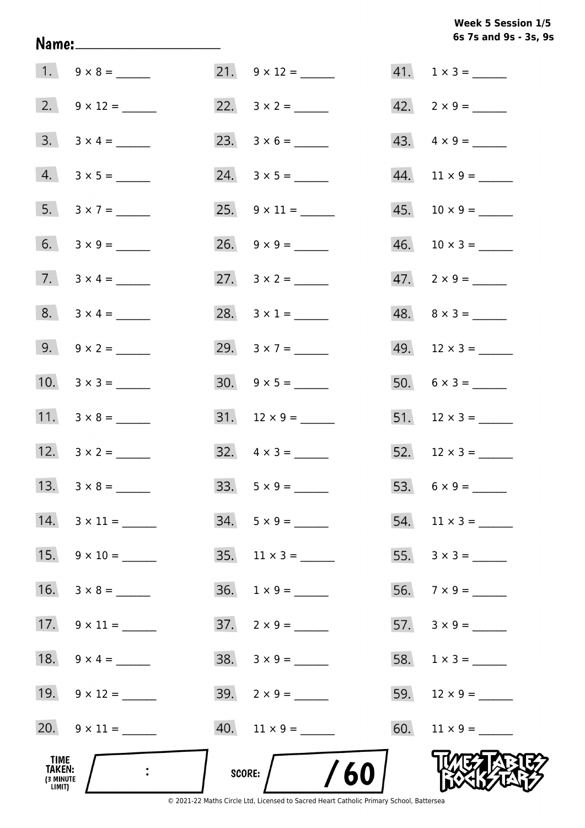**6s 7s and 9s - 3s, 9s Week 5 Session 1/5** 

|                                       | 7. $3 \times 4 =$   |                              | $47. \quad 2 \times 9 =$ |
|---------------------------------------|---------------------|------------------------------|--------------------------|
|                                       | 8. $3 \times 4 =$   | 28. $3 \times 1 =$           | $48. \quad 8 \times 3 =$ |
|                                       | 9. $9 \times 2 =$   | 29. $3 \times 7 =$           |                          |
|                                       | 10. $3 \times 3 =$  |                              | 50. $6 \times 3 =$       |
|                                       | 11. $3 \times 8 =$  |                              |                          |
|                                       | 12. $3 \times 2 =$  | $32. \quad 4 \times 3 =$     | 52. $12 \times 3 =$      |
|                                       |                     |                              |                          |
|                                       | 14. $3 \times 11 =$ | $34. 5 \times 9 =$           | 54. $11 \times 3 =$      |
|                                       | 15. $9 \times 10 =$ | $35. \quad 11 \times 3 = \_$ |                          |
| 16.                                   |                     |                              |                          |
| 17.                                   |                     | $37. \quad 2 \times 9 =$     |                          |
|                                       | 18. $9 \times 4 =$  | $38. 3 \times 9 =$           |                          |
|                                       | 19. $9 \times 12 =$ | $39. \quad 2 \times 9 =$     |                          |
|                                       | 20. $9 \times 11 =$ | $40.$ 11 x 9 = ______        |                          |
| TIME<br>TAKEN:<br>(3 MINUTE<br>LIMIT) |                     | /60<br><b>SCORE:</b>         |                          |

Name: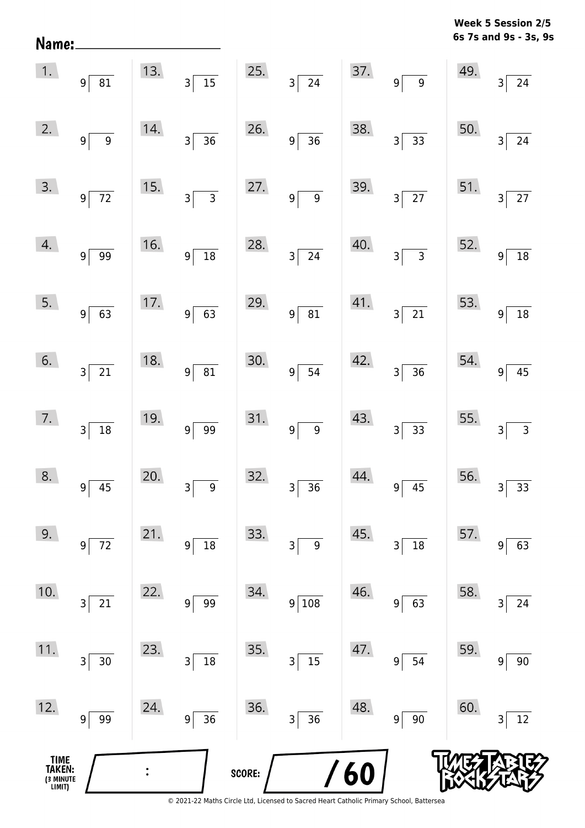**6s 7s and 9s - 3s, 9s** Name:  $1.$  $13.$ 25. 37. 49. 9 81 3 15 3 24 9 9 3 24  $2.$ 14. 26. 38. 50. 9 9 9 36 9 36 3 37 38 39 34  $3.$ 15. 27. 39. 51. 9 72 3 3 3 9 9 3 27 3 27  $\mathcal{A}$ . 16. 28. 40. 52. 9 99 99 9 18 3 24 3 3 3 9 18  $5.$  $17.$ 29. 41. 53.  $9 \mid 63 \mid 9 \mid 63 \mid 9 \mid 81 \mid 3 \mid 21 \mid 9 \mid 18$  $6.$ 18. 30. 42. 54. 3 21 9 81 9 54 3 36 9 45  $\overline{7}$ . 19. 31. 43. 55.  $3 \mid 18 \mid 9 \mid 99 \mid 9 \mid 9 \mid 3 \mid 33 \mid 33 \mid 33$ 8.  $20.$ 32. 44. 56. 9 3 36 9 9 45 3 33  $9.$  $21.$ 33. 45. 57. 9 72 9 18 3 9 3 18 9 63 10.  $22.$ 34. 46. 58. 3 21 9 99 9 108 9 63 3 24  $11.$ 23. 35. 47. 59. 3 30 3 18 3 3 15 9 54 9 90  $12.$ 24. 36. 48. 60. 9 99 9 36 3 36 9 90 3 12**TIME**  $\ddot{\cdot}$ 6 **TAKEN: SCORE:** (3 MINUTE<br>LIMIT)

**Week 5 Session 2/5**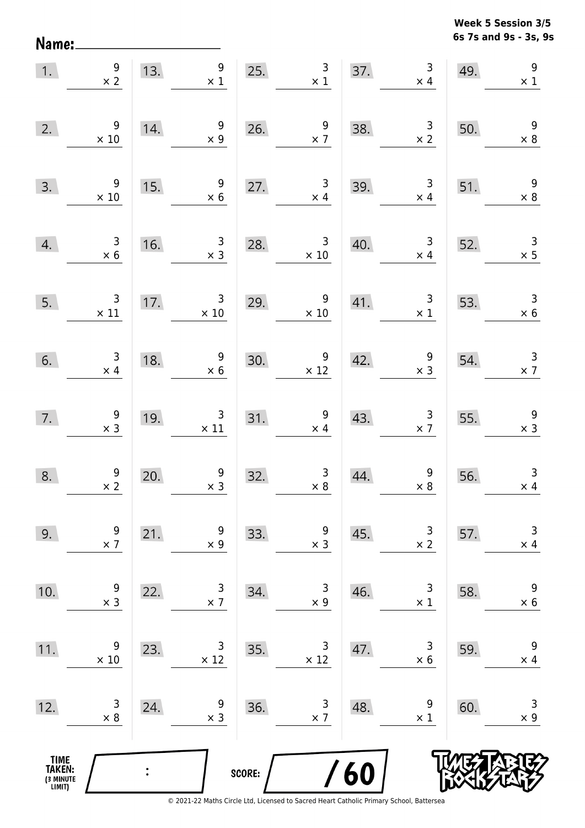**6s 7s and 9s - 3s, 9s Week 5 Session 3/5** 

| 1.                                            | $\begin{array}{c} 9 \\ \times 2 \end{array}$                  | 13.            | 9<br>$\times$ 1                               | 25.    | $\begin{array}{c c}\n3 & \cdots \\ \times 1 & \cdots\n\end{array}$ |     | $\mathsf{3}$<br>37.<br>$\times$ 4                | 49. | $\overline{9}$<br>$\times$ 1                 |
|-----------------------------------------------|---------------------------------------------------------------|----------------|-----------------------------------------------|--------|--------------------------------------------------------------------|-----|--------------------------------------------------|-----|----------------------------------------------|
| 2.                                            | 9<br>$\times$ 10                                              | 14.            | $\begin{array}{c} 9 \\ \times 9 \end{array}$  |        | 26. $\frac{9}{x7}$                                                 | 38. | $\begin{array}{r} 3 \\ \times 2 \end{array}$     | 50. | $\begin{array}{c} 9 \\ \times 8 \end{array}$ |
| 3.                                            | $9\,$<br>$\times$ 10                                          | 15.            | 9<br>$\times$ 6                               | 27.    | $\mathbf{3}$<br>$\times$ 4                                         | 39. | $\overline{\mathbf{3}}$<br>$\times$ 4            | 51. | $\overline{9}$<br>$\times 8$                 |
| 4.                                            | $\begin{array}{c} 3 \\ \times 6 \end{array}$                  | 16.            | $\begin{array}{c} 3 \\ \times 3 \end{array}$  | 28.    | $\overline{\mathbf{3}}$<br>$\times$ 10                             | 40. | $\begin{array}{c} 3 \\ \times 4 \end{array}$     | 52. | $\begin{array}{c} 3 \\ \times 5 \end{array}$ |
| 5.                                            | $\mathsf{3}$<br>$\begin{array}{c} 3 \\ \times 11 \end{array}$ | 17.            | $\overline{\mathbf{3}}$<br>$\times$ 10        |        | 29. $\begin{array}{r} 9 \\ \times 10 \end{array}$                  |     | 41. $\begin{array}{c} 3 \\ \times 1 \end{array}$ | 53. | $\overline{\mathbf{3}}$<br>$\times$ 6        |
| 6.                                            | $\begin{array}{c} 3 \\ \times 4 \end{array}$                  | 18.            | $\begin{array}{r} 9 \\ \times 6 \end{array}$  | 30.    | $\begin{array}{c} 9 \\ \times 12 \end{array}$                      | 42. | $\begin{array}{c} 9 \\ \times 3 \end{array}$     | 54. | $\begin{array}{c} 3 \\ \times 7 \end{array}$ |
| 7.                                            | $\begin{array}{c} 9 \\ x 3 \end{array}$                       | 19.            | $\begin{array}{c} 3 \\ \times 11 \end{array}$ |        | 31. $\begin{array}{c} 9 \\ \times 4 \end{array}$                   | 43. | $\begin{array}{c} 3 \\ \times 7 \end{array}$     | 55. | $\begin{array}{r} 9 \\ \times 3 \end{array}$ |
| 8.                                            | $\begin{array}{c} 9 \\ \times 2 \end{array}$                  | 20.            | $\begin{array}{c} 9 \\ x \end{array}$         | 32.    | $\begin{array}{c} 3 \\ \times 8 \end{array}$                       | 44. | $\begin{array}{c} 9 \\ \times 8 \end{array}$     | 56. | $\mathsf{3}$<br>$\times$ 4                   |
| 9.                                            | 9<br>$\times$ 7                                               | 21.            | 9<br>$\times$ 9                               | 33.    | 9<br>$\times$ 3                                                    | 45. | 3<br>$\times$ 2                                  | 57. | 3<br>$\times$ 4                              |
| 10.                                           | 9<br>$\times$ 3                                               | 22.            | 3<br>$\times$ 7                               | 34.    | 3<br>$\times$ 9                                                    | 46. | 3<br>$\times$ 1                                  | 58. | $\boldsymbol{9}$<br>$\times$ 6               |
| 11.                                           | 9<br>$\times$ 10                                              | 23.            | 3<br>$\times$ 12                              | 35.    | 3<br>$\times$ 12                                                   | 47. | 3<br>$\times$ 6                                  | 59. | 9<br>$\times$ 4                              |
| 12.                                           | 3<br>$\times 8$                                               | 24.            | 9<br>$\times$ 3                               | 36.    | 3<br>$\times$ 7                                                    | 48. | 9<br>$\times$ 1                                  | 60. | 3<br>$\times$ 9                              |
| <b>TIME<br/>TAKEN:</b><br>(3 MINUTE<br>LIMIT) |                                                               | $\ddot{\cdot}$ |                                               | SCORE: |                                                                    | /60 |                                                  |     |                                              |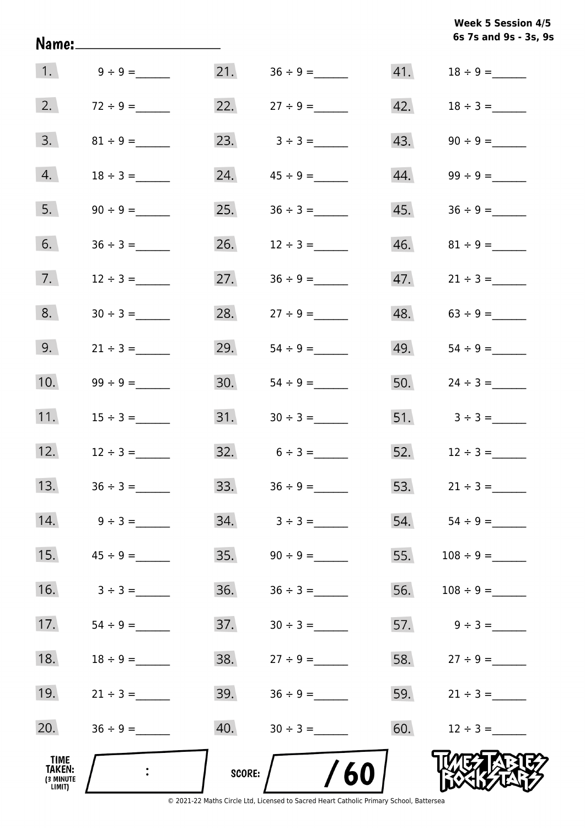|                                              | Name:_____________________ |        |                   |     | 6s 7s and 9s - 3s, 9s            |
|----------------------------------------------|----------------------------|--------|-------------------|-----|----------------------------------|
|                                              |                            |        |                   |     |                                  |
| 2.                                           | $72 \div 9 =$              |        | 22. $27 \div 9 =$ |     |                                  |
| 3.                                           |                            |        | 23. $3 \div 3 =$  |     | $43. \hspace{1.5cm} 90 \div 9 =$ |
| 4.                                           | $18 \div 3 =$              |        |                   |     |                                  |
| 5.                                           |                            |        |                   |     |                                  |
| 6.                                           | $36 \div 3 =$              |        | 26. $12 \div 3 =$ |     |                                  |
| 7.                                           | $12 \div 3 =$              | 27.    |                   |     |                                  |
| 8.                                           | $30 \div 3 =$              | 28.    | $27 \div 9 =$     |     | $48. 63 \div 9 =$                |
| 9.                                           | $21 \div 3 =$              | 29.    |                   |     |                                  |
| 10.                                          |                            | 30.    |                   |     | 50. $24 \div 3 =$                |
| 11.                                          | $15 \div 3 =$              |        |                   |     | 51. $3 \div 3 =$                 |
| 12.                                          | $12 \div 3 =$              |        | $32. 6 \div 3 =$  |     | 52. $12 \div 3 =$                |
| 13.                                          | $36 \div 3 =$              | 33.    | $36 \div 9 =$     | 53. | $21 \div 3 =$                    |
| 14.                                          | $9 \div 3 =$               | 34.    | $3 \div 3 =$      | 54. | $54 \div 9 =$                    |
| 15.                                          | $45 \div 9 =$              | 35.    |                   | 55. | $108 \div 9 =$                   |
| 16.                                          | $3 \div 3 =$               | 36.    |                   | 56. | $108 \div 9 =$                   |
| 17.                                          |                            | 37.    |                   |     | 57. $9 \div 3 =$                 |
| 18.                                          |                            | 38.    |                   |     | 58. $27 \div 9 =$                |
| 19.                                          | $21 \div 3 =$              | 39.    |                   |     | 59. $21 \div 3 =$                |
| 20.                                          | $36 \div 9 =$              | 40.    |                   | 60. | $12 \div 3 =$                    |
| TIME<br><b>TAKEN:</b><br>(3 MINUTE<br>LIMIT) |                            | SCORE: | 60                |     |                                  |

**Week 5 Session 4/5**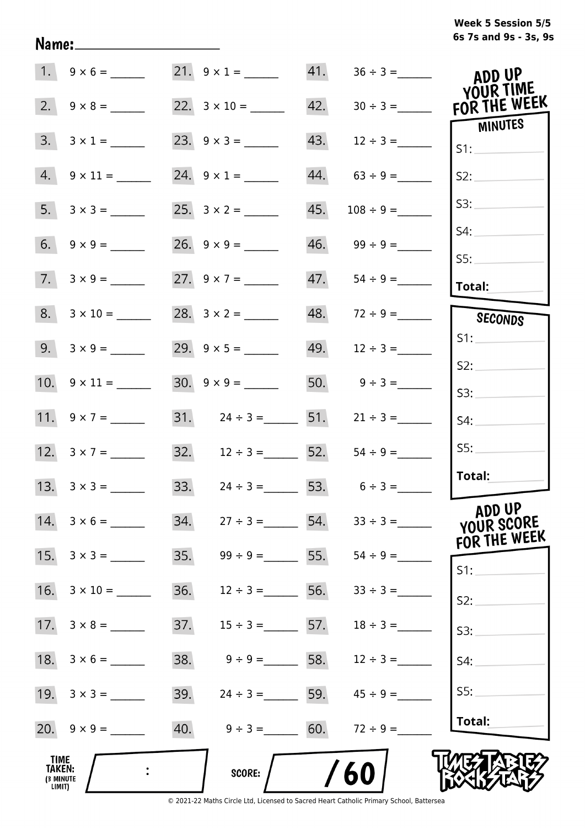# **6s 7s and 9s - 3s, 9s Week 5 Session 5/5**

|                                                     | $1. 9 \times 6 =$        | $21. 9 \times 1 =$                 |     |                     | ADD UP                               |
|-----------------------------------------------------|--------------------------|------------------------------------|-----|---------------------|--------------------------------------|
| 2.                                                  |                          |                                    | 42. | $30 \div 3 =$       | YOUR TIME<br>FOR THE WEEK            |
| 3.                                                  | $3 \times 1 =$           | 23. $9 \times 3 =$                 | 43. | $12 \div 3 =$       | MINUTES<br>S1:                       |
|                                                     | $4. \quad 9 \times 11 =$ | 24. $9 \times 1 =$                 | 44. |                     | S2:                                  |
|                                                     |                          |                                    | 45. | $108 \div 9 =$      | S3:                                  |
|                                                     |                          |                                    |     | $46.$ $99 \div 9 =$ | S4:<br>S5:                           |
|                                                     | $7. 3 \times 9 =$        | 27. $9 \times 7 =$                 | 47. |                     | Total:                               |
|                                                     | $8. 3 \times 10 =$       |                                    |     | 48. $72 \div 9 =$   | SECONDS                              |
|                                                     | 9. $3 \times 9 =$        |                                    |     |                     | S1:                                  |
|                                                     | 10. $9 \times 11 =$      |                                    |     | 50. $9 \div 3 =$    | S2:<br>S3:                           |
|                                                     |                          | 31. $24 \div 3 =$ 51.              |     | $21 \div 3 =$       | S4:                                  |
|                                                     | 12. $3 \times 7 =$       | $32. \t 12 \div 3 =$ 52.           |     | $54 \div 9 =$       | SS:                                  |
|                                                     | 13. $3 \times 3 =$       | 33. $24 \div 3 =$ 53. $6 \div 3 =$ |     |                     | Total:                               |
|                                                     | 14. $3 \times 6 =$       | 34.<br>$27 \div 3 =$               | 54. | $33 \div 3 =$       | ADD UP<br>YOUR SCORE<br>FOR THE WEEK |
| 15.                                                 | $3 \times 3 =$           | 35.<br>$99 \div 9 =$               | 55. |                     | $S1$ :                               |
| 16.                                                 | $3 \times 10 =$          | 36.<br>$12 \div 3 =$               | 56. | $33 \div 3 =$       | S2:                                  |
|                                                     |                          | 37.<br>$15 \div 3 = 57.$           |     | $18 \div 3 =$       | S3:                                  |
|                                                     |                          | 38.<br>$9 \div 9 =$ 58.            |     | $12 \div 3 =$       | S4:                                  |
|                                                     |                          | 39.<br>$24 \div 3 =$ 59.           |     | $45 \div 9 =$       | SS:                                  |
|                                                     |                          | 40. $9 \div 3 = 60$ .              |     | $72 \div 9 =$       | Total:                               |
| <b>TIME</b><br><b>TAKEN:</b><br>(3 MINUTE<br>LIMIT) |                          | <b>SCORE:</b>                      |     | 60                  |                                      |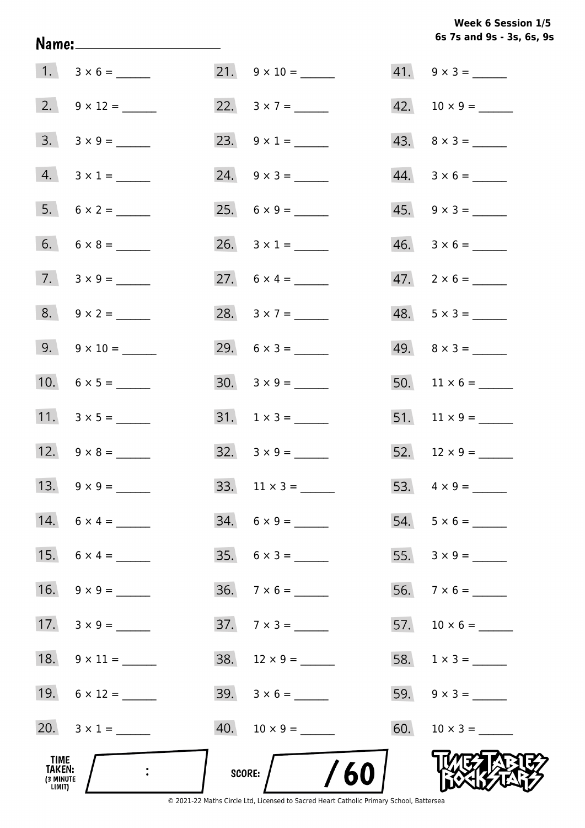Week 6 Session 1/5 6s 7s and 9s - 3s, 6s, 9s

|                                       |                     |                             | $41. 9 \times 3 =$          |
|---------------------------------------|---------------------|-----------------------------|-----------------------------|
|                                       | $2. 9 \times 12 =$  |                             | $42. 10 \times 9 =$         |
|                                       |                     | 23. $9 \times 1 =$          |                             |
|                                       | $4. 3 \times 1 =$   |                             | $44. \quad 3 \times 6 = \_$ |
|                                       | $5. 6 \times 2 =$   |                             | $45. \quad 9 \times 3 =$    |
|                                       | $6. 6 \times 8 =$   |                             |                             |
|                                       | 7. $3 \times 9 =$   |                             |                             |
|                                       | $8. 9 \times 2 =$   | 28. $3 \times 7 =$          | $48. 5 \times 3 =$          |
|                                       | 9. $9 \times 10 =$  | 29. $6 \times 3 =$          | $49. \quad 8 \times 3 =$    |
|                                       |                     | $30. \quad 3 \times 9 = \_$ |                             |
|                                       | 11. $3 \times 5 =$  | $31. 1 \times 3 =$          |                             |
|                                       | 12. $9 \times 8 =$  | $32. \quad 3 \times 9 =$    | 52. $12 \times 9 =$         |
|                                       |                     | 33. $11 \times 3 =$         |                             |
|                                       | 14. $6 \times 4 =$  | $34. 6 \times 9 =$          | $54. 5 \times 6 =$          |
|                                       |                     |                             |                             |
| 16.                                   |                     | $36. \quad 7 \times 6 =$    |                             |
|                                       | 17. $3 \times 9 =$  | $37.7 \times 3 =$           | 57. $10 \times 6 =$         |
|                                       | 18. $9 \times 11 =$ | $38. 12 \times 9 =$         |                             |
|                                       | $19. 6 \times 12 =$ | $39. 3 \times 6 =$          |                             |
|                                       | 20. $3 \times 1 =$  |                             |                             |
| TIME<br>TAKEN:<br>(3 MINUTE<br>LIMIT) |                     | 60<br>SCORE:                |                             |

Name: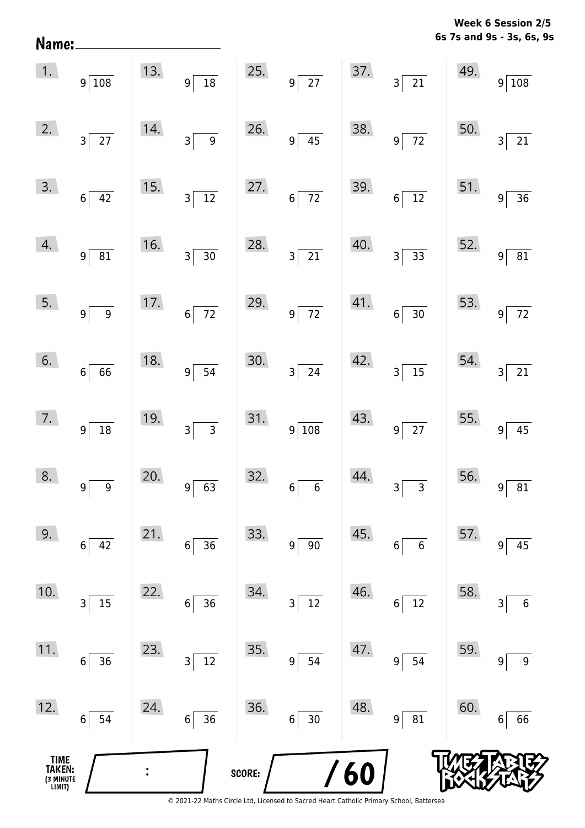**6s 7s and 9s - 3s, 6s, 9s Week 6 Session 2/5** 

| 1.                                    | $9\overline{\smash{)}108}$          |                | 13. $9\overline{)18}$                       |        | 25. $9\overline{)27}$         |     | $\begin{array}{c c} 37. & 3 & 21 \end{array}$ |     | $\begin{array}{c c} 49. & 9 & 108 \end{array}$ |
|---------------------------------------|-------------------------------------|----------------|---------------------------------------------|--------|-------------------------------|-----|-----------------------------------------------|-----|------------------------------------------------|
| 2.                                    | $3\sqrt{27}$                        | 14.            | $3\overline{9}$                             | 26.    | $9\overline{)45}$             | 38. | $9\sqrt{72}$                                  | 50. | $\overline{21}$<br>3 <sup>2</sup>              |
| 3.                                    | $6\overline{)42}$                   | 15.            | $3\overline{)12}$                           | 27.    | $6\overline{72}$              | 39. | $6\overline{)12}$                             | 51. | $9^{\frac{1}{2}}$<br>$\overline{36}$           |
| 4.                                    | 9 <sup>5</sup><br>$\overline{81}$   | 16.            | $3\overline{)30}$                           | 28.    | $3\overline{21}$              | 40. | $3\overline{)33}$                             | 52. | $\overline{81}$<br>$9^{\frac{1}{2}}$           |
| 5.                                    | 9 <sup>5</sup><br>$\overline{9}$    | 17.            | $6\overline{72}$                            | 29.    | $9\overline{72}$              | 41. | $6\overline{)30}$                             | 53. | $\sqrt{72}$<br> 9                              |
| 6.                                    | $6\vert$<br>$\overline{66}$         | 18.            | $9\overline{)}\ \overline{)}\ \overline{)}$ | 30.    | $3\overline{\smash{)}\ 24}$   | 42. | $3\overline{)15}$                             | 54. | $\boxed{21}$<br>3 <sup>1</sup>                 |
| 7.                                    | 9 <sup>5</sup><br>$\overline{18}$   | 19.            | $3\overline{)3}$                            | 31.    | $9\overline{\smash{)}108}$    | 43. | $9\overline{27}$                              | 55. | $\overline{45}$<br> 9                          |
| 8.                                    | $9^{\frac{1}{2}}$<br>$\overline{9}$ | 20.            | $\overline{63}$<br> 9                       | 32.    | $6\overline{6}$               | 44. | $3\overline{3}$                               | 56. | 81<br>$9^{\frac{1}{2}}$                        |
| 9.                                    | 42<br>6                             | 21.            | 36<br>$\boldsymbol{6}$                      | 33.    | $90\,$<br>9 <sup>1</sup>      | 45. | $6\phantom{1}6$<br>6                          | 57. | 45<br>9                                        |
| 10.                                   | 15<br>3                             | 22.            | 36<br>6                                     | 34.    | 12<br>$\overline{\mathbf{3}}$ | 46. | 12<br>6                                       | 58. | $\boldsymbol{6}$<br>3                          |
| 11.                                   | 36<br>6                             | 23.            | 12<br>3                                     | 35.    | 54<br>9 <sup>1</sup>          | 47. | 54<br>9                                       | 59. | $\boldsymbol{9}$<br>9                          |
| 12.                                   | 54<br>6                             | 24.            | 36<br>$\bf 6$                               | 36.    | 30<br>$6\vert$                | 48. | 81<br>9                                       | 60. | 66<br>6                                        |
| TIME<br>TAKEN:<br>(3 MINUTE<br>LIMIT) |                                     | $\ddot{\cdot}$ |                                             | SCORE: |                               | 60  |                                               |     |                                                |

Name: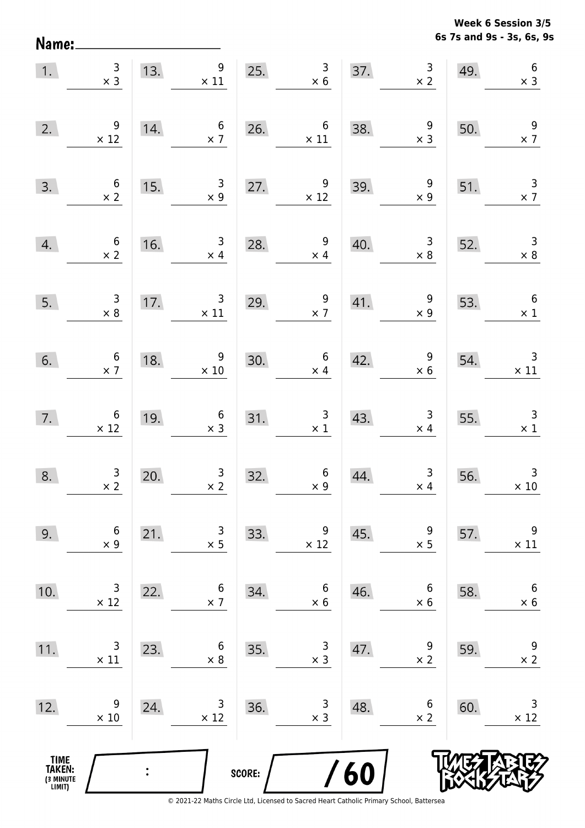**6s 7s and 9s - 3s, 6s, 9s Week 6 Session 3/5** 

| 1.                                    | $\begin{array}{c} 3 \\ \times 3 \end{array}$  | 13. | $\begin{array}{r} 9 \\ \times 11 \end{array}$     |        | 25. $\begin{array}{r} 3 \\ \times 6 \end{array}$         |     | 37. $3 \times 2$                             | 49. | $\begin{array}{c} 6 \\ \times 3 \end{array}$  |
|---------------------------------------|-----------------------------------------------|-----|---------------------------------------------------|--------|----------------------------------------------------------|-----|----------------------------------------------|-----|-----------------------------------------------|
| 2.                                    | $\begin{array}{r} 9 \\ \times 12 \end{array}$ | 14. | $\begin{array}{c} 6 \\ \times 7 \end{array}$      | 26.    | $\overline{6}$<br>$\times$ 11                            | 38. | $\begin{array}{c} 9 \\ \times 3 \end{array}$ | 50. | $\frac{9}{2}$                                 |
| 3.                                    | $\begin{array}{c} 6 \\ \times 2 \end{array}$  | 15. | $\begin{array}{c} 3 \\ \times 9 \end{array}$      |        | 27. $\begin{array}{r} 9 \\ \times 12 \end{array}$        | 39. | $\begin{array}{c} 9 \\ \times 9 \end{array}$ | 51. | $\frac{3}{x}$                                 |
| 4.                                    | $\begin{array}{c} 6 \\ \times 2 \end{array}$  | 16. | $\begin{array}{c} 3 \\ \times 4 \end{array}$      | 28.    | $\begin{array}{c} 9 \\ \times 4 \end{array}$             | 40. | $\begin{array}{c} 3 \\ \times 8 \end{array}$ | 52. | $\begin{array}{r} 3 \\ \times 8 \end{array}$  |
| 5.                                    | $\begin{array}{c} 3 \\ \times 8 \end{array}$  |     | 17. $\begin{array}{c} 3 \\ \times 11 \end{array}$ | 29.    | $\frac{9}{x}$                                            | 41. | $\begin{array}{r} 9 \\ \times 9 \end{array}$ | 53. | $6\overline{6}$<br>$\times$ 1                 |
| 6.                                    | $\begin{array}{c} 6 \\ \times 7 \end{array}$  | 18. | $\frac{9}{10}$                                    | 30.    | $\begin{array}{c} 6 \\ \times 4 \end{array}$             | 42. | $\begin{array}{r} 9 \\ \times 6 \end{array}$ | 54. | $\begin{array}{c} 3 \\ \times 11 \end{array}$ |
| 7.                                    | $6 \times 12$                                 | 19. | $\begin{array}{c} 6 \\ \times 3 \end{array}$      | 31.    | $\begin{array}{c c}\n31. & & 3 \\ \times 1\n\end{array}$ | 43. | $\begin{array}{r} 3 \\ \times 4 \end{array}$ | 55. | $\begin{array}{r} 3 \\ \times 1 \end{array}$  |
| 8.                                    | $\frac{3}{x^2}$                               | 20. | $\begin{array}{r} 3 \\ \times 2 \end{array}$      | 32.    | $\begin{array}{c} 6 \\ \times 9 \end{array}$             | 44. | $\begin{array}{r} 3 \\ \times 4 \end{array}$ | 56. | $\begin{array}{c} 3 \\ \times 10 \end{array}$ |
| 9.                                    | 6<br>$\times$ 9                               | 21. | 3<br>$\times$ 5                                   | 33.    | 9<br>$\times$ 12                                         | 45. | 9<br>$\times$ 5                              | 57. | 9<br>$\times$ 11                              |
| 10.                                   | 3<br>$\times$ 12                              | 22. | 6<br>$\times$ 7                                   | 34.    | 6<br>$\times$ 6                                          | 46. | 6<br>$\times$ 6                              | 58. | 6<br>$\times$ 6                               |
| 11.                                   | 3<br>$\times$ 11                              | 23. | 6<br>$\times 8$                                   | 35.    | 3<br>$\times$ 3                                          | 47. | 9<br>$\times$ 2                              | 59. | 9<br>$\times$ 2                               |
| 12.                                   | 9<br>$\times$ 10                              | 24. | 3<br>$\times$ 12                                  | 36.    | 3<br>$\times$ 3                                          | 48. | 6<br>$\times$ 2                              | 60. | 3<br>$\times$ 12                              |
| TIME<br>TAKEN:<br>(3 MINUTE<br>LIMIT) |                                               |     |                                                   | SCORE: |                                                          | /60 |                                              |     |                                               |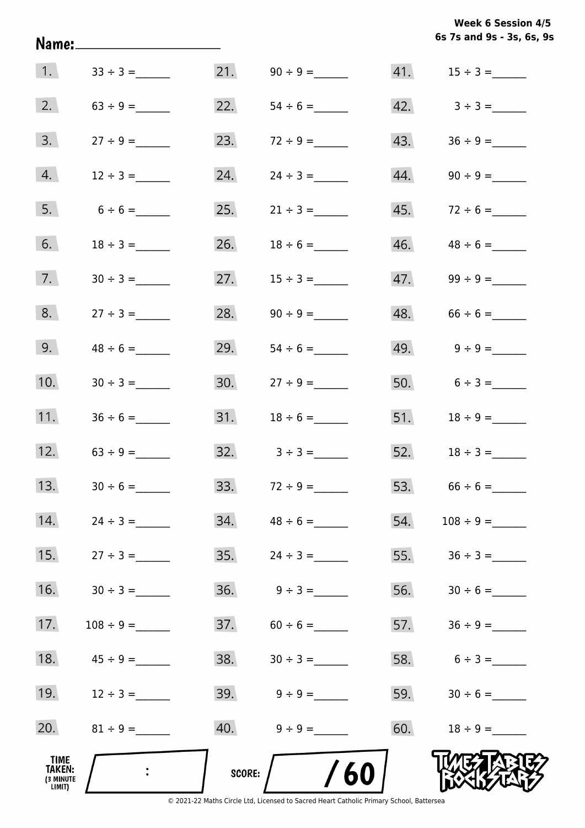|  |  | <b>Week 6 Session 4/5</b> |  |
|--|--|---------------------------|--|
|  |  | 6s 7s and 9s - 3s, 6s, 9s |  |

| 1.                                    | $33 \div 3 =$     |        | 21. $90 \div 9 =$               |     |                                 |
|---------------------------------------|-------------------|--------|---------------------------------|-----|---------------------------------|
| 2.                                    | $63 \div 9 =$     | 22.    | $54 \div 6 =$                   |     | $42. \hspace{1.5cm} 3 \div 3 =$ |
| 3.                                    | $27 \div 9 =$     | 23.    |                                 |     |                                 |
| 4.                                    | $12 \div 3 =$     | 24.    | $24 \div 3 =$                   |     |                                 |
| 5.                                    | $6 \div 6 =$      | 25.    | $21 \div 3 =$                   |     |                                 |
| 6.                                    |                   | 26.    | $18 \div 6 =$                   |     |                                 |
| 7.                                    |                   | 27.    | $15 \div 3 =$                   |     |                                 |
| 8.                                    | $27 \div 3 =$     | 28.    |                                 |     | $48. 66 \div 6 =$               |
| 9.                                    | $48 \div 6 =$     | 29.    | $54 \div 6 =$                   |     |                                 |
| 10.                                   |                   | 30.    | $27 \div 9 =$                   |     | 50. $6 \div 3 =$                |
| 11.                                   |                   | 31.    | $18 \div 6 =$                   |     |                                 |
|                                       | 12. $63 \div 9 =$ |        | $32. \hspace{1.5cm} 3 \div 3 =$ |     | 52. $18 \div 3 =$               |
| 13.                                   | $30 \div 6 =$     |        |                                 |     |                                 |
| 14.                                   |                   | 34.    | $48 \div 6 =$                   | 54. |                                 |
| 15.                                   | $27 \div 3 =$     | 35.    |                                 | 55. | $36 \div 3 =$                   |
| 16.                                   |                   | 36.    | $9 \div 3 =$                    | 56. |                                 |
| 17.                                   |                   | 37.    | $60 \div 6 =$                   | 57. |                                 |
| 18.                                   |                   | 38.    |                                 | 58. | $6 \div 3 =$                    |
| 19.                                   | $12 \div 3 =$     | 39.    | $9 \div 9 =$                    | 59. |                                 |
| 20.                                   |                   | 40.    | $9 \div 9 =$                    | 60. | $18 \div 9 =$                   |
| TIME<br>TAKEN:<br>(3 MINUTE<br>LIMIT) |                   | SCORE: | /60                             |     |                                 |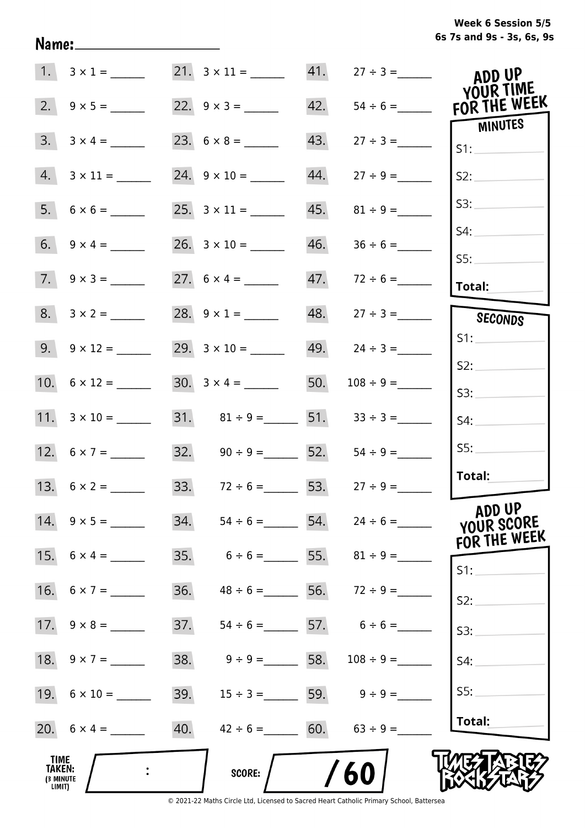|  | Week 6 Session 5/5        |  |  |  |
|--|---------------------------|--|--|--|
|  | 6s 7s and 9s - 3s, 6s, 9s |  |  |  |

|                                       | 1. $3 \times 1 =$       | $21. \quad 3 \times 11 =$              | 41. | $27 \div 3 =$                   | ADD UP<br>YOUR TIME                  |
|---------------------------------------|-------------------------|----------------------------------------|-----|---------------------------------|--------------------------------------|
| 2.                                    |                         |                                        | 42. | $54 \div 6 =$                   | FOR THE WEEK                         |
| 3.                                    | $3 \times 4 =$          |                                        | 43. | $27 \div 3 =$                   | <b>MINUTES</b><br>S1:                |
| 4.                                    |                         | 24. $9 \times 10 =$                    | 44. |                                 | S2:                                  |
| 5.                                    |                         |                                        | 45. | $81 \div 9 =$                   | S3:                                  |
|                                       |                         |                                        | 46. | $36 \div 6 =$                   | S4:                                  |
|                                       | $7. \quad 9 \times 3 =$ | 27. $6 \times 4 =$                     | 47. | $72 \div 6 =$                   | SS:<br><b>Total:</b>                 |
|                                       | $8. 3 \times 2 =$       | 28. $9 \times 1 =$                     |     | $48.$ $27 \div 3 =$             | SECONDS                              |
|                                       |                         | 29. $3 \times 10 =$                    |     | 49. $24 \div 3 =$               | S1:                                  |
|                                       |                         | $30. 3 \times 4 =$                     | 50. |                                 | S2:                                  |
|                                       |                         |                                        |     |                                 | S3:                                  |
|                                       | 11. $3 \times 10 =$     | 31. $81 \div 9 =$ 51. $33 \div 3 =$    |     |                                 | S4:                                  |
|                                       |                         | 32. $90 \div 9 =$ 52.                  |     | $54 \div 9 =$                   | SS:                                  |
|                                       |                         | 33. $72 \div 6 =$ 53. $27 \div 9 =$    |     |                                 | Total:                               |
|                                       | 14. $9 \times 5 =$      | 34. $54 \div 6 =$ 54. $24 \div 6 =$    |     |                                 | ADD UP<br>YOUR SCORE<br>FOR THE WEEK |
|                                       | 15. $6 \times 4 =$      | 35.                                    |     | $6 \div 6 =$ 55. $81 \div 9 =$  | S1:                                  |
|                                       | 16. $6 \times 7 =$      | 36.                                    |     | $48 \div 6 =$ 56. $72 \div 9 =$ | S2:                                  |
|                                       |                         | 37.                                    |     | $54 \div 6 =$ 57. $6 \div 6 =$  | S3:                                  |
|                                       | 18. $9 \times 7 =$      | 38.<br>$9 \div 9 =$ 58.                |     | $108 \div 9 =$                  | S4:                                  |
|                                       |                         | 39.                                    |     | $15 \div 3 =$ 59. $9 \div 9 =$  | SS:                                  |
|                                       | 20. $6 \times 4 =$      | 40.<br>$42 \div 6 = 60.$ $63 \div 9 =$ |     |                                 | Total:                               |
| TIME<br>TAKEN:<br>(3 MINUTE<br>LIMIT) |                         | <b>SCORE:</b>                          |     | 60                              |                                      |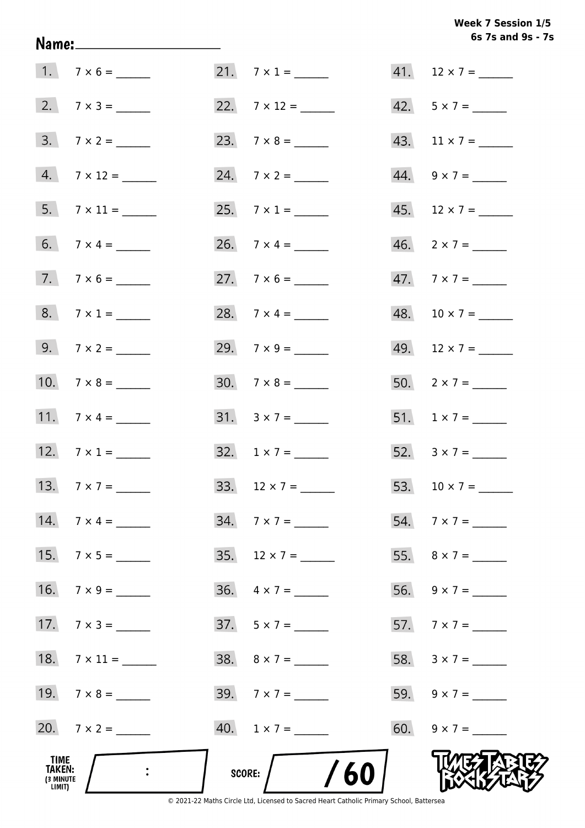# Week 7 Session 1/5 6s 7s and 9s - 7s

| TIME<br><b>TAKEN:</b><br><b>(3 MINUTE)</b><br>LIMIT) | $\mathbb{R}^2$      | $/$ /60<br>score:        |                          |
|------------------------------------------------------|---------------------|--------------------------|--------------------------|
|                                                      | 20. $7 \times 2 =$  | $40. 1 \times 7 =$       | 60. $9 \times 7 =$       |
|                                                      |                     | $39.7 \times 7 =$        | 59. $9 \times 7 =$       |
|                                                      | 18. $7 \times 11 =$ |                          | 58. $3 \times 7 =$       |
|                                                      | 17. $7 \times 3 =$  | $37.5 \times 7 =$        |                          |
|                                                      |                     | $36. \quad 4 \times 7 =$ |                          |
|                                                      | 15. $7 \times 5 =$  | 35. $12 \times 7 =$      |                          |
|                                                      | 14. $7 \times 4 =$  |                          |                          |
|                                                      | 13. $7 \times 7 =$  | 33. $12 \times 7 =$      |                          |
|                                                      | 12. $7 \times 1 =$  | $32. 1 \times 7 =$       | 52. $3 \times 7 =$       |
|                                                      |                     |                          | 51. $1 \times 7 =$       |
|                                                      | 10. $7 \times 8 =$  | $30.7 \times 8 =$        | 50. $2 \times 7 =$       |
|                                                      | 9. $7 \times 2 =$   | 29. $7 \times 9 =$       |                          |
|                                                      | 8. $7 \times 1 =$   | 28. $7 \times 4 =$       |                          |
|                                                      | $7. 7 \times 6 =$   |                          |                          |
|                                                      |                     |                          | $46. \quad 2 \times 7 =$ |
|                                                      | $5.7 \times 11 =$   |                          |                          |
|                                                      | 4. $7 \times 12 =$  |                          | 44. $9 \times 7 =$       |
|                                                      | $3.7 \times 2 =$    |                          |                          |
|                                                      | 2. $7 \times 3 =$   |                          | 42. $5 \times 7 =$       |
|                                                      | $1.7 \times 6 =$    | 21. $7 \times 1 =$       | 41. $12 \times 7 =$      |

Name: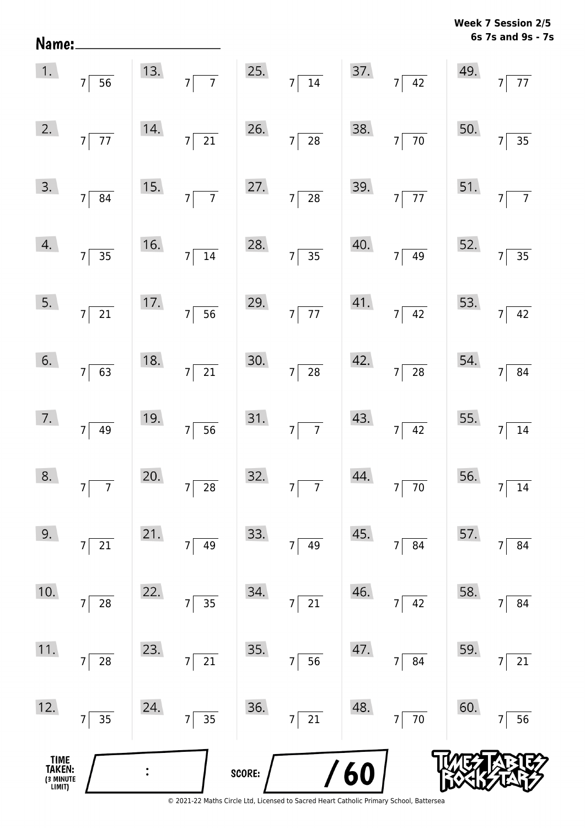| Name:                                 |                                  |     |                                      |        |                                   |     |                                   |     | 6s 7s and 9s - 7s                 |
|---------------------------------------|----------------------------------|-----|--------------------------------------|--------|-----------------------------------|-----|-----------------------------------|-----|-----------------------------------|
| 1.                                    | $7\overline{)}56$                | 13. | $7\overline{7}$ 25. $7\overline{14}$ |        |                                   |     | 37. $7\overline{)42}$             | 49. | $7\vert$<br>$\overline{77}$       |
| 2.                                    | $7\overline{77}$                 | 14. | $7\overline{21}$                     | 26.    | $7\overline{)28}$                 | 38. | $7\overline{70}$                  | 50. | $7^{\circ}$<br>$\overline{35}$    |
| 3.                                    | $7\overline{\smash{)}\ 84}$      | 15. | $7\overline{7}$                      |        | 27. $7 \overline{)28}$            | 39. | $7\overline{77}$                  | 51. | $\overline{7}$<br>7 <sup>1</sup>  |
| 4.                                    | $7\overline{)35}$                | 16. | $7\overline{)14}$                    |        | 28. $7\overline{)35}$             | 40. | $7\overline{)49}$                 | 52. | $\overline{35}$<br>$\overline{7}$ |
| 5.                                    | $7\sqrt{21}$                     | 17. | $7\overline{)}56$                    |        | 29. $7\overline{77}$              | 41. | $7\overline{)42}$                 | 53. | 7 <sup>1</sup><br>42              |
| 6.                                    | $7\overline{63}$                 | 18. | $\overline{21}$<br>$7\vert$          | 30.    | $7\overline{28}$                  | 42. | $7\overline{\smash{)}\ 28}$       | 54. | 84<br>$\overline{7}$              |
| 7.                                    | $7\overline{)49}$                | 19. | $7\overline{56}$                     |        | 31. $7\overline{7}$               | 43. | $7\overline{)42}$                 | 55. | $\overline{7}$<br>$\overline{14}$ |
| 8.                                    | $\overline{7}$<br>7 <sup>1</sup> | 20. | $\overline{28}$<br>$\overline{7}$    | 32.    | $\overline{7}$<br>$\overline{7}$  | 44. | $\overline{70}$<br>$\overline{7}$ | 56. | 14                                |
| 9.                                    | 21<br>7                          | 21. | 49<br>$\overline{7}$                 | 33.    | 49<br>$\overline{7}$              | 45. | 84<br>$\overline{7}$              | 57. | 84                                |
| 10.                                   | 28<br>7                          | 22. | $\overline{35}$<br>$\overline{7}$    | 34.    | 21<br>$\overline{7}$              | 46. | 42<br>$\overline{7}$              | 58. | 84<br>7                           |
| 11.                                   | 28<br>7                          | 23. | $\overline{21}$<br>$\overline{7}$    | 35.    | $\overline{56}$<br>$\overline{7}$ | 47. | 84<br>$\overline{7}$              | 59. | 21<br>$\overline{7}$              |
| 12.                                   | $\overline{35}$<br>$7\vert$      | 24. | $\frac{1}{35}$<br>$\boldsymbol{7}$   | 36.    | $\overline{21}$<br>$7\vert$       | 48. | $\overline{70}$<br>$7\vert$       | 60. | 56                                |
| TIME<br>TAKEN:<br>(3 MINUTE<br>LIMIT) |                                  |     |                                      | SCORE: |                                   | /60 |                                   |     |                                   |

**Week 7 Session 2/5**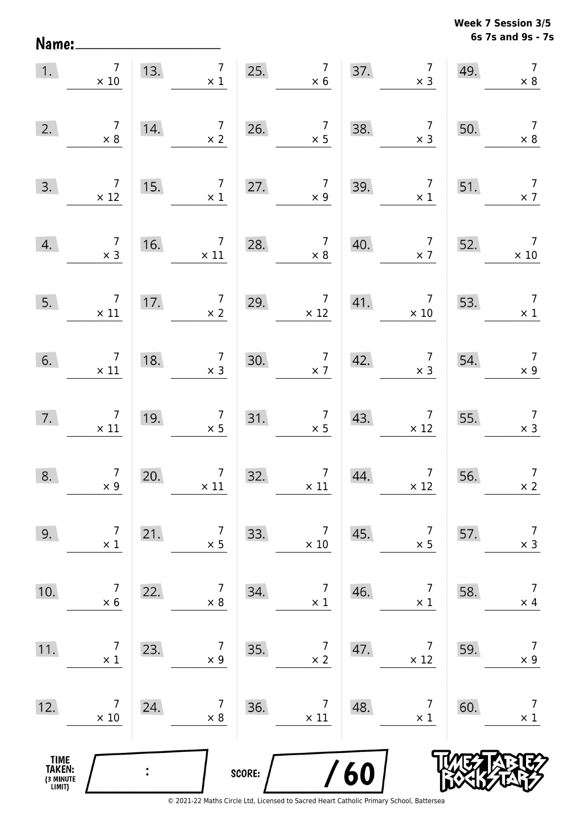**6s 7s and 9s - 7s Week 7 Session 3/5** 

| 1.                                            | $7\overline{ }$<br>$\times 10$                | 13.            | 7 <sup>1</sup><br>$\times$ 1                   |        | 25. $7 \times 6$                              | 37. | $\begin{array}{c} 7 \\ \times 3 \end{array}$                    | 49. | $\overline{7}$<br>$\times 8$                  |
|-----------------------------------------------|-----------------------------------------------|----------------|------------------------------------------------|--------|-----------------------------------------------|-----|-----------------------------------------------------------------|-----|-----------------------------------------------|
| 2.                                            | $\begin{array}{c} 7 \\ \times 8 \end{array}$  | 14.            | $\begin{array}{c} 7 \\ \times 2 \end{array}$   | 26.    | $\begin{array}{c} 7 \\ \times 5 \end{array}$  | 38. | $\begin{array}{c} 7 \\ \times 3 \end{array}$                    | 50. | $\overline{7}$<br>$\times 8$                  |
| 3.                                            | $\overline{7}$<br>$\times$ 12                 | 15.            | $\begin{array}{c} 7 \\ \times \ 1 \end{array}$ | 27.    | $\begin{array}{c} 7 \\ \times 9 \end{array}$  | 39. | $\begin{array}{c} 7 \\ \times 1 \end{array}$                    | 51. | $\begin{array}{c} 7 \\ \times 7 \end{array}$  |
| 4.                                            | $\begin{array}{c} 7 \\ \times 3 \end{array}$  | 16.            | $\begin{array}{c} 7 \\ \times 11 \end{array}$  | 28.    | $\begin{array}{c} 7 \\ \times 8 \end{array}$  | 40. | $\begin{array}{c} 7 \\ \times 7 \end{array}$                    | 52. | $\begin{array}{c} 7 \\ \times 10 \end{array}$ |
| 5.                                            | $\begin{array}{c} 7 \\ \times 11 \end{array}$ | 17.            | $\begin{array}{c} 7 \\ \times 2 \end{array}$   | 29.    | $\begin{array}{c} 7 \\ \times 12 \end{array}$ | 41. | $\begin{array}{c} 7 \\ \times 10 \end{array}$                   | 53. | $\begin{array}{c} 7 \\ \times 1 \end{array}$  |
| 6.                                            | $\begin{array}{c}7\\ \times 11\end{array}$    | 18.            | $\begin{array}{c} 7 \\ \times 3 \end{array}$   | 30.    | $\begin{array}{c} 7 \\ \times 7 \end{array}$  | 42. | $\begin{array}{c} 7 \\ \times 3 \end{array}$                    | 54. | $\begin{array}{c} 7 \\ \times 9 \end{array}$  |
| 7.                                            | $\begin{array}{c}7\\ \times 11\end{array}$    | 19.            | $\begin{array}{c} 7 \\ \times 5 \end{array}$   | 31.    | $\begin{array}{c} 7 \\ \times 5 \end{array}$  | 43. | $\begin{array}{c} 7 \\ \times 12 \end{array}$                   | 55. | $\begin{array}{c} 7 \\ \times 3 \end{array}$  |
| 8.                                            | $\begin{array}{c} 7 \\ \times 9 \end{array}$  | 20.            | $\begin{array}{c} 7 \\ \times 11 \end{array}$  | 32.    | $\begin{array}{c} 7 \\ \times 11 \end{array}$ | 44. | $\overline{7}$<br>$\begin{array}{c} 7 \\ \times 12 \end{array}$ | 56. | $\overline{7}$<br>$\times 2$                  |
| 9.                                            | $\overline{7}$<br>$\times$ 1                  | 21.            | $\overline{7}$<br>$\times$ 5                   | 33.    | 7<br>$\times$ 10                              | 45. | $\overline{7}$<br>$\times$ 5                                    | 57. | $\overline{7}$<br>$\times$ 3                  |
| 10.                                           | $\overline{7}$<br>$\times$ 6                  | 22.            | $\overline{7}$<br>$\times 8$                   | 34.    | $\overline{7}$<br>$\times$ 1                  | 46. | $\overline{7}$<br>$\times$ 1                                    | 58. | $\overline{7}$<br>$\times$ 4                  |
| 11.                                           | 7<br>$\times$ 1                               | 23.            | $\overline{7}$<br>$\times$ 9                   | 35.    | $\overline{7}$<br>$\times$ 2                  | 47. | 7<br>$\times$ 12                                                | 59. | $\overline{7}$<br>$\times$ 9                  |
| 12.                                           | 7<br>$\times$ 10                              | 24.            | $\overline{7}$<br>$\times 8$                   | 36.    | 7<br>$\times$ 11                              | 48. | 7<br>$\times$ 1                                                 | 60. | $\overline{7}$<br>$\times$ 1                  |
| <b>TIME<br/>TAKEN:</b><br>(3 MINUTE<br>LIMIT) |                                               | $\ddot{\cdot}$ |                                                | SCORE: |                                               | 60  |                                                                 |     |                                               |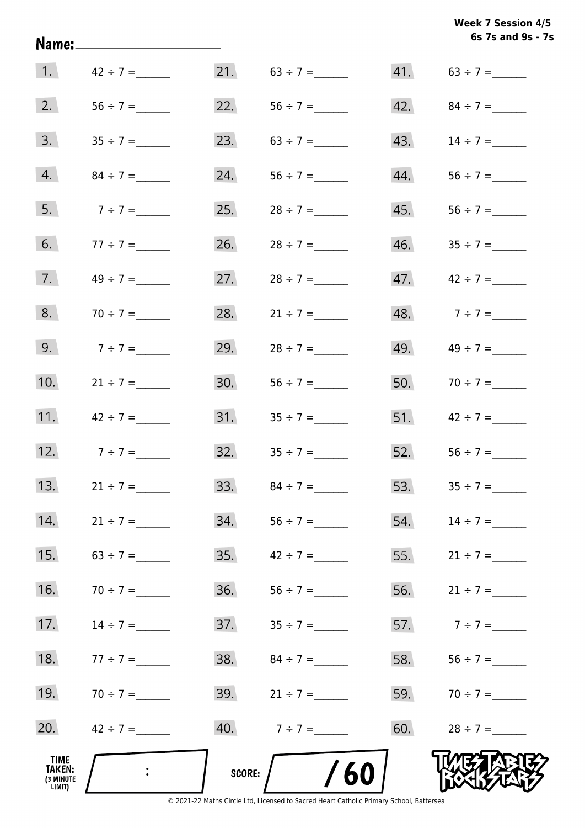**6s 7s and 9s - 7s Week 7 Session 4/5** 

|                                       |                                                                                       |     |                  |     | 6s 7s and 9s - 7  |
|---------------------------------------|---------------------------------------------------------------------------------------|-----|------------------|-----|-------------------|
| $\vert 1. \vert$                      | $42 \div 7 =$                                                                         | 21. | $63 \div 7 =$    |     |                   |
| 2.                                    |                                                                                       | 22. |                  | 42. | $84 \div 7 =$     |
| 3.                                    | $35 \div 7 =$                                                                         | 23. | $63 \div 7 =$    | 43. | $14 \div 7 =$     |
| 4.                                    | $84 \div 7 =$                                                                         | 24. |                  | 44. |                   |
| 5.                                    | $7 ÷ 7 =$                                                                             | 25. | $28 \div 7 =$    | 45. |                   |
| 6.                                    | $77 \div 7 =$                                                                         | 26. | $28 \div 7 =$    | 46. |                   |
| 7.                                    | $49 \div 7 =$                                                                         | 27. |                  | 47. | $42 \div 7 =$     |
| 8.                                    | $70 \div 7 =$                                                                         | 28. | $21 \div 7 =$    | 48. | $7 \div 7 =$      |
| 9.                                    | $7 \div 7 =$                                                                          | 29. |                  | 49. | $49 \div 7 =$     |
| 10.                                   | $21 \div 7 =$                                                                         | 30. |                  |     | 50. $70 \div 7 =$ |
| 11.                                   | $42 \div 7 =$                                                                         | 31. | $35 \div 7 =$    |     | 51. $42 \div 7 =$ |
| 12.                                   | $7 ÷ 7 =$                                                                             | 32. | $35 \div 7 =$    | 52. |                   |
| 13.                                   | $21 \div 7 =$                                                                         | 33. | $84 \div 7 =$    | 53. | $35 \div 7 =$     |
| 14.                                   | $21 \div 7 =$                                                                         | 34. |                  | 54. | $14 \div 7 =$     |
| 15.                                   | $63 \div 7 =$                                                                         | 35. | $42 \div 7 =$    |     | 55. $21 \div 7 =$ |
| 16.                                   | $70 \div 7 =$                                                                         | 36. |                  | 56. | $21 \div 7 =$     |
| 17.                                   | $14 \div 7 =$                                                                         | 37. |                  |     | 57. $7 \div 7 =$  |
| 18.                                   | $77 \div 7 =$                                                                         | 38. | $84 \div 7 =$    |     | 58. $56 \div 7 =$ |
| 19.                                   | $70 \div 7 =$                                                                         | 39. | $21 \div 7 =$    |     | 59. $70 \div 7 =$ |
| 20.                                   | $42 \div 7 =$                                                                         |     | 40. $7 \div 7 =$ |     | 60. $28 \div 7 =$ |
| TIME<br>TAKEN:<br>(3 MINUTE<br>LIMIT) | $\mathcal{L}^{\text{max}}_{\text{max}}$ . The $\mathcal{L}^{\text{max}}_{\text{max}}$ |     | SCORE: $/$ /60   |     |                   |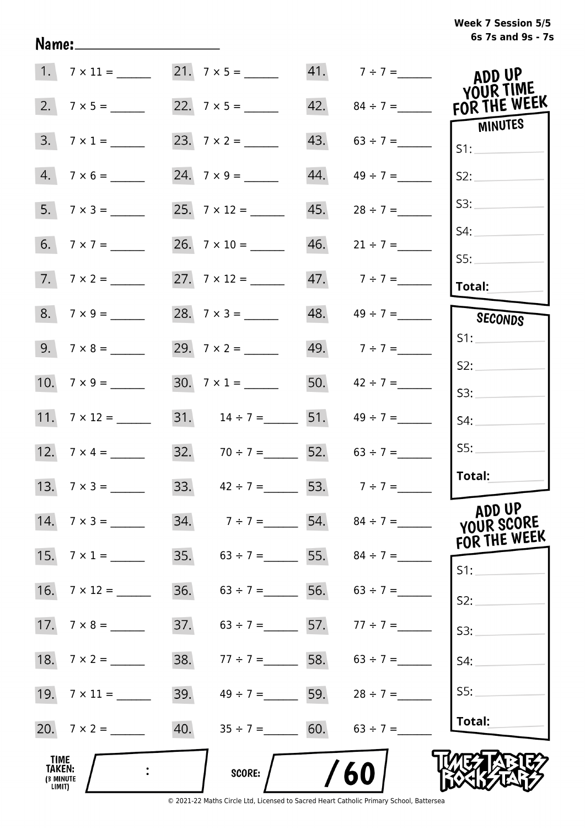# **6s 7s and 9s - 7s Week 7 Session 5/5**

|                                       | 1. $7 \times 11 =$ 21. $7 \times 5 =$ 21. |     |                                     |     | 41. $7 \div 7 =$                    | ADD UP<br>YOUR TIME                  |
|---------------------------------------|-------------------------------------------|-----|-------------------------------------|-----|-------------------------------------|--------------------------------------|
|                                       |                                           |     |                                     |     | 42. $84 \div 7 =$                   | FOR THE WEEK                         |
|                                       | $3.7 \times 1 =$                          |     |                                     |     | 43. $63 \div 7 =$                   | MINUTES<br>S1:                       |
|                                       | $4.7 \times 6 =$                          |     |                                     | 44. | $49 \div 7 =$                       | S2:                                  |
|                                       | 5. $7 \times 3 =$                         |     |                                     |     | $45.$ $28 \div 7 =$                 | S3:                                  |
|                                       |                                           |     |                                     |     | $46.$ $21 \div 7 =$                 | S4:                                  |
|                                       | $7.7 \times 2 =$                          |     |                                     |     | 47. $7 \div 7 =$                    | SS:<br>Total:                        |
|                                       | $8. 7 \times 9 =$                         |     |                                     |     | $48. \qquad 49 \div 7 =$            | SECONDS                              |
|                                       |                                           |     |                                     |     | 49. $7 \div 7 =$                    | S1:                                  |
|                                       | 10. $7 \times 9 =$                        |     | 30. $7 \times 1 =$                  |     | 50. $42 \div 7 =$                   | S2:<br>S3:                           |
|                                       |                                           |     |                                     |     | 31. $14 \div 7 =$ 51. $49 \div 7 =$ | S4:                                  |
|                                       | 12. $7 \times 4 =$                        |     | 32. $70 \div 7 =$ 52. $63 \div 7 =$ |     |                                     | SS:                                  |
|                                       | 13. $7 \times 3 =$                        |     | 33. $42 \div 7 =$ 53. $7 \div 7 =$  |     |                                     | Total:                               |
|                                       | 14. $7 \times 3 =$                        |     |                                     |     | 34. $7 \div 7 =$ 54. $84 \div 7 =$  | ADD UP<br>YOUR SCORE<br>FOR THE WEEK |
|                                       | 15. $7 \times 1 =$                        |     |                                     |     | 35. $63 \div 7 =$ 55. $84 \div 7 =$ | S1:                                  |
|                                       |                                           | 36. | $63 \div 7 =$ 56. $63 \div 7 =$     |     |                                     | S2:                                  |
|                                       |                                           | 37. | $63 \div 7 =$ 57. $77 \div 7 =$     |     |                                     | S3:                                  |
| 18.                                   | $7 \times 2 =$                            | 38. | $77 \div 7 =$ 58. 63 ÷ 7 =          |     |                                     | S4:                                  |
|                                       |                                           | 39. |                                     |     | $49 \div 7 =$ 59. $28 \div 7 =$     | S5:                                  |
|                                       | 20. $7 \times 2 =$                        |     | 40. $35 \div 7 =$ 60. $63 \div 7 =$ |     |                                     | Total:                               |
| TIME<br>TAKEN:<br>(3 MINUTE<br>LIMIT) |                                           |     | <b>SCORE:</b>                       |     | 60                                  |                                      |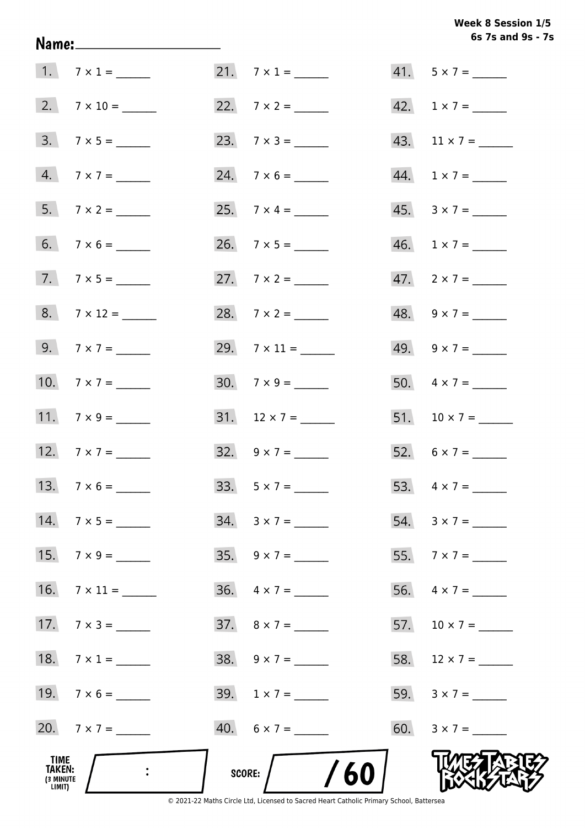# Week 8 Session 1/5 6s 7s and 9s - 7s

| TIME<br><b>TAKEN:</b><br>(3 MINUTE<br>LIMIT) | $\ddot{\cdot}$     | /60<br>SCORE:            |                             |
|----------------------------------------------|--------------------|--------------------------|-----------------------------|
|                                              | 20. $7 \times 7 =$ | $40. 6 \times 7 =$       |                             |
|                                              |                    | $39. 1 \times 7 =$       |                             |
|                                              | 18. $7 \times 1 =$ | $38. 9 \times 7 =$       | 58. $12 \times 7 =$         |
|                                              | $17.7 \times 3 =$  | $37. \quad 8 \times 7 =$ | 57. $10 \times 7 =$         |
|                                              |                    | $36. \quad 4 \times 7 =$ | 56. $4 \times 7 =$          |
|                                              | 15. $7 \times 9 =$ | $35. \quad 9 \times 7 =$ |                             |
|                                              | 14. $7 \times 5 =$ | $34. 3 \times 7 =$       | $54. 3 \times 7 =$          |
|                                              | 13. $7 \times 6 =$ | 33. $5 \times 7 =$       |                             |
|                                              | 12. $7 \times 7 =$ | $32. 9 \times 7 =$       | 52. $6 \times 7 =$          |
|                                              | 11. $7 \times 9 =$ |                          |                             |
|                                              | 10. $7 \times 7 =$ | $30. 7 \times 9 =$       | 50. $4 \times 7 =$          |
|                                              | 9. $7 \times 7 =$  | 29. $7 \times 11 =$      | 49. $9 \times 7 =$          |
|                                              | 8. $7 \times 12 =$ |                          | 48. $9 \times 7 =$          |
|                                              | $7.7 \times 5 =$   |                          |                             |
|                                              |                    |                          | $46. 1 \times 7 =$          |
|                                              | $7 \times 2 =$     |                          | $45. \quad 3 \times 7 = \_$ |
|                                              |                    |                          | 44. $1 \times 7 =$          |
|                                              | $3.7 \times 5 =$   | 23. $7 \times 3 =$       | 43. $11 \times 7 =$         |
|                                              |                    |                          | 42. $1 \times 7 =$          |
|                                              | $1.7 \times 1 =$   | $21.7 \times 1 =$        | $41. 5 \times 7 =$          |

Name: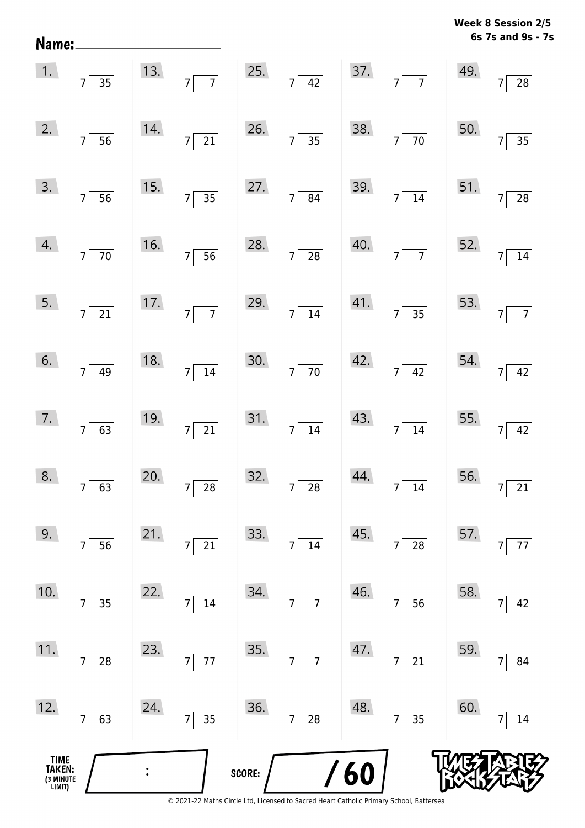| Name:                                 |                              |     |                                   |        |                                               |     |                                            |     | MEER O SESSION TO<br>6s 7s and 9s - 7s |
|---------------------------------------|------------------------------|-----|-----------------------------------|--------|-----------------------------------------------|-----|--------------------------------------------|-----|----------------------------------------|
| 1.                                    | $7\overline{)35}$            | 13. | $7\overline{7}$                   | 25.    | $7\overline{)42}$                             | 37. | $7\overline{7}$                            | 49. | $\overline{7}$<br>$28\,$               |
| 2.                                    | $7\overline{56}$             | 14. | $7\overline{21}$                  | 26.    | $\overline{\overline{\qquad \qquad }35}$<br>7 | 38. | $\overline{70}$<br>7                       | 50. | $\overline{35}$<br>$\overline{7}$      |
| 3.                                    | $7\overline{56}$             | 15. | $7\overline{)35}$                 | 27.    | $7\overline{84}$                              | 39. | $\overline{14}$<br>$7\lceil$               | 51. | $\overline{28}$<br>$\overline{7}$      |
| 4.                                    | $7\overline{70}$             | 16. | $7\overline{56}$                  | 28.    | $7\overline{28}$                              | 40. | $\overline{7}$<br>7                        | 52. | $14\,$<br>$\overline{7}$               |
| 5.                                    | $7\overline{21}$             | 17. | $\overline{7}$<br>$7\vert$        | 29.    | $7\overline{\smash{)}\ 14}$                   | 41. | $7\overline{35}$                           | 53. | $\overline{7}$<br>$\overline{7}$       |
| 6.                                    | $7 \overline{)49}$           | 18. | $\overline{14}$<br>7              | 30.    | $\overline{70}$<br>$7\vert$                   | 42. | 42<br>7                                    | 54. | 42<br>7 <sup>1</sup>                   |
| 7.                                    | $7\overline{63}$             | 19. | $7\overline{21}$                  | 31.    | $7\overline{)14}$                             | 43. | $\overline{14}$<br>7                       | 55. | 42<br>$\overline{7}$                   |
| 8.                                    | 63<br>$7\vert$               | 20. | $\overline{28}$<br>$\overline{7}$ | 32.    | $\overline{7}$<br>$\overline{28}$             | 44. | $\overline{14}$<br>7 <sup>5</sup>          | 56. | $\overline{21}$<br>$\overline{7}$      |
| 9.                                    | $7 \overline{)56}$           | 21. | $\overline{21}$<br>$\overline{7}$ | 33.    | $\overline{14}$<br>$\overline{7}$             | 45. | $\overline{\mathbf{28}}$<br>$\overline{7}$ | 57. | 77<br>$\overline{7}$                   |
| 10.                                   | $\overline{35}$<br>7         | 22. | $\frac{1}{14}$<br>7               | 34.    | $\frac{1}{7}$<br>7                            | 46. | $\overline{56}$<br>$7\vert$                | 58. | 42<br>$\overline{7}$                   |
| 11.                                   | $7\vert$<br>$\overline{28}$  | 23. | $\overline{77}$<br>7              | 35.    | $\overline{7}$<br>$\overline{7}$              | 47. | $\overline{21}$<br>7                       | 59. | 84<br>7                                |
| 12.                                   | $\overline{63}$<br>$7\lceil$ | 24. | $7\overline{)35}$                 | 36.    | $\sqrt{28}$<br>7                              | 48. | $\frac{1}{35}$<br>7                        | 60. | 14                                     |
| TIME<br>TAKEN:<br>(3 MINUTE<br>LIMIT) |                              |     |                                   | SCORE: |                                               | /60 |                                            |     |                                        |

**Week 8 Session 2/5**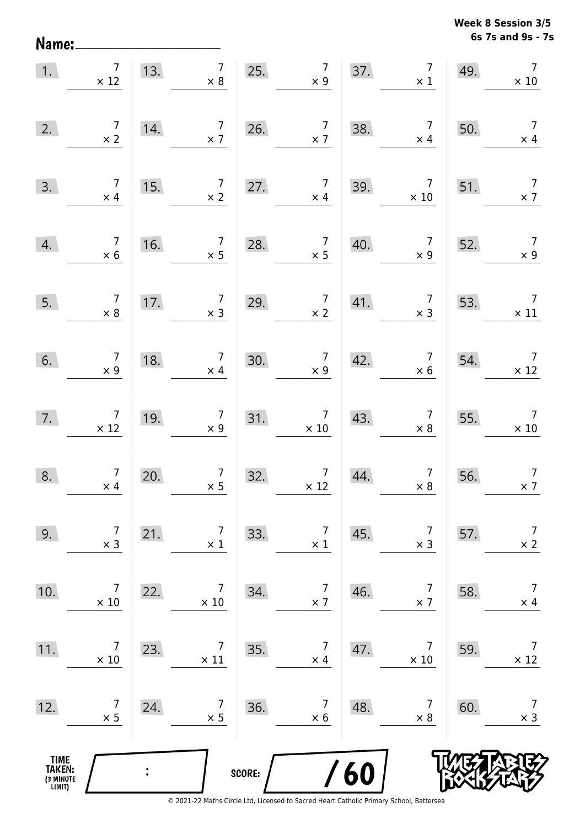Name:

**6s 7s and 9s - 7s Week 8 Session 3/5** 

| 1.                                            | $\overline{7}$<br>$\times$ 12                    | 13. | $\begin{array}{c} 7 \\ \times 8 \end{array}$     |        | 25. $7 \times 9$                                       |     | 37. $7 \times 1$                                           | 49. | $\overline{7}$<br>$\times$ 10                 |
|-----------------------------------------------|--------------------------------------------------|-----|--------------------------------------------------|--------|--------------------------------------------------------|-----|------------------------------------------------------------|-----|-----------------------------------------------|
| 2.                                            | $\begin{array}{c} 7 \\ \times 2 \end{array}$     | 14. | $\begin{array}{c} 7 \\ \times 7 \end{array}$     | 26.    | $\begin{array}{c} 7 \\ \times 7 \end{array}$           | 38. | $\begin{array}{c} 7 \\ \times 4 \end{array}$               | 50. | $\begin{array}{c} 7 \\ \times 4 \end{array}$  |
| 3.                                            | $\begin{array}{c} 7 \\ \times 4 \end{array}$     | 15. | $\begin{array}{c} 7 \\ \times 2 \end{array}$     | 27.    | $\begin{array}{c c} 7 & 39. \\ \times 4 & \end{array}$ |     | $\begin{array}{c c} & 7 \\ \hline & \times 10 \end{array}$ | 51. | $\begin{array}{c} 7 \\ \times 7 \end{array}$  |
| 4.                                            | $\begin{array}{c} 7 \\ \times 6 \end{array}$     | 16. | $\begin{array}{c c}\n7 \\ \times 5\n\end{array}$ | 28.    | $\begin{array}{c} 7 \\ \times 5 \end{array}$           | 40. | $\begin{array}{c c} & 7 \\ \times 9 \end{array}$           | 52. | $\begin{array}{c} 7 \\ \times 9 \end{array}$  |
| 5.                                            | $\begin{array}{c} 7 \\ \times 8 \end{array}$     | 17. | $\begin{array}{c} 7 \\ \times 3 \end{array}$     | 29.    | $\begin{array}{c} 7 \\ \times 2 \end{array}$           | 41. | $\begin{array}{c} 7 \\ \times 3 \end{array}$               | 53. | $\overline{7}$<br>$\times$ 11                 |
| 6.                                            | $\begin{array}{c} 7 \\ \times 9 \end{array}$     | 18. | $\begin{array}{c} 7 \\ \times 4 \end{array}$     | 30.    | $\begin{array}{c} 7 \\ \times 9 \end{array}$           | 42. | $\begin{array}{c} 7 \\ \times 6 \end{array}$               | 54. | $\overline{7}$<br>$\times$ 12                 |
| 7.                                            | $\begin{array}{c} \n7 \\ \times 12\n\end{array}$ | 19. | $\frac{7}{\times 9}$                             | 31.    | $\begin{array}{c} 7 \\ \times 10 \end{array}$          | 43. | $\begin{array}{c} 7 \\ \times 8 \end{array}$               | 55. | $\begin{array}{c} 7 \\ \times 10 \end{array}$ |
| 8.                                            | $\begin{array}{c} 7 \\ \times 4 \end{array}$     | 20. | $\begin{array}{c} 7 \\ \times 5 \end{array}$     | 32.    | $\begin{array}{c} 7 \\ \times 12 \end{array}$          | 44. | $\begin{array}{c} 7 \\ \times 8 \end{array}$               | 56. | $\overline{7}$<br>$\times$ 7                  |
| 9.                                            | 7<br>$\times$ 3                                  | 21. | $\overline{7}$<br>$\times$ 1                     | 33.    | $\overline{7}$<br>$\times$ 1                           | 45. | 7<br>$\times$ 3                                            | 57. | $\overline{7}$<br>$\times$ 2                  |
| 10.                                           | 7<br>$\times$ 10                                 | 22. | $\overline{7}$<br>$\times$ 10                    | 34.    | $\overline{7}$<br>$\times$ 7                           | 46. | 7<br>$\times$ 7                                            | 58. | $\overline{7}$<br>$\times$ 4                  |
| 11.                                           | 7<br>$\times$ 10                                 | 23. | $\overline{7}$<br>$\times$ 11                    | 35.    | 7<br>$\times$ 4                                        | 47. | 7<br>$\times$ 10                                           | 59. | $\overline{7}$<br>$\times$ 12                 |
| 12.                                           | 7<br>$\times$ 5                                  | 24. | 7<br>$\times$ 5                                  | 36.    | 7<br>$\times$ 6                                        | 48. | 7<br>$\times 8$                                            | 60. | $\overline{7}$<br>$\times$ 3                  |
| <b>TIME<br/>TAKEN:</b><br>(3 MINUTE<br>LIMIT) |                                                  |     |                                                  | SCORE: |                                                        | 60  |                                                            |     |                                               |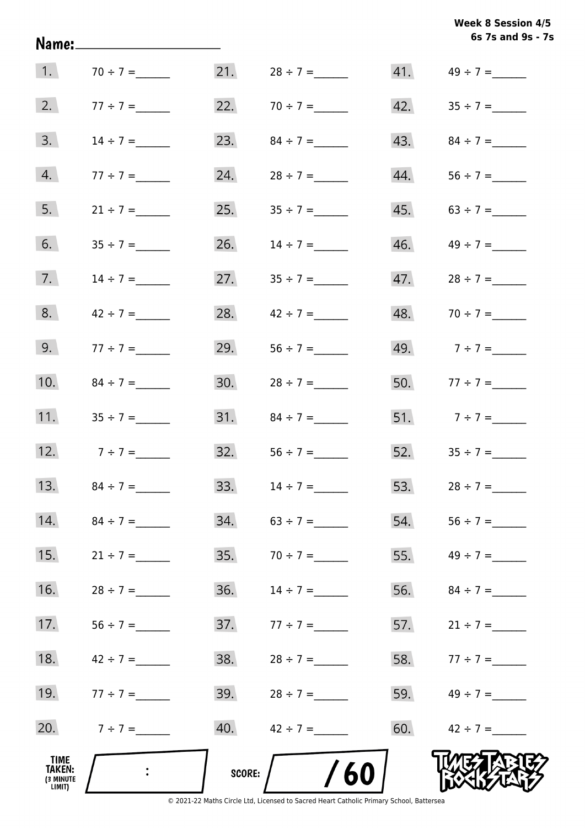**6s 7s and 9s - 7s Week 8 Session 4/5** 

| 1.                                    | $70 \div 7 =$             | 21.    | $28 \div 7 =$ |     |                   |
|---------------------------------------|---------------------------|--------|---------------|-----|-------------------|
| 2.                                    | $77 \div 7 =$             | 22.    |               | 42. |                   |
| 3.                                    | $14 \div 7 =$             | 23.    | $84 \div 7 =$ | 43. | $84 \div 7 =$     |
| 4.                                    | $77 \div 7 =$             | 24.    | $28 \div 7 =$ | 44. |                   |
| 5.                                    | $21 \div 7 =$             | 25.    |               |     | 45. $63 \div 7 =$ |
| 6.                                    |                           | 26.    | $14 \div 7 =$ | 46. |                   |
| 7.                                    | $14 \div 7 =$             | 27.    | $35 \div 7 =$ | 47. | $28 \div 7 =$     |
| 8.                                    | $42 \div 7 =$             | 28.    | $42 \div 7 =$ | 48. | $70 \div 7 =$     |
| 9.                                    | $77 \div 7 =$             | 29.    |               |     | 49. $7 \div 7 =$  |
| 10.                                   | $84 \div 7 =$             | 30.    |               |     | 50. $77 \div 7 =$ |
| 11.                                   |                           | 31.    | $84 \div 7 =$ |     | 51. $7 \div 7 =$  |
|                                       | 12. $7 \div 7 =$          | 32.    |               |     | 52. $35 \div 7 =$ |
| 13.                                   | $84 \div 7 =$             | 33.    | $14 \div 7 =$ |     | 53. $28 \div 7 =$ |
| 14.                                   |                           | 34.    |               | 54. |                   |
| 15.                                   | $21 \div 7 =$             | 35.    | $70 \div 7 =$ | 55. | $49 \div 7 =$     |
| 16.                                   | $28 \div 7 =$             | 36.    | $14 \div 7 =$ | 56. | $84 \div 7 =$     |
| 17.                                   |                           | 37.    | $77 \div 7 =$ | 57. | $21 \div 7 =$     |
| 18.                                   | $42 \div 7 =$             | 38.    | $28 \div 7 =$ |     | 58. $77 \div 7 =$ |
| 19.                                   | $77 \div 7 =$             | 39.    | $28 \div 7 =$ |     | 59. $49 \div 7 =$ |
| 20.                                   | $7 \div 7 =$              | 40.    | $42 \div 7 =$ | 60. | $42 \div 7 =$     |
| TIME<br>TAKEN:<br>(3 MINUTE<br>LIMIT) | $\mathbb{R}^{\mathbb{Z}}$ | SCORE: | /60           |     |                   |

Name: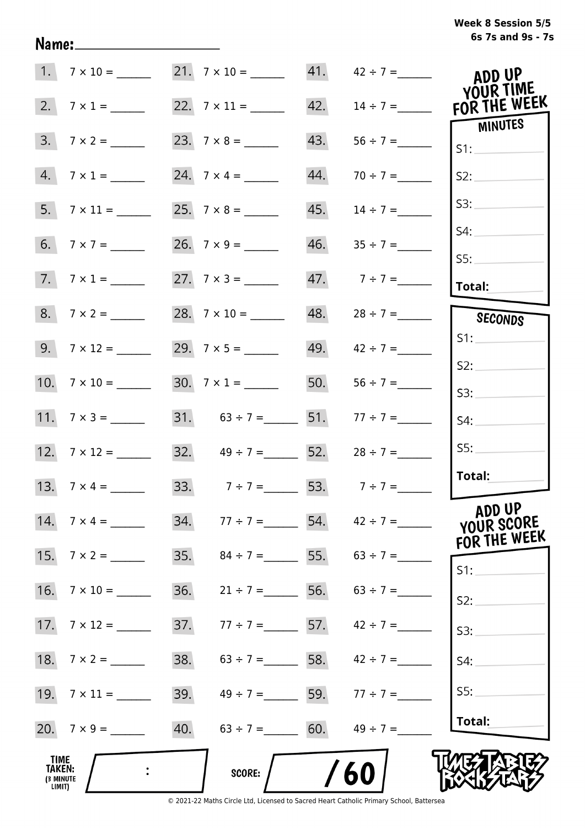# **6s 7s and 9s - 7s Week 8 Session 5/5**

|                                       | $1. 7 \times 10 =$  | 21. $7 \times 10 =$ 41. $42 \div 7 =$ |     |                                 | ADD UP<br>YOUR TIME                  |
|---------------------------------------|---------------------|---------------------------------------|-----|---------------------------------|--------------------------------------|
|                                       | 2. $7 \times 1 =$   |                                       | 42. | $14 \div 7 =$                   | FOR THE WEEK                         |
|                                       | $3. 7 \times 2 =$   |                                       | 43. |                                 | MINUTES<br>S1:                       |
|                                       | $4.7 \times 1 =$    |                                       | 44. | $70 \div 7 =$                   | S2:                                  |
|                                       |                     |                                       | 45. | $14 \div 7 =$                   | S3:                                  |
|                                       | 6. $7 \times 7 =$   |                                       | 46. | $35 \div 7 =$                   | S4:                                  |
|                                       | $7.7 \times 1 =$    | 27. $7 \times 3 =$                    |     | 47. $7 \div 7 =$                | S5:<br>Total:                        |
|                                       | $8. 7 \times 2 =$   |                                       |     | $48. 28 \div 7 =$               | SECONDS                              |
|                                       |                     |                                       |     | 49. $42 \div 7 =$               | S1:                                  |
|                                       |                     | $30.7 \times 1 =$                     | 50. |                                 | S2:<br>S3:                           |
|                                       | 11. $7 \times 3 =$  | 31. $63 \div 7 =$ 51.                 |     | $77 \div 7 =$                   | S4:                                  |
|                                       | 12. $7 \times 12 =$ | 32. $49 \div 7 =$ 52.                 |     | $28 \div 7 =$                   | SS:                                  |
|                                       | 13. $7 \times 4 =$  | 33. $7 \div 7 =$ 53. $7 \div 7 =$     |     |                                 | Total:                               |
|                                       |                     | 34.                                   |     | $77 \div 7 =$ 54. $42 \div 7 =$ | ADD UP<br>YOUR SCORE<br>FOR THE WEEK |
|                                       |                     | 35.                                   |     | $84 \div 7 =$ 55. $63 \div 7 =$ | S1:                                  |
| 16.                                   |                     | 36.<br>$21 \div 7 =$ 56.              |     | $63 \div 7 =$                   | S2:                                  |
|                                       |                     | 37.<br>$77 \div 7 =$ 57.              |     | $42 \div 7 =$                   | S3:                                  |
| 18.                                   | $7 \times 2 =$      | 38.<br>$63 \div 7 =$ 58.              |     | $42 \div 7 =$                   | S4:                                  |
|                                       | 19. $7 \times 11 =$ | 39.                                   |     | $49 \div 7 =$ 59. $77 \div 7 =$ | SS:                                  |
|                                       | 20. $7 \times 9 =$  | 40.                                   |     | $63 \div 7 =$ 60. $49 \div 7 =$ | Total:                               |
| TIME<br>TAKEN:<br>(3 MINUTE<br>LIMIT) |                     | <b>SCORE:</b>                         |     | 60                              |                                      |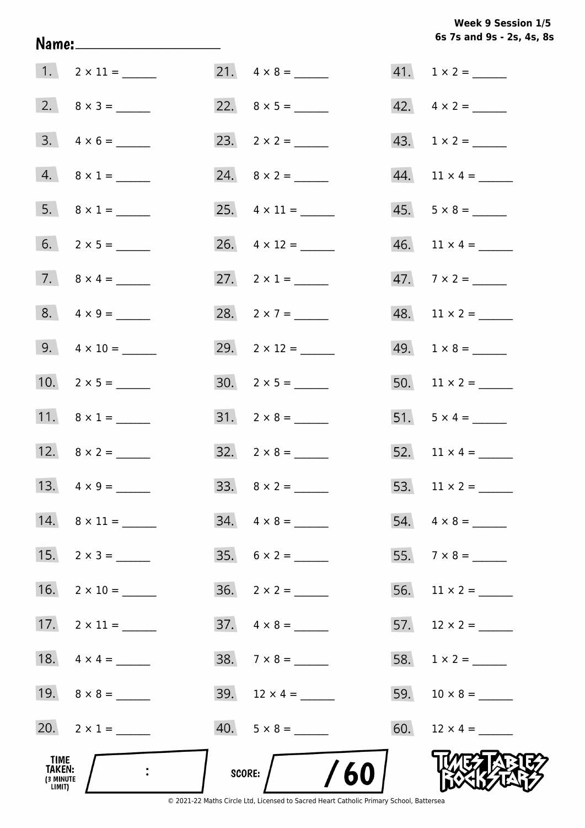**6s 7s and 9s - 2s, 4s, 8s Week 9 Session 1/5** 

|                                              | 1. $2 \times 11 =$      | 21. $4 \times 8 =$                                                                                | $41. 1 \times 2 =$       |
|----------------------------------------------|-------------------------|---------------------------------------------------------------------------------------------------|--------------------------|
|                                              |                         |                                                                                                   | $42. \quad 4 \times 2 =$ |
|                                              | $3. \quad 4 \times 6 =$ |                                                                                                   | 43. $1 \times 2 =$       |
|                                              | 4. $8 \times 1 =$       |                                                                                                   |                          |
|                                              | 5. $8 \times 1 =$       |                                                                                                   | $45. 5 \times 8 =$       |
|                                              |                         |                                                                                                   |                          |
|                                              |                         | 27. $2 \times 1 =$                                                                                | $47.7 \times 2 =$        |
|                                              |                         | 28. $2 \times 7 =$                                                                                |                          |
|                                              | 9. $4 \times 10 =$      | 29. $2 \times 12 =$                                                                               | $49. 1 \times 8 =$       |
|                                              | 10. $2 \times 5 =$      |                                                                                                   |                          |
|                                              | 11. $8 \times 1 =$      | $31. 2 \times 8 =$                                                                                | 51. $5 \times 4 =$       |
|                                              | 12. $8 \times 2 =$      | $32. \quad 2 \times 8 =$                                                                          | 52. $11 \times 4 =$      |
|                                              | 13. $4 \times 9 =$      |                                                                                                   | 53. $11 \times 2 =$      |
| 14.                                          | $8 \times 11 =$         | $34. \quad 4 \times 8 =$                                                                          | $54. \quad 4 \times 8 =$ |
| 15.                                          |                         | $35. 6 \times 2 =$                                                                                |                          |
| 16.                                          |                         |                                                                                                   |                          |
| 17.                                          | $2 \times 11 =$         | $37. \quad 4 \times 8 =$                                                                          |                          |
|                                              |                         | $38. 7 \times 8 =$                                                                                |                          |
|                                              | 19. $8 \times 8 =$      | 39. $12 \times 4 =$                                                                               |                          |
|                                              | 20. $2 \times 1 =$      | $40. 5 \times 8 =$                                                                                |                          |
| TIME<br><b>TAKEN:</b><br>(3 MINUTE<br>LIMIT) |                         | SCORE:<br>© 2021-22 Maths Circle Ltd. Licensed to Sacred Heart Catholic Primary School, Battersea |                          |

Name: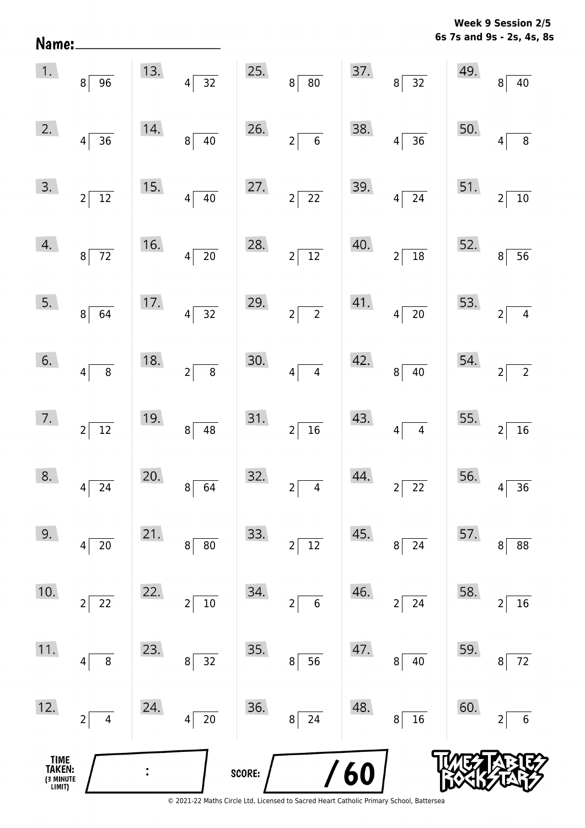**6s 7s and 9s - 2s, 4s, 8s Week 9 Session 2/5** 

| Name:                                         |                            |                |                                    |        |                                |     |                                |     | 6s 7s and 9s - 2s, 4s, 8          |
|-----------------------------------------------|----------------------------|----------------|------------------------------------|--------|--------------------------------|-----|--------------------------------|-----|-----------------------------------|
| 1.                                            | $8 \mid 96$                | 13.            | $\overline{32}$<br>$\vert 4 \vert$ | 25.    | $\overline{80}$<br>$8\sqrt{ }$ | 37. | $8\sqrt{32}$                   | 49. | 40<br>8                           |
| 2.                                            | $\vert 4 \vert$<br>36      | 14.            | $\overline{40}$<br>$8\sqrt{ }$     | 26.    | $2\sqrt{6}$                    | 38. | $\overline{36}$<br>$4\vert$    | 50. | $\overline{8}$<br>$\overline{4}$  |
| 3.                                            | $2\sqrt{12}$               | 15.            | $\overline{40}$<br>$4\sqrt{ }$     | 27.    | $2\sqrt{22}$                   | 39. | $4\sqrt{24}$                   | 51. | $\overline{10}$<br>$\overline{2}$ |
| 4.                                            | $8\overline{72}$           | 16.            | $\overline{20}$<br>$4\vert$        | 28.    | $2\sqrt{12}$                   | 40. | $2\sqrt{18}$                   | 52. | $\overline{56}$<br>8              |
| 5.                                            | $8\sqrt{64}$               | 17.            | $4\overline{)32}$                  | 29.    | $2\sqrt{2}$                    | 41. | $4\sqrt{20}$                   | 53. | $\overline{4}$<br>$\overline{2}$  |
| 6.                                            | $\vert 4 \vert$<br>$\bf 8$ | 18.            | $\overline{8}$<br>$2\sqrt{ }$      | 30.    | $\overline{4}$<br>$4\sqrt{ }$  | 42. | $\overline{40}$<br>$8\vert$    | 54. | $\overline{2}$<br>$\overline{2}$  |
| 7.                                            | $2\sqrt{12}$               | 19.            | $8 \overline{)48}$                 | 31.    | $2\sqrt{16}$                   | 43. | $\overline{4}$<br>$4\vert$     | 55. | $\overline{16}$<br>$\overline{2}$ |
| 8.                                            | 24<br>$\vert 4 \vert$      | 20.            | $\vert 8 \vert$<br>64              | 32.    | $2\vert$<br>$\overline{4}$     | 44. | $2\sqrt{ }$<br>$\overline{22}$ | 56. | 36<br>4                           |
| 9.                                            | 20<br> 4                   | 21.            | $80\,$<br>8                        | 33.    | $2\sqrt{12}$                   | 45. | $\overline{24}$<br> 8          | 57. | $88\,$<br>8                       |
| 10.                                           | 22<br>$2\vert$             | 22.            | $\overline{10}$<br>$2\vert$        | 34.    | $2 \mid 6$                     | 46. | $\overline{24}$<br>$2\sqrt{ }$ | 58. | $\overline{16}$<br>$\overline{2}$ |
| 11.                                           | 8<br>$\vert 4 \vert$       | 23.            | $\overline{32}$<br>$8\vert$        | 35.    | 56<br>$8\vert$                 | 47. | 8 <br>40                       | 59. | $\overline{72}$<br>8              |
| 12.                                           | $2\vert$<br>$\overline{4}$ | 24.            | $\overline{20}$<br>$4\vert$        | 36.    | $8\sqrt{24}$                   | 48. | $\overline{16}$<br>$8\vert$    | 60. | $\sqrt{6}$<br>$\overline{2}$      |
| <b>TIME<br/>TAKEN:</b><br>(3 MINUTE<br>LIMIT) |                            | $\ddot{\cdot}$ |                                    | SCORE: |                                | /60 |                                |     |                                   |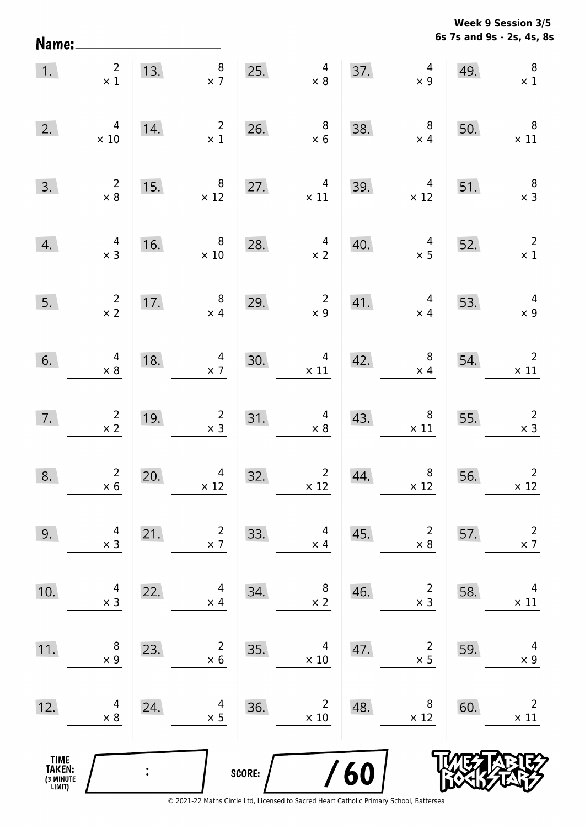Name:

**6s 7s and 9s - 2s, 4s, 8s Week 9 Session 3/5** 

| 1.                                            | $\begin{array}{c} 2 \\ \times 1 \end{array}$ |     | 13. $8 \times 7 \times 7 \times 8$               |        |                                               |                                                        | 37.<br>$4 \times 9$                           | 49.                                                                                           | $\, 8$<br>$\times$ 1                                                                                  |
|-----------------------------------------------|----------------------------------------------|-----|--------------------------------------------------|--------|-----------------------------------------------|--------------------------------------------------------|-----------------------------------------------|-----------------------------------------------------------------------------------------------|-------------------------------------------------------------------------------------------------------|
| 2.                                            | 4<br>$\times$ 10                             | 14. | $2^{\circ}$<br>$\times$ 1                        | 26.    | $\begin{array}{c} 8 \\ \times 6 \end{array}$  | 38.                                                    | $\begin{array}{r} 8 \\ \times 4 \end{array}$  | 50.                                                                                           | $\overline{\phantom{0}}$ 8<br>$\times$ 11                                                             |
| 3.                                            | $\begin{array}{r} 2 \\ \times 8 \end{array}$ |     | 15. $8 \times 12$                                |        | 27. $4 \times 11$                             | 39.                                                    | 39. $4 \times 12$ 51.                         |                                                                                               | $\begin{array}{c} 8 \\ \times 3 \end{array}$                                                          |
| 4.                                            | $4 \times 3$                                 |     | 16. $8 \times 10$                                | 28.    | 28. $4 \times 2$                              | 40.                                                    |                                               | $\begin{array}{@{}c@{\hspace{1em}}c@{\hspace{1em}}}\n & 4 & 52. \\  \times 5 & & \end{array}$ | $\overline{\mathbf{c}}$<br>$\times$ 1                                                                 |
| 5.                                            | $\frac{2}{x}$                                |     | 17. $\begin{array}{c} 8 \\ \times 4 \end{array}$ | 29.    |                                               | $\begin{array}{c c} 2 & 41. \\ \times 9 & \end{array}$ | $\begin{array}{c} 4 \\ \times 4 \end{array}$  | 53.                                                                                           | $4 \times 9$                                                                                          |
| 6.                                            | $\begin{array}{c} 4 \\ \times 8 \end{array}$ | 18. | $\begin{array}{r}4\\ \times 7\end{array}$        |        | $30.$ $4 \times 11$                           | 42.                                                    |                                               | $\begin{array}{c c} 8 & 54. \ \times 4 & \end{array}$                                         | $\begin{array}{c} 2 \\ \times 11 \end{array}$                                                         |
| 7.                                            | $\frac{2}{x^2}$                              |     | 19. $\begin{array}{r} 2 \\ \times 3 \end{array}$ |        | $31.$ $4 \times 8$                            | $\begin{array}{c}\n 43. \\  -\end{array}$              |                                               |                                                                                               | $\begin{array}{ c c c }\n \hline\n & 8 & 55. & 2 \\  \times 11 & & \times 3 \\  \hline\n \end{array}$ |
| 8.                                            | $\begin{array}{c} 2 \\ \times 6 \end{array}$ | 20. | $\begin{array}{c} 4 \\ \times 12 \end{array}$    | 32.    | $\begin{array}{c} 2 \\ \times 12 \end{array}$ | 44.                                                    | $\begin{array}{c} 8 \\ \times 12 \end{array}$ | 56.                                                                                           | $\begin{array}{c}2\\ \times 12\end{array}$                                                            |
| 9.                                            | 4<br>$\times$ 3                              | 21. | $\overline{2}$<br>$\times$ 7                     | 33.    | 4<br>$\times$ 4                               | 45.                                                    | $\overline{2}$<br>$\times$ 8                  | 57.                                                                                           | $\overline{2}$<br>$\times$ 7                                                                          |
| 10.                                           | 4<br>$\times$ 3                              | 22. | 4<br>$\times$ 4                                  | 34.    | 8<br>$\times$ 2                               | 46.                                                    | $\overline{2}$<br>$\times$ 3                  | 58.                                                                                           | 4<br>$\times$ 11                                                                                      |
| 11.                                           | 8<br>$\times$ 9                              | 23. | $\overline{2}$<br>$\times$ 6                     | 35.    | 4<br>$\times$ 10                              | 47.                                                    | $\overline{2}$<br>$\times$ 5                  | 59.                                                                                           | 4<br>$\times$ 9                                                                                       |
| 12.                                           | 4<br>$\times 8$                              | 24. | 4<br>$\times$ 5                                  | 36.    | $\overline{2}$<br>$\times$ 10                 | 48.                                                    | 8<br>$\times$ 12                              | 60.                                                                                           | $\overline{2}$<br>$\times$ 11                                                                         |
| <b>TIME<br/>TAKEN:</b><br>(3 MINUTE<br>LIMIT) |                                              |     |                                                  | SCORE: |                                               | 60                                                     |                                               |                                                                                               |                                                                                                       |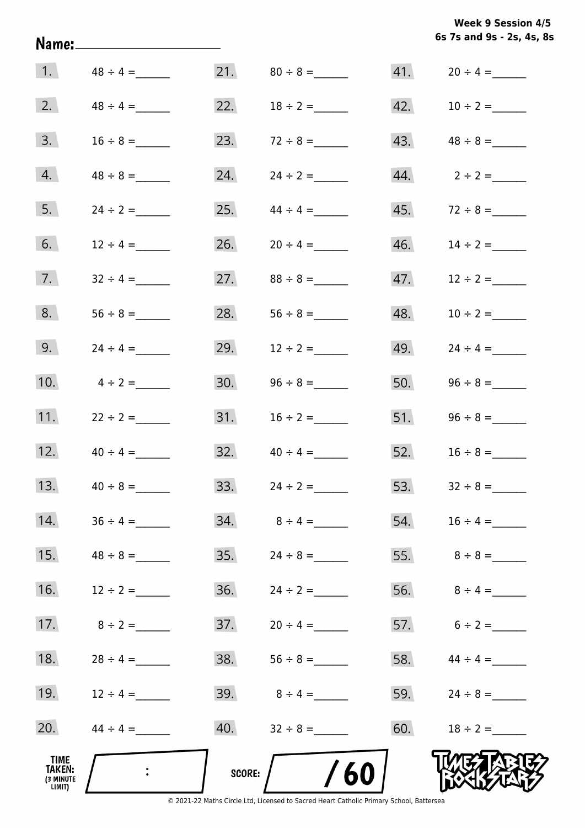|                           | <b>Week 9 Session 4/5</b> |  |  |
|---------------------------|---------------------------|--|--|
| 6s 7s and 9s - 2s, 4s, 8s |                           |  |  |

|                                       |                           |        |               |     | 6s 7s and 9s - 2s, 4s, 8 |
|---------------------------------------|---------------------------|--------|---------------|-----|--------------------------|
| 1.                                    | $48 \div 4 =$             |        |               |     | $41. 20 \div 4 =$        |
| 2.                                    | $48 \div 4 =$             | 22.    |               | 42. | $10 \div 2 =$            |
| 3.                                    | $16 \div 8 =$             | 23.    | $72 \div 8 =$ | 43. |                          |
| 4.                                    | $48 \div 8 =$             | 24.    | $24 \div 2 =$ | 44. | $2 \div 2 =$             |
| 5.                                    | $24 \div 2 =$             | 25.    | $44 \div 4 =$ | 45. |                          |
| 6.                                    | $12 \div 4 =$             | 26.    | $20 \div 4 =$ | 46. | $14 \div 2 =$            |
| 7.                                    | $32 \div 4 =$             | 27.    |               | 47. | $12 \div 2 =$            |
| 8.                                    |                           | 28.    |               | 48. | $10 \div 2 =$            |
| 9.                                    |                           | 29.    | $12 \div 2 =$ | 49. | $24 \div 4 =$            |
| 10.                                   | $4 \div 2 =$              | 30.    |               | 50. |                          |
| 11.                                   | $22 \div 2 =$             | 31.    | $16 \div 2 =$ | 51. |                          |
| 12.                                   | $40 \div 4 =$             | 32.    | $40 \div 4 =$ |     | 52. $16 \div 8 =$        |
| 13.                                   |                           | 33.    | $24 \div 2 =$ |     | 53. $32 \div 8 =$        |
| 14.                                   | $36 \div 4 =$             |        |               | 54. | $16 \div 4 =$            |
| 15.                                   |                           | 35.    | $24 \div 8 =$ |     |                          |
| 16.                                   | $12 \div 2 =$             | 36.    | $24 \div 2 =$ |     | 56. $8 \div 4 =$         |
| 17.                                   | $8 \div 2 =$              |        |               |     | 57. $6 \div 2 =$         |
| 18.                                   | $28 \div 4 =$             | 38.    | $56 \div 8 =$ |     | 58. $44 \div 4 =$        |
| 19.                                   | $12 \div 4 =$             | 39.    | $8 \div 4 =$  |     | 59. $24 \div 8 =$        |
| 20.                                   | $44 \div 4 =$             |        |               |     |                          |
| TIME<br>TAKEN:<br>(3 MINUTE<br>LIMIT) | $\mathbb{R}^{\mathbb{Z}}$ | score: | /60           |     |                          |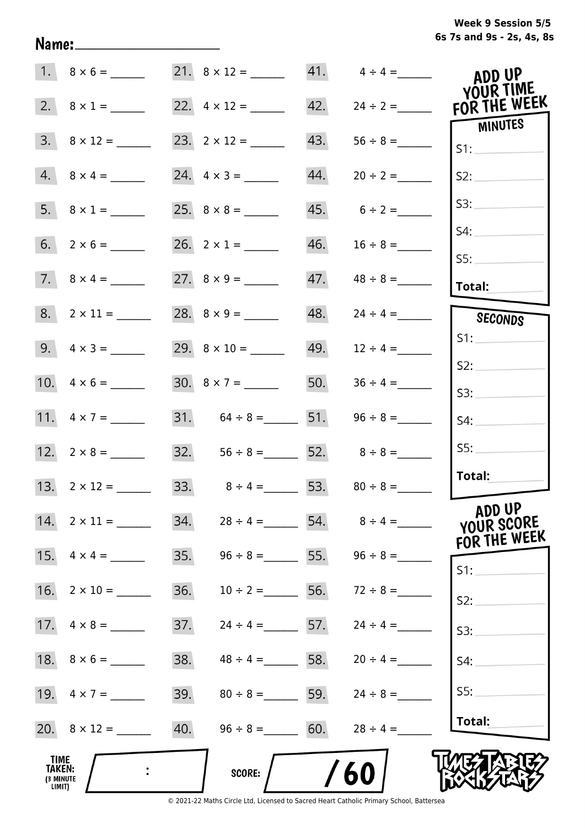|  | Week 9 Session 5/5        |  |  |  |
|--|---------------------------|--|--|--|
|  | 6s 7s and 9s - 2s, 4s, 8s |  |  |  |

|                                        | $1. 8 \times 6 =$    |     | 21. $8 \times 12 =$ 41. $4 \div 4 =$ |     |                   | ADD UP<br>YOUR TIME                  |
|----------------------------------------|----------------------|-----|--------------------------------------|-----|-------------------|--------------------------------------|
|                                        | 2. $8 \times 1 =$    |     |                                      | 42. | $24 \div 2 =$     | FOR THE WEEK                         |
|                                        | $3. \ 8 \times 12 =$ |     |                                      | 43. | $56 \div 8 =$     | MINUTES<br>S1:                       |
|                                        | $4. 8 \times 4 =$    |     |                                      | 44. | $20 \div 2 =$     | S2:                                  |
|                                        | 5. $8 \times 1 =$    |     |                                      |     | $45. 6 \div 2 =$  | S3:                                  |
|                                        |                      |     | 26. $2 \times 1 =$                   | 46. |                   | S4:<br>SS:                           |
|                                        |                      |     |                                      | 47. |                   | Total:                               |
|                                        |                      |     | 28. $8 \times 9 =$                   | 48. | $24 \div 4 =$     | SECONDS                              |
|                                        | 9. $4 \times 3 =$    |     |                                      |     | $49. 12 \div 4 =$ | S1:                                  |
|                                        |                      |     | $30. 8 \times 7 =$                   | 50. | $36 \div 4 =$     | S2:<br>S3:                           |
|                                        | 11. $4 \times 7 =$   |     | 31. $64 \div 8 =$ 51.                |     |                   | S4:                                  |
|                                        |                      |     | 32. $56 \div 8 =$ 52. $8 \div 8 =$   |     |                   | SS:                                  |
|                                        | 13. $2 \times 12 =$  |     | 33. $8 \div 4 = 53. 80 \div 8 =$     |     |                   | Total:                               |
| 14.                                    |                      | 34. | $28 \div 4 =$                        |     | 54. $8 \div 4 =$  | ADD UP<br>YOUR SCORE<br>FOR THE WEEK |
| 15.                                    | $4 \times 4 =$       | 35. | $96 \div 8 =$ 55.                    |     | $96 \div 8 =$     | $S1$ :                               |
| 16.                                    | $2 \times 10 =$      | 36. | $10 \div 2 =$                        | 56. | $72 \div 8 =$     | S2:                                  |
|                                        |                      | 37. | $24 \div 4 =$ 57.                    |     | $24 \div 4 =$     | S3:                                  |
|                                        |                      | 38. | $48 \div 4 =$ 58.                    |     | $20 \div 4 =$     | S4:                                  |
|                                        |                      | 39. | $80 \div 8 =$ 59.                    |     | $24 \div 8 =$     | SS:                                  |
|                                        |                      | 40. | $96 \div 8 =$ 60.                    |     | $28 \div 4 =$     | Total:                               |
| _TIME<br>TAKEN:<br>(3 MINUTE<br>LIMIT) |                      |     | <b>SCORE:</b>                        |     | 60                |                                      |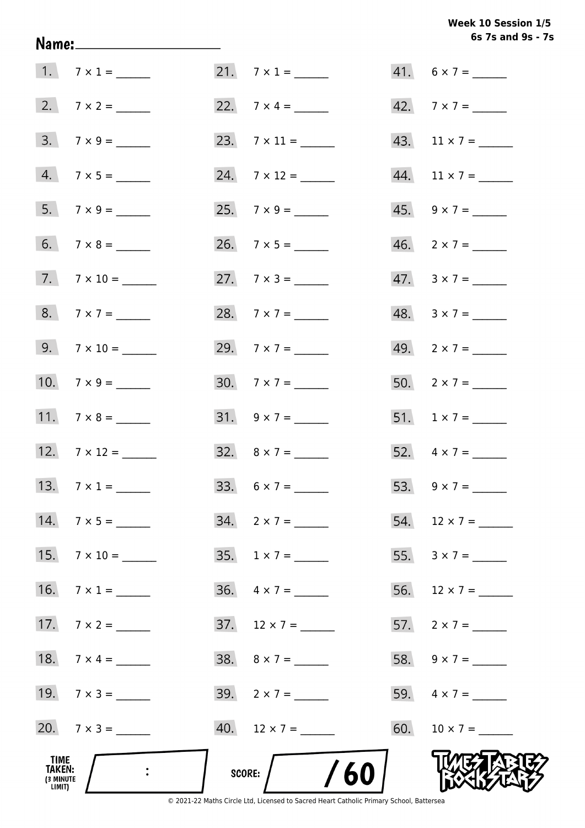# Week 10 Session 1/5 6s 7s and 9s - 7s

| TIME<br>TAKEN:<br>(3 MINUTE<br>LIMIT) | $\mathbb{R}^2$      | SCORE: $/$ /60           |                          |
|---------------------------------------|---------------------|--------------------------|--------------------------|
|                                       | 20. $7 \times 3 =$  | $40.$ 12 × 7 = _______   | 60. $10 \times 7 =$      |
|                                       | 19. $7 \times 3 =$  | $39. \quad 2 \times 7 =$ |                          |
|                                       | 18. $7 \times 4 =$  | 38. $8 \times 7 =$       | 58. $9 \times 7 =$       |
|                                       |                     | $37. 12 \times 7 =$      | 57. $2 \times 7 =$       |
|                                       | 16. $7 \times 1 =$  | $36. \quad 4 \times 7 =$ |                          |
|                                       |                     |                          |                          |
|                                       | $14.7 \times 5 =$   | $34. \quad 2 \times 7 =$ | 54. $12 \times 7 =$      |
|                                       | 13. $7 \times 1 =$  | 33. $6 \times 7 =$       |                          |
|                                       | 12. $7 \times 12 =$ | 32. $8 \times 7 =$       | 52. $4 \times 7 =$       |
|                                       | 11. $7 \times 8 =$  | $31. 9 \times 7 =$       | 51. $1 \times 7 =$       |
|                                       | 10. $7 \times 9 =$  | 30. $7 \times 7 =$       | 50. $2 \times 7 =$       |
|                                       |                     | 29. $7 \times 7 =$       | 49. $2 \times 7 =$       |
|                                       |                     | 28. $7 \times 7 =$       | $48. 3 \times 7 =$       |
|                                       | $7. 7 \times 10 =$  |                          | $47. \quad 3 \times 7 =$ |
|                                       |                     |                          | $46. \quad 2 \times 7 =$ |
|                                       | $7 \times 9 =$      |                          | 45. $9 \times 7 =$       |
|                                       | $4.7 \times 5 =$    | 24. $7 \times 12 =$      | 44. $11 \times 7 =$      |
|                                       | $3. 7 \times 9 =$   |                          | 43. $11 \times 7 =$      |
|                                       |                     |                          | 42. $7 \times 7 =$       |
|                                       | 1. $7 \times 1 =$   | $21.7 \times 1 =$        | $41. 6 \times 7 =$       |

Name: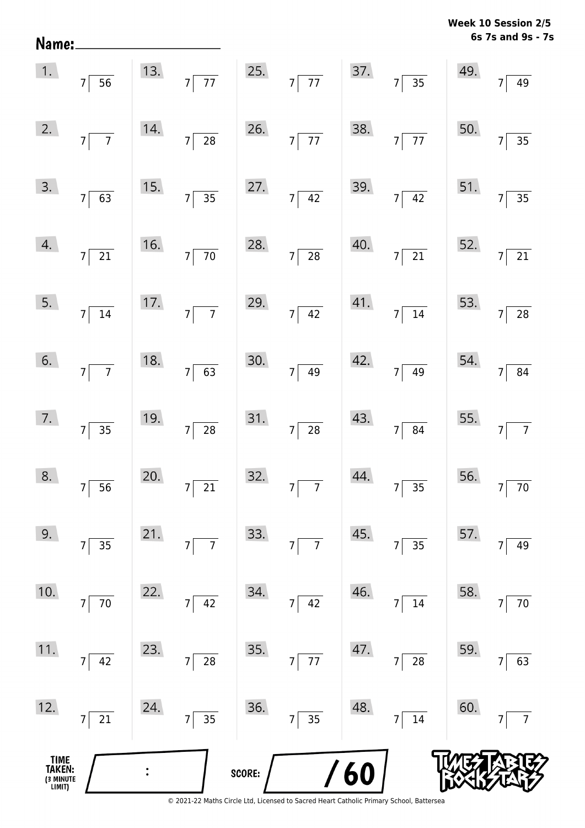| Name:                                 |                                                  |     |                                   |        |                                   |     |                                              |                                        | odiui<br>41 J<br>6s 7s and 9s - 7s |
|---------------------------------------|--------------------------------------------------|-----|-----------------------------------|--------|-----------------------------------|-----|----------------------------------------------|----------------------------------------|------------------------------------|
| 1.                                    | $7\overline{56}$                                 |     | 13. $7\overline{77}$              |        | 25. $7\overline{77}$              |     | 37.7735                                      | 49.                                    | 7 <sup>5</sup><br>49               |
| 2.                                    | $7\overline{7}$                                  | 14. | $7\overline{28}$                  |        | 26. $7\overline{77}$              | 38. | $7\overline{77}$                             | 50.                                    | 7 <sup>5</sup><br>$\overline{35}$  |
| 3.                                    | $7\sqrt{63}$                                     | 15. | $7\overline{)35}$                 |        | 27. $7 \overline{)42}$            |     | 39. $7\overline{)42}$                        | 51.                                    | $7\overline{)}$<br>$\overline{35}$ |
| 4.                                    | $7\overline{\smash{)}21}$                        |     | 16. $7\overline{70}$              |        | 28. $7 \overline{)28}$            | 40. | $7\overline{21}$                             | 52. $7\begin{bmatrix} 7 \end{bmatrix}$ | $\overline{21}$                    |
|                                       | $\begin{array}{ c c }\n5. & 7 & 14\n\end{array}$ | 17. | $7\overline{7}$                   | 29.    | $7\overline{)42}$                 | 41. | $7\sqrt{14}$                                 | 53.                                    | 28<br>$\overline{7}$               |
| 6.                                    | $7\overline{7}$                                  | 18. | $7\overline{63}$                  | 30.    | $\overline{49}$<br>7              | 42. | $\overline{49}$<br>7                         | 54.                                    | $\overline{7}$<br>84               |
| 7.                                    | $7\overline{)35}$                                | 19. | $7\overline{28}$                  | 31.    | $7\overline{)28}$                 | 43. | $7\overline{84}$                             | 55.                                    | $\overline{7}$<br>$\overline{7}$   |
| 8.                                    | $\overline{56}$<br>$7\vert$                      | 20. | $\overline{21}$<br>$\overline{7}$ | 32.    | 7 <sup>1</sup><br>$\overline{7}$  | 44. | $\overline{35}$                              | 56.                                    | $70\,$                             |
| 9.                                    | $3\overline{5}$<br>$7\vert$                      | 21. | $\overline{7}$<br>$\overline{7}$  | 33.    | $\overline{7}$<br>7               | 45. | $35\overline{}$<br>7                         | 57.                                    | 49                                 |
| 10.                                   | $\overline{70}$<br>7 <sup>1</sup>                | 22. | 42<br>$\overline{7}$              | 34.    | 42<br>$\overline{7}$              | 46. | 14                                           | 58.                                    | $70\,$                             |
| 11.                                   | $7\vert$<br>42                                   | 23. | $\frac{1}{28}$<br>$\overline{7}$  | 35.    | $\overline{77}$<br>$\overline{7}$ | 47. | $\overline{28}$<br>$\overline{7}$            | 59.                                    | 63<br>7                            |
| 12.                                   | $\overline{21}$<br>$7\vert$                      | 24. | $\overline{35}$<br>7              | 36.    | $\overline{35}$<br>$\overline{7}$ | 48. | $\overline{\mathbf{14}}$<br>$\boldsymbol{7}$ | 60.                                    | $\overline{7}$                     |
| TIME<br>TAKEN:<br>(3 MINUTE<br>LIMIT) |                                                  |     |                                   | SCORE: |                                   | 60  |                                              |                                        |                                    |

**Week 10 Session 2/5**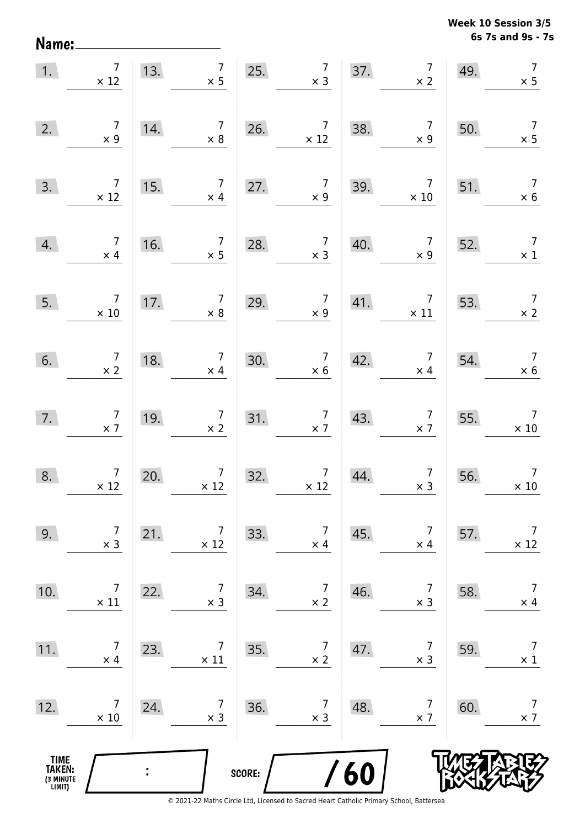Name:

**6s 7s and 9s - 7s Week 10 Session 3/5** 

| 1.                                            | $\begin{array}{c} \n7 \\ \times 12\n\end{array}$ | 13. $7 \times 5$                                     | 25. $7 \times 3$ |                                                         |     | 37. $7 \times 2$                             | 49. | $\overline{7}$<br>$\times$ 5                 |
|-----------------------------------------------|--------------------------------------------------|------------------------------------------------------|------------------|---------------------------------------------------------|-----|----------------------------------------------|-----|----------------------------------------------|
| 2.                                            | $\begin{array}{c} 7 \\ \times 9 \end{array}$     | $\begin{array}{c} 7 \\ \times 8 \end{array}$<br>14.  | 26.              | $\begin{array}{c} 7 \\ \times 12 \end{array}$           | 38. | $\overline{7}$<br>$\times$ 9                 | 50. | $\overline{7}$<br>$\times$ 5                 |
| 3.                                            | $\overline{7}$<br>$\times$ 12                    | $\begin{array}{c} 7 \\ \times 4 \end{array}$<br>15.  | 27.              | $\begin{array}{c} 7 \\ \times 9 \end{array}$            | 39. | $7\overline{ }$<br>$\times$ 10               | 51. | $\overline{7}$<br>$\times$ 6                 |
| 4.                                            | $\overline{7}$<br>$\times$ 4                     | $\overline{7}$<br>16.<br>$\times$ 5                  | 28.              | $\begin{array}{c} 7 \\ \times 3 \end{array}$            | 40. | $\overline{7}$<br>$\times 9$                 | 52. | $\overline{7}$<br>$\times$ 1                 |
| 5.                                            | $\overline{7}$<br>$\times$ 10                    | $\begin{array}{c} 7 \\ \times 8 \end{array}$<br>17.  | 29.              | $\begin{array}{c} 7 \\ \times 9 \end{array}$            | 41. | $\overline{7}$<br>$\times$ 11                | 53. | $\overline{7}$<br>$\times$ 2                 |
| 6.                                            | $\begin{array}{c} 7 \\ \times 2 \end{array}$     | $\begin{array}{c} 7 \\ \times 4 \end{array}$<br>18.  | 30.              | $\begin{array}{c} 7 \\ \times 6 \end{array}$            | 42. | $\begin{array}{c} 7 \\ \times 4 \end{array}$ | 54. | $\begin{array}{c} 7 \\ \times 6 \end{array}$ |
| 7.                                            | $\begin{array}{c} 7 \\ \times 7 \end{array}$     | $\begin{array}{c} 7 \\ \times 2 \end{array}$<br>19.  | 31. $7 \times 7$ |                                                         | 43. | $\begin{array}{c} 7 \\ \times 7 \end{array}$ | 55. | $\begin{array}{c}7\\ \times 10\end{array}$   |
| 8.                                            | $\begin{array}{c}7\\ \times 12\end{array}$       | $\begin{array}{c} 7 \\ \times 12 \end{array}$<br>20. | 32.              | $\begin{array}{c c} & 7 & 4 \end{array}$<br>$\times 12$ | 44. | $\begin{array}{c} 7 \\ x 3 \end{array}$      | 56. | $\overline{7}$<br>$\times$ 10                |
| 9.                                            | 7<br>$\times$ 3                                  | 7<br>21.<br>$\times$ 12                              | 33.              | 7<br>$\times$ 4                                         | 45. | 7<br>$\times$ 4                              | 57. | $\overline{7}$<br>$\times$ 12                |
| 10.                                           | $\overline{7}$<br>$\times$ 11                    | 7<br>22.<br>$\times$ 3                               | 34.              | $\overline{7}$<br>$\times$ 2                            | 46. | 7<br>$\times$ 3                              | 58. | $\overline{7}$<br>$\times$ 4                 |
| 11.                                           | $\overline{7}$<br>$\times$ 4                     | $\overline{7}$<br>23.<br>$\times$ 11                 | 35.              | $\overline{7}$<br>$\times$ 2                            | 47. | 7<br>$\times$ 3                              | 59. | $\overline{7}$<br>$\times$ 1                 |
| 12.                                           | $\overline{7}$<br>$\times$ 10                    | 7<br>24.<br>$\times$ 3                               | 36.              | $\overline{7}$<br>$\times$ 3                            | 48. | 7<br>$\times$ 7                              | 60. | $\overline{7}$<br>$\times$ 7                 |
| <b>TIME<br/>TAKEN:</b><br>(3 MINUTE<br>LIMIT) |                                                  |                                                      | SCORE:           |                                                         | 60  |                                              |     |                                              |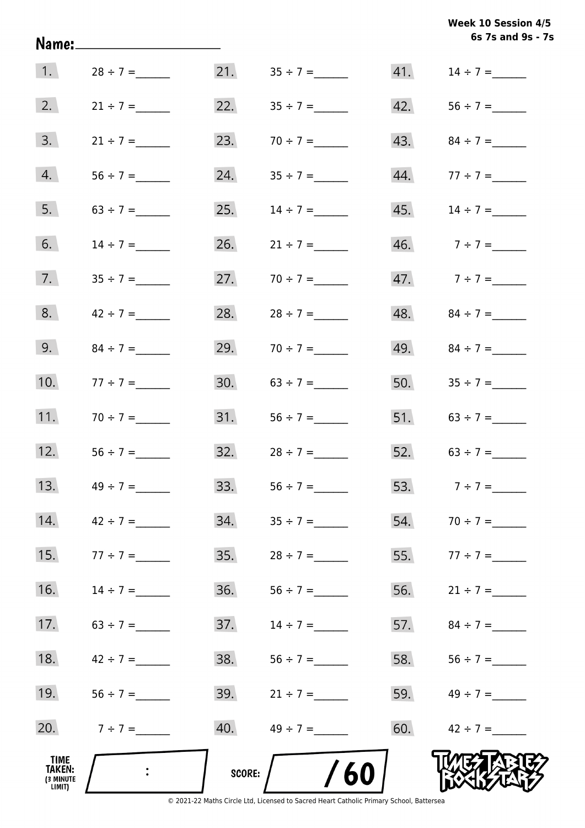**6s 7s and 9s - 7s Week 10 Session 4/5** 

|                                       | Name:________________________       |     |                       |     | 6s 7s and 9s - 7  |
|---------------------------------------|-------------------------------------|-----|-----------------------|-----|-------------------|
| $\vert$ 1.                            | $28 \div 7 =$                       | 21. |                       | 41. | $14 \div 7 =$     |
| 2.                                    | $21 \div 7 =$                       | 22. |                       | 42. |                   |
| 3.                                    | $21 \div 7 =$                       | 23. | $70 \div 7 =$         | 43. |                   |
| 4.                                    |                                     | 24. |                       | 44. | $77 \div 7 =$     |
| 5.                                    | $63 \div 7 =$                       | 25. | $14 \div 7 =$         | 45. | $14 \div 7 =$     |
| 6.                                    | $14 \div 7 =$                       | 26. | $21 \div 7 =$         |     | 46. $7 \div 7 =$  |
| 7.                                    | $35 \div 7 =$                       | 27. |                       |     | 47. $7 \div 7 =$  |
| 8.                                    | $42 \div 7 =$                       | 28. |                       |     | 48. $84 \div 7 =$ |
| 9.                                    |                                     | 29. | $70 \div 7 =$         |     | 49. $84 \div 7 =$ |
| 10.                                   | $77 \div 7 =$                       | 30. | $63 \div 7 =$         |     | 50. $35 \div 7 =$ |
| 11.                                   | $70 \div 7 =$                       | 31. |                       |     | 51. $63 \div 7 =$ |
| 12.                                   |                                     | 32. | $28 \div 7 =$         |     | 52. $63 \div 7 =$ |
| 13.                                   | $49 \div 7 =$                       | 33. | $56 \div 7 =$         |     | 53. $7 \div 7 =$  |
| 14.                                   | $42 \div 7 =$                       | 34. |                       |     | 54. $70 \div 7 =$ |
| 15.                                   | $77 \div 7 =$                       | 35. | $28 \div 7 =$         |     | 55. $77 \div 7 =$ |
| 16.                                   |                                     | 36. |                       | 56. | $21 \div 7 =$     |
| 17.                                   | $63 \div 7 =$                       | 37. | $14 \div 7 =$         |     | 57. $84 \div 7 =$ |
| 18.                                   | $42 \div 7 =$                       | 38. | $56 \div 7 =$         |     | 58. $56 \div 7 =$ |
| 19.                                   |                                     | 39. | $21 \div 7 =$         |     | 59. $49 \div 7 =$ |
| 20.                                   | $7 ÷ 7 =$                           | 40. | $49 \div 7 =$         |     | 60. $42 \div 7 =$ |
| TIME<br>TAKEN:<br>(3 MINUTE<br>LIMIT) | $\mathbb{R}^2$ . The $\mathbb{R}^2$ |     | /60<br>SCORE: $\bigg$ |     |                   |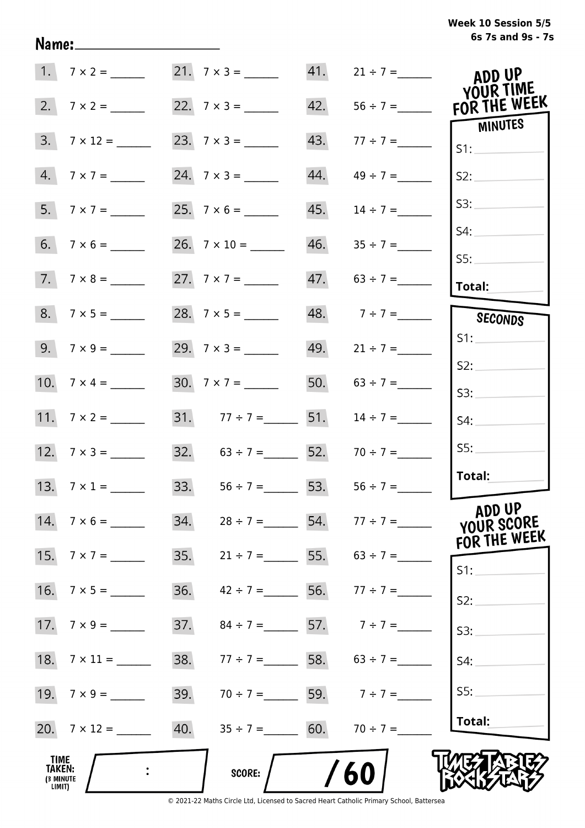# **6s 7s and 9s - 7s Week 10 Session 5/5**

|                                       | $1.7 \times 2 =$    |     | $21. 7 \times 3 =$                  | 41. | $21 \div 7 =$                       | ADD UP<br>YOUR TIME            |
|---------------------------------------|---------------------|-----|-------------------------------------|-----|-------------------------------------|--------------------------------|
|                                       |                     |     |                                     | 42. | $56 \div 7 =$                       | FOR THE WEEK<br><b>MINUTES</b> |
|                                       | $3. 7 \times 12 =$  |     |                                     | 43. |                                     | S1:                            |
|                                       | $4. 7 \times 7 =$   |     |                                     | 44. | $49 \div 7 =$                       | S2:                            |
|                                       | 5. $7 \times 7 =$   |     |                                     | 45. | $14 \div 7 =$                       | S3:                            |
|                                       | $6. 7 \times 6 =$   |     |                                     |     | $46.$ $35 \div 7 =$                 | S4:<br>SS:                     |
|                                       | $7.7 \times 8 =$    |     | 27. $7 \times 7 =$                  |     | $47. 63 \div 7 =$                   | <b>Total:</b>                  |
|                                       |                     |     |                                     |     | 48. $7 \div 7 =$                    | SECONDS                        |
|                                       |                     |     | 29. $7 \times 3 =$                  |     | 49. $21 \div 7 =$                   | S1:                            |
|                                       | 10. $7 \times 4 =$  |     | 30. $7 \times 7 =$                  |     | 50. $63 \div 7 =$                   | S2:<br>S3:                     |
|                                       |                     |     | 31. $77 \div 7 =$ 51.               |     | $14 \div 7 =$                       | S4:                            |
|                                       | 12. $7 \times 3 =$  |     | 32. $63 \div 7 =$ 52.               |     | $70 \div 7 =$                       | SS:                            |
|                                       | 13. $7 \times 1 =$  |     | 33. $56 \div 7 =$ 53. $56 \div 7 =$ |     |                                     | Total:                         |
|                                       | 14. $7 \times 6 =$  | 34. |                                     |     | $28 \div 7 =$ 54. $77 \div 7 =$     | ADD UP<br>YOUR SCORE           |
|                                       |                     |     |                                     |     | 35. $21 \div 7 =$ 55. $63 \div 7 =$ | FOR THE WEEK<br>S1:            |
|                                       |                     | 36. | $42 \div 7 =$ 56. $77 \div 7 =$     |     |                                     | S2:                            |
|                                       |                     | 37. | $84 \div 7 =$ 57. $7 \div 7 =$      |     |                                     | S3:                            |
|                                       | 18. $7 \times 11 =$ | 38. | $77 \div 7 =$ 58. 63 ÷ 7 =          |     |                                     | S4:                            |
|                                       | 19. $7 \times 9 =$  | 39. |                                     |     | $70 \div 7 =$ 59. $7 \div 7 =$      | S5:                            |
|                                       | 20. $7 \times 12 =$ |     | 40. $35 \div 7 =$ 60. $70 \div 7 =$ |     |                                     | Total:                         |
| TIME<br>TAKEN:<br>(3 MINUTE<br>LIMIT) |                     |     | <b>SCORE:</b>                       |     | 60                                  |                                |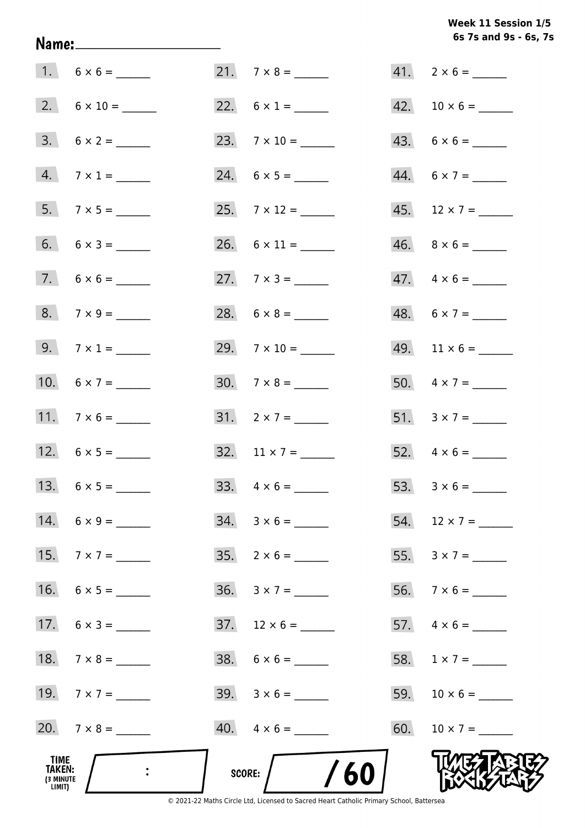# Week 11 Session 1/5 6s 7s and 9s - 6s, 7s

| TIME<br>TAKEN:<br>(3 MINUTE<br>LIMIT) | $\ddot{\phantom{1}}$ | /60<br>SCORE:            |     |                          |
|---------------------------------------|----------------------|--------------------------|-----|--------------------------|
|                                       | 20. $7 \times 8 =$   | $40. \quad 4 \times 6 =$ | 60. | $10 \times 7 =$          |
|                                       | 19. $7 \times 7 =$   | $39. 3 \times 6 =$       | 59. |                          |
|                                       | 18. $7 \times 8 =$   |                          |     | 58. $1 \times 7 =$       |
|                                       | 17. $6 \times 3 =$   | $37.$ 12 × 6 = ______    |     |                          |
| 16.                                   |                      | $36. 3 \times 7 =$       |     |                          |
|                                       | 15. $7 \times 7 =$   | $35. \quad 2 \times 6 =$ |     | 55. $3 \times 7 =$       |
|                                       | 14. $6 \times 9 =$   | $34. 3 \times 6 =$       |     | 54. $12 \times 7 =$      |
|                                       |                      |                          |     |                          |
|                                       | 12. $6 \times 5 =$   | $32. 11 \times 7 =$      |     |                          |
|                                       | 11. $7 \times 6 =$   | $31. 2 \times 7 =$       |     | 51. $3 \times 7 =$       |
|                                       | 10. $6 \times 7 =$   |                          |     | 50. $4 \times 7 =$       |
|                                       | 9. $7 \times 1 =$    | 29. $7 \times 10 =$      |     |                          |
|                                       | $8. 7 \times 9 =$    |                          |     | $48. 6 \times 7 =$       |
|                                       |                      |                          |     | $47. \quad 4 \times 6 =$ |
|                                       | $6. 6 \times 3 =$    | $26. 6 \times 11 =$      |     |                          |
|                                       | $5. 7 \times 5 =$    |                          |     | 45. $12 \times 7 =$      |
|                                       | $4.7 \times 1 =$     |                          |     | $44. 6 \times 7 =$       |
|                                       | $3. 6 \times 2 =$    |                          |     | $43. 6 \times 6 =$       |
|                                       |                      |                          |     |                          |
|                                       | $1. 6 \times 6 =$    | $21.7 \times 8 =$        |     | $41. 2 \times 6 =$       |

Name: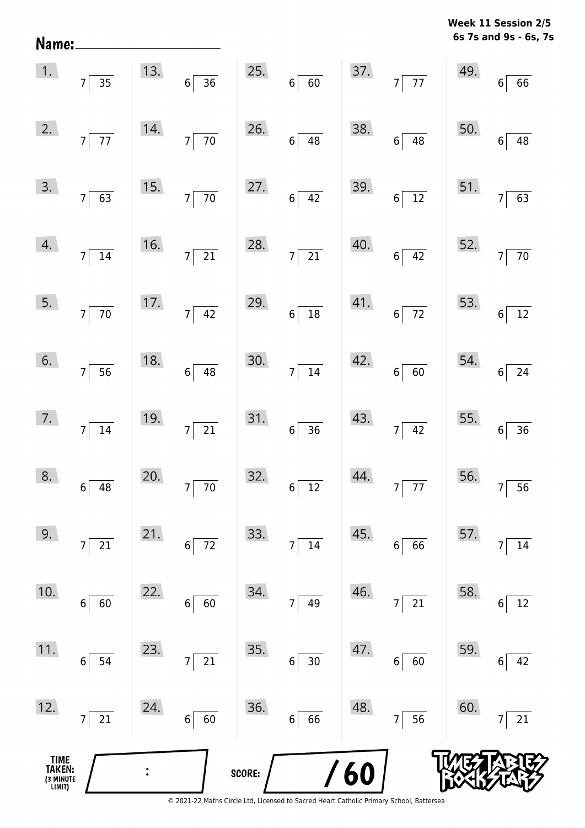**6s 7s and 9s - 6s, 7s Week 11 Session 2/5** 

| TIME<br>TAKEN:<br>(3 MINUTE<br>LIMIT) |                                   |     |                        | SCORE: |                                               | 60  |                        |     |                          |
|---------------------------------------|-----------------------------------|-----|------------------------|--------|-----------------------------------------------|-----|------------------------|-----|--------------------------|
| 12.                                   | 21<br>$\overline{7}$              | 24. | 60<br>6                | 36.    | 66<br>$6 \mid$                                | 48. | 56<br>$\overline{7}$   | 60. | 21                       |
| 11.                                   | 54<br>6                           | 23. | 21<br>$\overline{7}$   | 35.    | $30\,$<br>$6 \overline{6}$                    | 47. | 60<br>6                | 59. | 42<br>6                  |
| 10.                                   | 60<br>6                           | 22. | 6<br>60                | 34.    | 49<br>7                                       | 46. | 21<br>$\overline{7}$   | 58. | 12<br>6                  |
| 9.                                    | 21<br>$\overline{7}$              | 21. | 72<br>6                | 33.    | $14\,$<br>7                                   | 45. | 66<br>6                | 57. | 14                       |
| 8.                                    | $6\overline{)48}$                 | 20. | $7\overline{70}$       |        | $32.6 \overline{)12}$                         | 44. | $7\overline{77}$       |     | 56. $7 \overline{)56}$   |
| 7.                                    | $7\overline{)14}$                 | 19. | $7\overline{21}$       |        | $31.6 \overline{)36}$                         |     | 43. $7 \overline{)42}$ |     | 55. $6 \overline{)36}$   |
| 6.                                    | $7\overline{)}\ \overline{)}\$    | 18. | $6\overline{)48}$      |        | $30.7 \overline{)14}$                         |     | 42.666                 |     | $54.$ $6 \overline{)24}$ |
| 5.                                    | $7\overline{70}$                  |     | 17. $7\sqrt{42}$       |        | 29. $6\overline{)18}$                         |     | $41.$ 6 72             |     | 53. $6\overline{)12}$    |
|                                       | $14.7 \overline{)14}$             |     | 16. $7 \overline{)21}$ |        | 28. $7 \overline{)21}$                        |     | $40.6 \overline{)42}$  |     | 52. $7\overline{70}$     |
|                                       | $\overline{3.}$ $7 \overline{63}$ |     | 15. $7\overline{70}$   |        | 27. $6 \overline{)42}$                        |     | $39.6 \overline{)12}$  |     | 51. $7\overline{63}$     |
| 2.                                    | $7\overline{77}$                  |     | 14. $7\overline{70}$   |        | 26. $6 \overline{)48}$                        |     | $38.$ 6 48             |     | 50.6748                  |
|                                       | 1. $7\overline{)35}$              |     |                        |        | 13. $6 \overline{)36}$ 25. $6 \overline{)60}$ |     | 37. $7\overline{77}$   |     | 49.66                    |

Name: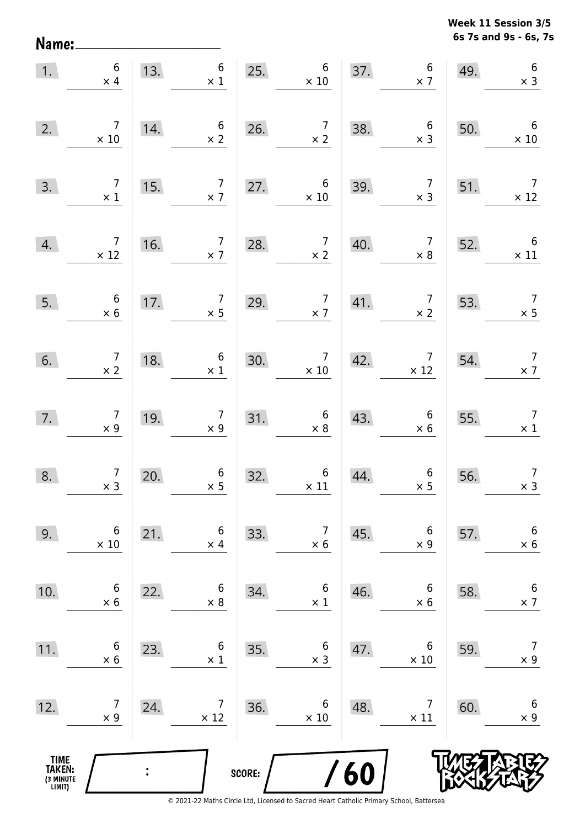Name:

**6s 7s and 9s - 6s, 7s Week 11 Session 3/5** 

| 1.                                    | $\boldsymbol{6}$<br>$\times$ 4                | 13. | $6\overline{6}$<br>$\times$ 1                                  | 25.    | $6\,$<br>$\times$ 10                            | 37. | $\begin{array}{c} 6 \\ \times 7 \end{array}$  | 49. | $\boldsymbol{6}$<br>$\times$ 3                |
|---------------------------------------|-----------------------------------------------|-----|----------------------------------------------------------------|--------|-------------------------------------------------|-----|-----------------------------------------------|-----|-----------------------------------------------|
| 2.                                    | $\overline{7}$<br>$\times$ 10                 | 14. | $\sqrt{6}$<br>$\times 2$                                       | 26.    | $\overline{7}$<br>$\times$ 2                    | 38. | $\begin{array}{c} 6 \\ \times 3 \end{array}$  | 50. | $6\overline{6}$<br>$\times$ 10                |
| 3.                                    | $\overline{7}$<br>$\times$ 1                  | 15. | $\overline{7}$<br>$\times$ 7                                   | 27.    | $\boldsymbol{6}$<br>$\times$ 10                 | 39. | $\overline{7}$<br>$\times$ 3                  | 51. | $\overline{7}$<br>$\times$ 12                 |
| 4.                                    | $\begin{array}{c} 7 \\ \times 12 \end{array}$ | 16. | $\overline{7}$<br>$\times$ 7                                   | 28.    | $\begin{array}{c} 7 \\ \times 2 \end{array}$    | 40. | $\overline{7}$<br>$\times$ 8                  | 52. | $\begin{array}{c} 6 \\ \times 11 \end{array}$ |
| 5.                                    | $\begin{array}{c} 6 \\ \times 6 \end{array}$  | 17. | $\begin{array}{c} 7 \\ \times 5 \end{array}$                   | 29.    | $\overline{7}$<br>$\times$ 7                    | 41. | $\begin{array}{c} 7 \\ \times 2 \end{array}$  | 53. | $\begin{array}{c} 7 \\ \times 5 \end{array}$  |
| 6.                                    | $\begin{array}{c} 7 \\ \times 2 \end{array}$  | 18. | $6\phantom{a}$<br>$\times$ 1                                   | 30.    | $\begin{array}{c} 7 \\ \times \ 10 \end{array}$ | 42. | $\begin{array}{c} 7 \\ \times 12 \end{array}$ | 54. | $\overline{7}$<br>$\times$ 7                  |
| 7.                                    | $\begin{array}{c} 7 \\ \times 9 \end{array}$  | 19. | $\overline{7}$<br>$\begin{array}{c} 7 \\ \times 9 \end{array}$ | 31.    | $\begin{array}{c} 6 \\ \times 8 \end{array}$    | 43. | $\boldsymbol{6}$<br>$\times$ 6                | 55. | $\overline{7}$<br>$\times$ 1                  |
| 8.                                    | $\begin{array}{c} 7 \\ \times 3 \end{array}$  | 20. | $6\,$<br>$\times$ 5                                            | 32.    | $6$ $\times$ 11                                 | 44. | $\begin{array}{c} 6 \\ \times 5 \end{array}$  | 56. | $\overline{7}$<br>$\times$ 3                  |
| 9.                                    | $\,6$<br>$\times 10$                          | 21. | 6<br>$\times$ 4                                                | 33.    | $\overline{7}$<br>$\times$ 6                    | 45. | $\boldsymbol{6}$<br>$\times$ 9                | 57. | $\boldsymbol{6}$<br>$\times$ 6                |
| 10.                                   | 6<br>$\times 6$                               | 22. | 6<br>$\times 8$                                                | 34.    | 6<br>$\times$ 1                                 | 46. | 6<br>$\times$ 6                               | 58. | $\boldsymbol{6}$<br>$\times$ 7                |
| 11.                                   | 6<br>$\times$ 6                               | 23. | 6<br>$\times$ 1                                                | 35.    | 6<br>$\times$ 3                                 | 47. | 6<br>$\times$ 10                              | 59. | $\overline{7}$<br>$\times$ 9                  |
| 12.                                   | 7<br>$\times$ 9                               | 24. | 7<br>$\times$ 12                                               | 36.    | 6<br>$\times$ 10                                | 48. | 7<br>$\times$ 11                              | 60. | $\boldsymbol{6}$<br>$\times$ 9                |
| TIME<br>TAKEN:<br>(3 MINUTE<br>LIMIT) |                                               |     |                                                                | SCORE: |                                                 | 60  |                                               |     |                                               |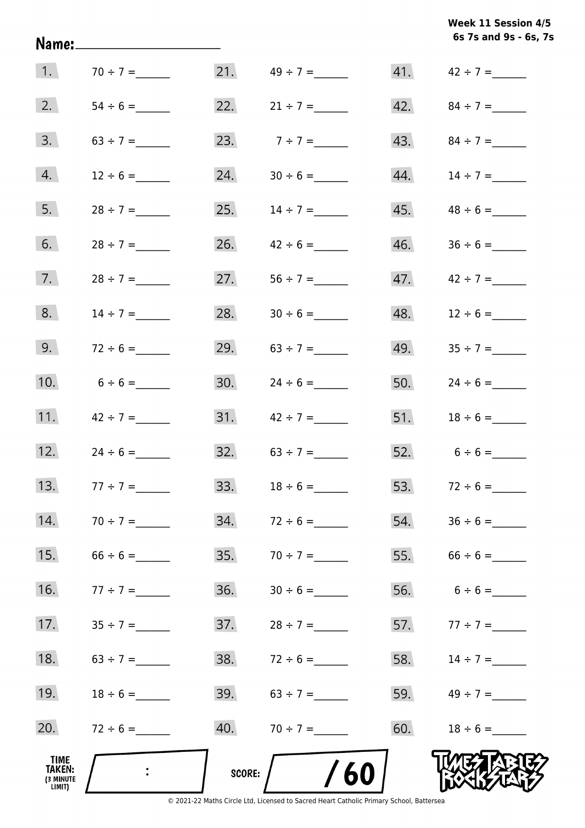**6s 7s and 9s - 6s, 7s Week 11 Session 4/5** 

|                                       |                           |     |                     |     | 6s 7s and 9s - 6s, 7 |
|---------------------------------------|---------------------------|-----|---------------------|-----|----------------------|
| $\vert 1. \vert$                      | $70 \div 7 =$             |     | $21.$ $49 \div 7 =$ | 41. | $42 \div 7 =$        |
| 2.                                    |                           | 22. | $21 \div 7 =$       | 42. |                      |
| 3.                                    |                           | 23. | $7 ÷ 7 =$           | 43. | $84 \div 7 =$        |
| 4.                                    | $12 \div 6 =$             | 24. |                     | 44. | $14 \div 7 =$        |
| 5.                                    | $28 \div 7 =$             | 25. | $14 \div 7 =$       | 45. |                      |
| 6.                                    | $28 \div 7 =$             | 26. | $42 \div 6 =$       | 46. | $36 \div 6 =$        |
| 7.                                    |                           | 27. |                     | 47. | $42 \div 7 =$        |
| 8.                                    |                           | 28. |                     | 48. | $12 \div 6 =$        |
| 9.                                    | $72 \div 6 =$             | 29. |                     | 49. |                      |
| 10.                                   | $6 \div 6 =$              | 30. |                     | 50. | $24 \div 6 =$        |
| 11.                                   | $42 \div 7 =$             | 31. | $42 \div 7 =$       | 51. | $18 \div 6 =$        |
| 12.                                   | $24 \div 6 =$             | 32. |                     |     | 52. $6 \div 6 =$     |
| 13.                                   | $77 \div 7 =$             | 33. | $18 \div 6 =$       |     | 53. $72 \div 6 =$    |
| 14.                                   | $70 \div 7 =$             | 34. | $72 \div 6 =$       |     |                      |
| 15.                                   | $66 \div 6 =$             | 35. | $70 \div 7 =$       |     | 55. $66 \div 6 =$    |
| 16.                                   | $77 \div 7 =$             | 36. |                     |     |                      |
| 17.                                   | $35 \div 7 =$             | 37. | $28 \div 7 =$       |     | 57. $77 \div 7 =$    |
| 18.                                   | $63 \div 7 =$             | 38. | $72 \div 6 =$       |     | 58. $14 \div 7 =$    |
| 19.                                   | $18 \div 6 =$             |     | 39. $63 \div 7 =$   |     | 59. $49 \div 7 =$    |
| 20.                                   | $72 \div 6 =$             |     | 40. $70 \div 7 =$   |     |                      |
| TIME<br>TAKEN:<br>(3 MINUTE<br>LIMIT) | $\mathbb{R}^{\mathbb{Z}}$ |     | /60<br>SCORE: /     |     |                      |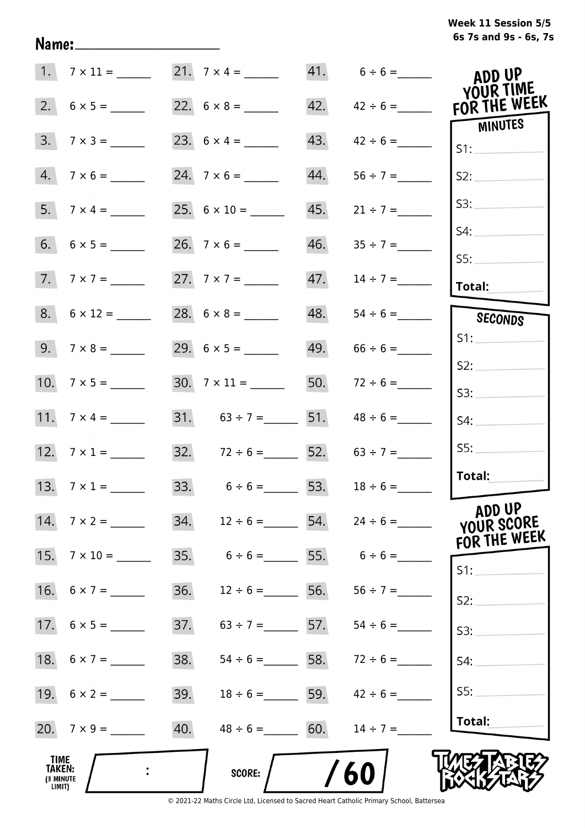# **6s 7s and 9s - 6s, 7s Week 11 Session 5/5**

|                                                           |                    | 21. $7 \times 4 =$                  |                   | $41. 6 \div 6 =$                |               | ADD UP                               |
|-----------------------------------------------------------|--------------------|-------------------------------------|-------------------|---------------------------------|---------------|--------------------------------------|
| 2.                                                        |                    |                                     |                   | 42.                             | $42 \div 6 =$ | <b>YOUR TIME</b><br>FOR THE WEEK     |
| 3.                                                        | $7 \times 3 =$     |                                     | 43.               |                                 | $42 \div 6 =$ | <b>MINUTES</b><br>S1:                |
| 4.                                                        | $7 \times 6 =$     |                                     | 44.               |                                 |               | S2:                                  |
|                                                           | 5. $7 \times 4 =$  |                                     | 45.               | $21 \div 7 =$                   |               | S3:                                  |
|                                                           |                    |                                     | 46.               |                                 | SS:           | S4:                                  |
|                                                           | $7.7 \times 7 =$   |                                     |                   | 47.                             | $14 \div 7 =$ | Total:                               |
|                                                           | $8. 6 \times 12 =$ | 28. $6 \times 8 =$ ________         |                   | 48.                             |               | SECONDS                              |
|                                                           | 9. $7 \times 8 =$  |                                     |                   | 49.<br>$66 \div 6 =$            | S1:           |                                      |
|                                                           |                    | $30. \quad 7 \times 11 =$           |                   | 50.<br>$72 \div 6 =$            | S2:<br>S3:    |                                      |
|                                                           | 11. $7 \times 4 =$ | 31. $63 \div 7 =$ 51.               |                   | $48 \div 6 =$                   | S4:           |                                      |
|                                                           |                    | 32. $72 \div 6 =$ 52. $63 \div 7 =$ |                   |                                 |               | SS:                                  |
|                                                           | 13. $7 \times 1 =$ | 33. $6 \div 6 =$ 53.                |                   | $18 \div 6 =$                   |               | Total:                               |
|                                                           | 14. $7 \times 2 =$ | 34. $12 \div 6 =$ 54. $24 \div 6 =$ |                   |                                 |               | ADD UP<br>YOUR SCORE<br>FOR THE WEEK |
| 15.                                                       | $7 \times 10 =$    | 35. $6 \div 6 =$ 55. $6 \div 6 =$   |                   |                                 | S1:           |                                      |
|                                                           |                    | 36.                                 | $12 \div 6 =$     | 56. $56 \div 7 =$               | S2:           |                                      |
|                                                           |                    | 37.                                 |                   | $63 \div 7 =$ 57. $54 \div 6 =$ | S3:           |                                      |
|                                                           |                    | 38.                                 |                   | $54 \div 6 =$ 58. $72 \div 6 =$ | S4:           |                                      |
|                                                           |                    | 39.                                 |                   | $18 \div 6 =$ 59. $42 \div 6 =$ |               | S5:                                  |
|                                                           |                    | 40.                                 | $48 \div 6 = 60.$ | $14 \div 7 =$                   |               | Total:                               |
| TIME <sub>.</sub><br><b>TAKEN:</b><br>(3 MINUTE<br>LIMIT) |                    | <b>SCORE:</b>                       |                   | 60                              |               |                                      |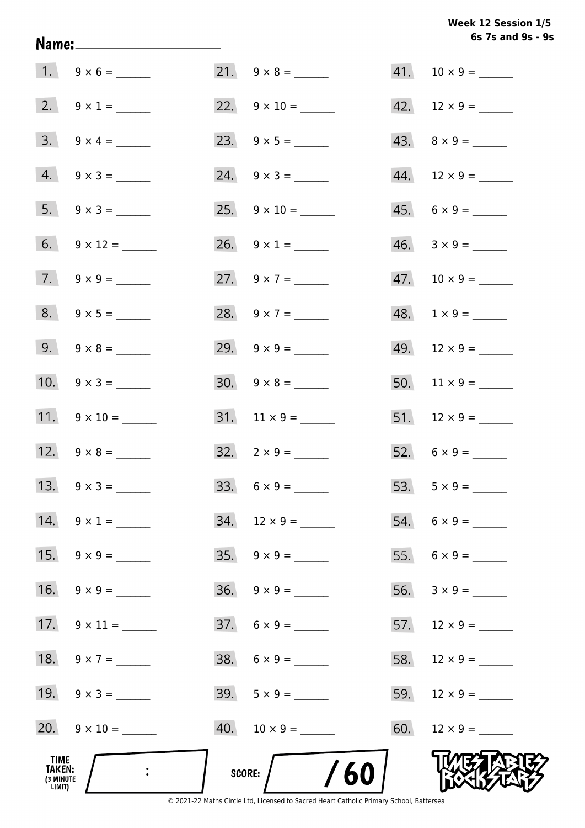# **6s 7s and 9s - 9s Week 12 Session 1/5**

|                                              |                          |                             | 6s 7s and 9s - 9         |
|----------------------------------------------|--------------------------|-----------------------------|--------------------------|
|                                              | $1. 9 \times 6 =$        |                             |                          |
|                                              | 2. $9 \times 1 =$        | 22. $9 \times 10 =$         |                          |
|                                              | $3. \quad 9 \times 4 =$  |                             | $43. \quad 8 \times 9 =$ |
|                                              | $4. 9 \times 3 =$        | $24. \quad 9 \times 3 =$    |                          |
|                                              | 5. $9 \times 3 =$        |                             | $45. 6 \times 9 =$       |
|                                              | 6. $9 \times 12 =$       | 26. $9 \times 1 =$          | $46. 3 \times 9 =$       |
|                                              | 7. $9 \times 9 =$        | 27. $9 \times 7 =$          |                          |
|                                              | $8. 9 \times 5 =$        | 28. $9 \times 7 =$          | $48. 1 \times 9 =$       |
|                                              | 9. $9 \times 8 =$        | 29. $9 \times 9 =$          | $49.$ 12 × 9 = ______    |
|                                              | 10. $9 \times 3 =$       |                             | 50. $11 \times 9 =$      |
|                                              | 11. $9 \times 10 =$      |                             |                          |
|                                              | 12. $9 \times 8 =$       | $32. \quad 2 \times 9 =$    |                          |
|                                              |                          |                             | 53. $5 \times 9 =$       |
|                                              | $14. \quad 9 \times 1 =$ | $34.$ 12 × 9 = ______       |                          |
|                                              |                          |                             |                          |
|                                              | 16. $9 \times 9 =$       |                             |                          |
|                                              |                          | $37.6 \times 9 =$           |                          |
|                                              | 18. $9 \times 7 =$       | $38. \quad 6 \times 9 = \_$ |                          |
|                                              | 19. $9 \times 3 =$       | $39.5 \times 9 =$           | 59. $12 \times 9 =$      |
|                                              | 20. $9 \times 10 =$      |                             |                          |
| TIME<br><b>TAKEN:</b><br>(3 MINUTE<br>LIMIT) |                          | /60<br>SCORE:               |                          |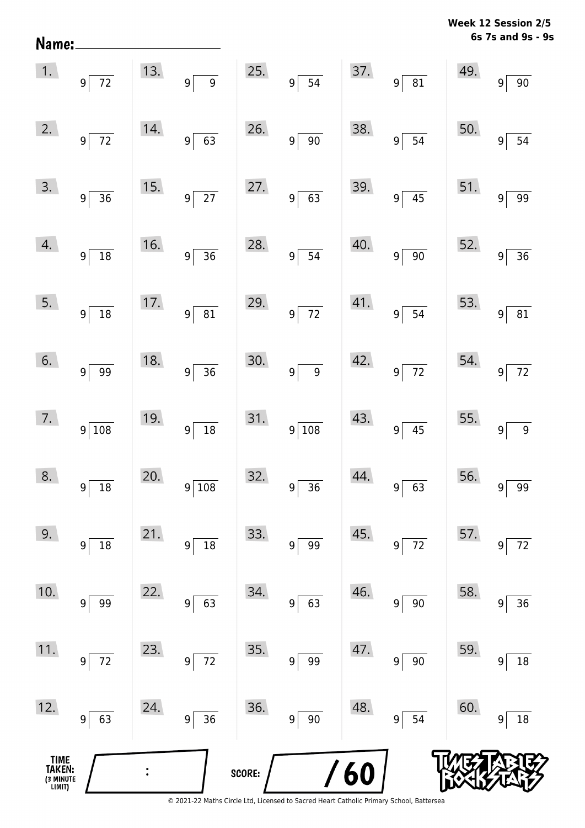| Name:                                         |                                   |     |                                   |        |                                      |     |                              |     | 6s 7s and 9s - 9s                 |
|-----------------------------------------------|-----------------------------------|-----|-----------------------------------|--------|--------------------------------------|-----|------------------------------|-----|-----------------------------------|
| 1.                                            | $9\lceil$<br>72                   | 13. | $\overline{9}$<br> 9              | 25.    | 9 <sup>5</sup><br>$\overline{54}$    | 37. | $\overline{81}$<br>$9\lceil$ | 49. | 90<br>9 <sup>1</sup>              |
| 2.                                            | $9\overline{72}$                  | 14. | 63<br>$9\vert$                    | 26.    | 90<br>$\overline{9}$                 | 38. | 54<br>9 <sup>1</sup>         | 50. | 54<br> 9                          |
| 3.                                            | $9 \overline{\smash{)}\,36}$      | 15. | $9\overline{27}$                  | 27.    | 9 <sup>5</sup><br>63                 | 39. | $\overline{45}$<br>$9\lceil$ | 51. | 99<br>9 <sup>1</sup>              |
| 4.                                            | 9 <sup>2</sup><br>$\overline{18}$ | 16. | $\overline{36}$<br>$9\vert$       | 28.    | $9^{\frac{1}{2}}$<br>54              | 40. | $\overline{90}$<br>$9\vert$  | 52. | 36<br>9 <sup>1</sup>              |
| 5.                                            | $9\overline{)18}$                 | 17. | $\overline{81}$<br>9 <sup>5</sup> | 29.    | $\overline{72}$<br>$9^{\frac{1}{2}}$ | 41. | $\overline{54}$<br>$9\vert$  | 53. | 81<br>9 <sup>1</sup>              |
| 6.                                            | $9 \overline{\smash{)}\ 99}$      | 18. | $\overline{36}$<br>$9\sqrt{ }$    | 30.    | $\overline{9}$<br>$\overline{9}$     | 42. | $9\overline{72}$             | 54. | $\overline{72}$<br>$\overline{9}$ |
| 7.                                            | $9\sqrt{108}$                     | 19. | $\overline{18}$<br> 9             | 31.    | 9 108                                | 43. | 45<br>9                      | 55. | $\boldsymbol{9}$<br>9             |
| 8.                                            | $9^{\frac{1}{2}}$<br>$18\,$       | 20. | 9 108                             | 32.    | 9 <br>36                             | 44. | 63<br> 9                     | 56. | 99<br>$\overline{9}$              |
| 9.                                            | $18\,$<br>$9 \mid$                | 21. | $18\,$<br>$9\vert$                | 33.    | 99<br> 9                             | 45. | 72<br>$9\vert$               | 57. | $72\,$<br>9 <sup>1</sup>          |
| 10.                                           | 99<br>$9\vert$                    | 22. | 63<br>$9\vert$                    | 34.    | 63<br>$9$ $\,$                       | 46. | $90\,$<br> 9                 | 58. | 36<br>9 <sup>1</sup>              |
| 11.                                           | $9\overline{72}$                  | 23. | 72<br>$9\vert$                    | 35.    | 99<br>$9\,$                          | 47. | $90\,$<br>$9\vert$           | 59. | 18<br> 9                          |
| 12.                                           | $9$ 63                            | 24. | 36<br>$9\vert$                    | 36.    | $90\,$<br>$9\,$                      | 48. | 54<br>$9\vert$               | 60. | $18\,$<br>9 <sup>1</sup>          |
| <b>TIME<br/>TAKEN:</b><br>(3 MINUTE<br>LIMIT) |                                   |     |                                   | SCORE: |                                      | 60  |                              |     |                                   |

**Week 12 Session 2/5** 

<sup>© 2021-22</sup> Maths Circle Ltd, Licensed to Sacred Heart Catholic Primary School, Battersea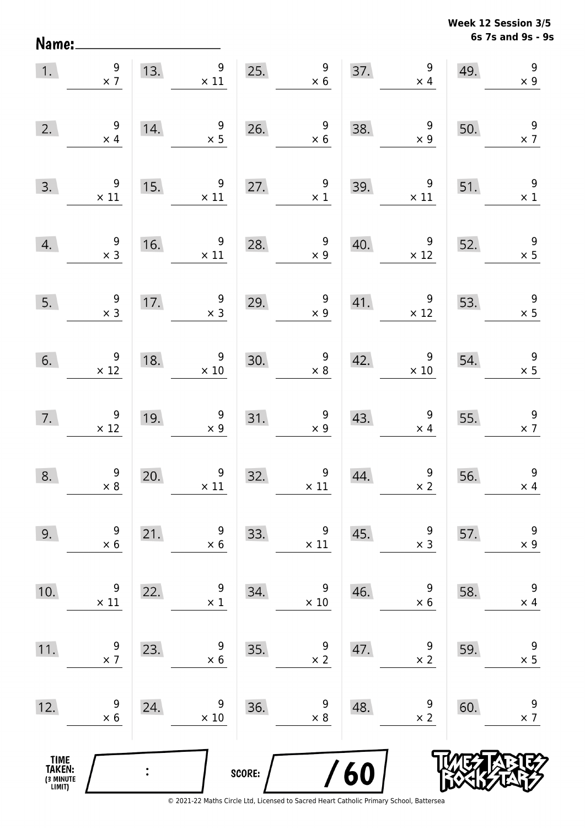Name:

**6s 7s and 9s - 9s Week 12 Session 3/5** 

| 1.                                            | $\frac{9}{x}$                                    | 13.                                      | 9<br>$\times$ 11                              | 25.    | $\begin{array}{r} 9 \\ \times 6 \end{array}$     |     | 37. $\begin{array}{r} 9 \\ \times 4 \end{array}$ | 49.                         | $\begin{array}{c} 9 \\ \times 9 \end{array}$ |
|-----------------------------------------------|--------------------------------------------------|------------------------------------------|-----------------------------------------------|--------|--------------------------------------------------|-----|--------------------------------------------------|-----------------------------|----------------------------------------------|
| 2.                                            | $\begin{array}{r} 9 \\ \times 4 \end{array}$     | 14.                                      | $\overline{\phantom{a}}$<br>$\times$ 5        |        | 26. $\begin{array}{r} 9 \\ \times 6 \end{array}$ | 38. | $\begin{array}{r} 9 \\ \times 9 \end{array}$     | 50.                         | $\begin{array}{c} 9 \\ \times 7 \end{array}$ |
| 3.                                            | $\begin{array}{c} 9 \\ \times 11 \end{array}$    | 15.                                      | $9\,$<br>$\times$ 11                          |        | 27. $\begin{array}{c} 9 \\ \times 1 \end{array}$ | 39. | 9<br>$\times$ 11                                 | 51.                         | $\overline{9}$<br>$\times$ 1                 |
| 4.                                            | $\begin{array}{r} 9 \\ \times 3 \end{array}$     | 16.                                      | $\overline{9}$<br>$\times$ 11                 | 28.    | $\frac{9}{x}$                                    | 40. | $\overline{9}$<br>$\times$ 12                    | 52.                         | $\frac{9}{1}$                                |
| 5.                                            | $\begin{array}{c} 9 \\ \times 3 \end{array}$     | 17.                                      | $\begin{array}{c} 9 \\ x 3 \end{array}$       | 29.    | $\begin{array}{r} 9 \\ \times 9 \end{array}$     | 41. | $\overline{9}$<br>$\times$ 12                    | 53.                         | $\frac{9}{1}$                                |
| 6.                                            | $\begin{array}{r} 9 \\ \times 12 \end{array}$    | 18.                                      | $\begin{array}{r} 9 \\ \times 10 \end{array}$ | 30.    | $\begin{array}{r} 9 \\ \times 8 \end{array}$     | 42. | $\begin{array}{c} 9 \\ \times 10 \end{array}$    | 54.                         | $\begin{array}{r} 9 \\ \times 5 \end{array}$ |
|                                               | 7. $\begin{array}{c} 9 \\ \times 12 \end{array}$ | $\begin{array}{c} 19. \\ -1 \end{array}$ | $\begin{array}{c} 9 \\ \times 9 \end{array}$  |        | 31. $\begin{array}{c} 9 \\ \times 9 \end{array}$ |     | 43. $\begin{array}{c} 9 \\ \times 4 \end{array}$ | $\overline{\phantom{0}55.}$ | $\overline{\phantom{a}}$<br>$\times$ 7       |
| 8.                                            | $\begin{array}{c} 9 \\ \times 8 \end{array}$     | 20.                                      | $\begin{array}{c} 9 \\ \times 11 \end{array}$ | 32.    | $9$ $\times$ 11                                  | 44. | $\begin{array}{c} 9 \\ \times 2 \end{array}$     | 56.                         | $\begin{array}{c} 9 \\ \times 4 \end{array}$ |
| 9.                                            | 9<br>$\times 6$                                  | 21.                                      | 9<br>$\times$ 6                               | 33.    | 9<br>$\times$ 11                                 | 45. | 9<br>$\times$ 3                                  | 57.                         | $\boldsymbol{9}$<br>$\times$ 9               |
| 10.                                           | 9<br>$\times$ 11                                 | 22.                                      | 9<br>$\times$ 1                               | 34.    | 9<br>$\times 10$                                 | 46. | 9<br>$\times$ 6                                  | 58.                         | $\boldsymbol{9}$<br>$\times$ 4               |
| 11.                                           | 9<br>$\times$ 7                                  | 23.                                      | 9<br>$\times$ 6                               | 35.    | 9<br>$\times$ 2                                  | 47. | 9<br>$\times$ 2                                  | 59.                         | $\boldsymbol{9}$<br>$\times$ 5               |
| 12.                                           | 9<br>$\times 6$                                  | 24.                                      | 9<br>$\times 10$                              | 36.    | 9<br>$\times 8$                                  | 48. | 9<br>$\times$ 2                                  | 60.                         | 9<br>$\times$ 7                              |
| <b>TIME<br/>TAKEN:</b><br>(3 MINUTE<br>LIMIT) |                                                  | $\ddot{\cdot}$                           |                                               | SCORE: |                                                  | 60  |                                                  |                             |                                              |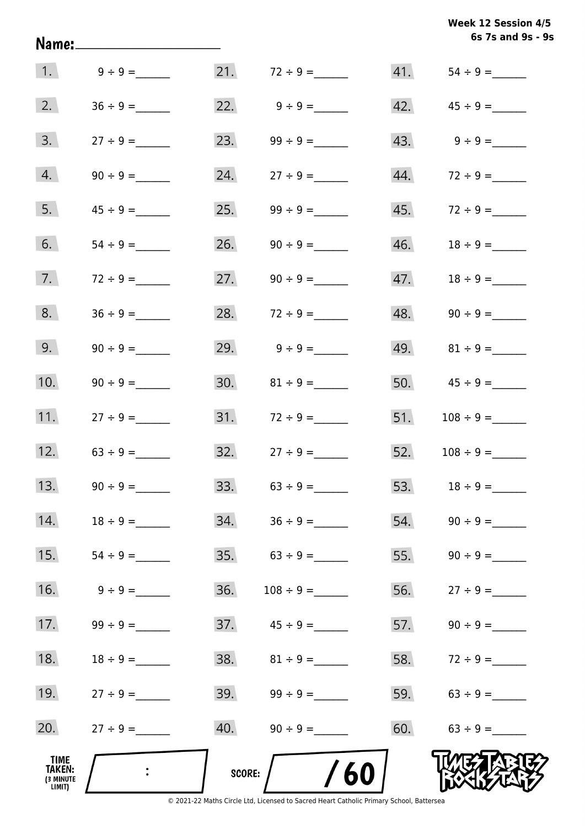| Week 12 Session 4/5 |  |                   |  |  |
|---------------------|--|-------------------|--|--|
|                     |  | 6s 7s and 9s - 9s |  |  |

|                                              |                 |        |                          |     | 6s 7s and 9s - 9s                |
|----------------------------------------------|-----------------|--------|--------------------------|-----|----------------------------------|
|                                              | 1. $9 \div 9 =$ |        | 21. $72 \div 9 =$        |     |                                  |
| 2.                                           |                 |        | 22. $9 \div 9 =$         |     | $42. \hspace{1.5cm} 45 \div 9 =$ |
| 3.                                           |                 | 23.    |                          |     | $43. \hspace{1.5cm} 9 \div 9 =$  |
| 4.                                           |                 | 24.    |                          |     |                                  |
| 5.                                           | $45 \div 9 =$   | 25.    | $99 \div 9 =$            |     |                                  |
| 6.                                           | $54 \div 9 =$   | 26.    | $90 \div 9 =$            |     |                                  |
| 7.                                           | $72 \div 9 =$   |        | 27. $90 \div 9 =$        |     |                                  |
| 8.                                           |                 |        | 28. $72 \div 9 =$        |     |                                  |
| 9.                                           | $90 \div 9 =$   |        | 29. $9 \div 9 =$         |     | 49. $81 \div 9 =$                |
| 10.                                          |                 |        | 30. $81 \div 9 =$        |     | 50. $45 \div 9 =$                |
| 11.                                          | $27 \div 9 =$   |        |                          |     |                                  |
| 12.                                          | $63 \div 9 =$   |        | $32.$ $27 \div 9 =$      |     | $52.$ $108 \div 9 =$             |
| 13.                                          | $90 \div 9 =$   | 33.    | $63 \div 9 =$            | 53. | $18 \div 9 =$                    |
| 14.                                          | $18 \div 9 =$   | 34.    | $36 \div 9 =$            | 54. |                                  |
| 15.                                          |                 | 35.    | $63 \div 9 =$            | 55. |                                  |
| 16.                                          | $9 \div 9 =$    | 36.    |                          | 56. | $27 \div 9 =$                    |
| 17.                                          |                 |        | $37.$ $45 \div 9 =$      | 57. |                                  |
| 18.                                          | $18 \div 9 =$   |        |                          |     | 58. $72 \div 9 =$                |
| 19.                                          | $27 \div 9 =$   |        | $39. \qquad 99 \div 9 =$ | 59. | $63 \div 9 =$                    |
| 20.                                          | $27 \div 9 =$   | 40.    | $90 \div 9 =$            | 60. | $63 \div 9 =$                    |
| TIME<br><b>TAKEN:</b><br>(3 MINUTE<br>LIMIT) |                 | SCORE: | 60                       |     |                                  |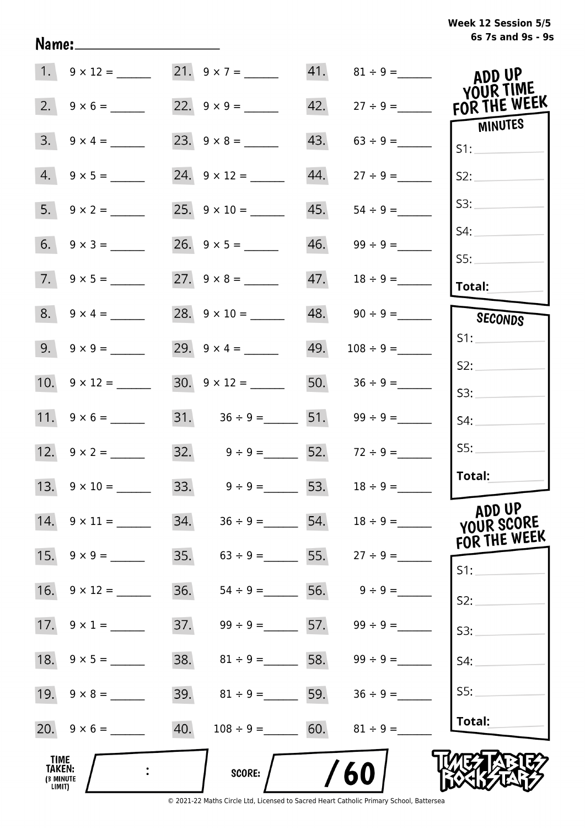|                                       | 1. $9 \times 12 =$ 21. $9 \times 7 =$ |     |                                     |     | 41. $81 \div 9 =$               | ADD UP<br>YOUR TIME            |
|---------------------------------------|---------------------------------------|-----|-------------------------------------|-----|---------------------------------|--------------------------------|
| 2.                                    |                                       |     |                                     | 42. | $27 \div 9 =$                   | FOR THE WEEK<br><b>MINUTES</b> |
|                                       | $3. \quad 9 \times 4 =$               |     |                                     | 43. | $63 \div 9 =$                   | S1:                            |
|                                       | $4. 9 \times 5 =$                     |     | 24. $9 \times 12 =$                 | 44. | $27 \div 9 =$                   | S2:                            |
|                                       |                                       |     |                                     | 45. | $54 \div 9 =$                   | S3:                            |
|                                       |                                       |     |                                     |     | $46.$ $99 \div 9 =$             | S4:                            |
|                                       |                                       |     |                                     |     |                                 | S5:<br>Total:                  |
|                                       |                                       |     |                                     |     |                                 | SECONDS                        |
|                                       | $9. \quad 9 \times 9 =$               |     | 29. $9 \times 4 =$                  |     | $49. 108 \div 9 =$              | S1:                            |
|                                       |                                       |     | $30. \quad 9 \times 12 =$           |     | 50. $36 \div 9 =$               | S2:                            |
|                                       |                                       |     | 31. $36 \div 9 =$ 51. $99 \div 9 =$ |     |                                 | S3:                            |
|                                       | 12. $9 \times 2 =$                    |     | 32. $9 \div 9 =$ 52. $72 \div 9 =$  |     |                                 | S4:<br>SS:                     |
|                                       |                                       |     |                                     |     |                                 | Total:                         |
|                                       |                                       |     | 33. $9 \div 9 = 53$ .               |     | $18 \div 9 =$                   | ADD UP                         |
|                                       | $14. \quad 9 \times 11 =$             | 34. |                                     |     | $36 \div 9 =$ 54. $18 \div 9 =$ | YOUR SCORE<br>FOR THE WEEK     |
|                                       |                                       | 35. |                                     |     | $63 \div 9 =$ 55. $27 \div 9 =$ | $S1$ :                         |
|                                       | 16. $9 \times 12 =$                   | 36. | $54 \div 9 =$                       |     | 56. $9 \div 9 =$                | S2:                            |
|                                       |                                       | 37. | $99 \div 9 = 57$ .                  |     | $99 \div 9 =$                   | S3:                            |
|                                       | 18. $9 \times 5 =$                    | 38. | $81 \div 9 = 58.$                   |     | $99 \div 9 =$                   | S4:                            |
|                                       | $19. \quad 9 \times 8 =$              | 39. | $81 \div 9 = 59.$                   |     | $36 \div 9 =$                   | SS:                            |
|                                       |                                       | 40. | $108 \div 9 = 60.$                  |     | $81 \div 9 =$                   | Total:                         |
| TIME<br>TAKEN:<br>(3 MINUTE<br>LIMIT) |                                       |     | <b>SCORE:</b>                       |     | 60                              |                                |

<sup>© 2021-22</sup> Maths Circle Ltd, Licensed to Sacred Heart Catholic Primary School, Battersea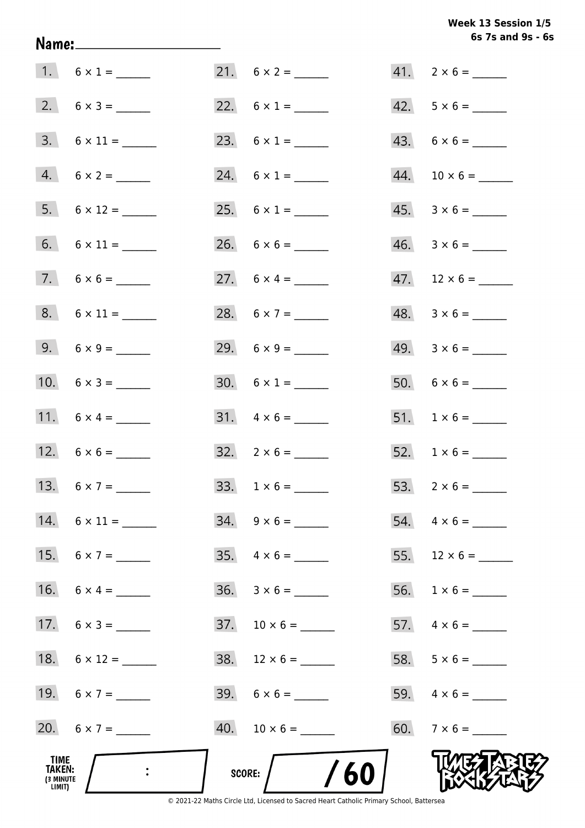# Week 13 Session 1/5 6s 7s and 9s - 6s

| TIME<br>TAKEN:<br>(3 MINUTE<br>LIMIT) |                     | $\frac{1}{60}$<br>SCORE: |                          |
|---------------------------------------|---------------------|--------------------------|--------------------------|
|                                       | 20. $6 \times 7 =$  |                          | $60. 7 \times 6 =$       |
|                                       | 19. $6 \times 7 =$  | $39. 6 \times 6 =$       |                          |
|                                       | 18. $6 \times 12 =$ | $38. 12 \times 6 =$      |                          |
|                                       | 17. $6 \times 3 =$  | $37. 10 \times 6 =$      |                          |
|                                       | 16. $6 \times 4 =$  | $36. 3 \times 6 =$       |                          |
|                                       | 15. $6 \times 7 =$  |                          |                          |
|                                       | 14. $6 \times 11 =$ | $34. 9 \times 6 =$       | 54. $4 \times 6 =$       |
|                                       | 13. $6 \times 7 =$  |                          |                          |
|                                       |                     | $32. \quad 2 \times 6 =$ |                          |
|                                       | 11. $6 \times 4 =$  | $31. \quad 4 \times 6 =$ |                          |
|                                       | 10. $6 \times 3 =$  | 30. $6 \times 1 =$       |                          |
|                                       | 9. $6 \times 9 =$   |                          | $49. 3 \times 6 =$       |
|                                       | $8. 6 \times 11 =$  | 28. $6 \times 7 =$       | $48. 3 \times 6 =$       |
|                                       |                     |                          |                          |
|                                       |                     |                          |                          |
|                                       |                     | 25. $6 \times 1 =$       | $45. \quad 3 \times 6 =$ |
|                                       | $4. 6 \times 2 =$   | 24. $6 \times 1 =$       |                          |
|                                       | $3. 6 \times 11 =$  |                          |                          |
|                                       |                     |                          | $42. 5 \times 6 =$       |
|                                       | 1. $6 \times 1 =$   |                          | $41. 2 \times 6 =$       |

Name: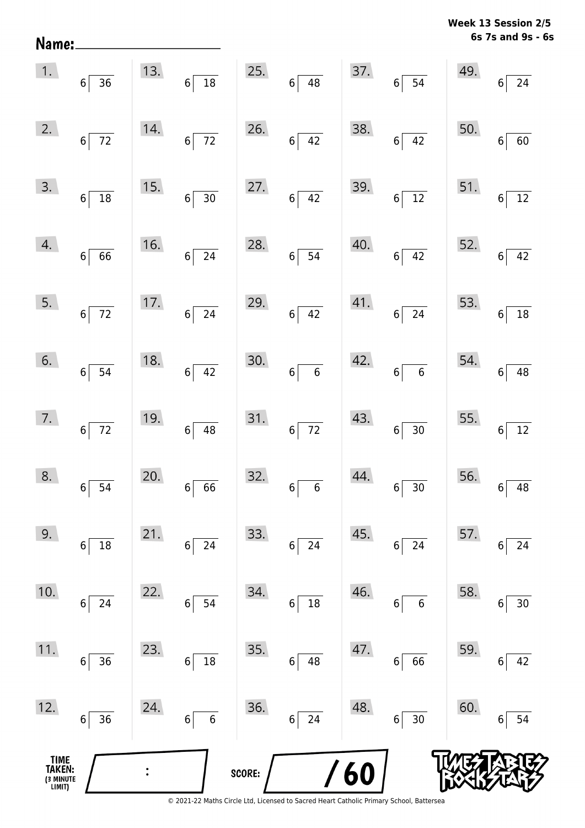**6s 7s and 9s - 6s Week 13 Session 2/5** 

| TIME<br>TAKEN:<br>(3 MINUTE<br>LIMIT) |                    |     |                        | SCORE: |                                        | <b>/60</b> |                       |     |                                   |
|---------------------------------------|--------------------|-----|------------------------|--------|----------------------------------------|------------|-----------------------|-----|-----------------------------------|
| 12.                                   | 36<br>6            | 24. | $\boldsymbol{6}$<br>6  | 36.    | 24<br>$\bf 6$                          | 48.        | $30\,$<br>$6\vert$    | 60. | 54<br>6                           |
| 11.                                   | 36<br>6            | 23. | 18<br>6                | 35.    | 6<br>48                                | 47.        | 66<br>6               | 59. | 42<br>6                           |
| 10.                                   | 24<br>6            | 22. | 54<br>6                | 34.    | $18\,$<br>$\,$ 6 $\,$                  | 46.        | $6\phantom{a}$<br>6   | 58. | $30\,$<br>6                       |
| 9.                                    | $18\,$<br>6        | 21. | 24<br>6                | 33.    | 24<br>6                                | 45.        | $24\,$<br>6           | 57. | 24<br>6                           |
| 8.                                    | $6 \overline{)54}$ | 20. | $6\overline{66}$       | 32.    | $\overline{\phantom{0}}$ 6<br>$6\vert$ | 44.        | $6\overline{)30}$     | 56. | 48<br>$\boldsymbol{6}$            |
| 7.                                    | $6\overline{72}$   | 19. | $6\overline{)48}$      | 31.    | $6\overline{72}$                       | 43.        | $6\overline{)30}$     | 55. | $\frac{12}{12}$<br>$6\phantom{a}$ |
| 6.                                    | $6\overline{)}54$  | 18. | $6\overline{)42}$      | 30.    | $6\overline{6}$                        | 42.        | $6\overline{6}$       | 54. | $\overline{48}$<br>$6\vert$       |
| 5.                                    | $6\overline{72}$   |     | 17. $6 \overline{)24}$ | 29.    | $6\overline{)42}$                      | 41.        | $6\overline{24}$      | 53. | $6\vert$                          |
| 4.                                    | $6\overline{6}$    |     | 16. $6\overline{)24}$  | 28.    | $6\overline{)54}$                      | 40.        | $6\overline{)42}$     | 52. | $\overline{42}$<br>$6\vert$       |
| 3.                                    | $6\overline{)18}$  | 15. | $6\overline{)30}$      | 27.    | $6\overline{)42}$                      |            | $39.$ 6 12            | 51. | $\frac{1}{12}$<br>$6\vert$        |
| 2.                                    | $6\overline{72}$   | 14. | $6\overline{72}$       | 26.    | $6\overline{)42}$                      | 38.        | $6\overline{)42}$     | 50. | $\overline{60}$<br>$6\,$          |
| 1.                                    | $6\overline{)36}$  | 13. | $6\overline{)18}$      | 25.    | $6\overline{)48}$                      |            | $37.6 \overline{)54}$ | 49. | $6\overline{24}$                  |

Name: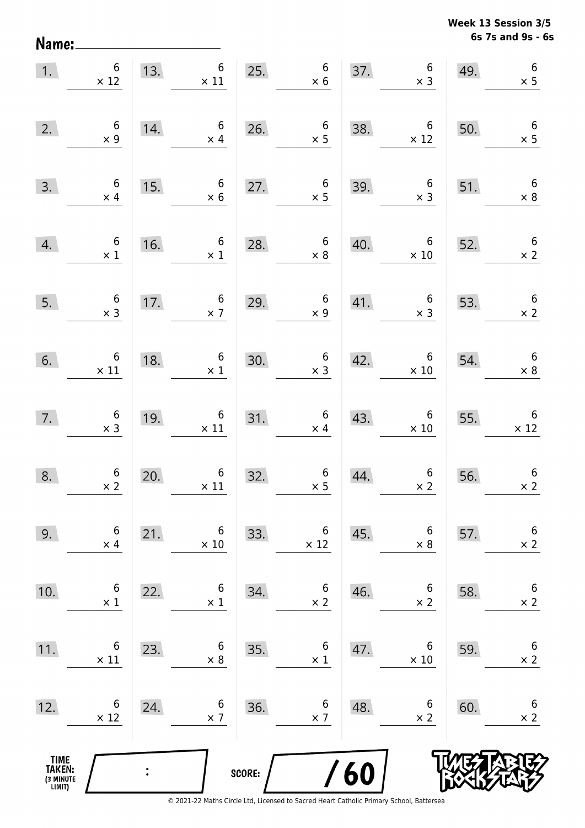Name:

**6s 7s and 9s - 6s Week 13 Session 3/5** 

| $\overline{1}$ .                              | $\boldsymbol{6}$<br>$\times$ 12                   |                | 13. $6 \times 11$ 25.                                         |        | $\begin{array}{c} 6 \\ \times 6 \end{array}$     |     | $\begin{array}{c} 6 \\ \times 3 \end{array}$<br>37.  | 49.                          | $\boldsymbol{6}$<br>$\times$ 5                |
|-----------------------------------------------|---------------------------------------------------|----------------|---------------------------------------------------------------|--------|--------------------------------------------------|-----|------------------------------------------------------|------------------------------|-----------------------------------------------|
| 2.                                            | $\begin{array}{c} 6 \\ \times 9 \end{array}$      | 14.            | $6\overline{6}$<br>$\times$ 4                                 |        | 26. $\begin{array}{r} 6 \\ \times 5 \end{array}$ | 38. | $\overline{\phantom{0}}$ 6<br>$\times$ 12            | 50.                          | $\begin{array}{c} 6 \\ \times 5 \end{array}$  |
| 3.                                            | $\begin{array}{c} 6 \\ \times 4 \end{array}$      | 15.            | $6 \times 6$                                                  | 27.    | $\begin{array}{c} 6 \\ \times 5 \end{array}$     | 39. | $\begin{array}{c} 6 \\ \times 3 \end{array}$         | 51.                          | $6\overline{6}$<br>$\times$ 8                 |
| 4.                                            | $\begin{array}{c} 6 \\ \times 1 \end{array}$      | 16.            | $6\overline{6}$<br>$\times$ 1                                 |        | 28. $6 \times 8$                                 | 40. | $\begin{array}{c c} & 6 \\ \times 10 \end{array}$    | $\overline{\phantom{2}}$ 52. | $6\overline{6}$<br>$\times$ 2                 |
| 5.                                            | $\begin{array}{c} 6 \\ \times 3 \end{array}$      |                | 17. $6 \times 7$                                              | 29.    | $\begin{array}{c} 6 \\ \times 9 \end{array}$     |     | 41. $6 \times 3$ 53.                                 |                              | $6\overline{6}$<br>$\times 2$                 |
|                                               | $\begin{matrix} 6. & 6 \\ \times 11 \end{matrix}$ | 18.            | $\begin{array}{c cc}\n 8. & & 6 \\  \times & 1\n \end{array}$ | 30.    | $\begin{array}{c} 6 \\ \times 3 \end{array}$     |     | $\begin{array}{cc} 42. & 6 \\ \times 10 \end{array}$ | 54.                          | $\begin{array}{c} 6 \\ \times 8 \end{array}$  |
| 7.                                            | $\begin{array}{c} 6 \\ \times 3 \end{array}$      |                | 19. $6 \times 11$                                             |        | 31. $6 \times 4$                                 | 43. | $\begin{array}{c} 6 \\ \times 10 \end{array}$        | 55.                          | $\begin{array}{c} 6 \\ \times 12 \end{array}$ |
| 8.                                            | $6 \times 2$                                      | 20.            | $\begin{array}{c} 6 \\ \times 11 \end{array}$                 | 32.    | $\begin{array}{c} 6 \\ \times 5 \end{array}$     | 44. | $\begin{array}{c} 6 \\ x \end{array}$                | 56.                          | $\boldsymbol{6}$<br>$\times$ 2                |
| 9.                                            | 6<br>$\times$ 4                                   | 21.            | 6<br>$\times$ 10                                              | 33.    | 6<br>$\times$ 12                                 | 45. | 6<br>$\times$ 8                                      | 57.                          | $\boldsymbol{6}$<br>$\times$ 2                |
| 10.                                           | 6<br>$\times$ 1                                   | 22.            | 6<br>$\times$ 1                                               | 34.    | $\boldsymbol{6}$<br>$\times 2$                   | 46. | 6<br>$\times$ 2                                      | 58.                          | $\boldsymbol{6}$<br>$\times$ 2                |
| 11.                                           | 6<br>$\times$ 11                                  | 23.            | 6<br>$\times 8$                                               | 35.    | $\boldsymbol{6}$<br>$\times$ 1                   | 47. | 6<br>$\times$ 10                                     | 59.                          | $6\phantom{.}6$<br>$\times$ 2                 |
| 12.                                           | 6<br>$\times$ 12                                  | 24.            | 6<br>$\times$ 7                                               | 36.    | 6<br>$\times$ 7                                  | 48. | 6<br>$\times$ 2                                      | 60.                          | $6\phantom{.}6$<br>$\times$ 2                 |
| <b>TIME<br/>TAKEN:</b><br>(3 MINUTE<br>LIMIT) |                                                   | $\ddot{\cdot}$ |                                                               | SCORE: |                                                  | 60  |                                                      |                              |                                               |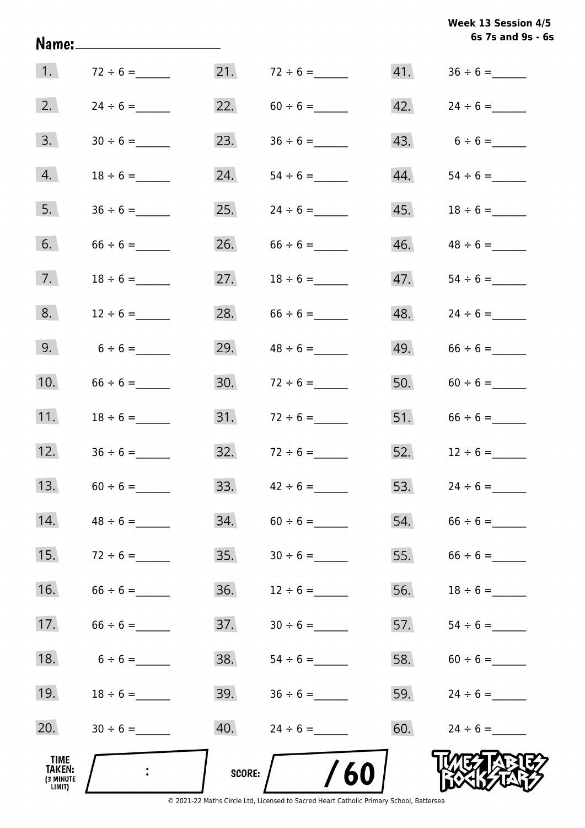| Week 13 Session 4/5 |  |                   |  |  |
|---------------------|--|-------------------|--|--|
|                     |  | 6s 7s and 9s - 6s |  |  |

| 1.                                    | $72 \div 6 =$ | 21.           |                   |     |                   |
|---------------------------------------|---------------|---------------|-------------------|-----|-------------------|
| 2.                                    | $24 \div 6 =$ | 22.           |                   |     |                   |
| 3.                                    |               | 23.           |                   |     | 43. $6 \div 6 =$  |
| 4.                                    | $18 \div 6 =$ | 24.           |                   | 44. |                   |
| 5.                                    |               | 25.           | $24 \div 6 =$     |     | 45. $18 \div 6 =$ |
| 6.                                    |               | 26.           |                   | 46. |                   |
| 7.                                    |               | 27.           | $18 \div 6 =$     | 47. |                   |
| 8.                                    | $12 \div 6 =$ | 28.           |                   | 48. | $24 \div 6 =$     |
| 9.                                    | $6 \div 6 =$  | 29.           | $48 \div 6 =$     | 49. |                   |
| 10.                                   | $66 \div 6 =$ | 30.           | $72 \div 6 =$     | 50. | $60 \div 6 =$     |
| 11.                                   | $18 \div 6 =$ | 31.           | $72 \div 6 =$     |     | 51. $66 \div 6 =$ |
| 12.                                   |               |               | 32. $72 \div 6 =$ |     | 52. $12 \div 6 =$ |
| 13.                                   |               |               | 33. $42 \div 6 =$ |     | 53. $24 \div 6 =$ |
| 14.                                   | $48 \div 6 =$ | 34.           | $60 \div 6 =$     | 54. |                   |
| 15.                                   | $72 \div 6 =$ | 35.           | $30 \div 6 =$     | 55. | $66 \div 6 =$     |
| 16.                                   |               | 36.           |                   | 56. |                   |
| 17.                                   |               | 37.           |                   | 57. |                   |
| 18.                                   | $6 \div 6 =$  | 38.           |                   | 58. |                   |
| 19.                                   |               | 39.           |                   | 59. |                   |
| 20.                                   |               | 40.           | $24 \div 6 =$     | 60. |                   |
| TIME<br>TAKEN:<br>(3 MINUTE<br>LIMIT) |               | <b>SCORE:</b> | <b>/60</b>        |     |                   |

Name: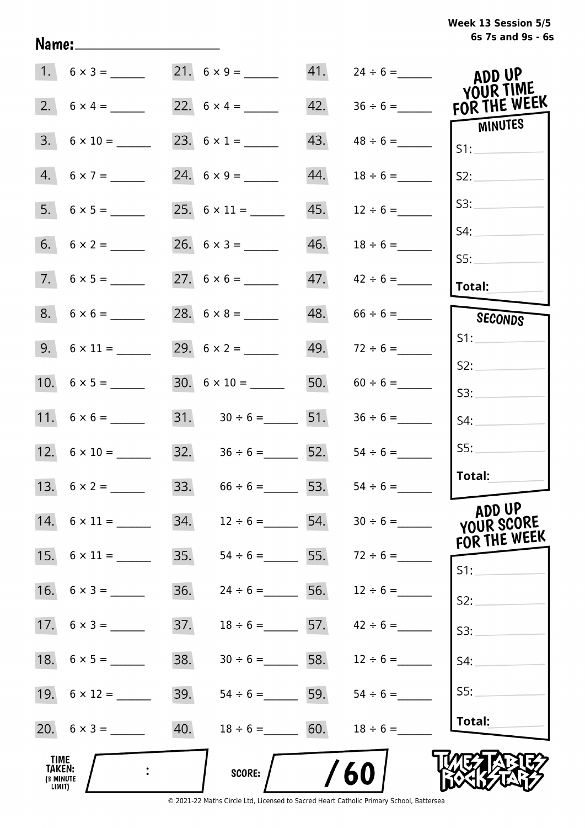| Week 13 Session 5/5 |  |  |  |
|---------------------|--|--|--|
| 6s 7s and 9s - 6s   |  |  |  |

|                                              | $1.6 \times 3 =$          |     | 21. $6 \times 9 =$                   |     |                                 | ADD UP<br>YOUR TIME                  |
|----------------------------------------------|---------------------------|-----|--------------------------------------|-----|---------------------------------|--------------------------------------|
|                                              |                           |     |                                      | 42. |                                 | FOR THE WEEK                         |
| 3.                                           | $6 \times 10 =$           |     |                                      | 43. |                                 | <b>MINUTES</b><br>S1:                |
|                                              | $4. 6 \times 7 =$         |     | 24. $6 \times 9 =$                   | 44. | $18 \div 6 =$                   | S2:                                  |
|                                              |                           |     |                                      | 45. | $12 \div 6 =$                   | S3:                                  |
|                                              |                           |     |                                      | 46. | $18 \div 6 =$                   | S4:<br>SS:                           |
|                                              | $7.6 \times 5 =$          |     |                                      | 47. | $42 \div 6 =$                   | <b>Total:</b>                        |
|                                              | $8. 6 \times 6 =$         |     |                                      | 48. |                                 | SECONDS                              |
|                                              | $9. 6 \times 11 =$        |     |                                      | 49. | $72 \div 6 =$                   | S1:                                  |
|                                              |                           |     |                                      |     |                                 | S2:                                  |
|                                              |                           |     | $30. 6 \times 10 =$                  |     |                                 | S3:                                  |
|                                              |                           |     | $31.$ $30 \div 6 =$ 51.              |     |                                 | S4:                                  |
|                                              |                           |     | $32. \hspace{1.5cm} 36 \div 6 =$ 52. |     | $54 \div 6 =$                   | SS:                                  |
|                                              |                           |     | 33. $66 \div 6 =$ 53.                |     |                                 | Total:                               |
|                                              | $14. \quad 6 \times 11 =$ | 34. | $12 \div 6 =$ 54.                    |     |                                 | ADD UP<br>YOUR SCORE<br>FOR THE WEEK |
|                                              |                           | 35. |                                      |     | $54 \div 6 =$ 55. $72 \div 6 =$ | S1:                                  |
|                                              | 16. $6 \times 3 =$        | 36. | $24 \div 6 =$ 56.                    |     | $12 \div 6 =$                   | S2:                                  |
|                                              | 17. $6 \times 3 =$        | 37. | $18 \div 6 =$ 57.                    |     | $42 \div 6 =$                   | S3:                                  |
|                                              |                           | 38. | $30 \div 6 =$ 58.                    |     | $12 \div 6 =$                   | S4:                                  |
|                                              |                           | 39. | $54 \div 6 =$ 59.                    |     | $54 \div 6 =$                   | S5:                                  |
|                                              |                           | 40. | $18 \div 6 =$ 60.                    |     | $18 \div 6 =$                   | Total:                               |
| TIME<br><b>TAKEN:</b><br>(3 MINUTE<br>LIMIT) |                           |     | SCORE:                               |     | 60                              |                                      |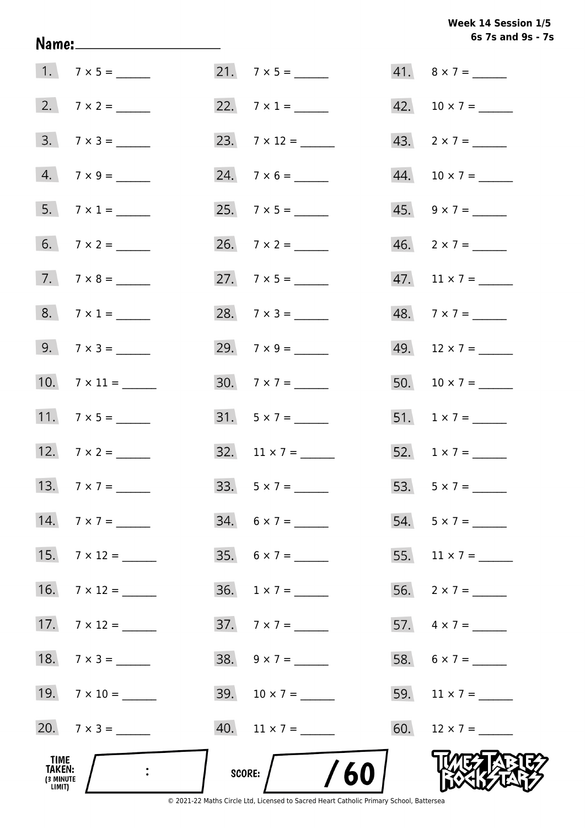# **6s 7s and 9s - 7s Week 14 Session 1/5**

| TIME<br>TAKEN:<br>(3 MINUTE<br>LIMIT) |                     | /60<br>SCORE:               |                             |
|---------------------------------------|---------------------|-----------------------------|-----------------------------|
|                                       | 20. $7 \times 3 =$  | $40.$ 11 x 7 = ______       | 60. $12 \times 7 =$         |
|                                       | 19. $7 \times 10 =$ | 39. $10 \times 7 =$         | 59. $11 \times 7 =$         |
|                                       | 18. $7 \times 3 =$  | $38. \quad 9 \times 7 =$    | 58. $6 \times 7 =$          |
|                                       | 17. $7 \times 12 =$ | $37.7 \times 7 =$           | 57. $4 \times 7 =$          |
|                                       | 16. $7 \times 12 =$ | $36. \quad 1 \times 7 = \_$ |                             |
|                                       | 15. $7 \times 12 =$ | $35. 6 \times 7 =$          | 55. $11 \times 7 =$         |
|                                       | 14. $7 \times 7 =$  | $34. 6 \times 7 =$          | 54. $5 \times 7 =$          |
|                                       |                     | 33. $5 \times 7 =$          |                             |
|                                       | 12. $7 \times 2 =$  | 32. $11 \times 7 =$         | 52. $1 \times 7 =$          |
|                                       |                     |                             | 51. $1 \times 7 =$          |
|                                       | 10. $7 \times 11 =$ | 30. $7 \times 7 =$          | 50. $10 \times 7 =$         |
|                                       | $9. 7 \times 3 =$   | 29. $7 \times 9 =$          | 49. $12 \times 7 =$         |
|                                       |                     | 28. $7 \times 3 =$          |                             |
|                                       | $7. 7 \times 8 =$   |                             | 47. $11 \times 7 =$         |
|                                       |                     |                             |                             |
|                                       |                     |                             | $45. \quad 9 \times 7 = \_$ |
|                                       | $4. 7 \times 9 =$   |                             |                             |
|                                       | $3. 7 \times 3 =$   | 23. $7 \times 12 =$         | 43. $2 \times 7 =$          |
|                                       |                     |                             | 42. $10 \times 7 =$         |
|                                       | $1. 7 \times 5 =$   |                             | 41. $8 \times 7 =$          |

Name: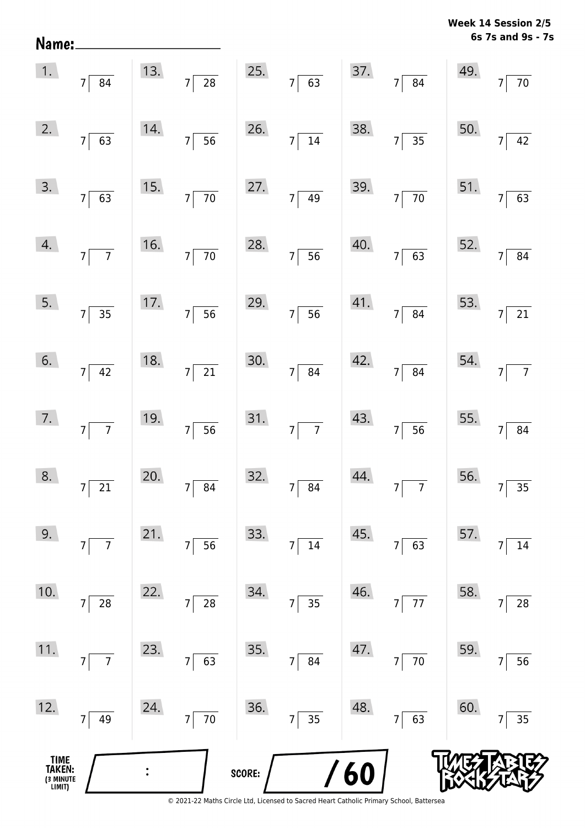**6s 7s and 9s - 7s Week 14 Session 2/5** 

| Name:                                 |                                   |     |                                   |        |                                   |      |                                  |     | 6s 7s and 9s - 7                  |
|---------------------------------------|-----------------------------------|-----|-----------------------------------|--------|-----------------------------------|------|----------------------------------|-----|-----------------------------------|
| 1.                                    | $7 \overline{\smash{)}84}$        | 13. | $7\overline{28}$                  | 25.    | $7\overline{63}$                  | 37.  | $7\overline{84}$                 | 49. | $\frac{1}{70}$<br>$\overline{7}$  |
| 2.                                    | $7\vert$<br>$\overline{63}$       | 14. | $\overline{56}$<br>$7\vert$       | 26.    | $7\overline{)14}$                 | 38.  | $7\overline{)35}$                | 50. | $\overline{42}$<br>$\overline{7}$ |
| 3.                                    | 7<br>$\overline{63}$              | 15. | $7\overline{70}$                  | 27.    | $7\overline{)49}$                 | 39.  | $7\overline{70}$                 | 51. | $\overline{63}$<br>$\overline{7}$ |
| 4.                                    | $7\overline{7}$                   | 16. | $7\overline{70}$                  | 28.    | $7\overline{56}$                  | 40.  | $7\overline{63}$                 | 52. | $\overline{84}$<br>$\overline{7}$ |
| 5.                                    | $7\vert$<br>$\overline{35}$       | 17. | $7\overline{)}56$                 | 29.    | $7\overline{56}$                  | 41.  | $7\overline{84}$                 | 53. | $\overline{21}$<br>$\overline{7}$ |
| 6.                                    | $7 \overline{)42}$                | 18. | $7\overline{21}$                  | 30.    | $7\overline{84}$                  | 42.  | $7\overline{84}$                 | 54. | $\overline{7}$<br>$\overline{7}$  |
| 7.                                    | 7 <sup>5</sup><br>$\overline{7}$  | 19. | $7\overline{)56}$                 | 31.    | $7\overline{7}$                   | 43.  | $7\overline{)56}$                | 55. | $\overline{7}$<br>$\overline{84}$ |
| 8.                                    | $\overline{21}$<br>$\overline{7}$ | 20. | 7 <sup>1</sup><br>$\overline{84}$ | 32.    | 7 <sup>5</sup><br>$\overline{84}$ | 44.  | $\overline{7}$<br>7 <sup>5</sup> | 56. | 35<br>7                           |
| 9.                                    | $\overline{7}$<br>$\overline{7}$  | 21. | $\overline{56}$<br>$\overline{7}$ | 33.    | 14<br>7                           | 45.  | $\overline{63}$<br>7             | 57. | 14<br>7                           |
| 10.                                   | 28<br>$\overline{7}$              | 22. | $\overline{28}$<br>$7\vert$       | 34.    | $7\overline{)35}$                 | 46.  | $\overline{77}$<br>$7\vert$      | 58. | $\overline{28}$<br>7              |
| 11.                                   | $\overline{7}$<br>7               | 23. | $7\overline{63}$                  | 35.    | $7\overline{84}$                  | 47.  | $7\overline{70}$                 | 59. | $\overline{56}$<br>$\overline{7}$ |
| 12.                                   | 49<br>7                           | 24. | $7\overline{70}$                  | 36.    | $7\overline{)35}$                 | 48.  | $7\overline{63}$                 | 60. | $\overline{35}$<br>7              |
| TIME<br>TAKEN:<br>(3 MINUTE<br>LIMIT) |                                   | :   |                                   | SCORE: |                                   | /60/ |                                  |     |                                   |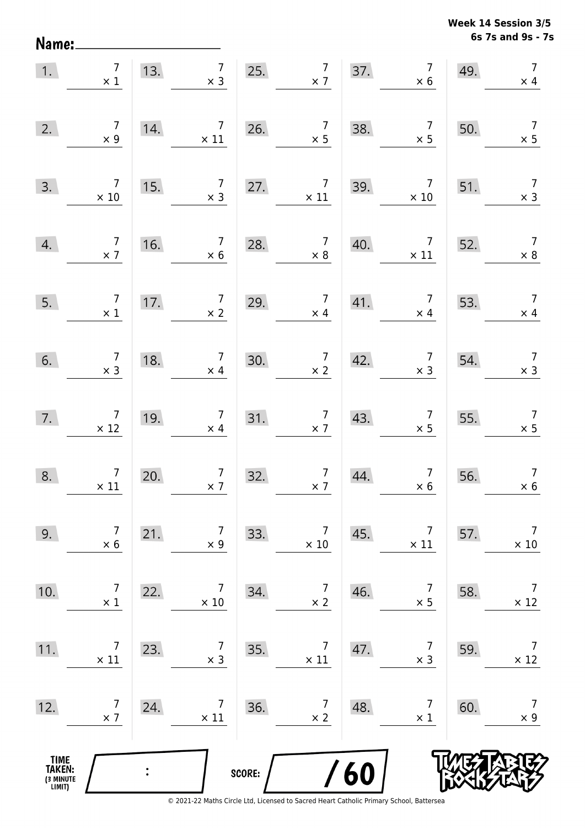**6s 7s and 9s - 7s Week 14 Session 3/5** 

| 1.                                            | $\overline{7}$<br>$\times$ 1                  | 13. | $\overline{7}$<br>$\times$ 3                 |        | 25. $7 \times 7$                             | 37. | $\begin{array}{c} 7 \\ \times 6 \end{array}$ | 49. | $\overline{7}$<br>$\times$ 4                 |
|-----------------------------------------------|-----------------------------------------------|-----|----------------------------------------------|--------|----------------------------------------------|-----|----------------------------------------------|-----|----------------------------------------------|
| 2.                                            | $\begin{array}{c} 7 \\ \times 9 \end{array}$  | 14. | $\overline{7}$<br>$\times$ 11                | 26.    | $\begin{array}{c} 7 \\ \times 5 \end{array}$ | 38. | $\begin{array}{c} 7 \\ \times 5 \end{array}$ | 50. | $\overline{7}$<br>$\times$ 5                 |
| 3.                                            | $\overline{7}$<br>$\times$ 10                 | 15. | $\begin{array}{c} 7 \\ \times 3 \end{array}$ | 27.    | $\overline{7}$<br>$\times$ 11                | 39. | $\overline{7}$<br>$\times$ 10                | 51. | $\begin{array}{c} 7 \\ \times 3 \end{array}$ |
| 4.                                            | $\begin{array}{c} 7 \\ \times 7 \end{array}$  | 16. | $\begin{array}{c} 7 \\ \times 6 \end{array}$ | 28.    | $\begin{array}{c} 7 \\ \times 8 \end{array}$ | 40. | $\overline{7}$<br>$\times$ 11                | 52. | $\begin{array}{c} 7 \\ \times 8 \end{array}$ |
| 5.                                            | $\overline{7}$<br>$\times$ 1                  | 17. | $\begin{array}{c} 7 \\ \times 2 \end{array}$ | 29.    | $\begin{array}{c} 7 \\ \times 4 \end{array}$ | 41. | $\begin{array}{c} 7 \\ \times 4 \end{array}$ | 53. | $\overline{7}$<br>$\times$ 4                 |
| 6.                                            | $\begin{array}{c} 7 \\ \times 3 \end{array}$  | 18. | $\begin{array}{c} 7 \\ \times 4 \end{array}$ | 30.    | $\frac{7}{\times 2}$                         | 42. | $\begin{array}{c} 7 \\ \times 3 \end{array}$ | 54. | $\begin{array}{c} 7 \\ \times 3 \end{array}$ |
| 7.                                            | $\begin{array}{c}7\\ \times 12\end{array}$    | 19. | $\begin{array}{c} 7 \\ \times 4 \end{array}$ | 31.    | $\begin{array}{c} 7 \\ \times 7 \end{array}$ | 43. | $\begin{array}{c} 7 \\ \times 5 \end{array}$ | 55. | $\begin{array}{c} 7 \\ \times 5 \end{array}$ |
| 8.                                            | $\begin{array}{c} 7 \\ \times 11 \end{array}$ | 20. | $\begin{array}{c} 7 \\ \times 7 \end{array}$ | 32.    | $\begin{array}{c} 7 \\ \times 7 \end{array}$ | 44. | $\begin{array}{c} 7 \\ \times 6 \end{array}$ | 56. | $\overline{7}$<br>$\times 6$                 |
| 9.                                            | $\overline{7}$<br>$\times 6$                  | 21. | $\overline{7}$<br>$\times$ 9                 | 33.    | $\overline{7}$<br>$\times$ 10                | 45. | $\overline{7}$<br>$\times$ 11                | 57. | $\overline{7}$<br>$\times$ 10                |
| 10.                                           | $\overline{7}$<br>$\times$ 1                  | 22. | 7<br>$\times 10$                             | 34.    | $\overline{7}$<br>$\times$ 2                 | 46. | $\overline{7}$<br>$\times$ 5                 | 58. | $\overline{7}$<br>$\times$ 12                |
| 11.                                           | 7<br>$\times$ 11                              | 23. | 7<br>$\times$ 3                              | 35.    | 7<br>$\times$ 11                             | 47. | 7<br>$\times$ 3                              | 59. | 7<br>$\times$ 12                             |
| 12.                                           | 7<br>$\times$ 7                               | 24. | $\overline{7}$<br>$\times$ 11                | 36.    | 7<br>$\times$ 2                              | 48. | $\overline{7}$<br>$\times$ 1                 | 60. | $\overline{7}$<br>$\times$ 9                 |
| <b>TIME<br/>TAKEN:</b><br>(3 MINUTE<br>LIMIT) |                                               |     |                                              | SCORE: |                                              | 60  |                                              |     |                                              |

Name: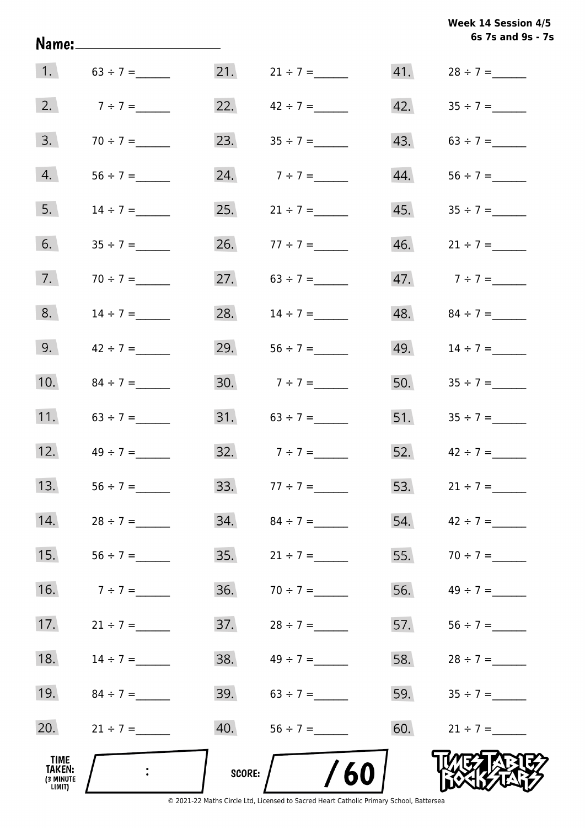**6s 7s and 9s - 7s Week 14 Session 4/5** 

|                                       |                                            |     |                     |     | 6s 7s and 9s - 7    |
|---------------------------------------|--------------------------------------------|-----|---------------------|-----|---------------------|
|                                       | 1. $63 \div 7 =$                           |     | $21.$ $21 \div 7 =$ | 41. |                     |
| 2.                                    | $7 ÷ 7 =$                                  | 22. | $42 \div 7 =$       | 42. | $35 \div 7 =$       |
| 3.                                    | $70 \div 7 =$                              | 23. |                     | 43. |                     |
| 4.                                    | $56 \div 7 =$                              | 24. | $7 ÷ 7 =$           | 44. |                     |
| 5.                                    | $14 \div 7 =$                              | 25. | $21 \div 7 =$       | 45. | $35 \div 7 =$       |
| 6.                                    | $35 \div 7 =$                              |     | 26. $77 \div 7 =$   |     | $46.$ $21 \div 7 =$ |
| 7.                                    | $70 \div 7 =$                              | 27. | $63 \div 7 =$       |     | 47. $7 \div 7 =$    |
| 8.                                    | $14 \div 7 =$                              | 28. | $14 \div 7 =$       |     | 48. $84 \div 7 =$   |
| 9.                                    | $42 \div 7 =$                              | 29. |                     | 49. | $14 \div 7 =$       |
| 10.                                   | $84 \div 7 =$                              |     | 30. $7 \div 7 =$    |     | 50. $35 \div 7 =$   |
| 11.                                   |                                            |     | 31. $63 \div 7 =$   |     | 51. $35 \div 7 =$   |
| 12.                                   | $49 \div 7 =$                              |     | 32. $7 \div 7 =$    |     | 52. $42 \div 7 =$   |
| 13.                                   | $56 \div 7 =$                              | 33. | $77 \div 7 =$       | 53. | $21 \div 7 =$       |
| 14.                                   | $28 \div 7 =$                              |     |                     |     | 54. $42 \div 7 =$   |
| 15.                                   |                                            | 35. | $21 \div 7 =$       | 55. | $70 \div 7 =$       |
| 16.                                   | $7 ÷ 7 =$                                  | 36. | $70 \div 7 =$       | 56. |                     |
| 17.                                   | $21 \div 7 =$                              | 37. | $28 \div 7 =$       | 57. |                     |
| 18.                                   | $14 \div 7 =$                              | 38. | $49 \div 7 =$       | 58. | $28 \div 7 =$       |
| 19.                                   | $84 \div 7 =$                              |     | 39. $63 \div 7 =$   |     | 59. $35 \div 7 =$   |
| 20.                                   | $21 \div 7 =$                              | 40. |                     |     | 60. $21 \div 7 =$   |
| TIME<br>TAKEN:<br>(3 MINUTE<br>LIMIT) | $\mathbb{R}^2$ . The set of $\mathbb{R}^2$ |     | SCORE: $/$ /60      |     |                     |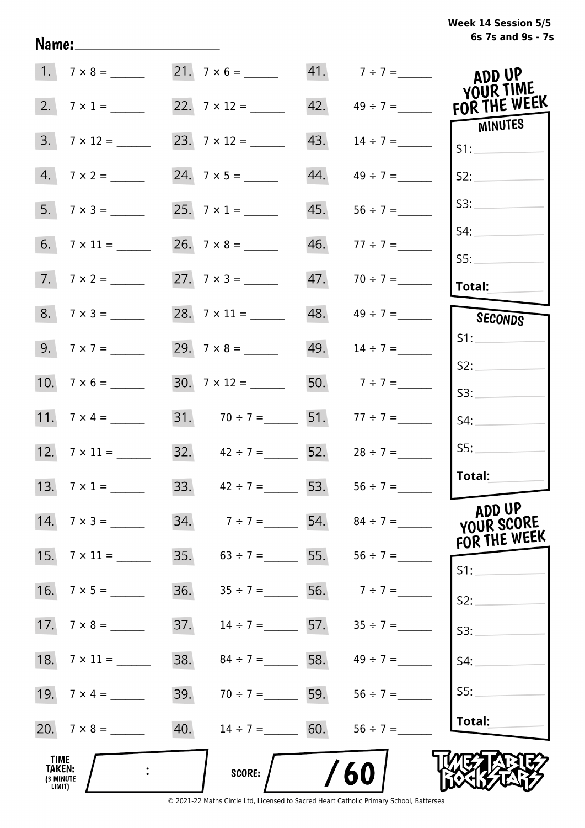# **6s 7s and 9s - 7s Week 14 Session 5/5**

|                                              | $1. 7 \times 8 =$        |                          |                       | 21. $7 \times 6 =$ 41. $7 \div 7 =$ | ADD UP<br>YOUR TIME                  |
|----------------------------------------------|--------------------------|--------------------------|-----------------------|-------------------------------------|--------------------------------------|
| 2.                                           | $7 \times 1 =$           |                          | 42.                   | $49 \div 7 =$                       | FOR THE WEEK<br>MINUTES              |
| 3.                                           | $7 \times 12 =$          |                          | 43.                   |                                     | S1:                                  |
|                                              | $4.7 \times 2 =$         |                          | 44.                   | $49 \div 7 =$                       | S2:                                  |
|                                              | $5. 7 \times 3 =$        |                          | 45.                   | $56 \div 7 =$                       | S3:                                  |
|                                              |                          | $26. \quad 7 \times 8 =$ |                       | 46. $77 \div 7 =$                   | S4:                                  |
|                                              | $7.7 \times 2 =$         |                          |                       | $47. 70 \div 7 =$                   | SS:                                  |
|                                              |                          |                          |                       |                                     | Total:                               |
|                                              |                          |                          |                       |                                     | SECONDS                              |
|                                              |                          |                          | 49.                   | $14 \div 7 =$                       | S1:                                  |
|                                              |                          | $30.7 \times 12 =$       |                       | 50. $7 \div 7 =$                    | S2:                                  |
|                                              |                          |                          |                       |                                     | S3:                                  |
|                                              | 11. $7 \times 4 =$       |                          | 31. $70 \div 7 =$ 51. |                                     | S4:                                  |
|                                              |                          |                          | 32. $42 \div 7 =$ 52. | $28 \div 7 =$                       | SS:                                  |
|                                              |                          |                          | 33. $42 \div 7 =$ 53. | $56 \div 7 =$                       | Total:                               |
|                                              | $14. \quad 7 \times 3 =$ |                          |                       | 34. $7 \div 7 =$ 54. $84 \div 7 =$  | ADD UP<br>YOUR SCORE<br>FOR THE WEEK |
| 15.                                          |                          | 35.                      |                       | $63 \div 7 =$ 55. 56 ÷ 7 =          | $S1$ :                               |
| 16.                                          | $7 \times 5 =$           | 36.                      |                       | $35 \div 7 = 56.$ $7 \div 7 =$      | S2:                                  |
| 17.                                          | $7 \times 8 =$           | 37.                      | $14 \div 7 = 57.$     | $35 \div 7 =$                       | S3:                                  |
| 18.                                          | $7 \times 11 =$          | 38.                      |                       | $84 \div 7 =$ 58. 49 ÷ 7 =          | S4:                                  |
|                                              |                          | 39.                      | $70 \div 7 =$ 59.     | $56 \div 7 =$                       | SS:                                  |
|                                              |                          | 40.                      | $14 \div 7 = 60.$     | $56 \div 7 =$                       | Total:                               |
| TIME<br><b>TAKEN:</b><br>(3 MINUTE<br>LIMIT) |                          | <b>SCORE:</b>            |                       | 60                                  |                                      |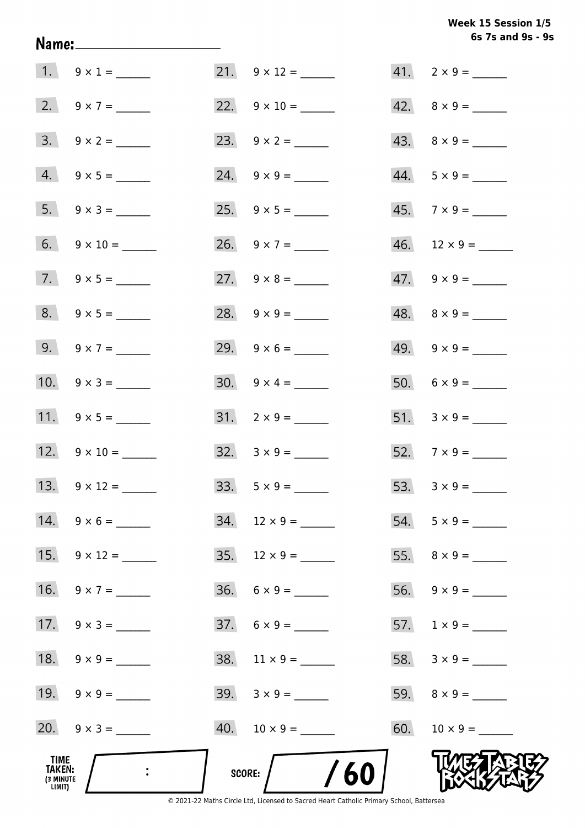|                                              | Name:______________________ |                          | 6s 7s and 9s -           |
|----------------------------------------------|-----------------------------|--------------------------|--------------------------|
|                                              | 1. $9 \times 1 =$           | 21. $9 \times 12 =$      | $41. 2 \times 9 =$       |
|                                              | 2. $9 \times 7 =$           | 22. $9 \times 10 =$      | $42. \quad 8 \times 9 =$ |
|                                              | $3. 9 \times 2 =$           |                          | $43. \quad 8 \times 9 =$ |
|                                              | $4. 9 \times 5 =$           | 24. $9 \times 9 =$       | $44. 5 \times 9 =$       |
|                                              | 5. $9 \times 3 =$           |                          | $45. \quad 7 \times 9 =$ |
|                                              | 6. $9 \times 10 =$          | 26. $9 \times 7 =$       | $46.$ 12 × 9 = _______   |
|                                              | 7. $9 \times 5 =$           | 27. $9 \times 8 =$       | $47. \quad 9 \times 9 =$ |
|                                              | 8. $9 \times 5 =$           | 28. $9 \times 9 =$       | $48. \quad 8 \times 9 =$ |
|                                              | 9. $9 \times 7 =$           | 29. $9 \times 6 =$       | $49. 9 \times 9 =$       |
|                                              | 10. $9 \times 3 =$          | $30. 9 \times 4 =$       |                          |
|                                              | 11. $9 \times 5 =$          | $31. 2 \times 9 =$       |                          |
|                                              | 12. $9 \times 10 =$         | $32. \quad 3 \times 9 =$ |                          |
|                                              |                             | $33. 5 \times 9 =$       | 53. $3 \times 9 =$       |
|                                              | $14. 9 \times 6 =$          | $34.$ 12 × 9 = ______    | $54. 5 \times 9 =$       |
|                                              | 15. $9 \times 12 =$         |                          |                          |
|                                              | 16. $9 \times 7 =$          | $36. 6 \times 9 =$       |                          |
|                                              | 17. $9 \times 3 =$          | $37. 6 \times 9 =$       |                          |
|                                              |                             |                          |                          |
|                                              | 19. $9 \times 9 =$          |                          |                          |
|                                              | 20. $9 \times 3 =$          |                          |                          |
| TIME<br><b>TAKEN:</b><br>(3 MINUTE<br>LIMIT) |                             | /60<br><b>SCORE:</b>     |                          |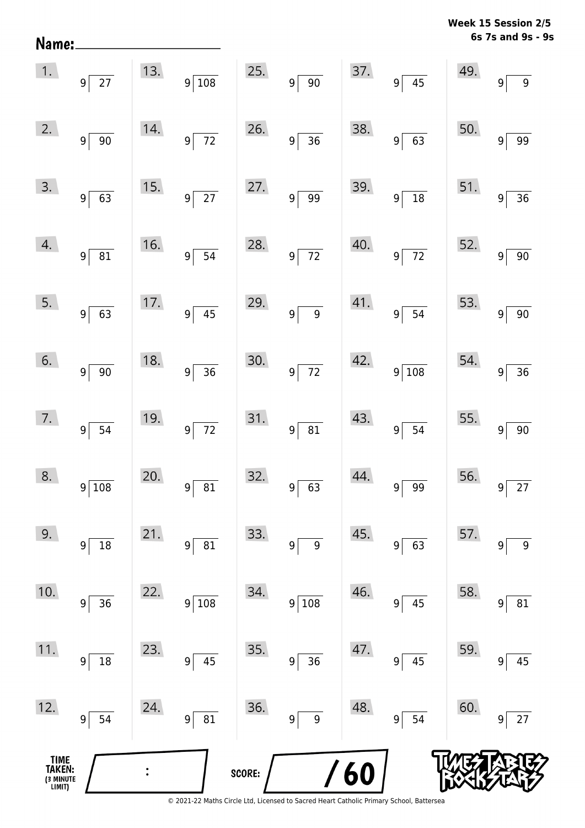**6s 7s and 9s - 9s Week 15 Session 2/5** 

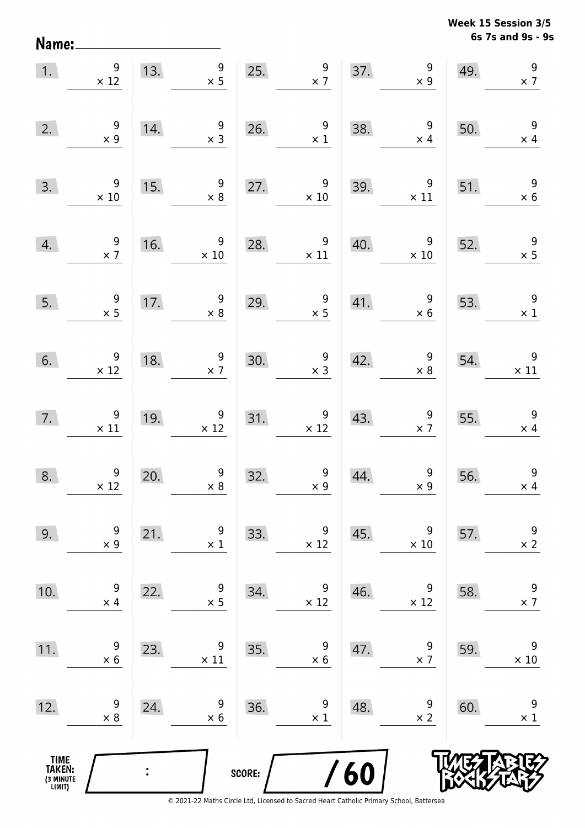Name:

**6s 7s and 9s - 9s Week 15 Session 3/5** 

| 1.                                            | 9<br>$\times$ 12                              | 13.            | 9<br>$\times$ 5                               |        | $\begin{array}{c} 9 \\ \times 7 \end{array}$<br>25. | 37. | $\boldsymbol{9}$<br>$\times$ 9               | 49. | $\overline{9}$<br>$\times$ 7                 |
|-----------------------------------------------|-----------------------------------------------|----------------|-----------------------------------------------|--------|-----------------------------------------------------|-----|----------------------------------------------|-----|----------------------------------------------|
| 2.                                            | $\begin{array}{c} 9 \\ \times 9 \end{array}$  | 14.            | $\overline{9}$<br>$\times$ 3                  | 26.    | $\begin{array}{c} 9 \\ \times 1 \end{array}$        | 38. | $\overline{\phantom{a}}$<br>$\times$ 4       | 50. | $\overline{9}$<br>$\times$ 4                 |
| 3.                                            | 9<br>$\times$ 10                              | 15.            | 9<br>$\times 8$                               | 27.    | 9<br>$\times$ 10                                    | 39. | 9<br>$\times$ 11                             | 51. | 9<br>$\times$ 6                              |
| 4.                                            | $\frac{9}{2}$                                 | 16.            | $\overline{9}$<br>$\times$ 10                 | 28.    | 9<br>$\times$ 11                                    | 40. | $\overline{9}$<br>$\times$ 10                | 52. | $\begin{array}{c} 9 \\ \times 5 \end{array}$ |
| 5.                                            | $\begin{array}{c} 9 \\ \times 5 \end{array}$  | 17.            | $9\,$<br>$\times$ 8                           | 29.    | $\begin{array}{c} 9 \\ \times 5 \end{array}$        | 41. | $\overline{9}$<br>$\times$ 6                 | 53. | $\overline{9}$<br>$\times$ 1                 |
| 6.                                            | $\overline{9}$<br>$\times$ 12                 | 18.            | 9<br>$\times$ 7                               |        | $\begin{array}{c} 9 \\ \times 3 \end{array}$<br>30. | 42. | $\begin{array}{c} 9 \\ \times 8 \end{array}$ | 54. | $\overline{9}$<br>$\times$ 11                |
| 7.                                            | $\begin{array}{c} 9 \\ \times 11 \end{array}$ | 19.            | $\begin{array}{c} 9 \\ \times 12 \end{array}$ | 31.    | $\begin{array}{c} 9 \\ \times 12 \end{array}$       | 43. | $\begin{array}{c} 9 \\ \times 7 \end{array}$ | 55. | $\overline{\phantom{a}}$<br>$\times$ 4       |
| 8.                                            | $\begin{array}{c} 9 \\ \times 12 \end{array}$ | 20.            | $\begin{array}{c} 9 \\ \times 8 \end{array}$  | 32.    | $\begin{array}{c} 9 \\ \times 9 \end{array}$        | 44. | $\begin{array}{c} 9 \\ x 9 \end{array}$      | 56. | 9<br>$\times$ 4                              |
| 9.                                            | 9<br>$\times$ 9                               | 21.            | 9<br>$\times$ 1                               | 33.    | 9<br>$\times$ 12                                    | 45. | 9<br>$\times 10$                             | 57. | $\boldsymbol{9}$<br>$\times$ 2               |
| 10.                                           | 9<br>$\times$ 4                               | 22.            | 9<br>$\times$ 5                               | 34.    | 9<br>$\times$ 12                                    | 46. | 9<br>$\times$ 12                             | 58. | $\boldsymbol{9}$<br>$\times$ 7               |
| 11.                                           | 9<br>$\times$ 6                               | 23.            | 9<br>$\times$ 11                              | 35.    | 9<br>$\times$ 6                                     | 47. | 9<br>$\times$ 7                              | 59. | $\boldsymbol{9}$<br>$\times$ 10              |
| 12.                                           | 9<br>$\times 8$                               | 24.            | 9<br>$\times 6$                               | 36.    | 9<br>$\times$ 1                                     | 48. | 9<br>$\times$ 2                              | 60. | 9<br>$\times$ 1                              |
| <b>TIME<br/>TAKEN:</b><br>(3 MINUTE<br>LIMIT) |                                               | $\ddot{\cdot}$ |                                               | SCORE: | $\prime$                                            | 60  |                                              |     |                                              |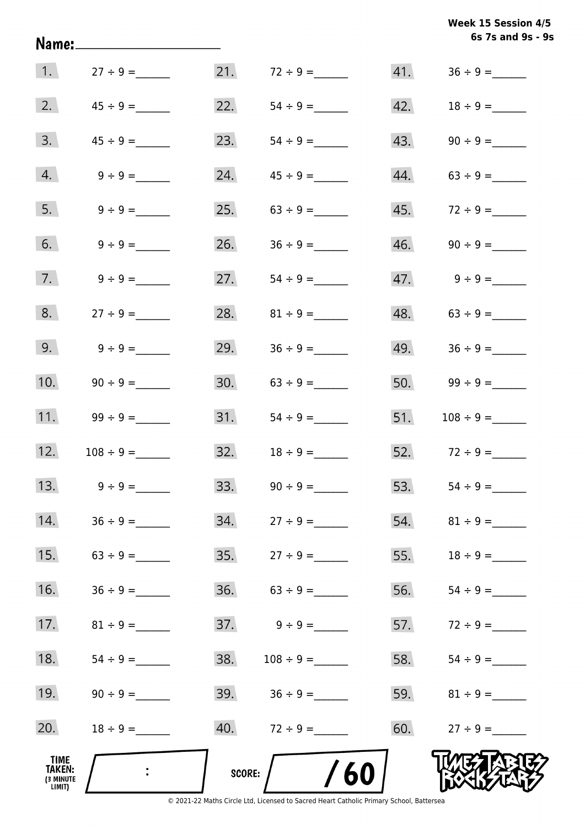|                                       |                  |        |                                                                                               |     | 6s 7s and 9s - 9   |
|---------------------------------------|------------------|--------|-----------------------------------------------------------------------------------------------|-----|--------------------|
|                                       | 1. $27 \div 9 =$ |        | 21. $72 \div 9 =$                                                                             | 41. |                    |
| 2.                                    |                  | 22.    |                                                                                               | 42. |                    |
| 3.                                    |                  | 23.    |                                                                                               | 43. |                    |
| 4.                                    | $9 \div 9 =$     | 24.    | $45 \div 9 =$                                                                                 | 44. |                    |
| 5.                                    | $9 \div 9 =$     | 25.    | $63 \div 9 =$                                                                                 | 45. |                    |
| 6.                                    | $9 \div 9 =$     | 26.    | $36 \div 9 =$                                                                                 |     |                    |
| 7.                                    | $9 \div 9 =$     | 27.    | $54 \div 9 =$                                                                                 |     | $47.$ $9 \div 9 =$ |
| 8.                                    | $27 \div 9 =$    | 28.    | $81 \div 9 =$                                                                                 |     |                    |
| 9.                                    | $9 \div 9 =$     | 29.    |                                                                                               |     |                    |
| 10.                                   |                  | 30.    |                                                                                               |     |                    |
| 11.                                   | $99 \div 9 =$    | 31.    | $54 \div 9 =$                                                                                 | 51. | $108 \div 9 =$     |
| 12.                                   |                  | 32.    | $18 \div 9 =$                                                                                 |     | 52. $72 \div 9 =$  |
| 13.                                   | $9 \div 9 =$     | 33.    | $90 \div 9 =$                                                                                 | 53. | $54 \div 9 =$      |
| 14.                                   | $36 \div 9 =$    | 34.    | $27 \div 9 =$                                                                                 | 54. |                    |
| 15.                                   |                  | 35.    | $27 \div 9 =$                                                                                 | 55. |                    |
| 16.                                   |                  |        |                                                                                               | 56. |                    |
| 17.                                   |                  | 37.    | $9 \div 9 =$                                                                                  | 57. |                    |
| 18.                                   |                  | 38.    |                                                                                               | 58. |                    |
| 19.                                   |                  |        | 39. $36 \div 9 =$                                                                             |     |                    |
| 20.                                   | $18 \div 9 =$    |        |                                                                                               | 60. | $27 \div 9 =$      |
| TIME<br>TAKEN:<br>(3 MINUTE<br>LIMIT) |                  | SCORE: | 60<br>© 2021-22 Maths Circle Ltd, Licensed to Sacred Heart Catholic Primary School, Battersea |     |                    |

**6s 7s and 9s - 9s Week 15 Session 4/5**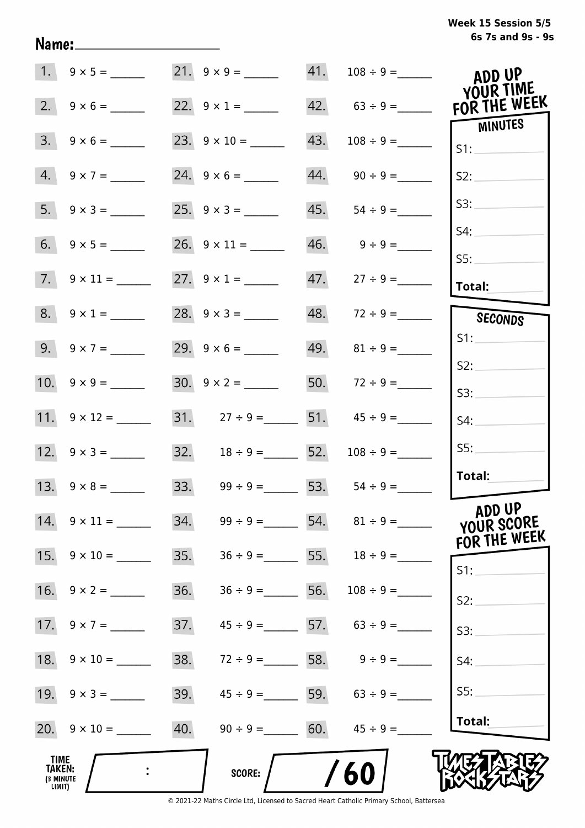|                                              |                           |     | 21. $9 \times 9 =$                   |     |                                     | ADD UP<br>YOUR TIME                  |
|----------------------------------------------|---------------------------|-----|--------------------------------------|-----|-------------------------------------|--------------------------------------|
| 2.                                           | $9 \times 6 =$            |     | 22. $9 \times 1 =$                   |     |                                     | FOR THE WEEK                         |
| 3.                                           | $9 \times 6 =$            |     | 23. $9 \times 10 =$                  | 43. |                                     | <b>MINUTES</b><br>S1:                |
|                                              | $4. 9 \times 7 =$         |     | 24. $9 \times 6 =$                   |     | $44.$ $90 \div 9 =$                 | S2:                                  |
|                                              | $5. \quad 9 \times 3 =$   |     |                                      | 45. | $54 \div 9 =$                       | S3:                                  |
|                                              |                           |     |                                      |     | $46.$ $9 \div 9 =$                  | S4:                                  |
|                                              | $7. \quad 9 \times 11 =$  |     |                                      |     |                                     | SS:<br>Total:                        |
|                                              | $8. 9 \times 1 =$         |     |                                      |     | $48. 72 \div 9 =$                   | SECONDS                              |
|                                              | $9. 9 \times 7 =$         |     |                                      |     | 49. $81 \div 9 =$                   | S1:                                  |
|                                              |                           |     |                                      |     | 50. $72 \div 9 =$                   | S2:                                  |
|                                              |                           |     |                                      |     | 31. $27 \div 9 =$ 51. $45 \div 9 =$ | S3:<br>S4:                           |
|                                              |                           |     | 32. $18 \div 9 =$ 52. $108 \div 9 =$ |     |                                     | SS:                                  |
|                                              |                           |     | 33. $99 \div 9 =$ 53. $54 \div 9 =$  |     |                                     | Total:                               |
|                                              | $14. \quad 9 \times 11 =$ |     |                                      |     | 34. $99 \div 9 =$ 54. $81 \div 9 =$ | ADD UP<br>YOUR SCORE<br>FOR THE WEEK |
|                                              | 15. $9 \times 10 =$       | 35. |                                      |     | $36 \div 9 = 55.$ $18 \div 9 =$     | $S1$ :                               |
|                                              | $16. 9 \times 2 =$        | 36. | $36 \div 9 = 56.$                    |     | $108 \div 9 =$                      | S2:                                  |
|                                              |                           | 37. |                                      |     | $45 \div 9 =$ 57. $63 \div 9 =$     | S3:                                  |
|                                              | 18. $9 \times 10 =$       | 38. | $72 \div 9 = 58. 9 \div 9 =$         |     |                                     | S4:                                  |
|                                              |                           | 39. | $45 \div 9 = 59.$ 63 ÷ 9 =           |     |                                     | S5:                                  |
|                                              |                           | 40. | $90 \div 9 = 60.$ $45 \div 9 =$      |     |                                     | Total:                               |
| <b>TIME</b><br>TAKEN:<br>(3 MINUTE<br>LIMIT) |                           |     | <b>SCORE:</b>                        |     | 60                                  |                                      |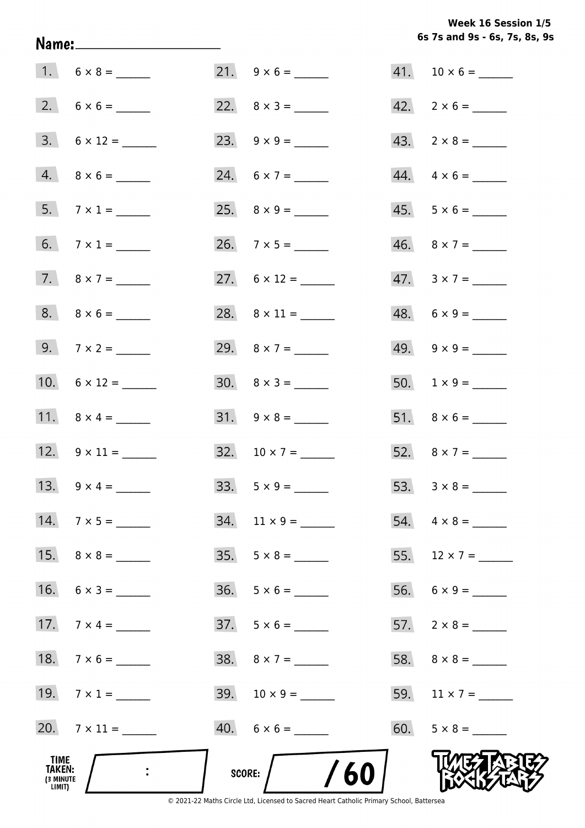Week 16 Session 1/5 6s 7s and 9s - 6s, 7s, 8s, 9s

|                                              | Name:________________________ |                          | 6s 7s and 9s - 6s, 7s, 8s, 9 |
|----------------------------------------------|-------------------------------|--------------------------|------------------------------|
|                                              | $1. 6 \times 8 =$             | 21. $9 \times 6 =$       |                              |
|                                              |                               |                          | $42. \quad 2 \times 6 =$     |
|                                              | $3. \quad 6 \times 12 =$      |                          | $43. \quad 2 \times 8 =$     |
|                                              | $4. 8 \times 6 =$             | 24. $6 \times 7 =$       | $44. \quad 4 \times 6 =$     |
|                                              | 5. $7 \times 1 =$             |                          | $45. 5 \times 6 =$           |
|                                              | 6. $7 \times 1 =$             |                          | $46. \quad 8 \times 7 = \_$  |
|                                              | 7. $8 \times 7 =$             | 27. $6 \times 12 =$      | $47.3 \times 7 =$            |
|                                              | $8. \ 8 \times 6 =$           |                          | $48. 6 \times 9 =$           |
|                                              | 9. $7 \times 2 =$             | 29. $8 \times 7 =$       |                              |
|                                              | 10. $6 \times 12 =$           | $30. \quad 8 \times 3 =$ |                              |
|                                              |                               |                          |                              |
|                                              | 12. $9 \times 11 =$           | $32. 10 \times 7 =$      | 52. $8 \times 7 =$           |
|                                              | 13. $9 \times 4 =$            | $33.5 \times 9 =$        |                              |
|                                              | 14. $7 \times 5 =$            | $34.$ 11 × 9 = ______    | $54. \quad 4 \times 8 =$     |
|                                              |                               | $35. 5 \times 8 =$       | 55. $12 \times 7 =$          |
|                                              | $16. 6 \times 3 =$            | $36. 5 \times 6 =$       |                              |
|                                              |                               | $37. 5 \times 6 =$       | $57. 2 \times 8 =$           |
|                                              | 18. $7 \times 6 =$            | $38. \quad 8 \times 7 =$ |                              |
|                                              | 19. $7 \times 1 =$            |                          |                              |
|                                              |                               |                          |                              |
| TIME<br><b>TAKEN:</b><br>(3 MINUTE<br>LIMIT) |                               | /60<br>score:            |                              |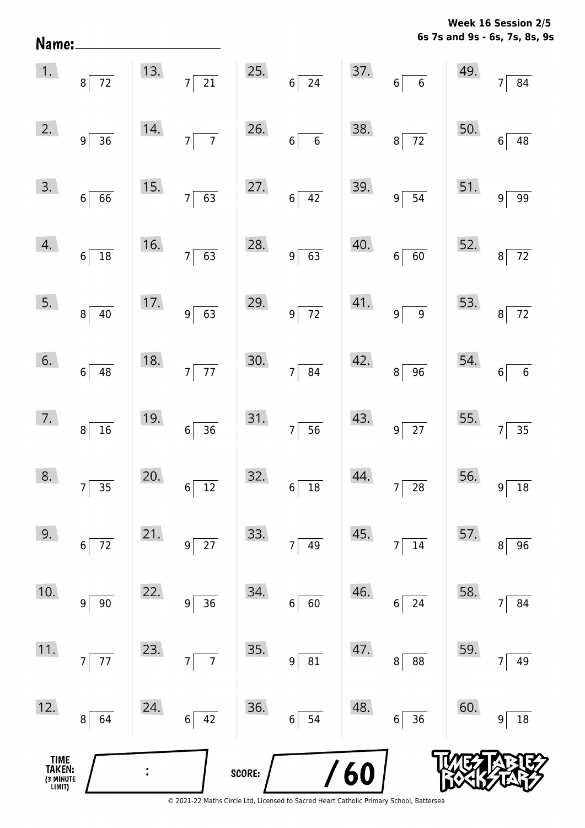**6s 7s and 9s - 6s, 7s, 8s, 9s Week 16 Session 2/5** 

| 12.<br>TIME<br>TAKEN: | 64<br>8                                               | 24. | $6 \overline{)42}$                                                 | 36.<br>SCORE: | 54<br>$6\vert$       | 48.<br>/60 | 36<br>$6\vert$              | 60. | 18<br>9                     |
|-----------------------|-------------------------------------------------------|-----|--------------------------------------------------------------------|---------------|----------------------|------------|-----------------------------|-----|-----------------------------|
| 11.                   | $77\,$<br>$7\overline{ }$                             | 23. | $\overline{7}$<br>$7\vert$                                         | 35.           | 81<br> 9             | 47.        | 88<br>8                     | 59. | 49<br>7                     |
| 10.                   | $90\,$<br>$\overline{9}$                              | 22. | 36<br>9 <sup>1</sup>                                               | 34.           | 60<br>$\sqrt{6}$     | 46.        | 24<br>6                     | 58. | 84                          |
| 9.                    | $6\vert$<br>$72\,$                                    | 21. | $9$ 27                                                             | 33.           | 49<br>$\overline{7}$ | 45.        | $14\,$<br>$\overline{7}$    | 57. | 96<br>8                     |
| 8.                    | $7\overline{35}$                                      | 20. | $6\overline{)12}$                                                  | 32.           | $6\overline{)18}$    | 44.        | $7\overline{\smash{)}\ 28}$ |     | $56.$ $9 \overline{)18}$    |
| 7.                    | $8\overline{)16}$                                     | 19. | $6\overline{)36}$                                                  |               | 31.756               | 43.        | $9\overline{27}$            |     | 55. $7 \overline{)35}$      |
| 6.                    | $6\overline{)48}$                                     | 18. | $7\overline{77}$                                                   |               | 30.7 84              | 42.        | $8\sqrt{96}$                |     | 54. $6\overline{6}$         |
| 5.                    | $8\sqrt{40}$                                          |     | $\begin{array}{ c c } \hline 17. & & 9 & 63 \\ \hline \end{array}$ | 29.           | $9\overline{72}$     |            | $41.$ $9 \overline{)9}$     |     | 53. $8\overline{72}$        |
| 4.                    | $6\overline{)18}$                                     | 16. | $7\overline{63}$                                                   | 28.           | $9\overline{63}$     | 40.        | $6\overline{60}$            |     | 52. $8\overline{72}$        |
| 3.                    | $6\overline{66}$                                      | 15. | $7\overline{63}$                                                   | 27.           | $6\overline{)42}$    | 39.        | $9\sqrt{54}$                | 51. | $9\overline{99}$            |
| 2.                    | $9\overline{)}36$                                     | 14. | $7\overline{7}$                                                    | 26.           | $6\overline{6}$      | 38.        | $8\overline{72}$            | 50. | $6\overline{)48}$           |
|                       | $\begin{array}{ c c } \hline 1. & 8 & 72 \end{array}$ |     | 13. $7\overline{)21}$                                              |               | $25.$ 6 $24$         |            | $37.6 \overline{6}$         | 49. | $\overline{84}$<br>$7\vert$ |

Name: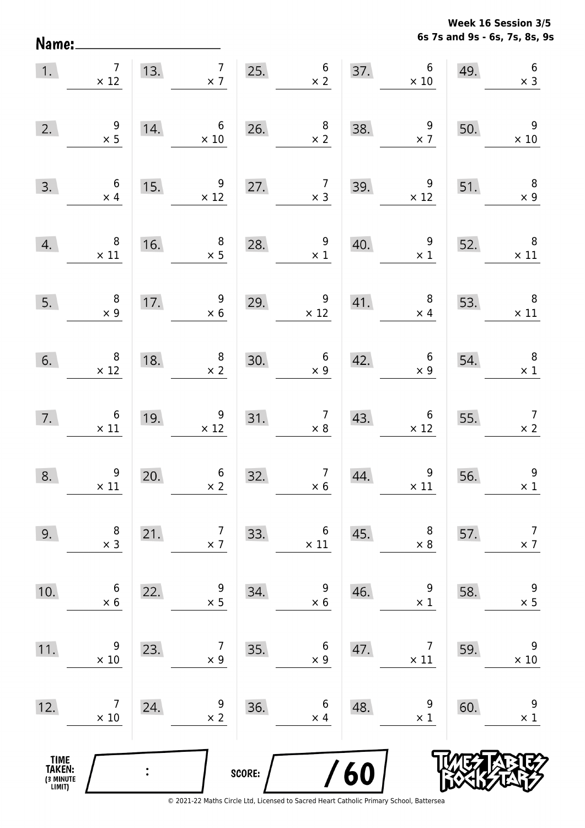**6s 7s and 9s - 6s, 7s, 8s, 9s Week 16 Session 3/5** 

| 1.                                    | $\overline{7}$<br>$\times$ 12                 |     | 7 <sup>1</sup><br>13. $7 \times 7$            |        | $25.$ 6<br>$\times$ 2                         |     | 37. $6 \times 10$                            | 49. | $\boldsymbol{6}$<br>$\times$ 3            |
|---------------------------------------|-----------------------------------------------|-----|-----------------------------------------------|--------|-----------------------------------------------|-----|----------------------------------------------|-----|-------------------------------------------|
| 2.                                    | $\begin{array}{c} 9 \\ \times 5 \end{array}$  | 14. | $6\overline{6}$<br>$\times 10$                | 26.    | $\begin{array}{c} 8 \\ \times 2 \end{array}$  | 38. | $\overline{9}$<br>$\times$ 7                 | 50. | $\overline{9}$<br>$\times 10$             |
| 3.                                    | $6\overline{6}$<br>$\times$ 4                 | 15. | $\begin{array}{r} 9 \\ \times 12 \end{array}$ | 27.    | $\overline{7}$<br>$\times$ 3                  | 39. | $\overline{9}$<br>$\times$ 12                | 51. | $\overline{\phantom{0}}$ 8<br>$\times$ 9  |
| 4.                                    | $\overline{\mathbf{8}}$<br>$\times$ 11        | 16. | $\begin{array}{r} 8 \\ \times 5 \end{array}$  | 28.    | $\frac{9}{1}$                                 | 40. | $\overline{9}$<br>$\times$ 1                 | 52. | $\overline{\phantom{0}}$<br>$\times$ 11   |
| 5.                                    | $\begin{array}{c} 8 \\ \times 9 \end{array}$  | 17. | $\begin{array}{r} 9 \\ \times 6 \end{array}$  | 29.    | $\begin{array}{c} 9 \\ \times 12 \end{array}$ | 41. | 8 <sup>8</sup><br>$\times$ 4                 | 53. | $\overline{\phantom{0}}$ 8<br>$\times$ 11 |
| 6.                                    | $\begin{array}{c} 8 \\ \times 12 \end{array}$ | 18. | $\begin{array}{c} 8 \\ \times 2 \end{array}$  | 30.    | $6\overline{6}$<br>$\times 9$                 | 42. | $\begin{array}{c} 6 \\ \times 9 \end{array}$ | 54. | $\overline{\phantom{0}}$ 8<br>$\times$ 1  |
| 7.                                    | $\begin{array}{c} 6 \\ \times 11 \end{array}$ | 19. | $9\phantom{.0}$<br>$\times$ 12                | 31.    | $\begin{array}{c} 7 \\ \times 8 \end{array}$  | 43. | 6<br>$\times$ 12                             | 55. | $\overline{7}$<br>$\times 2$              |
| 8.                                    | $\begin{array}{c}9 \\ \times 11\end{array}$   | 20. | $\begin{array}{c} 6 \\ \times 2 \end{array}$  | 32.    | $\begin{array}{c} 7 \\ \times 6 \end{array}$  | 44. | $\boldsymbol{9}$<br>$\times$ 11              | 56. | $9\,$<br>$\times$ 1                       |
| 9.                                    | 8<br>$\times$ 3                               | 21. | 7<br>$\times$ 7                               | 33.    | $\boldsymbol{6}$<br>$\times$ 11               | 45. | 8<br>$\times$ 8                              | 57. | $\overline{7}$<br>$\times$ 7              |
| 10.                                   | 6<br>$\times 6$                               | 22. | 9<br>$\times$ 5                               | 34.    | 9<br>$\times 6$                               | 46. | 9<br>$\times$ 1                              | 58. | 9<br>$\times$ 5                           |
| 11.                                   | 9<br>$\times$ 10                              | 23. | 7<br>$\times$ 9                               | 35.    | $\boldsymbol{6}$<br>$\times$ 9                | 47. | 7<br>$\times$ 11                             | 59. | 9<br>$\times$ 10                          |
| 12.                                   | 7<br>$\times$ 10                              | 24. | 9<br>$\times$ 2                               | 36.    | $\boldsymbol{6}$<br>$\times$ 4                | 48. | 9<br>$\times$ 1                              | 60. | 9<br>$\times$ 1                           |
| TIME<br>TAKEN:<br>(3 MINUTE<br>LIMIT) |                                               |     |                                               | SCORE: |                                               | 60  |                                              |     |                                           |

Name: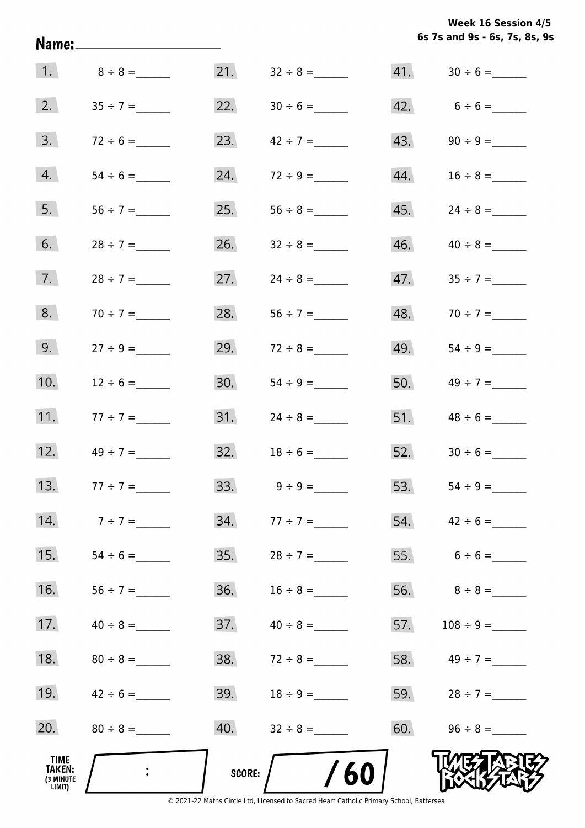**6s 7s and 9s - 6s, 7s, 8s, 9s Week 16 Session 4/5** 

|                                       |                 |          |                   |     | 6s 7s and 9s - 6s, 7s, 8s, 9s |
|---------------------------------------|-----------------|----------|-------------------|-----|-------------------------------|
|                                       | 1. $8 \div 8 =$ | 21.      |                   |     |                               |
| 2.                                    |                 | 22.      |                   |     | 42. $6 \div 6 =$              |
| 3.                                    | $72 \div 6 =$   | 23.      | $42 \div 7 =$     | 43. |                               |
| 4.                                    |                 | 24.      |                   | 44. |                               |
| 5.                                    | $56 \div 7 =$   | 25.      |                   | 45. |                               |
| 6.                                    | $28 \div 7 =$   | 26.      | $32 \div 8 =$     | 46. | $40 \div 8 =$                 |
| 7.                                    | $28 \div 7 =$   | 27.      | $24 \div 8 =$     |     |                               |
| 8.                                    | $70 \div 7 =$   | 28.      |                   |     | 48. $70 \div 7 =$             |
| 9.                                    |                 | 29.      | $72 \div 8 =$     | 49. |                               |
| 10.                                   | $12 \div 6 =$   | 30.      |                   | 50. | $49 \div 7 =$                 |
| 11.                                   | $77 \div 7 =$   | 31.      | $24 \div 8 =$     | 51. | $48 \div 6 =$                 |
| 12.                                   | $49 \div 7 =$   | 32.      | $18 \div 6 =$     |     |                               |
| 13.                                   | $77 \div 7 =$   | 33.      | $9 \div 9 =$      |     | 53. $54 \div 9 =$             |
| 14.                                   | $7 \div 7 =$    |          | $34. 77 \div 7 =$ |     |                               |
| 15.                                   | $54 \div 6 =$   | 35.      | $28 \div 7 =$     |     |                               |
| 16.                                   |                 | 36.      | $16 \div 8 =$     |     | 56. $8 \div 8 =$              |
| 17.                                   | $40 \div 8 =$   | 37.      | $40 \div 8 =$     |     |                               |
| 18.                                   | $80 \div 8 =$   | 38.      | $72 \div 8 =$     |     | 58. $49 \div 7 =$             |
| 19.                                   | $42 \div 6 =$   | 39.      | $18 \div 9 =$     |     | 59. $28 \div 7 =$             |
| 20.                                   |                 | 40.      |                   |     | $60.$ $96 \div 8 =$           |
| TIME<br>TAKEN:<br>(3 MINUTE<br>LIMIT) |                 | SCORE: / | 60                |     |                               |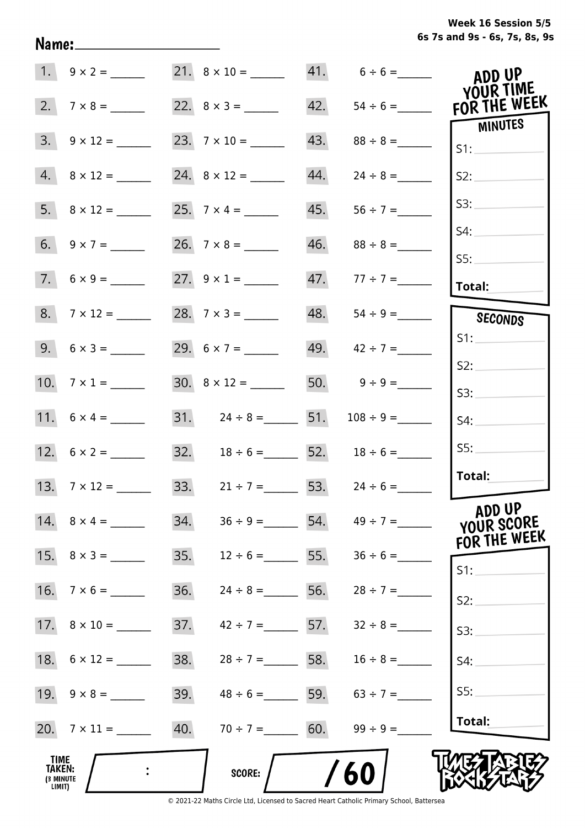|                                              |                          |     |                                      |     | $41. 6 \div 6 =$                | ADD UP<br>YOUR TIME                  |
|----------------------------------------------|--------------------------|-----|--------------------------------------|-----|---------------------------------|--------------------------------------|
| 2.                                           | $7 \times 8 =$           |     | 22. $8 \times 3 =$                   |     |                                 | FOR THE WEEK                         |
|                                              | $3. \quad 9 \times 12 =$ |     |                                      |     |                                 | MINUTES<br>S1:                       |
|                                              | $4. \ 8 \times 12 =$     |     |                                      | 44. | $24 \div 8 =$                   | S2:                                  |
|                                              | $5. \quad 8 \times 12 =$ |     |                                      | 45. | $56 \div 7 =$                   | S3:                                  |
|                                              |                          |     |                                      |     |                                 | S4:                                  |
|                                              | $7. 6 \times 9 =$        |     | 27. $9 \times 1 =$                   |     | 47. $77 \div 7 =$               | S5:<br>Total:                        |
|                                              |                          |     | 28. $7 \times 3 =$                   |     |                                 | SECONDS                              |
|                                              |                          |     | 29. $6 \times 7 =$                   |     | 49. $42 \div 7 =$               | S1:                                  |
|                                              | 10. $7 \times 1 =$       |     |                                      |     | 50. $9 \div 9 =$                | S2:                                  |
|                                              |                          |     |                                      |     |                                 | S3:                                  |
|                                              |                          |     | 31. $24 \div 8 =$ 51. $108 \div 9 =$ |     |                                 | S4:                                  |
|                                              | 12. $6 \times 2 =$       |     | 32. $18 \div 6 =$ 52. $18 \div 6 =$  |     |                                 | SS:                                  |
|                                              | 13. $7 \times 12 =$      |     | 33. $21 \div 7 =$ 53. $24 \div 6 =$  |     |                                 | Total:                               |
|                                              |                          | 34. |                                      |     | $36 \div 9 =$ 54. $49 \div 7 =$ | ADD UP<br>YOUR SCORE<br>FOR THE WEEK |
|                                              |                          | 35. |                                      |     | $12 \div 6 =$ 55. $36 \div 6 =$ | $S1$ :                               |
|                                              |                          | 36. |                                      |     | $24 \div 8 =$ 56. $28 \div 7 =$ | S2:                                  |
|                                              | 17. $8 \times 10 =$      | 37. |                                      |     | $42 \div 7 =$ 57. $32 \div 8 =$ | S3:                                  |
|                                              | 18. $6 \times 12 =$      | 38. |                                      |     | $28 \div 7 =$ 58. $16 \div 8 =$ | S4:                                  |
|                                              |                          | 39. |                                      |     | $48 \div 6 =$ 59. $63 \div 7 =$ | SS:                                  |
|                                              |                          | 40. | $70 \div 7 = 60.$                    |     | $99 \div 9 =$                   | Total:                               |
| <b>TIME</b><br>TAKEN:<br>(3 MINUTE<br>LIMIT) |                          |     | <b>SCORE:</b>                        |     | 60                              |                                      |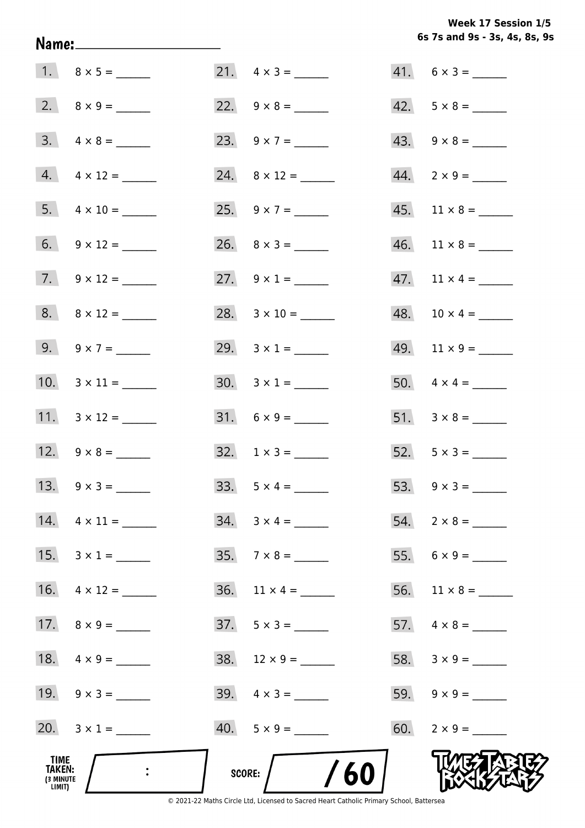**6s 7s and 9s - 3s, 4s, 8s, 9s Week 17 Session 1/5** 

|                                              | Name:_________________________ |                               | 6s 7s and 9s - 3s, 4s, 8s, 9s |
|----------------------------------------------|--------------------------------|-------------------------------|-------------------------------|
|                                              |                                | 21. $4 \times 3 =$            | $41. 6 \times 3 =$            |
|                                              |                                |                               | $42. 5 \times 8 =$            |
|                                              | $3. \quad 4 \times 8 =$        | 23. $9 \times 7 =$            | $43. \quad 9 \times 8 =$      |
|                                              | $4. \quad 4 \times 12 =$       | 24. $8 \times 12 =$           | $44. \quad 2 \times 9 = \_$   |
|                                              | $5. \quad 4 \times 10 =$       | 25. $9 \times 7 =$            | $45.$ 11 × 8 = ______         |
|                                              | 6. $9 \times 12 =$             |                               | $46.$ 11 × 8 = ______         |
|                                              | 7. $9 \times 12 =$             | 27. $9 \times 1 =$            |                               |
|                                              | $8. \ 8 \times 12 =$           | $28. 3 \times 10 =$           | $48. 10 \times 4 =$           |
|                                              | 9. $9 \times 7 =$              | 29. $3 \times 1 =$            |                               |
|                                              | 10. $3 \times 11 =$            | $30. 3 \times 1 =$            |                               |
|                                              | 11. $3 \times 12 =$            |                               |                               |
|                                              | 12. $9 \times 8 =$             | $32. 1 \times 3 =$            |                               |
|                                              | 13. $9 \times 3 =$             | 33. $5 \times 4 =$            |                               |
|                                              | $14. \quad 4 \times 11 =$      | $34. 3 \times 4 =$            |                               |
|                                              | 15. $3 \times 1 =$             | $35.7 \times 8 =$             |                               |
|                                              | 16. $4 \times 12 =$            | $36.$ 11 $\times$ 4 = _______ |                               |
|                                              | 17. $8 \times 9 =$             |                               |                               |
|                                              | 18. $4 \times 9 =$             |                               |                               |
|                                              | 19. $9 \times 3 =$             |                               |                               |
|                                              | 20. $3 \times 1 =$             |                               | 60. $2 \times 9 =$            |
| TIME<br><b>TAKEN:</b><br>(3 MINUTE<br>LIMIT) |                                | /60<br>score:                 |                               |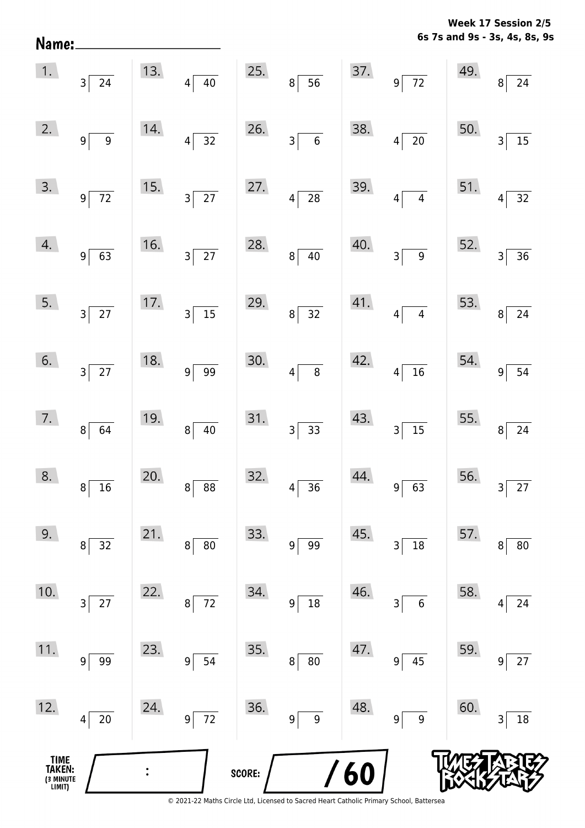**6s 7s and 9s - 3s, 4s, 8s, 9s Week 17 Session 2/5** 

|                                       | $\begin{array}{ c c }\n\hline\n1. & 3 & 24\n\end{array}$ |     | 13. $4\overline{)40}$                                                  |        | 25. $8 \overline{)56}$ 37. $9 \overline{)72}$ |     |                       | 49. $8\begin{bmatrix} \end{bmatrix}$ | $\overline{24}$                   |
|---------------------------------------|----------------------------------------------------------|-----|------------------------------------------------------------------------|--------|-----------------------------------------------|-----|-----------------------|--------------------------------------|-----------------------------------|
| 2.                                    | $9\sqrt{9}$                                              | 14. | $4\overline{)32}$                                                      | 26.    | $3\overline{6}$                               | 38. | $4\overline{20}$      | 50.                                  | $\overline{3}$<br>$\overline{15}$ |
| 3.                                    | $9\overline{72}$                                         |     | $\begin{array}{ c c }\n\hline\n15. & & \\ \hline\n3 & 27\n\end{array}$ | 27.    | $4\overline{28}$                              |     | 39. $4\sqrt{4}$       |                                      | 51. $4\overline{)32}$             |
| 4.                                    | $9\sqrt{63}$                                             |     | $\begin{array}{ c c }\n\hline\n16. & & 3 & 27\n\end{array}$            | 28.    | $8\overline{)40}$                             | 40. | $3\overline{9}$       |                                      | 52. $3\overline{)36}$             |
| 5.                                    | $3\overline{)27}$                                        |     | $\begin{array}{ c c }\n\hline\n17. & 3 & 15\n\end{array}$              | 29.    | $8\overline{)32}$                             |     | 41. $4\sqrt{4}$       |                                      | 53. $8\overline{)24}$             |
| 6.                                    | $3\overline{)27}$                                        | 18. | $9\overline{)99}$                                                      | 30.    | $4\overline{8}$                               |     | 42. $4\sqrt{16}$      |                                      | 54. $9\overline{)54}$             |
| 7.                                    | $8\overline{64}$                                         | 19. | $8\sqrt{40}$                                                           |        | 31. $3\overline{)33}$                         | 43. | $3\overline{)15}$     |                                      | 55. $8\overline{)24}$             |
| 8.                                    | $8\sqrt{16}$                                             | 20. | $8 \overline{) 88}$                                                    |        | $32.4 \overline{)36}$                         | 44. | $9\overline{63}$      |                                      | 56. $3\overline{)27}$             |
| 9.                                    | 32<br>8                                                  | 21. | 80<br>8                                                                | 33.    | 99<br>9                                       | 45. | 18<br>3               | 57.                                  | 80<br>8                           |
| 10.                                   | $27$<br>3                                                | 22. | 72<br>8                                                                | 34.    | $18\,$<br>9                                   | 46. | $\boldsymbol{6}$<br>3 | 58.                                  | 24<br>4                           |
| 11.                                   | 99<br>9                                                  | 23. | 54<br>9                                                                | 35.    | 80<br>8                                       | 47. | 45<br>9               | 59.                                  | $27$<br>9                         |
| 12.                                   | $20\,$<br>4                                              | 24. | $\overline{72}$<br>9                                                   | 36.    | 9 <sup>1</sup><br>9                           | 48. | 9<br>9                | 60.                                  | 18<br>3                           |
| TIME<br>TAKEN:<br>(3 MINUTE<br>LIMIT) |                                                          |     |                                                                        | SCORE: |                                               | 60  |                       |                                      |                                   |

Name: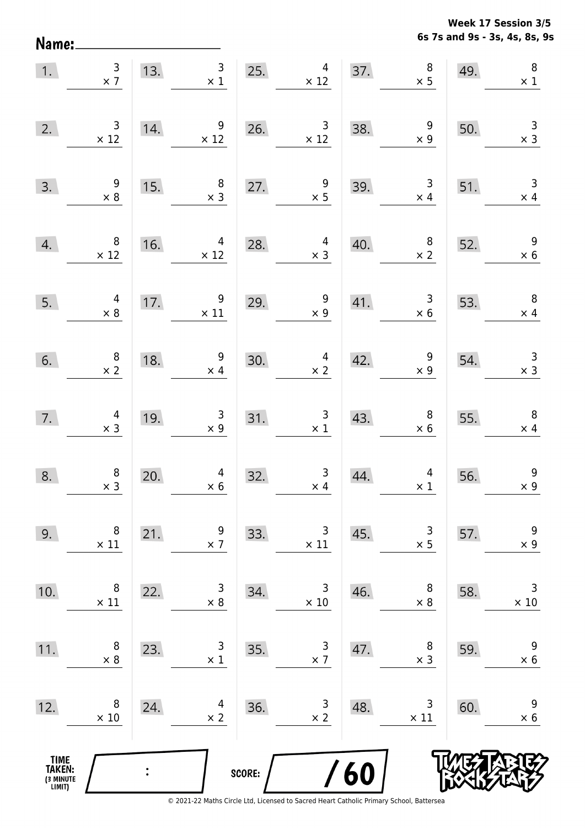**6s 7s and 9s - 3s, 4s, 8s, 9s Week 17 Session 3/5** 

| 1.                                    | $\frac{3}{x}$                                 |     | 13. $\begin{array}{c} 3 \\ \times 1 \end{array}$  | 25.    | $\overline{4}$<br>$\times$ 12                |     | $\begin{array}{c}\n8 \\ \times 5\n\end{array}$<br>37. | 49. | $\boldsymbol{8}$<br>$\times$ 1               |
|---------------------------------------|-----------------------------------------------|-----|---------------------------------------------------|--------|----------------------------------------------|-----|-------------------------------------------------------|-----|----------------------------------------------|
| 2.                                    | $\begin{array}{c} 3 \\ \times 12 \end{array}$ | 14. | $\overline{9}$<br>$\times$ 12                     |        | 26. $3 \times 12$                            | 38. | $\begin{array}{c} 9 \\ \times 9 \end{array}$          | 50. | $\frac{3}{x}$                                |
| 3.                                    | $\begin{array}{r} 9 \\ \times 8 \end{array}$  | 15. | $\begin{array}{c} 8 \\ \times 3 \end{array}$      | 27.    | $\frac{9}{1}$                                | 39. | $\begin{array}{c} 3 \\ \times 4 \end{array}$          | 51. | $\overline{3}$<br>$\times$ 4                 |
| 4.                                    | $\begin{array}{c} 8 \\ \times 12 \end{array}$ | 16. | $\begin{array}{c}\n4 \\ \times 12\n\end{array}$   | 28.    | $4 \times 3$                                 | 40. | $\begin{array}{r} 8 \\ \times 2 \end{array}$          | 52. | $\overline{9}$<br>$\times$ 6                 |
| 5.                                    | $4 \times 8$                                  |     | 17. $\begin{array}{c} 9 \\ \times 11 \end{array}$ | 29.    | $\begin{array}{c} 9 \\ \times 9 \end{array}$ |     | 41. $\begin{array}{r} 3 \\ \times 6 \end{array}$      | 53. | $\begin{array}{c} 8 \\ \times 4 \end{array}$ |
| 6.                                    | $\begin{array}{c} 8 \\ \times 2 \end{array}$  | 18. | $\begin{array}{r} 9 \\ \times 4 \end{array}$      | 30.    | $\frac{4}{x^2}$                              | 42. | $\begin{array}{c} 9 \\ \times 9 \end{array}$          | 54. | $\begin{array}{r} 3 \\ \times 3 \end{array}$ |
| 7.                                    | $\begin{array}{c} 4 \\ \times 3 \end{array}$  | 19. | $\begin{array}{r} 3 \\ \times 9 \end{array}$      | 31.    | $\frac{3}{x1}$                               | 43. | $\begin{array}{c} 8 \\ \times 6 \end{array}$          | 55. | $\begin{array}{c} 8 \\ \times 4 \end{array}$ |
| 8.                                    | $\begin{array}{c} 8 \\ \times 3 \end{array}$  | 20. | $\begin{array}{r} 4 \\ \times 6 \end{array}$      | 32.    | $\begin{array}{c} 3 \\ \times 4 \end{array}$ | 44. | $\begin{array}{c} 4 \\ \times 1 \end{array}$          | 56. | $\boldsymbol{9}$<br>$\times$ 9               |
| 9.                                    | 8<br>$\times$ 11                              | 21. | 9<br>$\times$ 7                                   | 33.    | 3<br>$\times$ 11                             | 45. | 3<br>$\times$ 5                                       | 57. | $\boldsymbol{9}$<br>$\times$ 9               |
| 10.                                   | 8<br>$\times$ 11                              | 22. | 3<br>$\times 8$                                   | 34.    | 3<br>$\times$ 10                             | 46. | 8<br>$\times$ 8                                       | 58. | $\mathsf 3$<br>$\times$ 10                   |
| 11.                                   | 8<br>$\times 8$                               | 23. | 3<br>$\times 1$                                   | 35.    | 3<br>$\times$ 7                              | 47. | 8<br>$\times$ 3                                       | 59. | 9<br>$\times 6$                              |
| 12.                                   | 8<br>$\times$ 10                              | 24. | 4<br>$\times$ 2                                   | 36.    | 3<br>$\times$ 2                              | 48. | 3<br>$\times$ 11                                      | 60. | 9<br>$\times$ 6                              |
| TIME<br>TAKEN:<br>(3 MINUTE<br>LIMIT) |                                               |     |                                                   | SCORE: |                                              | 60  |                                                       |     |                                              |

Name: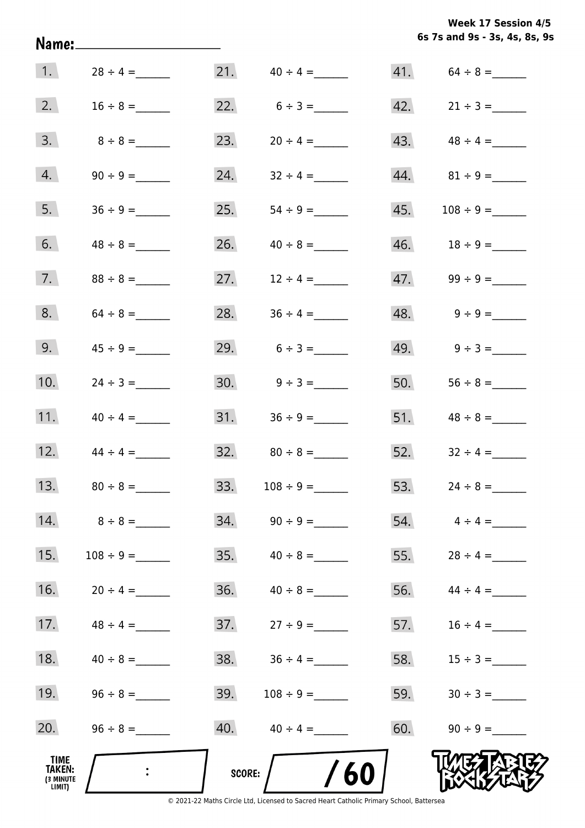**6s 7s and 9s - 3s, 4s, 8s, 9s Week 17 Session 4/5** 

|                                                     |                |        |                     |     | 6s 7s and 9s - 3s, 4s, 8s, 9     |
|-----------------------------------------------------|----------------|--------|---------------------|-----|----------------------------------|
| $\vert 1. \vert$                                    | $28 \div 4 =$  |        | $21.$ $40 \div 4 =$ |     | $41. 64 \div 8 =$                |
| 2.                                                  |                |        | 22. $6 \div 3 =$    |     | $42. \qquad 21 \div 3 =$         |
| 3.                                                  | $8 \div 8 =$   | 23.    |                     |     | $43. \hspace{1.5cm} 48 \div 4 =$ |
| 4.                                                  |                | 24.    | $32 \div 4 =$       |     |                                  |
| 5.                                                  | $36 \div 9 =$  | 25.    |                     | 45. |                                  |
| 6.                                                  | $48 \div 8 =$  | 26.    | $40 \div 8 =$       |     |                                  |
| 7.                                                  | $88 \div 8 =$  | 27.    | $12 \div 4 =$       |     |                                  |
| 8.                                                  |                | 28.    | $36 \div 4 =$       |     | $48. \qquad 9 \div 9 =$          |
| 9.                                                  | $45 \div 9 =$  |        | 29. $6 \div 3 =$    |     | $49.$ $9 \div 3 =$               |
| 10.                                                 | $24 \div 3 =$  |        |                     | 50. |                                  |
| 11.                                                 | $40 \div 4 =$  | 31.    | $36 \div 9 =$       |     |                                  |
| 12.                                                 | $44 \div 4 =$  | 32.    | $80 \div 8 =$       |     | 52. $32 \div 4 =$                |
| 13.                                                 | $80 \div 8 =$  | 33.    | $108 \div 9 =$      |     | 53. $24 \div 8 =$                |
| 14.                                                 | $8 \div 8 =$   |        |                     |     |                                  |
| 15.                                                 | $108 \div 9 =$ | 35.    | $40 \div 8 =$       | 55. | $28 \div 4 =$                    |
| 16.                                                 | $20 \div 4 =$  | 36.    | $40 \div 8 =$       | 56. | $44 \div 4 =$                    |
| 17.                                                 | $48 \div 4 =$  |        |                     | 57. | $16 \div 4 =$                    |
| 18.                                                 | $40 \div 8 =$  | 38.    | $36 \div 4 =$       | 58. | $15 \div 3 =$                    |
| 19.                                                 | $96 \div 8 =$  | 39.    | $108 \div 9 =$      | 59. |                                  |
| 20.                                                 |                |        | 40. $40 \div 4 =$   | 60. | $90 \div 9 =$                    |
| <b>TIME</b><br><b>TAKEN:</b><br>(3 MINUTE<br>LIMIT) |                | SCORE: | 60                  |     |                                  |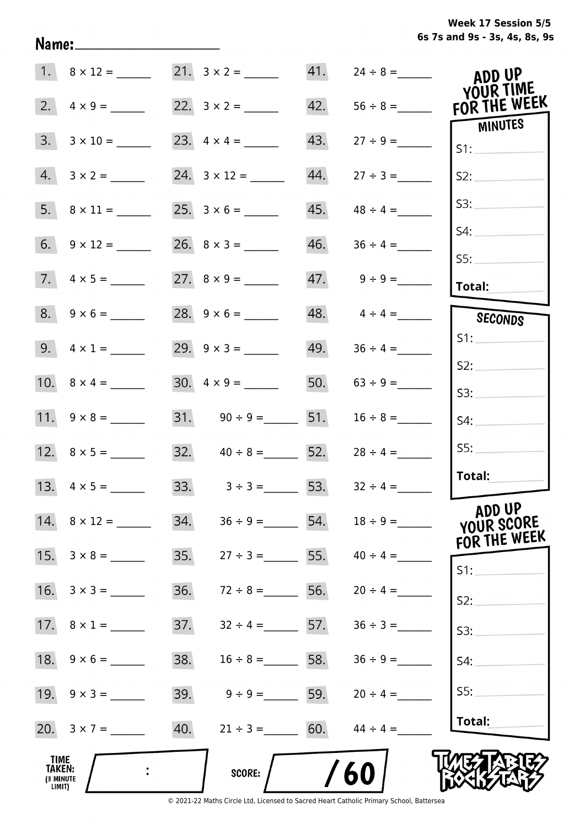**6s 7s and 9s - 3s, 4s, 8s, 9s Week 17 Session 5/5** 

|                                                     |                         |     | 21. $3 \times 2 =$       |     |                   | ADD UP                    |
|-----------------------------------------------------|-------------------------|-----|--------------------------|-----|-------------------|---------------------------|
| 2.                                                  |                         |     |                          | 42. | $56 \div 8 =$     | YOUR TIME<br>FOR THE WEEK |
| 3.                                                  |                         |     |                          | 43. |                   | MINUTES<br>S1:            |
| 4.                                                  |                         |     |                          | 44. | $27 \div 3 =$     | S2:                       |
|                                                     |                         |     |                          | 45. | $48 \div 4 =$     | S3:                       |
|                                                     |                         |     |                          | 46. |                   | S4:                       |
|                                                     | $7. \quad 4 \times 5 =$ |     |                          |     |                   | SS:<br>Total:             |
|                                                     |                         |     |                          |     | 48. $4 \div 4 =$  | SECONDS                   |
|                                                     | 9. $4 \times 1 =$       |     | 29. $9 \times 3 =$       | 49. | $36 \div 4 =$     | S1:                       |
|                                                     |                         |     | $30. \quad 4 \times 9 =$ |     | 50. $63 \div 9 =$ | S2:                       |
|                                                     |                         |     | 31. $90 \div 9 =$ 51.    |     | $16 \div 8 =$     | S3:<br>S4:                |
|                                                     |                         |     | 32. $40 \div 8 =$ 52.    |     | $28 \div 4 =$     | SS:                       |
|                                                     |                         |     | 33. $3 \div 3 =$ 53.     |     | $32 \div 4 =$     | Total:                    |
|                                                     | 14. $8 \times 12 =$     | 34. | $36 \div 9 =$            | 54. |                   | ADD UP<br>YOUR SCORE      |
| 15.                                                 | $3 \times 8 =$          | 35. | $27 \div 3 =$            | 55. | $40 \div 4 =$     | FOR THE WEEK<br>$S1$ :    |
| 16.                                                 | $3 \times 3 =$          | 36. | $72 \div 8 =$            | 56. | $20 \div 4 =$     | S2:                       |
|                                                     |                         | 37. | $32 \div 4 = 57$ .       |     | $36 \div 3 =$     | S3:                       |
|                                                     | 18. $9 \times 6 =$      | 38. | $16 \div 8 = 58.$        |     |                   | S4:                       |
|                                                     | 19. $9 \times 3 =$      | 39. | $9 \div 9 = 59.$         |     | $20 \div 4 =$     | SS:                       |
|                                                     |                         | 40. | $21 \div 3 = 60.$        |     | $44 \div 4 =$     | Total:                    |
| <b>TIME</b><br><b>TAKEN:</b><br>(3 MINUTE<br>LIMIT) |                         |     | SCORE:                   |     | 60                |                           |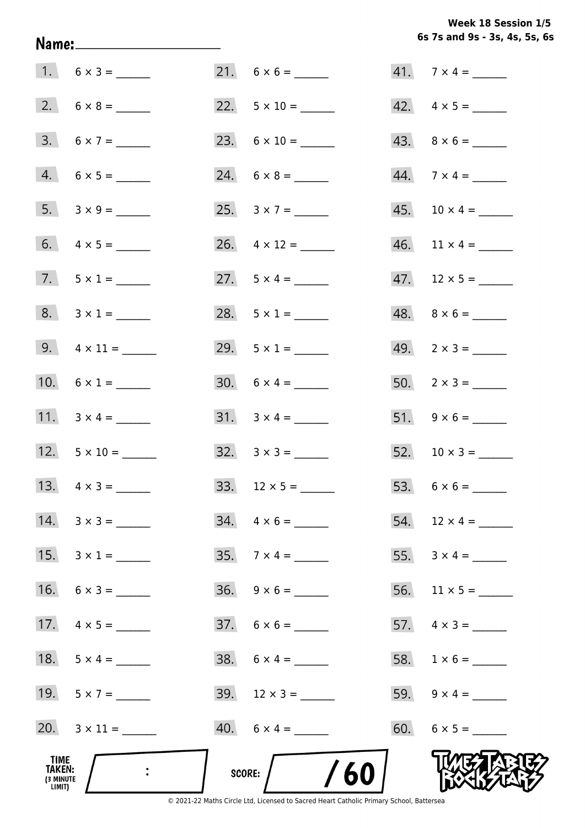**6s 7s and 9s - 3s, 4s, 5s, 6s Week 18 Session 1/5** 

|                                              |                |        |                           | 6s 7s and 9s - 3s, 4s, 5s, 6s |
|----------------------------------------------|----------------|--------|---------------------------|-------------------------------|
| $1. 6 \times 3 =$                            |                |        |                           | $41.7 \times 4 =$             |
|                                              |                |        | 22. $5 \times 10 =$       | $42. \quad 4 \times 5 =$      |
| $3. 6 \times 7 =$                            |                |        |                           | $43. \quad 8 \times 6 =$      |
| $4. 6 \times 5 =$                            |                |        |                           |                               |
|                                              |                |        | 25. $3 \times 7 =$        | $45. 10 \times 4 =$           |
|                                              |                |        | 26. $4 \times 12 =$       | $46.$ 11 $\times$ 4 = _______ |
| 7. $5 \times 1 =$                            |                |        | 27. $5 \times 4 =$        | $47.$ 12 × 5 = ______         |
| $8. 3 \times 1 =$                            |                |        | 28. $5 \times 1 =$        |                               |
| 9. $4 \times 11 =$                           |                |        | 29. $5 \times 1 =$        | $49. \quad 2 \times 3 =$      |
| 10. $6 \times 1 =$                           |                |        | $30. 6 \times 4 =$        | $50. 2 \times 3 =$            |
| 11. $3 \times 4 =$                           |                |        |                           |                               |
| 12. $5 \times 10 =$                          |                |        | $32. \quad 3 \times 3 =$  |                               |
| 13.                                          | $4 \times 3 =$ |        |                           |                               |
| $14. \quad 3 \times 3 =$                     |                |        | $34. \quad 4 \times 6 =$  | 54. $12 \times 4 =$           |
| 15.                                          | $3 \times 1 =$ |        | $35.7 \times 4 =$         |                               |
| $16. 6 \times 3 =$                           |                |        | $36. 9 \times 6 =$        |                               |
|                                              |                |        |                           |                               |
| 18.                                          | $5 \times 4 =$ |        |                           |                               |
| 19. $5 \times 7 =$                           |                |        | $39. \quad 12 \times 3 =$ | 59. $9 \times 4 =$            |
| 20. $3 \times 11 =$                          |                |        | $40. 6 \times 4 =$        |                               |
| TIME<br><b>TAKEN:</b><br>(3 MINUTE<br>LIMIT) |                | SCORE: | /60                       |                               |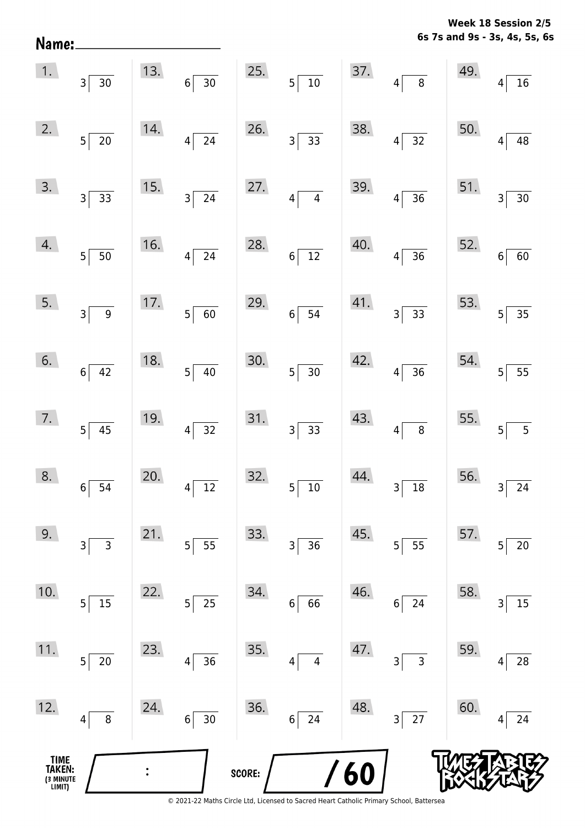**6s 7s and 9s - 3s, 4s, 5s, 6s Week 18 Session 2/5** 

| TIME<br>TAKEN:<br>(3 MINUTE<br>LIMIT) |                             |     |                           | SCORE: |                                           | $\frac{1}{60}$ |                                         |                                         |                                   |
|---------------------------------------|-----------------------------|-----|---------------------------|--------|-------------------------------------------|----------------|-----------------------------------------|-----------------------------------------|-----------------------------------|
| 12.                                   | 8<br>4                      | 24. | $30\,$<br>$6\vert$        | 36.    | 24<br>$\boldsymbol{6}$                    | 48.            | $\overline{27}$<br>3                    | 60.                                     | 24<br>4                           |
| $11.$                                 | 5<br>$20\,$                 | 23. | 36<br>4                   | 35.    | $\overline{4}$<br>$\overline{\mathbf{4}}$ | 47.            | $\mathsf{3}$<br>$\overline{\mathbf{3}}$ | 59.                                     | 28<br>4                           |
| 10.                                   | 15<br>5 <sup>1</sup>        | 22. | 25<br>5 <sup>1</sup>      | 34.    | 66<br>$\bf 6$                             | 46.            | 24<br>6                                 | 58.                                     | 15<br>3                           |
| 9.                                    | 3<br>3                      | 21. | 55<br>$5\vert$            | 33.    | $\mathsf 3$<br>36                         | 45.            | 55<br>$5\vert$                          | 57.                                     | 20<br>5                           |
| 8.                                    | $6\overline{)54}$           | 20. | $4\sqrt{12}$              | 32.    | $5\overline{)10}$                         | 44.            | $3\overline{)18}$                       | $56.$ $3^{6}$                           | $\overline{24}$                   |
|                                       | $7.$ $5\overline{)45}$      | 19. | $4\overline{)32}$         | 31.    | $3\overline{)33}$                         | 43.            | $4\overline{8}$                         | 55.                                     | $\sqrt{5}$<br>$\overline{5}$      |
| 6.                                    | $6\overline{)42}$           | 18. | $5\overline{)40}$         | 30.    | $5\overline{)30}$                         |                | $42.$ $4 \overline{)36}$                | 54.                                     | $\overline{55}$<br>$\overline{5}$ |
| 5.                                    | $3\overline{9}$             | 17. | $5\overline{60}$          | 29.    | $6\overline{)}\ \overline{)}$             | 41.            | $3\overline{)33}$                       | 53.                                     | $5\overline{)35}$                 |
| 4.                                    | $5\overline{\smash{)}\,50}$ | 16. | $4\overline{24}$          | 28.    | $6\overline{)12}$                         | 40.            | $4\overline{)36}$                       | 52.                                     | $\boxed{60}$<br>$6 \overline{6}$  |
| 3.                                    | $3\overline{)33}$           | 15. | $3\overline{\smash{)}24}$ | 27.    | $4\overline{4}$                           |                | 39. $4\sqrt{36}$                        | $\begin{bmatrix} 51. & 3 \end{bmatrix}$ | $\boxed{30}$                      |
| 2.                                    | $5\overline{\smash{)}\ 20}$ | 14. | $4\overline{24}$          | 26.    | $3\overline{)33}$                         | 38.            | $4\overline{)32}$                       | 50.                                     | $\overline{48}$<br>$\overline{4}$ |
|                                       | 1. $3\overline{)30}$        |     | 13. $6 \overline{)30}$    | 25.    | $5\overline{\smash{)}10}$                 |                | $37.$ $4 \overline{\smash{)}\ 8}$       | 49.                                     | $\frac{16}{ }$                    |

Name: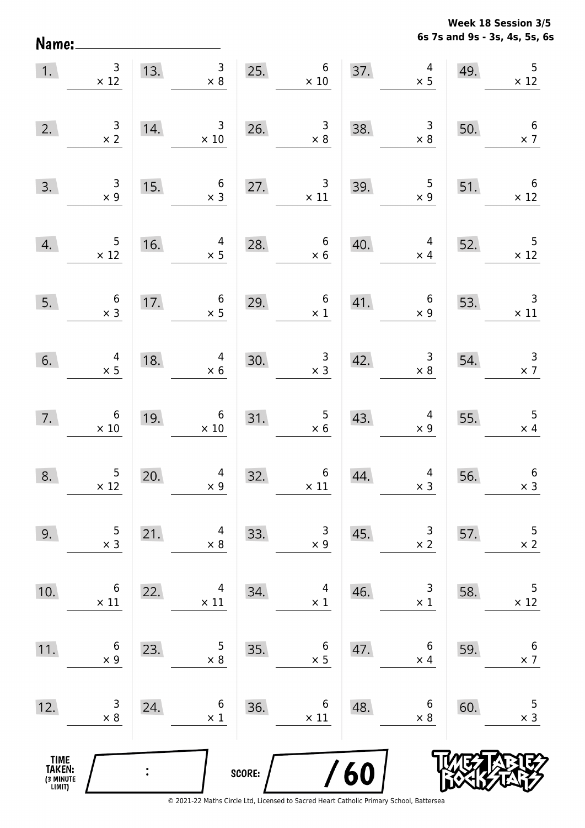**6s 7s and 9s - 3s, 4s, 5s, 6s Week 18 Session 3/5** 

| $\overline{1}$ .                              | $\begin{array}{c} 3 \\ \times 12 \end{array}$   |                | 13. $\begin{array}{r} 3 \\ \times 8 \end{array}$               | 25.    | $6\phantom{a}$<br>$\times$ 10                    |     | $\overline{\mathcal{L}}$<br>37.<br>$\times$ 5                          | 49. | 5<br>$\times$ 12                                 |
|-----------------------------------------------|-------------------------------------------------|----------------|----------------------------------------------------------------|--------|--------------------------------------------------|-----|------------------------------------------------------------------------|-----|--------------------------------------------------|
| 2.                                            | $\begin{array}{r} 3 \\ \times 2 \end{array}$    | 14.            | $\overline{\phantom{a}}$<br>$\times$ 10                        |        | 26. $\begin{array}{r} 3 \\ \times 8 \end{array}$ | 38. | $\begin{array}{r} 3 \\ \times 8 \end{array}$                           | 50. | $6\overline{6}$<br>$\times$ 7                    |
| 3.                                            | $\begin{array}{r} 3 \\ \times 9 \end{array}$    | 15.            | $\begin{array}{c} 6 \\ \times 3 \end{array}$                   | 27.    | $\frac{3}{11}$                                   | 39. | $\begin{array}{r} 5 \\ \times 9 \end{array}$                           | 51. | $\overline{\phantom{0}}$ 6<br>$\times$ 12        |
| 4.                                            | $\begin{array}{r} 5 \\ \times 12 \end{array}$   |                | $\begin{array}{c} 4 \\ \times 5 \end{array}$<br>$16.$ $\times$ | 28.    | $\begin{array}{c} 6 \\ \times 6 \end{array}$     | 40. | $\overline{4}$<br>$\times$ 4                                           | 52. | 2. $\begin{array}{c} 5 \\ \times 12 \end{array}$ |
| 5.                                            | $\begin{array}{c} 6 \\ \times 3 \end{array}$    | 17.            | $\begin{array}{c} 6 \\ \times 5 \end{array}$                   | 29.    | $\overline{\phantom{0}}$ 6<br>$\times 1$         |     | $\begin{array}{ccc} 41. & & 6 \\ & \times 9 \end{array}$<br>$\times$ 9 | 53. | $\begin{array}{c} 3 \\ \times 11 \end{array}$    |
| 6.                                            | $\begin{array}{r} 4 \\ \times 5 \end{array}$    | 18.            | $4 \times 6$                                                   | 30.    | $\begin{array}{r} 3 \\ \times 3 \end{array}$     | 42. | $\begin{array}{c} 3 \\ \times 8 \end{array}$                           | 54. | $\begin{array}{c} 3 \\ \times 7 \end{array}$     |
| 7.                                            | $\begin{array}{c} 6 \\ \times \ 10 \end{array}$ | 19.            | $\begin{array}{c} 6 \\ \times 10 \end{array}$                  | 31.    | $\frac{5}{\times 6}$                             | 43. | $\begin{array}{c} 4 \\ \times 9 \end{array}$                           | 55. | $\begin{array}{r} 5 \\ \times 4 \end{array}$     |
| 8.                                            | $\begin{array}{c} 5 \\ \times 12 \end{array}$   | 20.            | $\begin{array}{c} 4 \\ \times 9 \end{array}$                   | 32.    | $6$ $\times$ 11                                  | 44. | $\begin{array}{r} 4 \\ \times 3 \end{array}$                           | 56. | $\boldsymbol{6}$<br>$\times$ 3                   |
| 9.                                            | 5<br>$\times$ 3                                 | 21.            | 4<br>$\times 8$                                                | 33.    | 3<br>$\times$ 9                                  | 45. | 3<br>$\times 2$                                                        | 57. | 5<br>$\times$ 2                                  |
| 10.                                           | 6<br>$\times$ 11                                | 22.            | 4<br>$\times$ 11                                               | 34.    | 4<br>$\times$ 1                                  | 46. | 3<br>$\times$ 1                                                        | 58. | 5<br>$\times$ 12                                 |
| 11.                                           | 6<br>$\times$ 9                                 | 23.            | 5<br>$\times 8$                                                | 35.    | 6<br>$\times$ 5                                  | 47. | 6<br>$\times$ 4                                                        | 59. | 6<br>$\times$ 7                                  |
| 12.                                           | 3<br>$\times$ 8                                 | 24.            | 6<br>$\times$ 1                                                | 36.    | 6<br>$\times$ 11                                 | 48. | 6<br>$\times$ 8                                                        | 60. | 5<br>$\times$ 3                                  |
| <b>TIME<br/>TAKEN:</b><br>(3 MINUTE<br>LIMIT) |                                                 | $\ddot{\cdot}$ |                                                                | SCORE: |                                                  | /60 |                                                                        |     |                                                  |

Name: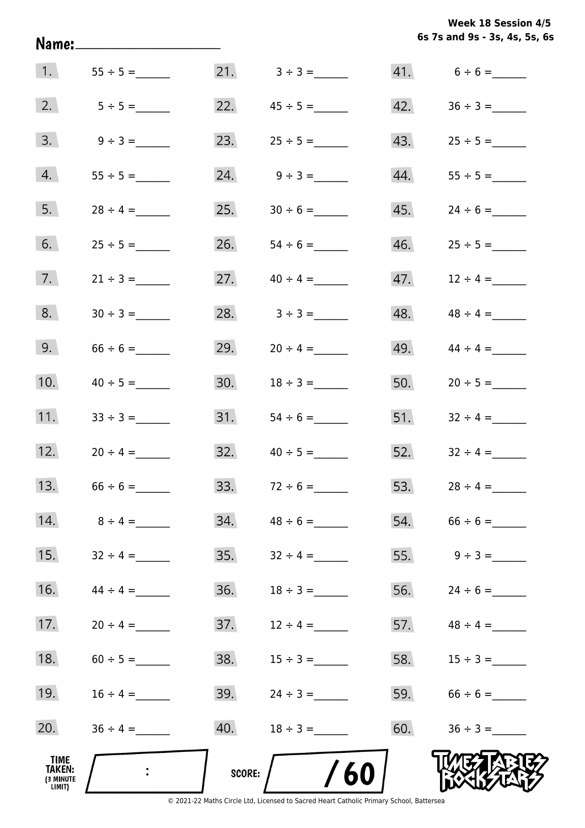|  |                               | Week 18 Session 4/5 |  |  |
|--|-------------------------------|---------------------|--|--|
|  | 6s 7s and 9s - 3s, 4s, 5s, 6s |                     |  |  |

|                                                     |                |        |                   |     | 6s 7s and 9s - 3s, 4s, 5s, 6 |
|-----------------------------------------------------|----------------|--------|-------------------|-----|------------------------------|
| $\vert 1. \vert$                                    |                |        | 21. $3 \div 3 =$  |     | $41. 6 \div 6 =$             |
| 2.                                                  | $5 \div 5 =$   |        | 22. $45 \div 5 =$ | 42. |                              |
| 3.                                                  | $9 \div 3 =$   | 23.    |                   | 43. |                              |
| 4.                                                  |                | 24.    |                   | 44. |                              |
| 5.                                                  |                | 25.    |                   | 45. | $24 \div 6 =$                |
| 6.                                                  |                | 26.    |                   | 46. |                              |
| 7.                                                  | $21 \div 3 =$  | 27.    | $40 \div 4 =$     | 47. | $12 \div 4 =$                |
| 8.                                                  |                | 28.    | $3 \div 3 =$      | 48. | $48 \div 4 =$                |
| 9.                                                  |                | 29.    | $20 \div 4 =$     | 49. | $44 \div 4 =$                |
| 10.                                                 | $40 \div 5 =$  | 30.    |                   | 50. | $20 \div 5 =$                |
| 11.                                                 | $33 \div 3 =$  | 31.    | $54 \div 6 =$     |     | 51. $32 \div 4 =$            |
| 12.                                                 | $20 \div 4 =$  | 32.    | $40 \div 5 =$     | 52. | $32 \div 4 =$                |
| 13.                                                 | $66 \div 6 =$  | 33.    |                   | 53. | $28 \div 4 =$                |
| 14.                                                 | $8 \div 4 =$   | 34.    | $48 \div 6 =$     | 54. | $66 \div 6 =$                |
| 15.                                                 | $32 \div 4 =$  | 35.    | $32 \div 4 =$     | 55. | $9 \div 3 =$                 |
| 16.                                                 | $44 \div 4 =$  | 36.    |                   | 56. | $24 \div 6 =$                |
| 17.                                                 | $20 \div 4 =$  | 37.    | $12 \div 4 =$     | 57. | $48 \div 4 =$                |
| 18.                                                 | $60 \div 5 =$  | 38.    | $15 \div 3 =$     | 58. | $15 \div 3 =$                |
| 19.                                                 | $16 \div 4 =$  | 39.    | $24 \div 3 =$     | 59. |                              |
| 20.                                                 | $36 \div 4 =$  | 40.    |                   | 60. | $36 \div 3 =$                |
| TIME<br><b>TAKEN:</b><br><b>(3 MINUTE</b><br>LIMIT) | $\ddot{\cdot}$ | SCORE: | 60                |     |                              |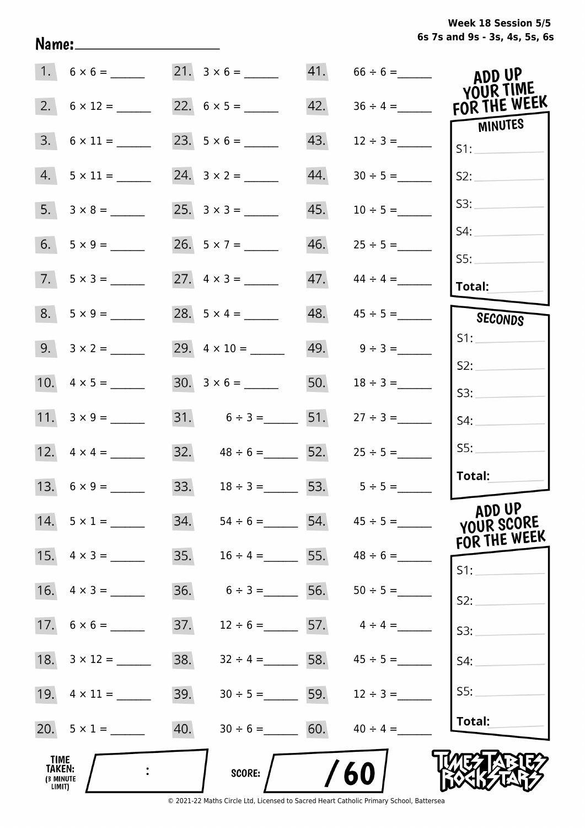**6s 7s and 9s - 3s, 4s, 5s, 6s Week 18 Session 5/5** 

|                                       | $1. 6 \times 6 =$  |                    |                                    |     | $41. 66 \div 6 =$                  | ADD UP<br>YOUR TIME                  |
|---------------------------------------|--------------------|--------------------|------------------------------------|-----|------------------------------------|--------------------------------------|
|                                       |                    |                    |                                    | 42. | $36 \div 4 =$                      | FOR THE WEEK                         |
| 3.                                    | $6 \times 11 =$    |                    |                                    | 43. | $12 \div 3 =$                      | <b>MINUTES</b><br>S1:                |
| 4.                                    |                    |                    |                                    | 44. | $30 \div 5 =$                      | S2:                                  |
| 5.                                    |                    |                    |                                    | 45. |                                    | S3:                                  |
| 6.                                    |                    | 26. $5 \times 7 =$ |                                    | 46. | $25 \div 5 =$                      | S4:                                  |
| 7.                                    |                    |                    |                                    | 47. | $44 \div 4 =$                      | SS:<br><b>Total:</b>                 |
| 8.                                    | $5 \times 9 =$     |                    |                                    | 48. | $45 \div 5 =$                      | SECONDS                              |
|                                       | $9. 3 \times 2 =$  |                    |                                    |     | 49. $9 \div 3 =$                   | S1:                                  |
|                                       |                    |                    |                                    | 50. | $18 \div 3 =$                      | S2:                                  |
|                                       | 11. $3 \times 9 =$ |                    |                                    |     | 31. $6 \div 3 =$ 51. $27 \div 3 =$ | S3:<br>S4:                           |
|                                       |                    |                    | 32. $48 \div 6 =$ 52.              |     | $25 \div 5 =$                      | SS:                                  |
|                                       |                    |                    | 33. $18 \div 3 = 53.$ $5 \div 5 =$ |     |                                    | Total:                               |
|                                       | $14. 5 \times 1 =$ | 34.                |                                    |     | $54 \div 6 =$ 54. $45 \div 5 =$    | ADD UP<br>YOUR SCORE<br>FOR THE WEEK |
|                                       | 15. $4 \times 3 =$ | 35.                |                                    |     | $16 \div 4 = 55.$ $48 \div 6 =$    | S1:                                  |
| 16.                                   | $4 \times 3 =$     | 36.                | $6 \div 3 =$                       | 56. | $50 \div 5 =$                      | S2:                                  |
|                                       | 17. $6 \times 6 =$ | 37.                | $12 \div 6 =$ 57.                  |     | $4 \div 4 =$                       | S3:                                  |
| 18.                                   |                    | 38.                |                                    |     | $32 \div 4 = 58.$ $45 \div 5 =$    | S4:                                  |
|                                       |                    | 39.                |                                    |     | $30 \div 5 =$ 59. $12 \div 3 =$    | SS:                                  |
|                                       | 20. $5 \times 1 =$ | 40.                | $30 \div 6 = 60.$                  |     | $40 \div 4 =$                      | Total:                               |
| TIME<br>TAKEN:<br>(3 MINUTE<br>LIMIT) |                    |                    | <b>SCORE:</b>                      |     | 60                                 |                                      |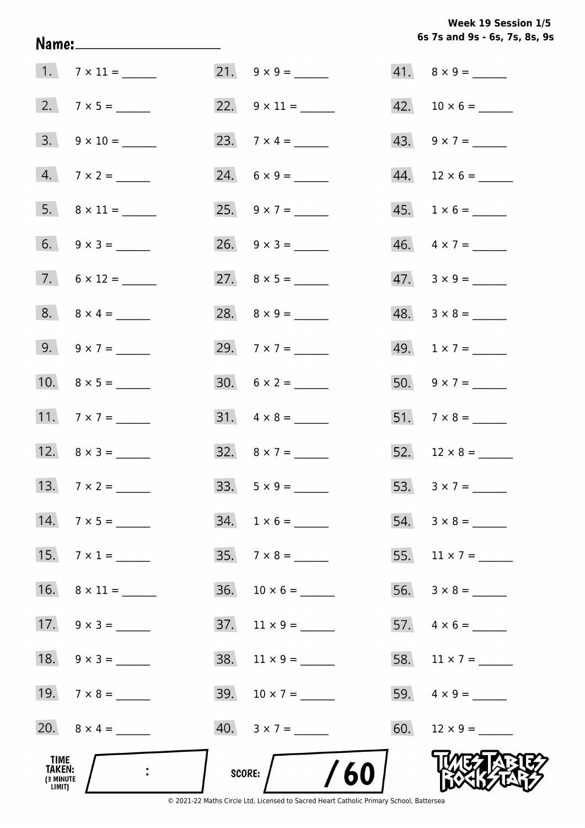**6s 7s and 9s - 6s, 7s, 8s, 9s Week 19 Session 1/5** 

|                                              |                          |                              | 6s 7s and 9s - 6s, 7s, 8s, 9 |
|----------------------------------------------|--------------------------|------------------------------|------------------------------|
|                                              | $1.7 \times 11 =$        |                              | $41. \quad 8 \times 9 =$     |
|                                              | 2. $7 \times 5 =$        | 22. $9 \times 11 =$          |                              |
|                                              | $3. \quad 9 \times 10 =$ | 23. $7 \times 4 =$           | 43. $9 \times 7 =$           |
|                                              | $4. 7 \times 2 =$        |                              | $44.$ 12 × 6 = ______        |
|                                              |                          | 25. $9 \times 7 =$           | $45. 1 \times 6 =$           |
|                                              | 6. $9 \times 3 =$        |                              | $46. \quad 4 \times 7 =$     |
|                                              | $7.6 \times 12 =$        |                              | $47. \quad 3 \times 9 =$     |
|                                              | $8. \ 8 \times 4 =$      |                              |                              |
|                                              | 9. $9 \times 7 =$        | 29. $7 \times 7 =$           | 49. $1 \times 7 =$           |
|                                              |                          | $30. 6 \times 2 =$           | $50. 9 \times 7 =$           |
|                                              | 11. $7 \times 7 =$       |                              |                              |
|                                              | 12. $8 \times 3 =$       | 32. $8 \times 7 =$           |                              |
|                                              | 13. $7 \times 2 =$       | $33. 5 \times 9 =$           |                              |
|                                              | $14.7 \times 5 =$        | $34. 1 \times 6 =$           |                              |
|                                              | 15. $7 \times 1 =$       | $35.7 \times 8 =$            | 55. $11 \times 7 =$          |
|                                              | 16. $8 \times 11 =$      |                              |                              |
|                                              | 17. $9 \times 3 =$       | $37.$ 11 x 9 = ______        |                              |
|                                              | 18. $9 \times 3 =$       | $38. \quad 11 \times 9 = \_$ | 58. $11 \times 7 =$          |
|                                              | 19. $7 \times 8 =$       | 39. $10 \times 7 =$          |                              |
|                                              | 20. $8 \times 4 =$       |                              | 60. $12 \times 9 =$          |
| TIME<br><b>TAKEN:</b><br>(3 MINUTE<br>LIMIT) |                          | SCORE: $/$ /60               |                              |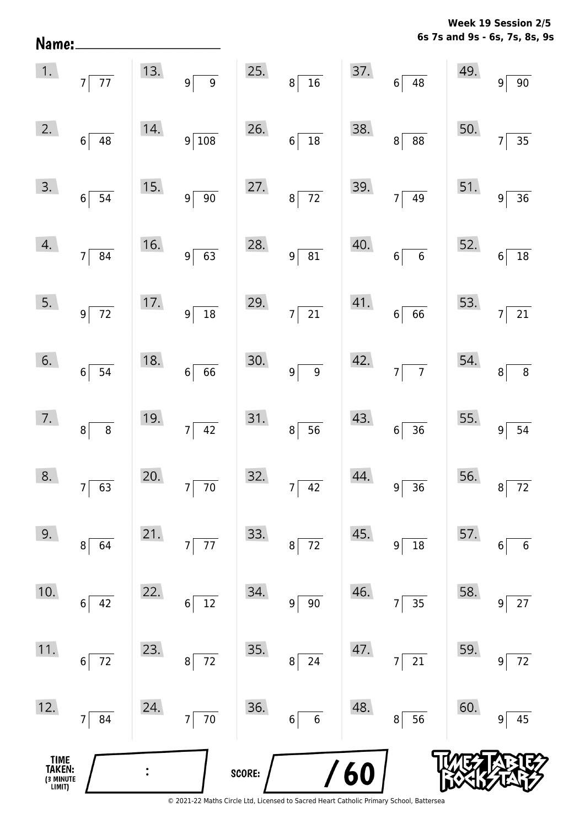**6s 7s and 9s - 6s, 7s, 8s, 9s Week 19 Session 2/5** 

| TIME<br>TAKEN:<br>3 MINUTE<br>LIMIT) |                                                |     |                                                                  | SCORE: |                            | <b>/60</b> |                                   |                    |                                      |
|--------------------------------------|------------------------------------------------|-----|------------------------------------------------------------------|--------|----------------------------|------------|-----------------------------------|--------------------|--------------------------------------|
| 12.                                  | 84<br>$\overline{7}$                           | 24. | $\overline{70}$<br>$\overline{7}$                                | 36.    | $6\vert$<br>$\,$ 6 $\,$    | 48.        | 56<br>8                           | 60.                | 45<br>9                              |
| 11.                                  | 72<br>$\boldsymbol{6}$                         | 23. | 72<br>8                                                          | 35.    | 24<br>$\bf 8$              | 47.        | $\overline{21}$<br>$\overline{7}$ | 59.                | $72\,$<br>9                          |
| 10.                                  | 42<br>$6\,$                                    | 22. | 12<br>6                                                          | 34.    | $90\,$<br>$\boldsymbol{9}$ | 46.        | 35<br>7                           | 58.                | $27$<br>9                            |
| 9.                                   | 64<br>8                                        | 21. | $\overline{77}$<br>$7\vert$                                      | 33.    | $72\,$<br>$\bf 8$          | 45.        | 18<br>$\overline{9}$              | 57.                | $6\phantom{1}6$<br>6                 |
| 8.                                   | $7\overline{63}$                               | 20. | $7\overline{70}$                                                 | 32.    | $7\overline{)42}$          | 44.        | $9\overline{)36}$                 |                    | $56.$ $8 \overline{72}$              |
| 7.                                   | $8\overline{8}$                                | 19. | $7\overline{)42}$                                                | 31.    | $8\overline{)}56$          | 43.        | $6\overline{)36}$                 | 55. $9^{\boxed{}}$ | $\overline{54}$                      |
| 6.                                   | $6\overline{\smash{)}\,54}$                    | 18. | $6\overline{66}$                                                 | 30.    | $9\boxed{9}$               |            | $42.$ $7\overline{7}$             | $54.$ $8$          | $\frac{1}{8}$                        |
| 5.                                   | $9\overline{72}$                               |     | $\begin{array}{ c c }\n\hline\n17. & 9 & 18\n\end{array}$        |        | 29. $7\overline{)21}$      |            | 41.666                            | 53.                | $7\overline{21}$                     |
| 4.                                   | $7 \overline{\smash{)}\ 84}$                   | 16. | $9\overline{63}$                                                 | 28.    | $9 \overline{)81}$         | 40.        | $6\overline{6}$                   | 52.                | $\frac{1}{18}$<br>$6\vert$           |
| 3.                                   | $6\overline{)54}$                              | 15. | $9\sqrt{90}$                                                     | 27.    | $8\overline{72}$           |            | 39. $7 \overline{)49}$            |                    | 51. $9 \overline{)36}$               |
| 2.                                   | $6\overline{)48}$                              | 14. | $9\sqrt{108}$                                                    |        | 26. $6\overline{)18}$      | 38.        | $8\overline{)88}$                 | 50.                | $\frac{1}{35}$<br>7 <sup>1</sup>     |
|                                      | $\overline{1.}$ $\overline{7}$ $\overline{77}$ |     | 13. $9\overline{)9}$ 25. $8\overline{)16}$ 37. $6\overline{)48}$ |        |                            |            |                                   | 49.                | $9^{\frac{1}{2}}$<br>$\overline{90}$ |

Name: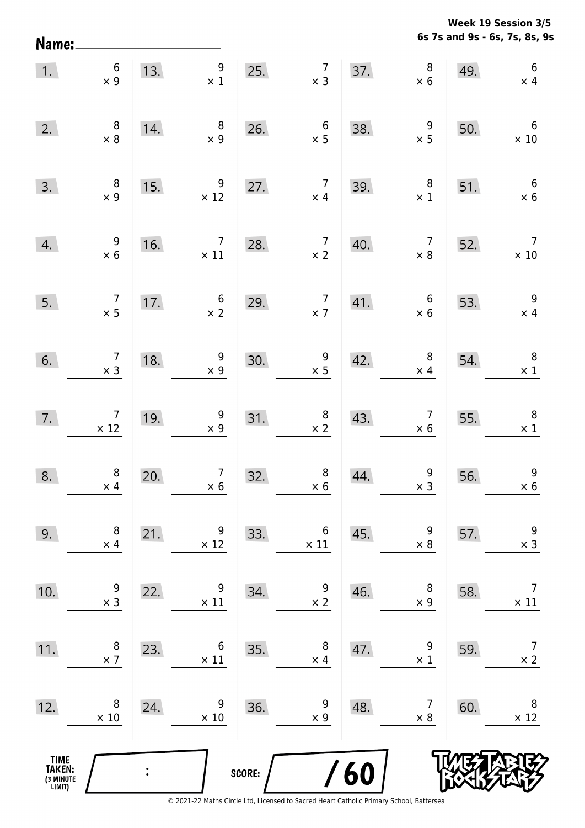**6s 7s and 9s - 6s, 7s, 8s, 9s Week 19 Session 3/5** 

| 1.                                    | $\boldsymbol{6}$<br>$\times$ 9                |     | 13. $\begin{array}{c} 9 \\ \times 1 \end{array}$                |        | 25. $7 \times 3$                                                             |                                                        | 37. $8 \times 6$                             | 49. | $\sqrt{6}$<br>$\times$ 4                      |
|---------------------------------------|-----------------------------------------------|-----|-----------------------------------------------------------------|--------|------------------------------------------------------------------------------|--------------------------------------------------------|----------------------------------------------|-----|-----------------------------------------------|
| 2.                                    | $\begin{array}{c} 8 \\ \times 8 \end{array}$  | 14. | $\begin{array}{r} 8 \\ \times 9 \end{array}$                    | 26.    | $\begin{array}{c} 6 \\ \times 5 \end{array}$                                 | 38.                                                    | $\frac{9}{x}$                                | 50. | $\overline{6}$<br>$\times$ 10                 |
| 3.                                    | $\begin{array}{c} 8 \\ \times 9 \end{array}$  | 15. | $\begin{array}{c}9 \\ \times 12\end{array}$                     | 27.    | $\begin{array}{c} 7 \\ \times 4 \end{array}$                                 | 39.                                                    | $\begin{array}{c} 8 \\ \times 1 \end{array}$ | 51. | $\begin{array}{c} 6 \\ x 6 \end{array}$       |
| 4.                                    | $\begin{array}{r} 9 \\ \times 6 \end{array}$  |     | 16. $\begin{array}{c c} \n7 & 28. \\ \times 11 & \n\end{array}$ |        | $\begin{array}{c c} \n 2.8. & \n 7 & 40. \n \hline\n & x 2 & \n \end{array}$ |                                                        | $\begin{array}{c} 7 \\ \times 8 \end{array}$ | 52. | $\begin{array}{c} 7 \\ \times 10 \end{array}$ |
| 5.                                    | $\begin{array}{c} 7 \\ \times 5 \end{array}$  |     | 17. $6 \times 2$                                                | 29.    |                                                                              | $\begin{array}{c c} 7 & 41. \\ \times 7 & \end{array}$ | $\begin{array}{c} 6 \\ \times 6 \end{array}$ | 53. | $\begin{array}{r} 9 \\ \times 4 \end{array}$  |
| 6.                                    | $\begin{array}{c} 7 \\ \times 3 \end{array}$  | 18. | $\begin{array}{r} 9 \\ \times 9 \end{array}$                    | 30.    | $\begin{array}{r} 9 \\ \times 5 \end{array}$                                 | 42.                                                    | $\begin{array}{c} 8 \\ \times 4 \end{array}$ | 54. | $\overline{\phantom{0}}$ 8<br>$\times$ 1      |
| 7.                                    | $\begin{array}{r} 7 \\ \times 12 \end{array}$ | 19. | $\begin{array}{c} 9 \\ \times 9 \end{array}$                    |        | 31. $8 \times 2$                                                             | 43.                                                    | $\begin{array}{r} 7 \\ \times 6 \end{array}$ | 55. | $\begin{array}{c} 8 \\ \times 1 \end{array}$  |
| 8.                                    | $\begin{array}{c} 8 \\ \times 4 \end{array}$  | 20. | $\frac{7}{1}$ × 6                                               | 32.    | $\begin{array}{c} 8 \\ \times 6 \end{array}$                                 | 44.                                                    | $\begin{array}{c} 9 \\ \times 3 \end{array}$ | 56. | $9\,$<br>$\times$ 6                           |
| 9.                                    | 8<br>$\times$ 4                               | 21. | 9<br>$\times$ 12                                                | 33.    | $\,6$<br>$\times$ 11                                                         | 45.                                                    | 9<br>$\times$ 8                              | 57. | $\overline{9}$<br>$\times$ 3                  |
| 10.                                   | 9<br>$\times$ 3                               | 22. | 9<br>$\times$ 11                                                | 34.    | 9<br>$\times$ 2                                                              | 46.                                                    | 8<br>$\times$ 9                              | 58. | $\overline{7}$<br>$\times$ 11                 |
| 11.                                   | 8<br>$\times$ 7                               | 23. | 6<br>$\times$ 11                                                | 35.    | 8<br>$\times$ 4                                                              | 47.                                                    | 9<br>$\times$ 1                              | 59. | 7<br>$\times$ 2                               |
| 12.                                   | 8<br>$\times$ 10                              | 24. | 9<br>$\times$ 10                                                | 36.    | 9<br>$\times$ 9                                                              | 48.                                                    | 7<br>$\times$ 8                              | 60. | 8<br>$\times$ 12                              |
| TIME<br>TAKEN:<br>(3 MINUTE<br>LIMIT) |                                               |     |                                                                 | SCORE: |                                                                              | <b>/60</b>                                             |                                              |     |                                               |

Name: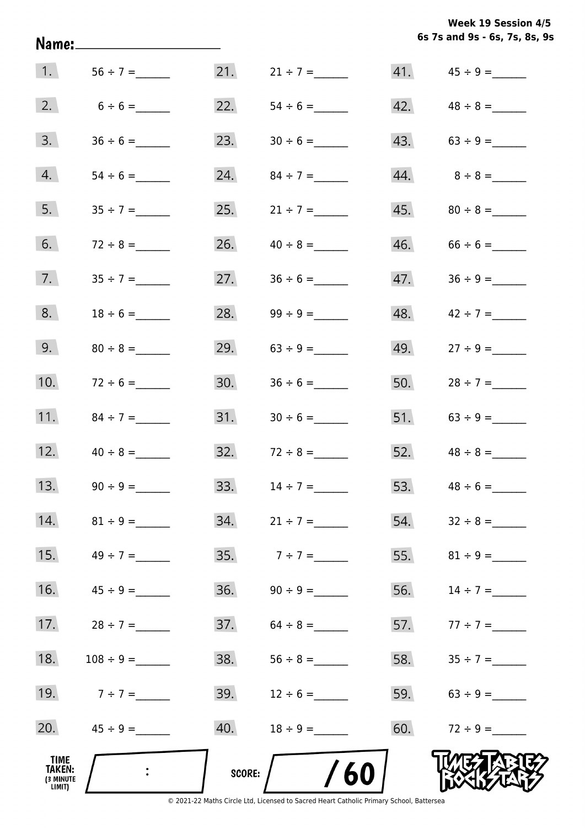**6s 7s and 9s - 6s, 7s, 8s, 9s Week 19 Session 4/5** 

|                                       |                                         |        |                 |     | 6s 7s and 9s - 6s, 7s, 8s, 9 |
|---------------------------------------|-----------------------------------------|--------|-----------------|-----|------------------------------|
| 1.                                    |                                         | 21.    | $21 \div 7 =$   |     |                              |
| 2.                                    |                                         | 22.    |                 | 42. |                              |
| 3.                                    |                                         | 23.    |                 | 43. |                              |
| 4.                                    |                                         | 24.    |                 |     | $44.8 \div 8 =$              |
| 5.                                    | $35 \div 7 =$                           | 25.    | $21 \div 7 =$   |     |                              |
| 6.                                    | $72 \div 8 =$                           | 26.    | $40 \div 8 =$   | 46. | $66 \div 6 =$                |
| 7.                                    | $35 \div 7 =$                           | 27.    |                 | 47. |                              |
| 8.                                    | $18 \div 6 =$                           | 28.    | $99 \div 9 =$   | 48. | $42 \div 7 =$                |
| 9.                                    | $80 \div 8 =$                           | 29.    |                 | 49. | $27 \div 9 =$                |
| 10.                                   | $72 \div 6 =$                           | 30.    |                 | 50. | $28 \div 7 =$                |
| 11.                                   | $84 \div 7 =$                           | 31.    | $30 \div 6 =$   | 51. |                              |
| 12.                                   | $40 \div 8 =$                           | 32.    | $72 \div 8 =$   | 52. | $48 \div 8 =$                |
| 13.                                   |                                         | 33.    | $14 \div 7 =$   |     | 53. $48 \div 6 =$            |
| 14.                                   | $81 \div 9 =$                           |        |                 | 54. | $32 \div 8 =$                |
| 15.                                   | $49 \div 7 =$                           |        | $35.7 \div 7 =$ |     |                              |
| 16.                                   |                                         |        |                 | 56. | $14 \div 7 =$                |
| 17.                                   | $28 \div 7 =$                           |        |                 |     | 57. $77 \div 7 =$            |
| 18.                                   |                                         | 38.    | $56 \div 8 =$   |     |                              |
| 19.                                   | $7 \div 7 =$                            | 39.    | $12 \div 6 =$   |     | 59. $63 \div 9 =$            |
| 20.                                   | $45 \div 9 =$                           | 40.    | $18 \div 9 =$   |     | 60. $72 \div 9 =$            |
| TIME<br>TAKEN:<br>(3 MINUTE<br>LIMIT) | $\mathcal{L}^{\text{max}}_{\text{max}}$ | score: | /60             |     |                              |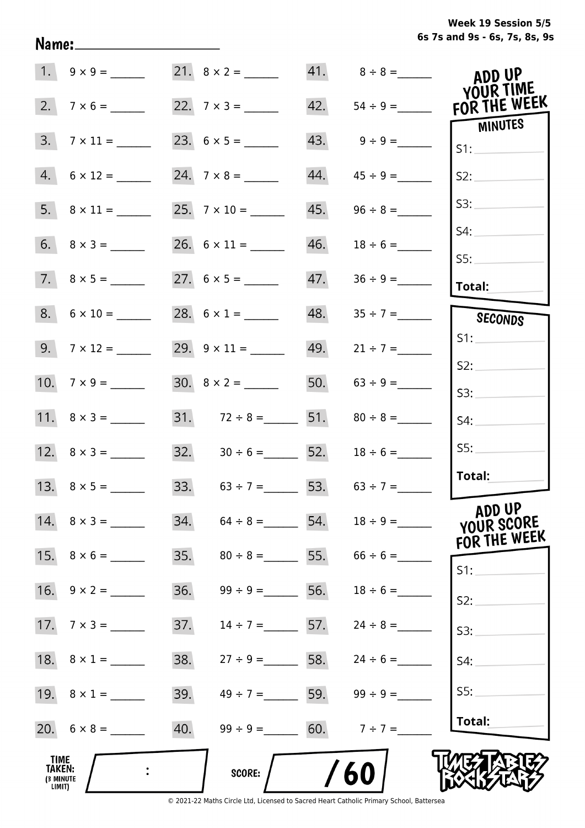**6s 7s and 9s - 6s, 7s, 8s, 9s Week 19 Session 5/5** 

|                                       |                    |     |                                     |     |                   | ADD UP<br>YOUR TIME                  |
|---------------------------------------|--------------------|-----|-------------------------------------|-----|-------------------|--------------------------------------|
| 2.                                    | $7 \times 6 =$     |     | 22. $7 \times 3 =$                  | 42. |                   | FOR THE WEEK                         |
| 3.                                    |                    |     |                                     |     | $43. 9 \div 9 =$  | <b>MINUTES</b><br>S1:                |
| 4.                                    | $6 \times 12 =$    |     |                                     | 44. | $45 \div 9 =$     | S2:                                  |
|                                       |                    |     |                                     | 45. | $96 \div 8 =$     | S3:                                  |
|                                       |                    |     |                                     | 46. | $18 \div 6 =$     | S4:<br>SS:                           |
|                                       |                    |     |                                     | 47. |                   | Total:                               |
|                                       | $8. 6 \times 10 =$ |     | 28. $6 \times 1 =$                  | 48. | $35 \div 7 =$     | SECONDS                              |
|                                       | $9. 7 \times 12 =$ |     |                                     |     | 49. $21 \div 7 =$ | S1:                                  |
|                                       | 10. $7 \times 9 =$ |     |                                     |     | 50. $63 \div 9 =$ | S2:                                  |
|                                       |                    |     |                                     |     |                   | S3:                                  |
|                                       | 11. $8 \times 3 =$ |     | 31. $72 \div 8 =$ 51. $80 \div 8 =$ |     |                   | S4:                                  |
|                                       |                    |     | 32. $30 \div 6 =$ 52.               |     | $18 \div 6 =$     | SS:                                  |
|                                       |                    |     | 33. $63 \div 7 =$ 53. $63 \div 7 =$ |     |                   | Total:                               |
|                                       | 14. $8 \times 3 =$ | 34. | $64 \div 8 =$ 54.                   |     |                   | ADD UP<br>YOUR SCORE<br>FOR THE WEEK |
|                                       | 15. $8 \times 6 =$ | 35. | $80 \div 8 =$ 55. 66 ÷ 6 =          |     |                   | S1:                                  |
|                                       | 16. $9 \times 2 =$ | 36. | $99 \div 9 =$ 56.                   |     | $18 \div 6 =$     | S2:                                  |
|                                       | 17. $7 \times 3 =$ | 37. | $14 \div 7 =$ 57. $24 \div 8 =$     |     |                   | S3:                                  |
|                                       | 18. $8 \times 1 =$ | 38. | $27 \div 9 =$ 58. $24 \div 6 =$     |     |                   | S4:                                  |
|                                       | 19. $8 \times 1 =$ | 39. | $49 \div 7 =$ 59. 99 ÷ 9 =          |     |                   | S5:                                  |
|                                       |                    | 40. | $99 \div 9 = 60.$ $7 \div 7 =$      |     |                   | Total:                               |
| TIME<br>TAKEN:<br>(3 MINUTE<br>LIMIT) |                    |     | <b>SCORE:</b>                       |     | 60                |                                      |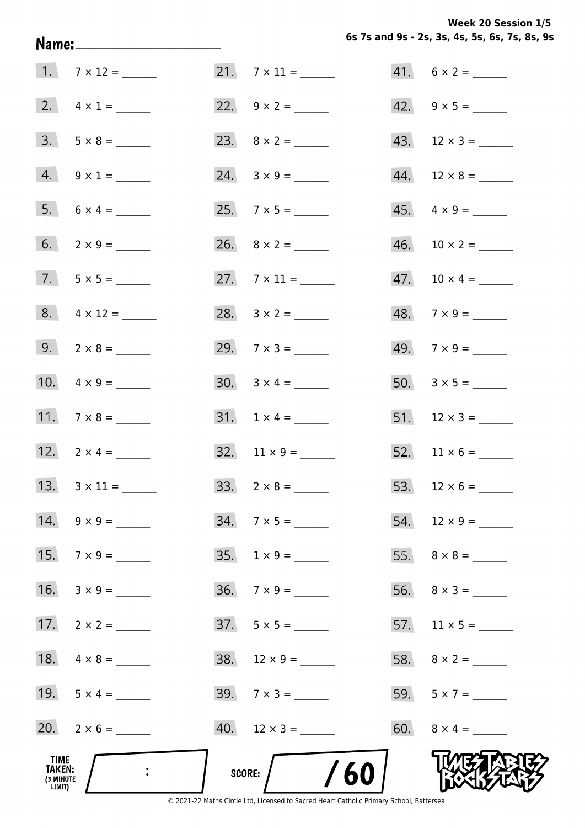**Week 20 Session 1/5** 

|                                       | Name: _______________________ |                              | 6s 7s and 9s - 2s, 3s, 4s, 5s, 6s, 7s, 8s, 9 |
|---------------------------------------|-------------------------------|------------------------------|----------------------------------------------|
|                                       | $1.7 \times 12 =$             |                              | $41. 6 \times 2 =$                           |
|                                       | 2. $4 \times 1 =$             | 22. $9 \times 2 =$           | 42. $9 \times 5 =$                           |
|                                       | $3. 5 \times 8 =$             |                              | $43. 12 \times 3 =$                          |
|                                       | $4. 9 \times 1 =$             | $24. 3 \times 9 =$           |                                              |
|                                       | $5. 6 \times 4 =$             |                              | $45. \quad 4 \times 9 =$                     |
|                                       | 6. $2 \times 9 =$             | 26. $8 \times 2 =$           |                                              |
|                                       | $7.5 \times 5 =$              | 27. $7 \times 11 =$          |                                              |
|                                       | $8. 4 \times 12 =$            | 28. $3 \times 2 =$           | $48.7 \times 9 =$                            |
|                                       | 9. $2 \times 8 =$             | 29. $7 \times 3 =$           | $49.7 \times 9 =$                            |
|                                       | 10. $4 \times 9 =$            | $30. \quad 3 \times 4 = \_$  |                                              |
|                                       |                               | $31. 1 \times 4 =$           |                                              |
|                                       | 12. $2 \times 4 =$            | $32. \quad 11 \times 9 = \_$ |                                              |
|                                       |                               |                              |                                              |
|                                       | $14. \quad 9 \times 9 =$      | $34.7 \times 5 =$            |                                              |
|                                       | 15. $7 \times 9 =$            |                              |                                              |
|                                       | 16. $3 \times 9 =$            | $36. 7 \times 9 =$           |                                              |
|                                       | 17. $2 \times 2 =$            | $37. 5 \times 5 =$           |                                              |
|                                       |                               | $38. 12 \times 9 =$          |                                              |
|                                       | 19. $5 \times 4 =$            | $39. 7 \times 3 =$           | 59. $5 \times 7 =$                           |
|                                       | 20. $2 \times 6 =$            |                              | 60. $8 \times 4 =$                           |
| TIME<br>TAKEN:<br>(3 MINUTE<br>LIMIT) |                               | /60<br>SCORE:                |                                              |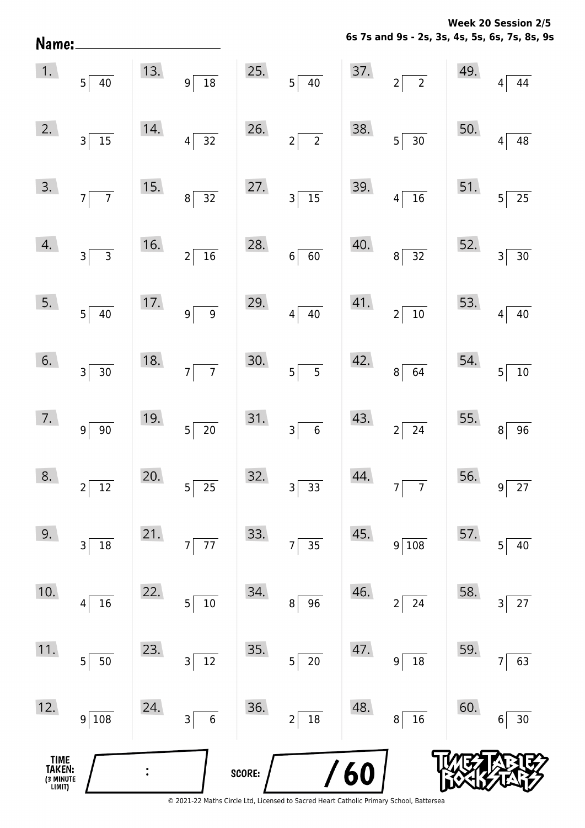**6s 7s and 9s - 2s, 3s, 4s, 5s, 6s, 7s, 8s, 9s Week 20 Session 2/5** 

| Name:                                 |                              |     |                                              |        |                             |            | 6s 7s and 9s - 2s, 3s, 4s, 5s, 6s, 7s, 8s, 9 |     |                                     |
|---------------------------------------|------------------------------|-----|----------------------------------------------|--------|-----------------------------|------------|----------------------------------------------|-----|-------------------------------------|
| 1.                                    | $5\overline{)40}$            | 13. | $\frac{1}{18}$<br> 9                         | 25.    | $5\overline{)40}$           | 37.        | $2\sqrt{2}$                                  | 49. | 44<br>4                             |
| 2.                                    | $3\overline{15}$             | 14. | $\overline{32}$<br>$\vert 4 \vert$           | 26.    | $2\sqrt{2}$                 | 38.        | $5\overline{)30}$                            | 50. | $\overline{48}$<br>4                |
| 3.                                    | $7\overline{7}$              | 15. | $\overline{32}$<br>$\vert 8 \vert$           | 27.    | $3\overline{)15}$           | 39.        | $4\sqrt{16}$                                 | 51. | $\overline{25}$<br>5                |
| 4.                                    | $3\overline{3}$              | 16. | $\overline{16}$<br>$2\vert$                  | 28.    | $6 \overline{60}$           | 40.        | $8\sqrt{32}$                                 | 52. | $\overline{30}$<br>3                |
| 5.                                    | $5 \overline{40}$            | 17. | $\overline{9}$<br>$9\vert$                   | 29.    | $4\overline{40}$            | 41.        | $2\sqrt{10}$                                 | 53. | 40<br>4                             |
| 6.                                    | $3 \overline{)30}$           | 18. | $\overline{7}$<br>7                          | 30.    | $5\overline{5}$             | 42.        | $8\sqrt{64}$                                 | 54. | 10<br>5                             |
| 7.                                    | $9 \ 90$                     | 19. | $\overline{20}$<br>$5\vert$                  | 31.    | $3\overline{6}$             | 43.        | $2\sqrt{24}$                                 | 55. | 96<br>8                             |
| 8.                                    | $2\sqrt{12}$                 | 20. | $5^{\frac{1}{2}}$<br>$\overline{25}$         | 32.    | $\overline{33}$<br>$3\vert$ | 44.        | $7\overline{7}$                              | 56. | $\overline{27}$<br>$\boldsymbol{9}$ |
| 9.                                    | 3 18                         | 21. | $\overline{77}$<br>$7\vert$                  | 33.    | $\overline{35}$<br>7        | 45.        | $9\sqrt{108}$                                | 57. | 40<br>5                             |
| 10.                                   | $4$ 16                       | 22. | $10$<br>$\overline{5}$                       | 34.    | $8$ 96                      | 46.        | $2\sqrt{24}$                                 | 58. | 27<br>3                             |
| 11.                                   | $5 \overline{\smash{)}\,50}$ | 23. | $\frac{1}{12}$<br>$3\vert$                   | 35.    | $5\overline{\smash{)}\ 20}$ | 47.        | $9 \mid 18$                                  | 59. | 63<br>7                             |
| 12.                                   | $9\sqrt{108}$                | 24. | $\overline{\phantom{0}}$ 6<br>3 <sup>5</sup> | 36.    | $2\vert$<br>$\frac{18}{18}$ | 48.        | $\overline{\phantom{0}16}$<br> 8             | 60. | $30\,$<br>6                         |
| TIME<br>TAKEN:<br>(3 MINUTE<br>LIMIT) |                              |     |                                              | SCORE: |                             | <b>/60</b> |                                              |     |                                     |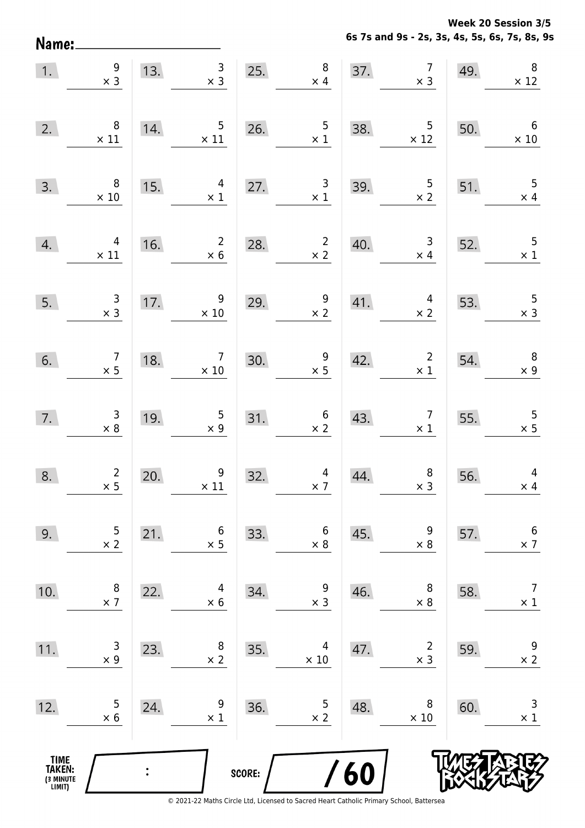**Week 20 Session 3/5** 

**6s 7s and 9s - 2s, 3s, 4s, 5s, 6s, 7s, 8s, 9s**

| Name:                                         |                                              |     |                                              |        |                                              |                   | 6s 7s and 9s - 2s, 3s, 4s, 5s, 6s, 7s, 8s, 9 |     |                                |
|-----------------------------------------------|----------------------------------------------|-----|----------------------------------------------|--------|----------------------------------------------|-------------------|----------------------------------------------|-----|--------------------------------|
| 1.                                            | 9<br>$\times$ 3                              | 13. | 3<br>$\times$ 3                              | 25.    | $\,8\,$<br>$\times$ 4                        | 37.               | $\overline{7}$<br>$\times$ 3                 | 49. | $\,8\,$<br>$\times$ 12         |
| 2.                                            | 8<br>$\times$ 11                             | 14. | 5<br>$\times$ 11                             | 26.    | 5<br>$\times$ 1                              | 38.               | 5<br>$\times$ 12                             | 50. | 6<br>$\times$ 10               |
| 3.                                            | 8<br>$\times$ 10                             | 15. | 4<br>$\times$ 1                              | 27.    | 3<br>$\times$ 1                              | 39.               | $\frac{5}{x}$ 2                              | 51. | 5<br>$\times$ 4                |
| 4.                                            | 4<br>$\times$ 11                             | 16. | $\overline{2}$<br>$\times 6$                 | 28.    | $\overline{c}$<br>$\times$ 2                 | 40.               | $\mathsf 3$<br>$\times$ 4                    | 52. | 5<br>$\times$ 1                |
| 5.                                            | $\begin{array}{c} 3 \\ \times 3 \end{array}$ | 17. | 9<br>$\times$ 10                             | 29.    | 9<br>$\times$ 2                              | 41.               | $\overline{4}$<br>$\times$ 2                 | 53. | 5<br>$\times$ 3                |
| 6.                                            | $\overline{7}$<br>$\times$ 5                 | 18. | $\overline{7}$<br>$\times$ 10                | 30.    | 9<br>$\times$ 5                              | 42.               | $\overline{2}$<br>$\times$ 1                 | 54. | $\, 8$<br>$\times$ 9           |
| 7.                                            | $\begin{array}{c} 3 \\ 8 \end{array}$        | 19. | $\begin{array}{c} 5 \\ \times 9 \end{array}$ | 31.    | $\begin{array}{c} 6 \\ \times 2 \end{array}$ | 43.               | $\overline{7}$<br>$\times$ 1                 | 55. | 5<br>$\times$ 5                |
| 8.                                            | $\overline{a}$<br>$\times$ 5                 | 20. | 9<br>$\times$ 11                             | 32.    | $\times$ 7                                   | $\frac{4}{4}$ 44. | 8<br>$\times$ 3                              | 56. | 4<br>$\times$ 4                |
| 9.                                            | 5<br>$\times$ 2                              | 21. | 6<br>$\times$ 5                              | 33.    | 6<br>$\times$ 8                              | 45.               | 9<br>$\times$ 8                              | 57. | $\boldsymbol{6}$<br>$\times$ 7 |
| 10.                                           | $\, 8$<br>$\times$ 7                         | 22. | 4<br>$\times$ 6                              | 34.    | 9<br>$\times$ 3                              | 46.               | 8<br>$\times$ 8                              | 58. | $\overline{7}$<br>$\times$ 1   |
| 11.                                           | $\mathsf{3}$<br>$\times$ 9                   | 23. | 8<br>$\times$ 2                              | 35.    | 4<br>$\times$ 10                             | 47.               | $\overline{2}$<br>$\times$ 3                 | 59. | $\boldsymbol{9}$<br>$\times$ 2 |
| 12.                                           | 5<br>$\times$ 6                              | 24. | 9<br>$\times$ 1                              | 36.    | $\frac{5}{2}$                                | 48.               | 8<br>$\times$ 10                             | 60. | $\mathsf 3$<br>$\times$ 1      |
| <b>TIME<br/>TAKEN:</b><br>(3 MINUTE<br>LIMIT) |                                              |     |                                              | SCORE: |                                              | /60               |                                              |     |                                |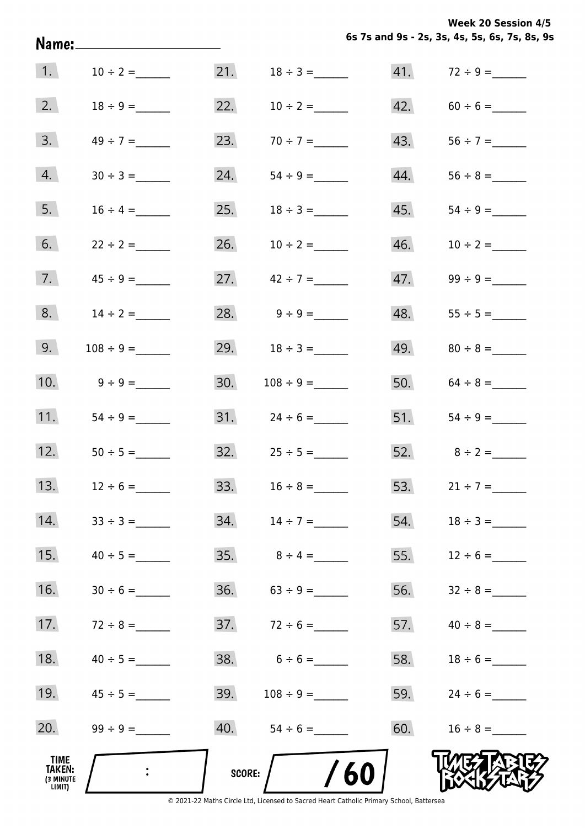**6s 7s and 9s - 2s, 3s, 4s, 5s, 6s, 7s, 8s, 9s Week 20 Session 4/5** 

|                                       | Name:______________________ |               |                     |     | 6s 7s and 9s - 2s, 3s, 4s, 5s, 6s, 7s, 8s, 9 |
|---------------------------------------|-----------------------------|---------------|---------------------|-----|----------------------------------------------|
| $\vert 1. \vert$                      | $10 \div 2 =$               | 21.           | $18 \div 3 =$       |     |                                              |
| 2.                                    |                             | 22.           | $10 \div 2 =$       | 42. |                                              |
| 3.                                    | $49 \div 7 =$               | 23.           | $70 \div 7 =$       | 43. |                                              |
| 4.                                    |                             | 24.           |                     | 44. |                                              |
| 5.                                    | $16 \div 4 =$               | 25.           | $18 \div 3 =$       | 45. |                                              |
| 6.                                    | $22 \div 2 =$               | 26.           | $10 \div 2 =$       | 46. | $10 \div 2 =$                                |
| 7.                                    |                             |               | 27. $42 \div 7 =$   | 47. |                                              |
| 8.                                    | $14 \div 2 =$               |               | 28. $9 \div 9 =$    | 48. |                                              |
| 9.                                    |                             |               | 29. $18 \div 3 =$   |     |                                              |
| 10.                                   | $9 \div 9 =$                | 30.           |                     |     | 50. $64 \div 8 =$                            |
| 11.                                   |                             |               |                     |     |                                              |
| 12.                                   |                             |               | $32.$ $25 \div 5 =$ |     | 52. $8 \div 2 =$                             |
| 13.                                   | $12 \div 6 =$               |               | 33. $16 \div 8 =$   | 53. | $21 \div 7 =$                                |
| 14.                                   |                             |               |                     | 54. | $18 \div 3 =$                                |
| 15.                                   |                             |               |                     | 55. | $12 \div 6 =$                                |
| 16.                                   |                             |               |                     | 56. |                                              |
| 17.                                   | $72 \div 8 =$               |               |                     | 57. |                                              |
| 18.                                   | $40 \div 5 =$               | 38.           | $6 \div 6 =$        | 58. | $18 \div 6 =$                                |
| 19.                                   |                             | 39.           |                     | 59. | $24 \div 6 =$                                |
| 20.                                   |                             |               |                     | 60. | $16 \div 8 =$                                |
| TIME<br>TAKEN:<br>(3 MINUTE<br>LIMIT) | $\ddot{\cdot}$              | <b>SCORE:</b> | 60                  |     |                                              |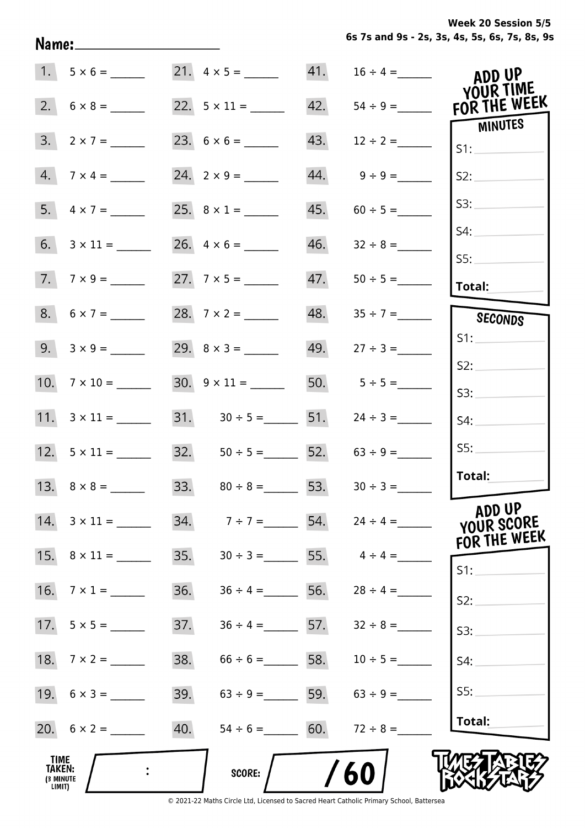**6s 7s and 9s - 2s, 3s, 4s, 5s, 6s, 7s, 8s, 9s** Name:\_\_\_\_\_\_\_\_\_\_  $5 \times 6 =$  21.  $4 \times 5 =$  41.  $16 \div 4 =$  $1.$ ADD UP YOUR TIME FOR THE WEEK  $2.1$  $6 \times 8 =$  22.  $5 \times 11 =$  42.  $54 \div 9 =$ **MINUTES**  $3.1$  $2 \times 7 =$  23.  $6 \times 6 =$  43.  $12 \div 2 =$  $S1$ :  $4.$  $7 \times 4 =$  24.  $2 \times 9 =$  44.  $9 \div 9 =$  $S2:$  $S3:$  $4 \times 7 =$  25.  $8 \times 1 =$  45.  $60 \div 5 =$  $5.$  $54:$  $6.$  $3 \times 11 =$  26.  $4 \times 6 =$  46.  $32 \div 8 =$  $S5:$  $7.1$  $7 \times 9 =$  27.  $7 \times 5 =$  47.  $50 \div 5 =$ Total:  $8.$  $6 \times 7 =$  28.  $7 \times 2 =$  48.  $35 \div 7 =$ **SECONDS**  $S1$ :  $3 \times 9 =$  29.  $8 \times 3 =$  49.  $27 \div 3 =$  $9.1$  $S2:$  $7 \times 10 =$  30.  $9 \times 11 =$  50.  $5 \div 5 =$  $10.$  $S3:$  $3 \times 11 =$  31.  $30 \div 5 =$  51.  $24 \div 3 =$  $11.$  $S4:$  $S5:$  $12.$  $5 \times 11 =$  32.  $50 \div 5 =$  52.  $63 \div 9 =$ Total:  $8 \times 8 =$  33.  $80 \div 8 =$  53.  $30 \div 3 =$  $13.$ **ADD UP**  $3 \times 11 =$  34.  $7 \div 7 =$  54.  $24 \div 4 =$ 14. YOUR SCORE FOR THE WEEK  $15.$  $8 \times 11 =$  35.  $30 \div 3 =$  55.  $4 \div 4 =$  $S1$ :  $7 \times 1 =$  36.  $36 \div 4 =$  56.  $28 \div 4 =$  $16.$  $S2:$  $5 \times 5 =$  37.  $36 \div 4 =$  57.  $32 \div 8 =$ 17.  $S3:$  $7 \times 2 =$  38. 66 ÷ 6 = 58. 10 ÷ 5 = 58. 18.  $54:$  $S5:$  $6 \times 3 =$  39.  $63 \div 9 =$  59.  $63 \div 9 =$ 19. Total: 20.  $6 \times 2 =$  40.  $54 \div 6 =$  60.  $72 \div 8 =$ **TIME** TAKEN:  $\ddot{\cdot}$ **SCORE:** (3 MINUTE

**Week 20 Session 5/5** 

© 2021-22 Maths Circle Ltd, Licensed to Sacred Heart Catholic Primary School, Battersea

LIMIT)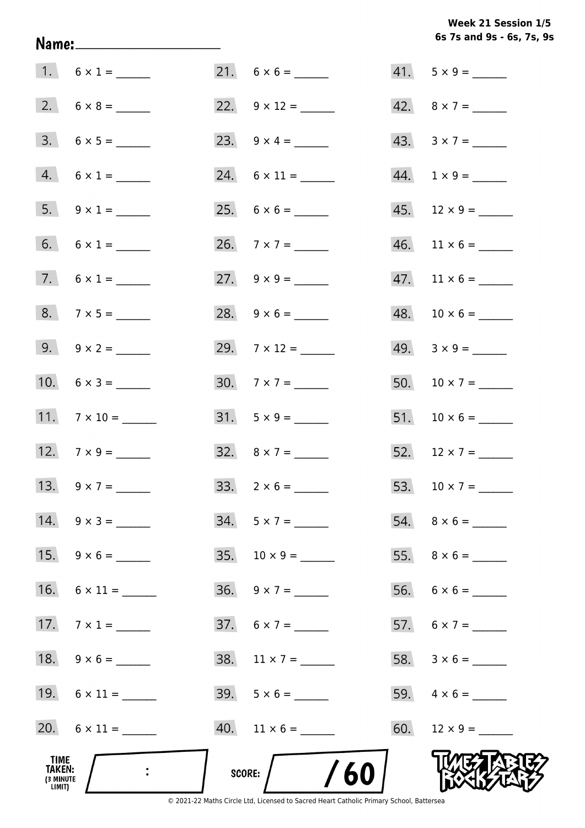**6s 7s and 9s - 6s, 7s, 9s Week 21 Session 1/5** 

|                                       | 1. $6 \times 1 =$   |                              | $41. 5 \times 9 =$                          |
|---------------------------------------|---------------------|------------------------------|---------------------------------------------|
|                                       |                     | 22. $9 \times 12 =$          | 42. $8 \times 7 =$                          |
|                                       | $3. 6 \times 5 =$   |                              | 43. $3 \times 7 =$                          |
|                                       | $4. 6 \times 1 =$   |                              | $44. 1 \times 9 =$                          |
|                                       | 5. $9 \times 1 =$   |                              | $45.$ 12 × 9 = ______                       |
|                                       | 6. $6 \times 1 =$   |                              | $46.$ 11 $\times$ 6 = _______               |
|                                       | 7. $6 \times 1 =$   |                              | $47.$ 11 $\times$ 6 = _______               |
|                                       |                     | 28. $9 \times 6 =$           |                                             |
|                                       | 9. $9 \times 2 =$   | 29. $7 \times 12 =$          | $49. \quad 3 \times 9 = \_\_\_\_\_\_\_\_\_$ |
|                                       | 10. $6 \times 3 =$  | $30.7 \times 7 =$            |                                             |
|                                       | 11. $7 \times 10 =$ | $31. 5 \times 9 =$           |                                             |
|                                       | 12. $7 \times 9 =$  | 32. $8 \times 7 =$           | 52. $12 \times 7 =$                         |
|                                       | 13. $9 \times 7 =$  | $33. 2 \times 6 =$           | 53. $10 \times 7 =$                         |
|                                       | 14. $9 \times 3 =$  | $34. 5 \times 7 =$           |                                             |
|                                       | 15. $9 \times 6 =$  | 35. $10 \times 9 =$          |                                             |
|                                       |                     | $36. \quad 9 \times 7 =$     |                                             |
|                                       | 17. $7 \times 1 =$  | $37.6 \times 7 =$            | 57. $6 \times 7 =$                          |
|                                       |                     |                              |                                             |
|                                       |                     |                              |                                             |
|                                       | 20. $6 \times 11 =$ | $40.$ 11 $\times$ 6 = ______ |                                             |
| TIME<br>TAKEN:<br>(3 MINUTE<br>LIMIT) |                     | SCORE: $/$ /60               |                                             |

Name: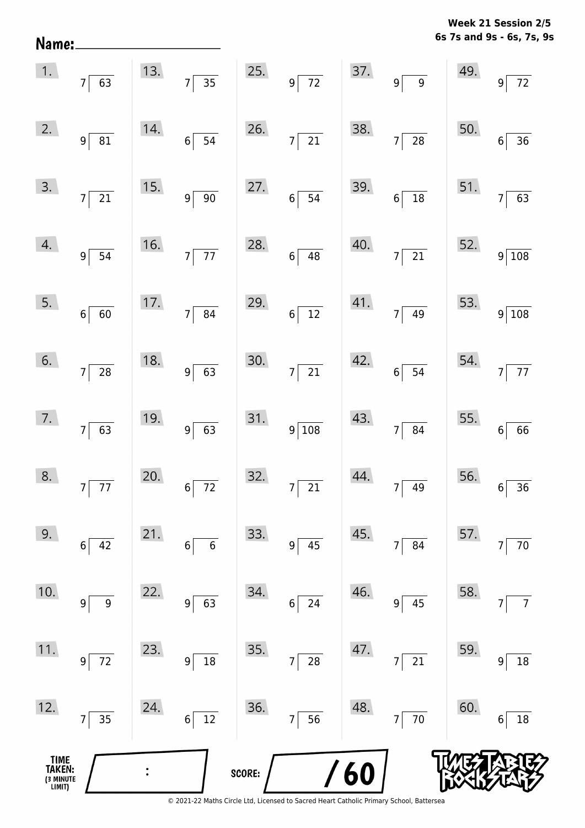|  |  | Week 21 Session 2/5       |  |
|--|--|---------------------------|--|
|  |  | 6s 7s and 9s - 6s, 7s, 9s |  |

| 1.                                    | $7\overline{63}$                  |     | 13. $7 \overline{)35}$            | 25.    | $9\overline{72}$                            |     | 37. $9 \overline{)9}$                                                        | 49. | $9\overline{72}$              |
|---------------------------------------|-----------------------------------|-----|-----------------------------------|--------|---------------------------------------------|-----|------------------------------------------------------------------------------|-----|-------------------------------|
| 2.                                    | 9 <sup>5</sup><br>$\overline{81}$ | 14. | $6\overline{)}\ \overline{)}$     | 26.    | $7\overline{21}$                            | 38. | $7\overline{28}$                                                             | 50. | $\frac{1}{36}$<br>$6\sqrt{ }$ |
| 3.                                    | $7\overline{21}$                  | 15. | $9\sqrt{90}$                      | 27.    | $6\overline{)}\ \overline{)}\ \overline{)}$ | 39. | $6\overline{)18}$                                                            |     | 51. $7\overline{63}$          |
| 4.                                    | $9\sqrt{54}$                      | 16. | $7\overline{77}$                  | 28.    | $6\overline{)48}$                           | 40. | $7\overline{21}$                                                             |     | 52. $9\overline{)108}$        |
| 5.                                    | $6\sqrt{60}$                      |     | 17. $7 \overline{)84}$            | 29.    | $6\overline{)12}$                           |     | $\begin{array}{ c c }\n 41. & \quad \text{7} & \quad \text{49}\n\end{array}$ |     | 53. $9\overline{)108}$        |
| 6.                                    | $7\overline{\smash{)}\ 28}$       | 18. | $9\overline{63}$                  | 30.    | $7\overline{21}$                            | 42. | $6\overline{)}54$                                                            |     | 54. $7\overline{77}$          |
| 7.                                    | $7\overline{63}$                  | 19. | $9\overline{63}$                  |        | $31.9 \overline{)108}$                      | 43. | $7\overline{)84}$                                                            |     | 55. $6 \overline{66}$         |
| 8.                                    | $7\overline{77}$                  | 20. | $6\overline{72}$                  | 32.    | $7\overline{\smash{)}21}$                   | 44. | $7\sqrt{49}$                                                                 |     | $56.$ $6 \overline{)36}$      |
| 9.                                    | 42<br>$\boldsymbol{6}$            | 21. | $\boldsymbol{6}$<br>6             | 33.    | $9\,$<br>45                                 | 45. | 84<br>7 <sup>1</sup>                                                         | 57. | $70\,$                        |
| 10.                                   | $\boldsymbol{9}$<br>9             | 22. | 63<br>9                           | 34.    | 24<br>$\boldsymbol{6}$                      | 46. | 45<br>$9\vert$                                                               | 58. | $\overline{7}$                |
| 11.                                   | 72<br>$9\,$                       | 23. | 18<br>9                           | 35.    | 28<br>7                                     | 47. | 21<br>7 <sup>1</sup>                                                         | 59. | $18\,$<br>9                   |
| 12.                                   | 35<br>$\overline{7}$              | 24. | $\overline{12}$<br>$6\phantom{a}$ | 36.    | 56<br>7                                     | 48. | $7\overline{70}$                                                             | 60. | 18<br>6                       |
| TIME<br>TAKEN:<br>(3 MINUTE<br>LIMIT) |                                   |     |                                   | SCORE: |                                             | 60  |                                                                              |     |                               |

Name: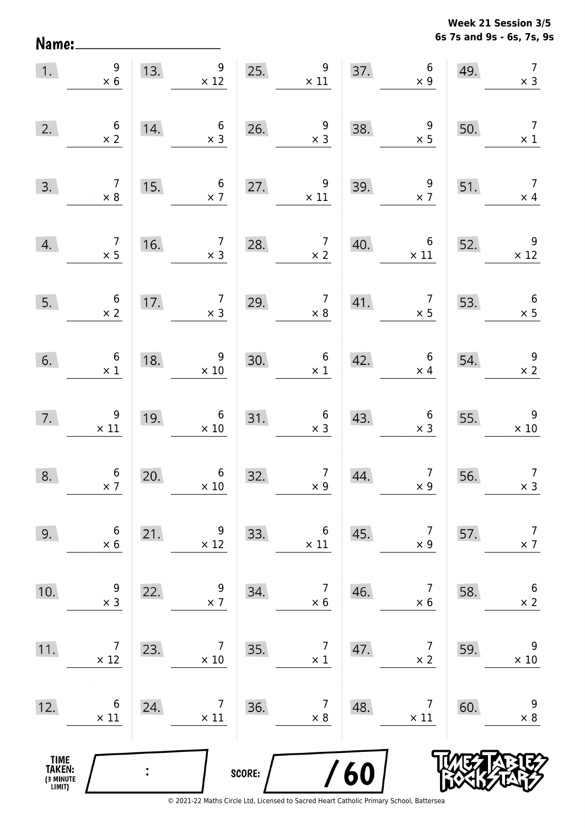Name:

**6s 7s and 9s - 6s, 7s, 9s Week 21 Session 3/5** 

| 1.                                            | 9<br>$\times$ 6                               |     | 9<br>13.<br>$\times$ 12                       | 25.    | $\overline{9}$<br>$\times$ 11                       |     | 37. $6 \times 9$                             | 49. | $\overline{7}$<br>$\times$ 3                  |
|-----------------------------------------------|-----------------------------------------------|-----|-----------------------------------------------|--------|-----------------------------------------------------|-----|----------------------------------------------|-----|-----------------------------------------------|
| 2.                                            | $\begin{array}{c} 6 \\ \times 2 \end{array}$  | 14. | $\begin{array}{c} 6 \\ \times 3 \end{array}$  | 26.    | $\begin{array}{c} 9 \\ \times 3 \end{array}$        | 38. | $\begin{array}{r} 9 \\ \times 5 \end{array}$ | 50. | $\overline{7}$<br>$\times$ 1                  |
| 3.                                            | $\begin{array}{c} 7 \\ \times 8 \end{array}$  | 15. | $6\overline{6}$<br>$\times$ 7                 | 27.    | $\begin{array}{c} 9 \\ \times 11 \end{array}$       | 39. | $\frac{9}{x}$                                | 51. | $\overline{7}$<br>$\times$ 4                  |
| 4.                                            | $\begin{array}{c} 7 \\ \times 5 \end{array}$  | 16. | $\overline{7}$<br>$\times$ 3                  | 28.    | $\begin{array}{c} 7 \\ \times 2 \end{array}$        | 40. | $6\overline{6}$<br>$\times$ 11               | 52. | $\begin{array}{r} 9 \\ \times 12 \end{array}$ |
| 5.                                            | $\begin{array}{c} 6 \\ \times 2 \end{array}$  | 17. | $\begin{array}{c} 7 \\ \times 3 \end{array}$  | 29.    | $\begin{array}{c} 7 \\ \times 8 \end{array}$        | 41. | $\begin{array}{c} 7 \\ \times 5 \end{array}$ | 53. | $\begin{array}{c} 6 \\ \times 5 \end{array}$  |
| 6.                                            | $6\n\times 1$                                 | 18. | 9<br>$\times$ 10                              | 30.    | $\begin{array}{c} 6 \\ \times 1 \end{array}$        | 42. | $\begin{array}{c} 6 \\ \times 4 \end{array}$ | 54. | $\begin{array}{r} 9 \\ \times 2 \end{array}$  |
| 7.                                            | $\begin{array}{c} 9 \\ \times 11 \end{array}$ | 19. | $6\phantom{.}6$<br>$\times$ 10                |        | $\begin{array}{c} 6 \\ \times 3 \end{array}$<br>31. | 43. | $6 \times 3$                                 | 55. | $\begin{array}{c} 9 \\ \times 10 \end{array}$ |
| 8.                                            | $\begin{array}{c} 6 \\ \times 7 \end{array}$  | 20. | $\begin{array}{c} 6 \\ \times 10 \end{array}$ | 32.    | $\begin{array}{c} 7 \\ \times 9 \end{array}$        | 44. | $\begin{array}{c} 7 \\ \times 9 \end{array}$ | 56. | $\overline{7}$<br>$\times$ 3                  |
| 9.                                            | $\boldsymbol{6}$<br>$\times$ 6                | 21. | 9<br>$\times$ 12                              | 33.    | 6<br>$\times$ 11                                    | 45. | $\overline{7}$<br>$\times$ 9                 | 57. | $\overline{7}$<br>$\times$ 7                  |
| 10.                                           | 9<br>$\times$ 3                               | 22. | 9<br>$\times$ 7                               | 34.    | $\overline{7}$<br>$\times$ 6                        | 46. | $\overline{7}$<br>$\times$ 6                 | 58. | $\boldsymbol{6}$<br>$\times$ 2                |
| 11.                                           | 7<br>$\times$ 12                              | 23. | 7<br>$\times$ 10                              | 35.    | 7<br>$\times$ 1                                     | 47. | $\overline{7}$<br>$\times$ 2                 | 59. | 9<br>$\times$ 10                              |
| 12.                                           | 6<br>$\times$ 11                              | 24. | 7<br>$\times$ 11                              | 36.    | 7<br>$\times$ 8                                     | 48. | 7<br>$\times$ 11                             | 60. | 9<br>$\times$ 8                               |
| <b>TIME<br/>TAKEN:</b><br>(3 MINUTE<br>LIMIT) |                                               |     |                                               | SCORE: |                                                     | /60 |                                              |     |                                               |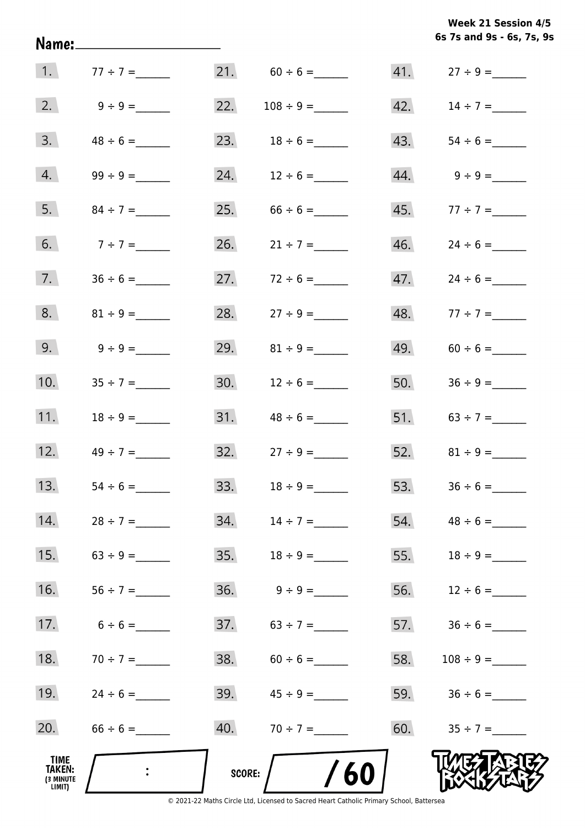**6s 7s and 9s - 6s, 7s, 9s Week 21 Session 4/5** 

| 1.                                           | $77 \div 7 =$                |               | 21. $60 \div 6 =$ |     |                   |
|----------------------------------------------|------------------------------|---------------|-------------------|-----|-------------------|
| 2.                                           |                              | 22.           |                   |     | 42. $14 \div 7 =$ |
| 3.                                           | $48 \div 6 =$                |               | 23. $18 \div 6 =$ | 43. |                   |
| 4.                                           |                              | 24.           | $12 \div 6 =$     |     |                   |
| 5.                                           |                              |               |                   |     | 45. $77 \div 7 =$ |
| 6.                                           | $7 ÷ 7 =$                    | 26.           | $21 \div 7 =$     |     |                   |
| 7.                                           |                              | 27.           | $72 \div 6 =$     | 47. | $24 \div 6 =$     |
| 8.                                           | $81 \div 9 =$                | 28.           | $27 \div 9 =$     | 48. | $77 \div 7 =$     |
| 9.                                           | $9 \div 9 =$                 | 29.           | $81 \div 9 =$     | 49. | $60 \div 6 =$     |
| 10.                                          |                              | 30.           | $12 \div 6 =$     | 50. |                   |
| 11.                                          |                              | 31.           |                   |     | 51. $63 \div 7 =$ |
|                                              | 12. $49 \div 7 =$            |               |                   |     |                   |
| 13.                                          | $54 \div 6 =$                | 33.           | $18 \div 9 =$     |     |                   |
| 14.                                          | $28 \div 7 =$                | 34.           | $14 \div 7 =$     | 54. | $48 \div 6 =$     |
| 15.                                          |                              | 35.           | $18 \div 9 =$     | 55. |                   |
| 16.                                          |                              | 36.           | $9 \div 9 =$      | 56. | $12 \div 6 =$     |
| 17.                                          | $6 \div 6 =$                 | 37.           | $63 \div 7 =$     |     | 57. $36 \div 6 =$ |
| 18.                                          | $70 \div 7 =$                | 38.           | $60 \div 6 =$     | 58. |                   |
| 19.                                          | $24 \div 6 =$                | 39.           | $45 \div 9 =$     |     | 59. $36 \div 6 =$ |
| 20.                                          |                              | 40.           | $70 \div 7 =$     | 60. | $35 \div 7 =$     |
| TIME<br><b>TAKEN:</b><br>(3 MINUTE<br>LIMIT) | $\mathcal{L}_{\mathrm{max}}$ | <b>SCORE:</b> | /60               |     |                   |

Name: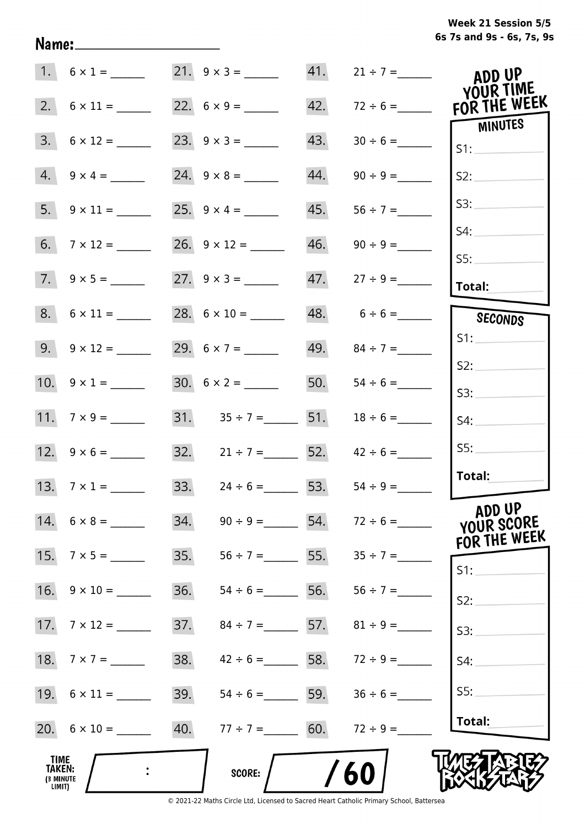**6s 7s and 9s - 6s, 7s, 9s Week 21 Session 5/5** 

|                                              |                          |     | $21. 9 \times 3 =$                  | 41. | $21 \div 7 =$       | ADD UP<br>YOUR TIME                  |
|----------------------------------------------|--------------------------|-----|-------------------------------------|-----|---------------------|--------------------------------------|
|                                              | 2. $6 \times 11 =$       |     |                                     | 42. | $72 \div 6 =$       | FOR THE WEEK                         |
| 3.                                           | $6 \times 12 =$          |     |                                     | 43. |                     | <b>MINUTES</b><br>S1:                |
|                                              | $4. 9 \times 4 =$        |     |                                     | 44. | $90 \div 9 =$       | S2:                                  |
|                                              |                          |     |                                     | 45. | $56 \div 7 =$       | S3:                                  |
|                                              | 6. $7 \times 12 =$       |     |                                     | 46. | $90 \div 9 =$       | S4:<br>SS:                           |
|                                              | $7. 9 \times 5 =$        |     |                                     |     | $47.$ $27 ÷ 9 =$    | <b>Total:</b>                        |
|                                              | $8. 6 \times 11 =$       |     |                                     |     | $48. 6 \div 6 =$    | SECONDS                              |
|                                              | $9. \quad 9 \times 12 =$ |     | 29. $6 \times 7 =$                  |     | $49.$ $84 \div 7 =$ | S1:                                  |
|                                              | 10. $9 \times 1 =$       |     |                                     |     | 50. $54 \div 6 =$   | S2:                                  |
|                                              |                          |     |                                     |     |                     | S3:                                  |
|                                              | 11. $7 \times 9 =$       |     | 31. $35 \div 7 =$ 51. $18 \div 6 =$ |     |                     | S4:                                  |
|                                              |                          |     | 32. $21 \div 7 =$ 52. $42 \div 6 =$ |     |                     | SS:                                  |
|                                              | 13. $7 \times 1 =$       |     | 33. $24 \div 6 =$ 53.               |     | $54 \div 9 =$       | Total:                               |
|                                              | 14. $6 \times 8 =$       | 34. | $90 \div 9 =$ 54. $72 \div 6 =$     |     |                     | ADD UP<br>YOUR SCORE<br>FOR THE WEEK |
|                                              | 15. $7 \times 5 =$       |     | 35. $56 \div 7 =$ 55. $35 \div 7 =$ |     |                     | S1:                                  |
|                                              | 16. $9 \times 10 =$      | 36. | $54 \div 6 =$ 56.                   |     | $56 \div 7 =$       | S2:                                  |
|                                              |                          | 37. | $84 \div 7 =$ 57.                   |     | $81 \div 9 =$       | S3:                                  |
|                                              |                          | 38. | $42 \div 6 =$ 58. $72 \div 9 =$     |     |                     | S4:                                  |
|                                              |                          | 39. | $54 \div 6 =$ 59.                   |     | $36 \div 6 =$       | S5:                                  |
|                                              |                          | 40. | $77 \div 7 =$ 60.                   |     | $72 \div 9 =$       | Total:                               |
| TIME<br><b>TAKEN:</b><br>(3 MINUTE<br>LIMIT) |                          |     | SCORE:                              |     | 60                  |                                      |

Name: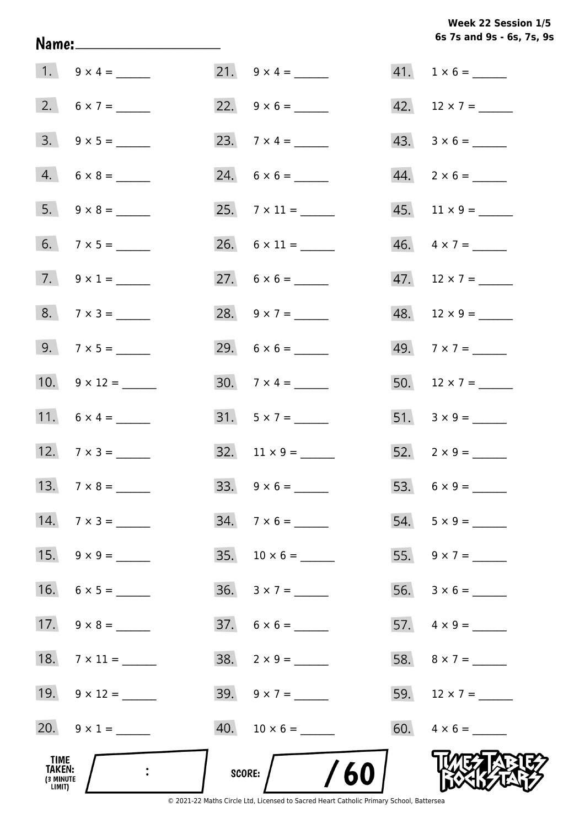**6s 7s and 9s - 6s, 7s, 9s Week 22 Session 1/5** 

|                                              | $1. 9 \times 4 =$   |     |                                                                                                                |     | $41. 1 \times 6 =$       |
|----------------------------------------------|---------------------|-----|----------------------------------------------------------------------------------------------------------------|-----|--------------------------|
|                                              | 2. $6 \times 7 =$   |     |                                                                                                                |     |                          |
|                                              |                     |     |                                                                                                                |     | $43. \quad 3 \times 6 =$ |
|                                              | $4. 6 \times 8 =$   |     |                                                                                                                |     | $44. \quad 2 \times 6 =$ |
|                                              |                     |     |                                                                                                                |     | $45.$ 11 × 9 = _____     |
|                                              |                     |     |                                                                                                                |     | $46. \quad 4 \times 7 =$ |
|                                              | 7. $9 \times 1 =$   |     | 27. $6 \times 6 =$                                                                                             |     |                          |
|                                              | $8. 7 \times 3 =$   |     | 28. $9 \times 7 =$                                                                                             |     | $48.$ 12 × 9 = ______    |
|                                              | 9. $7 \times 5 =$   |     | 29. $6 \times 6 =$                                                                                             |     |                          |
|                                              | 10. $9 \times 12 =$ |     | 30. $7 \times 4 =$                                                                                             |     | 50. $12 \times 7 =$      |
|                                              | 11. $6 \times 4 =$  |     | $31. 5 \times 7 =$                                                                                             |     |                          |
|                                              | 12. $7 \times 3 =$  |     |                                                                                                                |     | 52. $2 \times 9 =$       |
|                                              |                     |     |                                                                                                                |     |                          |
| 14.                                          | $7 \times 3 =$      | 34. | $7 \times 6 =$                                                                                                 |     | $54. 5 \times 9 =$       |
| 15.                                          |                     | 35. | $10 \times 6 =$                                                                                                | 55. |                          |
| 16.                                          |                     |     | $36. 3 \times 7 =$                                                                                             | 56. |                          |
| 17.                                          | $9 \times 8 =$      |     | $37. 6 \times 6 =$                                                                                             |     |                          |
| 18.                                          |                     |     |                                                                                                                |     |                          |
| 19.                                          |                     |     | 39. $9 \times 7 =$                                                                                             | 59. | $12 \times 7 =$          |
| 20.                                          | $9 \times 1 =$      |     |                                                                                                                |     | $60. \quad 4 \times 6 =$ |
| TIME<br><b>TAKEN:</b><br>(3 MINUTE<br>LIMIT) |                     |     | 60<br><b>SCORE:</b><br>© 2021-22 Maths Circle Ltd, Licensed to Sacred Heart Catholic Primary School, Battersea |     |                          |

Name: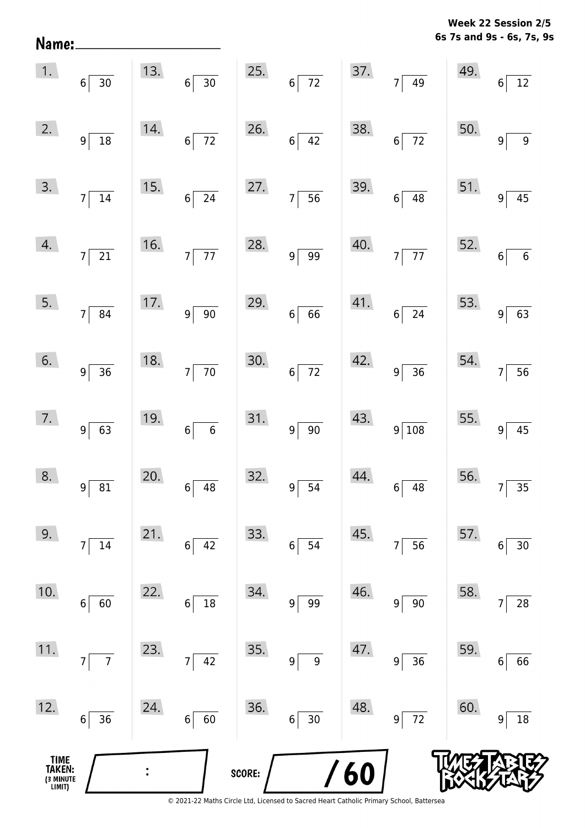**6s 7s and 9s - 6s, 7s, 9s Week 22 Session 2/5** 

| Name:                                         |                                   |     |                                   |        |                                       |     |                                |     | 6s 7s and 9s - 6s, 7s, 9            |
|-----------------------------------------------|-----------------------------------|-----|-----------------------------------|--------|---------------------------------------|-----|--------------------------------|-----|-------------------------------------|
| 1.                                            | $6 \overline{)30}$                | 13. | $\overline{30}$<br>6 <sup>6</sup> | 25.    | $6\overline{72}$                      | 37. | $7\overline{)49}$              | 49. | $\overline{12}$<br>$6 \overline{6}$ |
| 2.                                            | $9^{\frac{1}{2}}$<br>$\boxed{18}$ | 14. | $6\overline{72}$                  | 26.    | $6\overline{42}$                      | 38. | $6\overline{72}$               | 50. | $\overline{9}$<br>9                 |
| 3.                                            | 7<br>$\overline{14}$              | 15. | $6\overline{24}$                  | 27.    | $7\overline{56}$                      | 39. | $6\overline{)48}$              | 51. | $\overline{45}$<br>$\overline{9}$   |
| 4.                                            | $7\overline{21}$                  | 16. | $7\overline{77}$                  | 28.    | $9 \overline{99}$                     | 40. | $7\overline{77}$               | 52. | $\overline{6}$<br>$6\phantom{a}$    |
| 5.                                            | $7 \overline{\smash{)}\ 84}$      | 17. | $9\sqrt{90}$                      | 29.    | $6 \overline{6}$                      | 41. | $6\overline{24}$               | 53. | $\overline{63}$<br>$\overline{9}$   |
| 6.                                            | $9 \overline{)36}$                | 18. | $7\overline{70}$                  | 30.    | $6\overline{72}$                      | 42. | $9 \overline{)36}$             | 54. | $\overline{56}$<br>$\overline{7}$   |
| 7.                                            | $9 \ 63$                          | 19. | $6 \overline{6}$                  | 31.    | $9 \ 90$                              | 43. | $9\sqrt{108}$                  | 55. | $9 \overline{45}$                   |
| 8.                                            | 81<br>$\overline{9}$              | 20. | $6\vert$<br>$\overline{48}$       | 32.    | 9 <sup>5</sup><br>$\overline{54}$     | 44. | $6\vert$<br>$\overline{48}$    | 56. | 35<br>$\overline{7}$                |
| 9.                                            | $14\,$<br>$\overline{7}$          | 21. | 42<br>$6\vert$                    | 33.    | $6 \overline{\smash{)}54}$            | 45. | $7\overline{)56}$              | 57. | 30<br>$6\phantom{.}$                |
| 10.                                           | $6$ 60                            | 22. | $\overline{18}$<br>$6\vert$       | 34.    | $9 \overline{\smash{)}\phantom{0}99}$ | 46. | 90<br>$9\vert$                 | 58. | $\overline{28}$<br>$\overline{7}$   |
| 11.                                           | $\overline{7}$<br>7               | 23. | $7\overline{)42}$                 | 35.    | $\boldsymbol{9}$<br> 9                | 47. | $\overline{36}$<br>$9\sqrt{ }$ | 59. | 66<br>6                             |
| 12.                                           | $6 \vert 36$                      | 24. | $6\overline{60}$                  | 36.    | $6\overline{30}$                      | 48. | $9\overline{72}$               | 60. | $18\,$<br>9                         |
| <b>TIME<br/>TAKEN:</b><br>(3 MINUTE<br>LIMIT) |                                   |     |                                   | SCORE: |                                       | /60 |                                |     |                                     |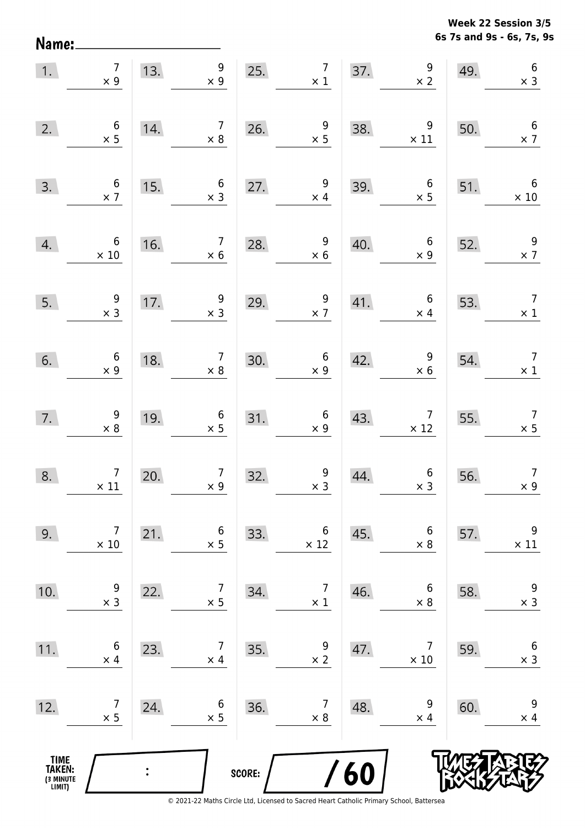Name:

**6s 7s and 9s - 6s, 7s, 9s Week 22 Session 3/5** 

| 1.                                            | $\overline{7}$<br>$\times$ 9                 | 13. | 9<br>$\times$ 9                              | 25.    | $\overline{7}$<br>$\times$ 1                 | 37. | $\begin{array}{c} 9 \\ \times 2 \end{array}$  | 49. | $\,6\,$<br>$\times$ 3                        |
|-----------------------------------------------|----------------------------------------------|-----|----------------------------------------------|--------|----------------------------------------------|-----|-----------------------------------------------|-----|----------------------------------------------|
| 2.                                            | $\begin{array}{c} 6 \\ \times 5 \end{array}$ | 14. | $\overline{7}$<br>$\times 8$                 | 26.    | $\begin{array}{c} 9 \\ \times 5 \end{array}$ | 38. | $\boldsymbol{9}$<br>$\times$ 11               | 50. | $6\phantom{1}6$<br>$\times$ 7                |
| 3.                                            | $\begin{array}{c} 6 \\ \times 7 \end{array}$ | 15. | $\boldsymbol{6}$<br>$\times$ 3               | 27.    | $\overline{9}$<br>$\times$ 4                 | 39. | $\boldsymbol{6}$<br>$\times$ 5                | 51. | $6\overline{6}$<br>$\times$ 10               |
| 4.                                            | $\boldsymbol{6}$<br>$\times$ 10              | 16. | $\overline{7}$<br>$\times$ 6                 | 28.    | $\begin{array}{c} 9 \\ \times 6 \end{array}$ | 40. | $\boldsymbol{6}$<br>$\times$ 9                | 52. | $\frac{9}{2}$                                |
| 5.                                            | $\begin{array}{c} 9 \\ \times 3 \end{array}$ | 17. | $\begin{array}{c} 9 \\ x 3 \end{array}$      | 29.    | 9<br>$\times$ 7                              | 41. | $\boldsymbol{6}$<br>$\times$ 4                | 53. | $\overline{7}$<br>$\times$ 1                 |
| 6.                                            | $\begin{array}{c} 6 \\ \times 9 \end{array}$ | 18. | $\begin{array}{c} 7 \\ \times 8 \end{array}$ | 30.    | $6\phantom{.}6$<br>$\times$ 9                | 42. | $\begin{array}{c} 9 \\ \times 6 \end{array}$  | 54. | $\overline{7}$<br>$\times$ 1                 |
| 7.                                            | $\begin{array}{c} 9 \\ \times 8 \end{array}$ | 19. | $\begin{array}{c} 6 \\ \times 5 \end{array}$ | 31.    | $6\overline{6}$<br>$\times$ 9                | 43. | $\begin{array}{c} 7 \\ \times 12 \end{array}$ | 55. | $\begin{array}{c} 7 \\ \times 5 \end{array}$ |
| 8.                                            | $\begin{array}{c}7\\ \times 11\end{array}$   | 20. | $\begin{array}{c} 7 \\ \times 9 \end{array}$ | 32.    | $\begin{array}{c} 9 \\ x 3 \end{array}$      | 44. | $6 \times 3$                                  | 56. | $\begin{array}{c} 7 \\ \times 9 \end{array}$ |
| 9.                                            | 7<br>$\times$ 10                             | 21. | 6<br>$\times$ 5                              | 33.    | 6<br>$\times$ 12                             | 45. | 6<br>$\times 8$                               | 57. | 9<br>$\times$ 11                             |
| 10.                                           | 9<br>$\times$ 3                              | 22. | 7<br>$\times$ 5                              | 34.    | $\overline{7}$<br>$\times$ 1                 | 46. | 6<br>$\times 8$                               | 58. | $\boldsymbol{9}$<br>$\times$ 3               |
| 11.                                           | 6<br>$\times$ 4                              | 23. | 7<br>$\times$ 4                              | 35.    | 9<br>$\times$ 2                              | 47. | 7<br>$\times$ 10                              | 59. | $\boldsymbol{6}$<br>$\times$ 3               |
| 12.                                           | 7<br>$\times$ 5                              | 24. | 6<br>$\times$ 5                              | 36.    | 7<br>$\times$ 8                              | 48. | 9<br>$\times$ 4                               | 60. | 9<br>$\times$ 4                              |
| <b>TIME<br/>TAKEN:</b><br>(3 MINUTE<br>LIMIT) |                                              |     |                                              | SCORE: |                                              | /60 |                                               |     |                                              |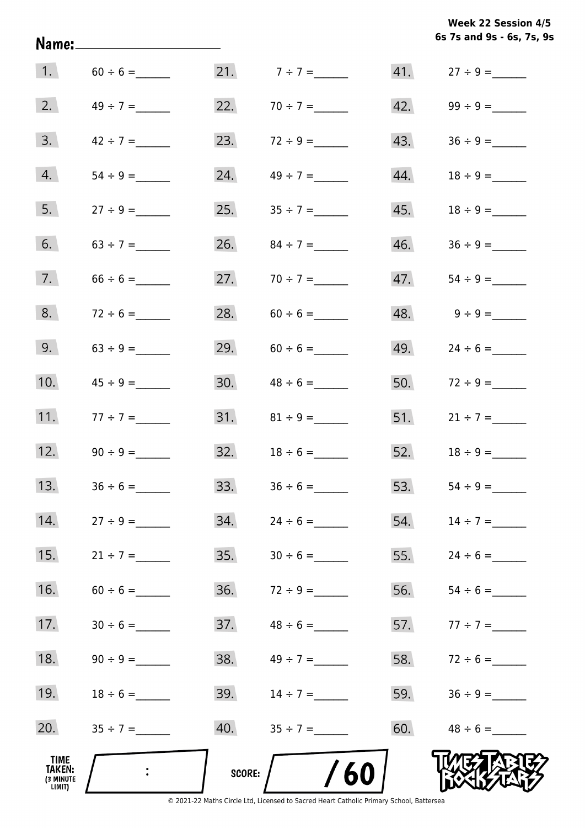**6s 7s and 9s - 6s, 7s, 9s Week 22 Session 4/5** 

| 1.                                           |                   |               | 21. $7 \div 7 =$  |     |                   |
|----------------------------------------------|-------------------|---------------|-------------------|-----|-------------------|
| 2.                                           | $49 \div 7 =$     |               | 22. $70 \div 7 =$ |     |                   |
| 3.                                           | $42 \div 7 =$     |               | 23. $72 \div 9 =$ | 43. |                   |
| 4.                                           |                   |               | 24. $49 \div 7 =$ | 44. |                   |
| 5.                                           |                   |               | 25. $35 \div 7 =$ |     |                   |
| 6.                                           | $63 \div 7 =$     |               | 26. $84 \div 7 =$ | 46. |                   |
| 7.                                           | $66 \div 6 =$     |               | 27. $70 \div 7 =$ | 47. |                   |
| 8.                                           | $72 \div 6 =$     |               |                   |     |                   |
| 9.                                           |                   |               | 29. $60 \div 6 =$ | 49. |                   |
| 10.                                          |                   |               | 30. $48 \div 6 =$ |     | 50. $72 \div 9 =$ |
| 11.                                          | $77 \div 7 =$     |               |                   |     | 51. $21 \div 7 =$ |
|                                              | 12. $90 \div 9 =$ |               |                   |     | 52. $18 \div 9 =$ |
| 13.                                          | $36 \div 6 =$     |               |                   |     |                   |
| 14.                                          | $27 \div 9 =$     | 34.           | $24 \div 6 =$     | 54. | $14 \div 7 =$     |
| 15.                                          | $21 \div 7 =$     | 35.           |                   | 55. | $24 \div 6 =$     |
| 16.                                          |                   | 36.           |                   | 56. |                   |
| 17.                                          | $30 \div 6 =$     | 37.           | $48 \div 6 =$     | 57. | $77 \div 7 =$     |
| 18.                                          |                   | 38.           | $49 \div 7 =$     | 58. |                   |
| 19.                                          |                   | 39.           | $14 \div 7 =$     | 59. |                   |
| 20.                                          |                   | 40.           |                   | 60. |                   |
| TIME<br><b>TAKEN:</b><br>(3 MINUTE<br>LIMIT) |                   | <b>SCORE:</b> | /60               |     |                   |

Name: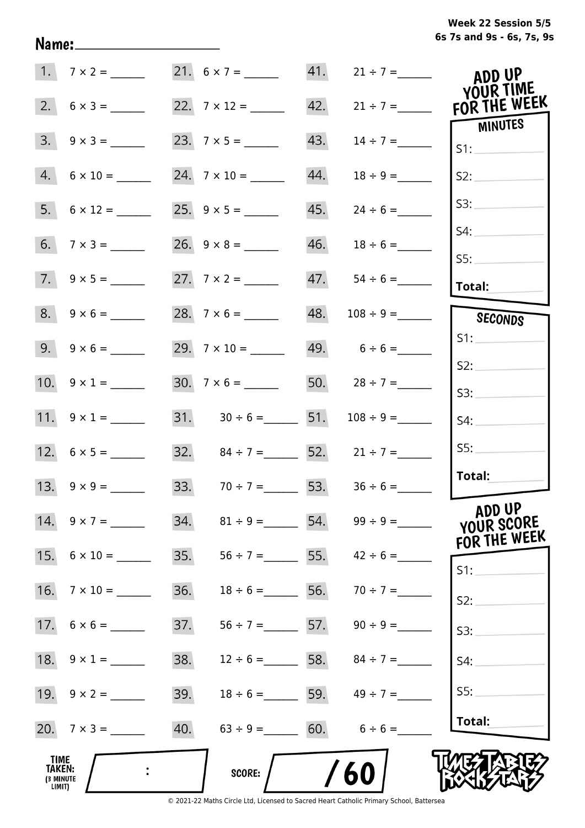**6s 7s and 9s - 6s, 7s, 9s Week 22 Session 5/5** 

|                                              |                         |     |                                      |     |                                 | ADD UP<br>YOUR TIME                  |
|----------------------------------------------|-------------------------|-----|--------------------------------------|-----|---------------------------------|--------------------------------------|
| 2.                                           |                         |     | 22. $7 \times 12 =$                  | 42. | $21 \div 7 =$                   | FOR THE WEEK                         |
| 3.                                           | $9 \times 3 =$          |     |                                      | 43. |                                 | <b>MINUTES</b><br>S1:                |
|                                              | $4. 6 \times 10 =$      |     |                                      | 44. | $18 \div 9 =$                   | S2:                                  |
|                                              | $5. 6 \times 12 =$      |     |                                      | 45. | $24 \div 6 =$                   | S3:                                  |
|                                              |                         |     |                                      | 46. | $18 \div 6 =$                   | S4:<br>SS:                           |
|                                              | $7. 9 \times 5 =$       |     |                                      | 47. |                                 | Total:                               |
|                                              |                         |     |                                      | 48. | $108 \div 9 =$                  | SECONDS                              |
|                                              | $9. \quad 9 \times 6 =$ |     |                                      |     | 49. $6 \div 6 =$                | S1:                                  |
|                                              | 10. $9 \times 1 =$      |     | $30.7 \times 6 =$                    |     | 50. $28 \div 7 =$               | S2:<br>S3:                           |
|                                              | 11. $9 \times 1 =$      |     | 31. $30 \div 6 =$ 51. $108 \div 9 =$ |     |                                 | S4:                                  |
|                                              |                         |     | 32. $84 \div 7 =$ 52. $21 \div 7 =$  |     |                                 | SS:                                  |
|                                              | 13. $9 \times 9 =$      |     | 33. $70 \div 7 =$ 53. $36 \div 6 =$  |     |                                 | Total:                               |
|                                              |                         | 34. |                                      |     | $81 \div 9 =$ 54. 99 ÷ 9 =      | ADD UP<br>YOUR SCORE<br>FOR THE WEEK |
|                                              | 15. $6 \times 10 =$     | 35. |                                      |     | $56 \div 7 =$ 55. $42 \div 6 =$ | S1:                                  |
| 16.                                          | $7 \times 10 =$         | 36. |                                      |     | $18 \div 6 =$ 56. $70 \div 7 =$ | S2:                                  |
|                                              |                         | 37. |                                      |     | $56 \div 7 =$ 57. $90 \div 9 =$ | S3:                                  |
|                                              | 18. $9 \times 1 =$      | 38. |                                      |     | $12 \div 6 =$ 58. $84 \div 7 =$ | S4:                                  |
|                                              |                         | 39. |                                      |     | $18 \div 6 =$ 59. $49 \div 7 =$ | S5:                                  |
|                                              | 20. $7 \times 3 =$      | 40. | $63 \div 9 = 60.$ $6 \div 6 =$       |     |                                 | Total:                               |
| <b>TIME</b><br>TAKEN:<br>(3 MINUTE<br>LIMIT) |                         |     | <b>SCORE:</b>                        |     | 60                              |                                      |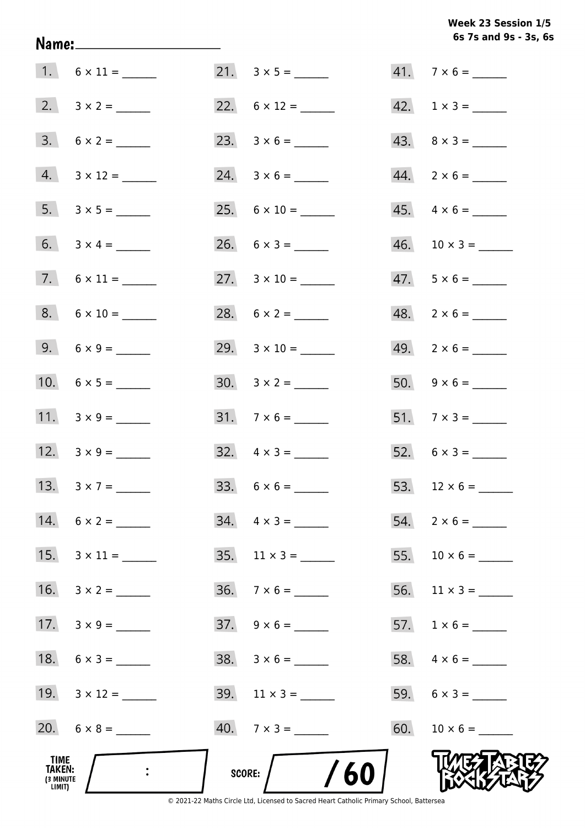**6s 7s and 9s - 3s, 6s Week 23 Session 1/5** 

| TIME<br>TAKEN:<br>(3 MINUTE<br>LIMIT) |                     | /60<br>SCORE:            |                             |
|---------------------------------------|---------------------|--------------------------|-----------------------------|
|                                       |                     | $40.7 \times 3 =$        |                             |
|                                       | 19. $3 \times 12 =$ | $39.$ 11 x 3 = ______    |                             |
|                                       | 18. $6 \times 3 =$  | $38. 3 \times 6 =$       |                             |
|                                       | 17. $3 \times 9 =$  | $37. \quad 9 \times 6 =$ |                             |
|                                       | 16. $3 \times 2 =$  |                          | 56. $11 \times 3 =$         |
|                                       | 15. $3 \times 11 =$ | 35. $11 \times 3 =$      |                             |
|                                       | 14. $6 \times 2 =$  | $34. \quad 4 \times 3 =$ |                             |
|                                       | 13. $3 \times 7 =$  |                          | 53. $12 \times 6 =$         |
|                                       | 12. $3 \times 9 =$  | $32. \quad 4 \times 3 =$ |                             |
|                                       | 11. $3 \times 9 =$  | $31.7 \times 6 =$        |                             |
|                                       | 10. $6 \times 5 =$  | $30. \quad 3 \times 2 =$ |                             |
|                                       | 9. $6 \times 9 =$   | 29. $3 \times 10 =$      | $49. \quad 2 \times 6 =$    |
|                                       | $8. 6 \times 10 =$  |                          | $48. 2 \times 6 =$          |
|                                       |                     | 27. $3 \times 10 =$      | $47. 5 \times 6 =$          |
|                                       |                     |                          |                             |
|                                       | $5. 3 \times 5 =$   |                          | $45. \quad 4 \times 6 =$    |
|                                       | $4. 3 \times 12 =$  |                          |                             |
|                                       |                     |                          | $43. \quad 8 \times 3 =$    |
|                                       |                     |                          | $42. \quad 1 \times 3 = \_$ |
|                                       |                     |                          | $41.7 \times 6 =$           |

Name: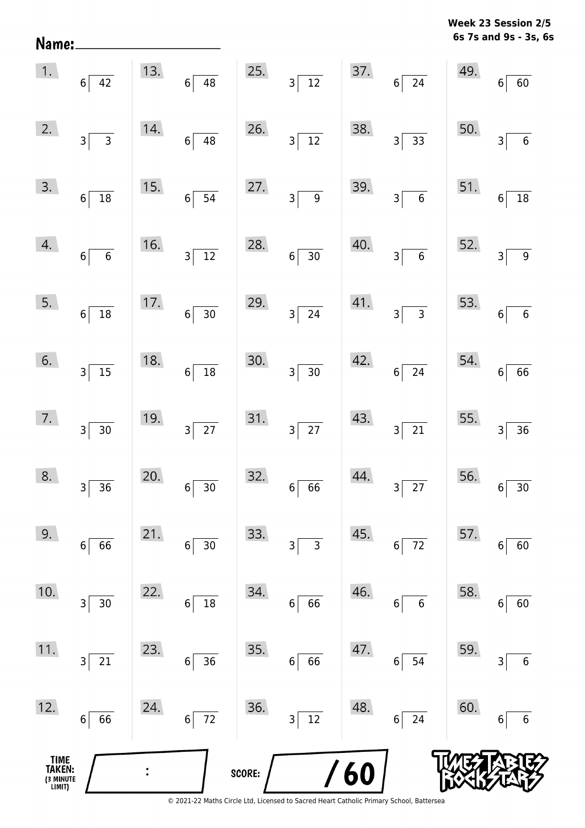**6s 7s and 9s - 3s, 6s Week 23 Session 2/5** 

| 4.<br>$\begin{array}{ c c }\n\hline\n16. & & \\ \hline\n3 & 12\n\end{array}$<br>28.<br>$40.$ $3 \overline{6}$<br>52.<br>$6\overline{6}$<br>$6\overline{)30}$<br>$\sqrt{9}$<br>$3\vert$<br>5.<br>17. $6 \overline{)30}$ 29.<br>$\begin{array}{ c c } \hline 41. & & \\ & 3 & 3 \\ \hline \end{array}$<br>53. $6\begin{bmatrix} \end{bmatrix}$<br>$3\overline{\smash{)}24}$<br>$6\overline{)18}$<br>$\boxed{6}$<br>6.<br>$6\overline{)18}$ 30.<br>18.<br>$\begin{array}{ c c }\n 42. & 6 & 24\n\end{array}$<br>54.6<br>$3\overline{\smash{)}15}$<br>$\boxed{66}$<br>$3\overline{)30}$<br>7.<br>19.<br>31. $3\overline{)27}$<br>$43.$ $3 \overline{)21}$<br>55. $3\begin{bmatrix} 3 \end{bmatrix}$<br>$3\overline{27}$<br>$\boxed{36}$<br>$3\overline{)30}$<br>8.<br>20.<br>44.<br>32.666<br>56. $6\overline{)30}$<br>$6\overline{)30}$<br>$3\overline{27}$<br>$3\overline{)36}$<br>9.<br>21.<br>33.<br>45.<br>57.<br>72<br>3<br>66<br>3<br>30<br>60<br>6<br>6<br>6<br>6<br>10.<br>34.<br>46.<br>58.<br>22.<br>66<br>$30\,$<br>18<br>$\boldsymbol{6}$<br>$6\phantom{1}6$<br>60<br>$\overline{3}$<br>6<br>6<br>6<br>11.<br>35.<br>59.<br>23.<br>47.<br>21<br>36<br>66<br>54<br>$\,$ 6 $\,$<br>$\,$ 6 $\,$<br>3<br>6<br>$6\vert$<br>3 |     | $\begin{array}{ c c }\n\hline\n3. & 6 & 18\n\end{array}$ | 15. | $6\overline{)54}$ | 27. | $3\sqrt{9}$ |     | 39. $3\overline{\smash)6}$ | $\begin{bmatrix} 51. & 6 \end{bmatrix}$ | $\frac{1}{18}$ |
|----------------------------------------------------------------------------------------------------------------------------------------------------------------------------------------------------------------------------------------------------------------------------------------------------------------------------------------------------------------------------------------------------------------------------------------------------------------------------------------------------------------------------------------------------------------------------------------------------------------------------------------------------------------------------------------------------------------------------------------------------------------------------------------------------------------------------------------------------------------------------------------------------------------------------------------------------------------------------------------------------------------------------------------------------------------------------------------------------------------------------------------------------------------------------------------------------------------------------------|-----|----------------------------------------------------------|-----|-------------------|-----|-------------|-----|----------------------------|-----------------------------------------|----------------|
|                                                                                                                                                                                                                                                                                                                                                                                                                                                                                                                                                                                                                                                                                                                                                                                                                                                                                                                                                                                                                                                                                                                                                                                                                                  |     |                                                          |     |                   |     |             |     |                            |                                         |                |
|                                                                                                                                                                                                                                                                                                                                                                                                                                                                                                                                                                                                                                                                                                                                                                                                                                                                                                                                                                                                                                                                                                                                                                                                                                  |     |                                                          |     |                   |     |             |     |                            |                                         |                |
|                                                                                                                                                                                                                                                                                                                                                                                                                                                                                                                                                                                                                                                                                                                                                                                                                                                                                                                                                                                                                                                                                                                                                                                                                                  |     |                                                          |     |                   |     |             |     |                            |                                         |                |
|                                                                                                                                                                                                                                                                                                                                                                                                                                                                                                                                                                                                                                                                                                                                                                                                                                                                                                                                                                                                                                                                                                                                                                                                                                  |     |                                                          |     |                   |     |             |     |                            |                                         |                |
|                                                                                                                                                                                                                                                                                                                                                                                                                                                                                                                                                                                                                                                                                                                                                                                                                                                                                                                                                                                                                                                                                                                                                                                                                                  |     |                                                          |     |                   |     |             |     |                            |                                         |                |
|                                                                                                                                                                                                                                                                                                                                                                                                                                                                                                                                                                                                                                                                                                                                                                                                                                                                                                                                                                                                                                                                                                                                                                                                                                  |     |                                                          |     |                   |     |             |     |                            |                                         |                |
|                                                                                                                                                                                                                                                                                                                                                                                                                                                                                                                                                                                                                                                                                                                                                                                                                                                                                                                                                                                                                                                                                                                                                                                                                                  |     |                                                          |     |                   |     |             |     |                            |                                         |                |
|                                                                                                                                                                                                                                                                                                                                                                                                                                                                                                                                                                                                                                                                                                                                                                                                                                                                                                                                                                                                                                                                                                                                                                                                                                  |     |                                                          |     |                   |     |             |     |                            |                                         |                |
| 72<br>$12\,$<br>24<br>$\mathsf{3}$<br>66<br>$6\vert$<br>$\,$ 6 $\,$<br>$6\,$<br>$6\vert$<br>6                                                                                                                                                                                                                                                                                                                                                                                                                                                                                                                                                                                                                                                                                                                                                                                                                                                                                                                                                                                                                                                                                                                                    | 12. |                                                          | 24. |                   | 36. |             | 48. |                            | 60.                                     |                |

Name: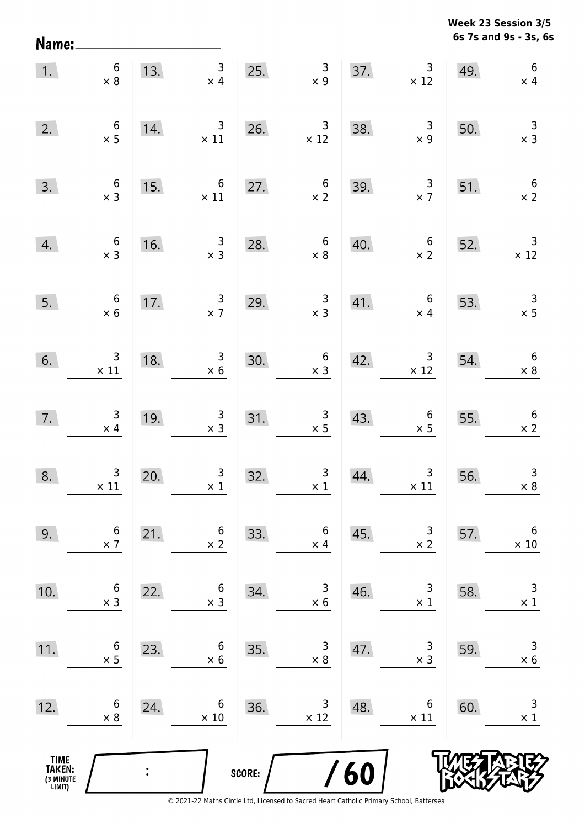**6s 7s and 9s - 3s, 6s Week 23 Session 3/5** 

| 1.                                    | $\begin{array}{c} 6 \\ \times 8 \end{array}$  | 13.            | 3 <sup>7</sup><br>$\times$ 4                 | 25.                                    | $\begin{array}{c} 3 \\ \times 9 \end{array}$        |     | 37. $3 \times 12$                             | 49. | $\boldsymbol{6}$<br>$\times$ 4               |
|---------------------------------------|-----------------------------------------------|----------------|----------------------------------------------|----------------------------------------|-----------------------------------------------------|-----|-----------------------------------------------|-----|----------------------------------------------|
| 2.                                    | $\begin{array}{c} 6 \\ \times 5 \end{array}$  | 14.            | $\overline{\mathbf{3}}$<br>$\times$ 11       | 26.                                    | $\begin{array}{r} 3 \\ \times 12 \end{array}$       | 38. | $\begin{array}{c} 3 \\ \times 9 \end{array}$  | 50. | $\begin{array}{c} 3 \\ \times 3 \end{array}$ |
| 3.                                    | $\begin{array}{c} 6 \\ \times 3 \end{array}$  | 15.            | $\overline{6}$<br>$\times$ 11                |                                        | 27. $6 \times 2$                                    | 39. | $\begin{array}{c} 3 \\ \times 7 \end{array}$  | 51. | $\begin{array}{c} 6 \\ \times 2 \end{array}$ |
| 4.                                    | $\begin{array}{c} 6 \\ \times 3 \end{array}$  | 16.            | $\begin{array}{c} 3 \\ \times 3 \end{array}$ | 28.                                    | $\begin{array}{c} 6 \\ \times 8 \end{array}$        | 40. | $\begin{array}{c} 6 \\ \times 2 \end{array}$  | 52. | $\overline{\phantom{a}}$<br>$\times$ 12      |
| 5.                                    | $\begin{array}{c} 6 \\ \times 6 \end{array}$  | 17.            | $\begin{array}{c} 3 \\ \times 7 \end{array}$ | 29.                                    | $\begin{array}{r} 3 \\ \times 3 \end{array}$        | 41. | $6\overline{6}$<br>$\times$ 4                 | 53. | $\begin{array}{c} 3 \\ \times 5 \end{array}$ |
| 6.                                    | $\begin{array}{c} 3 \\ \times 11 \end{array}$ | 18.            | $\begin{array}{r} 3 \\ \times 6 \end{array}$ | $\begin{array}{c}\n30. \\ \end{array}$ | $\begin{array}{c} 6 \\ \times 3 \end{array}$        | 42. | $\begin{array}{c} 3 \\ \times 12 \end{array}$ | 54. | $6\overline{6}$<br>$\times 8$                |
| 7.                                    | $\begin{array}{c} 3 \\ \times 4 \end{array}$  | 19.            | $\begin{array}{c} 3 \\ \times 3 \end{array}$ |                                        | $\begin{array}{r} 3 \\ \times 5 \end{array}$<br>31. | 43. | $\begin{array}{c} 6 \\ \times 5 \end{array}$  | 55. | $\begin{array}{c} 6 \\ \times 2 \end{array}$ |
| 8.                                    | $\begin{array}{c}3\\ \times 11\end{array}$    | 20.            | $\begin{array}{c} 3 \\ \times 1 \end{array}$ | 32.                                    | $\begin{array}{c} 3 \\ \times 1 \end{array}$        | 44. | $\begin{array}{c}3\\ \times 11\end{array}$    | 56. | $\begin{array}{c} 3 \\ \times 8 \end{array}$ |
| 9.                                    | 6<br>$\times$ 7                               | 21.            | 6<br>$\times 2$                              | 33.                                    | 6<br>$\times$ 4                                     | 45. | 3<br>$\times 2$                               | 57. | $\,6$<br>$\times$ 10                         |
| 10.                                   | 6<br>$\times$ 3                               | 22.            | 6<br>$\times$ 3                              | 34.                                    | 3<br>$\times$ 6                                     | 46. | 3<br>$\times$ 1                               | 58. | 3<br>$\times$ 1                              |
| 11.                                   | 6<br>$\times$ 5                               | 23.            | 6<br>$\times 6$                              | 35.                                    | 3<br>$\times 8$                                     | 47. | 3<br>$\times$ 3                               | 59. | $\mathsf 3$<br>$\times$ 6                    |
| 12.                                   | 6<br>$\times 8$                               | 24.            | 6<br>$\times$ 10                             | 36.                                    | 3<br>$\times$ 12                                    | 48. | 6<br>$\times$ 11                              | 60. | 3<br>$\times 1$                              |
| TIME<br>TAKEN:<br>(3 MINUTE<br>LIMIT) |                                               | $\ddot{\cdot}$ |                                              | SCORE:                                 |                                                     | /60 |                                               |     |                                              |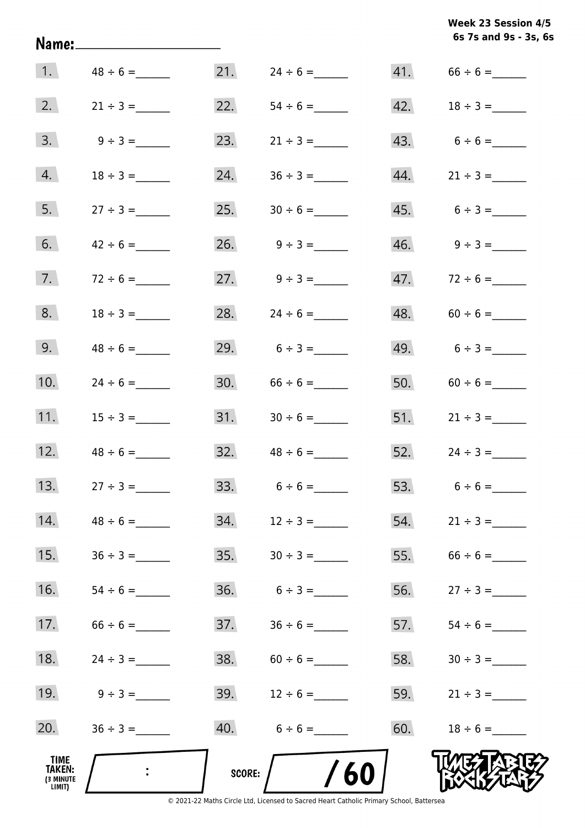| Week 23 Session 4/5   |  |
|-----------------------|--|
| 6s 7s and 9s - 3s, 6s |  |

| TIME<br>TAKEN:<br>(3 MINUTE<br>LIMIT) |               | SCORE: | /60                             |     |                         |
|---------------------------------------|---------------|--------|---------------------------------|-----|-------------------------|
| 20.                                   |               | 40.    | $6 \div 6 =$                    | 60. |                         |
| 19.                                   | $9 \div 3 =$  | 39.    | $12 \div 6 =$                   | 59. | $21 \div 3 =$           |
| 18.                                   | $24 \div 3 =$ | 38.    | $60 \div 6 =$                   | 58. |                         |
| 17.                                   |               | 37.    |                                 | 57. |                         |
| 16.                                   |               | 36.    | $6 \div 3 =$                    | 56. | $27 \div 3 =$           |
| 15.                                   |               | 35.    |                                 | 55. |                         |
| 14.                                   |               | 34.    | $12 \div 3 =$                   | 54. | $21 \div 3 =$           |
| 13.                                   | $27 \div 3 =$ |        |                                 |     |                         |
| 12.                                   | $48 \div 6 =$ |        |                                 |     | 52. $24 \div 3 =$       |
| 11.                                   |               |        |                                 |     | 51. $21 \div 3 =$       |
| 10.                                   | $24 \div 6 =$ |        | 30. $66 \div 6 =$               |     |                         |
| 9.                                    | $48 \div 6 =$ |        | 29. $6 \div 3 =$                |     | $49. 6 \div 3 =$        |
| 8.                                    |               | 28.    | $24 \div 6 =$                   |     | $48. 60 \div 6 =$       |
| 7.                                    | $72 \div 6 =$ |        | $27. \hspace{1.5cm} 9 \div 3 =$ |     | $47.$ $72 \div 6 =$     |
| 6.                                    |               |        | $26. \qquad 9 \div 3 =$         |     | $46. \qquad 9 \div 3 =$ |
| 5.                                    |               | 25.    |                                 |     | 45. $6 \div 3 =$        |
| 4.                                    |               | 24.    |                                 | 44. | $21 \div 3 =$           |
| 3.                                    | $9 \div 3 =$  | 23.    | $21 \div 3 =$                   |     | 43. $6 \div 6 =$        |
| 2.                                    | $21 \div 3 =$ | 22.    |                                 |     |                         |
| 1.                                    | $48 \div 6 =$ | 21.    | $24 \div 6 =$                   |     |                         |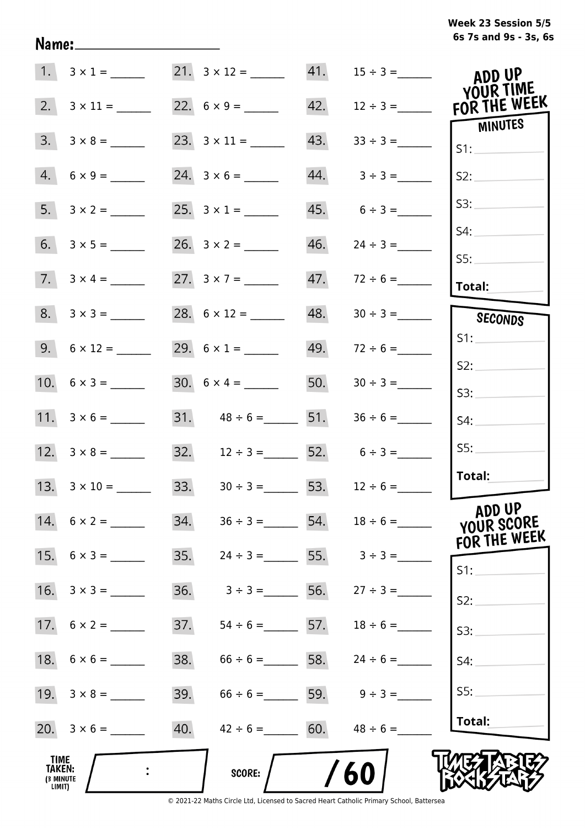# **6s 7s and 9s - 3s, 6s Week 23 Session 5/5**

| 1.                                                  | $3 \times 1 =$      |     |                                                     |     | 21. $3 \times 12 =$ 41. $15 \div 3 =$ | ADD UP<br>YOUR TIME        |
|-----------------------------------------------------|---------------------|-----|-----------------------------------------------------|-----|---------------------------------------|----------------------------|
| 2.                                                  | $3 \times 11 =$     |     | 22. $6 \times 9 =$                                  | 42. | $12 \div 3 =$                         | FOR THE WEEK               |
| 3.                                                  | $3 \times 8 =$      |     |                                                     | 43. |                                       | MINUTES<br>S1:             |
| 4.                                                  | $6 \times 9 =$      |     | $24. 3 \times 6 =$                                  |     | $44. 3 \div 3 =$                      | S2:                        |
| 5.                                                  | $3 \times 2 =$      |     | 25. $3 \times 1 =$                                  |     | $45. 6 \div 3 =$                      | S3:                        |
|                                                     |                     |     |                                                     | 46. | $24 \div 3 =$                         | S4:                        |
|                                                     | $7. 3 \times 4 =$   |     | 27. $3 \times 7 =$                                  | 47. | $72 \div 6 =$                         | SS:<br>Total:              |
|                                                     | $8. 3 \times 3 =$   |     |                                                     | 48. |                                       | SECONDS                    |
|                                                     |                     |     | 29. $6 \times 1 =$                                  |     | $49. 72 \div 6 =$                     | S1:                        |
|                                                     |                     |     | $30. 6 \times 4 =$                                  | 50. | $30 \div 3 =$                         | S2:                        |
|                                                     |                     |     | 31. $48 \div 6 =$ 51.                               |     | $36 \div 6 =$                         | 53:                        |
|                                                     |                     |     |                                                     |     |                                       | S4:<br>SS:                 |
|                                                     |                     |     | 32. $12 \div 3 =$ 52. $6 \div 3 =$                  |     |                                       | Total:                     |
|                                                     | 13. $3 \times 10 =$ |     | $33. \hspace{1.5cm} 30 \div 3 = \hspace{1.5cm} 53.$ |     | $12 \div 6 =$                         | ADD UP                     |
|                                                     | 14. $6 \times 2 =$  |     | 34. $36 \div 3 =$ 54. $18 \div 6 =$                 |     |                                       | YOUR SCORE<br>FOR THE WEEK |
|                                                     | 15. $6 \times 3 =$  | 35. | $24 \div 3 =$ 55. $3 \div 3 =$                      |     |                                       | S1:                        |
|                                                     |                     | 36. | $3 \div 3 =$                                        |     | 56. $27 \div 3 =$                     | S2:                        |
|                                                     |                     | 37. | $54 \div 6 =$ 57. $18 \div 6 =$                     |     |                                       | S3:                        |
|                                                     |                     | 38. | $66 \div 6 =$ 58.                                   |     | $24 \div 6 =$                         | S4:                        |
|                                                     |                     | 39. | $66 \div 6 =$ 59. $9 \div 3 =$                      |     |                                       | SS:                        |
|                                                     |                     | 40. | $42 \div 6 =$ 60. $48 \div 6 =$                     |     |                                       | Total:                     |
| <b>TIME</b><br><b>TAKEN:</b><br>(3 MINUTE<br>LIMIT) |                     |     | SCORE:                                              |     | 60                                    |                            |

Name: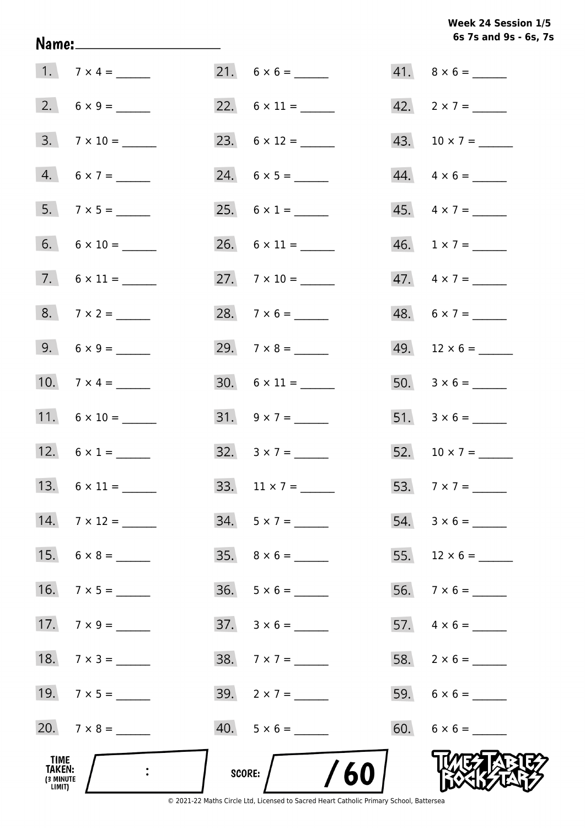## **6s 7s and 9s - 6s, 7s Week 24 Session 1/5**

| TIME<br>TAKEN:<br>(3 MINUTE<br>LIMIT) |                     | SCORE: $/$ /60           |                          |
|---------------------------------------|---------------------|--------------------------|--------------------------|
|                                       | 20. $7 \times 8 =$  | $40. 5 \times 6 =$       |                          |
|                                       | 19. $7 \times 5 =$  | 39. $2 \times 7 =$       |                          |
|                                       | 18. $7 \times 3 =$  | $38.7 \times 7 =$        |                          |
|                                       |                     | $37. \quad 3 \times 6 =$ |                          |
|                                       | 16. $7 \times 5 =$  | $36. 5 \times 6 =$       |                          |
|                                       | 15. $6 \times 8 =$  |                          |                          |
|                                       | 14. $7 \times 12 =$ | $34. 5 \times 7 =$       | $54. 3 \times 6 =$       |
|                                       |                     | 33. $11 \times 7 =$      |                          |
|                                       | 12. $6 \times 1 =$  | $32. \quad 3 \times 7 =$ | $52. 10 \times 7 =$      |
|                                       | 11. $6 \times 10 =$ | $31. 9 \times 7 =$       |                          |
|                                       | 10. $7 \times 4 =$  | $30. 6 \times 11 =$      |                          |
|                                       |                     |                          |                          |
|                                       |                     |                          |                          |
|                                       | $7. 6 \times 11 =$  | 27. $7 \times 10 =$      | 47. $4 \times 7 =$       |
|                                       | $6. 6 \times 10 =$  | 26. $6 \times 11 =$      | 46. $1 \times 7 =$       |
|                                       |                     |                          | 45. $4 \times 7 =$       |
|                                       | $4. 6 \times 7 =$   |                          | $44. \quad 4 \times 6 =$ |
|                                       | $3.7 \times 10 =$   |                          | 43. $10 \times 7 =$      |
|                                       |                     |                          | 42. $2 \times 7 =$       |
|                                       |                     |                          | $41. \quad 8 \times 6 =$ |

Name: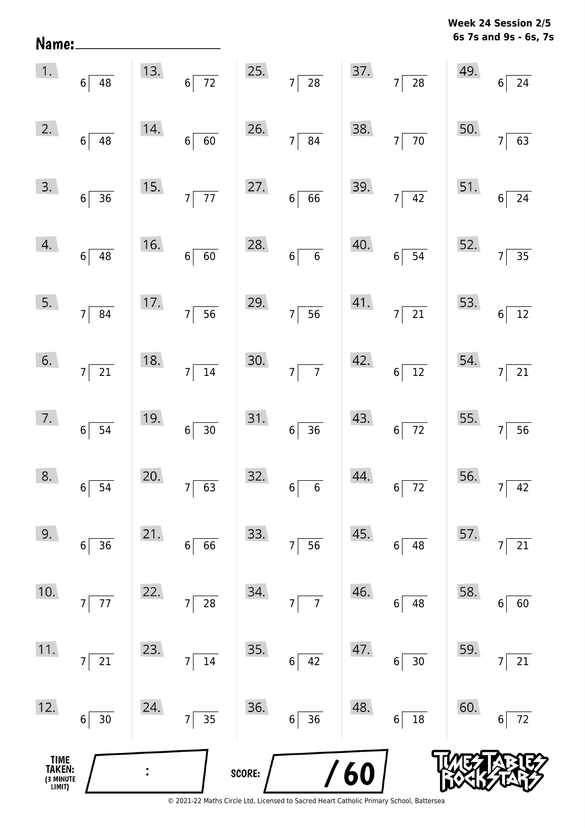**6s 7s and 9s - 6s, 7s Week 24 Session 2/5** 

|                                       | $\begin{array}{ c c } \hline 1. & 6 & 48 \ \hline \end{array}$ |     | 13. $6\overline{72}$              |        | 25. $7 \overline{)28}$ |     | $37.$ $7 \overline{)28}$                                        |     | $49.$ 6 24                       |
|---------------------------------------|----------------------------------------------------------------|-----|-----------------------------------|--------|------------------------|-----|-----------------------------------------------------------------|-----|----------------------------------|
| 2.                                    | $6\overline{)48}$                                              | 14. | $6\overline{60}$                  |        | 26. $7 \overline{)84}$ |     | 38. $7\overline{70}$                                            | 50. | $\frac{1}{63}$<br>$\overline{7}$ |
|                                       | $\begin{array}{ c c }\n\hline\n3. & 6 & 36\n\end{array}$       |     | 15. $7\overline{77}$              |        | 27. $6 \overline{6}$   |     | 39. $7 \overline{)42}$                                          |     | 51. $6\overline{)24}$            |
| 4.                                    | $6\overline{)48}$                                              | 16. | $6\sqrt{60}$                      | 28.    | $6\overline{6}$        | 40. | $6\overline{)54}$                                               | 52. | $7\overline{)35}$                |
| 5.                                    | $7\overline{\smash{)}\ 84}$                                    |     | 17.756                            |        | 29. $7 \overline{)56}$ |     | $\begin{array}{ c c }\n 41. & \n \hline\n 7 & 21\n \end{array}$ |     | 53. $6\overline{)12}$            |
| 6.                                    | $7\overline{\smash{)}21}$                                      | 18. | $7\overline{)14}$                 | 30.    | $7\overline{7}$        | 42. | $6\overline{)12}$                                               |     | 54. $7\overline{)21}$            |
| 7.                                    | $6\overline{)}\ \overline{)}$                                  | 19. | $6\overline{)30}$                 | 31.    | $6\overline{)36}$      | 43. | $6\overline{72}$                                                |     | 55. $7\overline{)56}$            |
| 8.                                    | $6\overline{)}\ 54$                                            | 20. | $7\overline{63}$                  | 32.    | $6\overline{6}$        | 44. | $6\overline{72}$                                                |     | 56. $7 \overline{)42}$           |
| 9.                                    | 36<br>6                                                        | 21. | 66<br>6                           | 33.    | 56<br>7                | 45. | 48<br>6                                                         | 57. | $\overline{21}$                  |
| 10.                                   | $77 \,$<br>$\overline{7}$                                      | 22. | 28<br>$\overline{7}$              | 34.    | $\overline{7}$<br>7    | 46. | 48<br>6                                                         | 58. | 60<br>6                          |
| 11.                                   | 21<br>7                                                        | 23. | 14<br>$\overline{7}$              | 35.    | 42<br>$6\vert$         | 47. | $30\,$<br>6                                                     | 59. | 21                               |
| 12.                                   | $30$<br>$6\vert$                                               | 24. | $\overline{35}$<br>$\overline{7}$ | 36.    | 36<br>$6\vert$         | 48. | 18<br>6                                                         | 60. | 72<br>6                          |
| TIME<br>TAKEN:<br>(3 MINUTE<br>LIMIT) |                                                                |     |                                   | SCORE: |                        | /60 |                                                                 |     |                                  |

Name: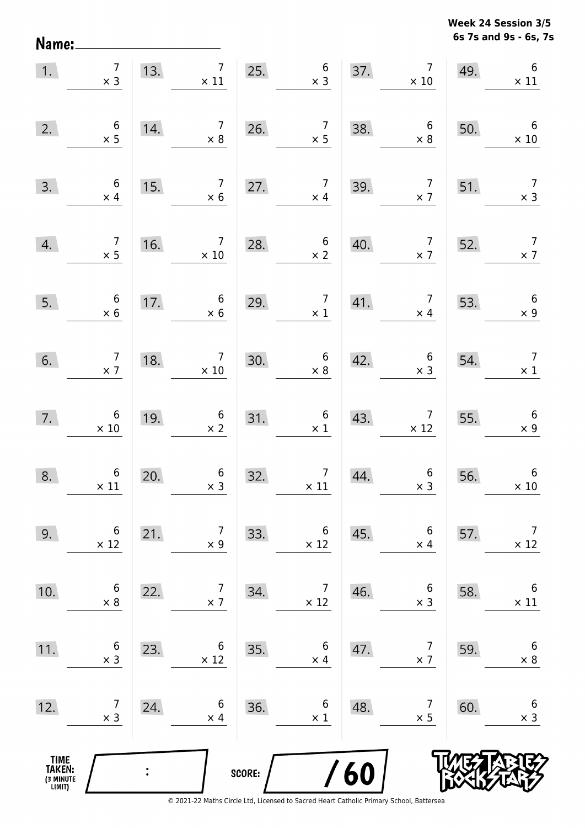**6s 7s and 9s - 6s, 7s Week 24 Session 3/5** 

| 1.                                    | $\begin{array}{c} 7 \\ \times 3 \end{array}$  | 13. |                                               |        | $\begin{array}{ c c c }\n \hline\n & 7 & 25. & 6 \\  \times & 11 & & \times 3 \\  \hline\n\end{array}$ |     | $\overline{7}$<br>37.<br>$\times$ 10          | 49. | $6\,$<br>$\times$ 11                         |
|---------------------------------------|-----------------------------------------------|-----|-----------------------------------------------|--------|--------------------------------------------------------------------------------------------------------|-----|-----------------------------------------------|-----|----------------------------------------------|
| 2.                                    | $\begin{array}{c} 6 \\ \times 5 \end{array}$  | 14. | $\begin{array}{c} 7 \\ \times 8 \end{array}$  | 26.    | $\begin{array}{c} 7 \\ \times 5 \end{array}$                                                           | 38. | $\begin{array}{c} 6 \\ \times 8 \end{array}$  | 50. | $\overline{6}$<br>$\times 10$                |
| 3.                                    | $\begin{array}{c} 6 \\ \times 4 \end{array}$  | 15. | $\begin{array}{c} 7 \\ \times 6 \end{array}$  | 27.    | $\begin{array}{c} 7 \\ \times 4 \end{array}$                                                           | 39. | $\begin{array}{c} 7 \\ \times 7 \end{array}$  | 51. | $\begin{array}{c} 7 \\ \times 3 \end{array}$ |
| 4.                                    | $\begin{array}{c} 7 \\ \times 5 \end{array}$  | 16. | $\begin{array}{c} 7 \\ \times 10 \end{array}$ | 28.    | $\begin{array}{c} 6 \\ \times 2 \end{array}$                                                           | 40. | $\begin{array}{c} 7 \\ \times 7 \end{array}$  | 52. | $\begin{array}{c} 7 \\ \times 7 \end{array}$ |
| 5.                                    | $\begin{array}{c} 6 \\ \times 6 \end{array}$  | 17. | $\begin{array}{c} 6 \\ \times 6 \end{array}$  | 29.    | $\begin{array}{c} 7 \\ \times 1 \end{array}$                                                           | 41. | $\begin{array}{c} 7 \\ \times 4 \end{array}$  | 53. | $6\overline{6}$<br>$\times$ 9                |
| 6.                                    | $\begin{array}{c} 7 \\ \times 7 \end{array}$  | 18. | $\begin{array}{c} 7 \\ \times 10 \end{array}$ | 30.    | $\begin{array}{c} 6 \\ \times 8 \end{array}$                                                           | 42. | $\begin{array}{c} 6 \\ \times 3 \end{array}$  | 54. | $\begin{array}{c} 7 \\ \times 1 \end{array}$ |
| 7.                                    | $6\n\times 10$                                | 19. | $\begin{array}{c} 6 \\ \times 2 \end{array}$  | 31.    | $\begin{array}{c} 6 \\ \times 1 \end{array}$                                                           | 43. | $\begin{array}{c} 7 \\ \times 12 \end{array}$ | 55. | $\begin{array}{c} 6 \\ \times 9 \end{array}$ |
| 8.                                    | $\begin{array}{c} 6 \\ \times 11 \end{array}$ | 20. | $\begin{array}{c} 6 \\ \times 3 \end{array}$  | 32.    | $\begin{array}{c} 7 \\ \times 11 \end{array}$                                                          | 44. | $\begin{array}{c} 6 \\ \times 3 \end{array}$  | 56. | $\boldsymbol{6}$<br>$\times$ 10              |
| 9.                                    | 6<br>$\times$ 12                              | 21. | $\overline{7}$<br>$\times$ 9                  | 33.    | 6<br>$\times$ 12                                                                                       | 45. | $6\,$<br>$\times$ 4                           | 57. | $\overline{7}$<br>$\times$ 12                |
| 10.                                   | 6<br>$\times$ 8                               | 22. | $\overline{7}$<br>$\times$ 7                  | 34.    | $\overline{7}$<br>$\times$ 12                                                                          | 46. | 6<br>$\times$ 3                               | 58. | 6<br>$\times$ 11                             |
| 11.                                   | 6<br>$\times$ 3                               | 23. | 6<br>$\times$ 12                              | 35.    | 6<br>$\times$ 4                                                                                        | 47. | 7<br>$\times$ 7                               | 59. | $\boldsymbol{6}$<br>$\times$ 8               |
| 12.                                   | 7<br>$\times$ 3                               | 24. | 6<br>$\times$ 4                               | 36.    | 6<br>$\times$ 1                                                                                        | 48. | $\overline{7}$<br>$\times$ 5                  | 60. | $\boldsymbol{6}$<br>$\times$ 3               |
| TIME<br>TAKEN:<br>(3 MINUTE<br>LIMIT) |                                               |     |                                               | SCORE: |                                                                                                        | 60  |                                               |     |                                              |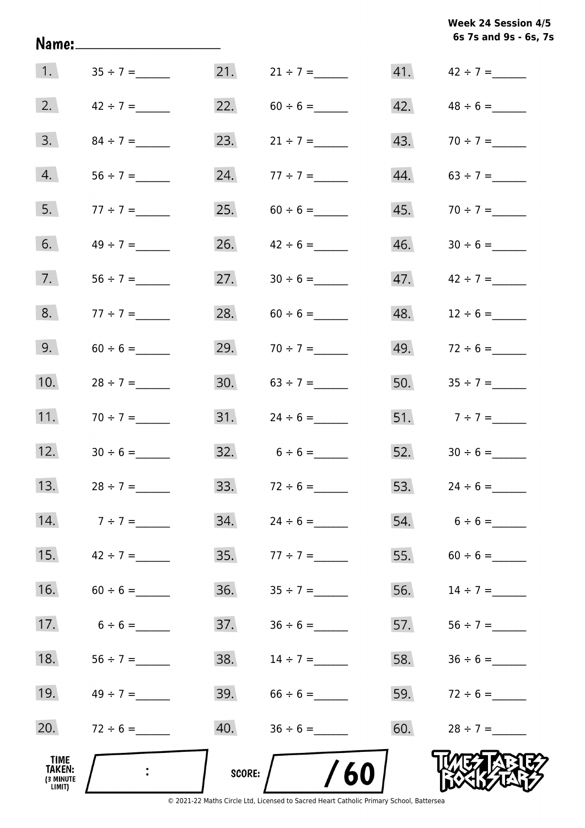**6s 7s and 9s - 6s, 7s Week 24 Session 4/5** 

| TIME<br><b>TAKEN:</b><br>(3 MINUTE<br>LIMIT) |               | SCORE: | /60               |     |                   |
|----------------------------------------------|---------------|--------|-------------------|-----|-------------------|
| 20.                                          |               | 40.    |                   | 60. |                   |
| 19.                                          |               | 39.    |                   | 59. |                   |
| 18.                                          |               | 38.    |                   | 58. |                   |
| 17.                                          | $6 \div 6 =$  | 37.    |                   | 57. |                   |
| 16.                                          |               | 36.    |                   | 56. |                   |
| 15.                                          | $42 \div 7 =$ | 35.    | $77 \div 7 =$     | 55. | $60 \div 6 =$     |
| 14.                                          | $7 ÷ 7 =$     | 34.    |                   | 54. | $6 \div 6 =$      |
| 13.                                          | $28 \div 7 =$ |        | 33. $72 \div 6 =$ |     | 53. $24 \div 6 =$ |
| 12.                                          |               |        | $32. 6 \div 6 =$  | 52. |                   |
| 11.                                          | $70 \div 7 =$ | 31.    | $24 \div 6 =$     |     | 51. $7 \div 7 =$  |
| 10.                                          | $28 \div 7 =$ | 30.    |                   | 50. |                   |
| 9.                                           |               | 29.    |                   | 49. |                   |
| 8.                                           | $77 \div 7 =$ | 28.    |                   | 48. | $12 \div 6 =$     |
| 7.                                           |               | 27.    |                   | 47. | $42 \div 7 =$     |
| 6.                                           |               | 26.    | $42 \div 6 =$     | 46. |                   |
| 5.                                           | $77 \div 7 =$ | 25.    |                   | 45. | $70 \div 7 =$     |
| 4.                                           |               | 24.    | $77 \div 7 =$     | 44. |                   |
| 3.                                           | $84 \div 7 =$ | 23.    | $21 \div 7 =$     | 43. | $70 \div 7 =$     |
| 2.                                           | $42 \div 7 =$ | 22.    |                   | 42. |                   |
| 1.                                           |               | 21.    | $21 \div 7 =$     |     |                   |

Name: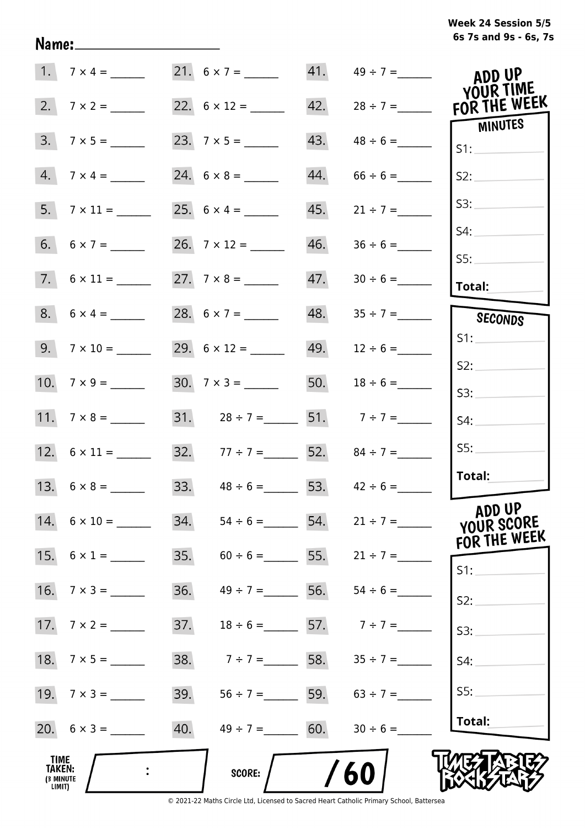## **6s 7s and 9s - 6s, 7s Week 24 Session 5/5**

| 1.                                           |                     |     |                                     |     | 41. $49 \div 7 =$               | ADD UP<br>YOUR TIME    |
|----------------------------------------------|---------------------|-----|-------------------------------------|-----|---------------------------------|------------------------|
| 2.                                           | $7 \times 2 =$      |     | 22. $6 \times 12 =$                 | 42. | $28 \div 7 =$                   | FOR THE WEEK           |
| 3.                                           |                     |     |                                     | 43. | $48 \div 6 =$                   | MINUTES<br>S1:         |
| 4.                                           | $7 \times 4 =$      |     |                                     | 44. | $66 \div 6 =$                   | S2:                    |
|                                              |                     |     | 25. $6 \times 4 =$                  | 45. | $21 \div 7 =$                   | S3:                    |
|                                              | 6. $6 \times 7 =$   |     |                                     | 46. |                                 | S4:<br>S5:             |
|                                              |                     |     |                                     | 47. |                                 | Total:                 |
|                                              | $8. 6 \times 4 =$   |     | 28. $6 \times 7 =$                  | 48. |                                 | SECONDS                |
|                                              |                     |     | 29. $6 \times 12 =$                 |     |                                 | S1:                    |
|                                              | 10. $7 \times 9 =$  |     | $30. \quad 7 \times 3 =$            | 50. | $18 \div 6 =$                   | S2:<br>S3:             |
|                                              |                     |     | 31. $28 \div 7 =$ 51. $7 \div 7 =$  |     |                                 | S4:                    |
|                                              | 12. $6 \times 11 =$ |     | 32. $77 \div 7 =$ 52. $84 \div 7 =$ |     |                                 | SS:                    |
|                                              | 13. $6 \times 8 =$  |     | 33. $48 \div 6 =$ 53. $42 \div 6 =$ |     |                                 | Total:                 |
|                                              | 14. $6 \times 10 =$ | 34. | $54 \div 6 =$ 54. $21 \div 7 =$     |     |                                 | ADD UP<br>YOUR SCORE   |
|                                              | 15. $6 \times 1 =$  | 35. |                                     |     | $60 \div 6 =$ 55. $21 \div 7 =$ | FOR THE WEEK<br>$S1$ : |
| 16.                                          | $7 \times 3 =$      | 36. | $49 \div 7 =$ 56. 54 ÷ 6 =          |     |                                 | S2:                    |
|                                              |                     | 37. | $18 \div 6 = 57.$ $7 \div 7 =$      |     |                                 | S3:                    |
| 18.                                          | $7 \times 5 =$      | 38. | $7 \div 7 =$ 58.                    |     | $35 \div 7 =$                   | S4:                    |
|                                              | 19. $7 \times 3 =$  | 39. | $56 \div 7 =$ 59. $63 \div 7 =$     |     |                                 | SS:                    |
|                                              | 20. $6 \times 3 =$  | 40. | $49 \div 7 = 60.$                   |     | $30 \div 6 =$                   | Total:                 |
| TIME<br><b>TAKEN:</b><br>(3 MINUTE<br>LIMIT) |                     |     | <b>SCORE:</b>                       |     | 60                              |                        |

Name: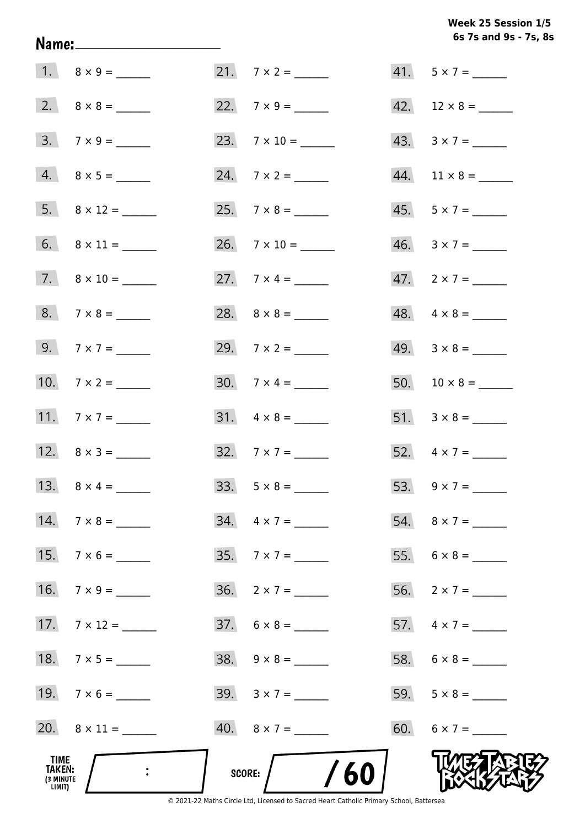Week 25 Session 1/5 6s 7s and 9s - 7s, 8s

| TIME<br>TAKEN:<br>(3 MINUTE<br>LIMIT) |                              | SCORE: $/$ /60              |                          |
|---------------------------------------|------------------------------|-----------------------------|--------------------------|
|                                       | 20. $8 \times 11 =$          | $40. 8 \times 7 =$          | 60. $6 \times 7 =$       |
|                                       | 19. $7 \times 6 =$           | 39. $3 \times 7 =$          |                          |
|                                       | 18. $7 \times 5 =$           | $38. \quad 9 \times 8 =$    |                          |
|                                       | 17. $7 \times 12 =$          | $37. 6 \times 8 =$          | 57. $4 \times 7 =$       |
|                                       | 16. $7 \times 9 =$           | $36. \quad 2 \times 7 = \_$ |                          |
|                                       | 15. $7 \times 6 =$           |                             |                          |
|                                       | 14. $7 \times 8 =$           | $34. \quad 4 \times 7 =$    |                          |
|                                       | 13. $8 \times 4 =$           | 33. $5 \times 8 =$          |                          |
|                                       |                              | 32. $7 \times 7 =$          | 52. $4 \times 7 =$       |
|                                       | 11. $7 \times 7 =$           | $31. \quad 4 \times 8 =$    |                          |
|                                       | 10. $7 \times 2 =$           | 30. $7 \times 4 =$          |                          |
|                                       | 9. $7 \times 7 =$            | 29. $7 \times 2 =$          | $49. \quad 3 \times 8 =$ |
|                                       |                              |                             | $48. \quad 4 \times 8 =$ |
|                                       | $7. \qquad 8 \times 10 = \_$ | 27. $7 \times 4 =$          | $47. 2 \times 7 =$       |
|                                       |                              |                             | $46. \quad 3 \times 7 =$ |
|                                       |                              |                             | $45. 5 \times 7 =$       |
|                                       |                              |                             |                          |
|                                       |                              |                             | 43. $3 \times 7 =$       |
|                                       |                              |                             |                          |
|                                       |                              |                             | $41. 5 \times 7 =$       |

Name: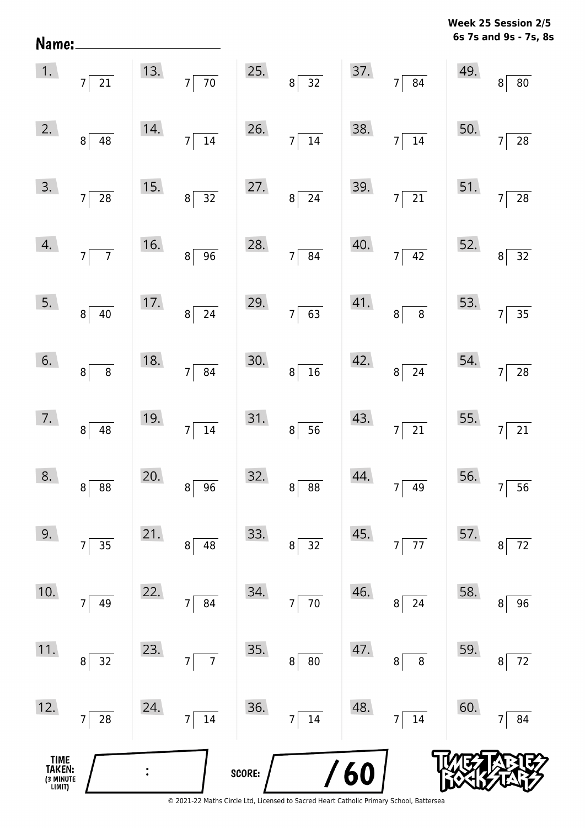**6s 7s and 9s - 7s, 8s Week 25 Session 2/5** 

|                                       | 1. $7\overline{21}$                |     |                                               |        | 13. $7\overline{70}$ 25. $8\overline{32}$ 37. $7\overline{84}$ |     |                          | 49. $\begin{array}{c} 8 \end{array}$ | $\overline{80}$                                    |
|---------------------------------------|------------------------------------|-----|-----------------------------------------------|--------|----------------------------------------------------------------|-----|--------------------------|--------------------------------------|----------------------------------------------------|
|                                       | 2. $8 \overline{)48}$              | 14. | $7\overline{)14}$                             |        | 26. $7\sqrt{14}$                                               |     | 38. $7\overline{)14}$    | 50.                                  | 7 <sup>1</sup><br>$\overline{28}$                  |
|                                       | $\overline{3.}$ $7 \overline{)28}$ | 15. | $8\overline{)32}$ 27. $8\overline{)24}$       |        |                                                                |     | 39. $7\overline{)21}$    |                                      | 51. $7\overline{)28}$                              |
| 4.                                    | $7\overline{7}$                    | 16. | $8 \overline{)96}$ 28. $7 \overline{)84}$     |        |                                                                |     | $40.7 \overline{)42}$    |                                      | $\begin{array}{ c c }\n 52. & 8 & 32\n\end{array}$ |
| 5.                                    | $8\sqrt{40}$                       |     | 17. $8 \overline{)24}$ 29. $7 \overline{)63}$ |        |                                                                |     | $41.$ $8 \overline{)8}$  |                                      | 53. $7\overline{)35}$                              |
| 6.                                    | $8\overline{8}$                    |     | 18. $7 \overline{)84}$                        | 30.    | $8\sqrt{16}$                                                   |     | $42.$ $8 \overline{)24}$ | 54. $7^{\lceil}$                     | $\boxed{28}$                                       |
| 7.                                    | $8\overline{)48}$                  | 19. | $7\overline{)14}$                             |        | $31.8 \overline{)56}$                                          |     | 43. $7\overline{)21}$    | 55. $7\overline{)}$                  | $\boxed{21}$                                       |
| 8.                                    | $\overline{88}$<br>$8^{\circ}$     | 20. | $8 \overline{)96}$ 32. $8 \overline{)88}$     |        |                                                                |     | $44.77$ $49$             |                                      | 56. $7 \overline{)56}$                             |
| 9.                                    | 35<br>7                            | 21. | 8<br>48                                       | 33.    | $\bf 8$<br>32                                                  | 45. | 77<br>7 <sup>1</sup>     | 57.                                  | 72<br>8                                            |
| 10.                                   | 49<br>7                            | 22. | 84<br>7                                       | 34.    | $70\,$<br>7                                                    | 46. | 24<br>8                  | 58.                                  | 96<br>8                                            |
| 11.                                   | 32<br>8                            | 23. | $\overline{7}$<br>$\overline{7}$              | 35.    | ${\bf 80}$<br>$\bf 8$                                          | 47. | 8<br>8                   | 59.                                  | $72\,$<br>8                                        |
| 12.                                   | 28<br>$\overline{7}$               | 24. | 14<br>$\overline{7}$                          | 36.    | 14<br>7                                                        | 48. | 14<br>$7\vert$           | 60.                                  | 84                                                 |
| TIME<br>TAKEN:<br>(3 MINUTE<br>LIMIT) |                                    |     |                                               | SCORE: |                                                                | 60  |                          |                                      |                                                    |

Name: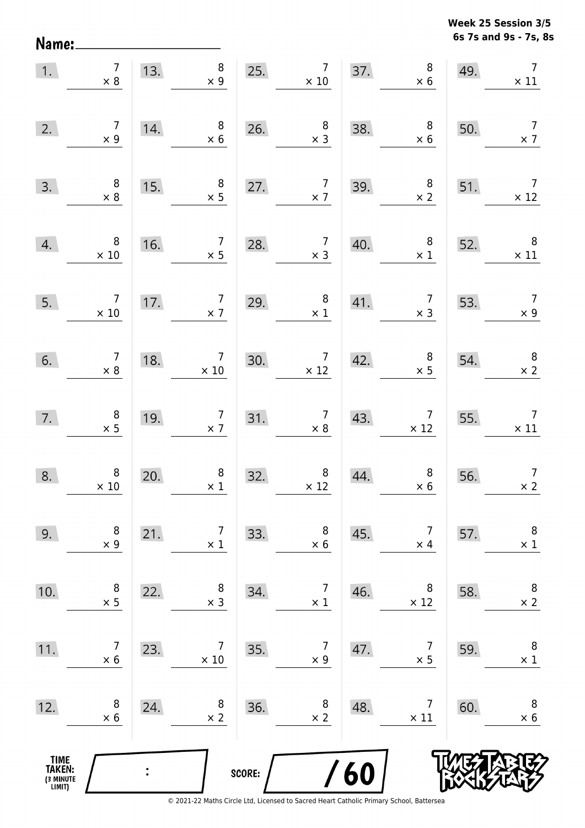**6s 7s and 9s - 7s, 8s Week 25 Session 3/5** 

| 1.                                            | $\overline{7}$<br>$\times 8$                    | 13. | $8\phantom{1}$<br>$\times$ 9                  |        | 25. $7 \times 10$                                                | 37. | $\begin{array}{c} 8 \\ \times 6 \end{array}$  | 49. | $\overline{7}$<br>$\times$ 11                 |
|-----------------------------------------------|-------------------------------------------------|-----|-----------------------------------------------|--------|------------------------------------------------------------------|-----|-----------------------------------------------|-----|-----------------------------------------------|
| 2.                                            | $\begin{array}{c} 7 \\ \times 9 \end{array}$    | 14. | $\begin{array}{c} 8 \\ \times 6 \end{array}$  | 26.    | $\begin{array}{c} 8 \\ \times 3 \end{array}$                     | 38. | $\begin{array}{c} 8 \\ \times 6 \end{array}$  | 50. | $\overline{7}$<br>$\times$ 7                  |
| 3.                                            | $\begin{array}{c} 8 \\ \times 8 \end{array}$    | 15. | $\begin{array}{c} 8 \\ \times 5 \end{array}$  | 27.    | $\begin{array}{c} 7 \\ \times 7 \end{array}$                     | 39. | $\begin{array}{c} 8 \\ \times 2 \end{array}$  | 51. | $\overline{7}$<br>$\times$ 12                 |
| 4.                                            | $\,8\,$<br>$\times$ 10                          | 16. | $\begin{array}{c} 7 \\ \times 5 \end{array}$  | 28.    | $\begin{array}{c} 7 \\ \times 3 \end{array}$                     | 40. | 8 <sup>8</sup><br>$\times$ 1                  | 52. | $\begin{array}{c} 8 \\ \times 11 \end{array}$ |
| 5.                                            | $\begin{array}{c} 7 \\ \times 10 \end{array}$   | 17. | $\begin{array}{c} 7 \\ \times 7 \end{array}$  | 29.    | $\begin{array}{c} 8 \\ \times 1 \end{array}$                     | 41. | $\begin{array}{c} 7 \\ \times 3 \end{array}$  | 53. | $\begin{array}{c} 7 \\ \times 9 \end{array}$  |
| 6.                                            | $\begin{array}{c} 7 \\ \times 8 \end{array}$    | 18. | $\begin{array}{c} 7 \\ \times 10 \end{array}$ | 30.    | $\begin{array}{c} 7 \\ \times 12 \end{array}$                    | 42. | $\begin{array}{c} 8 \\ \times 5 \end{array}$  | 54. | $\begin{array}{c} 8 \\ \times 2 \end{array}$  |
| 7.                                            | $\begin{array}{c} 8 \\ \times 5 \end{array}$    | 19. | $\begin{array}{c} 7 \\ \times 7 \end{array}$  |        | $\begin{array}{c} 7 \\ \times 8 \end{array}$<br>$\frac{31.1}{2}$ | 43. | $\begin{array}{c} 7 \\ \times 12 \end{array}$ | 55. | $\overline{7}$<br>$\times$ 11                 |
| 8.                                            | $\begin{array}{c} 8 \\ \times \ 10 \end{array}$ | 20. | $\begin{array}{c} 8 \\ \times 1 \end{array}$  | 32.    | $\begin{array}{c} 8 \\ \times 12 \end{array}$                    | 44. | $8$<br>$\times 6$                             | 56. | $\overline{7}$<br>$\times 2$                  |
| 9.                                            | 8<br>$\times$ 9                                 | 21. | $\overline{7}$<br>$\times$ 1                  | 33.    | 8<br>$\times$ 6                                                  | 45. | $\overline{7}$<br>$\times$ 4                  | 57. | $\, 8$<br>$\times$ 1                          |
| 10.                                           | 8<br>$\times$ 5                                 | 22. | 8<br>$\times$ 3                               | 34.    | $\overline{7}$<br>$\times$ 1                                     | 46. | 8<br>$\times$ 12                              | 58. | 8<br>$\times$ 2                               |
| 11.                                           | 7<br>$\times$ 6                                 | 23. | 7<br>$\times$ 10                              | 35.    | 7<br>$\times$ 9                                                  | 47. | 7<br>$\times$ 5                               | 59. | 8<br>$\times$ 1                               |
| 12.                                           | 8<br>$\times$ 6                                 | 24. | 8<br>$\times$ 2                               | 36.    | 8<br>$\times$ 2                                                  | 48. | 7<br>$\times$ 11                              | 60. | 8<br>$\times$ 6                               |
| <b>TIME<br/>TAKEN:</b><br>(3 MINUTE<br>LIMIT) |                                                 |     |                                               | SCORE: |                                                                  | 60  |                                               |     |                                               |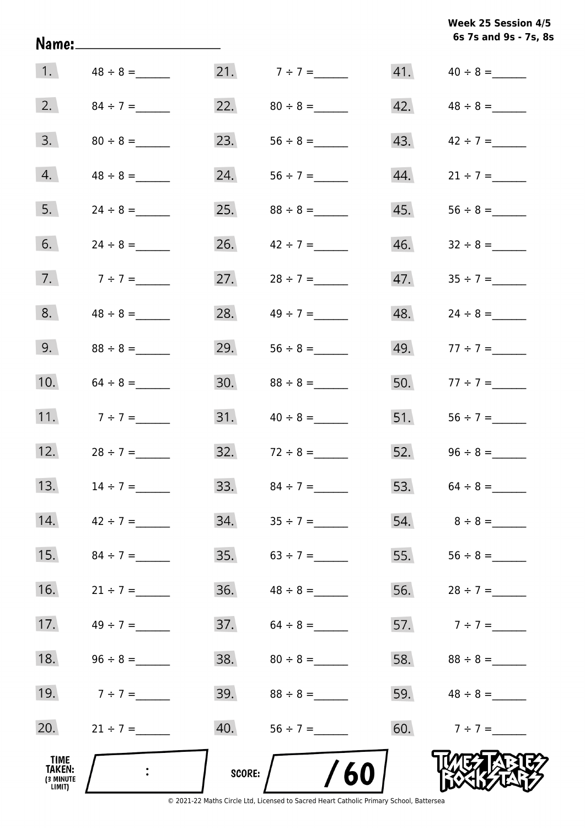**6s 7s and 9s - 7s, 8s Week 25 Session 4/5** 

|                                       |                 |     |                       |     | 6s 7s and 9s - 7s, 8 |
|---------------------------------------|-----------------|-----|-----------------------|-----|----------------------|
| 1.                                    | $48 \div 8 =$   |     | 21. $7 \div 7 =$      | 41. |                      |
| 2.                                    | $84 \div 7 =$   | 22. |                       | 42. |                      |
| 3.                                    |                 | 23. |                       | 43. | $42 \div 7 =$        |
| 4.                                    | $48 \div 8 =$   | 24. |                       | 44. | $21 \div 7 =$        |
| 5.                                    | $24 \div 8 =$   | 25. | $88 \div 8 =$         | 45. |                      |
| 6.                                    | $24 \div 8 =$   | 26. | $42 \div 7 =$         | 46. |                      |
| 7.                                    | $7 ÷ 7 =$       | 27. |                       | 47. |                      |
| 8.                                    |                 | 28. | $49 \div 7 =$         | 48. | $24 \div 8 =$        |
| 9.                                    | $88 \div 8 =$   | 29. |                       | 49. | $77 \div 7 =$        |
| 10.                                   |                 | 30. | $88 \div 8 =$         | 50. | $77 \div 7 =$        |
| 11.                                   | $7 \div 7 =$    | 31. | $40 \div 8 =$         | 51. |                      |
| 12.                                   |                 | 32. | $72 \div 8 =$         | 52. | $96 \div 8 =$        |
| 13.                                   | $14 \div 7 =$   | 33. | $84 \div 7 =$         |     | 53. $64 \div 8 =$    |
| 14.                                   | $42 \div 7 =$   | 34. | $35 \div 7 =$         |     | 54. $8 \div 8 =$     |
| 15.                                   | $84 \div 7 =$   |     |                       | 55. |                      |
| 16.                                   | $21 \div 7 =$   |     |                       |     | 56. $28 \div 7 =$    |
| 17.                                   | $49 \div 7 =$   |     |                       |     | 57. $7 \div 7 =$     |
| 18.                                   | $96 \div 8 =$   | 38. | $80 \div 8 =$         |     |                      |
| 19.                                   | $7 ÷ 7 =$       |     |                       |     | 59. $48 \div 8 =$    |
| 20.                                   | $21 \div 7 =$   |     | 40. $56 \div 7 =$     |     | 60. $7 \div 7 =$     |
| TIME<br>TAKEN:<br>(3 MINUTE<br>LIMIT) | $\sim 10^{-11}$ |     | /60<br>SCORE: $\bigg$ |     |                      |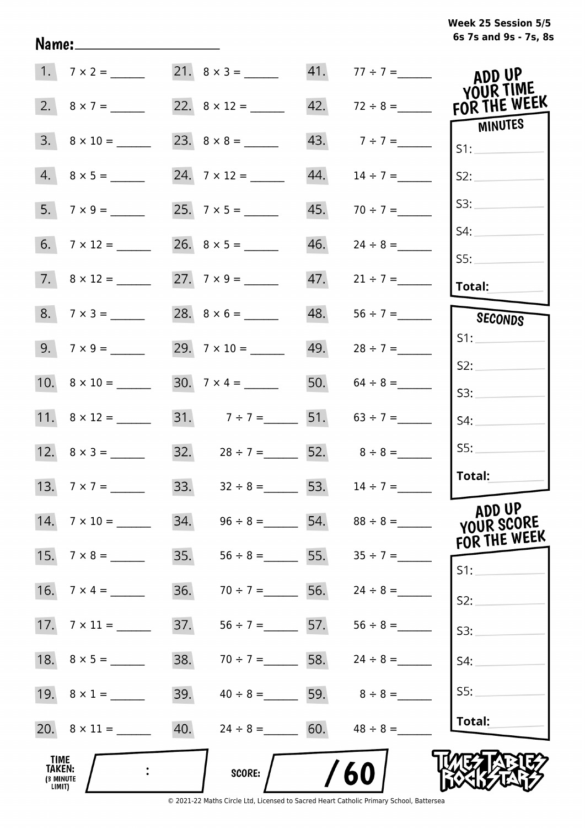## **6s 7s and 9s - 7s, 8s Week 25 Session 5/5**

|                                       | $1. 7 \times 2 =$        |     | $21. 8 \times 3 =$                  |     | 41. $77 \div 7 =$               | ADD UP<br><b>YOUR TIME</b>           |
|---------------------------------------|--------------------------|-----|-------------------------------------|-----|---------------------------------|--------------------------------------|
|                                       | 2. $8 \times 7 =$        |     |                                     | 42. | $72 \div 8 =$                   | FOR THE WEEK                         |
|                                       | $3. \quad 8 \times 10 =$ |     |                                     | 43. | $7 ÷ 7 =$                       | MINUTES<br>S1:                       |
|                                       | $4. 8 \times 5 =$        |     |                                     | 44. | $14 \div 7 =$                   | S2:                                  |
|                                       |                          |     |                                     | 45. | $70 \div 7 =$                   | S3:                                  |
|                                       |                          |     |                                     | 46. | $24 \div 8 =$                   | S4:<br>SS:                           |
|                                       | $7. \ 8 \times 12 =$     |     |                                     | 47. | $21 \div 7 =$                   | Total:                               |
|                                       | $8.7 \times 3 =$         |     |                                     | 48. | $56 \div 7 =$                   | SECONDS                              |
|                                       | $9. 7 \times 9 =$        |     |                                     |     | 49. $28 \div 7 =$               | S1:                                  |
|                                       |                          |     |                                     |     | 50. $64 \div 8 =$               | S2:                                  |
|                                       | 11. $8 \times 12 =$      |     | 31. $7 \div 7 =$ 51. $63 \div 7 =$  |     |                                 | S3:<br>S4:                           |
|                                       |                          |     | 32. $28 \div 7 =$ 52. $8 \div 8 =$  |     |                                 | SS:                                  |
|                                       | 13. $7 \times 7 =$       |     | 33. $32 \div 8 = 53.$ $14 \div 7 =$ |     |                                 | Total:                               |
| 14.                                   | $7 \times 10 =$          | 34. |                                     |     | $96 \div 8 =$ 54. $88 \div 8 =$ | ADD UP<br>YOUR SCORE<br>FOR THE WEEK |
| 15.                                   | $7 \times 8 =$           | 35. |                                     |     | $56 \div 8 =$ 55. $35 \div 7 =$ | S1:                                  |
| 16.                                   | $7 \times 4 =$           | 36. |                                     |     | $70 \div 7 = 56.$ $24 \div 8 =$ | S2:                                  |
|                                       |                          | 37. |                                     |     | $56 \div 7 =$ 57. $56 \div 8 =$ | S3:                                  |
|                                       |                          | 38. | $70 \div 7 =$ 58.                   |     | $24 \div 8 =$                   | S4:                                  |
|                                       | 19. $8 \times 1 =$       | 39. |                                     |     | $40 \div 8 =$ 59. $8 \div 8 =$  | S5:                                  |
|                                       |                          | 40. | $24 \div 8 =$ 60. $48 \div 8 =$     |     |                                 | Total:                               |
| TIME<br>TAKEN:<br>(3 MINUTE<br>LIMIT) |                          |     | SCORE:                              |     | 60                              |                                      |

Name: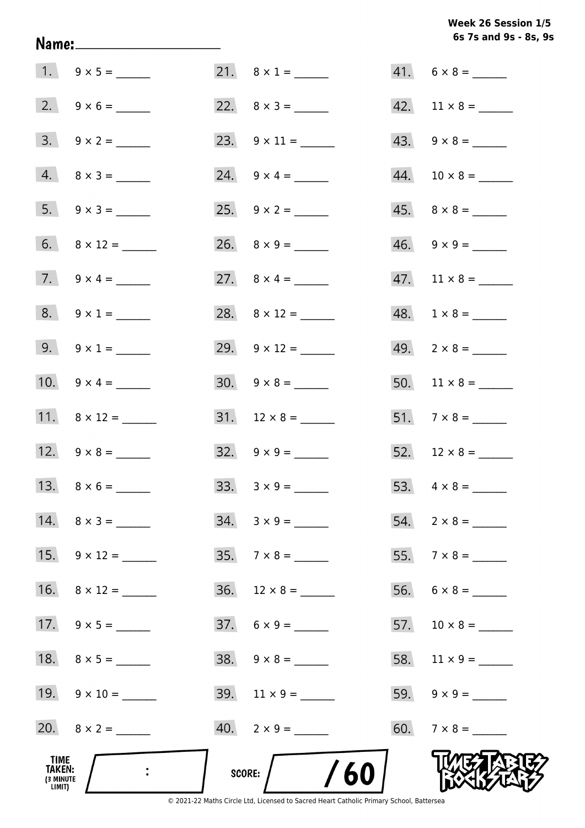## **6s 7s and 9s - 8s, 9s Week 26 Session 1/5**

|                                              | Name:_________________________ |                          | 6s 7s and 9s - 8s, 9     |
|----------------------------------------------|--------------------------------|--------------------------|--------------------------|
|                                              |                                | 21. $8 \times 1 =$       | $41. 6 \times 8 =$       |
|                                              | 2. $9 \times 6 =$              | 22. $8 \times 3 =$       |                          |
|                                              | $3. 9 \times 2 =$              | 23. $9 \times 11 =$      | $43. \quad 9 \times 8 =$ |
|                                              | $4. 8 \times 3 =$              | 24. $9 \times 4 =$       |                          |
|                                              | 5. $9 \times 3 =$              |                          | $45. \quad 8 \times 8 =$ |
|                                              |                                |                          | $46. \quad 9 \times 9 =$ |
|                                              | 7. $9 \times 4 =$              | 27. $8 \times 4 =$       |                          |
|                                              | $8. 9 \times 1 =$              |                          | $48. 1 \times 8 =$       |
|                                              | 9. $9 \times 1 =$              | 29. $9 \times 12 =$      | $49. \quad 2 \times 8 =$ |
|                                              | 10. $9 \times 4 =$             |                          |                          |
|                                              | 11. $8 \times 12 =$            |                          | 51. $7 \times 8 =$       |
|                                              | 12. $9 \times 8 =$             | $32. \quad 9 \times 9 =$ |                          |
|                                              |                                | $33. \quad 3 \times 9 =$ |                          |
|                                              | $14. \quad 8 \times 3 =$       | $34. 3 \times 9 =$       |                          |
|                                              |                                | $35.7 \times 8 =$        |                          |
|                                              | 16. $8 \times 12 =$            | $36.$ 12 × 8 = ______    |                          |
|                                              | 17. $9 \times 5 =$             | $37.6 \times 9 =$        |                          |
|                                              |                                |                          |                          |
|                                              |                                |                          |                          |
|                                              |                                |                          |                          |
| TIME<br><b>TAKEN:</b><br>(3 MINUTE<br>LIMIT) |                                | /60<br>score:            |                          |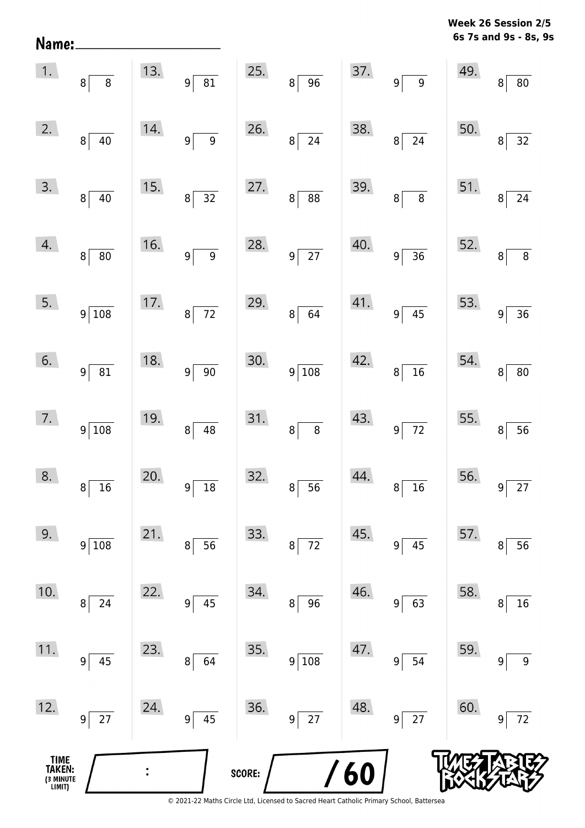**6s 7s and 9s - 8s, 9s Week 26 Session 2/5** 

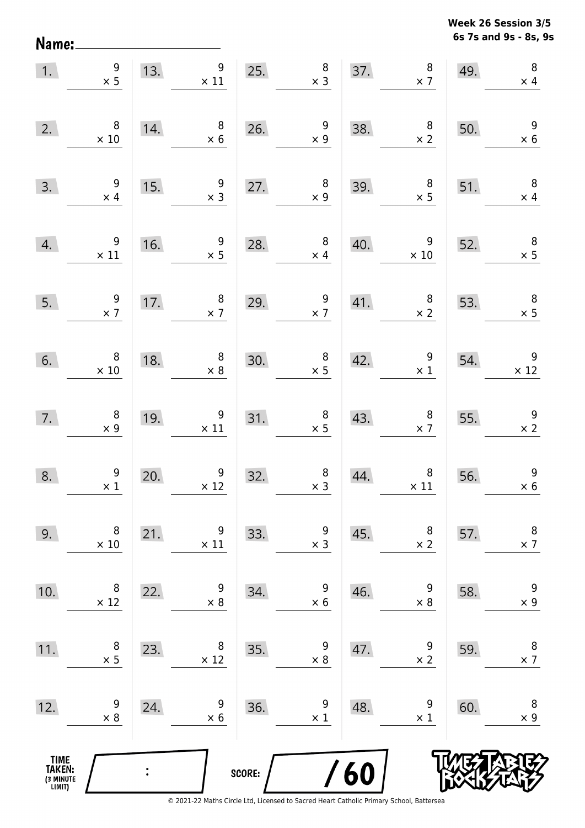**6s 7s and 9s - 8s, 9s Week 26 Session 3/5** 

| 1.                                    | $\begin{array}{c} 9 \\ \times 5 \end{array}$    |     | 13. $\begin{array}{c} 9 \\ \times 11 \end{array}$                                         |                                        | $\begin{array}{c c} 8 \\ \times 3 \end{array}$<br>25. |     | 37. $8 \times 7$                                 | 49. | $\, 8$<br>$\times$ 4                          |
|---------------------------------------|-------------------------------------------------|-----|-------------------------------------------------------------------------------------------|----------------------------------------|-------------------------------------------------------|-----|--------------------------------------------------|-----|-----------------------------------------------|
| 2.                                    | $\,8\,$<br>$\times 10$                          | 14. | $\begin{array}{c} 8 \\ \times 6 \end{array}$                                              |                                        | 26. $\begin{array}{r} 9 \\ \times 9 \end{array}$      | 38. | $\begin{array}{c} 8 \\ \times 2 \end{array}$     | 50. | $\begin{array}{r} 9 \\ \times 6 \end{array}$  |
| 3.                                    | $\boldsymbol{9}$<br>$\times$ 4                  | 15. | $\begin{array}{c} 9 \\ \times 3 \end{array}$                                              |                                        | 27. $\begin{array}{c} 8 \\ \times 9 \end{array}$      | 39. | $\begin{array}{r} 8 \\ \times 5 \end{array}$     | 51. | $\overline{\phantom{a}}$<br>$\times$ 4        |
| 4.                                    | $\begin{array}{c} 9 \\ \times 11 \end{array}$   | 16. | $\begin{array}{c} 9 \\ x 5 \end{array}$                                                   | 28.                                    | $\overline{\phantom{0}}$ 8<br>$\times$ 4              | 40. | $\overline{9}$<br>$\times$ 10                    | 52. | $\begin{array}{c} 8 \\ \times 5 \end{array}$  |
| 5.                                    | $\frac{9}{x}$                                   |     | $\begin{array}{c} 8 \\ \times 7 \end{array}$<br>$\begin{array}{c}\n17. \\ \end{array}$    | 29.                                    | $\frac{9}{x7}$                                        |     | 41. $\begin{array}{c} 8 \\ \times 2 \end{array}$ | 53. | $\begin{array}{c} 8 \\ \times 5 \end{array}$  |
| 6.                                    | $\begin{array}{c} 8 \\ \times \ 10 \end{array}$ |     | $\begin{array}{r} 8 \\ \times 8 \end{array}$<br>$\begin{array}{c}\n 18. \\  -\end{array}$ | $\begin{array}{c}\n30. \\ \end{array}$ | $\begin{array}{c} 8 \\ \times 5 \end{array}$          |     | 42. $\begin{array}{c} 9 \\ \times 1 \end{array}$ | 54. | $\begin{array}{c} 9 \\ \times 12 \end{array}$ |
| 7.                                    | $\begin{array}{c} 8 \\ \times 9 \end{array}$    | 19. | $\begin{array}{r} 9 \\ \times 11 \end{array}$                                             | 31.                                    | $\begin{array}{c} 8 \\ \times 5 \end{array}$          |     | 43. $8 \times 7$                                 | 55. | $\frac{9}{x}$                                 |
| 8.                                    | $\begin{array}{c} 9 \\ \times 1 \end{array}$    | 20. | $\begin{array}{c} 9 \\ \times 12 \end{array}$                                             | 32.                                    | $\begin{array}{c} 8 \\ \times 3 \end{array}$          | 44. | $\begin{array}{c} 8 \\ \times \ 11 \end{array}$  | 56. | $\begin{array}{c} 9 \\ \times 6 \end{array}$  |
| 9.                                    | 8<br>$\times$ 10                                | 21. | 9<br>$\times$ 11                                                                          | 33.                                    | 9<br>$\times$ 3                                       | 45. | 8<br>$\times$ 2                                  | 57. | 8<br>$\times$ 7                               |
| 10.                                   | 8<br>$\times$ 12                                | 22. | 9<br>$\times 8$                                                                           | 34.                                    | 9<br>$\times$ 6                                       | 46. | 9<br>$\times 8$                                  | 58. | $\boldsymbol{9}$<br>$\times$ 9                |
| 11.                                   | 8<br>$\times$ 5                                 | 23. | 8<br>$\times$ 12                                                                          | 35.                                    | 9<br>$\times 8$                                       | 47. | 9<br>$\times$ 2                                  | 59. | $\,8\,$<br>$\times$ 7                         |
| 12.                                   | 9<br>$\times 8$                                 | 24. | 9<br>$\times$ 6                                                                           | 36.                                    | 9<br>$\times$ 1                                       | 48. | 9<br>$\times$ 1                                  | 60. | 8<br>$\times$ 9                               |
| TIME<br>TAKEN:<br>(3 MINUTE<br>LIMIT) |                                                 |     |                                                                                           | SCORE:                                 |                                                       | 60  |                                                  |     |                                               |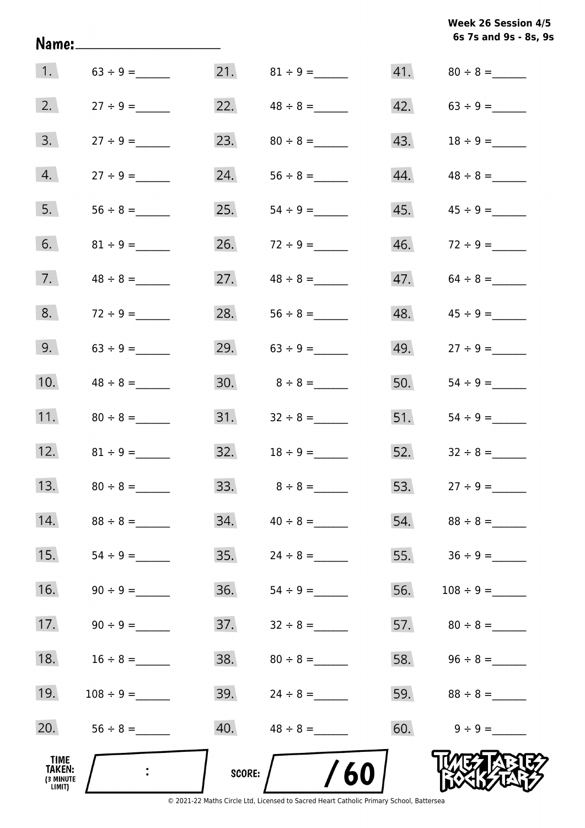|                                       |                  |        |                   |     | 6s 7s and 9s - 8s, 9 |
|---------------------------------------|------------------|--------|-------------------|-----|----------------------|
|                                       | 1. $63 \div 9 =$ |        | 21. $81 \div 9 =$ |     |                      |
| 2.                                    | $27 \div 9 =$    | 22.    | $48 \div 8 =$     | 42. |                      |
| 3.                                    |                  | 23.    |                   | 43. |                      |
| 4.                                    |                  | 24.    |                   | 44. |                      |
| 5.                                    |                  | 25.    |                   | 45. |                      |
| 6.                                    | $81 \div 9 =$    | 26.    | $72 \div 9 =$     | 46. | $72 \div 9 =$        |
| 7.                                    | $48 \div 8 =$    | 27.    | $48 \div 8 =$     | 47. | $64 \div 8 =$        |
| 8.                                    |                  | 28.    |                   | 48. | $45 \div 9 =$        |
| 9.                                    | $63 \div 9 =$    |        | 29. $63 \div 9 =$ | 49. | $27 \div 9 =$        |
| 10.                                   |                  |        |                   | 50. |                      |
| 11.                                   | $80 \div 8 =$    |        |                   | 51. |                      |
| 12.                                   | $81 \div 9 =$    |        |                   | 52. | $32 \div 8 =$        |
| 13.                                   | $80 \div 8 =$    |        | $33.8 + 8 =$      |     | 53. $27 \div 9 =$    |
| 14.                                   | $88 \div 8 =$    | 34.    | $40 \div 8 =$     |     |                      |
| 15.                                   |                  | 35.    | $24 \div 8 =$     | 55. |                      |
| 16.                                   |                  | 36.    |                   | 56. |                      |
| 17.                                   |                  | 37.    | $32 \div 8 =$     |     |                      |
| 18.                                   | $16 \div 8 =$    | 38.    |                   |     | 58. $96 \div 8 =$    |
| 19.                                   | $108 \div 9 =$   | 39.    | $24 \div 8 =$     |     | 59. $88 \div 8 =$    |
| 20.                                   | $56 \div 8 =$    | 40.    | $48 \div 8 =$     | 60. | $9 \div 9 =$         |
| TIME<br>TAKEN:<br>(3 MINUTE<br>LIMIT) |                  | SCORE: | /60               |     |                      |

© 2021-22 Maths Circle Ltd, Licensed to Sacred Heart Catholic Primary School, Battersea

**6s 7s and 9s - 8s, 9s Week 26 Session 4/5**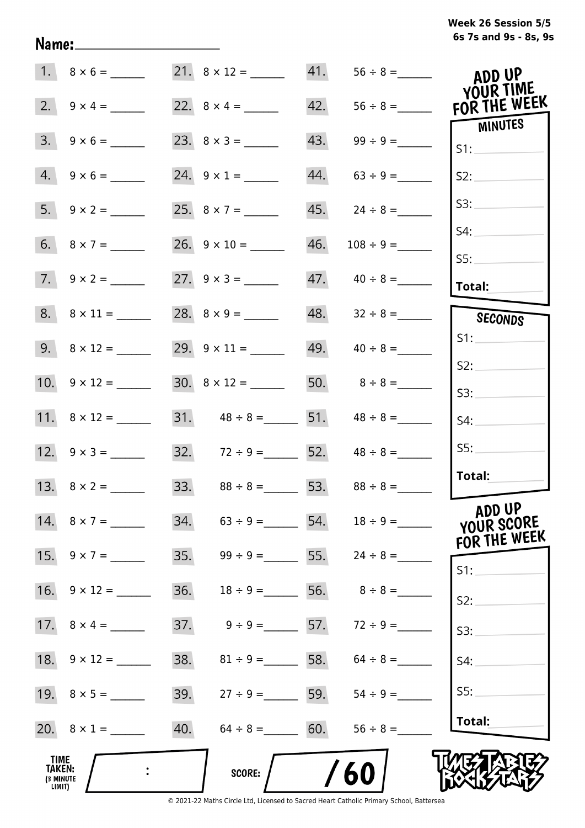# **6s 7s and 9s - 8s, 9s Week 26 Session 5/5**

|                                                     | $1. 8 \times 6 =$   |                                     |     |                                 | ADD UP<br>YOUR TIME        |
|-----------------------------------------------------|---------------------|-------------------------------------|-----|---------------------------------|----------------------------|
| 2.                                                  | $9 \times 4 =$      |                                     | 42. |                                 | $56 \div 8 =$ FOR THE WEEK |
| 3.                                                  | $9 \times 6 =$      |                                     | 43. |                                 | MINUTES<br>S1:             |
|                                                     | $4. 9 \times 6 =$   | 24. $9 \times 1 =$                  | 44. | $63 \div 9 =$                   | S2:                        |
|                                                     | 5. $9 \times 2 =$   | 25. $8 \times 7 =$                  | 45. | $24 \div 8 =$                   | S3:                        |
|                                                     |                     |                                     | 46. |                                 | S4:                        |
|                                                     | $7. 9 \times 2 =$   |                                     |     |                                 | SS:<br>Total:              |
|                                                     |                     |                                     |     |                                 | SECONDS                    |
|                                                     | 9. $8 \times 12 =$  |                                     |     | 49. $40 \div 8 =$               | S1:                        |
|                                                     | 10. $9 \times 12 =$ | $30. \quad 8 \times 12 =$           |     | 50. $8 \div 8 =$                | S2:<br>S3:                 |
|                                                     | 11. $8 \times 12 =$ | 31. $48 \div 8 =$ 51. $48 \div 8 =$ |     |                                 | S4:                        |
|                                                     | 12. $9 \times 3 =$  | 32. $72 \div 9 =$ 52. $48 \div 8 =$ |     |                                 | SS:                        |
|                                                     | 13. $8 \times 2 =$  | 33. $88 \div 8 =$ 53. $88 \div 8 =$ |     |                                 | Total:                     |
|                                                     | 14. $8 \times 7 =$  | 34.<br>$63 \div 9 =$                |     | 54. $18 \div 9 =$               | ADD UP<br>YOUR SCORE       |
|                                                     | 15. $9 \times 7 =$  | 35.                                 |     | $99 \div 9 =$ 55. $24 \div 8 =$ | FOR THE WEEK<br>$S1$ :     |
|                                                     |                     | 36.<br>$18 \div 9 =$                |     | 56. $8 \div 8 =$                | S2:                        |
|                                                     |                     | 37.<br>$9 \div 9 = 57.$             |     | $72 \div 9 =$                   | S3:                        |
|                                                     |                     | 38.                                 |     | $81 \div 9 =$ 58. $64 \div 8 =$ | S4:                        |
|                                                     |                     | 39.                                 |     | $27 \div 9 =$ 59. $54 \div 9 =$ | S5:                        |
|                                                     | 20. $8 \times 1 =$  | 40.<br>$64 \div 8 =$                | 60. | $56 \div 8 =$                   | Total:                     |
| <b>TIME</b><br><b>TAKEN:</b><br>(3 MINUTE<br>LIMIT) |                     | <b>SCORE:</b>                       |     | 60                              |                            |

Name: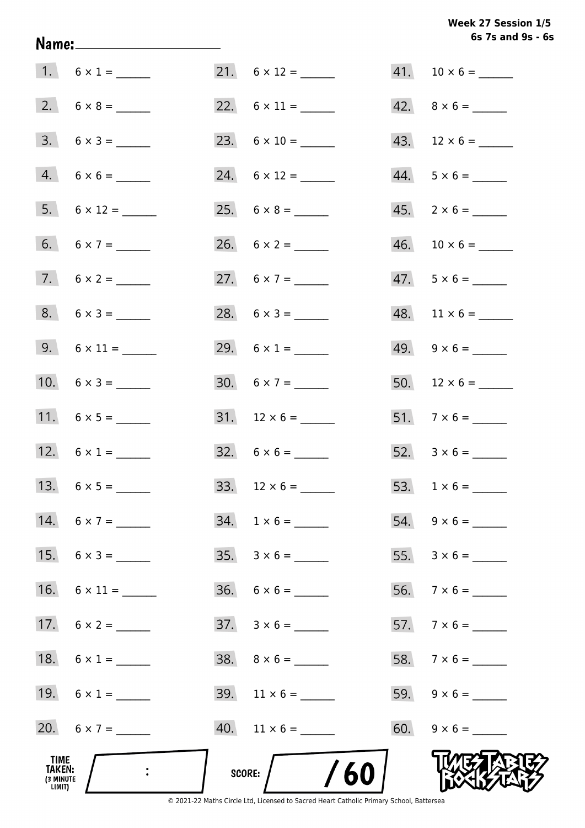## Week 27 Session 1/5 6s 7s and 9s - 6s

| TIME<br>TAKEN:<br>(3 MINUTE<br>LIMIT) | $\mathbb{R}^2$      | /60<br>SCORE:                |                          |
|---------------------------------------|---------------------|------------------------------|--------------------------|
|                                       | 20. $6 \times 7 =$  | $40.$ 11 $\times$ 6 = ______ |                          |
|                                       | 19. $6 \times 1 =$  | $39.$ 11 $\times$ 6 = ______ |                          |
|                                       | 18. $6 \times 1 =$  |                              |                          |
|                                       | 17. $6 \times 2 =$  |                              | 57. $7 \times 6 =$       |
|                                       | 16. $6 \times 11 =$ | $36. 6 \times 6 =$           | 56. $7 \times 6 =$       |
|                                       | 15. $6 \times 3 =$  |                              |                          |
|                                       | 14. $6 \times 7 =$  | $34. 1 \times 6 =$           | $54. 9 \times 6 =$       |
|                                       |                     |                              |                          |
|                                       | 12. $6 \times 1 =$  | $32. 6 \times 6 =$           |                          |
|                                       |                     |                              | 51. $7 \times 6 =$       |
|                                       | 10. $6 \times 3 =$  | 30. $6 \times 7 =$           |                          |
|                                       |                     | 29. $6 \times 1 =$           | $49. \quad 9 \times 6 =$ |
|                                       | $8. 6 \times 3 =$   |                              | $48.$ 11 × 6 = ______    |
|                                       |                     | 27. $6 \times 7 =$           | $47.5 \times 6 =$        |
|                                       | 6. $6 \times 7 =$   |                              |                          |
|                                       | $5. 6 \times 12 =$  |                              | $45. \quad 2 \times 6 =$ |
|                                       | $4. 6 \times 6 =$   | 24. $6 \times 12 =$          | $44. 5 \times 6 =$       |
|                                       | $3. 6 \times 3 =$   |                              | $43.$ 12 × 6 = _______   |
|                                       |                     |                              | $42. \quad 8 \times 6 =$ |
|                                       | 1. $6 \times 1 =$   | $21. 6 \times 12 =$          |                          |

Name: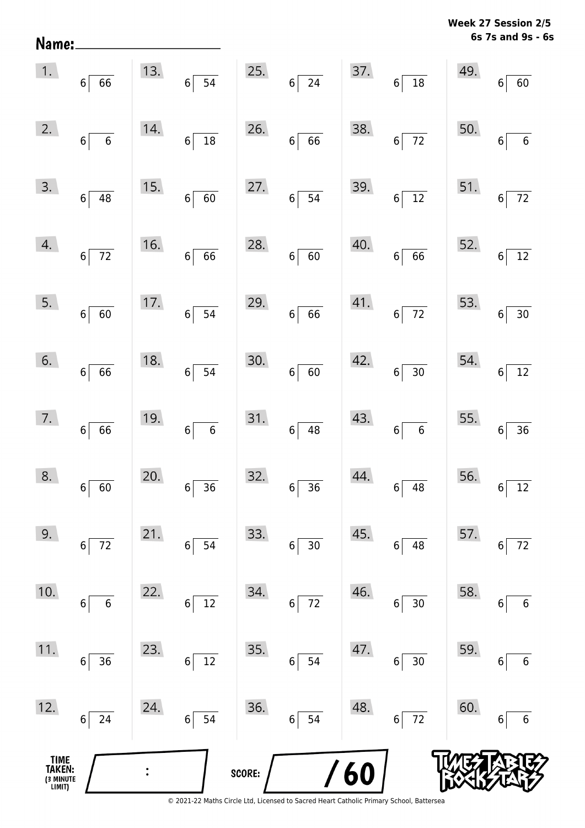| Name:                                 |                                        |                |                             |        |                          |            |                             | <b>VYCCN</b> | נים ווטוככ<br>6s 7s and 9s - 6s |
|---------------------------------------|----------------------------------------|----------------|-----------------------------|--------|--------------------------|------------|-----------------------------|--------------|---------------------------------|
| 1.                                    | $6\vert$<br>66                         | 13.            | $6\overline{)}\ 54$         | 25.    | $6\overline{24}$         | 37.        | $6\overline{)18}$           | 49.          | 6 <sup>1</sup><br>60            |
| 2.                                    | $\overline{\phantom{0}}$ 6<br>$6\vert$ | 14.            | $\frac{1}{18}$<br>$6\vert$  | 26.    | $6 \overline{6}$         | 38.        | $6\overline{72}$            | 50.          | $\,$ 6 $\,$<br>6 <sup>1</sup>   |
| 3.                                    | $6\vert$<br>48                         | 15.            | $6\vert$<br>60              | 27.    | $6 \mid 54$              | 39.        | $6\sqrt{12}$                | 51.          | $72\,$<br>$6 \overline{6}$      |
| 4.                                    | $6\vert$<br>$\overline{72}$            | 16.            | $-66$<br>$6\vert$           | 28.    | $6 \mid 60$              | 40.        | $6 \overline{6}$            | 52.          | $12\,$<br>6                     |
| 5.                                    | $6\vert$<br>60                         | 17.            | $\overline{54}$<br>$6\vert$ | 29.    | $6 \overline{6}$         | 41.        | $6\overline{72}$            | 53.          | 30<br>$6 \overline{6}$          |
| 6.                                    | 66<br>$6\vert$                         | 18.            | 54<br>$6\vert$              | 30.    | 60<br>6                  | 42.        | $\overline{30}$<br>$6\vert$ | 54.          | $12\,$<br>6 <sup>1</sup>        |
| 7.                                    | $6\vert$<br>66                         | 19.            | $\overline{6}$<br>$6\vert$  | 31.    | $6 \mid 48$              | 43.        | $6 \mid 6$                  | 55.          | 36<br>$6 \overline{6}$          |
| 8.                                    | 60<br>6                                | 20.            | 36<br>6                     | 32.    | 36<br>6                  | 44.        | 48<br>6                     | 56.          | 12<br>6                         |
| 9.                                    | $72\,$<br>$\boldsymbol{6}$             | 21.            | 54<br>6                     | 33.    | $30$<br>$6 \overline{6}$ | 45.        | 48<br>$\,6\,$               | 57.          | $72\,$<br>6                     |
| 10.                                   | $\boldsymbol{6}$<br>6                  | 22.            | $12\,$<br>6                 | 34.    | $72\,$<br>$\,6\,$        | 46.        | $30\,$<br>$\,6\,$           | 58.          | $\,$ 6 $\,$<br>6                |
| 11.                                   | 36<br>6                                | 23.            | $12\,$<br>6                 | 35.    | 54<br>6                  | 47.        | 30 <sub>o</sub><br>6        | 59.          | $\boldsymbol{6}$<br>6           |
| 12.                                   | 24<br>$\boldsymbol{6}$                 | 24.            | 54<br>$\bf 6$               | 36.    | 54<br>$6\vert$           | 48.        | $\overline{72}$<br>$6\vert$ | 60.          | $\,$ 6 $\,$<br>6                |
| TIME<br>TAKEN:<br>(3 MINUTE<br>LIMIT) |                                        | $\ddot{\cdot}$ |                             | SCORE: |                          | <b>/60</b> |                             |              |                                 |

**Week 27 Session 2/5**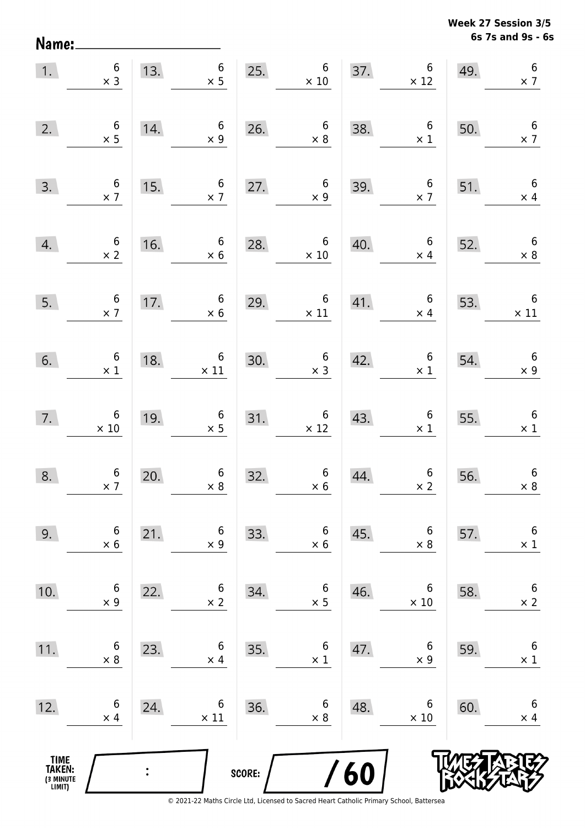**6s 7s and 9s - 6s Week 27 Session 3/5** 

| 1.                                    | $\begin{array}{c} 6 \\ \times 3 \end{array}$ | 13.            | $6\overline{6}$<br>$\times$ 5                     | 25.    | $\begin{array}{c} 6 \\ \times 10 \end{array}$ |     | 37. $6 \times 12$                            | 49.                                     | $\boldsymbol{6}$<br>$\times$ 7 |
|---------------------------------------|----------------------------------------------|----------------|---------------------------------------------------|--------|-----------------------------------------------|-----|----------------------------------------------|-----------------------------------------|--------------------------------|
| 2.                                    | $\begin{array}{c} 6 \\ \times 5 \end{array}$ | 14.            | $6\overline{6}$<br>$\times$ 9                     |        | 26. $6 \times 8$                              | 38. | $\sqrt{6}$<br>$\times$ 1                     | 50.                                     | $6\overline{6}$<br>$\times$ 7  |
| 3.                                    | $\begin{array}{c} 6 \\ \times 7 \end{array}$ | 15.            | $6\overline{6}$<br>$\times$ 7                     |        | 27. $6 \times 9$                              | 39. | $\begin{array}{c} 6 \\ \times 7 \end{array}$ | 51.                                     | $6\overline{6}$<br>$\times$ 4  |
| 4.                                    | $\begin{array}{c} 6 \\ \times 2 \end{array}$ | 16.            | $6\overline{6}$<br>$\times$ 6                     | 28.    | $\boldsymbol{6}$<br>$\times$ 10               | 40. | $6\overline{6}$<br>$\times$ 4                | 52.                                     | $6\overline{6}$<br>$\times$ 8  |
| 5.                                    | $\begin{array}{c} 6 \\ \times 7 \end{array}$ | 17.            | $6\overline{6}$<br>$\times$ 6                     |        | 29. $6 \times 11$<br>$\times$ 11              |     | 41.6<br>$\times$ 4                           | 53.                                     | $\overline{6}$<br>$\times$ 11  |
| 6.                                    | $\begin{array}{c} 6 \\ \times 1 \end{array}$ | 18.            | $\begin{array}{c}\n 6 \\  \times 11\n\end{array}$ |        | 30. $6 \times 3$                              |     | 42.6<br>$\times$ 1                           | $\begin{array}{c} 54. \\ - \end{array}$ | $6\overline{6}$<br>$\times$ 9  |
| 7.                                    | $6 \times 10$                                | 19.            | $\begin{array}{c} 6 \\ \times 5 \end{array}$      | 31.    | $\begin{array}{c} 6 \\ \times 12 \end{array}$ | 43. | $\begin{array}{c} 6 \\ \times 1 \end{array}$ | 55.                                     | $6\overline{6}$<br>$\times$ 1  |
| 8.                                    | $\begin{array}{c} 6 \\ \times 7 \end{array}$ | 20.            | $\begin{array}{c} 6 \\ \times 8 \end{array}$      | 32.    | $6 \times 6$                                  | 44. | $\begin{array}{c} 6 \\ \times 2 \end{array}$ | 56.                                     | $6\phantom{a}$<br>$\times 8$   |
| 9.                                    | 6<br>$\times 6$                              | 21.            | 6<br>$\times$ 9                                   | 33.    | 6<br>$\times 6$                               | 45. | 6<br>$\times 8$                              | 57.                                     | $\boldsymbol{6}$<br>$\times$ 1 |
| 10.                                   | 6<br>$\times$ 9                              | 22.            | 6<br>$\times$ 2                                   | 34.    | 6<br>$\times$ 5                               | 46. | 6<br>$\times 10$                             | 58.                                     | $\boldsymbol{6}$<br>$\times$ 2 |
| 11.                                   | 6<br>$\times 8$                              | 23.            | 6<br>$\times$ 4                                   | 35.    | 6<br>$\times$ 1                               | 47. | 6<br>$\times$ 9                              | 59.                                     | $\,6$<br>$\times$ 1            |
| 12.                                   | 6<br>$\times$ 4                              | 24.            | 6<br>$\times$ 11                                  | 36.    | 6<br>$\times$ 8                               | 48. | 6<br>$\times 10$                             | 60.                                     | $\boldsymbol{6}$<br>$\times$ 4 |
| TIME<br>TAKEN:<br>(3 MINUTE<br>LIMIT) |                                              | $\ddot{\cdot}$ |                                                   | SCORE: |                                               | 60  |                                              |                                         |                                |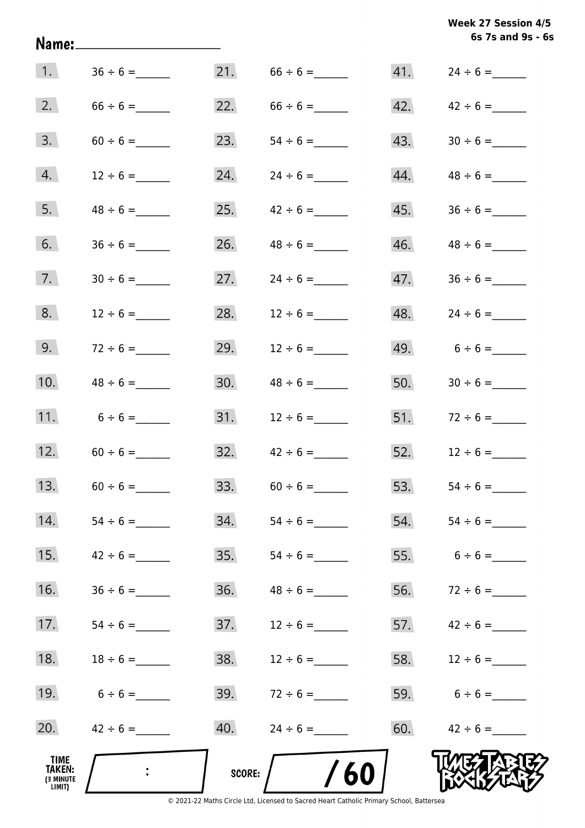|                                              | Name:______________________ |        |                                  |     | 6s 7s and 9s - 6s   |
|----------------------------------------------|-----------------------------|--------|----------------------------------|-----|---------------------|
| 1.                                           |                             | 21.    |                                  |     |                     |
| 2.                                           | $66 \div 6 =$               | 22.    | $66 \div 6 =$                    |     | 42. $42 \div 6 =$   |
| 3.                                           | $60 \div 6 =$               | 23.    | $54 \div 6 =$                    | 43. |                     |
| 4.                                           | $12 \div 6 =$               |        |                                  | 44. |                     |
| 5.                                           |                             | 25.    | $42 \div 6 =$                    | 45. |                     |
| 6.                                           | $36 \div 6 =$               | 26.    | $48 \div 6 =$                    | 46. | $48 \div 6 =$       |
| 7.                                           | $30 \div 6 =$               | 27.    | $24 \div 6 =$                    | 47. | $36 \div 6 =$       |
| 8.                                           | $12 \div 6 =$               | 28.    | $12 \div 6 =$                    | 48. |                     |
| 9.                                           | $72 \div 6 =$               | 29.    | $12 \div 6 =$                    |     | 49. $6 \div 6 =$    |
| 10.                                          | $48 \div 6 =$               | 30.    | $48 \div 6 =$                    | 50. |                     |
| 11.                                          | $6 \div 6 =$                |        |                                  |     | 51. $72 \div 6 =$   |
| 12.                                          | $60 \div 6 =$               |        | $32. \hspace{1.5cm} 42 \div 6 =$ | 52. | $12 \div 6 =$       |
| 13.                                          | $60 \div 6 =$               | 33.    | $60 \div 6 =$                    | 53. | $54 \div 6 =$       |
| 14.                                          | $54 \div 6 =$               | 34.    | $54 \div 6 =$                    |     | $54.$ $54 \div 6 =$ |
| 15.                                          | $42 \div 6 =$               | 35.    |                                  |     | 55. $6 \div 6 =$    |
| 16.                                          |                             | 36.    |                                  | 56. | $72 \div 6 =$       |
| 17.                                          | $54 \div 6 =$               | 37.    | $12 \div 6 =$                    |     | 57. $42 \div 6 =$   |
| 18.                                          | $18 \div 6 =$               | 38.    | $12 \div 6 =$                    |     | 58. $12 \div 6 =$   |
| 19.                                          | $6 \div 6 =$                | 39.    | $72 \div 6 =$                    |     | 59. $6 \div 6 =$    |
| 20.                                          | $42 \div 6 =$               | 40.    | $24 \div 6 =$                    | 60. | $42 \div 6 =$       |
| TIME<br><b>TAKEN:</b><br>(3 MINUTE<br>LIMIT) |                             | SCORE: | /60                              |     |                     |

**Week 27 Session 4/5**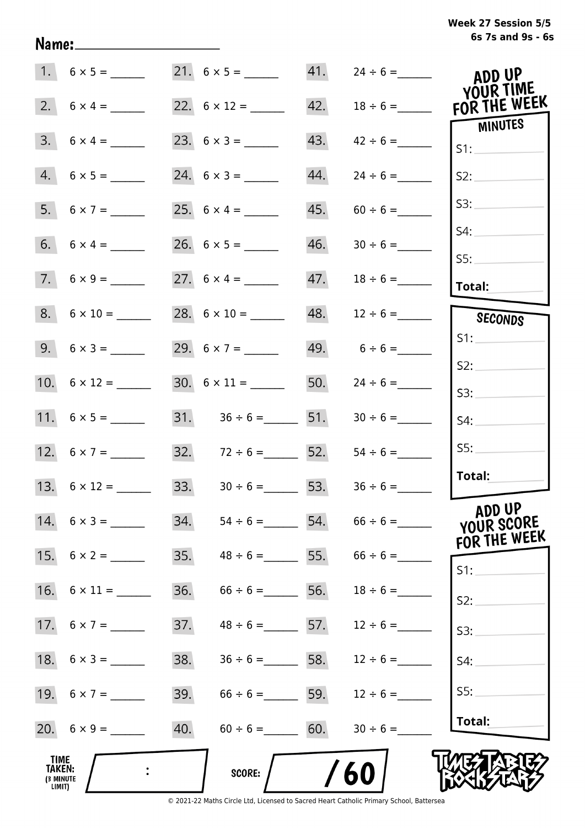| Week 27 Session 5/5 |                   |  |  |
|---------------------|-------------------|--|--|
|                     | 6s 7s and 9s - 6s |  |  |

|                                              |     |                              |     | $41.$ $24 \div 6 =$                 | ADD UP<br>YOUR TIME                  |
|----------------------------------------------|-----|------------------------------|-----|-------------------------------------|--------------------------------------|
| 2. $6 \times 4 =$                            |     | 22. $6 \times 12 =$ ________ | 42. | $18 \div 6 =$                       | FOR THE WEEK                         |
| $3. 6 \times 4 =$                            |     |                              | 43. | $42 \div 6 =$                       | <b>MINUTES</b><br>S1:                |
| $4. 6 \times 5 =$                            |     |                              | 44. | $24 \div 6 =$                       | S2:                                  |
| 5. $6 \times 7 =$                            |     |                              | 45. | $60 \div 6 =$                       | S3:                                  |
|                                              |     |                              | 46. |                                     | S4:                                  |
| $7.6 \times 9 =$                             |     |                              | 47. |                                     | S5:<br>Total:                        |
| $8. 6 \times 10 =$                           |     |                              | 48. | $12 \div 6 =$                       | SECONDS                              |
|                                              |     | 29. $6 \times 7 =$           |     | $49. 6 \div 6 =$                    | S1:                                  |
| 10. $6 \times 12 =$                          |     |                              |     | 50. $24 \div 6 =$                   | S2:                                  |
|                                              |     | 31. $36 \div 6 =$ 51.        |     |                                     | S3:<br>S4:                           |
| 12. $6 \times 7 =$                           |     | 32. $72 \div 6 =$ 52.        |     | $54 \div 6 =$                       | SS:                                  |
| 13. $6 \times 12 =$                          |     | 33. $30 \div 6 =$ 53.        |     | $36 \div 6 =$                       | Total:                               |
| $14. \quad 6 \times 3 =$                     |     |                              |     | 34. $54 \div 6 =$ 54. $66 \div 6 =$ | ADD UP<br>YOUR SCORE<br>FOR THE WEEK |
| 15. $6 \times 2 =$                           | 35. |                              |     | $48 \div 6 =$ 55. $66 \div 6 =$     | S1:                                  |
|                                              | 36. | $66 \div 6 =$ 56.            |     | $18 \div 6 =$                       | S2:                                  |
| 17. $6 \times 7 =$                           | 37. | $48 \div 6 =$ 57.            |     | $12 \div 6 =$                       | S3:                                  |
|                                              | 38. | $36 \div 6 =$ 58.            |     | $12 \div 6 =$                       | S4:                                  |
|                                              | 39. | $66 \div 6 =$ 59.            |     | $12 \div 6 =$                       | S5:                                  |
|                                              | 40. | $60 \div 6 = 60.$            |     | $30 \div 6 =$                       | Total:                               |
| <b>TIME</b><br>TAKEN:<br>(3 MINUTE<br>LIMIT) |     | <b>SCORE:</b>                |     | /60                                 |                                      |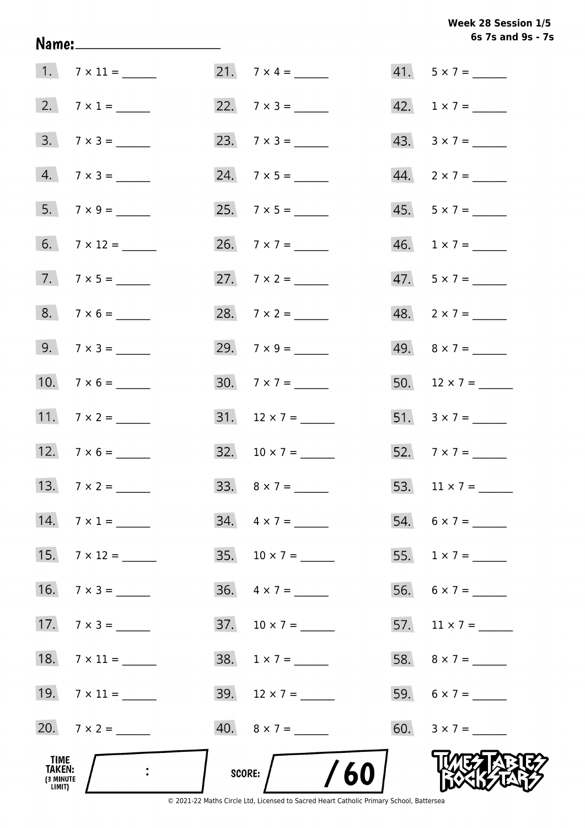Week 28 Session 1/5 6s 7s and 9s - 7s

|                                                                                            |                          | 6s 7s and 9s - 7            |
|--------------------------------------------------------------------------------------------|--------------------------|-----------------------------|
|                                                                                            | 21. $7 \times 4 =$       | $41. 5 \times 7 =$          |
| 2. $7 \times 1 =$                                                                          | 22. $7 \times 3 =$       | 42. $1 \times 7 =$          |
| $3.7 \times 3 =$                                                                           |                          | $43. \quad 3 \times 7 = \_$ |
| $4. 7 \times 3 =$                                                                          |                          | $44. \quad 2 \times 7 = \_$ |
|                                                                                            |                          | $45. 5 \times 7 =$          |
| $6. 7 \times 12 =$                                                                         | 26. $7 \times 7 =$       | $46. 1 \times 7 =$          |
| $7.7 \times 5 =$                                                                           | 27. $7 \times 2 =$       | $47.5 \times 7 =$           |
| $8. 7 \times 6 =$                                                                          | 28. $7 \times 2 =$       | $48. 2 \times 7 =$          |
| 9. $7 \times 3 =$                                                                          | 29. $7 \times 9 =$       |                             |
| 10. $7 \times 6 =$                                                                         |                          | 50. $12 \times 7 =$         |
| 11. $7 \times 2 =$                                                                         | $31. 12 \times 7 =$      | 51. $3 \times 7 =$          |
| 12. $7 \times 6 =$                                                                         | $32. 10 \times 7 =$      |                             |
| 13. $7 \times 2 =$                                                                         |                          |                             |
| 14. $7 \times 1 =$                                                                         | $34. \quad 4 \times 7 =$ | 54. $6 \times 7 =$          |
| $15.7 \times 12 =$                                                                         | 35. $10 \times 7 =$      | 55. $1 \times 7 =$          |
| $16. \quad 7 \times 3 =$                                                                   |                          |                             |
| 17. $7 \times 3 =$                                                                         |                          | 57. $11 \times 7 =$         |
| 18. $7 \times 11 =$                                                                        |                          | 58. $8 \times 7 =$          |
| 19. $7 \times 11 =$                                                                        | 39. $12 \times 7 =$      |                             |
| 20. $7 \times 2 =$                                                                         |                          | 60. $3 \times 7 =$          |
| TIME<br>$\mathbb{R}^2$ . The set of $\mathbb{R}^2$<br><b>TAKEN:</b><br>(3 MINUTE<br>LIMIT) | SCORE: $/$ /60           |                             |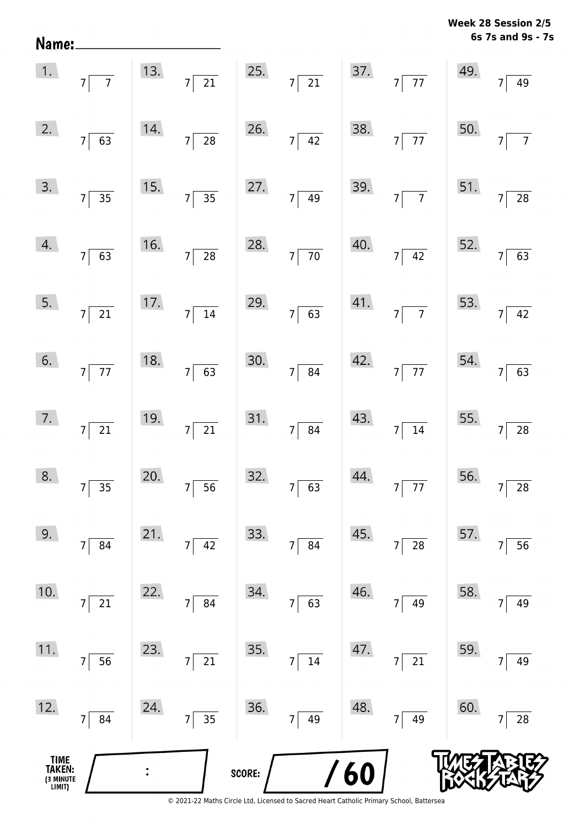**6s 7s and 9s - 7s Week 28 Session 2/5** 

|                                       |                                                                          |     |                                               |        |                                               |     | 1. $7\overline{7}$ 13. $7\overline{21}$ 25. $7\overline{21}$ 37. $7\overline{77}$ 49. $7\overline{49}$ |     |                       |
|---------------------------------------|--------------------------------------------------------------------------|-----|-----------------------------------------------|--------|-----------------------------------------------|-----|--------------------------------------------------------------------------------------------------------|-----|-----------------------|
|                                       | 2. $7\overline{63}$                                                      |     | 14. $7 \overline{)28}$ 26. $7 \overline{)42}$ |        |                                               |     | 38. $7\overline{77}$                                                                                   |     | 50. $7\overline{7}$   |
|                                       | $\overline{3.}$ $7 \overline{)35}$                                       |     | 15. $7 \overline{)35}$ 27. $7 \overline{)49}$ |        |                                               |     | 39. $7 \overline{7}$ 51. $7 \overline{28}$                                                             |     |                       |
|                                       | $\begin{array}{ c c }\n\hline\n4. & \quad 7 & 63 \\ \hline\n\end{array}$ |     |                                               |        | 16. $7 \overline{)28}$ 28. $7 \overline{)70}$ |     | 40. $7 \overline{)42}$ 52. $7 \overline{)63}$                                                          |     |                       |
|                                       | $\begin{array}{ c c }\n5. & 7 & 21\n\end{array}$                         |     | 17. $7 \overline{)14}$ 29. $7 \overline{)63}$ |        |                                               |     | 41. $7 \overline{7}$ 53. $7 \overline{42}$                                                             |     |                       |
|                                       | $\begin{array}{ c c }\n\hline\n6. & 7 & 77\n\end{array}$                 |     | 18. $7 \overline{63}$ 30. $7 \overline{84}$   |        |                                               |     | 42. $7 \overline{77}$ 54. $7 \overline{63}$                                                            |     |                       |
|                                       | $\overline{7}$ . $\overline{7}$ $\overline{21}$                          |     | 19. $7 \overline{)21}$ 31. $7 \overline{)84}$ |        |                                               |     | $43.7 \overline{)14}$                                                                                  |     | 55. $7\overline{)28}$ |
|                                       | $8.7 \overline{)35}$                                                     |     | 20. $7 \overline{)56}$ 32. $7 \overline{)63}$ |        |                                               |     | 44. $7\overline{77}$ 56. $7\overline{28}$                                                              |     |                       |
| 9.                                    | 7<br>84                                                                  | 21. | 42<br>7                                       | 33.    | 84<br>7                                       | 45. | 28<br>7                                                                                                | 57. | 56<br>7               |
| 10.                                   | 21<br>7                                                                  | 22. | 84<br>7                                       | 34.    | 63<br>7                                       | 46. | 49<br>7                                                                                                | 58. | 49<br>7               |
| 11.                                   | 56<br>$\overline{7}$                                                     | 23. | 21<br>7                                       | 35.    | $14\,$<br>7                                   | 47. | 21<br>7                                                                                                | 59. | 49<br>7               |
| 12.                                   | 84<br>$\overline{7}$                                                     | 24. | $\overline{35}$<br>7                          | 36.    | 49<br>7                                       | 48. | 49<br>7 <sup>1</sup>                                                                                   | 60. | 28                    |
| TIME<br>TAKEN:<br>(3 MINUTE<br>LIMIT) |                                                                          |     |                                               | SCORE: |                                               | 60  |                                                                                                        |     |                       |

Name: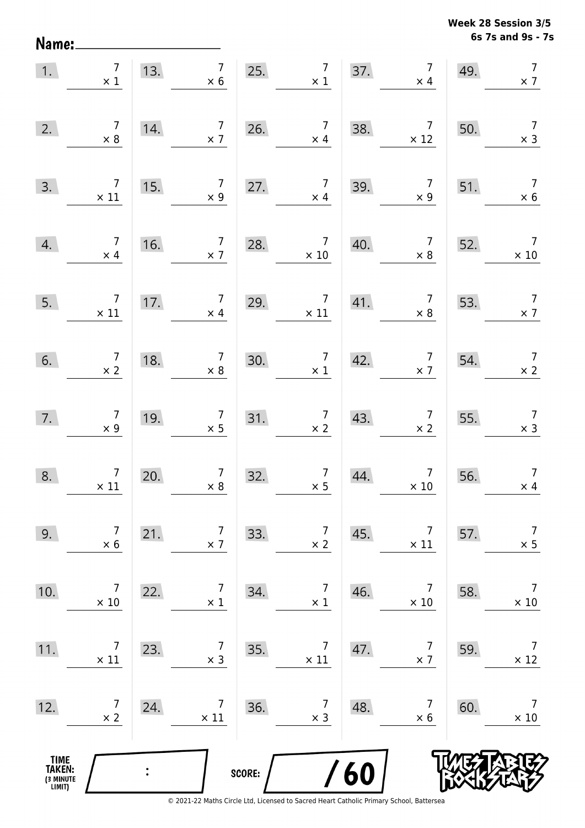**6s 7s and 9s - 7s Week 28 Session 3/5** 

| 1.                                            | $\begin{array}{c} 7 \\ \times 1 \end{array}$ | 13. | $\begin{array}{c c c}\n7 & 25. & 7 \\ \times 6 & \times 1\n\end{array}$ |        |                                                           | 37. | $\frac{1}{\times 4}$                         | 49. | $\overline{7}$<br>$\times$ 7                 |
|-----------------------------------------------|----------------------------------------------|-----|-------------------------------------------------------------------------|--------|-----------------------------------------------------------|-----|----------------------------------------------|-----|----------------------------------------------|
| 2.                                            | $\begin{array}{c} 7 \\ \times 8 \end{array}$ | 14. | $\begin{array}{c} 7 \\ \times 7 \end{array}$                            | 26.    | $\begin{array}{c} 7 \\ \times 4 \end{array}$              | 38. | $\overline{7}$<br>$\times$ 12                | 50. | $\overline{7}$<br>$\times$ 3                 |
| 3.                                            | $\overline{7}$<br>$\times$ 11                | 15. | $\overline{7}$<br>$\times$ 9                                            | 27.    | $\begin{array}{c} 7 \\ \times 4 \end{array}$              | 39. | $\overline{7}$<br>$\times$ 9                 | 51. | $\overline{7}$<br>$\times$ 6                 |
| 4.                                            | $\begin{array}{c} 7 \\ \times 4 \end{array}$ | 16. | $\overline{7}$<br>$\times$ 7                                            | 28.    | $\overline{7}$<br>$\times$ 10                             | 40. | $\overline{7}$<br>$\times$ 8                 | 52. | $\overline{7}$<br>$\times$ 10                |
| 5.                                            | $\overline{7}$<br>$\times$ 11                | 17. | $\begin{array}{c} 7 \\ \times 4 \end{array}$                            | 29.    | $\overline{7}$<br>$\times$ 11                             | 41. | $\overline{7}$<br>$\times$ 8                 | 53. | $\overline{7}$<br>$\times$ 7                 |
| 6.                                            | $\begin{array}{c} 7 \\ \times 2 \end{array}$ | 18. | $\begin{array}{c} 7 \\ \times 8 \end{array}$                            | 30.    | $\begin{array}{c} 7 \\ \times 1 \end{array}$              | 42. | $\begin{array}{c} 7 \\ \times 7 \end{array}$ | 54. | $\begin{array}{c} 7 \\ \times 2 \end{array}$ |
| 7.                                            | $\begin{array}{c} 7 \\ \times 9 \end{array}$ | 19. | $\begin{array}{c} 7 \\ \times 5 \end{array}$                            |        | $\begin{array}{c c}\n 31. & 7 \\  \times 2\n \end{array}$ | 43. | $\begin{array}{c} 7 \\ \times 2 \end{array}$ | 55. | $\begin{array}{c} 7 \\ \times 3 \end{array}$ |
| 8.                                            | $\begin{array}{c}7\\ \times 11\end{array}$   | 20. | $\begin{array}{c} 7 \\ \times 8 \end{array}$                            | 32.    | $\begin{array}{c} 7 \\ \times 5 \end{array}$              | 44. | $\begin{array}{c}7\\ \times 10\end{array}$   | 56. | $\overline{7}$<br>$\times$ 4                 |
| 9.                                            | 7<br>$\times$ 6                              | 21. | 7<br>$\times$ 7                                                         | 33.    | 7<br>$\times$ 2                                           | 45. | 7<br>$\times$ 11                             | 57. | $\overline{7}$<br>$\times$ 5                 |
| 10.                                           | $\overline{7}$<br>$\times$ 10                | 22. | 7<br>$\times$ 1                                                         | 34.    | $\overline{7}$<br>$\times$ 1                              | 46. | 7<br>$\times$ 10                             | 58. | $\overline{7}$<br>$\times$ 10                |
| 11.                                           | $\overline{7}$<br>$\times$ 11                | 23. | 7<br>$\times$ 3                                                         | 35.    | $\overline{7}$<br>$\times$ 11                             | 47. | $\overline{7}$<br>$\times$ 7                 | 59. | $\overline{7}$<br>$\times$ 12                |
| 12.                                           | $\overline{7}$<br>$\times$ 2                 | 24. | $\overline{7}$<br>$\times$ 11                                           | 36.    | $\overline{7}$<br>$\times$ 3                              | 48. | 7<br>$\times 6$                              | 60. | $\overline{7}$<br>$\times$ 10                |
| <b>TIME<br/>TAKEN:</b><br>(3 MINUTE<br>LIMIT) |                                              |     |                                                                         | SCORE: |                                                           | 60  |                                              |     |                                              |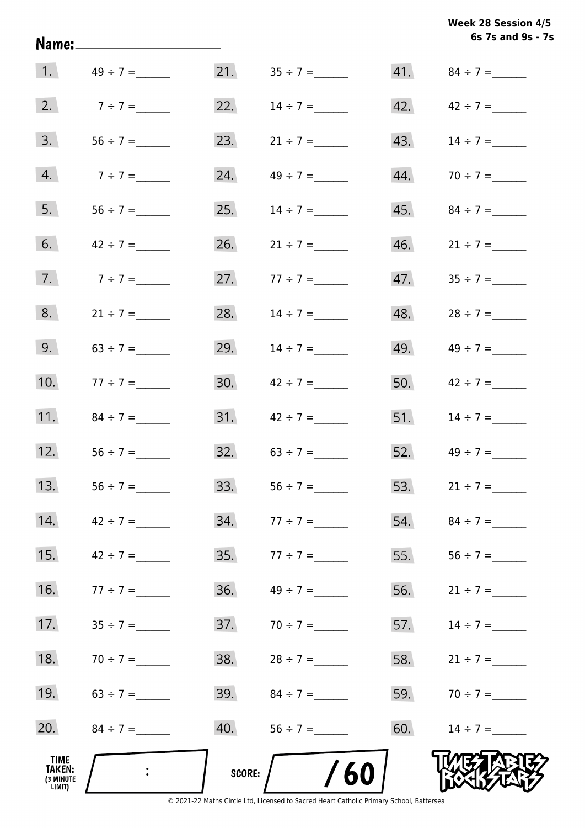**6s 7s and 9s - 7s Week 28 Session 4/5** 

| TIME<br>TAKEN:<br>(3 MINUTE<br>LIMIT) |               | <b>SCORE:</b> | /60               |     |                   |
|---------------------------------------|---------------|---------------|-------------------|-----|-------------------|
| 20.                                   |               | 40.           |                   | 60. | $14 \div 7 =$     |
| 19.                                   | $63 \div 7 =$ | 39.           |                   | 59. | $70 \div 7 =$     |
| 18.                                   | $70 \div 7 =$ | 38.           | $28 \div 7 =$     | 58. | $21 \div 7 =$     |
| 17.                                   | $35 \div 7 =$ | 37.           | $70 \div 7 =$     | 57. | $14 \div 7 =$     |
| 16.                                   | $77 \div 7 =$ | 36.           |                   | 56. | $21 \div 7 =$     |
| 15.                                   |               | 35.           | $77 \div 7 =$     | 55. | $56 \div 7 =$     |
| 14.                                   | $42 \div 7 =$ | 34.           | $77 \div 7 =$     | 54. |                   |
| 13.                                   |               |               | 33. $56 \div 7 =$ |     | 53. $21 \div 7 =$ |
| 12.                                   |               |               | 32. $63 \div 7 =$ |     | 52. $49 \div 7 =$ |
| 11.                                   | $84 \div 7 =$ | 31.           | $42 \div 7 =$     | 51. | $14 \div 7 =$     |
| 10.                                   | $77 \div 7 =$ | 30.           | $42 \div 7 =$     | 50. | $42 \div 7 =$     |
| 9.                                    |               | 29.           | $14 \div 7 =$     | 49. |                   |
| 8.                                    | $21 \div 7 =$ | 28.           | $14 \div 7 =$     | 48. | $28 \div 7 =$     |
| 7.                                    | $7 ÷ 7 =$     | 27.           | $77 \div 7 =$     | 47. |                   |
| 6.                                    | $42 \div 7 =$ | 26.           | $21 \div 7 =$     | 46. | $21 \div 7 =$     |
| 5.                                    |               | 25.           | $14 \div 7 =$     | 45. | $84 \div 7 =$     |
| 4.                                    | $7 \div 7 =$  | 24.           |                   | 44. | $70 \div 7 =$     |
| 3.                                    |               | 23.           | $21 \div 7 =$     | 43. | $14 \div 7 =$     |
| 2.                                    | $7 \div 7 =$  | 22.           | $14 \div 7 =$     |     | 42. $42 \div 7 =$ |
| 1.                                    | $49 \div 7 =$ | 21.           |                   |     |                   |

Name: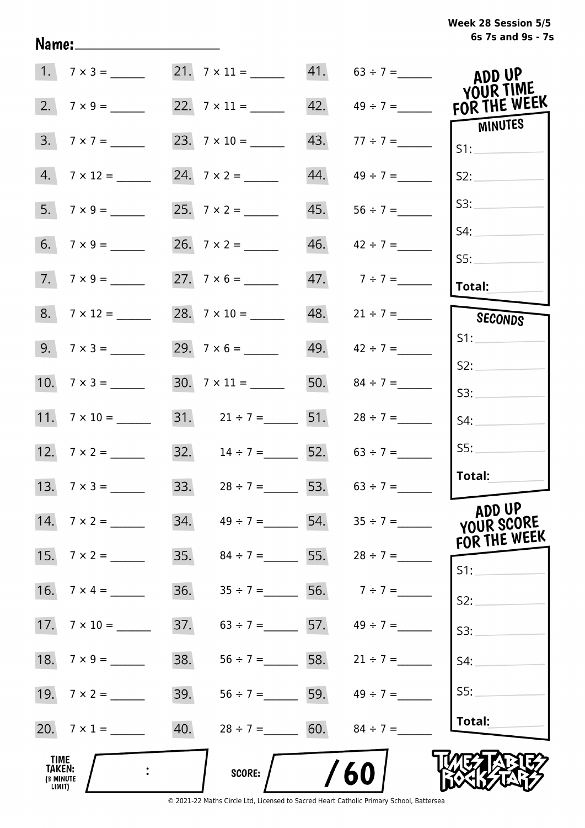## **6s 7s and 9s - 7s Week 28 Session 5/5**

|                                      | $1. 7 \times 3 =$   |     |                                     |     | 21. $7 \times 11 =$ 41. $63 \div 7 =$ | ADD UP<br>YOUR TIME  |
|--------------------------------------|---------------------|-----|-------------------------------------|-----|---------------------------------------|----------------------|
| 2.                                   |                     |     |                                     |     | $42. \qquad 49 \div 7 =$              | FOR THE WEEK         |
| 3.                                   | $7 \times 7 =$      |     |                                     | 43. |                                       | MINUTES<br>S1:       |
|                                      | $4. 7 \times 12 =$  |     |                                     | 44. | $49 \div 7 =$                         | S2:                  |
|                                      |                     |     |                                     | 45. |                                       | S3:                  |
|                                      |                     |     |                                     |     | $46.$ $42 \div 7 =$                   | S4:                  |
|                                      | $7.7 \times 9 =$    |     |                                     |     | 47. $7 \div 7 =$                      | SS:<br>Total:        |
|                                      | 8. $7 \times 12 =$  |     | 28. $7 \times 10 =$                 |     | 48. $21 \div 7 =$                     | <b>SECONDS</b>       |
|                                      |                     |     |                                     |     | 49. $42 \div 7 =$                     | S1:                  |
|                                      |                     |     |                                     |     | 50. $84 \div 7 =$                     | S2:<br>S3:           |
|                                      | 11. $7 \times 10 =$ |     | 31. $21 \div 7 =$ 51.               |     | $28 \div 7 =$                         | S4:                  |
|                                      | 12. $7 \times 2 =$  |     | 32. $14 \div 7 =$ 52. $63 \div 7 =$ |     |                                       | SS:                  |
|                                      | 13. $7 \times 3 =$  |     | 33. $28 \div 7 =$ 53. $63 \div 7 =$ |     |                                       | Total:               |
|                                      | 14. $7 \times 2 =$  |     |                                     |     | 34. $49 \div 7 =$ 54. $35 \div 7 =$   | ADD UP<br>YOUR SCORE |
|                                      | 15. $7 \times 2 =$  | 35. |                                     |     | $84 \div 7 =$ 55. $28 \div 7 =$       | FOR THE WEEK         |
|                                      |                     | 36. | $35 \div 7 =$ 56. $7 \div 7 =$      |     |                                       | $S1$ :               |
|                                      |                     | 37. |                                     |     | $63 \div 7 =$ 57. $49 \div 7 =$       | S2:<br>S3:           |
|                                      |                     | 38. |                                     |     | $56 \div 7 =$ 58. $21 \div 7 =$       | S4:                  |
|                                      |                     | 39. |                                     |     | $56 \div 7 =$ 59. $49 \div 7 =$       | SS:                  |
|                                      | 20. $7 \times 1 =$  | 40. | $28 \div 7 =$ 60.                   |     | $84 \div 7 =$                         | Total:               |
| TIME                                 |                     |     |                                     |     |                                       |                      |
| <b>TAKEN:</b><br>(3 MINUTE<br>LIMIT) |                     |     | <b>SCORE:</b>                       |     | 60                                    |                      |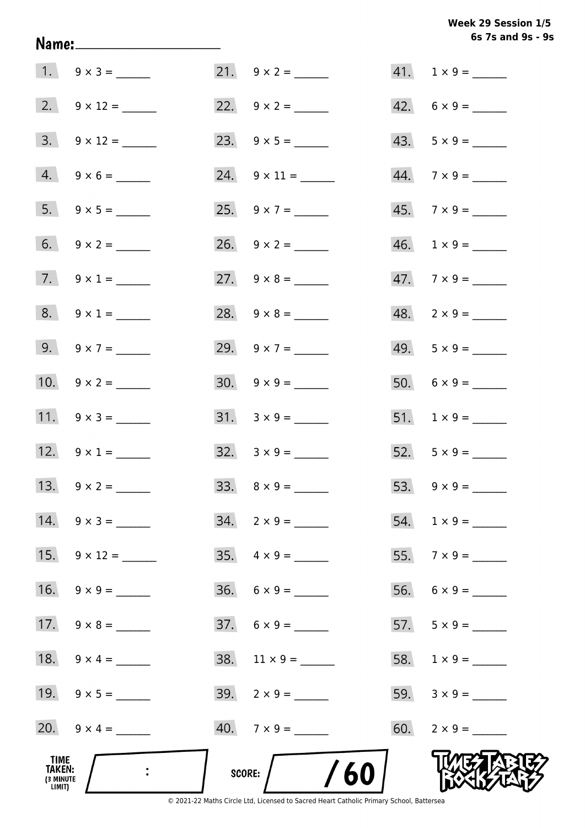|                                              |                          |                              | 6s 7s and 9s - 9         |
|----------------------------------------------|--------------------------|------------------------------|--------------------------|
|                                              |                          |                              | $41. 1 \times 9 =$       |
|                                              |                          | 22. $9 \times 2 =$           | $42. 6 \times 9 =$       |
|                                              |                          |                              | $43. 5 \times 9 =$       |
|                                              | $4. 9 \times 6 =$        | $24. \quad 9 \times 11 =$    |                          |
|                                              | 5. $9 \times 5 =$        | 25. $9 \times 7 =$           | $45. \quad 7 \times 9 =$ |
|                                              | 6. $9 \times 2 =$        | 26. $9 \times 2 =$           | $46. 1 \times 9 =$       |
|                                              | 7. $9 \times 1 =$        | 27. $9 \times 8 =$           | $47.7 \times 9 =$        |
|                                              | $8. 9 \times 1 =$        | 28. $9 \times 8 =$           | $48. 2 \times 9 =$       |
|                                              | 9. $9 \times 7 =$        | 29. $9 \times 7 =$           | $49. 5 \times 9 =$       |
|                                              | 10. $9 \times 2 =$       | $30. 9 \times 9 =$           |                          |
|                                              |                          | $31. \quad 3 \times 9 = \_$  |                          |
|                                              | 12. $9 \times 1 =$       | $32. \quad 3 \times 9 =$     | 52. $5 \times 9 =$       |
|                                              | 13. $9 \times 2 =$       | $33. \quad 8 \times 9 =$     | 53. $9 \times 9 =$       |
|                                              | $14. \quad 9 \times 3 =$ | $34. 2 \times 9 =$           |                          |
|                                              | 15. $9 \times 12 =$      | $35. \quad 4 \times 9 =$     |                          |
|                                              |                          | $36. 6 \times 9 =$           |                          |
|                                              |                          | $37. 6 \times 9 =$           | $57. 5 \times 9 =$       |
|                                              | 18. $9 \times 4 =$       | $38. \quad 11 \times 9 = \_$ |                          |
|                                              | 19. $9 \times 5 =$       |                              |                          |
|                                              | 20. $9 \times 4 =$       | $40.7 \times 9 =$            | $60. 2 \times 9 =$       |
| TIME<br><b>TAKEN:</b><br>(3 MINUTE<br>LIMIT) |                          | $\sim$ /60<br>SCORE:         |                          |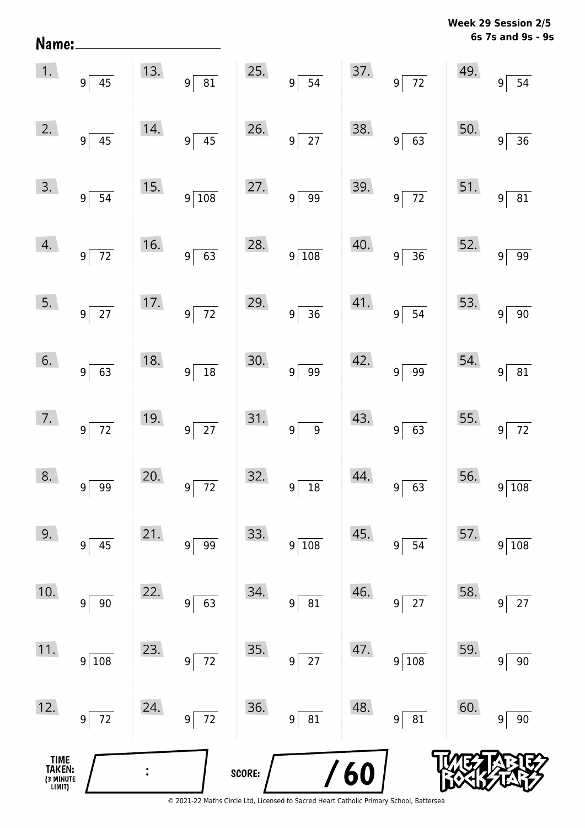| Name:                                 |                      |     |                                   |        |                                      |            |                                      |     | 6s 7s and 9s - 9s                 |
|---------------------------------------|----------------------|-----|-----------------------------------|--------|--------------------------------------|------------|--------------------------------------|-----|-----------------------------------|
| 1.                                    | $9\overline{45}$     | 13. | 9 <sup>5</sup><br>$\overline{81}$ | 25.    | 9<br>$\overline{54}$                 | 37.        | $9^{\frac{1}{2}}$<br>$\overline{72}$ | 49. | $9\vert$<br>54                    |
| 2.                                    | $9 \overline{45}$    | 14. | $\overline{45}$<br>$9\sqrt{ }$    | 26.    | $\overline{27}$<br>$9^{\frac{1}{2}}$ | 38.        | $\overline{63}$<br>$9^{\frac{1}{2}}$ | 50. | $\overline{36}$<br>9              |
| 3.                                    | $9\overline{)54}$    | 15. | $9\sqrt{108}$                     | 27.    | 9 <sup>5</sup><br>$\overline{99}$    | 39.        | $\frac{1}{72}$<br>$9^{\frac{1}{2}}$  | 51. | $\overline{81}$<br>$\overline{9}$ |
| 4.                                    | $9\overline{72}$     | 16. | $9\sqrt{63}$                      | 28.    | $9\overline{)108}$                   | 40.        | $\overline{36}$<br>$9^{\frac{1}{2}}$ | 52. | $\overline{99}$<br>$\overline{9}$ |
| 5.                                    | $9\overline{27}$     | 17. | $9\overline{72}$                  | 29.    | $9\sqrt{ }$<br>$\overline{36}$       | 41.        | $\overline{54}$<br>$9^{\frac{1}{2}}$ | 53. | $\overline{9}$<br>90              |
| 6.                                    | $9 \ 63$             | 18. | $9\sqrt{ }$                       | 30.    | 9 <sup>5</sup><br>$\overline{99}$    | 42.        | $\overline{99}$<br>$9^{\frac{1}{2}}$ | 54. | $9 \overline{81}$                 |
| 7.                                    | $9\overline{72}$     | 19. | $9\sqrt{27}$                      | 31.    | $9^{\frac{1}{2}}$<br>$\overline{9}$  | 43.        | $\overline{63}$<br>$\overline{9}$    | 55. | $\overline{72}$<br>$9\,$          |
| 8.                                    | 99<br>$\overline{9}$ | 20. | $\overline{72}$<br>9 <sup>1</sup> | 32.    | $18\,$<br>9                          | 44.        | 63<br>9                              | 56. | 108<br>9                          |
| 9.                                    | $9$ 45               | 21. | 99<br>9 <sup>1</sup>              | 33.    | 9 <sup>5</sup><br>108                | 45.        | 54<br>9                              | 57. | 108<br>9 <sup>1</sup>             |
| 10.                                   | $9\vert$<br>90       | 22. | 63<br>$9\vert$                    | 34.    | 81<br>9                              | 46.        | 27<br>9                              | 58. | $27$<br>9                         |
| 11.                                   | 9 108                | 23. | 72<br> 9                          | 35.    | 27<br>9 <sup>1</sup>                 | 47.        | 108<br>$9\vert$                      | 59. | $90\,$<br>9                       |
| 12.                                   | 9 72                 | 24. | $\overline{72}$<br>$9\vert$       | 36.    | ${\bf 81}$<br>9 <sup>1</sup>         | 48.        | 81<br>9                              | 60. | $90\,$<br>9                       |
| TIME<br>TAKEN:<br>(3 MINUTE<br>LIMIT) |                      |     |                                   | SCORE: |                                      | <b>/60</b> |                                      |     |                                   |

**Week 29 Session 2/5**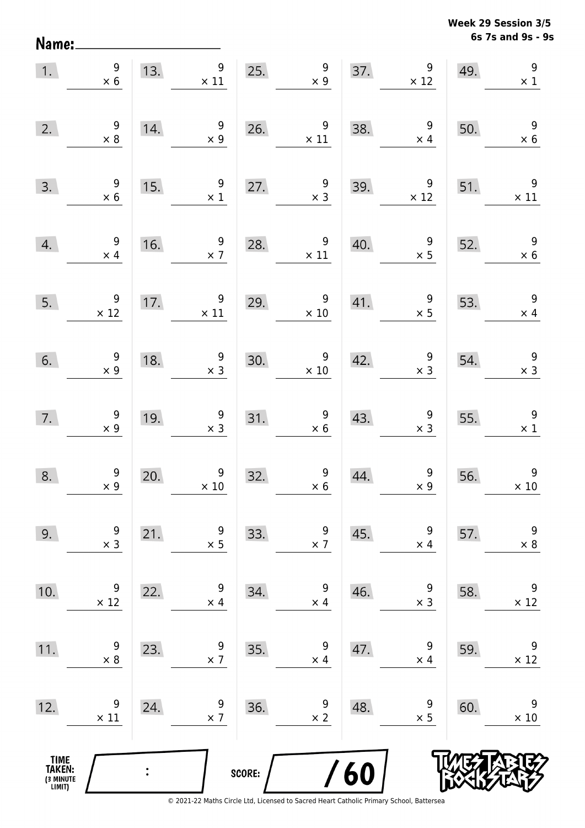**6s 7s and 9s - 9s Week 29 Session 3/5** 

| 1.                                            | $\begin{array}{r} 9 \\ \times 6 \end{array}$  | 13.            | 9<br>$\times$ 11                                                            |        | 25. $\begin{array}{r} 9 \\ \times 9 \end{array}$  |     | 37. $\begin{array}{c} 9 \\ \times 12 \end{array}$ | 49. | $\overline{9}$<br>$\times$ 1                  |
|-----------------------------------------------|-----------------------------------------------|----------------|-----------------------------------------------------------------------------|--------|---------------------------------------------------|-----|---------------------------------------------------|-----|-----------------------------------------------|
| 2.                                            | $\begin{array}{c} 9 \\ \times 8 \end{array}$  | 14.            | $\frac{9}{x 9}$                                                             | 26.    | $\begin{array}{r} 9 \\ \times 11 \end{array}$     | 38. | $\begin{array}{c} 9 \\ \times 4 \end{array}$      | 50. | $\begin{array}{r} 9 \\ \times 6 \end{array}$  |
| 3.                                            | $\begin{array}{c} 9 \\ \times 6 \end{array}$  | 15.            | 9<br>$\times$ 1                                                             |        | 27. $\begin{array}{r} 9 \\ \times 3 \end{array}$  | 39. | 9<br>$\times$ 12                                  | 51. | $\overline{9}$<br>$\times$ 11                 |
| 4.                                            | $\begin{array}{c} 9 \\ \times 4 \end{array}$  | 16.            | $\overline{9}$<br>$\times$ 7                                                | 28.    | $9\,$<br>$\times$ 11                              | 40. | $\frac{9}{1}$                                     | 52. | $\overline{\phantom{a}}$<br>$\times$ 6        |
| 5.                                            | $\begin{array}{c} 9 \\ \times 12 \end{array}$ | 17.            | $\overline{9}$<br>$\times$ 11                                               |        | 29. $\begin{array}{r} 9 \\ \times 10 \end{array}$ |     | 41. $\begin{array}{c} 9 \\ x \end{array}$         | 53. | $\overline{9}$<br>$\times$ 4                  |
| 6.                                            | $\begin{array}{c} 9 \\ \times 9 \end{array}$  |                | $\begin{array}{r} 9 \\ \times 3 \end{array}$<br>$\overline{\phantom{0}18.}$ | 30.    | $\begin{array}{c} 9 \\ \times 10 \end{array}$     |     | 42. $\begin{array}{c} 9 \\ \times 3 \end{array}$  | 54. | $\begin{array}{c} 9 \\ \times 3 \end{array}$  |
| 7.                                            | $\begin{array}{r} 9 \\ \times 9 \end{array}$  | 19.            | $\begin{array}{r} 9 \\ \times 3 \end{array}$                                |        | 31. $\begin{array}{r} 9 \\ \times 6 \end{array}$  | 43. | $\begin{array}{c} 9 \\ \times 3 \end{array}$      | 55. | $\overline{\phantom{a}}$<br>$\times 1$        |
| 8.                                            | $\begin{array}{c} 9 \\ \times 9 \end{array}$  | 20.            | $\begin{array}{c} 9 \\ \times 10 \end{array}$                               | 32.    | $\begin{array}{c} 9 \\ \times 6 \end{array}$      | 44. | $\begin{array}{c} 9 \\ \times 9 \end{array}$      | 56. | $\begin{array}{c} 9 \\ \times 10 \end{array}$ |
| 9.                                            | 9<br>$\times$ 3                               | 21.            | 9<br>$\times$ 5                                                             | 33.    | 9<br>$\times$ 7                                   | 45. | 9<br>$\times$ 4                                   | 57. | $\boldsymbol{9}$<br>$\times$ 8                |
| 10.                                           | 9<br>$\times$ 12                              | 22.            | 9<br>$\times$ 4                                                             | 34.    | 9<br>$\times$ 4                                   | 46. | 9<br>$\times$ 3                                   | 58. | $\boldsymbol{9}$<br>$\times$ 12               |
| 11.                                           | 9<br>$\times 8$                               | 23.            | 9<br>$\times$ 7                                                             | 35.    | 9<br>$\times$ 4                                   | 47. | 9<br>$\times$ 4                                   | 59. | $\boldsymbol{9}$<br>$\times$ 12               |
| 12.                                           | 9<br>$\times$ 11                              | 24.            | 9<br>$\times$ 7                                                             | 36.    | 9<br>$\times$ 2                                   | 48. | 9<br>$\times$ 5                                   | 60. | 9<br>$\times 10$                              |
| <b>TIME<br/>TAKEN:</b><br>(3 MINUTE<br>LIMIT) |                                               | $\ddot{\cdot}$ |                                                                             | SCORE: |                                                   | /60 |                                                   |     |                                               |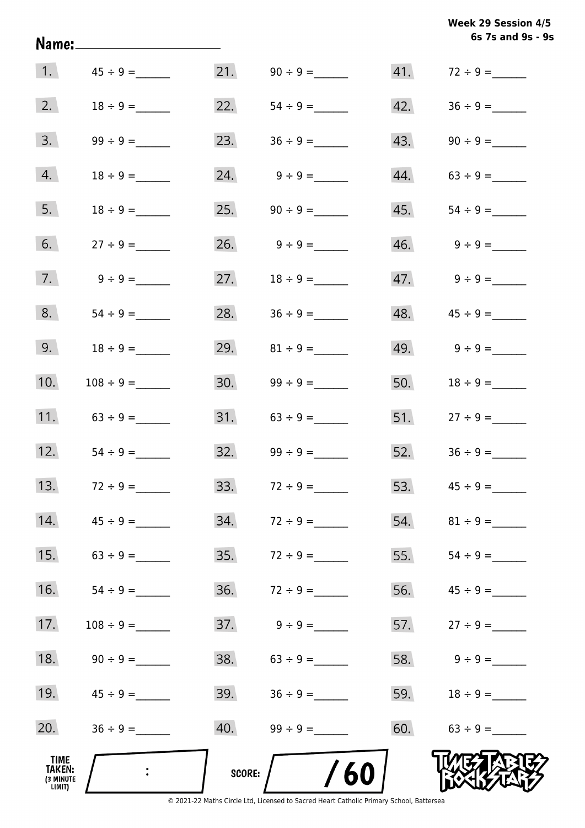|                                       | <u>Name:____________________</u> |               |                     |     | Week 29 Session 4/5<br>6s 7s and 9s - 9s |
|---------------------------------------|----------------------------------|---------------|---------------------|-----|------------------------------------------|
|                                       | 1. $45 \div 9 =$                 |               |                     |     |                                          |
| 2.                                    | $18 \div 9 =$                    |               | 22. $54 \div 9 =$   |     | $42. \hspace{1.5cm} 36 \div 9 =$         |
| 3.                                    |                                  |               | 23. $36 \div 9 =$   |     |                                          |
| 4.                                    | $18 \div 9 =$                    |               | 24. $9 \div 9 =$    |     | $44. 63 \div 9 =$                        |
| 5.                                    |                                  |               |                     |     |                                          |
| 6.                                    |                                  |               | 26. $9 \div 9 =$    |     | $46. \qquad 9 \div 9 =$                  |
| 7.                                    | $9 \div 9 =$                     | 27.           | $18 \div 9 =$       |     |                                          |
| 8.                                    |                                  |               | 28. $36 \div 9 =$   |     |                                          |
| 9.                                    | $18 \div 9 =$                    | 29.           | $81 \div 9 =$       |     | 49. $9 \div 9 =$                         |
| 10.                                   | $108 \div 9 =$                   |               |                     |     | 50. $18 \div 9 =$                        |
| 11.                                   | $63 \div 9 =$                    |               |                     |     | $51.$ $27 \div 9 =$                      |
| 12.                                   | $54 \div 9 =$                    |               | $32.$ $99 \div 9 =$ |     | $52.$ $36 \div 9 =$                      |
| 13.                                   | $72 \div 9 =$                    | 33.           | $72 \div 9 =$       | 53. |                                          |
| 14.                                   | $45 \div 9 =$                    | 34.           | $72 \div 9 =$       | 54. |                                          |
| 15.                                   | $63 \div 9 =$                    | 35.           |                     | 55. |                                          |
| 16.                                   | $54 \div 9 =$                    | 36.           |                     | 56. |                                          |
| 17.                                   |                                  | 37.           | $9 \div 9 =$        | 57. | $27 \div 9 =$                            |
| 18.                                   |                                  | 38.           | $63 \div 9 =$       | 58. | $9 \div 9 =$                             |
| 19.                                   | $45 \div 9 =$                    | 39.           |                     | 59. | $18 \div 9 =$                            |
| 20.                                   |                                  | 40.           |                     |     | $60.63 \div 9 =$                         |
| TIME<br>TAKEN:<br>(3 MINUTE<br>LIMIT) |                                  | <b>SCORE:</b> | /60                 |     |                                          |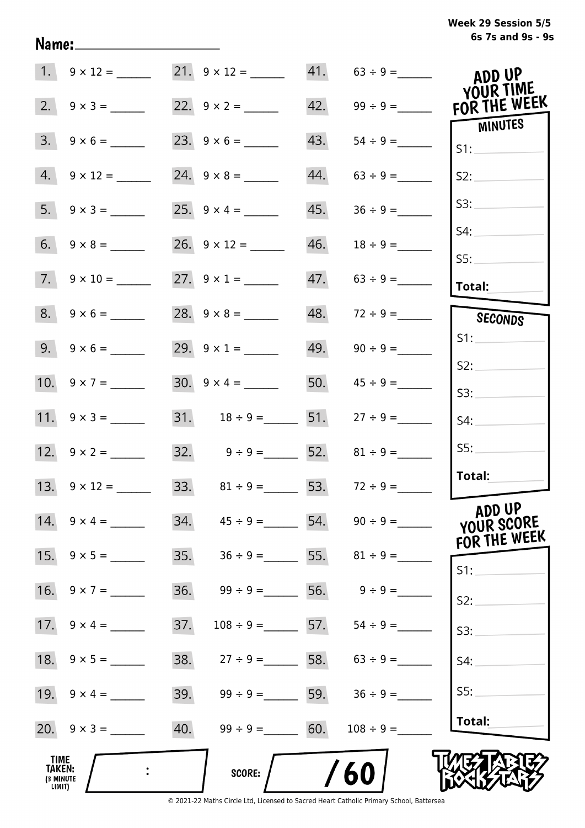| Week 29 Session 5/5 |                   |  |  |
|---------------------|-------------------|--|--|
|                     | 6s 7s and 9s - 9s |  |  |

|                                              |                          |                                        |     |                          | ADD UP<br>YOUR TIME                  |
|----------------------------------------------|--------------------------|----------------------------------------|-----|--------------------------|--------------------------------------|
| 2.                                           |                          | 22. $9 \times 2 =$                     |     |                          | FOR THE WEEK                         |
| 3.                                           | $9 \times 6 =$           |                                        | 43. |                          | <b>MINUTES</b><br>S1:                |
|                                              | $4. 9 \times 12 =$       | 24. $9 \times 8 =$                     | 44. | $63 \div 9 =$            | S2:                                  |
|                                              |                          |                                        | 45. | $36 \div 9 =$            | S3:                                  |
|                                              |                          |                                        | 46. |                          | S4:                                  |
|                                              | $7. \quad 9 \times 10 =$ | 27. $9 \times 1 =$                     |     |                          | S5:<br>Total:                        |
|                                              | $8. 9 \times 6 =$        |                                        | 48. | $72 \div 9 =$            | SECONDS                              |
|                                              | $9. 9 \times 6 =$        | 29. $9 \times 1 =$                     |     | $49. \qquad 90 \div 9 =$ | S1:                                  |
|                                              | 10. $9 \times 7 =$       | $30. 9 \times 4 =$                     |     | 50. $45 \div 9 =$        | S2:<br>S3:                           |
|                                              |                          | 31. $18 \div 9 =$ 51. $27 \div 9 =$    |     |                          | S4:                                  |
|                                              |                          | 32. $9 \div 9 =$ 52. $81 \div 9 =$     |     |                          | SS:                                  |
|                                              | 13. $9 \times 12 =$      | 33. $81 \div 9 =$ 53. $72 \div 9 =$    |     |                          | Total:                               |
|                                              | 14. $9 \times 4 =$       | 34. $45 \div 9 =$ 54. $90 \div 9 =$    |     |                          | ADD UP<br>YOUR SCORE<br>FOR THE WEEK |
|                                              | 15. $9 \times 5 =$       | 35. $36 \div 9 =$ 55. $81 \div 9 =$    |     |                          | S1:                                  |
| 16.                                          | $9 \times 7 =$           | 36.<br>$99 \div 9 =$ 56.               |     | $9 \div 9 =$             | S2:                                  |
|                                              |                          | 37.<br>$108 \div 9 =$ 57. 54 ÷ 9 =     |     |                          | S3:                                  |
|                                              |                          | 38.<br>$27 \div 9 = 58.$ $63 \div 9 =$ |     |                          | S4:                                  |
|                                              | 19. $9 \times 4 =$       | 39.<br>$99 \div 9 = 59.$ $36 \div 9 =$ |     |                          | S5:                                  |
|                                              |                          | 40.<br>$99 \div 9 = 60.$               |     | $108 \div 9 =$           | Total:                               |
| <b>TIME</b><br>TAKEN:<br>(3 MINUTE<br>LIMIT) |                          | SCORE:                                 |     | 60                       |                                      |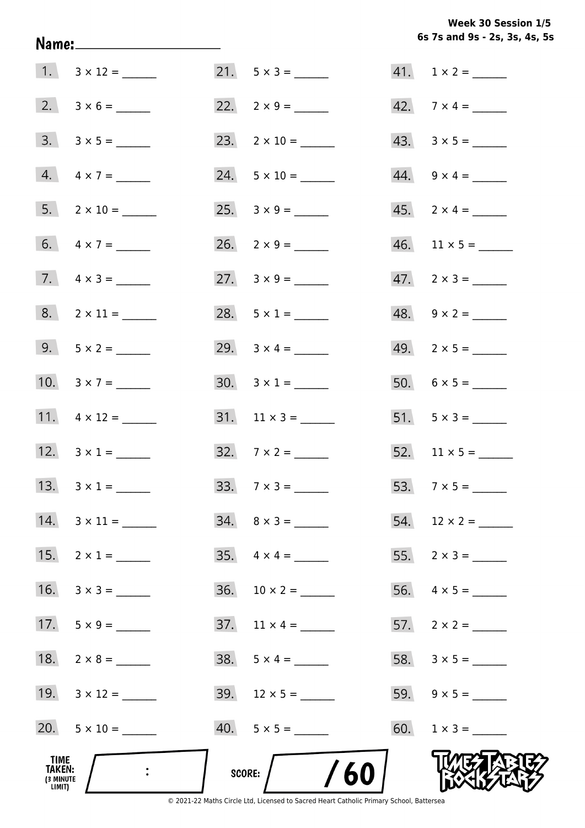**6s 7s and 9s - 2s, 3s, 4s, 5s Week 30 Session 1/5** 

|                                              |                           |                                            | 6s 7s and 9s - 2s, 3s, 4s, 5 |
|----------------------------------------------|---------------------------|--------------------------------------------|------------------------------|
|                                              |                           | $21. 5 \times 3 =$                         | $41. 1 \times 2 =$           |
|                                              |                           | 22. $2 \times 9 =$                         | 42. $7 \times 4 =$           |
|                                              |                           | 23. $2 \times 10 =$                        | $43. \quad 3 \times 5 =$     |
|                                              | $4. \quad 4 \times 7 =$   | $24. 5 \times 10 =$                        | $44. \quad 9 \times 4 =$     |
|                                              | $5. 2 \times 10 =$        | 25. $3 \times 9 =$                         | $45. \quad 2 \times 4 = \_$  |
|                                              | 6. $4 \times 7 =$         | 26. $2 \times 9 =$                         |                              |
|                                              | 7. $4 \times 3 =$         | 27. $3 \times 9 =$                         | $47. \quad 2 \times 3 =$     |
|                                              | $8. 2 \times 11 =$        | 28. $5 \times 1 =$                         | $48. 9 \times 2 =$           |
|                                              | 9. $5 \times 2 =$         | 29. $3 \times 4 =$                         | $49. \quad 2 \times 5 =$     |
|                                              | 10. $3 \times 7 =$        |                                            |                              |
|                                              |                           |                                            | 51. $5 \times 3 =$           |
|                                              | 12. $3 \times 1 =$        | 32. $7 \times 2 =$                         | $52.$ 11 × 5 = ______        |
|                                              | 13. $3 \times 1 =$        | $33.7 \times 3 =$                          |                              |
|                                              | $14. \quad 3 \times 11 =$ | $34. \quad 8 \times 3 =$                   | $54.$ 12 × 2 = _______       |
|                                              | 15. $2 \times 1 =$        |                                            |                              |
|                                              | $16. \quad 3 \times 3 =$  | $36. 10 \times 2 =$                        |                              |
|                                              | 17. $5 \times 9 =$        | $37. \quad 11 \times 4 = \_\_\_\_\_\_\_\_$ |                              |
|                                              | 18. $2 \times 8 =$        |                                            |                              |
|                                              | 19. $3 \times 12 =$       |                                            |                              |
|                                              |                           |                                            |                              |
| TIME<br><b>TAKEN:</b><br>(3 MINUTE<br>LIMIT) |                           | /60<br>SCORE:                              |                              |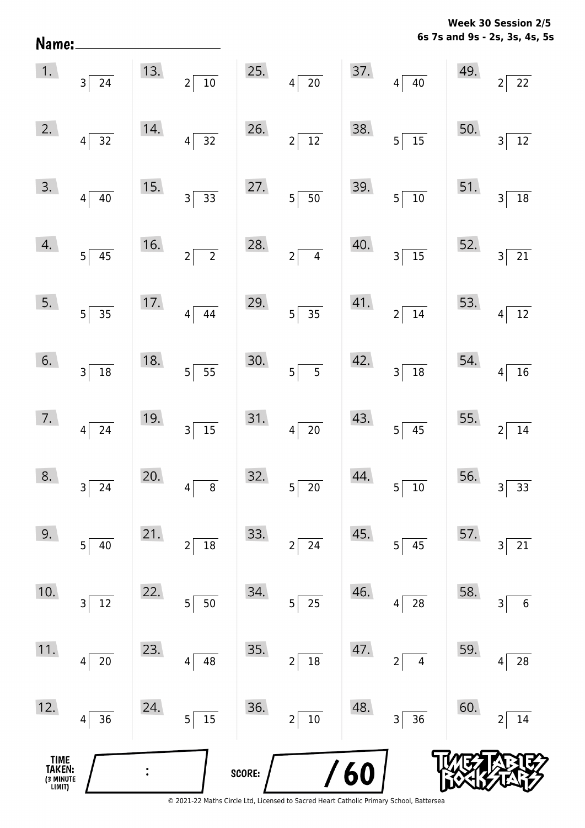**6s 7s and 9s - 2s, 3s, 4s, 5s Week 30 Session 2/5** 

|                                       | $\begin{array}{ c c }\n\hline\n1. & 3 & 24\n\end{array}$ |     | 13. $2\sqrt{10}$             |        | 25. $4\overline{)20}$       |            | $37.$ $4 \overline{)40}$         | 49.                                    | $\overline{2}$<br>$\frac{1}{22}$ |
|---------------------------------------|----------------------------------------------------------|-----|------------------------------|--------|-----------------------------|------------|----------------------------------|----------------------------------------|----------------------------------|
| 2.                                    | $4\overline{)32}$                                        | 14. | $4\overline{)32}$            | 26.    | $2\sqrt{12}$                | 38.        | $5\overline{)15}$                | 50.                                    | 3 <sup>1</sup><br>$\frac{1}{12}$ |
| 3.                                    | $4\overline{)40}$                                        | 15. | $3\overline{)33}$            |        | 27. $5 \overline{)50}$      | 39.        | $5\overline{\smash{)}10}$        |                                        | 51. $3\overline{)18}$            |
| 4.                                    | $5\overline{)45}$                                        | 16. | $2\sqrt{2}$                  | 28.    | $2\sqrt{4}$                 | 40.        | $3\overline{)15}$                |                                        | 52. $3\overline{)21}$            |
| 5.                                    | $5\overline{)35}$                                        | 17. | $4\overline{)44}$            | 29.    | $5\overline{)35}$           |            | 41. $2\sqrt{14}$                 |                                        | 53. $4\overline{)12}$            |
| 6.                                    | $3\overline{)18}$                                        | 18. | $5\overline{)}5\overline{)}$ | 30.    | $5\overline{)}$ 5           |            | $42.$ $3 \overline{)18}$         | 54. $4\begin{bmatrix} 4 \end{bmatrix}$ | $\boxed{16}$                     |
| 7.                                    | $4\overline{24}$                                         | 19. | $3\sqrt{15}$                 |        | $31.$ $4 \overline{)20}$    |            | $43.$ $5 \overline{)45}$         |                                        | 55. $2\sqrt{14}$                 |
| 8.                                    | $3\overline{)24}$                                        | 20. | $4\sqrt{ }$                  | 32.    | $5\overline{\smash{)}\ 20}$ | 44.        | $5\overline{\smash{)}10}$        |                                        | 56. $3\overline{)33}$            |
| 9.                                    | 5 <br>40                                                 | 21. | 18<br>$\overline{2}$         | 33.    | 24<br>$\overline{2}$        | 45.        | 45<br>$5\vert$                   | 57.                                    | 21<br>3                          |
| 10.                                   | $12\,$<br>3                                              | 22. | 50<br>5                      | 34.    | $25\,$<br>5 <sup>1</sup>    | 46.        | 28<br>4                          | 58.                                    | $\boldsymbol{6}$<br>3            |
| 11.                                   | $20\,$<br>4                                              | 23. | 48<br>4                      | 35.    | $18\,$<br>$\overline{2}$    | 47.        | $\overline{2}$<br>$\overline{4}$ | 59.                                    | 28<br>4                          |
| 12.                                   | 36<br>4                                                  | 24. | $\overline{15}$<br>5         | 36.    | 10<br>2                     | 48.        | 36<br>$\overline{\mathbf{3}}$    | 60.                                    | 14<br>2                          |
| TIME<br>TAKEN:<br>(3 MINUTE<br>LIMIT) |                                                          |     |                              | SCORE: |                             | <b>/60</b> |                                  |                                        |                                  |

Name: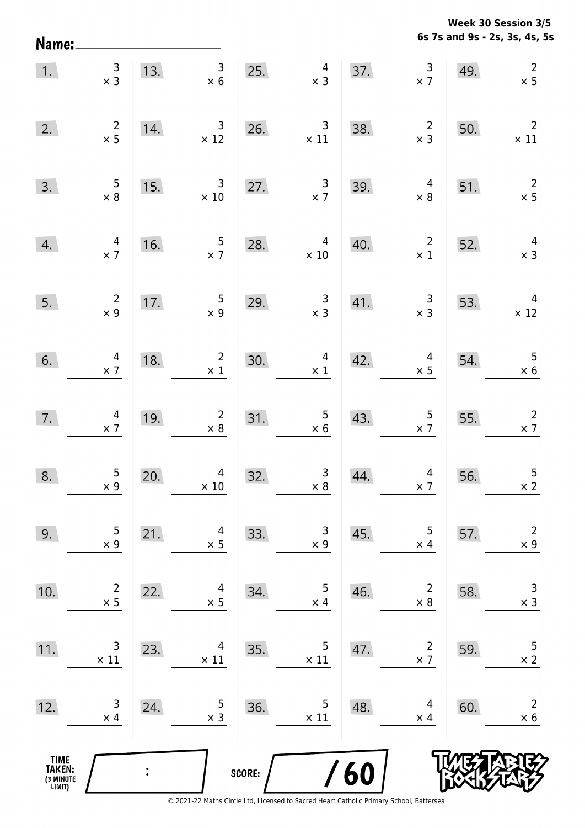**6s 7s and 9s - 2s, 3s, 4s, 5s Week 30 Session 3/5** 

| 1.                                    | $\begin{array}{c} 3 \\ \times 3 \end{array}$ |     | $\begin{array}{c} 3 \\ \times 6 \end{array}$<br>13. |        | $4 \times 3$<br>25.                           |            | 37. $\begin{array}{c} 3 \\ \times 7 \end{array}$ | 49. | $\begin{array}{c}2\\ \times 5\end{array}$    |
|---------------------------------------|----------------------------------------------|-----|-----------------------------------------------------|--------|-----------------------------------------------|------------|--------------------------------------------------|-----|----------------------------------------------|
| 2.                                    | $\begin{array}{c} 2 \\ \times 5 \end{array}$ | 14. | $\begin{array}{r} 3 \\ \times 12 \end{array}$       | 26.    | $\begin{array}{c} 3 \\ \times 11 \end{array}$ | 38.        | $\overline{\mathbf{c}}$<br>$\times$ 3            | 50. | $\overline{\phantom{a}}$<br>$\times$ 11      |
| 3.                                    | $\begin{array}{c} 5 \\ \times 8 \end{array}$ | 15. | $\overline{\mathbf{3}}$<br>$\times$ 10              | 27.    | $\frac{3}{x}$                                 | 39.        | $\overline{4}$<br>$\times 8$                     | 51. | $\frac{2}{\times 5}$                         |
| 4.                                    | $\begin{array}{r} 4 \\ \times 7 \end{array}$ | 16. | $\frac{5}{\times 7}$                                | 28.    | $\overline{4}$<br>$\times$ 10                 | 40.        | $\overline{\mathbf{c}}$<br>$\times$ 1            | 52. | $\overline{4}$<br>$\times$ 3                 |
| 5.                                    | $\begin{array}{c} 2 \\ \times 9 \end{array}$ | 17. | $\begin{array}{c} 5 \\ \times 9 \end{array}$        | 29.    | $\frac{3}{x}$                                 | 41.        | $\begin{array}{c} 3 \\ \times 3 \end{array}$     | 53. | $\overline{4}$<br>$\times$ 12                |
| 6.                                    | $\begin{array}{c} 4 \\ \times 7 \end{array}$ | 18. | $\begin{array}{c} 2 \\ \times 1 \end{array}$        | 30.    | $\begin{array}{c} 4 \\ \times 1 \end{array}$  | 42.        | $\begin{array}{c} 4 \\ \times 5 \end{array}$     | 54. | $\begin{array}{c} 5 \\ \times 6 \end{array}$ |
| 7.                                    | $\begin{array}{c} 4 \\ \times 7 \end{array}$ | 19. | $\begin{array}{r} 2 \\ \times 8 \end{array}$        | 31.    | $\begin{array}{r} 5 \\ \times 6 \end{array}$  | 43.        | $\frac{5}{2}$                                    | 55. | $\frac{2}{x}$ 7                              |
| 8.                                    | $\begin{array}{c} 5 \\ \times 9 \end{array}$ | 20. | $\overline{4}$<br>$\times$ 10                       | 32.    | $\begin{array}{c} 3 \\ \times 8 \end{array}$  | 44.        | $\begin{array}{c} 4 \\ \times 7 \end{array}$     | 56. | $\overline{5}$<br>$\times 2$                 |
| 9.                                    | 5<br>$\times$ 9                              | 21. | 4<br>$\times$ 5                                     | 33.    | 3<br>$\times$ 9                               | 45.        | 5<br>$\times$ 4                                  | 57. | $\overline{2}$<br>$\times$ 9                 |
| 10.                                   | $\overline{2}$<br>$\times$ 5                 | 22. | 4<br>$\times$ 5                                     | 34.    | 5<br>$\times$ 4                               | 46.        | $\overline{2}$<br>$\times 8$                     | 58. | $\mathsf{3}$<br>$\times$ 3                   |
| 11.                                   | 3<br>$\times$ 11                             | 23. | 4<br>$\times$ 11                                    | 35.    | 5<br>$\times$ 11                              | 47.        | $\overline{2}$<br>$\times$ 7                     | 59. | 5<br>$\times$ 2                              |
| 12.                                   | 3<br>$\times$ 4                              | 24. | 5<br>$\times$ 3                                     | 36.    | 5<br>$\times$ 11                              | 48.        | 4<br>$\times$ 4                                  | 60. | $\overline{2}$<br>$\times$ 6                 |
| TIME<br>TAKEN:<br>(3 MINUTE<br>LIMIT) |                                              |     |                                                     | SCORE: |                                               | <b>/60</b> |                                                  |     |                                              |

Name: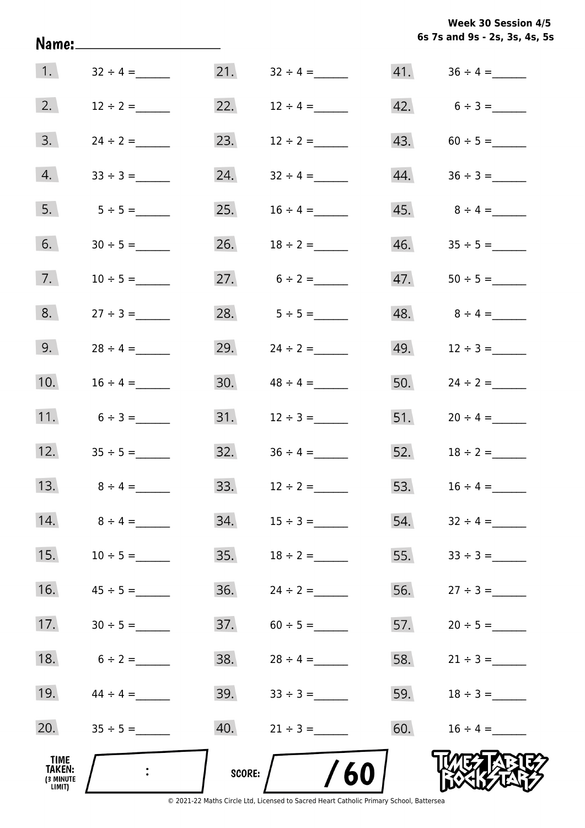**6s 7s and 9s - 2s, 3s, 4s, 5s Week 30 Session 4/5** 

|                                                     |                |        |                                                                                               |     | 6s 7s and 9s - 2s, 3s, 4s, 5s |
|-----------------------------------------------------|----------------|--------|-----------------------------------------------------------------------------------------------|-----|-------------------------------|
| $\vert$ 1.                                          | $32 \div 4 =$  | 21.    | $32 \div 4 =$                                                                                 |     |                               |
| 2.                                                  | $12 \div 2 =$  | 22.    | $12 \div 4 =$                                                                                 |     | 42. $6 \div 3 =$              |
| 3.                                                  | $24 \div 2 =$  | 23.    | $12 \div 2 =$                                                                                 |     |                               |
| 4.                                                  |                | 24.    | $32 \div 4 =$                                                                                 |     |                               |
| 5.                                                  | $5 \div 5 =$   | 25.    | $16 \div 4 =$                                                                                 |     |                               |
| 6.                                                  | $30 \div 5 =$  | 26.    | $18 \div 2 =$                                                                                 |     |                               |
| 7.                                                  | $10 \div 5 =$  |        | 27. $6 \div 2 =$                                                                              | 47. |                               |
| 8.                                                  | $27 \div 3 =$  | 28.    | $5 \div 5 =$                                                                                  |     |                               |
| 9.                                                  | $28 \div 4 =$  | 29.    | $24 \div 2 =$                                                                                 |     | 49. $12 \div 3 =$             |
| 10.                                                 | $16 \div 4 =$  | 30.    | $48 \div 4 =$                                                                                 |     | 50. $24 \div 2 =$             |
| 11.                                                 | $6 \div 3 =$   | 31.    | $12 \div 3 =$                                                                                 |     | 51. $20 \div 4 =$             |
| 12.                                                 | $35 \div 5 =$  | 32.    | $36 \div 4 =$                                                                                 |     | 52. $18 \div 2 =$             |
| 13.                                                 | $8 \div 4 =$   | 33.    | $12 \div 2 =$                                                                                 | 53. | $16 \div 4 =$                 |
| 14.                                                 | $8 \div 4 =$   | 34.    | $15 \div 3 =$                                                                                 | 54. | $32 \div 4 =$                 |
| 15.                                                 | $10 \div 5 =$  | 35.    | $18 \div 2 =$                                                                                 | 55. |                               |
| 16.                                                 | $45 \div 5 =$  | 36.    | $24 \div 2 =$                                                                                 | 56. |                               |
| 17.                                                 |                | 37.    |                                                                                               | 57. |                               |
| 18.                                                 | $6 \div 2 =$   | 38.    | $28 \div 4 =$                                                                                 | 58. | $21 \div 3 =$                 |
| 19.                                                 | $44 \div 4 =$  | 39.    | $33 \div 3 =$                                                                                 |     | 59. $18 \div 3 =$             |
| 20.                                                 | $35 \div 5 =$  | 40.    | $21 \div 3 =$                                                                                 | 60. | $16 \div 4 =$                 |
| <b>TIME</b><br><b>TAKEN:</b><br>(3 MINUTE<br>LIMIT) | $\mathbb{R}^2$ | SCORE: | 60<br>© 2021-22 Maths Circle Ltd. Licensed to Sacred Heart Catholic Primary School, Battersea |     |                               |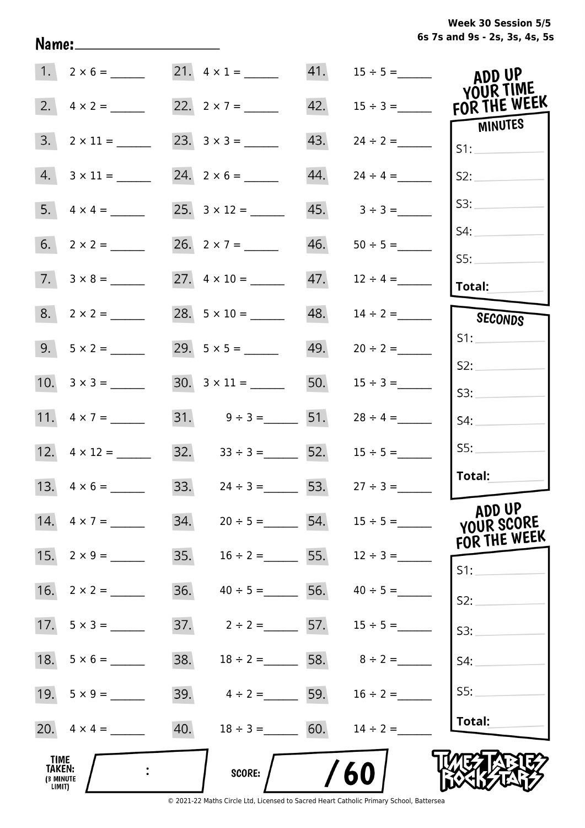**6s 7s and 9s - 2s, 3s, 4s, 5s Week 30 Session 5/5** 

|                                              | 21. $4 \times 1 =$                   |     | 41. $15 \div 5 =$               | ADD UP<br>YOUR TIME                  |
|----------------------------------------------|--------------------------------------|-----|---------------------------------|--------------------------------------|
| 2.<br>$4 \times 2 =$                         | 22. $2 \times 7 =$                   | 42. | $15 \div 3 =$                   | FOR THE WEEK                         |
| 3.<br>$2 \times 11 =$                        |                                      | 43. | $24 \div 2 =$                   | <b>MINUTES</b><br>S1:                |
| 4.<br>$3 \times 11 =$                        |                                      | 44. | $24 \div 4 =$                   | S2:                                  |
|                                              |                                      | 45. | $3 \div 3 =$                    | S3:                                  |
|                                              | 26. $2 \times 7 =$                   | 46. |                                 | S4:                                  |
| $7. 3 \times 8 =$                            |                                      | 47. | $12 \div 4 =$                   | S5:<br>Total:                        |
| $8. 2 \times 2 =$                            |                                      | 48. | $14 \div 2 =$                   | SECONDS                              |
| $9.5 \times 2 =$                             |                                      | 49. | $20 \div 2 =$                   | S1:                                  |
|                                              |                                      |     |                                 | S2:                                  |
|                                              |                                      |     | 50. $15 \div 3 =$               | S3:                                  |
| 11. $4 \times 7 =$                           | 31. $9 \div 3 =$ 51.                 |     | $28 \div 4 =$                   | S4:                                  |
|                                              | $32. \hspace{1.5cm} 33 \div 3 =$ 52. |     | $15 \div 5 =$                   | SS:                                  |
| 13. $4 \times 6 =$                           | 33. $24 \div 3 = 53$ .               |     | $27 \div 3 =$                   | Total:                               |
| 14. $4 \times 7 =$                           | 34.                                  |     | $20 \div 5 =$ 54. $15 \div 5 =$ | ADD UP<br>YOUR SCORE<br>FOR THE WEEK |
| 15.<br>$2 \times 9 =$                        | 35.<br>$16 \div 2 =$ 55.             |     | $12 \div 3 =$                   | S1:                                  |
| 16.<br>$2 \times 2 =$                        | 36.<br>$40 \div 5 =$                 |     | 56. $40 \div 5 =$               | S2:                                  |
|                                              | 37.                                  |     | $2 \div 2 = 57.$ $15 \div 5 =$  | S3:                                  |
|                                              | 38.                                  |     | $18 \div 2 =$ 58. $8 \div 2 =$  | S4:                                  |
|                                              | 39. $4 \div 2 =$ 59. $16 \div 2 =$   |     |                                 | SS:                                  |
|                                              | 40.<br>$18 \div 3 = 60.$             |     | $14 \div 2 =$                   | Total:                               |
| <b>TIME</b><br>TAKEN:<br>(3 MINUTE<br>LIMIT) | <b>SCORE:</b>                        |     | 60                              |                                      |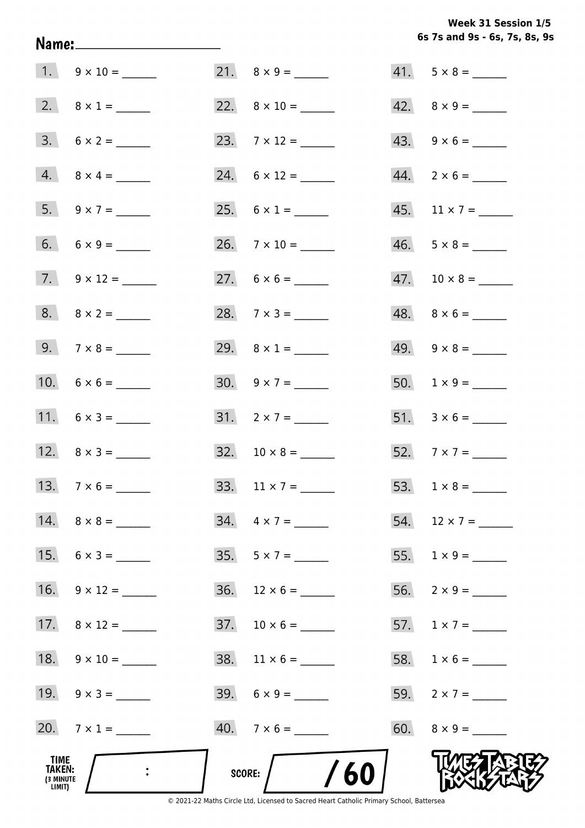**6s 7s and 9s - 6s, 7s, 8s, 9s Week 31 Session 1/5** 

|                                              |                     |     |                               | 6s 7s and 9s - 6s, 7s, 8s, 9 |
|----------------------------------------------|---------------------|-----|-------------------------------|------------------------------|
|                                              |                     |     | 21. $8 \times 9 =$            | $41. 5 \times 8 =$           |
|                                              | 2. $8 \times 1 =$   |     | 22. $8 \times 10 =$           | $42. \quad 8 \times 9 = \_$  |
|                                              | $3. 6 \times 2 =$   |     | 23. $7 \times 12 =$           | $43. 9 \times 6 =$           |
|                                              | $4. 8 \times 4 =$   |     | $24. 6 \times 12 =$           | $44. 2 \times 6 =$           |
|                                              | 5. $9 \times 7 =$   |     | 25. $6 \times 1 =$            |                              |
|                                              | 6. $6 \times 9 =$   |     |                               | $46. 5 \times 8 =$           |
|                                              | 7. $9 \times 12 =$  |     |                               |                              |
|                                              | $8. \ 8 \times 2 =$ |     | 28. $7 \times 3 =$            | $48. \quad 8 \times 6 =$     |
|                                              |                     |     | 29. $8 \times 1 =$            | $49. \quad 9 \times 8 =$     |
|                                              |                     |     | $30. 9 \times 7 =$            |                              |
|                                              |                     |     | $31. 2 \times 7 =$            |                              |
|                                              | 12. $8 \times 3 =$  |     | $32. 10 \times 8 =$           |                              |
|                                              | 13. $7 \times 6 =$  | 33. | $11 \times 7 =$               |                              |
|                                              |                     |     | $34. \quad 4 \times 7 =$      | 54. $12 \times 7 =$          |
|                                              | 15. $6 \times 3 =$  |     | $35. 5 \times 7 =$            |                              |
|                                              | 16. $9 \times 12 =$ |     | $36.$ 12 $\times$ 6 = _______ |                              |
|                                              |                     |     |                               | 57. $1 \times 7 =$           |
|                                              |                     |     |                               |                              |
|                                              | 19. $9 \times 3 =$  |     | $39.6 \times 9 =$             | 59. $2 \times 7 =$           |
|                                              | 20. $7 \times 1 =$  |     | $40.7 \times 6 =$             | $60. 8 \times 9 =$           |
| TIME<br><b>TAKEN:</b><br>(3 MINUTE<br>LIMIT) |                     |     | SCORE: $/$ /60                |                              |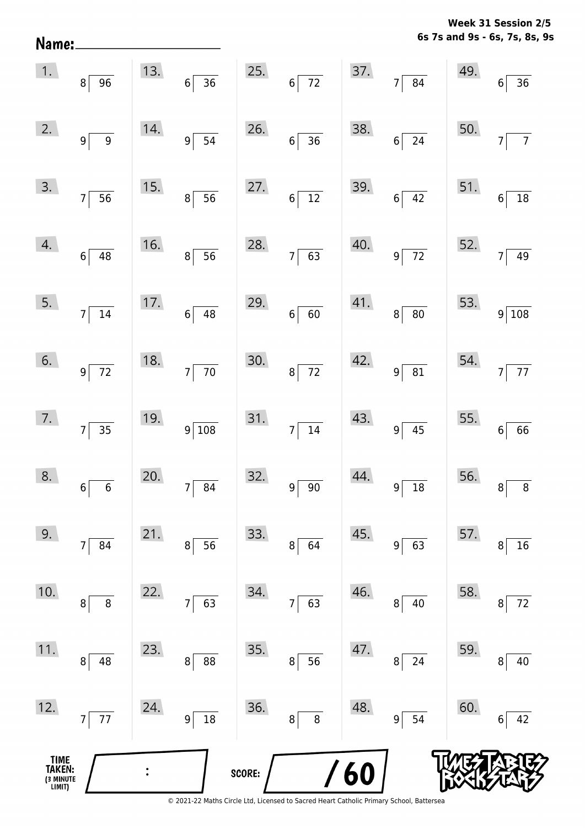**6s 7s and 9s - 6s, 7s, 8s, 9s Week 31 Session 2/5** 

|                                       | $\begin{array}{ c c } \hline 1. & 8 & 96 \ \hline \end{array}$ |     |                                             |        | 13. $6 \overline{)36}$ 25. $6 \overline{)72}$ |            | 37.7784                  | 49. | 6 <br>$\frac{1}{36}$       |
|---------------------------------------|----------------------------------------------------------------|-----|---------------------------------------------|--------|-----------------------------------------------|------------|--------------------------|-----|----------------------------|
| 2.                                    | $9\sqrt{9}$                                                    | 14. | $9\overline{)}\ \overline{)}\ \overline{)}$ | 26.    | $6\overline{)36}$                             | 38.        | $6\overline{)24}$        | 50. | $\overline{7}$<br>$7\vert$ |
| 3.                                    | $7\overline{)}\ \overline{)}$                                  | 15. | $8\sqrt{56}$                                | 27.    | $6\overline{)12}$                             |            | 39.6742                  | 51. | $6\overline{)18}$          |
| 4.                                    | $6\overline{)48}$                                              | 16. | $8\overline{)}56$                           | 28.    | $7\overline{63}$                              | 40.        | $9\overline{72}$         | 52. | $7\overline{)49}$          |
| 5.                                    | $7\overline{)14}$                                              |     | 17. $6 \overline{)48}$                      | 29.    | $6 \overline{60}$                             |            | $41.$ $8 \overline{)80}$ |     | 53. $9\overline{)108}$     |
| 6.                                    | $9\overline{72}$                                               | 18. | $7\overline{70}$                            | 30.    | $8\overline{72}$                              |            | 42. $9 \overline{)81}$   |     | 54. $7\overline{77}$       |
| 7.                                    | $7\overline{)35}$                                              | 19. | $9\overline{\smash)108}$                    | 31.    | $7\overline{)14}$                             | 43.        | $9\overline{)45}$        |     | 55. $6 \overline{66}$      |
| 8.                                    | $6\overline{6}$                                                | 20. | $7\overline{\smash{)}\ 84}$                 | 32.    | $9 \overline{\smash{)}\ 90}$                  | 44.        | $9\sqrt{18}$             |     | 56. $8 \overline{8}$       |
| 9.                                    | 84<br>$\overline{7}$                                           | 21. | 56<br>8                                     | 33.    | 8<br>64                                       | 45.        | 63<br>9 <sup>1</sup>     | 57. | 16<br>8                    |
| 10.                                   | $\, 8$<br>8                                                    | 22. | 63<br>7                                     | 34.    | 63<br>7                                       | 46.        | 40<br>8                  | 58. | $72\,$<br>8                |
| 11.                                   | 48<br>8                                                        | 23. | 88<br>8                                     | 35.    | 56<br>$\bf 8$                                 | 47.        | 24<br>8 <sup>2</sup>     | 59. | 40<br>8                    |
| 12.                                   | $77$<br>$\overline{7}$                                         | 24. | 18<br>9                                     | 36.    | $\bf 8$<br>$\bf 8$                            | 48.        | 54<br>$9\vert$           | 60. | 42<br>6                    |
| TIME<br>TAKEN:<br>(3 MINUTE<br>LIMIT) |                                                                |     |                                             | SCORE: |                                               | <b>/60</b> |                          |     |                            |

Name: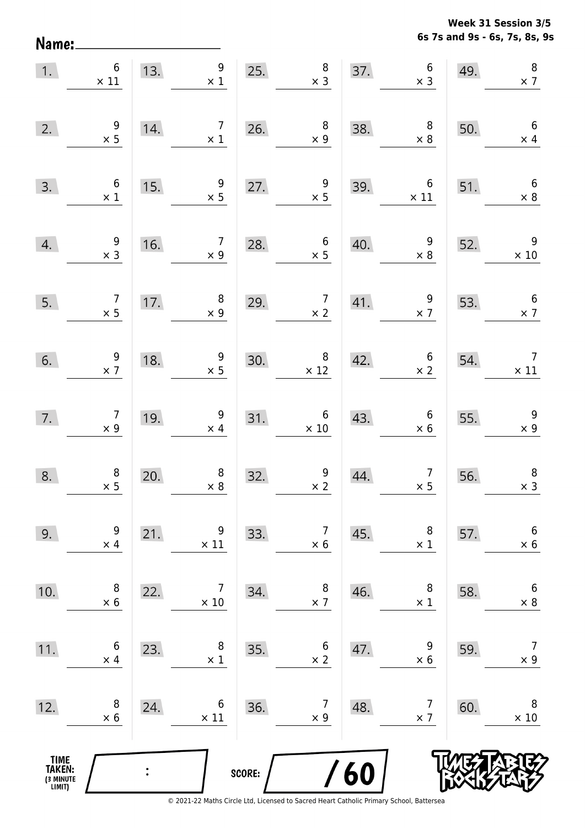**6s 7s and 9s - 6s, 7s, 8s, 9s Week 31 Session 3/5** 

| $\overline{1}$ .                              | $6\phantom{a}$<br>$\times$ 11                |                                        | 13. $\begin{array}{c} 9 \\ \times 1 \end{array}$    |        | 25. $\begin{array}{r} 8 \\ \times 3 \end{array}$                                                                                   |     | 37. $6 \times 3$                                         | 49.                                  | $\, 8$<br>$\times 7$                          |
|-----------------------------------------------|----------------------------------------------|----------------------------------------|-----------------------------------------------------|--------|------------------------------------------------------------------------------------------------------------------------------------|-----|----------------------------------------------------------|--------------------------------------|-----------------------------------------------|
| 2.                                            | $\frac{9}{x}$                                | $\begin{array}{c}\n14. \\ \end{array}$ |                                                     |        | $\begin{array}{ c c c }\n \hline\n 7 & 26. & 8 \\  \times 1 & \times 9 & \end{array}$                                              | 38. | $\begin{array}{c} 8.6 \ \times 8 \ \times 8 \end{array}$ | 50.                                  | $6\overline{6}$<br>$\frac{1}{\times 4}$       |
| 3.                                            | $\begin{array}{c} 6 \\ \times 1 \end{array}$ |                                        | $\begin{array}{r} 9 \\ \times 5 \end{array}$<br>15. |        | 27. $\begin{array}{r} 9 \\ \times 5 \end{array}$                                                                                   |     | 39. $6 \times 11 \times 8$                               |                                      | $6\overline{6}$                               |
| 4.                                            | $\frac{9}{2}$                                |                                        |                                                     |        | 16. $\begin{array}{@{}c@{\hspace{1em}}c@{\hspace{1em}}c@{\hspace{1em}}}\n & 7 & 28. & 6 \\  \times 9 & & \times 5 & & \end{array}$ | 40. | $\begin{array}{c c} 9 \\ \times 8 \end{array}$           | 52.                                  | $\begin{array}{c} 9 \\ \times 10 \end{array}$ |
| 5.                                            | $\begin{array}{c} 7 \\ \times 5 \end{array}$ |                                        | 17. $\begin{array}{c} 8 \\ \times 9 \end{array}$    |        | 29. $\begin{array}{c c} 7 & 41. & 9 \\ \times 2 & \times 7 \end{array}$                                                            |     |                                                          |                                      | 53. $6 \times 7$                              |
| 6.                                            | $\begin{array}{c} 9 \\ \times 7 \end{array}$ |                                        | 18. $\begin{array}{c} 9 \\ \times 5 \end{array}$    |        | $30.$ $8 \times 12$                                                                                                                | 42. | $\begin{array}{c} 6 \\ \times 2 \end{array}$             | 54.                                  | $\begin{array}{c} 7 \\ \times 11 \end{array}$ |
| 7.                                            | $\begin{array}{c} 7 \\ \times 9 \end{array}$ |                                        | 19. $\begin{array}{c} 9 \\ \times 4 \end{array}$    |        | $31.$ $6 \times 10$                                                                                                                | 43. | $6\n\times 6$                                            | $\begin{array}{c}\n55.\n\end{array}$ | $\frac{9}{x}$                                 |
| 8.                                            | $\begin{array}{r} 8 \\ \times 5 \end{array}$ | 20.                                    | $\begin{array}{r} 8 \\ \times 8 \end{array}$        |        | 32. $\begin{array}{r} 9 \\ \times 2 \end{array}$                                                                                   | 44. | $\begin{array}{c c}\n7 \\ \times 5\n\end{array}$         | 56.                                  | $\begin{array}{c} 8 \\ \times 3 \end{array}$  |
| 9.                                            | 9<br>$\times$ 4                              | 21.                                    | 9<br>$\times$ 11                                    | 33.    | 7<br>$\times 6$                                                                                                                    | 45. | 8<br>$\times$ 1                                          | 57.                                  | $\boldsymbol{6}$<br>$\times$ 6                |
| 10.                                           | 8<br>$\times$ 6                              | 22.                                    | 7<br>$\times$ 10                                    | 34.    | 8<br>$\times$ 7                                                                                                                    | 46. | 8<br>$\times$ 1                                          | 58.                                  | 6<br>$\times$ 8                               |
| 11.                                           | 6<br>$\times$ 4                              | 23.                                    | 8<br>$\times$ 1                                     | 35.    | 6<br>$\times$ 2                                                                                                                    | 47. | 9<br>$\times 6$                                          | 59.                                  | $\overline{7}$<br>$\times$ 9                  |
| 12.                                           | 8<br>$\times 6$                              | 24.                                    | 6<br>$\times$ 11                                    | 36.    | 7<br>$\times$ 9                                                                                                                    | 48. | 7<br>$\times$ 7                                          | 60.                                  | 8<br>$\times$ 10                              |
| <b>TIME<br/>TAKEN:</b><br>(3 MINUTE<br>LIMIT) |                                              |                                        |                                                     | SCORE: |                                                                                                                                    | 60  |                                                          |                                      |                                               |

Name: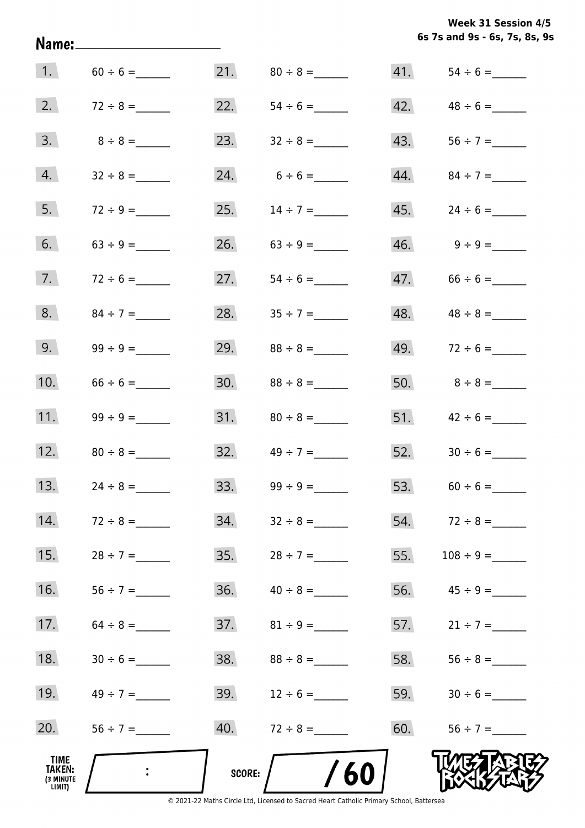**6s 7s and 9s - 6s, 7s, 8s, 9s Week 31 Session 4/5** 

|                                       |                  |            |               |     | 6s 7s and 9s - 6s, 7s, 8s, 9 |
|---------------------------------------|------------------|------------|---------------|-----|------------------------------|
|                                       | 1. $60 \div 6 =$ |            |               | 41. |                              |
| 2.                                    |                  | 22.        |               | 42. |                              |
| 3.                                    | $8 \div 8 =$     | 23.        |               | 43. |                              |
| 4.                                    |                  | 24.        |               | 44. |                              |
| 5.                                    | $72 \div 9 =$    | 25.        | $14 \div 7 =$ | 45. |                              |
| 6.                                    |                  | 26.        | $63 \div 9 =$ |     | $46. \qquad 9 \div 9 =$      |
| 7.                                    | $72 \div 6 =$    | 27.        |               |     | $47.66 \div 6 =$             |
| 8.                                    |                  | 28.        | $35 \div 7 =$ |     |                              |
| 9.                                    |                  | 29.        | $88 \div 8 =$ |     | 49. $72 \div 6 =$            |
| 10.                                   | $66 \div 6 =$    | 30.        | $88 \div 8 =$ |     |                              |
| 11.                                   |                  |            |               |     |                              |
| 12.                                   | $80 \div 8 =$    | 32.        | $49 \div 7 =$ |     |                              |
| 13.                                   | $24 \div 8 =$    | 33.        | $99 \div 9 =$ |     | 53. $60 \div 6 =$            |
| 14.                                   | $72 \div 8 =$    | 34.        | $32 \div 8 =$ |     | 54. $72 \div 8 =$            |
| 15.                                   | $28 \div 7 =$    | 35.        | $28 \div 7 =$ | 55. |                              |
| 16.                                   | $56 \div 7 =$    | 36.        | $40 \div 8 =$ |     | 56. $45 \div 9 =$            |
| 17.                                   | $64 \div 8 =$    | 37.        |               |     | 57. $21 \div 7 =$            |
| 18.                                   | $30 \div 6 =$    | 38.        | $88 \div 8 =$ | 58. |                              |
| 19.                                   | $49 \div 7 =$    | 39.        | $12 \div 6 =$ | 59. |                              |
| 20.                                   |                  | 40.        | $72 \div 8 =$ | 60. |                              |
| TIME<br>TAKEN:<br>(3 MINUTE<br>LIMIT) | $\mathbb{R}^2$   | SCORE: $/$ | /60           |     |                              |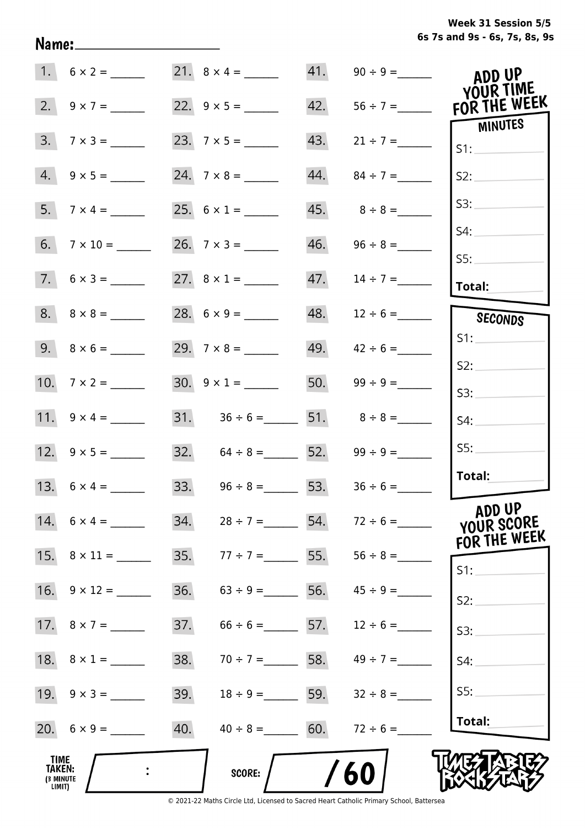**6s 7s and 9s - 6s, 7s, 8s, 9s Week 31 Session 5/5** 

|                                       |                    |     | 21. $8 \times 4 =$                 |     |                                 | ADD UP<br>YOUR TIME                  |
|---------------------------------------|--------------------|-----|------------------------------------|-----|---------------------------------|--------------------------------------|
| 2.                                    | $9 \times 7 =$     |     |                                    | 42. | $56 \div 7 =$                   | FOR THE WEEK                         |
| 3.                                    | $7 \times 3 =$     |     |                                    | 43. | $21 \div 7 =$                   | <b>MINUTES</b><br>S1:                |
| 4.                                    |                    |     |                                    | 44. | $84 \div 7 =$                   | S2:                                  |
| 5.                                    | $7 \times 4 =$     |     |                                    | 45. | $8 \div 8 =$                    | S3:                                  |
| 6.                                    |                    |     |                                    | 46. |                                 | S4:                                  |
|                                       | $7.6 \times 3 =$   |     | 27. $8 \times 1 =$                 | 47. | $14 \div 7 =$                   | SS:                                  |
|                                       |                    |     |                                    |     |                                 | Total:                               |
|                                       |                    |     |                                    | 48. | $12 \div 6 =$                   | SECONDS                              |
|                                       |                    |     | 29. $7 \times 8 =$                 | 49. | $42 \div 6 =$                   | S1:                                  |
|                                       |                    |     |                                    |     |                                 | S2:                                  |
|                                       | 10. $7 \times 2 =$ |     | $30. 9 \times 1 =$                 | 50. |                                 | S3:                                  |
|                                       | 11. $9 \times 4 =$ |     | 31. $36 \div 6 =$ 51. $8 \div 8 =$ |     |                                 | S4:                                  |
|                                       |                    |     | 32. $64 \div 8 =$ 52.              |     | $99 \div 9 =$                   | SS:                                  |
|                                       |                    |     | 33. $96 \div 8 =$ 53.              |     | $36 \div 6 =$                   | Total:                               |
|                                       | 14. $6 \times 4 =$ | 34. |                                    |     | $28 \div 7 =$ 54. $72 \div 6 =$ | ADD UP<br>YOUR SCORE<br>FOR THE WEEK |
|                                       |                    | 35. | $77 \div 7 =$ 55.                  |     |                                 | S1:                                  |
|                                       |                    | 36. | $63 \div 9 =$ 56.                  |     | $45 \div 9 =$                   | S2:                                  |
|                                       | 17. $8 \times 7 =$ | 37. | $66 \div 6 =$ 57.                  |     | $12 \div 6 =$                   | S3:                                  |
|                                       | 18. $8 \times 1 =$ | 38. | $70 \div 7 =$ 58.                  |     | $49 \div 7 =$                   | S4:                                  |
|                                       |                    | 39. | $18 \div 9 =$ 59.                  |     | $32 \div 8 =$                   | S5:                                  |
|                                       |                    | 40. | $40 \div 8 = 60.$                  |     | $72 \div 6 =$                   | Total:                               |
| TIME<br>TAKEN:<br>(3 MINUTE<br>LIMIT) |                    |     | SCORE:                             |     | 60                              |                                      |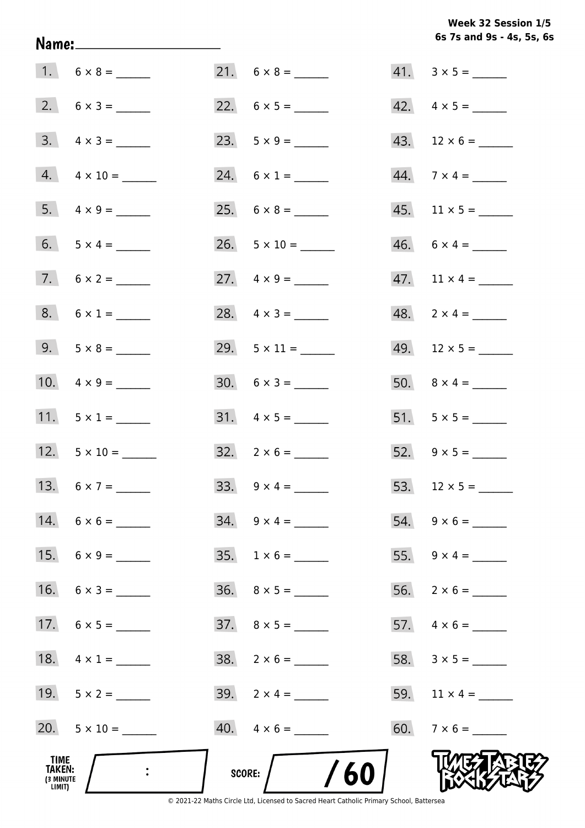Week 32 Session 1/5 6s 7s and 9s - 4s, 5s, 6s

| TIME<br>TAKEN:<br>(3 MINUTE<br>LIMIT) |                           | /60<br>SCORE:            |                          |
|---------------------------------------|---------------------------|--------------------------|--------------------------|
|                                       | 20. $5 \times 10 =$       | $40. \quad 4 \times 6 =$ |                          |
|                                       | 19. $5 \times 2 =$        | 39. $2 \times 4 =$       | 59. $11 \times 4 =$      |
|                                       | 18. $4 \times 1 =$        | $38. 2 \times 6 =$       |                          |
|                                       | 17. $6 \times 5 =$        | $37. \quad 8 \times 5 =$ |                          |
|                                       | 16. $6 \times 3 =$        |                          |                          |
|                                       |                           |                          | 55. $9 \times 4 =$       |
|                                       | 14. $6 \times 6 =$        | $34. \quad 9 \times 4 =$ | $54. 9 \times 6 =$       |
|                                       | 13. $6 \times 7 =$        |                          |                          |
|                                       | 12. $5 \times 10 =$       | $32. \quad 2 \times 6 =$ | 52. $9 \times 5 =$       |
|                                       | 11. $5 \times 1 =$        | $31. \quad 4 \times 5 =$ | $51. 5 \times 5 =$       |
|                                       | 10. $4 \times 9 =$        | $30. 6 \times 3 =$       |                          |
|                                       | 9. $5 \times 8 =$         | 29. $5 \times 11 =$      | $49.$ 12 × 5 = ______    |
|                                       | $8. 6 \times 1 =$         | 28. $4 \times 3 =$       | $48. 2 \times 4 =$       |
|                                       |                           |                          |                          |
|                                       | 6. $5 \times 4 =$         | $26. 5 \times 10 =$      | $46. 6 \times 4 =$       |
|                                       | $5. \quad 4 \times 9 =$   |                          |                          |
|                                       | $4. \qquad 4 \times 10 =$ | 24. $6 \times 1 =$       | $44.7 \times 4 =$        |
|                                       | $3. \quad 4 \times 3 =$   |                          |                          |
|                                       | $2. 6 \times 3 =$         |                          | $42. \quad 4 \times 5 =$ |
|                                       |                           |                          | $41. 3 \times 5 =$       |

Name: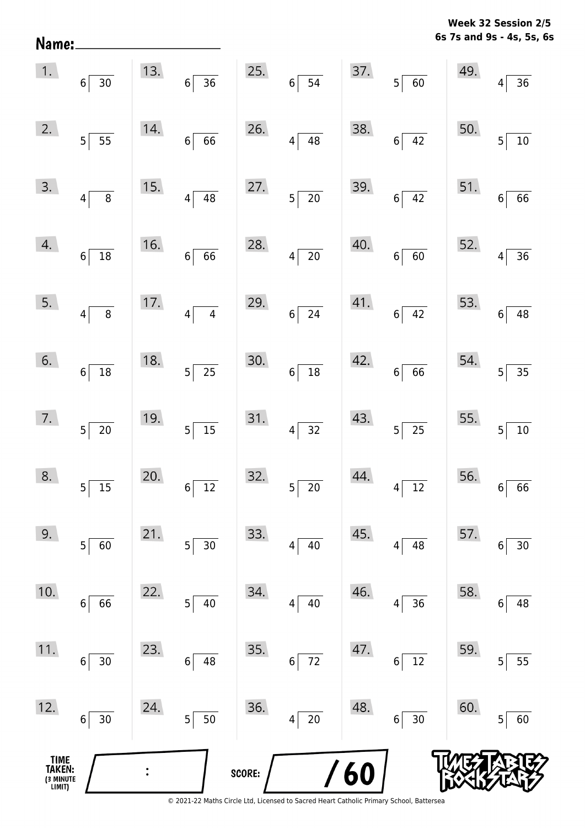**6s 7s and 9s - 4s, 5s, 6s Week 32 Session 2/5** 

| Name:                                 |                                |     |                                            |        |                             |            |                                |     | 6s 7s and 9s - 4s, 5s, 6            |
|---------------------------------------|--------------------------------|-----|--------------------------------------------|--------|-----------------------------|------------|--------------------------------|-----|-------------------------------------|
| 1.                                    | $6\vert$<br>30                 | 13. | $\overline{36}$<br>$6\vert$                | 25.    | $6\overline{)}54$           | 37.        | $\overline{60}$<br>$5\sqrt{2}$ | 49. | $\overline{36}$<br>4                |
| 2.                                    | $5\vert$<br>55                 | 14. | $\overline{66}$<br>6                       | 26.    | $4\sqrt{ }$<br>48           | 38.        | $\overline{42}$<br>$6\vert$    | 50. | $\overline{10}$<br>5                |
| 3.                                    | $\, 8$<br>$4\vert$             | 15. | $\overline{48}$<br>$\overline{\mathbf{4}}$ | 27.    | $5\overline{\smash{)}\ 20}$ | 39.        | $\overline{42}$<br>$6\vert$    | 51. | $\overline{66}$<br>$\bf 6$          |
| 4.                                    | $18\,$<br>$6\vert$             | 16. | $\overline{66}$<br>$6\phantom{a}$          | 28.    | $4\overline{20}$            | 40.        | $\overline{60}$<br>$6\vert$    | 52. | $\overline{36}$<br>4                |
| 5.                                    | $\overline{\bf 8}$<br>$4\vert$ | 17. | $\overline{4}$<br>$\vert 4 \vert$          | 29.    | $6\overline{24}$            | 41.        | $6\overline{)42}$              | 53. | $\overline{48}$<br>$\boldsymbol{6}$ |
| 6.                                    | $6\vert$<br>18                 | 18. | $\overline{25}$<br>$\overline{5}$          | 30.    | $6 \overline{)18}$          | 42.        | $\overline{66}$<br>$6\vert$    | 54. | $\overline{35}$<br>5                |
| 7.                                    | $5\vert$<br>20                 | 19. | $\overline{15}$<br>$5\vert$                | 31.    | $4 \overline{)32}$          | 43.        | $5\overline{25}$               | 55. | 5<br>$10\,$                         |
| 8.                                    | 15<br>5                        | 20. | $\overline{12}$<br>$\overline{6}$          | 32.    | $\overline{20}$<br>$5\vert$ | 44.        | 12<br>4                        | 56. | 66<br>6                             |
| 9.                                    | 60<br>$5\vert$                 | 21. | 30<br>5                                    | 33.    | $40\,$<br>4                 | 45.        | 48<br>$\vert 4 \vert$          | 57. | $30\,$<br>6                         |
| 10.                                   | 66<br>$6 \mid$                 | 22. | 40<br>5                                    | 34.    | 40<br>$4\vert$              | 46.        | 36<br>4                        | 58. | 48<br>6                             |
| 11.                                   | $6\vert$<br>30                 | 23. | 6<br>48                                    | 35.    | $6\overline{72}$            | 47.        | 12<br>$6\vert$                 | 59. | 55<br>5                             |
| 12.                                   | 30<br>$6\vert$                 | 24. | 50<br>$\overline{5}$                       | 36.    | $\overline{20}$<br> 4       | 48.        | 30<br>$6\vert$                 | 60. | 60<br>5                             |
| TIME<br>TAKEN:<br>(3 MINUTE<br>LIMIT) |                                |     |                                            | SCORE: |                             | <b>/60</b> |                                |     |                                     |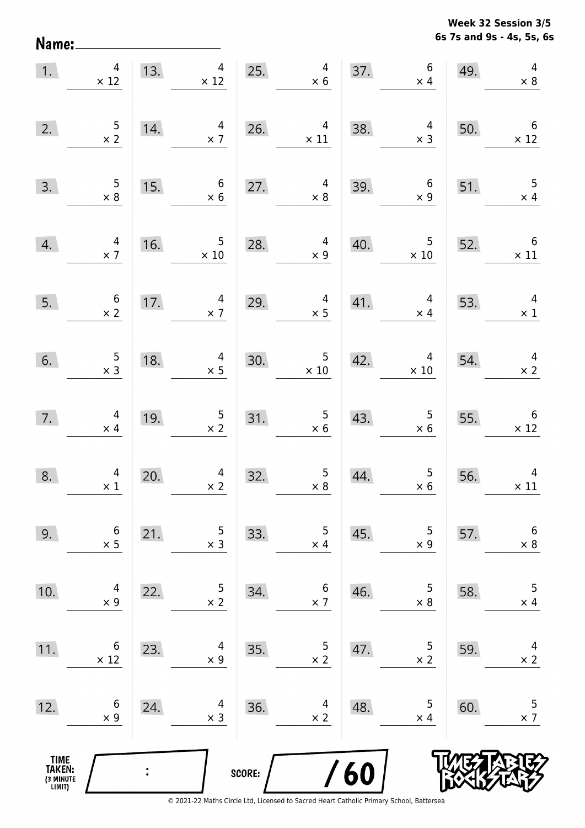Name:

**6s 7s and 9s - 4s, 5s, 6s Week 32 Session 3/5** 

| 1.                                            | $\overline{4}$<br>$\times$ 12                | 13. | $\overline{4}$<br>$\times$ 12                 | 25.    | $\overline{4}$<br>$\times 6$                    |     | 37.6<br>$\times$ 4             | 49. | $\overline{4}$<br>$\times$ 8           |
|-----------------------------------------------|----------------------------------------------|-----|-----------------------------------------------|--------|-------------------------------------------------|-----|--------------------------------|-----|----------------------------------------|
| 2.                                            | $\frac{5}{\times 2}$                         | 14. | $\overline{4}$<br>$\times$ 7                  | 26.    | $\overline{4}$<br>$\times$ 11                   | 38. | $\overline{4}$<br>$\times$ 3   | 50. | $6\overline{6}$<br>$\times$ 12         |
| 3.                                            | $\begin{array}{r} 5 \\ \times 8 \end{array}$ | 15. | $6\phantom{.}6$<br>$\times$ 6                 | 27.    | $\overline{4}$<br>$\times$ 8                    | 39. | $6\overline{6}$<br>$\times$ 9  | 51. | $\overline{\phantom{0}}$<br>$\times$ 4 |
| 4.                                            | $\begin{array}{c} 4 \\ \times 7 \end{array}$ | 16. | $\begin{array}{c} 5 \\ \times 10 \end{array}$ | 28.    | $\overline{4}$<br>$\times$ 9                    | 40. | $5\phantom{.0}$<br>$\times$ 10 | 52. | $6\overline{6}$<br>$\times$ 11         |
| 5.                                            | $\begin{array}{c} 6 \\ \times 2 \end{array}$ | 17. | $\begin{array}{c} 4 \\ \times 7 \end{array}$  | 29.    | $\overline{a}$<br>$\times$ 5                    | 41. | $\overline{4}$<br>$\times$ 4   | 53. | $\overline{4}$<br>$\times$ 1           |
| 6.                                            | $\begin{array}{c} 5 \\ x 3 \end{array}$      | 18. | $\overline{4}$<br>$\times$ 5                  | 30.    | $\begin{array}{c} 5 \\ \times \ 10 \end{array}$ | 42. | $\overline{4}$<br>$\times$ 10  | 54. | $\overline{4}$<br>$\times$ 2           |
| 7.                                            | $\overline{a}$<br>$\times$ 4                 | 19. | $\frac{5}{x}$ 2                               | 31.    | $\begin{array}{r} 5 \\ \times 6 \end{array}$    | 43. | $5\phantom{.0}$<br>$\times$ 6  | 55. | $\overline{6}$<br>$\times$ 12          |
| 8.                                            | $\begin{array}{c}4\\ \times 1\end{array}$    | 20. | $\begin{array}{r}4 \\ \times 2\end{array}$    | 32.    | $\begin{array}{c} 5 \\ \times 8 \end{array}$    | 44. | $\frac{5}{x}$                  | 56. | $\overline{a}$<br>$\times$ 11          |
| 9.                                            | 6<br>$\times$ 5                              | 21. | 5<br>$\times$ 3                               | 33.    | 5<br>$\times$ 4                                 | 45. | 5<br>$\times$ 9                | 57. | $\boldsymbol{6}$<br>$\times$ 8         |
| 10.                                           | 4<br>$\times$ 9                              | 22. | 5<br>$\times$ 2                               | 34.    | 6<br>$\times$ 7                                 | 46. | 5<br>$\times$ 8                | 58. | 5<br>$\times$ 4                        |
| 11.                                           | 6<br>$\times$ 12                             | 23. | 4<br>$\times$ 9                               | 35.    | 5<br>$\times$ 2                                 | 47. | 5<br>$\times$ 2                | 59. | 4<br>$\times$ 2                        |
| 12.                                           | 6<br>$\times$ 9                              | 24. | 4<br>$\times$ 3                               | 36.    | 4<br>$\times$ 2                                 | 48. | 5<br>$\times$ 4                | 60. | 5<br>$\times$ 7                        |
| <b>TIME<br/>TAKEN:</b><br>(3 MINUTE<br>LIMIT) |                                              |     |                                               | SCORE: |                                                 | 60  |                                |     |                                        |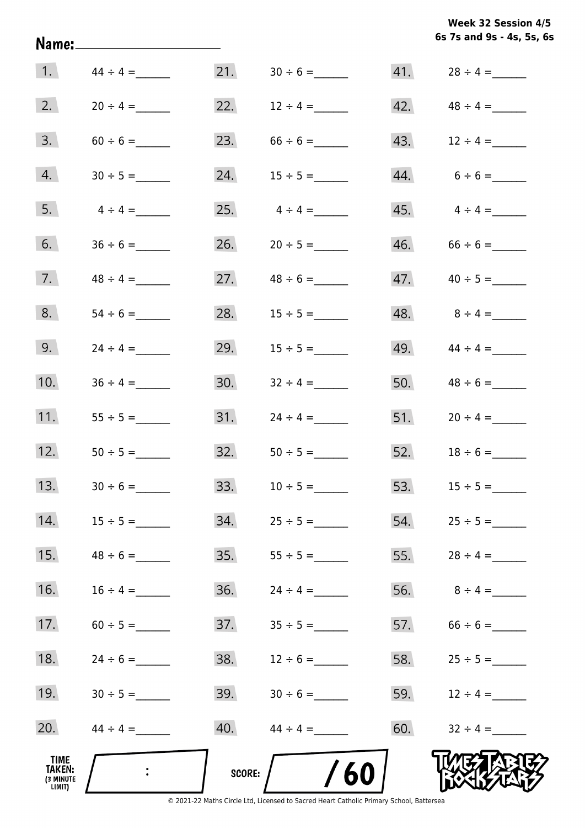| Week 32 Session 4/5       |  |
|---------------------------|--|
| 6s 7s and 9s - 4s, 5s, 6s |  |

| 1.                                           | $44 \div 4 =$ | 21.    |                   |     |                    |
|----------------------------------------------|---------------|--------|-------------------|-----|--------------------|
| 2.                                           | $20 \div 4 =$ |        | 22. $12 \div 4 =$ |     |                    |
| 3.                                           |               | 23.    |                   |     | 43. $12 \div 4 =$  |
| 4.                                           |               | 24.    | $15 \div 5 =$     |     | $44. 6 \div 6 =$   |
| 5.                                           | $4 \div 4 =$  | 25.    | $4 \div 4 =$      |     |                    |
| 6.                                           |               | 26.    | $20 \div 5 =$     |     |                    |
| 7.                                           |               |        | 27. $48 \div 6 =$ |     |                    |
| 8.                                           |               | 28.    | $15 \div 5 =$     |     | $48.$ $8 \div 4 =$ |
| 9.                                           | $24 \div 4 =$ | 29.    | $15 \div 5 =$     |     | $49.44 \div 4 =$   |
| 10.                                          |               | 30.    | $32 \div 4 =$     |     |                    |
| 11.                                          |               | 31.    | $24 \div 4 =$     |     |                    |
| 12.                                          |               | 32.    | $50 \div 5 =$     |     | 52. $18 \div 6 =$  |
| 13.                                          |               | 33.    | $10 \div 5 =$     |     |                    |
| 14.                                          |               | 34.    |                   | 54. | $25 \div 5 =$      |
| 15.                                          | $48 \div 6 =$ | 35.    | $55 \div 5 =$     | 55. |                    |
| 16.                                          | $16 \div 4 =$ | 36.    | $24 \div 4 =$     | 56. | $8 \div 4 =$       |
| 17.                                          |               | 37.    |                   | 57. | $66 \div 6 =$      |
| 18.                                          | $24 \div 6 =$ | 38.    | $12 \div 6 =$     | 58. | $25 \div 5 =$      |
| 19.                                          |               | 39.    | $30 \div 6 =$     | 59. | $12 \div 4 =$      |
| 20.                                          |               | 40.    | $44 \div 4 =$     | 60. | $32 \div 4 =$      |
| TIME<br><b>TAKEN:</b><br>(3 MINUTE<br>LIMIT) |               | SCORE: | 60                |     |                    |

Name: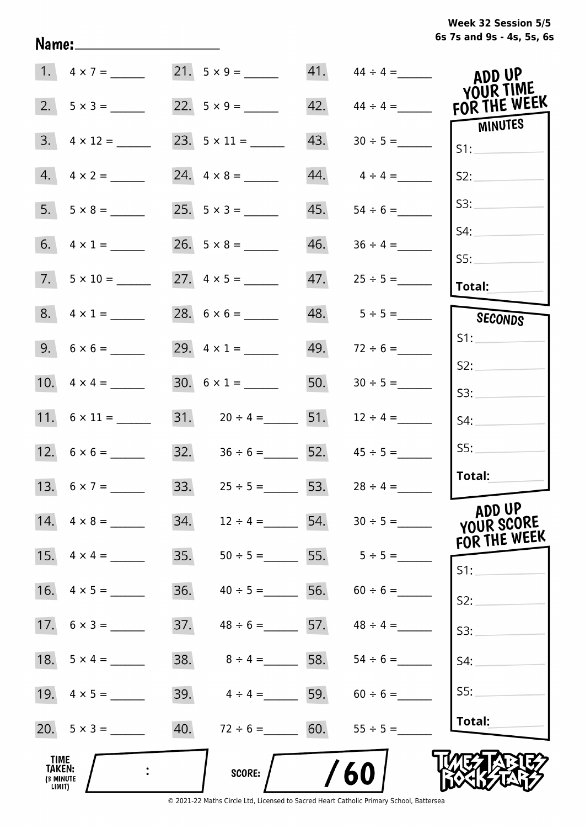## **6s 7s and 9s - 4s, 5s, 6s Week 32 Session 5/5**

|                                              | 1. $4 \times 7 =$       | $21. 5 \times 9 =$                   |     |                  | ADD UP                    |
|----------------------------------------------|-------------------------|--------------------------------------|-----|------------------|---------------------------|
| 2.                                           |                         |                                      | 42. | $44 \div 4 =$    | YOUR TIME<br>FOR THE WEEK |
| 3.                                           | $4 \times 12 =$         |                                      | 43. |                  | MINUTES<br>S1:            |
| 4.                                           | $4 \times 2 =$          |                                      | 44. | $4 \div 4 =$     | S2:                       |
|                                              | $5. \quad 5 \times 8 =$ |                                      | 45. | $54 \div 6 =$    | S3:                       |
|                                              |                         |                                      | 46. |                  | S4:                       |
|                                              | $7. 5 \times 10 =$      |                                      | 47. | $25 \div 5 =$    | SS:<br>Total:             |
|                                              | $8. 4 \times 1 =$       |                                      |     | $48. 5 \div 5 =$ | SECONDS                   |
|                                              | $9. 6 \times 6 =$       | 29. $4 \times 1 =$                   | 49. | $72 \div 6 =$    | S1:                       |
|                                              |                         | $30. 6 \times 1 =$                   | 50. | $30 \div 5 =$    | S2:                       |
|                                              | 11. $6 \times 11 =$     | 31. $20 \div 4 =$ 51.                |     | $12 \div 4 =$    | S3:<br>S4:                |
|                                              |                         | $32. \hspace{1.5cm} 36 \div 6 =$ 52. |     | $45 \div 5 =$    | SS:                       |
|                                              | 13. $6 \times 7 =$      | 33. $25 \div 5 = 53$ .               |     | $28 \div 4 =$    | Total:                    |
|                                              | 14. $4 \times 8 =$      | 34.<br>$12 \div 4 =$ 54.             |     |                  | ADD UP<br>YOUR SCORE      |
|                                              | 15. $4 \times 4 =$      | 35.<br>$50 \div 5 =$                 |     | 55. $5 \div 5 =$ | FOR THE WEEK<br>S1:       |
| 16.                                          | $4 \times 5 =$          | 36.<br>$40 \div 5 =$                 | 56. | $60 \div 6 =$    | S2:                       |
|                                              |                         | 37.<br>$48 \div 6 =$ 57.             |     | $48 \div 4 =$    | S3:                       |
|                                              |                         | 38.<br>$8 \div 4 = 58.$              |     |                  | S4:                       |
|                                              |                         | 39.<br>$4 \div 4 = 59.$              |     | $60 \div 6 =$    | S5:                       |
|                                              |                         | 40. $72 \div 6 = 60$ .               |     | $55 \div 5 =$    | Total:                    |
| <b>TIME</b><br>TAKEN:<br>(3 MINUTE<br>LIMIT) |                         | <b>SCORE:</b>                        |     | 60               |                           |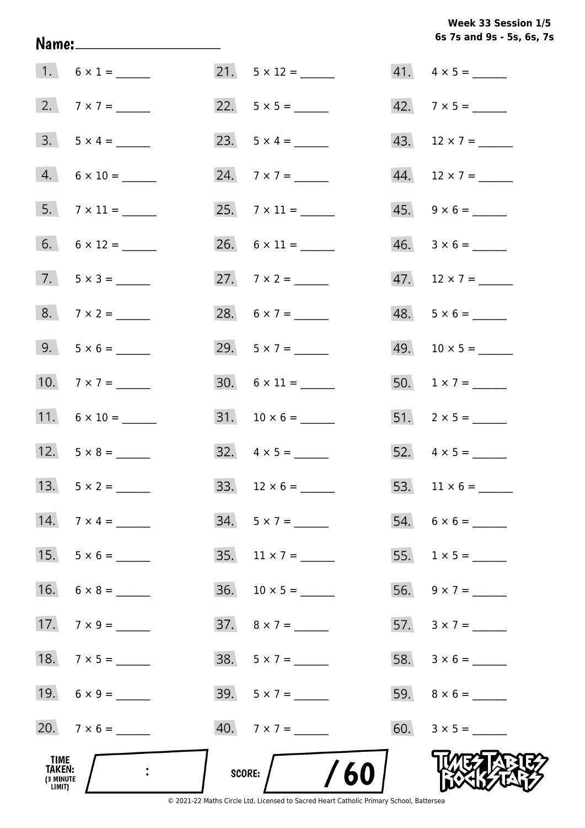## **6s 7s and 9s - 5s, 6s, 7s Week 33 Session 1/5**

| TIME<br>TAKEN:<br>(3 MINUTE<br>LIMIT) |                     | /60<br>SCORE:            |                          |
|---------------------------------------|---------------------|--------------------------|--------------------------|
|                                       | 20. $7 \times 6 =$  | $40.7 \times 7 =$        | 60. $3 \times 5 =$       |
|                                       | 19. $6 \times 9 =$  | $39.5 \times 7 =$        |                          |
|                                       | 18. $7 \times 5 =$  | $38. 5 \times 7 =$       |                          |
|                                       | 17. $7 \times 9 =$  | 37. $8 \times 7 =$       | 57. $3 \times 7 =$       |
|                                       | 16. $6 \times 8 =$  |                          |                          |
| 15.                                   | $5 \times 6 =$      | 35. $11 \times 7 =$      |                          |
| 14.                                   | $7 \times 4 =$      | $34. 5 \times 7 =$       |                          |
|                                       |                     |                          | 53. $11 \times 6 =$      |
|                                       |                     | $32. \quad 4 \times 5 =$ | 52. $4 \times 5 =$       |
|                                       | 11. $6 \times 10 =$ | $31. 10 \times 6 =$      |                          |
|                                       | 10. $7 \times 7 =$  |                          | 50. $1 \times 7 =$       |
|                                       | $9. 5 \times 6 =$   | 29. $5 \times 7 =$       |                          |
|                                       | $8. 7 \times 2 =$   | 28. $6 \times 7 =$       | $48. 5 \times 6 =$       |
|                                       | $7. 5 \times 3 =$   | 27. $7 \times 2 =$       | 47. $12 \times 7 =$      |
|                                       |                     |                          | $46. \quad 3 \times 6 =$ |
|                                       | $5.7 \times 11 =$   |                          | $45. \quad 9 \times 6 =$ |
|                                       | $4. 6 \times 10 =$  | 24. $7 \times 7 =$       | 44. $12 \times 7 =$      |
|                                       | $3. 5 \times 4 =$   |                          | 43. $12 \times 7 =$      |
|                                       |                     |                          | 42. $7 \times 5 =$       |
|                                       | 1. $6 \times 1 =$   | $21. 5 \times 12 =$      | $41. \quad 4 \times 5 =$ |

Name: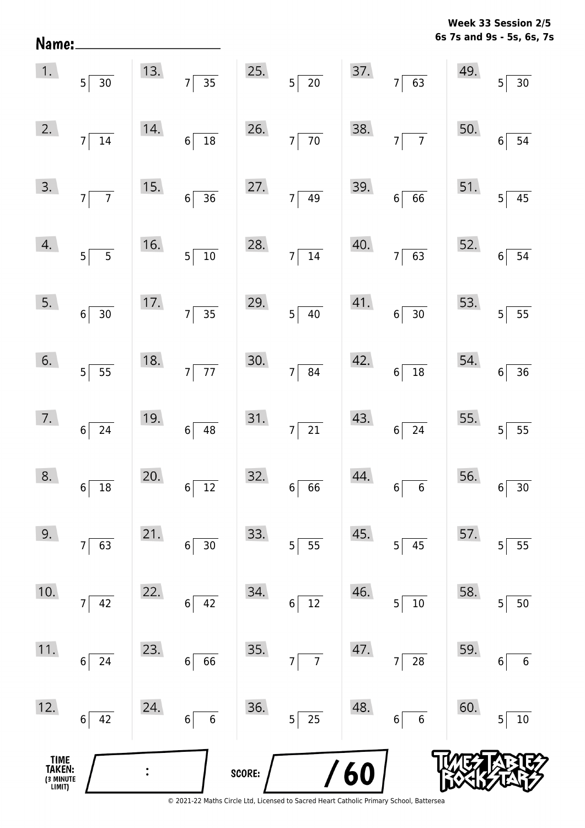| Name:                                 |                                        |     |                                        |        |                                   |            |                                   |     | 6s 7s and 9s - 5s, 6s, 7s            |
|---------------------------------------|----------------------------------------|-----|----------------------------------------|--------|-----------------------------------|------------|-----------------------------------|-----|--------------------------------------|
| 1.                                    | $5 \overline{)30}$                     | 13. | $\frac{1}{35}$<br>$7\vert$             | 25.    | $5\overline{\smash{)}\ 20}$       | 37.        | $\overline{63}$<br>7              | 49. | $5 \overline{\smash{)}30}$           |
| 2.                                    | 7<br>$\overline{14}$                   | 14. | $\overline{\mathbf{18}}$<br>$6\vert$   | 26.    | $\overline{70}$<br>$\overline{7}$ | 38.        | $\overline{7}$<br>$\overline{7}$  | 50. | $6\overline{)54}$                    |
| 3.                                    | $7\overline{7}$                        | 15. | $\overline{36}$<br>$6\vert$            | 27.    | $7\overline{49}$                  | 39.        | $\overline{66}$<br>$6\vert$       | 51. | $5\overline{)45}$                    |
| 4.                                    | $\overline{\phantom{0}}$ 5<br>$5\vert$ | 16. | $\overline{10}$<br>$5\vert$            | 28.    | $7\overline{)14}$                 | 40.        | $\overline{63}$<br>7              | 52. | $6\overline{)54}$                    |
| 5.                                    | $6 \overline{)30}$                     | 17. | $\overline{35}$<br>$7\vert$            | 29.    | $5\overline{)40}$                 | 41.        | $\overline{30}$<br>$6\vert$       | 53. | $5 \overline{\smash{)}\ 55}$         |
| 6.                                    | $5\overline{\smash{)}\ 55}$            | 18. | $\overline{77}$<br>$7\vert$            | 30.    | $7 \overline{\smash{)}\ 84}$      | 42.        | $\overline{18}$<br>$6\vert$       | 54. | $6 \overline{)36}$                   |
| 7.                                    | $6\overline{24}$                       | 19. | $6\vert$<br>48                         | 31.    | $\overline{21}$<br>$\overline{7}$ | 43.        | $\overline{24}$<br>$6\vert$       | 55. | $5 \overline{\smash{)}\ 55}$         |
| 8.                                    | 18<br>$6\vert$                         | 20. | $6\vert$<br>$\overline{12}$            | 32.    | $6 \overline{6}$                  | 44.        | $6\phantom{a}$<br>$6\phantom{1}6$ | 56. | 30<br>$6 \overline{6}$               |
| 9.                                    | 63<br>$7\vert$                         | 21. | 30<br>6 <sup>1</sup>                   | 33.    | $5\overline{\smash{)}\ 55}$       | 45.        | 45<br>5 <sup>1</sup>              | 57. | $5 \overline{\smash{)}55}$           |
| 10.                                   | $7 \overline{)42}$                     | 22. | 42<br>$6\vert$                         | 34.    | $6 \overline{\smash{)}\ 12}$      | 46.        | $\overline{10}$<br>5              | 58. | $5 \vert 50$                         |
| 11.                                   | $6 \mid 24$                            | 23. | 66<br>$6\vert$                         | 35.    | $7\overline{7}$                   | 47.        | $\overline{28}$<br>$\overline{7}$ | 59. | $\boldsymbol{6}$<br>$6 \overline{6}$ |
| 12.                                   | $6 \mid 42$                            | 24. | $\overline{\phantom{0}}$ 6<br>$6\vert$ | 36.    | $5\overline{25}$                  | 48.        | $\overline{6}$<br>$6\vert$        | 60. | 10<br>5 <sup>1</sup>                 |
| TIME<br>TAKEN:<br>(3 MINUTE<br>LIMIT) |                                        |     |                                        | SCORE: |                                   | <b>/60</b> |                                   |     |                                      |

**Week 33 Session 2/5**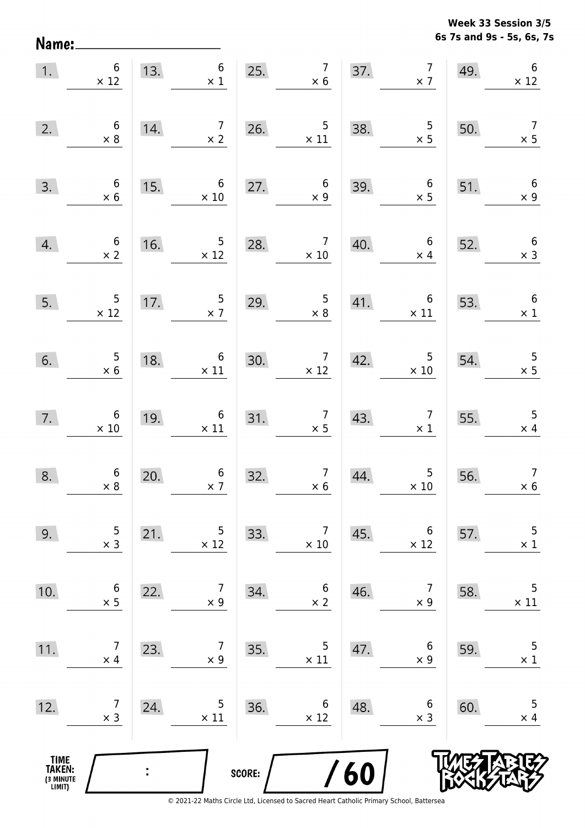Name:

**6s 7s and 9s - 5s, 6s, 7s Week 33 Session 3/5** 

| 1.                                    | $6\,$<br>$6 \times 12$                        |     | 13. $6 \times 1$                              |        | $\begin{array}{c} 7 \\ \times 6 \end{array}$<br>25.                                        |     | 37. $7 \times 7$                              | 49. | $\,6\,$<br>$\times$ 12                       |
|---------------------------------------|-----------------------------------------------|-----|-----------------------------------------------|--------|--------------------------------------------------------------------------------------------|-----|-----------------------------------------------|-----|----------------------------------------------|
| 2.                                    | $\begin{array}{c} 6 \\ \times 8 \end{array}$  | 14. | $\begin{array}{c} 7 \\ \times 2 \end{array}$  |        | 26. $5 \times 11$                                                                          | 38. | $\begin{array}{r} 5 \\ \times 5 \end{array}$  | 50. | $\overline{7}$<br>$\times$ 5                 |
| 3.                                    | $\begin{array}{c} 6 \\ \times 6 \end{array}$  | 15. | $6\overline{6}$<br>$\times 10$                | 27.    | $\begin{array}{c} 6 \\ \times 9 \end{array}$                                               | 39. | $6\overline{6}$<br>$\times$ 5                 | 51. | $6\overline{6}$<br>$\times$ 9                |
| 4.                                    | $\begin{array}{c} 6 \\ \times 2 \end{array}$  | 16. | $\overline{\phantom{0}}$<br>$\times$ 12       | 28.    | $\overline{7}$<br>$\times 10$                                                              | 40. | $6\overline{6}$<br>$\times$ 4                 | 52. | $6\overline{6}$<br>$\times$ 3                |
| 5.                                    | $\begin{array}{r} 5 \\ \times 12 \end{array}$ | 17. | $\frac{5}{2}$                                 | 29.    | $\overline{\phantom{0}}$<br>$\times 8$                                                     | 41. | $\overline{6}$<br>$\times$ 11                 | 53. | $6\overline{6}$<br>$\times$ 1                |
| 6.                                    | $\begin{array}{r} 5 \\ \times 6 \end{array}$  | 18. | $\begin{array}{c} 6 \\ \times 11 \end{array}$ | 30.    | $\times$ 12 42.                                                                            |     | $\overline{\phantom{a}}$<br>$\times$ 10       | 54. | $\frac{5}{x}$                                |
| 7.                                    | $6 \times 10$                                 | 19. | $\begin{array}{c} 6 \\ \times 11 \end{array}$ |        | 31. $\begin{array}{@{}c@{\hspace{1em}}c@{\hspace{1em}}c}\n & \times 5 & \n\end{array}$ 43. |     | $\begin{array}{c} 7 \\ \times 1 \end{array}$  | 55. | $\begin{array}{c} 5 \\ \times 4 \end{array}$ |
| 8.                                    | $\begin{array}{c} 6 \\ \times 8 \end{array}$  | 20. | $\begin{array}{c} 6 \\ \times 7 \end{array}$  | 32.    | $\begin{array}{c c}\n7 & 44 \\ \times 6 &\n\end{array}$                                    | 44. | $\begin{array}{c} 5 \\ \times 10 \end{array}$ | 56. | $\boldsymbol{7}$<br>$\times 6$               |
| 9.                                    | 5<br>$\times$ 3                               | 21. | 5<br>$\times$ 12                              | 33.    | 7<br>$\times$ 10                                                                           | 45. | 6<br>$\times$ 12                              | 57. | 5<br>$\times$ 1                              |
| 10.                                   | 6<br>$\times$ 5                               | 22. | 7<br>$\times$ 9                               | 34.    | $\boldsymbol{6}$<br>$\times$ 2                                                             | 46. | 7<br>$\times$ 9                               | 58. | 5<br>$\times$ 11                             |
| 11.                                   | 7<br>$\times$ 4                               | 23. | 7<br>$\times$ 9                               | 35.    | 5<br>$\times$ 11                                                                           | 47. | 6<br>$\times$ 9                               | 59. | 5<br>$\times$ 1                              |
| 12.                                   | 7<br>$\times$ 3                               | 24. | 5<br>$\times$ 11                              | 36.    | 6<br>$\times 12$                                                                           | 48. | 6<br>$\times$ 3                               | 60. | 5<br>$\times$ 4                              |
| TIME<br>TAKEN:<br>(3 MINUTE<br>LIMIT) |                                               |     |                                               | SCORE: |                                                                                            | /60 |                                               |     |                                              |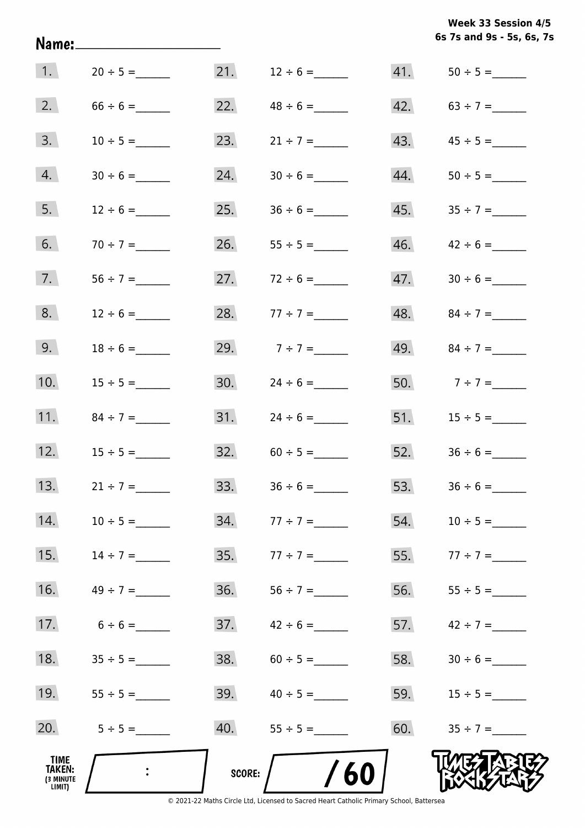| Week 33 Session 4/5 |  |                           |  |  |  |  |  |
|---------------------|--|---------------------------|--|--|--|--|--|
|                     |  | 6s 7s and 9s - 5s, 6s, 7s |  |  |  |  |  |

| 1.                                           | $20 \div 5 =$ | 21.           | $12 \div 6 =$     |     |                   |
|----------------------------------------------|---------------|---------------|-------------------|-----|-------------------|
| 2.                                           | $66 \div 6 =$ | 22.           | $48 \div 6 =$     |     | 42. $63 \div 7 =$ |
| 3.                                           | $10 \div 5 =$ | 23.           | $21 \div 7 =$     | 43. |                   |
| 4.                                           |               | 24.           |                   | 44. |                   |
| 5.                                           | $12 \div 6 =$ | 25.           |                   | 45. |                   |
| 6.                                           | $70 \div 7 =$ | 26.           |                   | 46. | $42 \div 6 =$     |
| 7.                                           |               | 27.           | $72 \div 6 =$     | 47. |                   |
| 8.                                           | $12 \div 6 =$ | 28.           | $77 \div 7 =$     |     | 48. $84 \div 7 =$ |
| 9.                                           |               | 29.           | $7 ÷ 7 =$         | 49. | $84 \div 7 =$     |
| 10.                                          | $15 \div 5 =$ | 30.           | $24 \div 6 =$     |     | 50. $7 \div 7 =$  |
| 11.                                          |               | 31.           | $24 \div 6 =$     |     |                   |
| 12.                                          | $15 \div 5 =$ |               | $32. 60 \div 5 =$ |     |                   |
| 13.                                          | $21 \div 7 =$ | 33.           | $36 \div 6 =$     |     |                   |
| 14.                                          | $10 \div 5 =$ | 34.           | $77 \div 7 =$     | 54. | $10 \div 5 =$     |
| 15.                                          | $14 \div 7 =$ | 35.           | $77 \div 7 =$     | 55. | $77 \div 7 =$     |
| 16.                                          |               | 36.           |                   | 56. |                   |
| 17.                                          | $6 \div 6 =$  | 37.           | $42 \div 6 =$     | 57. | $42 \div 7 =$     |
| 18.                                          |               | 38.           |                   | 58. |                   |
| 19.                                          |               | 39.           | $40 \div 5 =$     | 59. | $15 \div 5 =$     |
| 20.                                          | $5 \div 5 =$  | 40.           |                   | 60. |                   |
| TIME<br><b>TAKEN:</b><br>(3 MINUTE<br>LIMIT) |               | <b>SCORE:</b> | /60               |     |                   |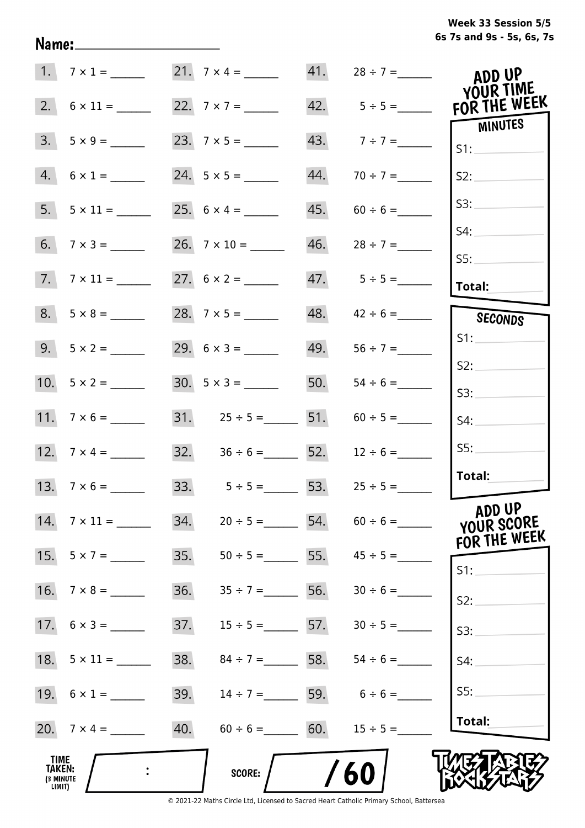## **6s 7s and 9s - 5s, 6s, 7s Week 33 Session 5/5**

|                                                     | 1. $7 \times 1 =$   |     |                                | 41. | $28 \div 7 =$                   | ADD UP                               |
|-----------------------------------------------------|---------------------|-----|--------------------------------|-----|---------------------------------|--------------------------------------|
|                                                     |                     |     |                                |     |                                 | YOUR TIME<br>FOR THE WEEK            |
| 3.                                                  |                     |     |                                |     | 43. $7 \div 7 =$                | MINUTES<br>S1:                       |
|                                                     | $4. 6 \times 1 =$   |     |                                | 44. | $70 \div 7 =$                   | S2:                                  |
|                                                     |                     |     |                                | 45. | $60 \div 6 =$                   | S3:                                  |
|                                                     |                     |     |                                | 46. | $28 \div 7 =$                   | S4:                                  |
|                                                     | $7.7 \times 11 =$   |     |                                |     |                                 | S5:<br>Total:                        |
|                                                     | $8. 5 \times 8 =$   |     | 28. $7 \times 5 =$             | 48. | $42 \div 6 =$                   | SECONDS                              |
|                                                     | $9.5 \times 2 =$    |     |                                | 49. |                                 | S1:                                  |
|                                                     |                     |     |                                | 50. |                                 | S2:<br>S3:                           |
|                                                     |                     |     | 31. $25 \div 5 =$ 51.          |     | $60 \div 5 =$                   | S4:                                  |
|                                                     |                     |     | 32. $36 \div 6 =$ 52.          |     | $12 \div 6 =$                   | SS:                                  |
|                                                     | 13. $7 \times 6 =$  |     | 33. $5 \div 5 = 53$ .          |     | $25 \div 5 =$                   | Total:                               |
|                                                     | 14. $7 \times 11 =$ | 34. | $20 \div 5 =$ 54.              |     |                                 | ADD UP<br>YOUR SCORE<br>FOR THE WEEK |
| 15.                                                 | $5 \times 7 =$      | 35. |                                |     | $50 \div 5 =$ 55. $45 \div 5 =$ | S1:                                  |
| 16.                                                 | $7 \times 8 =$      | 36. | $35 \div 7 =$ 56.              |     |                                 | S2:                                  |
|                                                     | 17. $6 \times 3 =$  | 37. | $15 \div 5 =$ 57.              |     | $30 \div 5 =$                   | S3:                                  |
|                                                     |                     | 38. | $84 \div 7 =$ 58.              |     | $54 \div 6 =$                   | S4:                                  |
|                                                     | 19. $6 \times 1 =$  | 39. | $14 \div 7 =$ 59. $6 \div 6 =$ |     |                                 | S5:                                  |
|                                                     | 20. $7 \times 4 =$  | 40. | $60 \div 6 =$ 60.              |     | $15 \div 5 =$                   | Total:                               |
| <b>TIME</b><br><b>TAKEN:</b><br>(3 MINUTE<br>LIMIT) |                     |     | <b>SCORE:</b>                  |     | 60                              |                                      |

Name: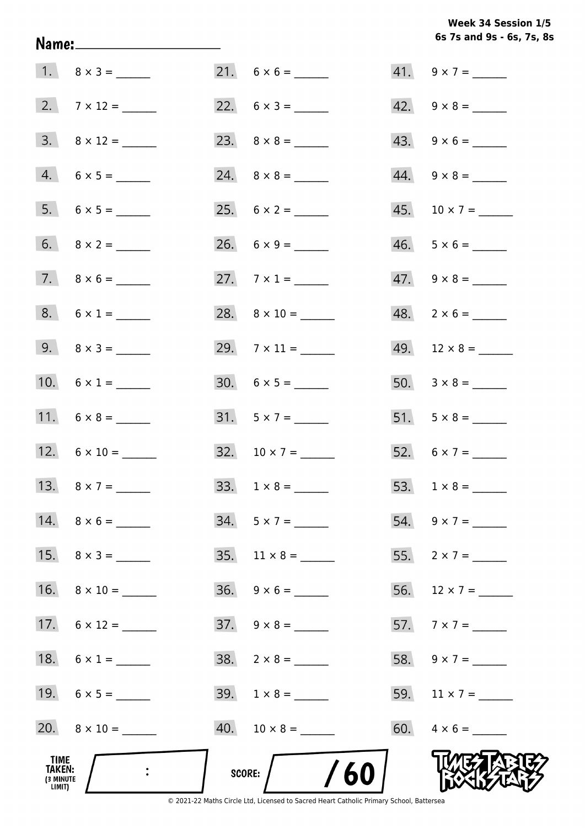**6s 7s and 9s - 6s, 7s, 8s Week 34 Session 1/5** 

|                                              |                     |                           | $41. 9 \times 7 =$       |
|----------------------------------------------|---------------------|---------------------------|--------------------------|
|                                              | 2. $7 \times 12 =$  |                           |                          |
|                                              |                     |                           | $43. 9 \times 6 =$       |
|                                              | $4. 6 \times 5 =$   |                           | $44. \quad 9 \times 8 =$ |
|                                              | $5. 6 \times 5 =$   |                           | $45. 10 \times 7 =$      |
|                                              |                     |                           | $46. 5 \times 6 =$       |
|                                              |                     | 27. $7 \times 1 =$        | $47. \quad 9 \times 8 =$ |
|                                              | $8. 6 \times 1 =$   |                           | $48. 2 \times 6 =$       |
|                                              | 9. $8 \times 3 =$   | 29. $7 \times 11 =$       | $49. 12 \times 8 =$      |
|                                              | 10. $6 \times 1 =$  | $30. 6 \times 5 =$        |                          |
|                                              |                     |                           |                          |
|                                              | 12. $6 \times 10 =$ |                           | 52. $6 \times 7 =$       |
|                                              | 13. $8 \times 7 =$  | 33. $1 \times 8 =$        |                          |
|                                              | 14. $8 \times 6 =$  | $34. 5 \times 7 =$        | 54. $9 \times 7 =$       |
|                                              | 15. $8 \times 3 =$  | $35. \quad 11 \times 8 =$ | 55. $2 \times 7 =$       |
|                                              |                     | $36. \quad 9 \times 6 =$  | 56. $12 \times 7 =$      |
|                                              | 17. $6 \times 12 =$ | $37. \quad 9 \times 8 =$  |                          |
|                                              | 18. $6 \times 1 =$  |                           | 58. $9 \times 7 =$       |
|                                              |                     |                           |                          |
|                                              | 20. $8 \times 10 =$ |                           |                          |
| TIME<br><b>TAKEN:</b><br>(3 MINUTE<br>LIMIT) |                     | SCORE: $/$ /60            |                          |

Name: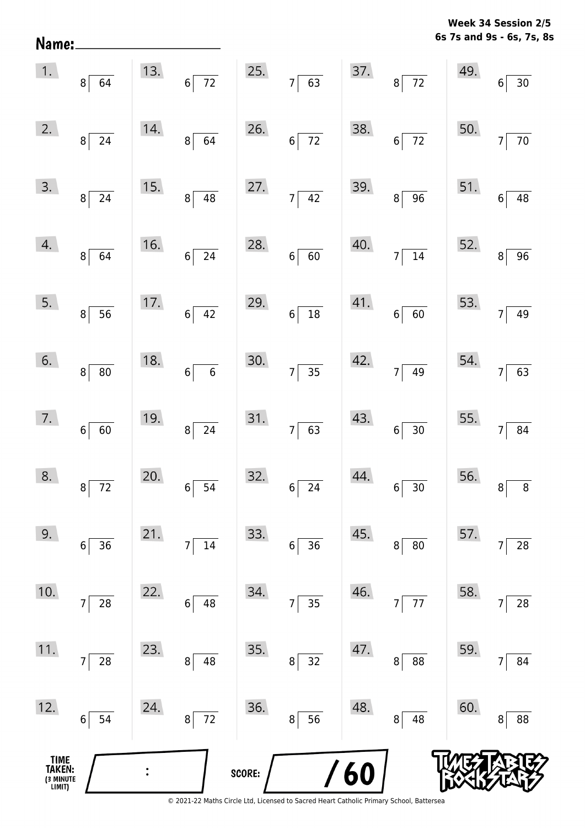**6s 7s and 9s - 6s, 7s, 8s Week 34 Session 2/5** 

| Name:                                         |                                 |     |                                |        |                    |     |                                |     | 6s 7s and 9s - 6s, 7s, 8          |
|-----------------------------------------------|---------------------------------|-----|--------------------------------|--------|--------------------|-----|--------------------------------|-----|-----------------------------------|
| 1.                                            | $8 \mid 64$                     | 13. | $\overline{72}$<br>$6\sqrt{ }$ | 25.    | $7\overline{63}$   | 37. | $\overline{72}$<br>$8^{\circ}$ | 49. | $\overline{30}$<br>$6\phantom{.}$ |
| 2.                                            | $8\vert$<br>$\overline{24}$     | 14. | $8\sqrt{64}$                   | 26.    | $6\overline{72}$   | 38. | $\overline{72}$<br>$6\sqrt{ }$ | 50. | $\overline{70}$<br>$\overline{7}$ |
| 3.                                            | $8\sqrt{ }$<br>$\overline{24}$  | 15. | $\overline{48}$<br>$8^{\circ}$ | 27.    | $7\overline{)42}$  | 39. | $\overline{96}$<br>$8\sqrt{ }$ | 51. | $\overline{48}$<br>$6\phantom{a}$ |
| 4.                                            | $8 \overline{64}$               | 16. | $\overline{24}$<br>$6\vert$    | 28.    | $6 \overline{60}$  | 40. | $7\overline{)14}$              | 52. | $\overline{96}$<br>8              |
| 5.                                            | $8 \overline{)56}$              | 17. | $6\overline{)42}$              | 29.    | $6\overline{)18}$  | 41. | $6 \overline{60}$              | 53. | 49<br>$\overline{7}$              |
| 6.                                            | $8 \vert 80$                    | 18. | $\overline{6}$<br>$6\sqrt{ }$  | 30.    | $7 \overline{)35}$ | 42. | $7\overline{)49}$              | 54. | 63<br>$\overline{7}$              |
| 7.                                            | $6 \mid 60$                     | 19. | $8\overline{24}$               | 31.    | $7 \overline{63}$  | 43. | $6 \overline{)30}$             | 55. | $\overline{7}$<br>84              |
| 8.                                            | $\mathbf{8}$<br>$\overline{72}$ | 20. | $6\sqrt{ }$<br>$\overline{54}$ | 32.    | $6\overline{24}$   | 44. | $6\overline{)30}$              | 56. | 8<br>8                            |
| 9.                                            | $6 \overline{)36}$              | 21. | $\overline{14}$<br>$7\vert$    | 33.    | $6\overline{)36}$  | 45. | $\overline{80}$<br>$\vert$     | 57. | 28<br>$\overline{7}$              |
| 10.                                           | 28<br>7                         | 22. | $6 \overline{)48}$             | 34.    | $7\overline{)35}$  | 46. | $7\overline{77}$               | 58. | 28<br>$\overline{7}$              |
| 11.                                           | $7 \overline{\smash{)}\ 28}$    | 23. | $8 \overline{)48}$             | 35.    | $8\sqrt{32}$       | 47. | $\overline{88}$<br>$8\vert$    | 59. | 84<br>$\overline{7}$              |
| 12.                                           | $6\overline{)54}$               | 24. | $8\sqrt{72}$                   | 36.    | $8\sqrt{56}$       | 48. | $8\sqrt{48}$                   | 60. | $\bf{8}$<br>88                    |
| <b>TIME<br/>TAKEN:</b><br>(3 MINUTE<br>LIMIT) |                                 |     |                                | SCORE: |                    | /60 |                                |     |                                   |
|                                               |                                 |     |                                |        |                    |     |                                |     |                                   |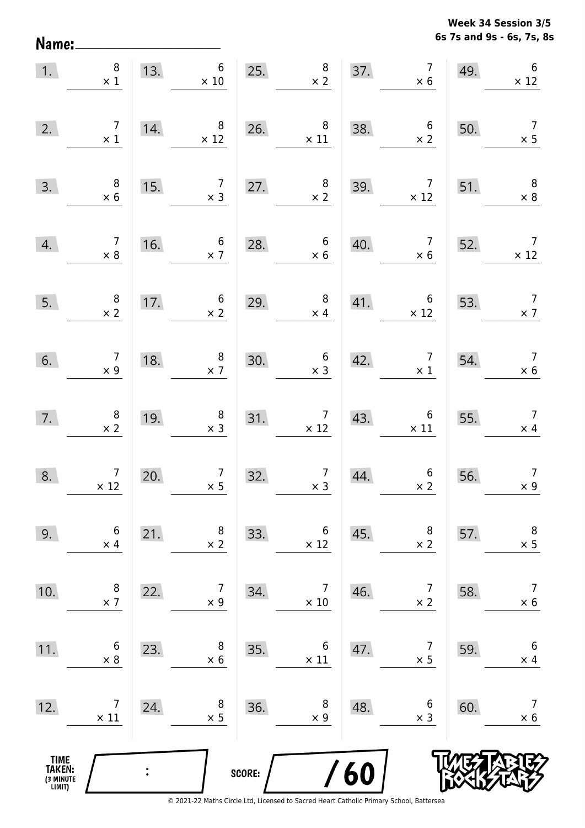Name:

**6s 7s and 9s - 6s, 7s, 8s Week 34 Session 3/5** 

| 1.                                            | $\begin{array}{c} 8 \\ \times 1 \end{array}$  | 13. | $6\,$<br>$\times$ 10                         |        | $\begin{array}{c} 8 \\ \times 2 \end{array}$<br>25.                        | 37. | $\begin{array}{c} 7 \\ \times 6 \end{array}$ | 49. | $\boldsymbol{6}$<br>$\times$ 12              |
|-----------------------------------------------|-----------------------------------------------|-----|----------------------------------------------|--------|----------------------------------------------------------------------------|-----|----------------------------------------------|-----|----------------------------------------------|
| 2.                                            | $\begin{array}{c} 7 \\ \times 1 \end{array}$  | 14. | $\,8\,$<br>$\times$ 12                       | 26.    | $\begin{array}{c} 8 \\ \times 11 \end{array}$                              | 38. | $\begin{array}{c} 6 \\ \times 2 \end{array}$ | 50. | $\overline{7}$<br>$\times$ 5                 |
| 3.                                            | $\begin{array}{c} 8 \\ \times 6 \end{array}$  | 15. | 7 <sup>7</sup><br>$\times$ 3                 | 27.    | $\begin{array}{c} 8 \\ \times 2 \end{array}$                               | 39. | $\overline{7}$<br>$\times$ 12                | 51. | $\overline{\phantom{a}}$ 8<br>$\times$ 8     |
| 4.                                            | $\begin{array}{c} 7 \\ \times 8 \end{array}$  | 16. | $6\overline{6}$<br>$\times$ 7                | 28.    | $\begin{array}{c} 6 \\ \times 6 \end{array}$                               | 40. | $\overline{7}$<br>$\times$ 6                 | 52. | $\overline{7}$<br>$\times$ 12                |
| 5.                                            | $\begin{array}{c} 8 \\ \times 2 \end{array}$  | 17. | $\begin{array}{c} 6 \\ \times 2 \end{array}$ | 29.    | 8 <sup>8</sup><br>$\times$ 4                                               | 41. | $\overline{6}$<br>$\times$ 12                | 53. | $\overline{7}$<br>$\times$ 7                 |
| 6.                                            | $\begin{array}{c} 7 \\ \times 9 \end{array}$  | 18. | $\begin{array}{c} 8 \\ \times 7 \end{array}$ | 30.    | $\begin{array}{c} 6 \\ \times 3 \end{array}$                               | 42. | $\overline{7}$<br>$\times$ 1                 | 54. | $\begin{array}{c} 7 \\ \times 6 \end{array}$ |
| 7.                                            | $\begin{array}{c} 8 \\ \times 2 \end{array}$  | 19. | $\begin{array}{c} 8 \\ \times 3 \end{array}$ |        | $31.$ $7 \times 12$                                                        | 43. | $6 \times 11$                                | 55. | $\overline{7}$<br>$\times$ 4                 |
| 8.                                            | $\begin{array}{c} 7 \\ \times 12 \end{array}$ | 20. | $\begin{array}{c} 7 \\ \times 5 \end{array}$ | 32.    | $\begin{array}{c c} 7 & \phantom{0} \\ \times 3 & \phantom{0} \end{array}$ | 44. | $\begin{array}{c} 6 \\ \times 2 \end{array}$ | 56. | $\overline{7}$<br>$\times 9$                 |
| 9.                                            | 6<br>$\times$ 4                               | 21. | 8<br>$\times$ 2                              | 33.    | 6<br>$\times$ 12                                                           | 45. | 8<br>$\times$ 2                              | 57. | 8<br>$\times$ 5                              |
| 10.                                           | 8<br>$\times$ 7                               | 22. | 7<br>$\times$ 9                              | 34.    | $\overline{7}$<br>$\times$ 10                                              | 46. | 7<br>$\times$ 2                              | 58. | $\overline{7}$<br>$\times 6$                 |
| 11.                                           | 6<br>$\times 8$                               | 23. | 8<br>$\times 6$                              | 35.    | 6<br>$\times$ 11                                                           | 47. | $\overline{7}$<br>$\times$ 5                 | 59. | $\boldsymbol{6}$<br>$\times$ 4               |
| 12.                                           | 7<br>$\times$ 11                              | 24. | 8<br>$\times$ 5                              | 36.    | 8<br>$\times$ 9                                                            | 48. | 6<br>$\times$ 3                              | 60. | $\overline{7}$<br>$\times 6$                 |
| <b>TIME<br/>TAKEN:</b><br>(3 MINUTE<br>LIMIT) |                                               |     |                                              | SCORE: |                                                                            | 60  |                                              |     |                                              |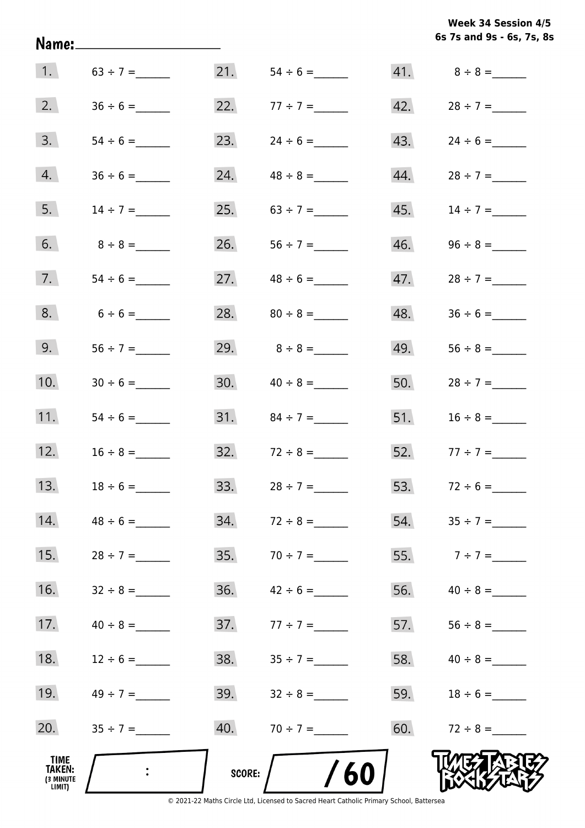**6s 7s and 9s - 6s, 7s, 8s Week 34 Session 4/5** 

| 1.                                           |               | 21.    |                  |     |                   |
|----------------------------------------------|---------------|--------|------------------|-----|-------------------|
| 2.                                           |               | 22.    |                  |     | $42. 28 \div 7 =$ |
| 3.                                           |               | 23.    | $24 \div 6 =$    | 43. |                   |
| 4.                                           |               | 24.    |                  | 44. | $28 \div 7 =$     |
| 5.                                           | $14 \div 7 =$ | 25.    |                  | 45. | $14 \div 7 =$     |
| 6.                                           |               | 26.    |                  | 46. |                   |
| 7.                                           |               | 27.    |                  | 47. |                   |
| 8.                                           | $6 \div 6 =$  | 28.    |                  | 48. |                   |
| 9.                                           |               | 29.    | $8 \div 8 =$     | 49. |                   |
| 10.                                          |               | 30.    | $40 \div 8 =$    | 50. |                   |
| 11.                                          |               |        |                  | 51. |                   |
| 12.                                          |               |        | $32.72 \div 8 =$ |     | 52. $77 \div 7 =$ |
| 13.                                          | $18 \div 6 =$ | 33.    | $28 \div 7 =$    |     |                   |
| 14.                                          |               | 34.    | $72 \div 8 =$    | 54. |                   |
| 15.                                          | $28 \div 7 =$ | 35.    |                  | 55. | $7 ÷ 7 =$         |
| 16.                                          |               | 36.    | $42 \div 6 =$    | 56. | $40 \div 8 =$     |
| 17.                                          |               | 37.    | $77 \div 7 =$    | 57. |                   |
| 18.                                          |               | 38.    |                  | 58. | $40 \div 8 =$     |
| 19.                                          |               | 39.    |                  | 59. |                   |
| 20.                                          |               | 40.    | $70 \div 7 =$    | 60. |                   |
| TIME<br><b>TAKEN:</b><br>(3 MINUTE<br>LIMIT) |               | SCORE: | /60              |     |                   |

Name: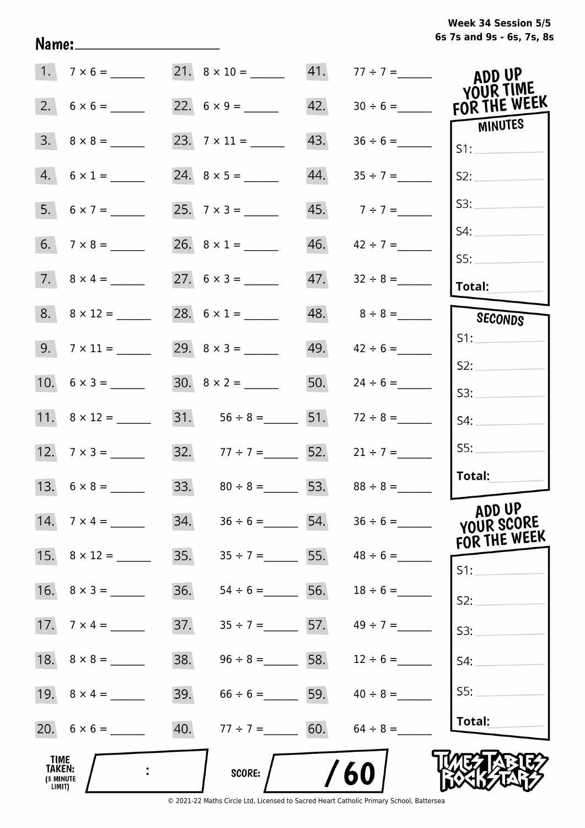|                                              | $1. 7 \times 6 =$  |     | $21. \quad 8 \times 10 =$           |     | $41. 77 \div 7 =$               | ADD UP<br>YOUR TIME        |
|----------------------------------------------|--------------------|-----|-------------------------------------|-----|---------------------------------|----------------------------|
|                                              |                    |     |                                     | 42. | $30 \div 6 =$                   | FOR THE WEEK               |
|                                              |                    |     |                                     | 43. |                                 | <b>MINUTES</b><br>S1:      |
|                                              | $4. 6 \times 1 =$  |     |                                     | 44. | $35 \div 7 =$                   | S2:                        |
|                                              |                    |     |                                     |     | 45. $7 \div 7 =$                | S3:                        |
|                                              |                    |     |                                     |     | $46.$ $42 \div 7 =$             | S4:                        |
|                                              |                    |     |                                     |     |                                 | SS:<br>Total:              |
|                                              |                    |     | 28. $6 \times 1 =$                  |     | 48. $8 \div 8 =$                | SECONDS                    |
|                                              | $9. 7 \times 11 =$ |     |                                     |     | 49. $42 \div 6 =$               | S1:                        |
|                                              |                    |     |                                     |     | 50. $24 \div 6 =$               | S2:                        |
|                                              |                    |     | 31. $56 \div 8 =$ 51. $72 \div 8 =$ |     |                                 | S3:<br>S4:                 |
|                                              |                    |     | 32. $77 \div 7 =$ 52. $21 \div 7 =$ |     |                                 | SS:                        |
|                                              |                    |     | 33. $80 \div 8 =$ 53. $88 \div 8 =$ |     |                                 | Total:                     |
|                                              |                    |     |                                     |     |                                 | ADD UP                     |
|                                              |                    | 34. |                                     |     | $36 \div 6 =$ 54. $36 \div 6 =$ | YOUR SCORE<br>FOR THE WEEK |
|                                              |                    | 35. |                                     |     | $35 \div 7 =$ 55. $48 \div 6 =$ | S1:                        |
|                                              |                    | 36. | $54 \div 6 =$ 56. $18 \div 6 =$     |     |                                 | S2:                        |
|                                              |                    | 37. | $35 \div 7 =$ 57.                   |     | $49 \div 7 =$                   | S3:                        |
|                                              |                    | 38. | $96 \div 8 =$ 58. $12 \div 6 =$     |     |                                 | S4:                        |
|                                              |                    | 39. | $66 \div 6 =$ 59. $40 \div 8 =$     |     |                                 | SS:                        |
|                                              |                    | 40. | $77 \div 7 = 60.$                   |     | $64 \div 8 =$                   | Total:                     |
| TIME<br><b>TAKEN:</b><br>(3 MINUTE<br>LIMIT) |                    |     | <b>SCORE:</b>                       |     | /60                             |                            |

Name: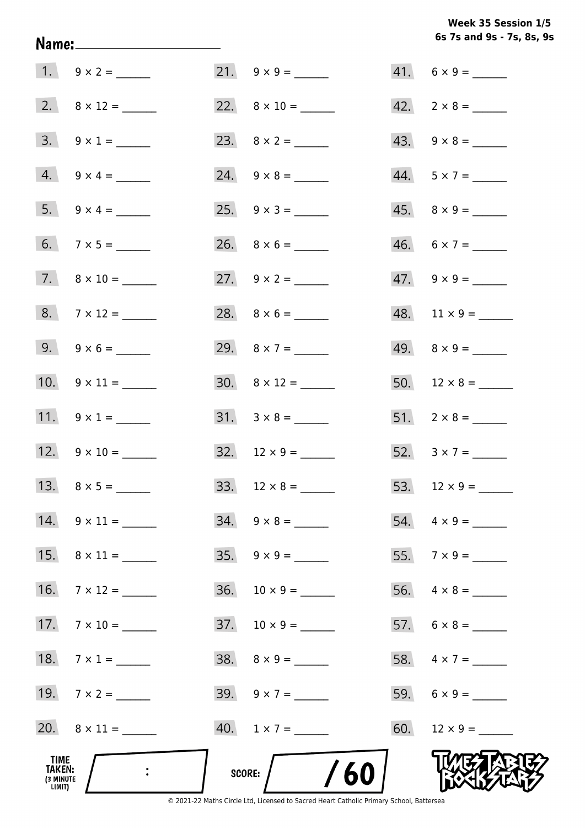## **6s 7s and 9s - 7s, 8s, 9s Week 35 Session 1/5**

| TIME<br><b>TAKEN:</b><br>(3 MINUTE<br>LIMIT) |                         | SCORE: $/$ /60              |                          |
|----------------------------------------------|-------------------------|-----------------------------|--------------------------|
|                                              |                         | $40. 1 \times 7 =$          |                          |
|                                              | 19. $7 \times 2 =$      |                             |                          |
|                                              | 18. $7 \times 1 =$      | $38. \quad 8 \times 9 = \_$ | 58. $4 \times 7 =$       |
|                                              | 17. $7 \times 10 =$     |                             | $57. 6 \times 8 =$       |
|                                              | 16. $7 \times 12 =$     |                             |                          |
|                                              | 15. $8 \times 11 =$     |                             |                          |
|                                              | 14. $9 \times 11 =$     | $34. 9 \times 8 =$          |                          |
|                                              |                         |                             |                          |
|                                              | 12. $9 \times 10 =$     |                             | 52. $3 \times 7 =$       |
|                                              | 11. $9 \times 1 =$      |                             |                          |
|                                              | 10. $9 \times 11 =$     | $30. \quad 8 \times 12 =$   |                          |
|                                              | 9. $9 \times 6 =$       | 29. $8 \times 7 =$          |                          |
|                                              | $8.7 \times 12 =$       |                             | $48. 11 \times 9 =$      |
|                                              | 7. $8 \times 10 =$      | 27. $9 \times 2 =$          |                          |
|                                              |                         |                             | $46. 6 \times 7 =$       |
|                                              | $5. 9 \times 4 =$       |                             | $45. \quad 8 \times 9 =$ |
|                                              | $4. 9 \times 4 =$       | $24. \quad 9 \times 8 =$    | $44. 5 \times 7 =$       |
|                                              | $3. \quad 9 \times 1 =$ |                             | $43. \quad 9 \times 8 =$ |
|                                              |                         | 22. $8 \times 10 =$         | $42. \quad 2 \times 8 =$ |
|                                              | $1. 9 \times 2 =$       | 21. $9 \times 9 =$          | $41. 6 \times 9 =$       |

Name: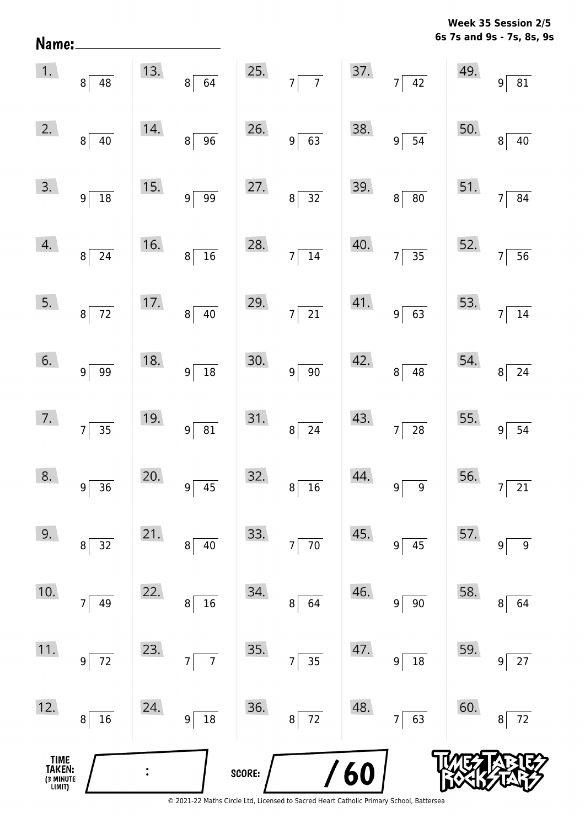**6s 7s and 9s - 7s, 8s, 9s Week 35 Session 2/5** 

| 1.                                    | $8\overline{)48}$  |     | 13. $8 \overline{)64}$           |        | 25. $7 \overline{7}$ 37. $7 \overline{42}$ |     |                      | 49. | $9\sqrt{81}$                      |
|---------------------------------------|--------------------|-----|----------------------------------|--------|--------------------------------------------|-----|----------------------|-----|-----------------------------------|
| 2.                                    | $8\sqrt{40}$       | 14. | $8\sqrt{96}$                     |        | 26. $9\overline{63}$                       | 38. | $9\sqrt{54}$         | 50. | $\overline{40}$<br>$\mathbf{8}$   |
| 3.                                    | $9\sqrt{18}$       | 15. | $9\sqrt{99}$                     | 27.    | $8\overline{)32}$                          | 39. | $8\sqrt{80}$         |     | 51. $7 \overline{\smash)84}$      |
| 4.                                    | $8\sqrt{24}$       | 16. | $8\sqrt{16}$                     |        | 28. $7 \overline{)14}$                     | 40. | $7\overline{)35}$    | 52. | $\overline{56}$<br>7              |
| 5.                                    | $8\overline{)}72$  | 17. | $8\sqrt{40}$                     | 29.    | $7\overline{21}$                           | 41. | $9\overline{63}$     | 53. | $7\overline{)14}$                 |
| 6.                                    | $9\sqrt{99}$       | 18. | $9\sqrt{18}$                     | 30.    | $9\sqrt{90}$                               | 42. | $8\sqrt{48}$         |     | 54. $8\overline{)24}$             |
| 7.                                    | $7\overline{)35}$  | 19. | $9\overline{81}$                 | 31.    | $8\overline{)24}$                          | 43. | $7\overline{)28}$    |     | 55. $9 \overline{)54}$            |
| 8.                                    | $9 \overline{)36}$ | 20. | $9\overline{)45}$                | 32.    | $8\overline{)16}$                          | 44. | $9\sqrt{9}$          | 56. | $\overline{21}$<br>7 <sup>1</sup> |
| 9.                                    | 32<br>8            | 21. | 40<br>8                          | 33.    | $70\,$<br>7                                | 45. | 45<br>9              | 57. | $\boldsymbol{9}$<br>9             |
| 10.                                   | 49<br>7            | 22. | 16<br>8                          | 34.    | 64<br>8 <sup>1</sup>                       | 46. | $90\,$<br>9          | 58. | 64<br>8                           |
| 11.                                   | $72\,$<br>9        | 23. | $\overline{7}$<br>$\overline{7}$ | 35.    | 35<br>7                                    | 47. | $18\,$<br>9          | 59. | $27\,$<br>9                       |
| 12.                                   | 16<br>8            | 24. | $18\,$<br>9                      | 36.    | 72<br>8 <sup>1</sup>                       | 48. | 63<br>$\overline{7}$ | 60. | 72<br>8                           |
| TIME<br>TAKEN:<br>(3 MINUTE<br>LIMIT) |                    |     |                                  | SCORE: |                                            | 60  |                      |     |                                   |

Name: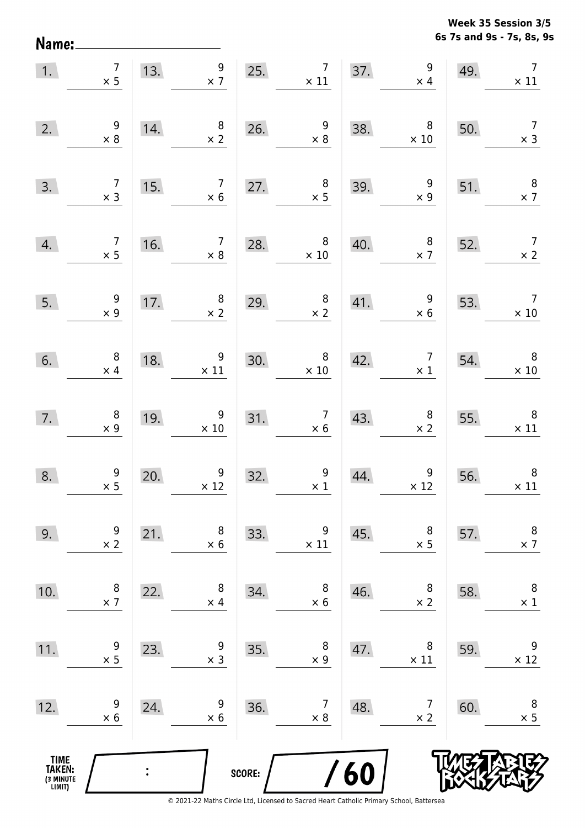**6s 7s and 9s - 7s, 8s, 9s Week 35 Session 3/5** 

| 1.                                    | $\begin{array}{c} 7 \\ \times 5 \end{array}$ |                                                         | 13. $\begin{array}{c} 9 \\ \times 7 \end{array}$ |        | 25. $7 \times 11$                                                                                |                   | 37. $\begin{array}{c} 9 \\ \times 4 \end{array}$ | 49.                                                   | $\overline{7}$<br>$\times$ 11                 |
|---------------------------------------|----------------------------------------------|---------------------------------------------------------|--------------------------------------------------|--------|--------------------------------------------------------------------------------------------------|-------------------|--------------------------------------------------|-------------------------------------------------------|-----------------------------------------------|
| 2.                                    | $\begin{array}{r} 9 \\ \times 8 \end{array}$ | 14.                                                     | $\begin{array}{c} 8 \\ \times 2 \end{array}$     | 26.    | $\begin{array}{r} 9 \\ \times 8 \end{array}$                                                     | 38.               | 8 <sup>8</sup><br>$\times$ 10                    | 50.                                                   | $\begin{array}{c} 7 \\ \times 3 \end{array}$  |
| 3.                                    | $\begin{array}{c} 7 \\ \times 3 \end{array}$ | 15.                                                     |                                                  |        | $\begin{array}{ c c c }\n \hline\n 7 & 27. & 8 \\  \times 6 & \times 5 \\  \hline\n \end{array}$ | 39.               | $\begin{array}{c} 9 \\ \times 9 \end{array}$     | 51.                                                   | $\begin{array}{c} 8 \\ \times 7 \end{array}$  |
| 4.                                    |                                              | $\begin{array}{c c} 7 & 16. \ \hline 1 & 2 \end{array}$ |                                                  |        | $\begin{array}{c c} 7 & 28. & 8 \\ \times 8 & \times 10 \end{array}$                             | 40.               | $\begin{array}{c} 8 \\ \times 7 \end{array}$     | 52.                                                   | $\begin{array}{c} 7 \\ \times 2 \end{array}$  |
| 5.                                    | $\begin{array}{c} 9 \\ \times 9 \end{array}$ | 17.                                                     | $\begin{array}{c} 7.6 \ \times 2 \end{array}$    | 29.    | $\begin{array}{c} 8 \\ \times 2 \end{array}$                                                     |                   | 41. $\begin{array}{r} 9 \\ \times 6 \end{array}$ | 53.                                                   | $\begin{array}{c} 7 \\ \times 10 \end{array}$ |
| 6.                                    | $\begin{array}{c} 8 \\ \times 4 \end{array}$ | 18.                                                     | $\begin{array}{c}9 \ \times 11\end{array}$       | 30.    | $\begin{array}{c c}\n 30. & & 8 \\  \times 10 & & \n\end{array}$                                 | 42.               |                                                  | $\begin{array}{cc} 7 & 54. \\ \times 1 & \end{array}$ | $\begin{array}{c} 8 \\ \times 10 \end{array}$ |
| 7.                                    | $\begin{array}{c} 8 \\ \times 9 \end{array}$ | 19.                                                     | $\begin{array}{r} 9 \\ \times 10 \end{array}$    | 31.    | $\begin{array}{r} 7 \\ \times 6 \end{array}$                                                     | $\overline{43}$ . | $\begin{array}{r} 8 \\ \times 2 \end{array}$     | 55.                                                   | $\begin{array}{r} 8 \\ \times 11 \end{array}$ |
| 8.                                    | $\begin{array}{c} 9 \\ \times 5 \end{array}$ | 20.                                                     | $\begin{array}{c} 9 \\ \times 12 \end{array}$    | 32.    | $\begin{array}{c} 9 \\ \times 1 \end{array}$                                                     | 44.               | $\begin{array}{c} 9 \\ \times 12 \end{array}$    | 56.                                                   | $\boldsymbol{8}$<br>$\times$ 11               |
| 9.                                    | 9<br>$\times$ 2                              | 21.                                                     | 8<br>$\times$ 6                                  | 33.    | 9<br>$\times$ 11                                                                                 | 45.               | 8<br>$\times$ 5                                  | 57.                                                   | $\,8\,$<br>$\times$ 7                         |
| 10.                                   | 8<br>$\times$ 7                              | 22.                                                     | 8<br>$\times$ 4                                  | 34.    | 8<br>$\times$ 6                                                                                  | 46.               | 8<br>$\times$ 2                                  | 58.                                                   | 8<br>$\times$ 1                               |
| 11.                                   | 9<br>$\times$ 5                              | 23.                                                     | 9<br>$\times$ 3                                  | 35.    | 8<br>$\times$ 9                                                                                  | 47.               | 8<br>$\times$ 11                                 | 59.                                                   | 9<br>$\times$ 12                              |
| 12.                                   | 9<br>$\times 6$                              | 24.                                                     | 9<br>$\times 6$                                  | 36.    | 7<br>$\times$ 8                                                                                  | 48.               | 7<br>$\times$ 2                                  | 60.                                                   | 8<br>$\times$ 5                               |
| TIME<br>TAKEN:<br>(3 MINUTE<br>LIMIT) |                                              |                                                         |                                                  | SCORE: |                                                                                                  | 60                |                                                  |                                                       |                                               |

Name: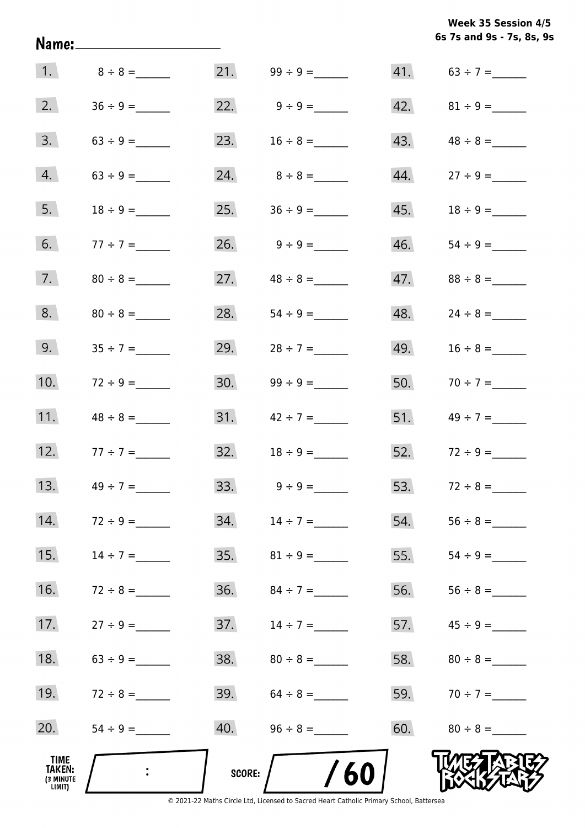**6s 7s and 9s - 7s, 8s, 9s Week 35 Session 4/5** 

|                                       |                 |        |                         |     | 6s 7s and 9s - 7s, 8s, 9         |
|---------------------------------------|-----------------|--------|-------------------------|-----|----------------------------------|
|                                       | 1. $8 \div 8 =$ |        |                         |     | 41. $63 \div 7 =$                |
| 2.                                    |                 |        | 22. $9 \div 9 =$        |     | $42. \hspace{1.5cm} 81 \div 9 =$ |
| 3.                                    |                 | 23.    | $16 \div 8 =$           | 43. |                                  |
| 4.                                    |                 |        |                         | 44. |                                  |
| 5.                                    | $18 \div 9 =$   | 25.    | $36 \div 9 =$           | 45. |                                  |
| 6.                                    | $77 \div 7 =$   |        | $26. \qquad 9 \div 9 =$ | 46. |                                  |
| 7.                                    |                 |        | 27. $48 \div 8 =$       | 47. | $88 \div 8 =$                    |
| 8.                                    |                 | 28.    |                         | 48. | $24 \div 8 =$                    |
| 9.                                    | $35 \div 7 =$   | 29.    | $28 \div 7 =$           | 49. |                                  |
| 10.                                   | $72 \div 9 =$   | 30.    |                         | 50. | $70 \div 7 =$                    |
| 11.                                   | $48 \div 8 =$   |        | $31.$ $42 \div 7 =$     |     | 51. $49 \div 7 =$                |
| 12.                                   | $77 \div 7 =$   | 32.    |                         |     | 52. $72 \div 9 =$                |
| 13.                                   | $49 \div 7 =$   |        | 33. $9 \div 9 =$        | 53. |                                  |
| 14.                                   | $72 \div 9 =$   |        |                         | 54. |                                  |
| 15.                                   | $14 \div 7 =$   |        |                         | 55. |                                  |
| 16.                                   | $72 \div 8 =$   |        | 36. $84 \div 7 =$       | 56. |                                  |
| 17.                                   | $27 \div 9 =$   | 37.    | $14 \div 7 =$           | 57. |                                  |
| 18.                                   |                 |        |                         |     |                                  |
| 19.                                   | $72 \div 8 =$   |        | $39.64 \div 8 =$        |     | 59. $70 \div 7 =$                |
| 20.                                   |                 |        |                         | 60. | $80 \div 8 =$                    |
| TIME<br>TAKEN:<br>(3 MINUTE<br>LIMIT) | $\mathcal{L}$   | SCORE: | /60                     |     |                                  |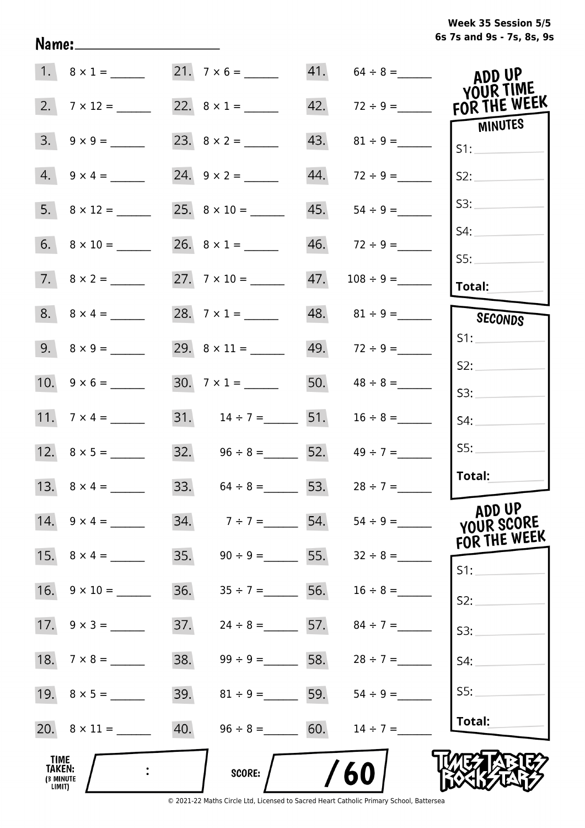**6s 7s and 9s - 7s, 8s, 9s Week 35 Session 5/5** 

|                                       |                         |     | 21. $7 \times 6 =$                  |     | $41. 64 \div 8 =$               | ADD UP<br><b>YOUR TIME</b>           |
|---------------------------------------|-------------------------|-----|-------------------------------------|-----|---------------------------------|--------------------------------------|
| 2.                                    |                         |     |                                     |     |                                 | FOR THE WEEK                         |
| 3.                                    |                         |     |                                     | 43. |                                 | MINUTES<br>S1:                       |
|                                       | $4. 9 \times 4 =$       |     |                                     | 44. | $72 \div 9 =$                   | S2:                                  |
|                                       |                         |     |                                     | 45. | $54 \div 9 =$                   | S3:                                  |
|                                       |                         |     |                                     |     |                                 | S4:<br>SS:                           |
|                                       |                         |     |                                     | 47. |                                 | Total:                               |
|                                       |                         |     | 28. $7 \times 1 =$                  |     | 48. $81 \div 9 =$               | SECONDS                              |
|                                       | $9. \quad 8 \times 9 =$ |     |                                     |     | $49. 72 \div 9 =$               | S1:                                  |
|                                       |                         |     | 30. $7 \times 1 =$                  |     | 50. $48 \div 8 =$               | S2:                                  |
|                                       |                         |     |                                     |     |                                 | S3:                                  |
|                                       |                         |     | 31. $14 \div 7 =$ 51. $16 \div 8 =$ |     |                                 | S4:                                  |
|                                       |                         |     | 32. $96 \div 8 =$ 52. $49 \div 7 =$ |     |                                 | SS:                                  |
|                                       | 13. $8 \times 4 =$      |     | 33. $64 \div 8 = 53.$ $28 \div 7 =$ |     |                                 | Total:                               |
|                                       | 14. $9 \times 4 =$      |     | 34. $7 \div 7 =$ 54.                |     |                                 | ADD UP<br>YOUR SCORE<br>FOR THE WEEK |
|                                       | 15. $8 \times 4 =$      | 35. |                                     |     | $90 \div 9 =$ 55. $32 \div 8 =$ | S1:                                  |
|                                       | 16. $9 \times 10 =$     | 36. | $35 \div 7 =$ 56.                   |     | $16 \div 8 =$                   | S2:                                  |
|                                       |                         | 37. | $24 \div 8 = 57.$                   |     | $84 \div 7 =$                   | S3:                                  |
|                                       |                         | 38. | $99 \div 9 =$ 58.                   |     | $28 \div 7 =$                   | S4:                                  |
|                                       |                         | 39. | $81 \div 9 =$ 59.                   |     | $54 \div 9 =$                   | S5:                                  |
|                                       |                         | 40. | $96 \div 8 =$ 60.                   |     | $14 \div 7 =$                   | Total:                               |
| TIME<br>TAKEN:<br>(3 MINUTE<br>LIMIT) |                         |     | SCORE:                              |     | 60                              |                                      |

Name: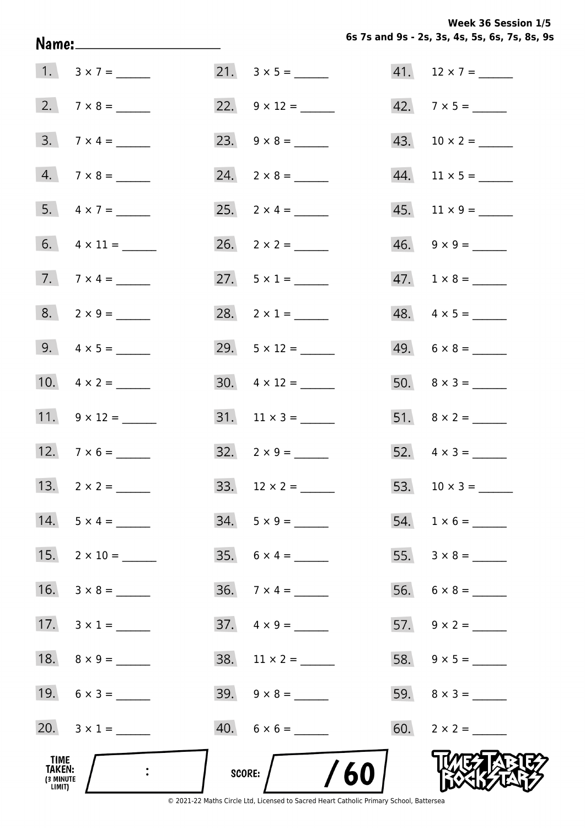**Week 36 Session 1/5** 

|                                       | Name:________________________ |                          |     | 6s 7s and 9s - 2s, 3s, 4s, 5s, 6s, 7s, 8s, 9 |
|---------------------------------------|-------------------------------|--------------------------|-----|----------------------------------------------|
|                                       |                               |                          |     |                                              |
|                                       |                               | 22. $9 \times 12 =$      |     | 42. $7 \times 5 =$                           |
|                                       | $3. 7 \times 4 =$             |                          |     |                                              |
|                                       | $4. 7 \times 8 =$             | $24. \quad 2 \times 8 =$ |     | $44.$ 11 × 5 = ______                        |
|                                       | 5. $4 \times 7 =$             |                          |     |                                              |
|                                       | 6. $4 \times 11 =$            | 26. $2 \times 2 =$       |     | $46. \quad 9 \times 9 =$                     |
|                                       | 7. $7 \times 4 =$             | 27. $5 \times 1 =$       |     | $47. 1 \times 8 =$                           |
|                                       | $8. 2 \times 9 =$             | 28. $2 \times 1 =$       |     | $48. \quad 4 \times 5 =$                     |
|                                       | 9. $4 \times 5 =$             | 29. $5 \times 12 =$      |     | $49. 6 \times 8 =$                           |
|                                       | 10. $4 \times 2 =$            | 30. $4 \times 12 =$      |     |                                              |
|                                       | 11. $9 \times 12 =$           |                          |     |                                              |
|                                       | 12. $7 \times 6 =$            | $32. \quad 2 \times 9 =$ |     | 52. $4 \times 3 =$                           |
|                                       |                               |                          | 53. |                                              |
|                                       | $14. 5 \times 4 =$            | $34. 5 \times 9 =$       |     |                                              |
|                                       | 15. $2 \times 10 =$           |                          |     |                                              |
|                                       | 16. $3 \times 8 =$            | $36. 7 \times 4 =$       |     |                                              |
|                                       | 17. $3 \times 1 =$            | $37. \quad 4 \times 9 =$ |     |                                              |
|                                       |                               |                          |     |                                              |
|                                       | 19. $6 \times 3 =$            | $39. \quad 9 \times 8 =$ |     |                                              |
|                                       | 20. $3 \times 1 =$            | $40. 6 \times 6 =$       |     |                                              |
| TIME<br>TAKEN:<br>(3 MINUTE<br>LIMIT) |                               | /60/<br>SCORE:           |     |                                              |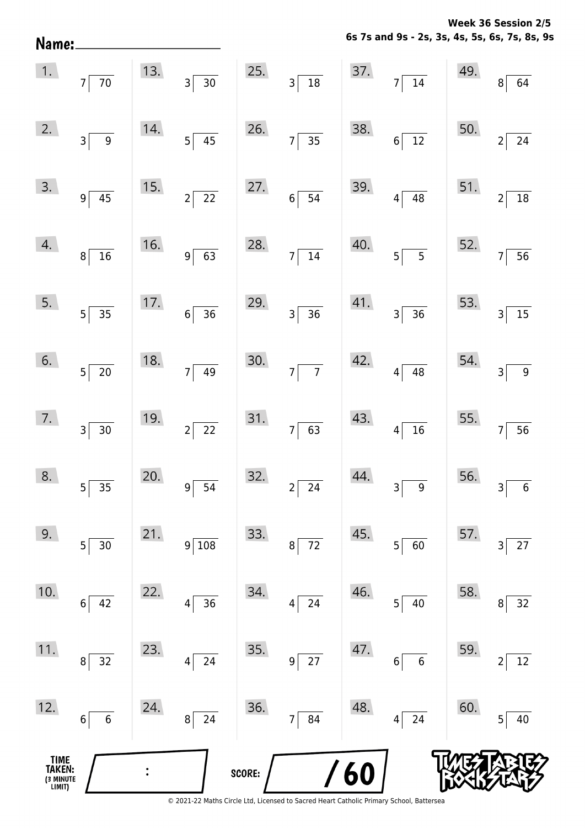**6s 7s and 9s - 2s, 3s, 4s, 5s, 6s, 7s, 8s, 9s** Name:  $\vert 1. \vert$  $13.$ 25. 37. 49. 7 70 3 30 3 18 7 14 8 64  $2.$ 14. 26. 50. 38. 3 9 5 45 7 35 6 12 2 24  $3.$ 15. 27. 39. 51. 9 45 2 22 6 54 4 48 2 18  $\mathcal{A}$ . 16. 40. 28. 52. 8 16 9 63 7 14 5 5 7 56  $5.$  $17.$ 29. 41. 53. 5 35 6 36 3 36 3 36 3 15  $6.$ 18. 30. 42. 54. 5 20 7 49 7 7 7 4 4 4 4 4 4 3 9  $7.$ 19. 31. 43. 55. 3 30 2 22 7 63 4 16 7 56 8.  $20.$ 32. 44. 56. 5 35 9 54 2 24 3 9 3 6  $9.$  $21.$ 33. 45. 57.  $5 \begin{array}{|c|c|c|c|c|c|c|c|} \hline 5 & 30 & \hspace{1.2cm} 9 & 108 & \hspace{1.2cm} 8 & 72 & \hspace{1.2cm} 5 & 60 & \hspace{1.2cm} 3 & 27 \ \hline \end{array}$ 10. 22. 34. 46. 58. 6 42 4 36 4 24 5 40 8 32  $11.$ 23. 35. 47. 59. 8 32 4 24 9 27 6 6 2 12  $12.$ 24. 36. 48. 60. 6 6 8 24 7 84 4 24 5 40**TIME**  $\ddot{\cdot}$ **TAKEN:** 6 **SCORE:** (3 MINUTE<br>LIMIT)

**Week 36 Session 2/5**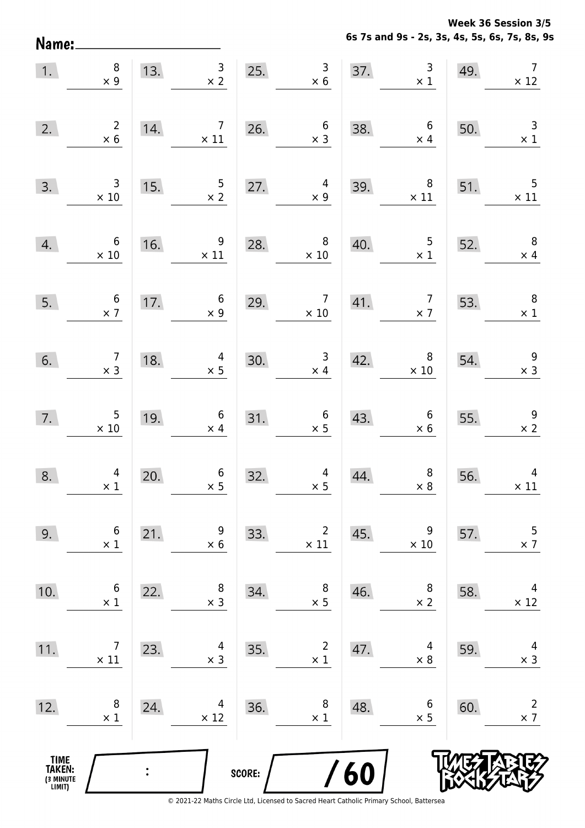**Week 36 Session 3/5** 

**6s 7s and 9s - 2s, 3s, 4s, 5s, 6s, 7s, 8s, 9s**

| Name:                                         |                                |     |                                |        |                                |     | 6s 7s and 9s - 2s, 3s, 4s, 5s, 6s, 7s, 8s, 9 |     |                                         |
|-----------------------------------------------|--------------------------------|-----|--------------------------------|--------|--------------------------------|-----|----------------------------------------------|-----|-----------------------------------------|
| 1.                                            | $\,8\,$<br>$\times$ 9          | 13. | $\mathsf{3}$<br>$\times$ 2     | 25.    | $\mathsf 3$<br>$\times$ 6      | 37. | $\mathsf{3}$<br>$\times$ 1                   | 49. | $\overline{7}$<br>$\times$ 12           |
| 2.                                            | $\overline{c}$<br>$\times$ 6   | 14. | 7<br>$\times$ 11               | 26.    | $\boldsymbol{6}$<br>$\times$ 3 | 38. | $\boldsymbol{6}$<br>$\times$ 4               | 50. | $\mathsf 3$<br>$\times$ 1               |
| 3.                                            | 3<br>$\times$ 10               | 15. | $\frac{5}{2}$                  | 27.    | 4<br>$\times$ 9                | 39. | 8<br>$\times$ 11                             | 51. | $\mathsf S$<br>$\times$ 11              |
| 4.                                            | 6<br>$\times$ 10               | 16. | 9<br>$\times$ 11               | 28.    | 8<br>$\times$ 10               | 40. | 5<br>$\times$ 1                              | 52. | $\, 8$<br>$\times$ 4                    |
| 5.                                            | $\boldsymbol{6}$<br>$\times$ 7 | 17. | $\boldsymbol{6}$<br>$\times$ 9 | 29.    | $\overline{7}$<br>$\times$ 10  | 41. | $\overline{7}$<br>$\times$ 7                 | 53. | $\, 8$<br>$\times$ 1                    |
| 6.                                            | $\overline{7}$<br>$\times$ 3   | 18. | 4<br>$\times$ 5                | 30.    | $\mathsf 3$<br>$\times$ 4      | 42. | 8<br>$\times$ 10                             | 54. | $\boldsymbol{9}$<br>$\times$ 3          |
| 7.                                            | 5<br>$\times$ 10               | 19. | $\boldsymbol{6}$<br>$\times$ 4 | 31.    | $\boldsymbol{6}$<br>$\times$ 5 | 43. | $\boldsymbol{6}$<br>$\times$ 6               | 55. | 9<br>$\times$ 2                         |
| 8.                                            | $\overline{4}$<br>$\times$ 1   | 20. | $6\overline{6}$<br>$\times$ 5  | 32.    | $4\overline{ }$<br>$\times$ 5  | 44. | 8<br>$\times$ 8                              | 56. | $\overline{4}$<br>$\times$ 11           |
| 9.                                            | $\boldsymbol{6}$<br>$\times$ 1 | 21. | 9<br>$\times$ 6                | 33.    | $\overline{2}$<br>$\times$ 11  | 45. | 9<br>$\times$ 10                             | 57. | 5<br>$\times$ 7                         |
| 10.                                           | $\boldsymbol{6}$<br>$\times$ 1 | 22. | 8<br>$\times$ 3                | 34.    | $\, 8$<br>$\times$ 5           | 46. | 8<br>$\times$ 2                              | 58. | $\overline{\mathcal{A}}$<br>$\times$ 12 |
| 11.                                           | $\overline{7}$<br>$\times$ 11  | 23. | 4<br>$\times$ 3                | 35.    | $\overline{2}$<br>$\times$ 1   | 47. | 4<br>$\times$ 8                              | 59. | $\overline{4}$<br>$\times$ 3            |
| 12.                                           | $\,8\,$<br>$\times$ 1          | 24. | 4<br>$\times$ 12               | 36.    | 8<br>$\times$ 1                | 48. | 6<br>$\times$ 5                              | 60. | $\overline{2}$<br>$\times$ 7            |
| <b>TIME<br/>TAKEN:</b><br>(3 MINUTE<br>LIMIT) |                                |     |                                | SCORE: |                                | /60 |                                              |     |                                         |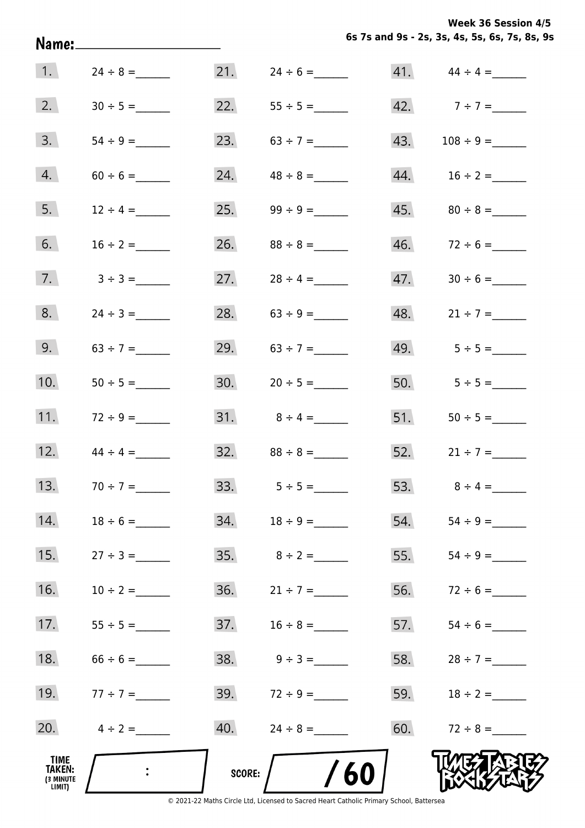**Week 36 Session 4/5** 

|  | Week 36 Session 4/5 |                                               |  |  |  |
|--|---------------------|-----------------------------------------------|--|--|--|
|  |                     | 6s 7s and 9s - 2s, 3s, 4s, 5s, 6s, 7s, 8s, 9s |  |  |  |

|                                       |               |        |                         |     | 6s 7s and 9s - 2s, 3s, 4s, 5s, 6s, 7s, 8s, 9 |
|---------------------------------------|---------------|--------|-------------------------|-----|----------------------------------------------|
| 1.                                    |               |        |                         |     |                                              |
| 2.                                    |               | 22.    |                         |     | 42. $7 \div 7 =$                             |
| 3.                                    |               | 23.    |                         | 43. |                                              |
| 4.                                    |               | 24.    |                         | 44. | $16 \div 2 =$                                |
| 5.                                    | $12 \div 4 =$ | 25.    |                         | 45. |                                              |
| 6.                                    | $16 \div 2 =$ | 26.    | $88 \div 8 =$           | 46. | $72 \div 6 =$                                |
| 7.                                    | $3 \div 3 =$  | 27.    | $28 \div 4 =$           | 47. |                                              |
| 8.                                    |               | 28.    |                         | 48. | $21 \div 7 =$                                |
| 9.                                    |               | 29.    | $63 \div 7 =$           |     | 49. $5 \div 5 =$                             |
| 10.                                   |               | 30.    | $20 \div 5 =$           |     | 50. $5 \div 5 =$                             |
| 11.                                   | $72 \div 9 =$ |        | 31. $8 \div 4 =$        | 51. | $50 \div 5 =$                                |
| 12.                                   | $44 \div 4 =$ | 32.    | $88 \div 8 =$           | 52. | $21 \div 7 =$                                |
| 13.                                   | $70 \div 7 =$ |        | 33. $5 \div 5 =$        |     | 53. $8 \div 4 =$                             |
| 14.                                   | $18 \div 6 =$ |        |                         | 54. | $54 \div 9 =$                                |
| 15.                                   | $27 \div 3 =$ |        |                         | 55. |                                              |
| 16.                                   | $10 \div 2 =$ |        |                         | 56. | $72 \div 6 =$                                |
| 17.                                   | $55 \div 5 =$ | 37.    | $16 \div 8 =$           | 57. |                                              |
| 18.                                   | $66 \div 6 =$ |        | $38. \qquad 9 \div 3 =$ |     | 58. $28 \div 7 =$                            |
| 19.                                   | $77 \div 7 =$ |        | 39. $72 \div 9 =$       | 59. | $18 \div 2 =$                                |
| 20.                                   | $4 \div 2 =$  |        |                         | 60. | $72 \div 8 =$                                |
| TIME<br>TAKEN:<br>(3 MINUTE<br>LIMIT) |               | SCORE: | /60                     |     |                                              |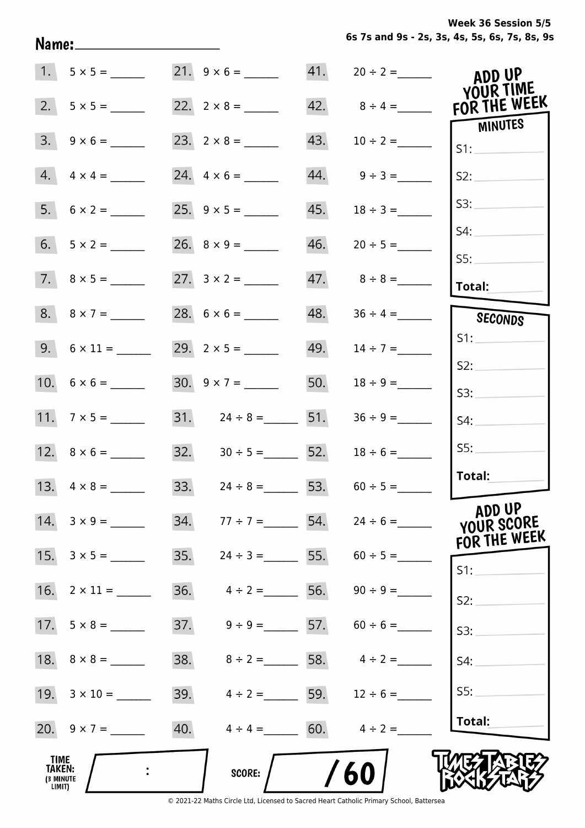| Name:________                                |                                                     |                                   | 6s 7s and 9s - 2s, 3s, 4s, 5s, 6s, 7s, 8s, 9 |
|----------------------------------------------|-----------------------------------------------------|-----------------------------------|----------------------------------------------|
| $1. 5 \times 5 =$                            | 21. $9 \times 6 =$                                  | $41. 20 \div 2 =$                 | ADD UP<br>YOUR TIME                          |
| 2.                                           |                                                     | 42. $8 \div 4 =$                  | FOR THE WEEK                                 |
| $3. \quad 9 \times 6 =$                      |                                                     | 43.<br>$10 \div 2 =$              | MINUTES<br>S1:                               |
| $4. \quad 4 \times 4 =$                      |                                                     | $44.$ $9 \div 3 =$                | S2:                                          |
|                                              |                                                     | 45.<br>$18 \div 3 =$              | S3:                                          |
|                                              |                                                     | 46.<br>$20 \div 5 =$              | S4:                                          |
|                                              |                                                     |                                   | S5:                                          |
|                                              |                                                     |                                   | Total:                                       |
| $8. \quad 8 \times 7 =$                      |                                                     | 48.<br>$36 \div 4 =$              | SECONDS                                      |
| $9. 6 \times 11 =$                           | 29. $2 \times 5 =$                                  | 49. $14 \div 7 =$                 | S1:                                          |
|                                              | $30. 9 \times 7 =$                                  | 50.<br>$18 \div 9 =$              | S2:                                          |
|                                              |                                                     |                                   | S3:                                          |
|                                              | $31.$ $24 \div 8 =$ 51.                             | $36 \div 9 =$                     | S4:                                          |
|                                              | $32. \hspace{1.5cm} 30 \div 5 = \hspace{1.5cm} 52.$ | $18 \div 6 =$                     | SS:                                          |
| 13.<br>$4 \times 8 =$                        | 33.<br>$24 \div 8 =$ 53.                            | $60 \div 5 =$                     | Total:                                       |
| $14. 3 \times 9 =$                           | 34.<br>$77 \div 7 =$                                | 54. $24 \div 6 =$                 | ADD UP<br>YOUR SCORE<br>FOR THE WEEK         |
| 15.<br>$3 \times 5 =$                        | 35.<br>$24 \div 3 =$                                |                                   | $S1$ :                                       |
| 16. $2 \times 11 =$                          | 36.<br>$4 \div 2 =$                                 | 56. $90 \div 9 =$                 | S2:                                          |
|                                              | 37.                                                 | $9 \div 9 =$ 57. 60 ÷ 6 =         | S3:                                          |
|                                              |                                                     | 38. $8 \div 2 =$ 58. $4 \div 2 =$ | S4:                                          |
| 19. $3 \times 10 =$                          | 39.                                                 | $4 \div 2 =$ 59. $12 \div 6 =$    | SS:                                          |
| 20. $9 \times 7 =$                           | 40.                                                 | $4 \div 4 =$ 60. $4 \div 2 =$     | <b>Total:</b>                                |
| <b>TIME</b><br>TAKEN:<br>(3 MINUTE<br>LIMIT) | SCORE:                                              | 60                                |                                              |

© 2021-22 Maths Circle Ltd, Licensed to Sacred Heart Catholic Primary School, Battersea

**6s 7s and 9s - 2s, 3s, 4s, 5s, 6s, 7s, 8s, 9s Week 36 Session 5/5**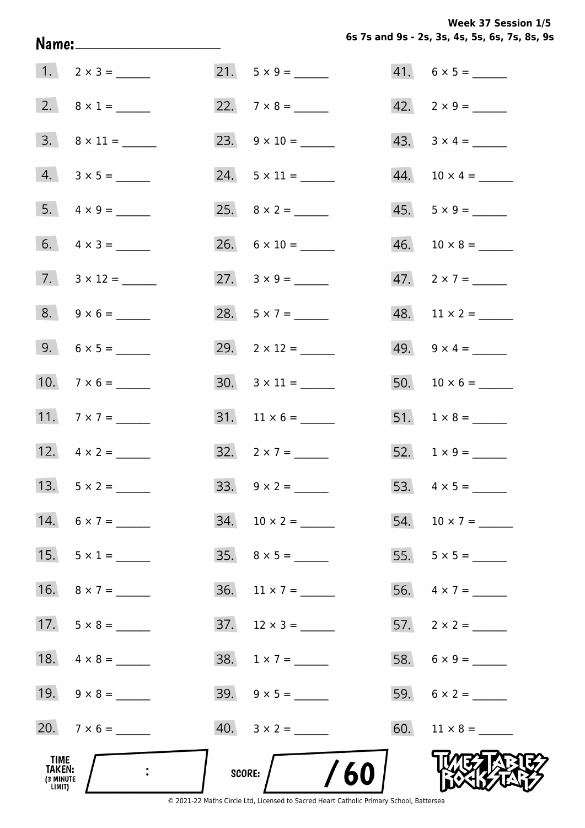**Week 37 Session 1/5** 

|                                       | Name:________________________ |                           | 6s 7s and 9s - 2s, 3s, 4s, 5s, 6s, 7s, 8s, 9 |
|---------------------------------------|-------------------------------|---------------------------|----------------------------------------------|
|                                       |                               |                           | $41. 6 \times 5 =$                           |
|                                       | 2. $8 \times 1 =$             | 22. $7 \times 8 =$        | $42. \quad 2 \times 9 =$                     |
|                                       | $3. \quad 8 \times 11 =$      | 23. $9 \times 10 =$       | 43. $3 \times 4 =$                           |
|                                       | $4. 3 \times 5 =$             | 24. $5 \times 11 =$       |                                              |
|                                       |                               | 25. $8 \times 2 =$        | $45. 5 \times 9 =$                           |
|                                       | 6. $4 \times 3 =$             | $26. 6 \times 10 =$       |                                              |
|                                       | 7. $3 \times 12 =$            | 27. $3 \times 9 =$        | $47.2 \times 7 =$                            |
|                                       | $8. 9 \times 6 =$             |                           | $48.$ 11 × 2 = ______                        |
|                                       |                               | 29. $2 \times 12 =$       | 49. $9 \times 4 =$                           |
|                                       | 10. $7 \times 6 =$            | $30. \quad 3 \times 11 =$ |                                              |
|                                       | 11. $7 \times 7 =$            |                           |                                              |
|                                       | 12. $4 \times 2 =$            | 32. $2 \times 7 =$        | 52. $1 \times 9 =$                           |
|                                       | 13. $5 \times 2 =$            | 33. $9 \times 2 =$        |                                              |
|                                       | $14. 6 \times 7 =$            |                           | 54. $10 \times 7 =$                          |
|                                       | 15. $5 \times 1 =$            |                           |                                              |
|                                       | 16. $8 \times 7 =$            | 36. $11 \times 7 =$       | 56. $4 \times 7 =$                           |
|                                       |                               |                           |                                              |
|                                       |                               | $38. 1 \times 7 =$        |                                              |
|                                       | 19. $9 \times 8 =$            |                           |                                              |
|                                       | 20. $7 \times 6 =$            |                           |                                              |
| TIME<br>TAKEN:<br>(3 MINUTE<br>LIMIT) |                               | /60<br>SCORE:             |                                              |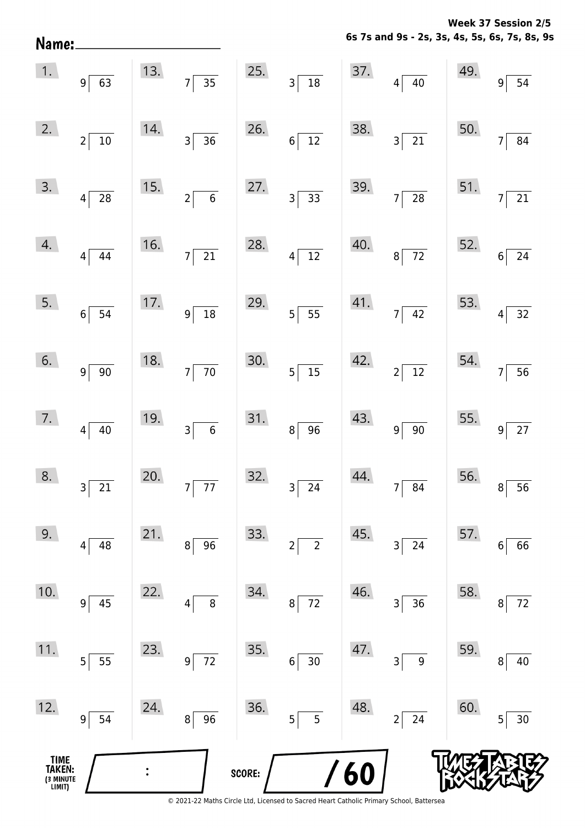**6s 7s and 9s - 2s, 3s, 4s, 5s, 6s, 7s, 8s, 9s Week 37 Session 2/5** 

|                                          |                                                   |                                     | 6s 7s and 9s - 2s, 3s, 4s, 5s, 6s, 7s, 8s, 9 |
|------------------------------------------|---------------------------------------------------|-------------------------------------|----------------------------------------------|
| 13.<br>$\frac{1}{35}$<br>$\overline{7}$  | 25.<br>$3\overline{)18}$                          | 37.<br>$4\overline{)40}$            | 49.<br>54<br>9                               |
| 14.<br>$\overline{36}$<br>$\overline{3}$ | 26.<br>$6\overline{12}$                           | 38.<br>$3\sqrt{21}$                 | 50.<br>$\overline{84}$<br>7                  |
| 15.<br>$\overline{6}$<br>$2\vert$        | 27.<br>$3\overline{)33}$                          | 39.<br>$7\overline{28}$             | 51.<br>$\overline{21}$<br>$\overline{7}$     |
| 16.<br>$\overline{21}$<br>$7\vert$       | 28.<br>$4\overline{12}$                           | 40.<br>$8\sqrt{72}$                 | 52.<br>$\overline{24}$<br>$\boldsymbol{6}$   |
| 17.<br>$\overline{18}$<br>$9\vert$       | 29.<br>$5\overline{\smash{)}\ 55}$                | 41.<br>$7\overline{)42}$            | 53.<br>$\overline{32}$<br>4                  |
| 18.<br>$\overline{70}$<br>$7\vert$       | 30.<br>$5\overline{15}$                           | 42.<br>$2\sqrt{12}$                 | 54.<br>$\overline{56}$<br>7                  |
| 19.<br>$\overline{\phantom{0}}$ 6<br>3   | 31.<br>$8 \overline{96}$                          | 43.<br>$9 \ 90$                     | 55.<br>$\overline{27}$<br>9                  |
| 20.<br>$\overline{77}$<br>$\overline{7}$ | 32.<br>$\overline{24}$<br>$\overline{\mathbf{3}}$ | 44.<br>$7 \overline{\smash{)}\ 84}$ | 56.<br>56<br>8                               |
| 21.<br>96<br>8                           | 33.<br>$\overline{2}$<br>$\overline{2}$           | 45.<br>$3 \overline{\smash{)}\ 24}$ | 57.<br>66<br>6                               |
| 22.<br>8<br>4                            | 34.<br>72<br>8 <sup>1</sup>                       | 46.<br>36<br>3                      | 58.<br>$72\,$<br>8                           |
| 23.<br>$\overline{72}$<br>$\overline{9}$ | 35.<br>$6 \overline{\smash{)}30}$                 | 47.<br>$\boldsymbol{9}$<br>3        | 59.<br>40<br>8                               |
| 24.<br>$\overline{96}$<br>8              | 36.<br>$\overline{5}$<br>$5\vert$                 | 48.<br>$2\sqrt{24}$                 | 60.<br>$30\,$<br>5                           |
|                                          |                                                   |                                     |                                              |
|                                          |                                                   | SCORE:                              | <b>/60</b>                                   |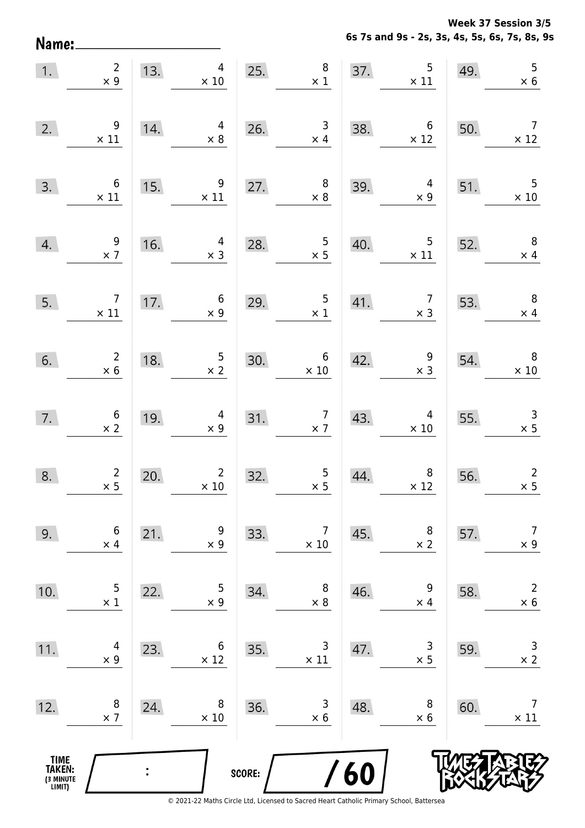**Week 37 Session 3/5** 

**6s 7s and 9s - 2s, 3s, 4s, 5s, 6s, 7s, 8s, 9s**

| Name:                                 |                                              |     |                                |        |                                              |     | 6s 7s and 9s - 2s, 3s, 4s, 5s, 6s, 7s, 8s, 9 |     |                               |
|---------------------------------------|----------------------------------------------|-----|--------------------------------|--------|----------------------------------------------|-----|----------------------------------------------|-----|-------------------------------|
| 1.                                    | $\overline{2}$<br>$\times$ 9                 | 13. | $\overline{4}$<br>$\times$ 10  | 25.    | 8<br>$\times$ 1                              | 37. | 5<br>$\times$ 11                             | 49. | 5<br>$\times$ 6               |
| 2.                                    | 9<br>$\times$ 11                             | 14. | 4<br>$\times 8$                | 26.    | 3<br>$\times$ 4                              | 38. | $\boldsymbol{6}$<br>$\times$ 12              | 50. | $\overline{7}$<br>$\times$ 12 |
| 3.                                    | 6<br>$\times$ 11                             | 15. | 9<br>$\times$ 11               | 27.    | $\,8\,$<br>$\times$ 8                        | 39. | 4<br>$\times$ 9                              | 51. | 5<br>$\times$ 10              |
| 4.                                    | 9<br>$\times$ 7                              | 16. | 4<br>$\times$ 3                | 28.    | 5<br>$\times$ 5                              | 40. | 5<br>$\times$ 11                             | 52. | $\, 8$<br>$\times$ 4          |
| 5.                                    | $\overline{7}$<br>$\times$ 11                | 17. | $\boldsymbol{6}$<br>$\times$ 9 | 29.    | 5<br>$\times$ 1                              | 41. | $\overline{7}$<br>$\times$ 3                 | 53. | $\, 8$<br>$\times$ 4          |
| 6.                                    | $\begin{array}{c} 2 \\ \times 6 \end{array}$ | 18. | $\frac{5}{2}$                  | 30.    | 6<br>$\times$ 10                             | 42. | $\begin{array}{c} 9 \\ x 3 \end{array}$      | 54. | $\, 8$<br>$\times$ 10         |
| 7.                                    | $\begin{array}{c} 6 \\ \times 2 \end{array}$ | 19. | 4<br>$\times$ 9                | 31.    | $\begin{array}{c} 7 \\ \times 7 \end{array}$ | 43. | 4<br>$\times$ 10                             | 55. | $\mathsf{3}$<br>$\times$ 5    |
| 8.                                    | $\overline{2}$<br>$\times$ 5                 | 20. | $2^{\circ}$<br>$\times$ 10     | 32.    | 5<br>$\times$ 5                              | 44. | 8<br>$\times$ 12                             | 56. | $\overline{2}$<br>$\times$ 5  |
| 9.                                    | $\boldsymbol{6}$<br>$\times$ 4               | 21. | 9<br>$\times$ 9                | 33.    | $\overline{7}$<br>$\times$ 10                | 45. | 8<br>$\times$ 2                              | 57. | $\overline{7}$<br>$\times$ 9  |
| 10.                                   | $\mathsf 5$<br>$\times$ 1                    | 22. | 5<br>$\times$ 9                | 34.    | $\,8\,$<br>$\times$ 8                        | 46. | $\boldsymbol{9}$<br>$\times$ 4               | 58. | $\overline{2}$<br>$\times$ 6  |
| 11.                                   | 4<br>$\times$ 9                              | 23. | 6<br>$\times$ 12               | 35.    | $\mathsf 3$<br>$\times$ 11                   | 47. | $\mathsf 3$<br>$\times$ 5                    | 59. | $\mathsf 3$<br>$\times$ 2     |
| 12.                                   | 8<br>$\times$ 7                              | 24. | 8<br>$\times$ 10               | 36.    | 3<br>$\times$ 6                              | 48. | 8<br>$\times$ 6                              | 60. | $\overline{7}$<br>$\times$ 11 |
| TIME<br>TAKEN:<br>(3 MINUTE<br>LIMIT) |                                              |     |                                | SCORE: |                                              | /60 |                                              |     |                               |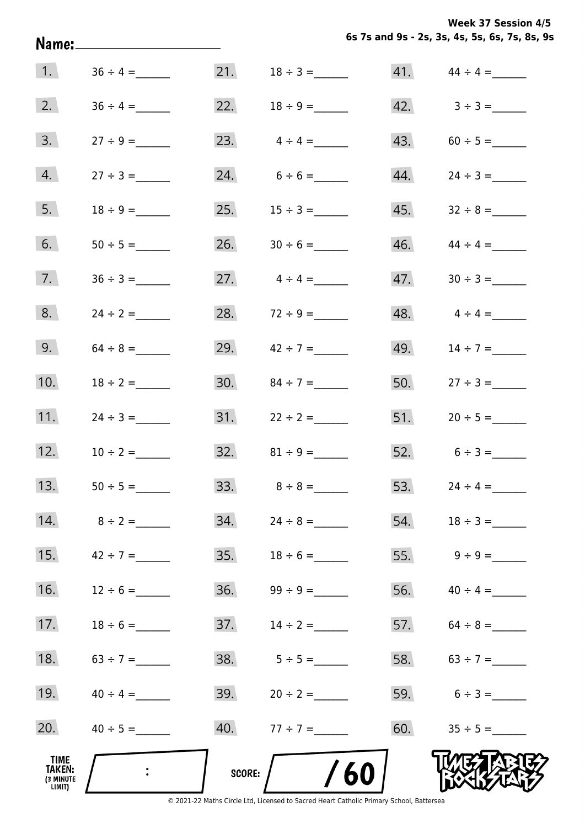**6s 7s and 9s - 2s, 3s, 4s, 5s, 6s, 7s, 8s, 9s Week 37 Session 4/5** 

|                                       | Name:______________________ |               |                   |     | 6s 7s and 9s - 2s, 3s, 4s, 5s, 6s, 7s, 8s, 9 |
|---------------------------------------|-----------------------------|---------------|-------------------|-----|----------------------------------------------|
| $\vert$ 1.                            |                             | 21.           |                   |     | $41.$ $44 \div 4 =$                          |
| 2.                                    | $36 \div 4 =$               | 22.           |                   |     | $42. \hspace{1.5cm} 3 \div 3 =$              |
| 3.                                    | $27 \div 9 =$               |               | 23. $4 \div 4 =$  |     | $43. 60 \div 5 =$                            |
| 4.                                    |                             |               | 24. $6 \div 6 =$  |     |                                              |
| 5.                                    |                             |               |                   |     |                                              |
| 6.                                    |                             | 26.           |                   |     |                                              |
| 7.                                    |                             | 27.           | $4 \div 4 =$      | 47. |                                              |
| 8.                                    | $24 \div 2 =$               | 28.           |                   |     | 48. $4 \div 4 =$                             |
| 9.                                    | $64 \div 8 =$               |               | 29. $42 \div 7 =$ |     | 49. $14 \div 7 =$                            |
| 10.                                   | $18 \div 2 =$               |               | 30. $84 \div 7 =$ |     | 50. $27 \div 3 =$                            |
| 11.                                   | $24 \div 3 =$               | 31.           | $22 \div 2 =$     |     |                                              |
| 12.                                   | $10 \div 2 =$               |               | 32. $81 \div 9 =$ |     | 52. $6 \div 3 =$                             |
| 13.                                   |                             |               |                   |     | 53. $24 \div 4 =$                            |
| 14.                                   | $8 \div 2 =$                |               |                   |     |                                              |
| 15.                                   | $42 \div 7 =$               |               |                   |     |                                              |
| 16.                                   | $12 \div 6 =$               |               |                   |     | 56. $40 \div 4 =$                            |
| 17.                                   | $18 \div 6 =$               | 37.           | $14 \div 2 =$     |     | 57. $64 \div 8 =$                            |
| 18.                                   | $63 \div 7 =$               | 38.           | $5 \div 5 =$      |     | 58. $63 \div 7 =$                            |
| 19.                                   | $40 \div 4 =$               |               | 39. $20 \div 2 =$ |     | 59. $6 \div 3 =$                             |
| 20.                                   |                             |               | $40. 77 \div 7 =$ |     |                                              |
| TIME<br>TAKEN:<br>(3 MINUTE<br>LIMIT) | $\ddot{\cdot}$              | <b>SCORE:</b> | 60                |     |                                              |